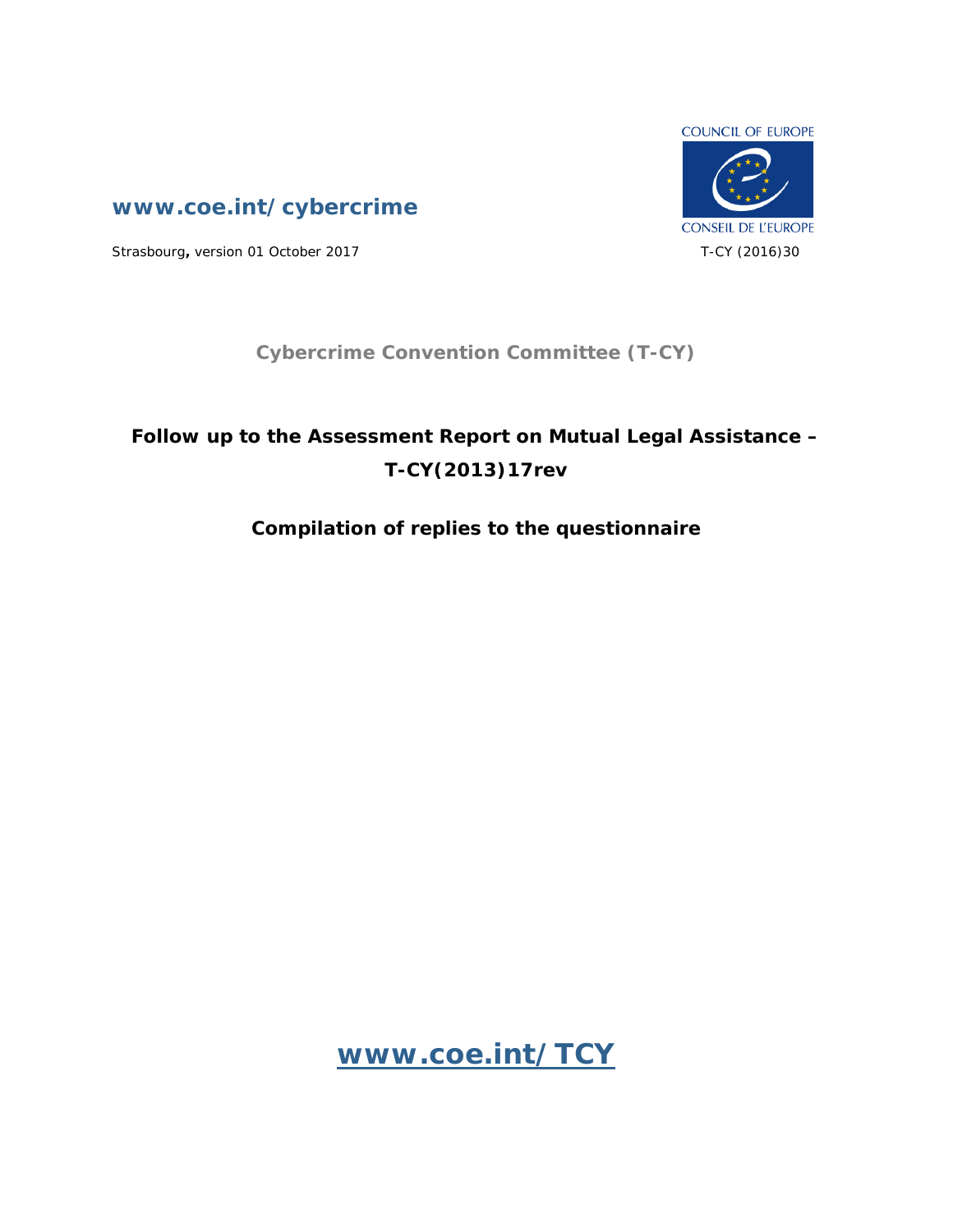

**www.coe.int/cybercrime**

Strasbourg, version 01 October 2017 **T-CY** (2016)30

## **Cybercrime Convention Committee (T-CY)**

# **Follow up to the Assessment Report on Mutual Legal Assistance – T-CY(2013)17rev**

## **Compilation of replies to the questionnaire**

**[www.coe.int/TCY](http://www.coe.int/TCY)**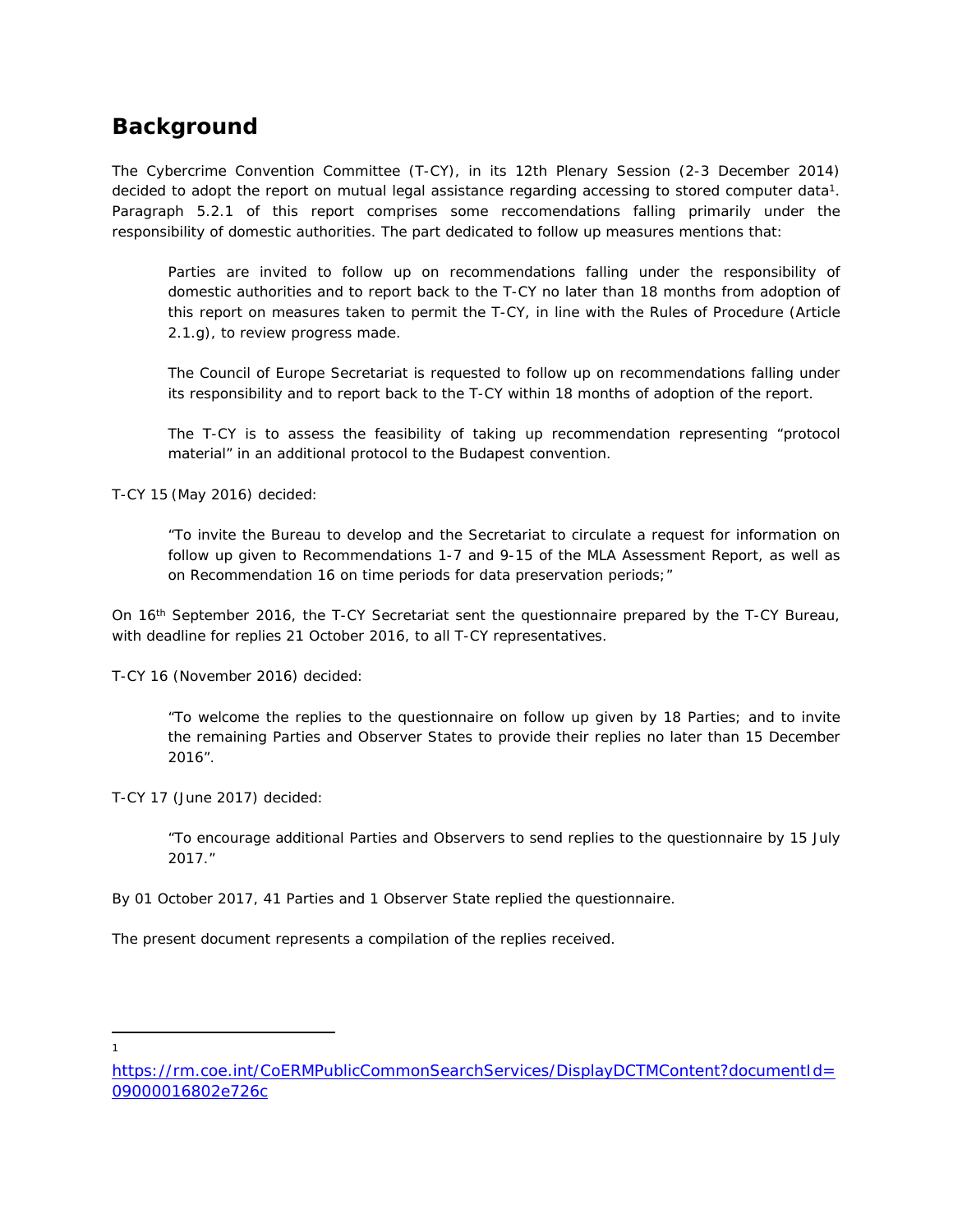## **Background**

The Cybercrime Convention Committee (T-CY), in its 12th Plenary Session (2-3 December 2014) decided to adopt the report on mutual legal assistance regarding accessing to stored computer data<sup>1</sup>. Paragraph 5.2.1 of this report comprises some reccomendations falling primarily under the responsibility of domestic authorities. The part dedicated to follow up measures mentions that:

Parties are invited to follow up on recommendations falling under the responsibility of domestic authorities and to report back to the T-CY no later than 18 months from adoption of *this report on measures taken to permit the T-CY, in line with the Rules of Procedure (Article 2.1.g), to review progress made.*

*The Council of Europe Secretariat is requested to follow up on recommendations falling under its responsibility and to report back to the T-CY within 18 months of adoption of the report.*

*The T-CY is to assess the feasibility of taking up recommendation representing "protocol material" in an additional protocol to the Budapest convention.*

T-CY 15 (May 2016) decided:

*"To invite the Bureau to develop and the Secretariat to circulate a request for information on follow up given to Recommendations 1-7 and 9-15 of the MLA Assessment Report, as well as on Recommendation 16 on time periods for data preservation periods;"*

On 16th September 2016, the T-CY Secretariat sent the questionnaire prepared by the T-CY Bureau, with deadline for replies 21 October 2016, to all T-CY representatives.

T-CY 16 (November 2016) decided:

*"To welcome the replies to the questionnaire on follow up given by 18 Parties; and to invite the remaining Parties and Observer States to provide their replies no later than 15 December 2016".*

T-CY 17 (June 2017) decided:

*"To encourage additional Parties and Observers to send replies to the questionnaire by 15 July 2017."*

By 01 October 2017, 41 Parties and 1 Observer State replied the questionnaire.

The present document represents a compilation of the replies received.

1

[https://rm.coe.int/CoERMPublicCommonSearchServices/DisplayDCTMContent?documentId=](https://rm.coe.int/CoERMPublicCommonSearchServices/DisplayDCTMContent?documentId=09000016802e726c) [09000016802e726c](https://rm.coe.int/CoERMPublicCommonSearchServices/DisplayDCTMContent?documentId=09000016802e726c)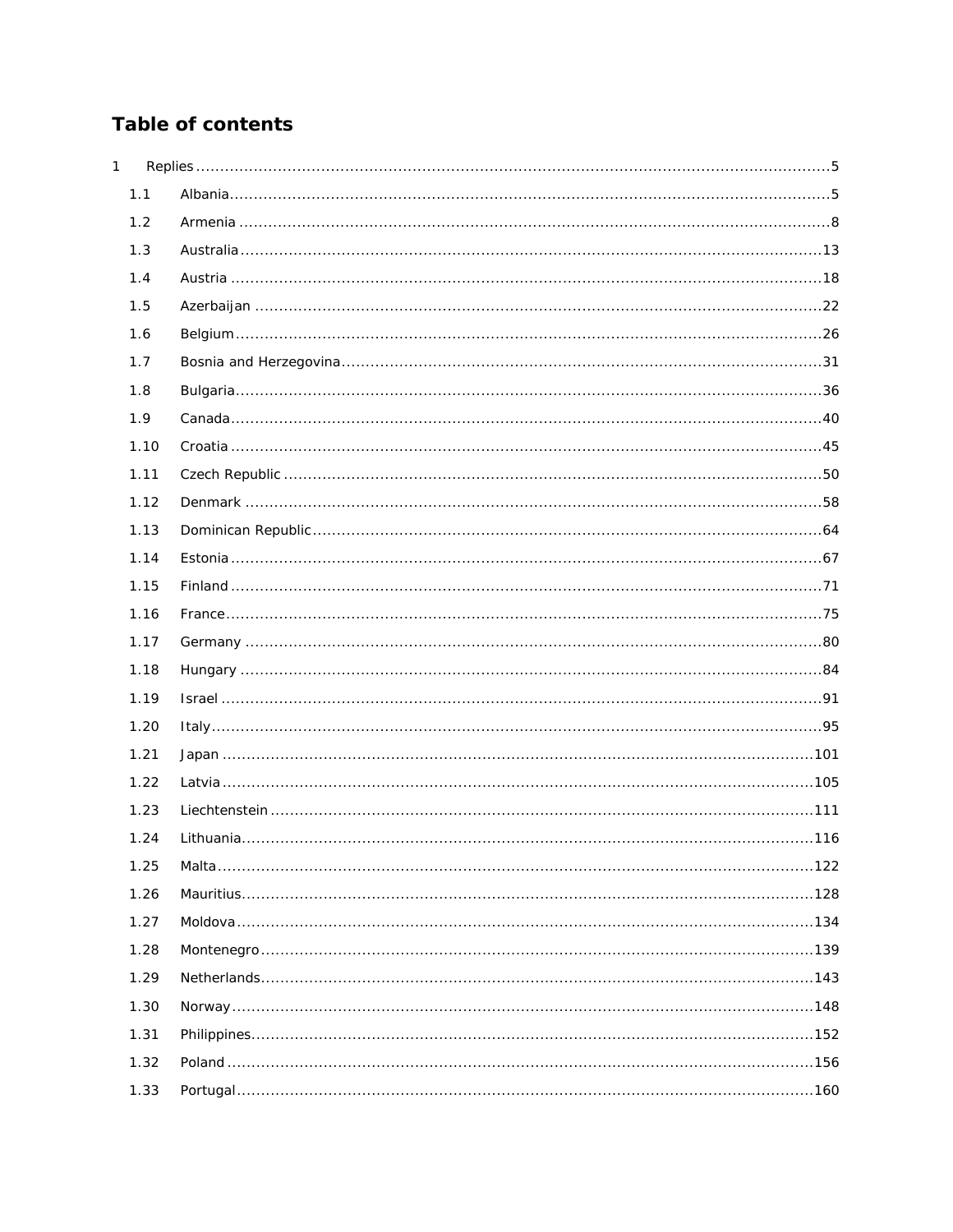## Table of contents

| 1 |      |  |
|---|------|--|
|   | 1.1  |  |
|   | 1.2  |  |
|   | 1.3  |  |
|   | 1.4  |  |
|   | 1.5  |  |
|   | 1.6  |  |
|   | 1.7  |  |
|   | 1.8  |  |
|   | 1.9  |  |
|   | 1.10 |  |
|   | 1.11 |  |
|   | 1.12 |  |
|   | 1.13 |  |
|   | 1.14 |  |
|   | 1.15 |  |
|   | 1.16 |  |
|   | 1.17 |  |
|   | 1.18 |  |
|   | 1.19 |  |
|   | 1.20 |  |
|   | 1.21 |  |
|   | 1.22 |  |
|   | 1.23 |  |
|   | 1.24 |  |
|   | 1.25 |  |
|   | 1.26 |  |
|   | 1.27 |  |
|   | 1.28 |  |
|   | 1.29 |  |
|   | 1.30 |  |
|   | 1.31 |  |
|   | 1.32 |  |
|   | 1.33 |  |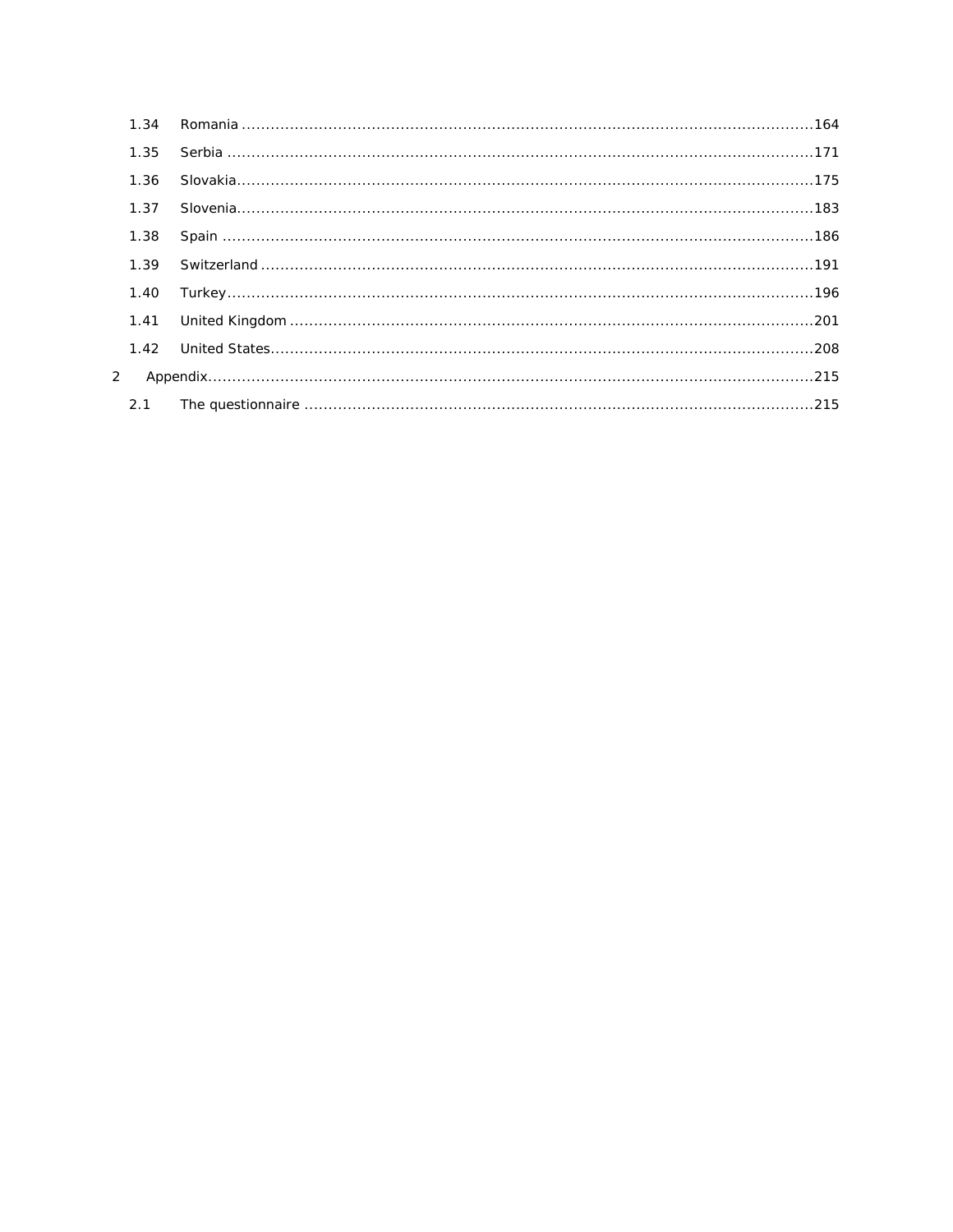| 1.34 |  |
|------|--|
| 1.35 |  |
| 1.36 |  |
| 1.37 |  |
| 1.38 |  |
| 1.39 |  |
| 1.40 |  |
| 1.41 |  |
| 1.42 |  |
| 2    |  |
| 2.1  |  |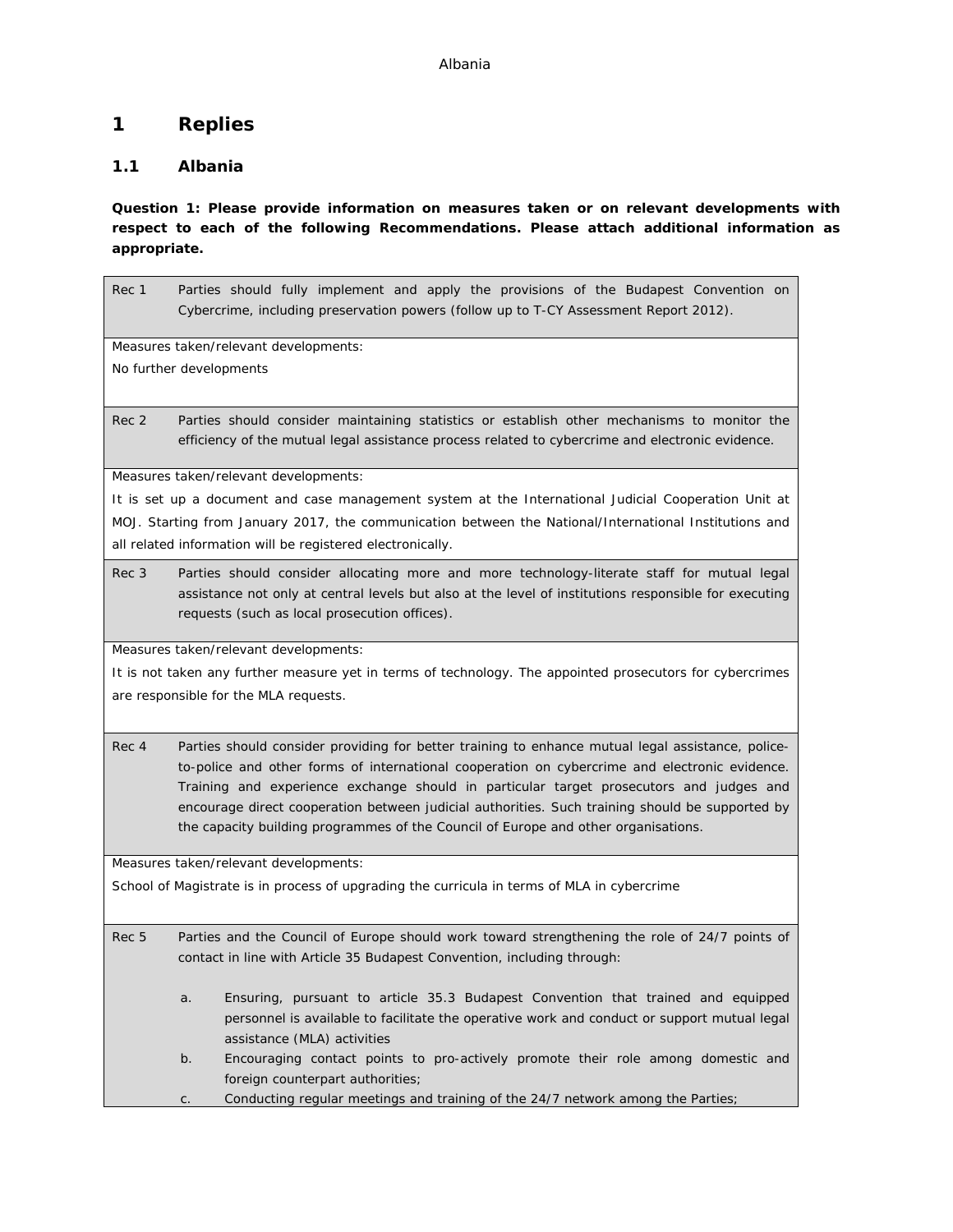## <span id="page-4-0"></span>**1 Replies**

## <span id="page-4-1"></span>**1.1 Albania**

**Question 1: Please provide information on measures taken or on relevant developments with respect to each of the following Recommendations. Please attach additional information as appropriate.**

Rec 1 Parties should fully implement and apply the provisions of the Budapest Convention on Cybercrime, including preservation powers (follow up to T-CY Assessment Report 2012). Measures taken/relevant developments: No further developments Rec 2 Parties should consider maintaining statistics or establish other mechanisms to monitor the efficiency of the mutual legal assistance process related to cybercrime and electronic evidence. Measures taken/relevant developments: It is set up a document and case management system at the International Judicial Cooperation Unit at MOJ. Starting from January 2017, the communication between the National/International Institutions and all related information will be registered electronically. Rec 3 Parties should consider allocating more and more technology-literate staff for mutual legal assistance not only at central levels but also at the level of institutions responsible for executing requests (such as local prosecution offices). Measures taken/relevant developments: It is not taken any further measure yet in terms of technology. The appointed prosecutors for cybercrimes are responsible for the MLA requests. Rec 4 Parties should consider providing for better training to enhance mutual legal assistance, policeto-police and other forms of international cooperation on cybercrime and electronic evidence. Training and experience exchange should in particular target prosecutors and judges and encourage direct cooperation between judicial authorities. Such training should be supported by the capacity building programmes of the Council of Europe and other organisations.

Measures taken/relevant developments:

School of Magistrate is in process of upgrading the curricula in terms of MLA in cybercrime

Rec 5 Parties and the Council of Europe should work toward strengthening the role of 24/7 points of contact in line with Article 35 Budapest Convention, including through:

- a. Ensuring, pursuant to article 35.3 Budapest Convention that trained and equipped personnel is available to facilitate the operative work and conduct or support mutual legal assistance (MLA) activities
- b. Encouraging contact points to pro-actively promote their role among domestic and foreign counterpart authorities;

c. Conducting regular meetings and training of the 24/7 network among the Parties;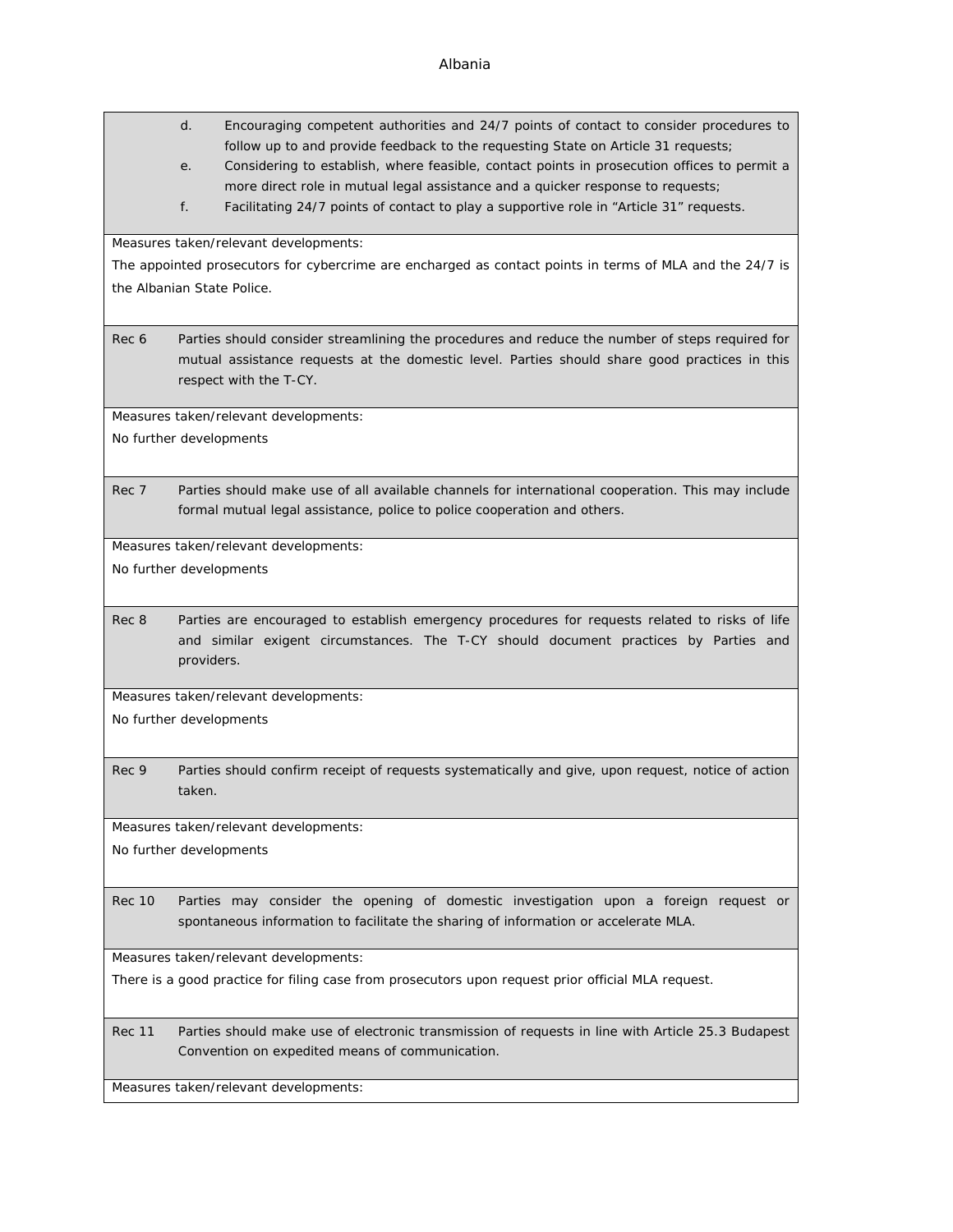|                            | d.         | Encouraging competent authorities and 24/7 points of contact to consider procedures to<br>follow up to and provide feedback to the requesting State on Article 31 requests;                                                |
|----------------------------|------------|----------------------------------------------------------------------------------------------------------------------------------------------------------------------------------------------------------------------------|
|                            | е.         | Considering to establish, where feasible, contact points in prosecution offices to permit a<br>more direct role in mutual legal assistance and a quicker response to requests;                                             |
|                            | f.         | Facilitating 24/7 points of contact to play a supportive role in "Article 31" requests.                                                                                                                                    |
|                            |            | Measures taken/relevant developments:                                                                                                                                                                                      |
|                            |            | The appointed prosecutors for cybercrime are encharged as contact points in terms of MLA and the 24/7 is                                                                                                                   |
| the Albanian State Police. |            |                                                                                                                                                                                                                            |
| Rec 6                      |            | Parties should consider streamlining the procedures and reduce the number of steps required for<br>mutual assistance requests at the domestic level. Parties should share good practices in this<br>respect with the T-CY. |
|                            |            | Measures taken/relevant developments:                                                                                                                                                                                      |
| No further developments    |            |                                                                                                                                                                                                                            |
| Rec 7                      |            | Parties should make use of all available channels for international cooperation. This may include                                                                                                                          |
|                            |            | formal mutual legal assistance, police to police cooperation and others.                                                                                                                                                   |
|                            |            | Measures taken/relevant developments:                                                                                                                                                                                      |
| No further developments    |            |                                                                                                                                                                                                                            |
| Rec 8                      |            | Parties are encouraged to establish emergency procedures for requests related to risks of life                                                                                                                             |
|                            | providers. | and similar exigent circumstances. The T-CY should document practices by Parties and                                                                                                                                       |
|                            |            | Measures taken/relevant developments:                                                                                                                                                                                      |
| No further developments    |            |                                                                                                                                                                                                                            |
|                            |            |                                                                                                                                                                                                                            |
| Rec 9                      | taken.     | Parties should confirm receipt of requests systematically and give, upon request, notice of action                                                                                                                         |
|                            |            | Measures taken/relevant developments:                                                                                                                                                                                      |
| No further developments    |            |                                                                                                                                                                                                                            |
| <b>Rec 10</b>              |            | Parties may consider the opening of domestic investigation upon a foreign request or<br>spontaneous information to facilitate the sharing of information or accelerate MLA.                                                |
|                            |            | Measures taken/relevant developments:                                                                                                                                                                                      |
|                            |            | There is a good practice for filing case from prosecutors upon request prior official MLA request.                                                                                                                         |
|                            |            |                                                                                                                                                                                                                            |

Rec 11 Parties should make use of electronic transmission of requests in line with Article 25.3 Budapest Convention on expedited means of communication.

Measures taken/relevant developments:

### Albania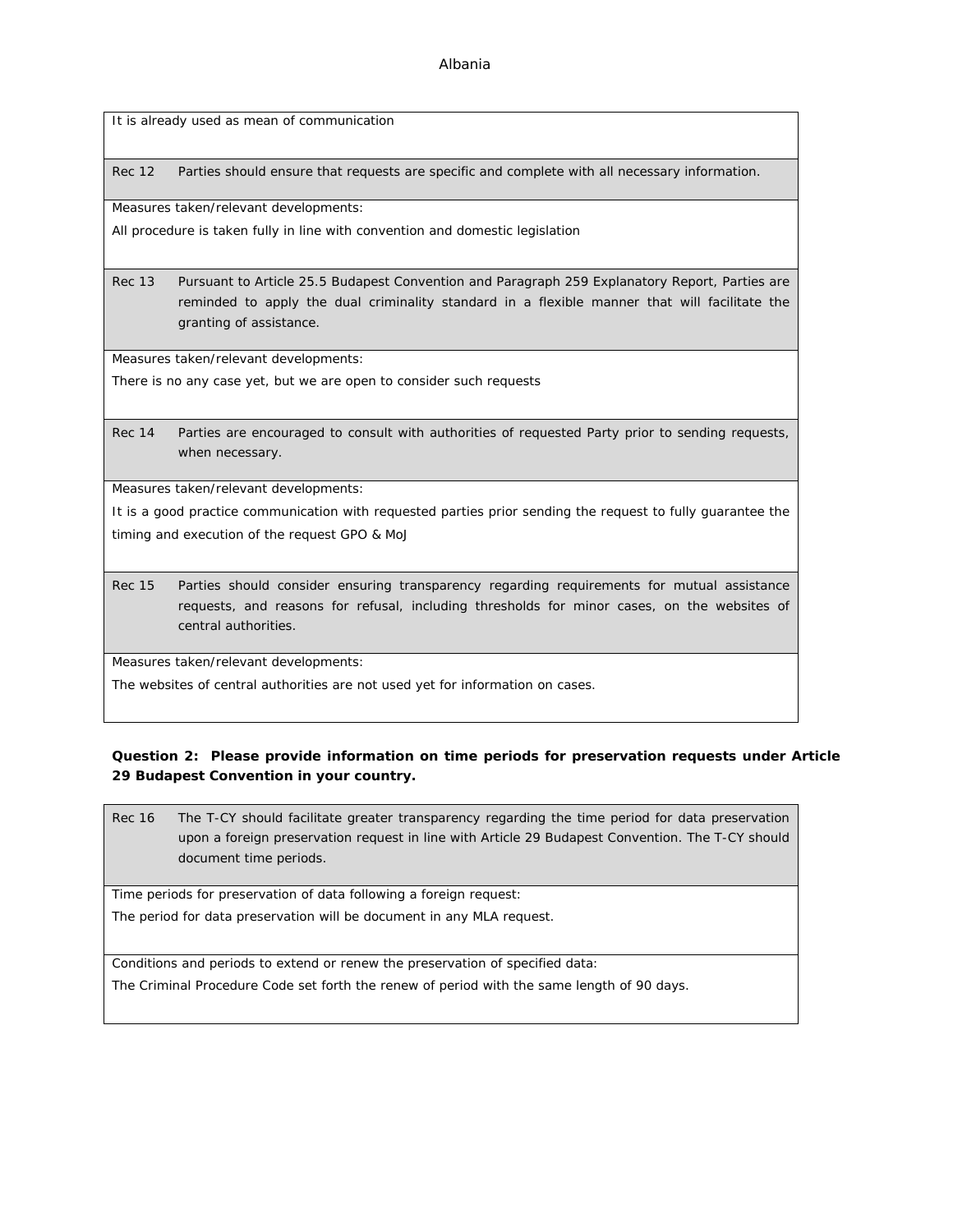It is already used as mean of communication

Rec 12 Parties should ensure that requests are specific and complete with all necessary information.

Measures taken/relevant developments:

All procedure is taken fully in line with convention and domestic legislation

Rec 13 Pursuant to Article 25.5 Budapest Convention and Paragraph 259 Explanatory Report, Parties are reminded to apply the dual criminality standard in a flexible manner that will facilitate the granting of assistance.

Measures taken/relevant developments:

There is no any case yet, but we are open to consider such requests

Rec 14 Parties are encouraged to consult with authorities of requested Party prior to sending requests, when necessary.

Measures taken/relevant developments:

It is a good practice communication with requested parties prior sending the request to fully guarantee the timing and execution of the request GPO & MoJ

Rec 15 Parties should consider ensuring transparency regarding requirements for mutual assistance requests, and reasons for refusal, including thresholds for minor cases, on the websites of central authorities.

Measures taken/relevant developments:

The websites of central authorities are not used yet for information on cases.

**Question 2: Please provide information on time periods for preservation requests under Article 29 Budapest Convention in your country.**

Rec 16 The T-CY should facilitate greater transparency regarding the time period for data preservation upon a foreign preservation request in line with Article 29 Budapest Convention. The T-CY should document time periods.

Time periods for preservation of data following a foreign request:

The period for data preservation will be document in any MLA request.

Conditions and periods to extend or renew the preservation of specified data:

The Criminal Procedure Code set forth the renew of period with the same length of 90 days.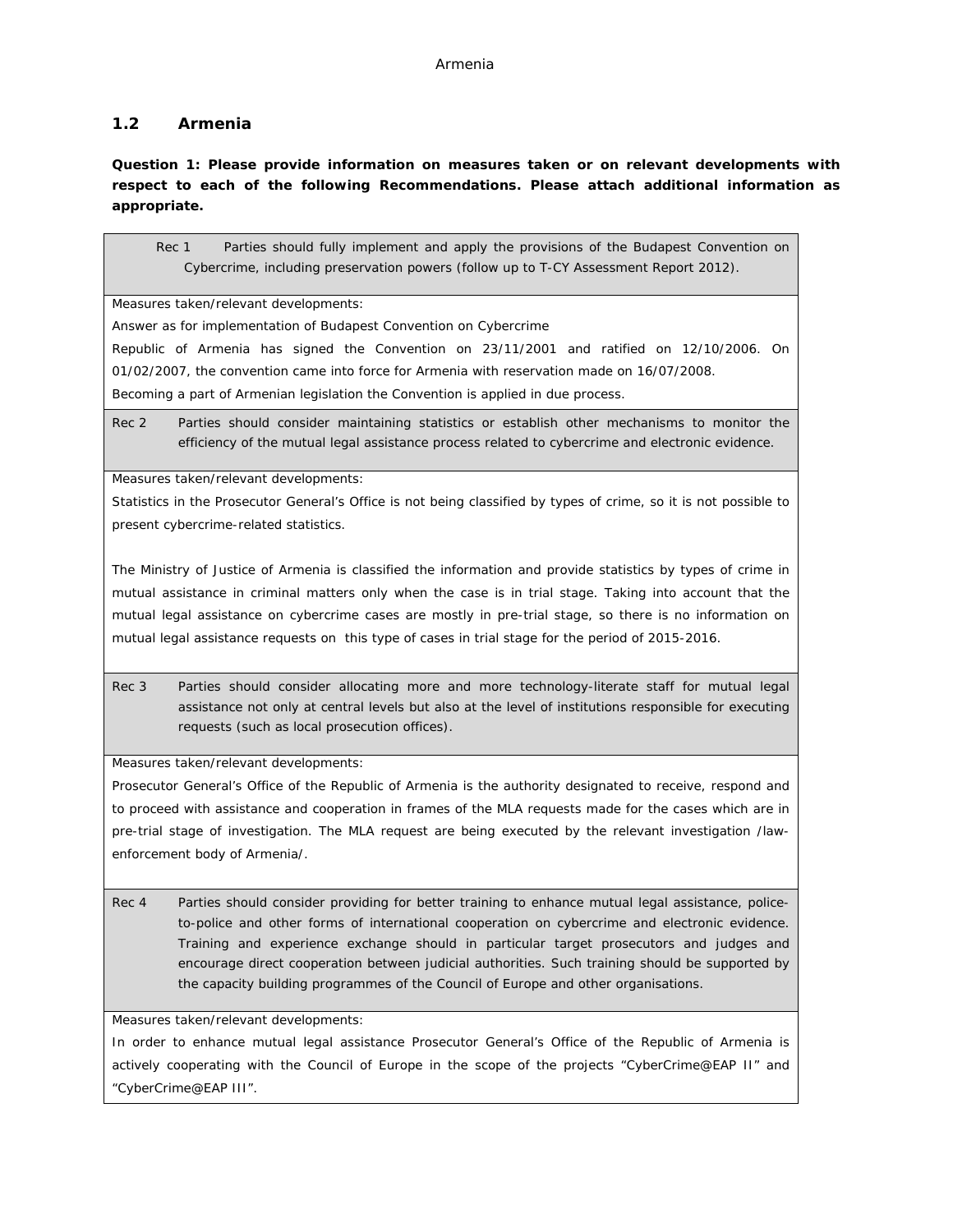### <span id="page-7-0"></span>**1.2 Armenia**

**Question 1: Please provide information on measures taken or on relevant developments with respect to each of the following Recommendations. Please attach additional information as appropriate.**

Rec 1 Parties should fully implement and apply the provisions of the Budapest Convention on Cybercrime, including preservation powers (follow up to T-CY Assessment Report 2012).

Measures taken/relevant developments:

Answer as for implementation of Budapest Convention on Cybercrime

Republic of Armenia has signed the Convention on 23/11/2001 and ratified on 12/10/2006. On 01/02/2007, the convention came into force for Armenia with reservation made on 16/07/2008. Becoming a part of Armenian legislation the Convention is applied in due process.

Rec 2 Parties should consider maintaining statistics or establish other mechanisms to monitor the efficiency of the mutual legal assistance process related to cybercrime and electronic evidence.

Measures taken/relevant developments:

Statistics in the Prosecutor General's Office is not being classified by types of crime, so it is not possible to present cybercrime-related statistics.

The Ministry of Justice of Armenia is classified the information and provide statistics by types of crime in mutual assistance in criminal matters only when the case is in trial stage. Taking into account that the mutual legal assistance on cybercrime cases are mostly in pre-trial stage, so there is no information on mutual legal assistance requests on this type of cases in trial stage for the period of 2015-2016.

Rec 3 Parties should consider allocating more and more technology-literate staff for mutual legal assistance not only at central levels but also at the level of institutions responsible for executing requests (such as local prosecution offices).

Measures taken/relevant developments:

Prosecutor General's Office of the Republic of Armenia is the authority designated to receive, respond and to proceed with assistance and cooperation in frames of the MLA requests made for the cases which are in pre-trial stage of investigation. The MLA request are being executed by the relevant investigation /lawenforcement body of Armenia/.

Rec 4 Parties should consider providing for better training to enhance mutual legal assistance, policeto-police and other forms of international cooperation on cybercrime and electronic evidence. Training and experience exchange should in particular target prosecutors and judges and encourage direct cooperation between judicial authorities. Such training should be supported by the capacity building programmes of the Council of Europe and other organisations.

Measures taken/relevant developments:

In order to enhance mutual legal assistance Prosecutor General's Office of the Republic of Armenia is actively cooperating with the Council of Europe in the scope of the projects "CyberCrime@EAP II" and "CyberCrime@EAP III".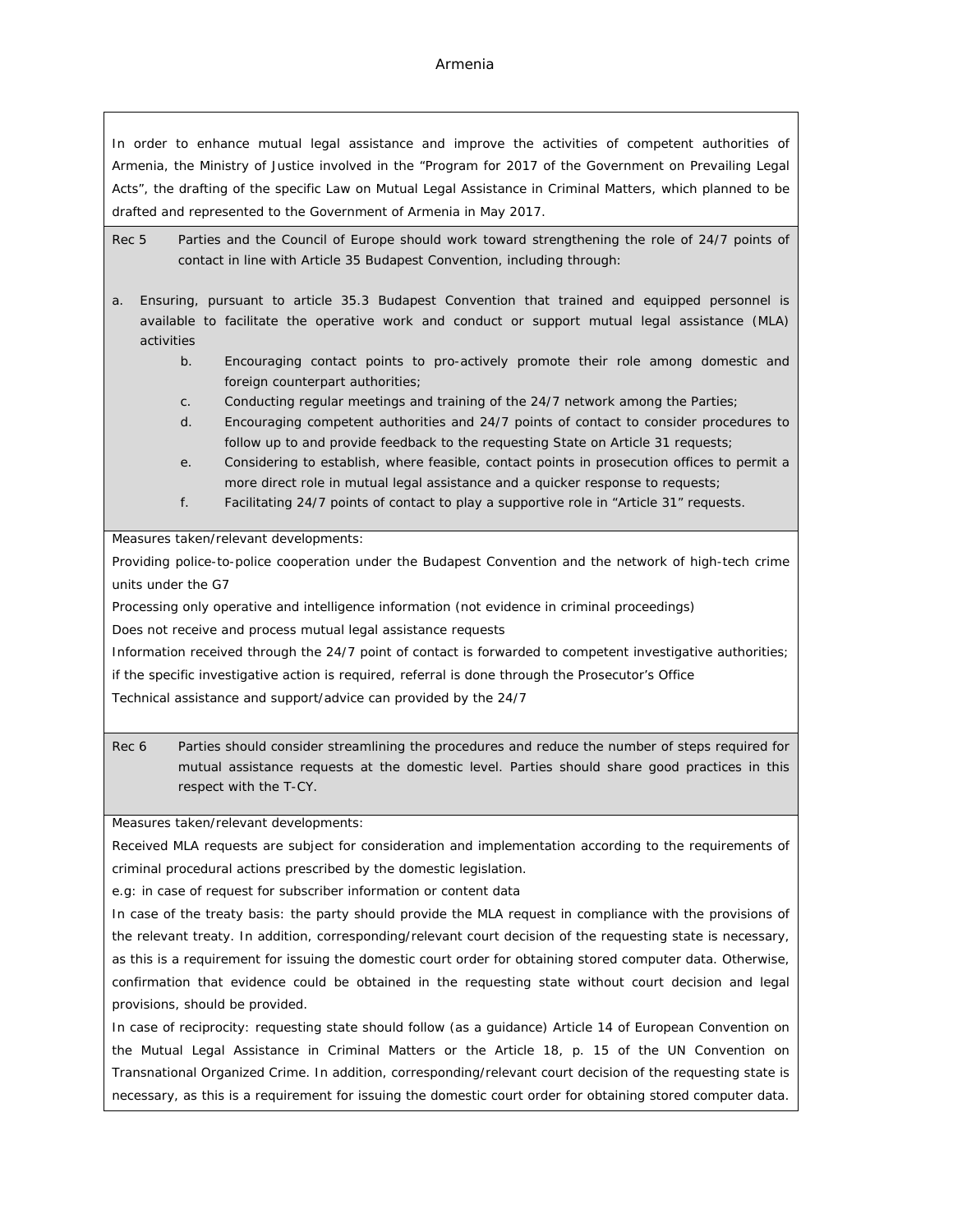#### Armenia

In order to enhance mutual legal assistance and improve the activities of competent authorities of Armenia, the Ministry of Justice involved in the "Program for 2017 of the Government on Prevailing Legal Acts", the drafting of the specific Law on Mutual Legal Assistance in Criminal Matters, which planned to be drafted and represented to the Government of Armenia in May 2017.

- Rec 5 Parties and the Council of Europe should work toward strengthening the role of 24/7 points of contact in line with Article 35 Budapest Convention, including through:
- a. Ensuring, pursuant to article 35.3 Budapest Convention that trained and equipped personnel is available to facilitate the operative work and conduct or support mutual legal assistance (MLA) activities
	- b. Encouraging contact points to pro-actively promote their role among domestic and foreign counterpart authorities;
	- c. Conducting regular meetings and training of the 24/7 network among the Parties;
	- d. Encouraging competent authorities and 24/7 points of contact to consider procedures to follow up to and provide feedback to the requesting State on Article 31 requests;
	- e. Considering to establish, where feasible, contact points in prosecution offices to permit a more direct role in mutual legal assistance and a quicker response to requests;
	- f. Facilitating 24/7 points of contact to play a supportive role in "Article 31" requests.

Measures taken/relevant developments:

Providing police-to-police cooperation under the Budapest Convention and the network of high-tech crime units under the G7

Processing only operative and intelligence information (not evidence in criminal proceedings)

Does not receive and process mutual legal assistance requests

Information received through the 24/7 point of contact is forwarded to competent investigative authorities;

if the specific investigative action is required, referral is done through the Prosecutor's Office

Technical assistance and support/advice can provided by the 24/7

Rec 6 Parties should consider streamlining the procedures and reduce the number of steps required for mutual assistance requests at the domestic level. Parties should share good practices in this respect with the T-CY.

Measures taken/relevant developments:

Received MLA requests are subject for consideration and implementation according to the requirements of criminal procedural actions prescribed by the domestic legislation.

e.g: in case of request for subscriber information or content data

In case of the treaty basis: the party should provide the MLA request in compliance with the provisions of the relevant treaty. In addition, corresponding/relevant court decision of the requesting state is necessary, as this is a requirement for issuing the domestic court order for obtaining stored computer data. Otherwise, confirmation that evidence could be obtained in the requesting state without court decision and legal provisions, should be provided.

In case of reciprocity: requesting state should follow (as a guidance) Article 14 of European Convention on the Mutual Legal Assistance in Criminal Matters or the Article 18, p. 15 of the UN Convention on Transnational Organized Crime. In addition, corresponding/relevant court decision of the requesting state is necessary, as this is a requirement for issuing the domestic court order for obtaining stored computer data.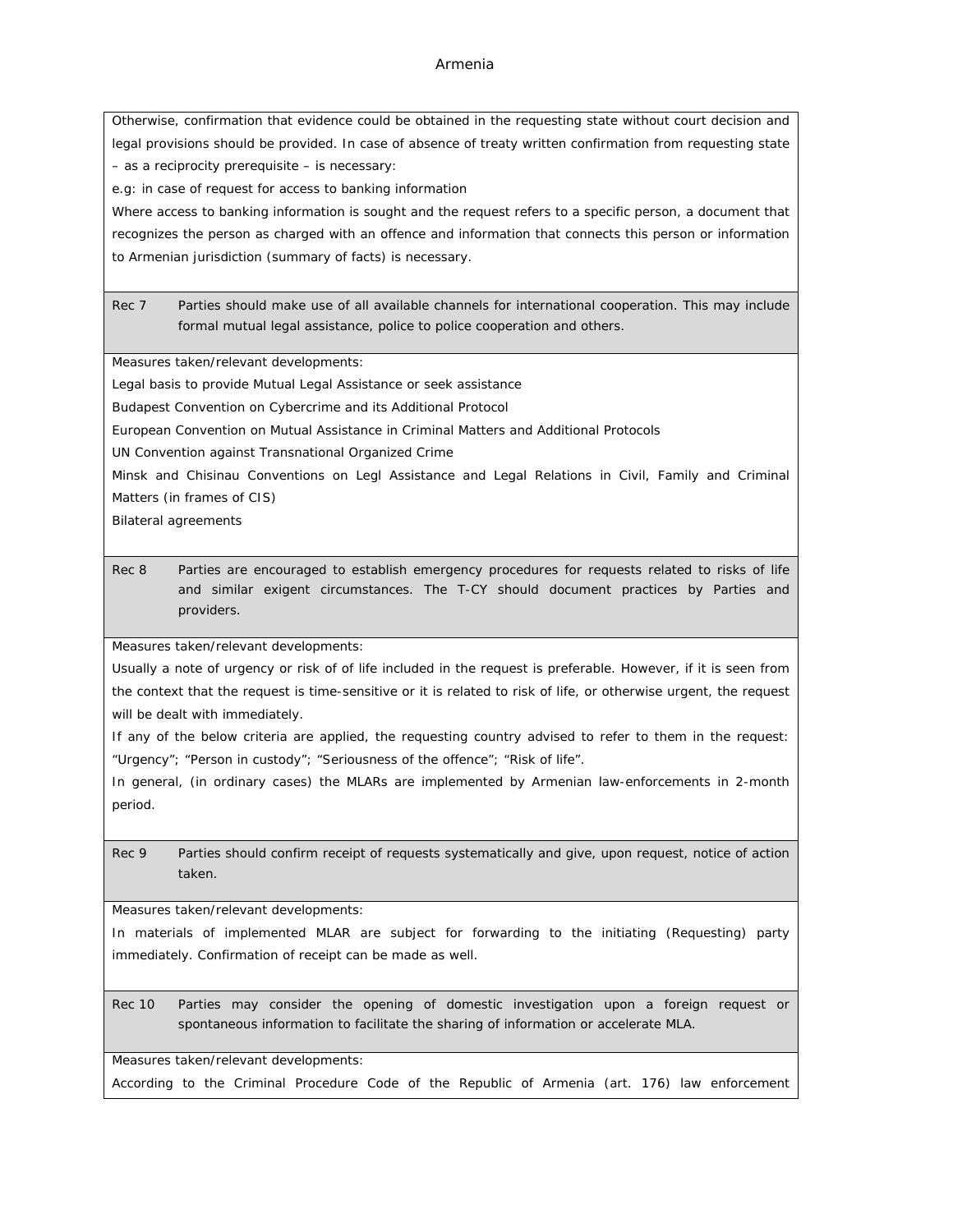#### Armenia

Otherwise, confirmation that evidence could be obtained in the requesting state without court decision and legal provisions should be provided. In case of absence of treaty written confirmation from requesting state – as a reciprocity prerequisite – is necessary:

e.g: in case of request for access to banking information

Where access to banking information is sought and the request refers to a specific person, a document that recognizes the person as charged with an offence and information that connects this person or information to Armenian jurisdiction (summary of facts) is necessary.

Rec 7 Parties should make use of all available channels for international cooperation. This may include formal mutual legal assistance, police to police cooperation and others.

Measures taken/relevant developments:

Legal basis to provide Mutual Legal Assistance or seek assistance

Budapest Convention on Cybercrime and its Additional Protocol

European Convention on Mutual Assistance in Criminal Matters and Additional Protocols

UN Convention against Transnational Organized Crime

Minsk and Chisinau Conventions on Legl Assistance and Legal Relations in Civil, Family and Criminal Matters (in frames of CIS)

Bilateral agreements

Rec 8 Parties are encouraged to establish emergency procedures for requests related to risks of life and similar exigent circumstances. The T-CY should document practices by Parties and providers.

Measures taken/relevant developments:

Usually a note of urgency or risk of of life included in the request is preferable. However, if it is seen from the context that the request is time-sensitive or it is related to risk of life, or otherwise urgent, the request will be dealt with immediately.

If any of the below criteria are applied, the requesting country advised to refer to them in the request: "Urgency"; "Person in custody"; "Seriousness of the offence"; "Risk of life".

In general, (in ordinary cases) the MLARs are implemented by Armenian law-enforcements in 2-month period.

Rec 9 Parties should confirm receipt of requests systematically and give, upon request, notice of action taken.

Measures taken/relevant developments:

In materials of implemented MLAR are subject for forwarding to the initiating (Requesting) party immediately. Confirmation of receipt can be made as well.

Rec 10 Parties may consider the opening of domestic investigation upon a foreign request or spontaneous information to facilitate the sharing of information or accelerate MLA.

Measures taken/relevant developments:

According to the Criminal Procedure Code of the Republic of Armenia (art. 176) law enforcement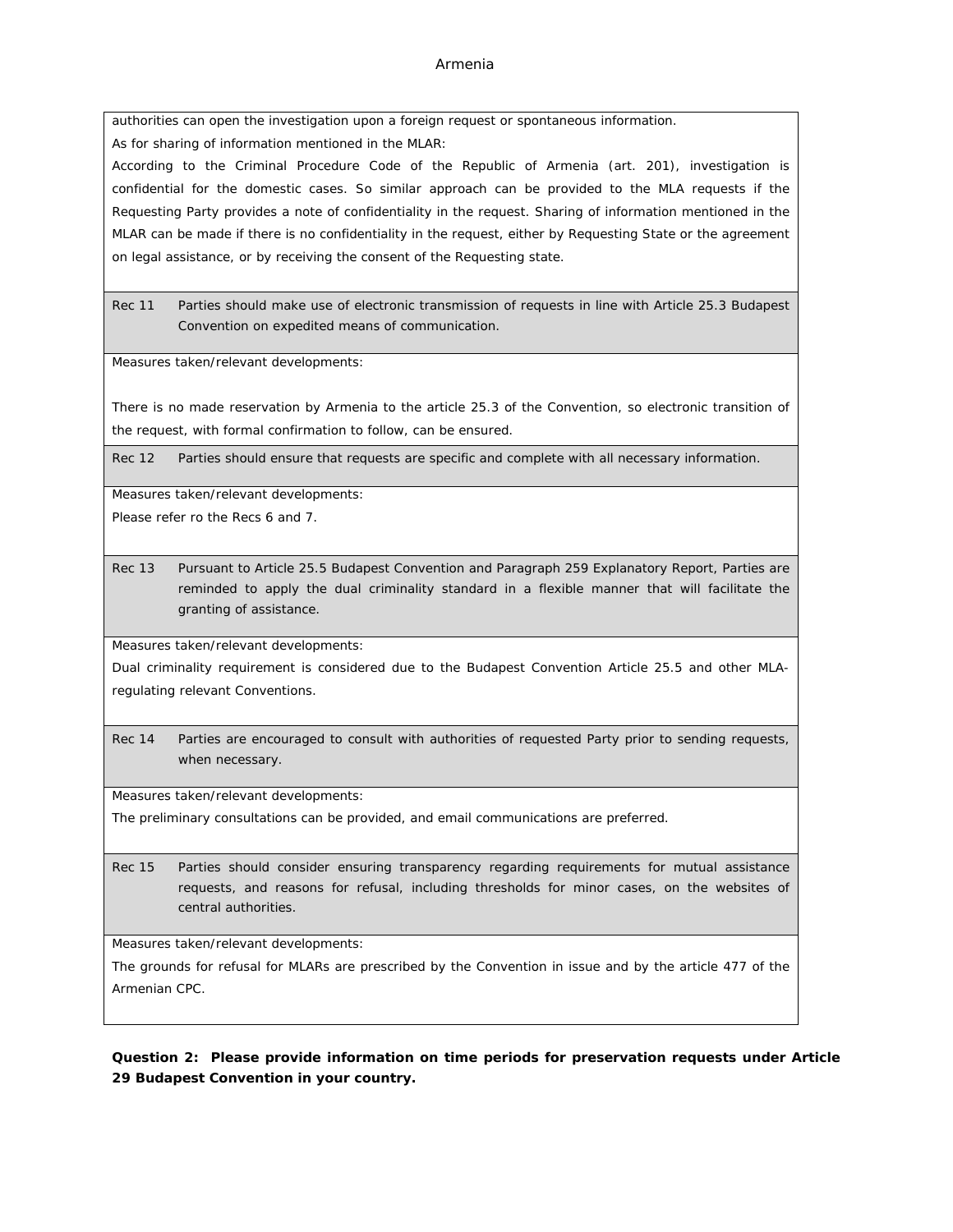authorities can open the investigation upon a foreign request or spontaneous information.

As for sharing of information mentioned in the MLAR:

According to the Criminal Procedure Code of the Republic of Armenia (art. 201), investigation is confidential for the domestic cases. So similar approach can be provided to the MLA requests if the Requesting Party provides a note of confidentiality in the request. Sharing of information mentioned in the MLAR can be made if there is no confidentiality in the request, either by Requesting State or the agreement on legal assistance, or by receiving the consent of the Requesting state.

Rec 11 Parties should make use of electronic transmission of requests in line with Article 25.3 Budapest Convention on expedited means of communication.

Measures taken/relevant developments:

There is no made reservation by Armenia to the article 25.3 of the Convention, so electronic transition of the request, with formal confirmation to follow, can be ensured.

Rec 12 Parties should ensure that requests are specific and complete with all necessary information.

Measures taken/relevant developments:

Please refer ro the Recs 6 and 7.

Rec 13 Pursuant to Article 25.5 Budapest Convention and Paragraph 259 Explanatory Report, Parties are reminded to apply the dual criminality standard in a flexible manner that will facilitate the granting of assistance.

Measures taken/relevant developments:

Dual criminality requirement is considered due to the Budapest Convention Article 25.5 and other MLAregulating relevant Conventions.

Rec 14 Parties are encouraged to consult with authorities of requested Party prior to sending requests, when necessary.

Measures taken/relevant developments:

The preliminary consultations can be provided, and email communications are preferred.

Rec 15 Parties should consider ensuring transparency regarding requirements for mutual assistance requests, and reasons for refusal, including thresholds for minor cases, on the websites of central authorities.

Measures taken/relevant developments:

The grounds for refusal for MLARs are prescribed by the Convention in issue and by the article 477 of the Armenian CPC.

**Question 2: Please provide information on time periods for preservation requests under Article 29 Budapest Convention in your country.**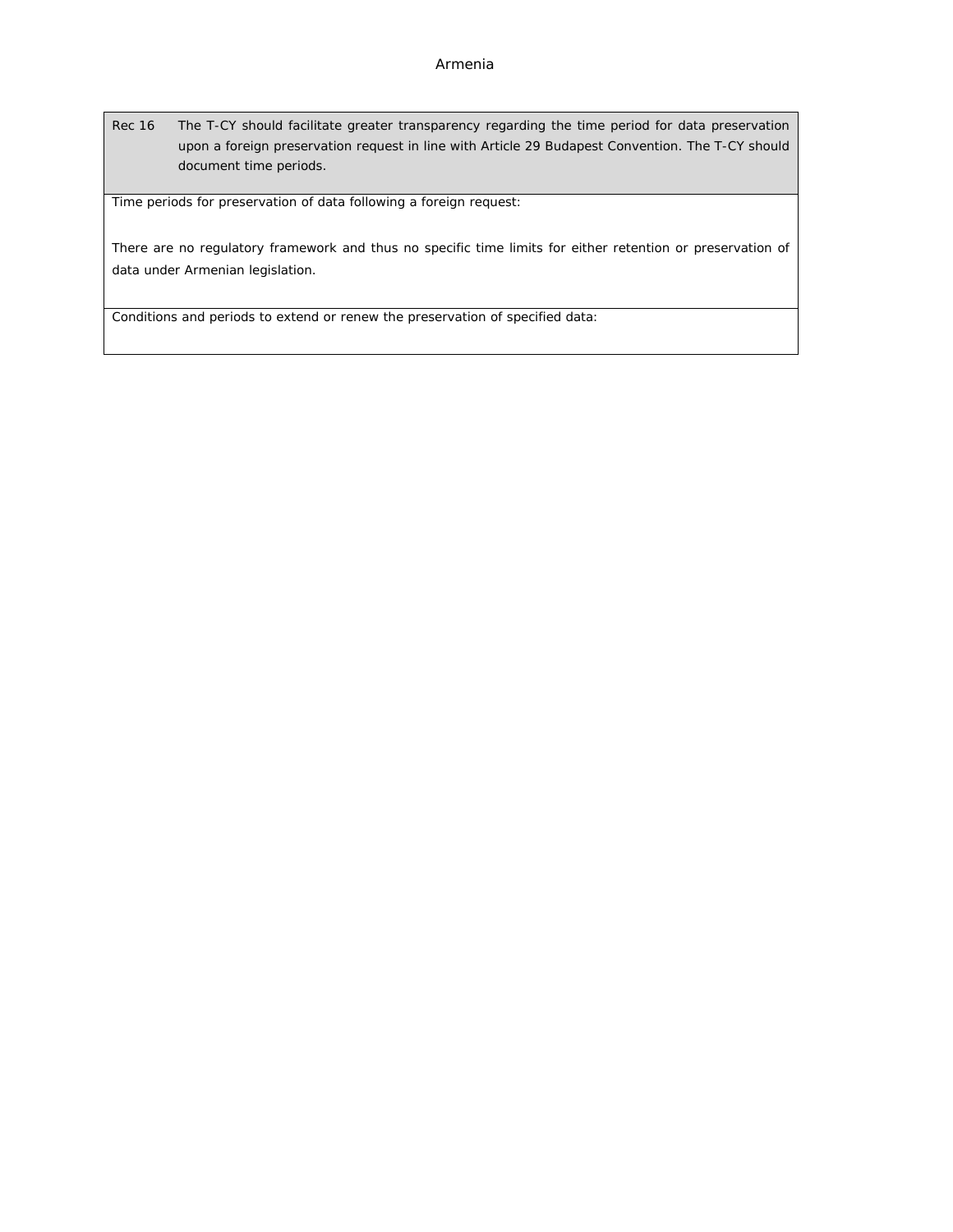Rec 16 The T-CY should facilitate greater transparency regarding the time period for data preservation upon a foreign preservation request in line with Article 29 Budapest Convention. The T-CY should document time periods.

Time periods for preservation of data following a foreign request:

There are no regulatory framework and thus no specific time limits for either retention or preservation of data under Armenian legislation.

Conditions and periods to extend or renew the preservation of specified data: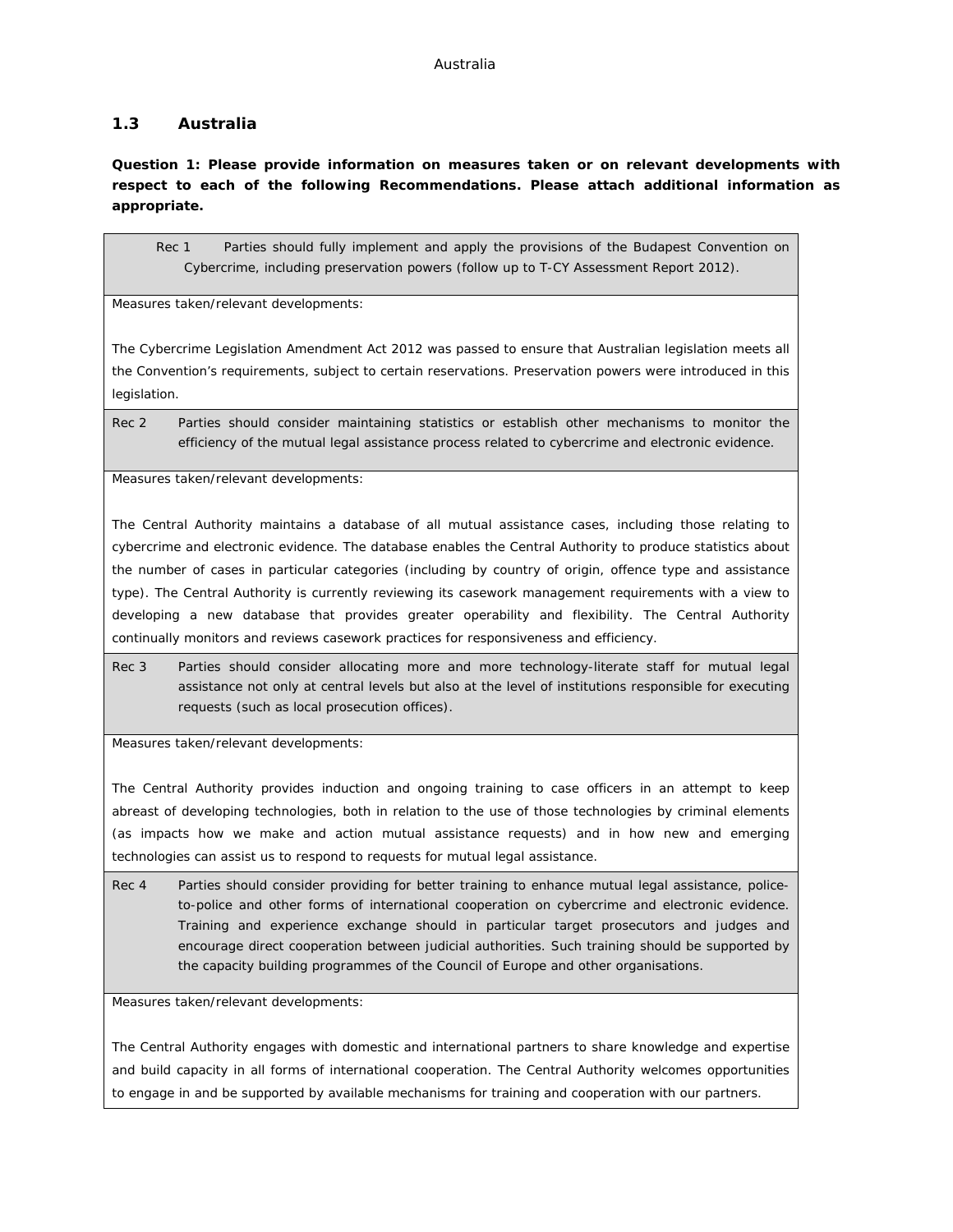#### <span id="page-12-0"></span>**1.3 Australia**

**Question 1: Please provide information on measures taken or on relevant developments with respect to each of the following Recommendations. Please attach additional information as appropriate.**

Rec 1 Parties should fully implement and apply the provisions of the Budapest Convention on Cybercrime, including preservation powers (follow up to T-CY Assessment Report 2012).

Measures taken/relevant developments:

The Cybercrime Legislation Amendment Act 2012 was passed to ensure that Australian legislation meets all the Convention's requirements, subject to certain reservations. Preservation powers were introduced in this legislation.

Rec 2 Parties should consider maintaining statistics or establish other mechanisms to monitor the efficiency of the mutual legal assistance process related to cybercrime and electronic evidence.

Measures taken/relevant developments:

The Central Authority maintains a database of all mutual assistance cases, including those relating to cybercrime and electronic evidence. The database enables the Central Authority to produce statistics about the number of cases in particular categories (including by country of origin, offence type and assistance type). The Central Authority is currently reviewing its casework management requirements with a view to developing a new database that provides greater operability and flexibility. The Central Authority continually monitors and reviews casework practices for responsiveness and efficiency.

Rec 3 Parties should consider allocating more and more technology-literate staff for mutual legal assistance not only at central levels but also at the level of institutions responsible for executing requests (such as local prosecution offices).

Measures taken/relevant developments:

The Central Authority provides induction and ongoing training to case officers in an attempt to keep abreast of developing technologies, both in relation to the use of those technologies by criminal elements (as impacts how we make and action mutual assistance requests) and in how new and emerging technologies can assist us to respond to requests for mutual legal assistance.

Rec 4 Parties should consider providing for better training to enhance mutual legal assistance, policeto-police and other forms of international cooperation on cybercrime and electronic evidence. Training and experience exchange should in particular target prosecutors and judges and encourage direct cooperation between judicial authorities. Such training should be supported by the capacity building programmes of the Council of Europe and other organisations.

Measures taken/relevant developments:

The Central Authority engages with domestic and international partners to share knowledge and expertise and build capacity in all forms of international cooperation. The Central Authority welcomes opportunities to engage in and be supported by available mechanisms for training and cooperation with our partners.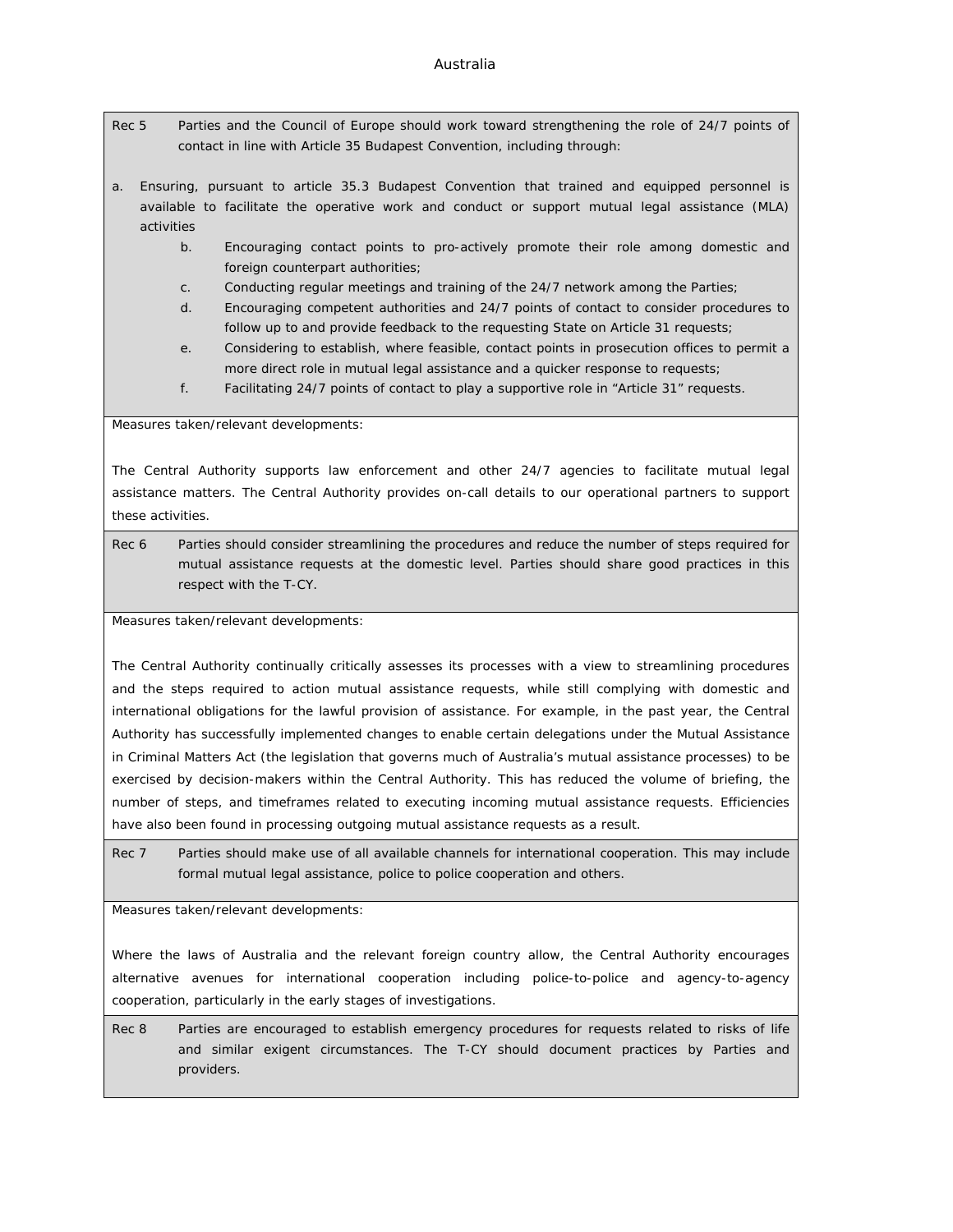- Rec 5 Parties and the Council of Europe should work toward strengthening the role of 24/7 points of contact in line with Article 35 Budapest Convention, including through:
- a. Ensuring, pursuant to article 35.3 Budapest Convention that trained and equipped personnel is available to facilitate the operative work and conduct or support mutual legal assistance (MLA) activities
	- b. Encouraging contact points to pro-actively promote their role among domestic and foreign counterpart authorities;
	- c. Conducting regular meetings and training of the 24/7 network among the Parties;
	- d. Encouraging competent authorities and 24/7 points of contact to consider procedures to follow up to and provide feedback to the requesting State on Article 31 requests;
	- e. Considering to establish, where feasible, contact points in prosecution offices to permit a more direct role in mutual legal assistance and a quicker response to requests;
	- f. Facilitating 24/7 points of contact to play a supportive role in "Article 31" requests.

Measures taken/relevant developments:

The Central Authority supports law enforcement and other 24/7 agencies to facilitate mutual legal assistance matters. The Central Authority provides on-call details to our operational partners to support these activities.

Rec 6 Parties should consider streamlining the procedures and reduce the number of steps required for mutual assistance requests at the domestic level. Parties should share good practices in this respect with the T-CY.

Measures taken/relevant developments:

The Central Authority continually critically assesses its processes with a view to streamlining procedures and the steps required to action mutual assistance requests, while still complying with domestic and international obligations for the lawful provision of assistance. For example, in the past year, the Central Authority has successfully implemented changes to enable certain delegations under the *Mutual Assistance in Criminal Matters Act* (the legislation that governs much of Australia's mutual assistance processes) to be exercised by decision-makers within the Central Authority. This has reduced the volume of briefing, the number of steps, and timeframes related to executing incoming mutual assistance requests. Efficiencies have also been found in processing outgoing mutual assistance requests as a result.

Rec 7 Parties should make use of all available channels for international cooperation. This may include formal mutual legal assistance, police to police cooperation and others.

Measures taken/relevant developments:

Where the laws of Australia and the relevant foreign country allow, the Central Authority encourages alternative avenues for international cooperation including police-to-police and agency-to-agency cooperation, particularly in the early stages of investigations.

Rec 8 Parties are encouraged to establish emergency procedures for requests related to risks of life and similar exigent circumstances. The T-CY should document practices by Parties and providers.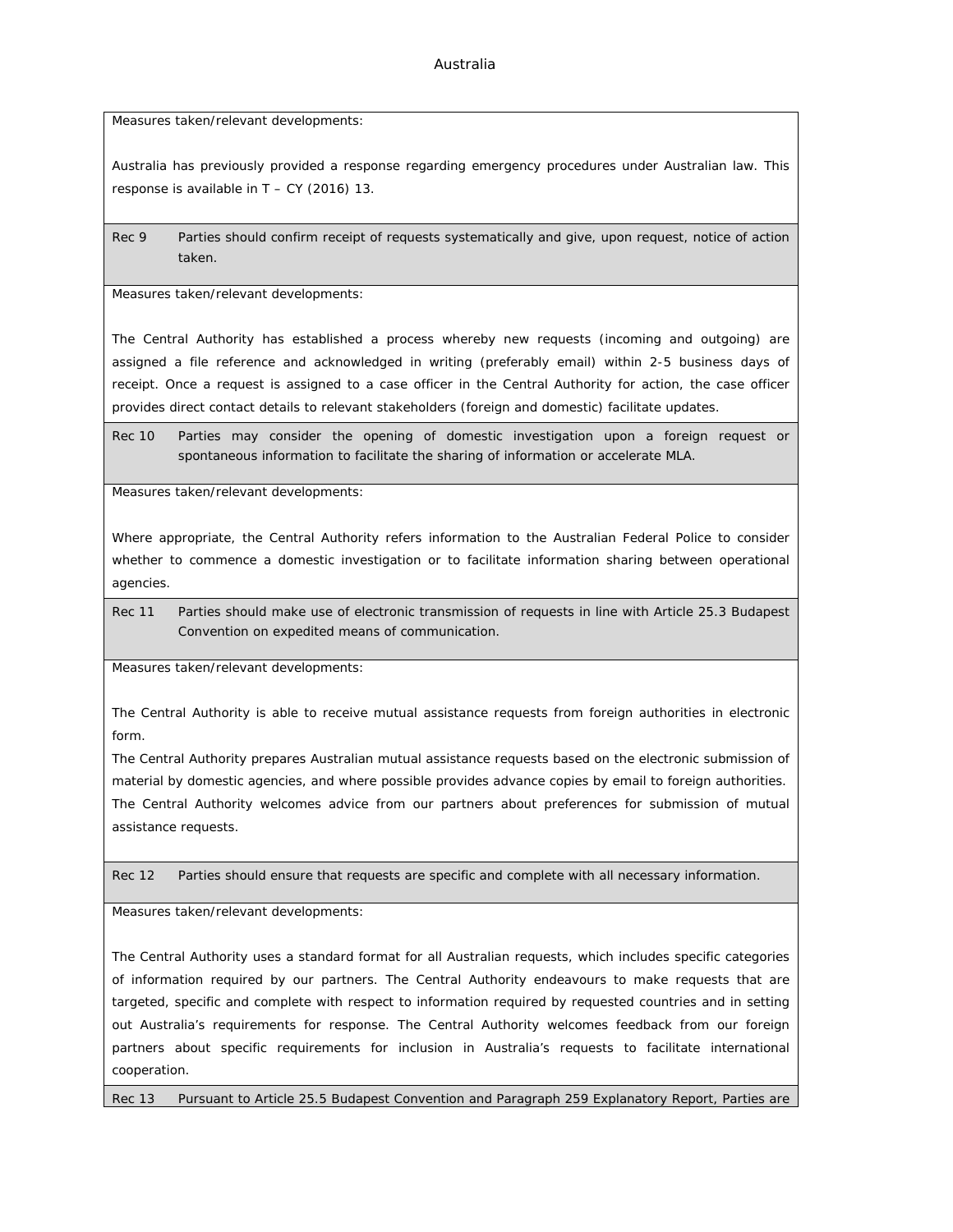Measures taken/relevant developments:

Australia has previously provided a response regarding emergency procedures under Australian law. This response is available in T – CY (2016) 13.

Rec 9 Parties should confirm receipt of requests systematically and give, upon request, notice of action taken.

Measures taken/relevant developments:

The Central Authority has established a process whereby new requests (incoming and outgoing) are assigned a file reference and acknowledged in writing (preferably email) within 2-5 business days of receipt. Once a request is assigned to a case officer in the Central Authority for action, the case officer provides direct contact details to relevant stakeholders (foreign and domestic) facilitate updates.

Rec 10 Parties may consider the opening of domestic investigation upon a foreign request or spontaneous information to facilitate the sharing of information or accelerate MLA.

Measures taken/relevant developments:

Where appropriate, the Central Authority refers information to the Australian Federal Police to consider whether to commence a domestic investigation or to facilitate information sharing between operational agencies.

Rec 11 Parties should make use of electronic transmission of requests in line with Article 25.3 Budapest Convention on expedited means of communication.

Measures taken/relevant developments:

The Central Authority is able to receive mutual assistance requests from foreign authorities in electronic form.

The Central Authority prepares Australian mutual assistance requests based on the electronic submission of material by domestic agencies, and where possible provides advance copies by email to foreign authorities. The Central Authority welcomes advice from our partners about preferences for submission of mutual assistance requests.

Rec 12 Parties should ensure that requests are specific and complete with all necessary information.

Measures taken/relevant developments:

The Central Authority uses a standard format for all Australian requests, which includes specific categories of information required by our partners. The Central Authority endeavours to make requests that are targeted, specific and complete with respect to information required by requested countries and in setting out Australia's requirements for response. The Central Authority welcomes feedback from our foreign partners about specific requirements for inclusion in Australia's requests to facilitate international cooperation.

Rec 13 Pursuant to Article 25.5 Budapest Convention and Paragraph 259 Explanatory Report, Parties are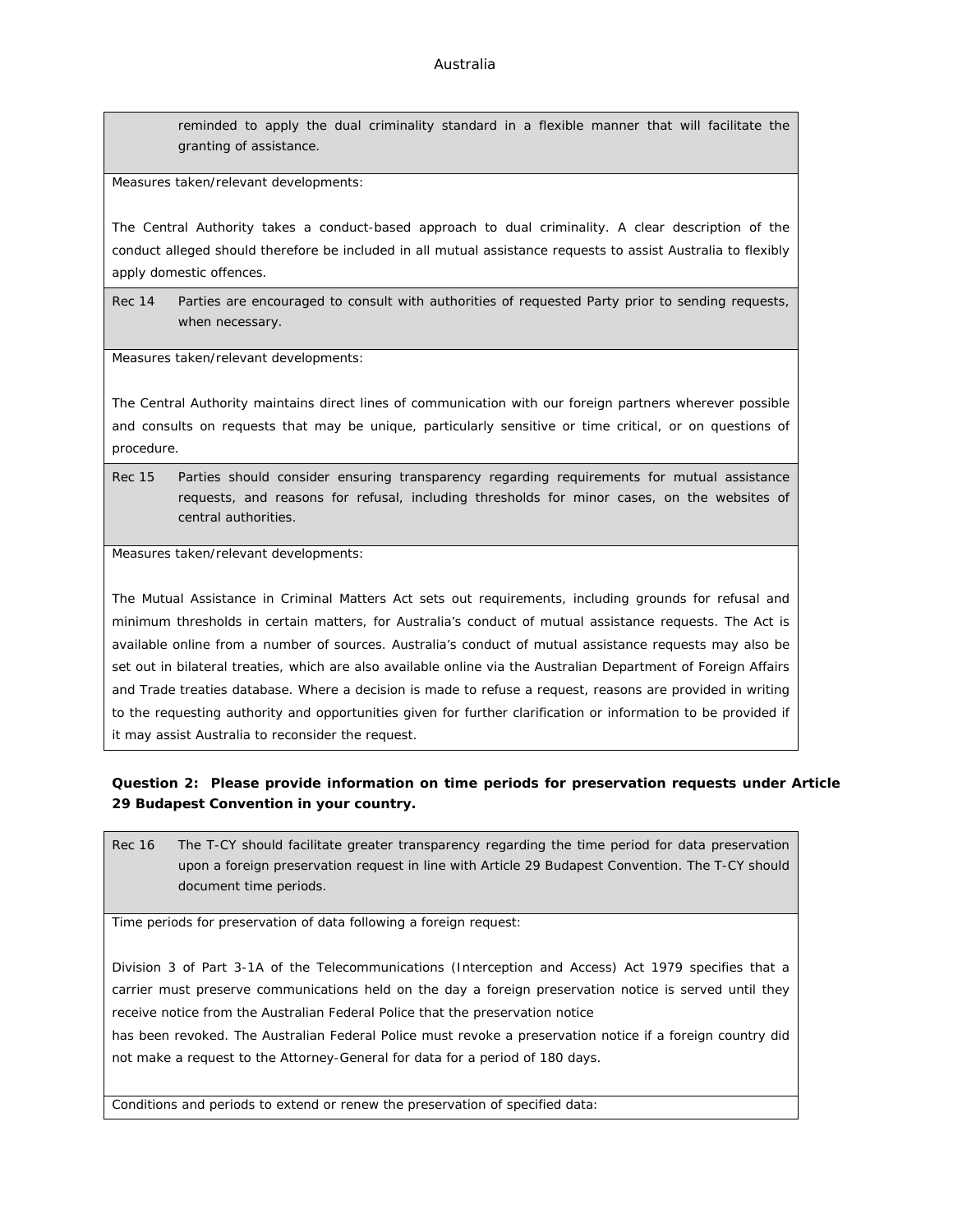reminded to apply the dual criminality standard in a flexible manner that will facilitate the granting of assistance.

Measures taken/relevant developments:

The Central Authority takes a conduct-based approach to dual criminality. A clear description of the conduct alleged should therefore be included in all mutual assistance requests to assist Australia to flexibly apply domestic offences.

Rec 14 Parties are encouraged to consult with authorities of requested Party prior to sending requests, when necessary.

Measures taken/relevant developments:

The Central Authority maintains direct lines of communication with our foreign partners wherever possible and consults on requests that may be unique, particularly sensitive or time critical, or on questions of procedure.

Rec 15 Parties should consider ensuring transparency regarding requirements for mutual assistance requests, and reasons for refusal, including thresholds for minor cases, on the websites of central authorities.

Measures taken/relevant developments:

The *Mutual Assistance in Criminal Matters Act* sets out requirements, including grounds for refusal and minimum thresholds in certain matters, for Australia's conduct of mutual assistance requests. The Act is available online from a number of sources. Australia's conduct of mutual assistance requests may also be set out in bilateral treaties, which are also available online via the Australian Department of Foreign Affairs and Trade treaties database. Where a decision is made to refuse a request, reasons are provided in writing to the requesting authority and opportunities given for further clarification or information to be provided if it may assist Australia to reconsider the request.

**Question 2: Please provide information on time periods for preservation requests under Article 29 Budapest Convention in your country.**

Rec 16 The T-CY should facilitate greater transparency regarding the time period for data preservation upon a foreign preservation request in line with Article 29 Budapest Convention. The T-CY should document time periods.

Time periods for preservation of data following a foreign request:

Division 3 of Part 3-1A of the Telecommunications (Interception and Access) Act 1979 specifies that a carrier must preserve communications held on the day a foreign preservation notice is served until they receive notice from the Australian Federal Police that the preservation notice

has been revoked. The Australian Federal Police must revoke a preservation notice if a foreign country did not make a request to the Attorney-General for data for a period of 180 days.

Conditions and periods to extend or renew the preservation of specified data: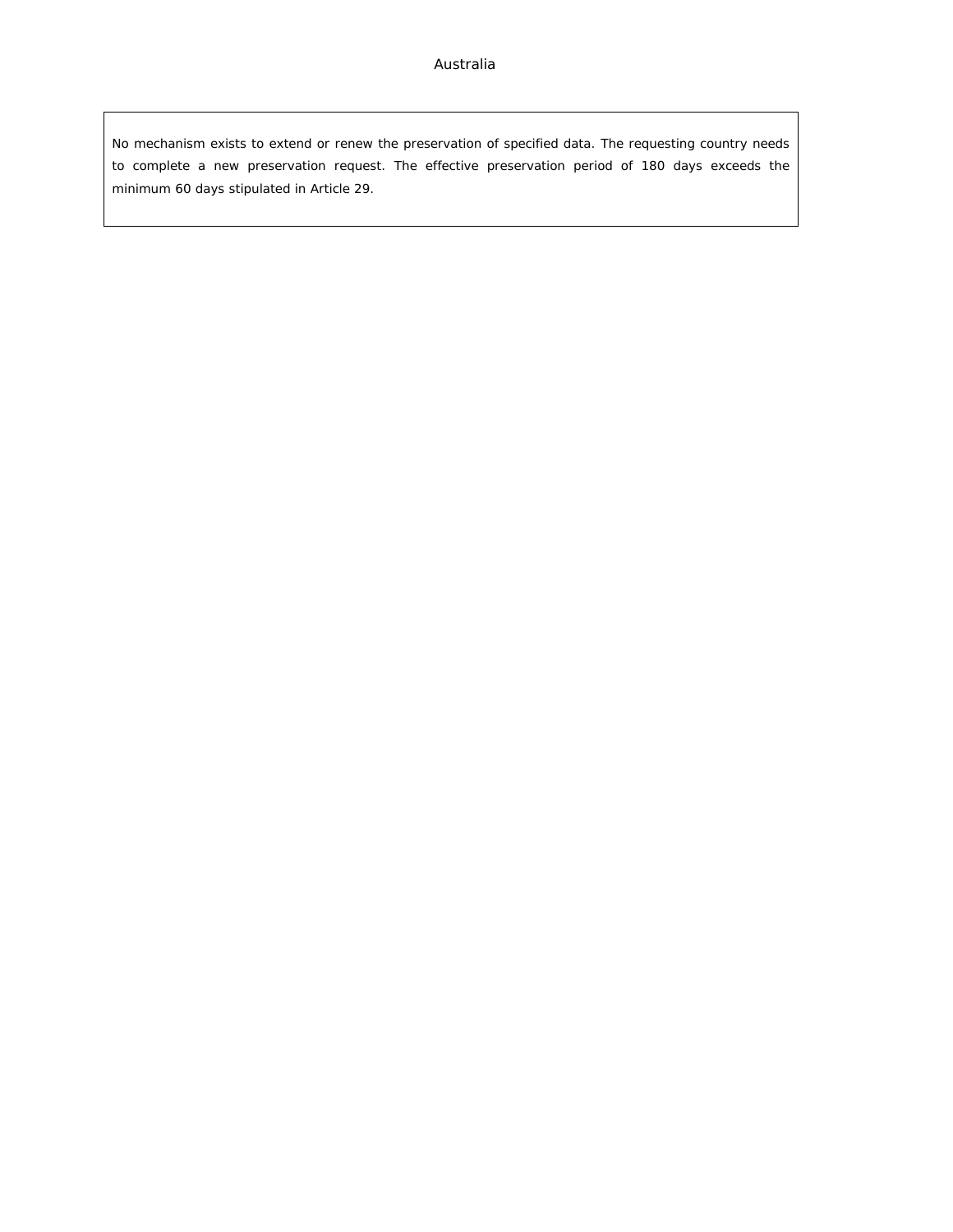No mechanism exists to extend or renew the preservation of specified data. The requesting country needs to complete a new preservation request. The effective preservation period of 180 days exceeds the minimum 60 days stipulated in Article 29.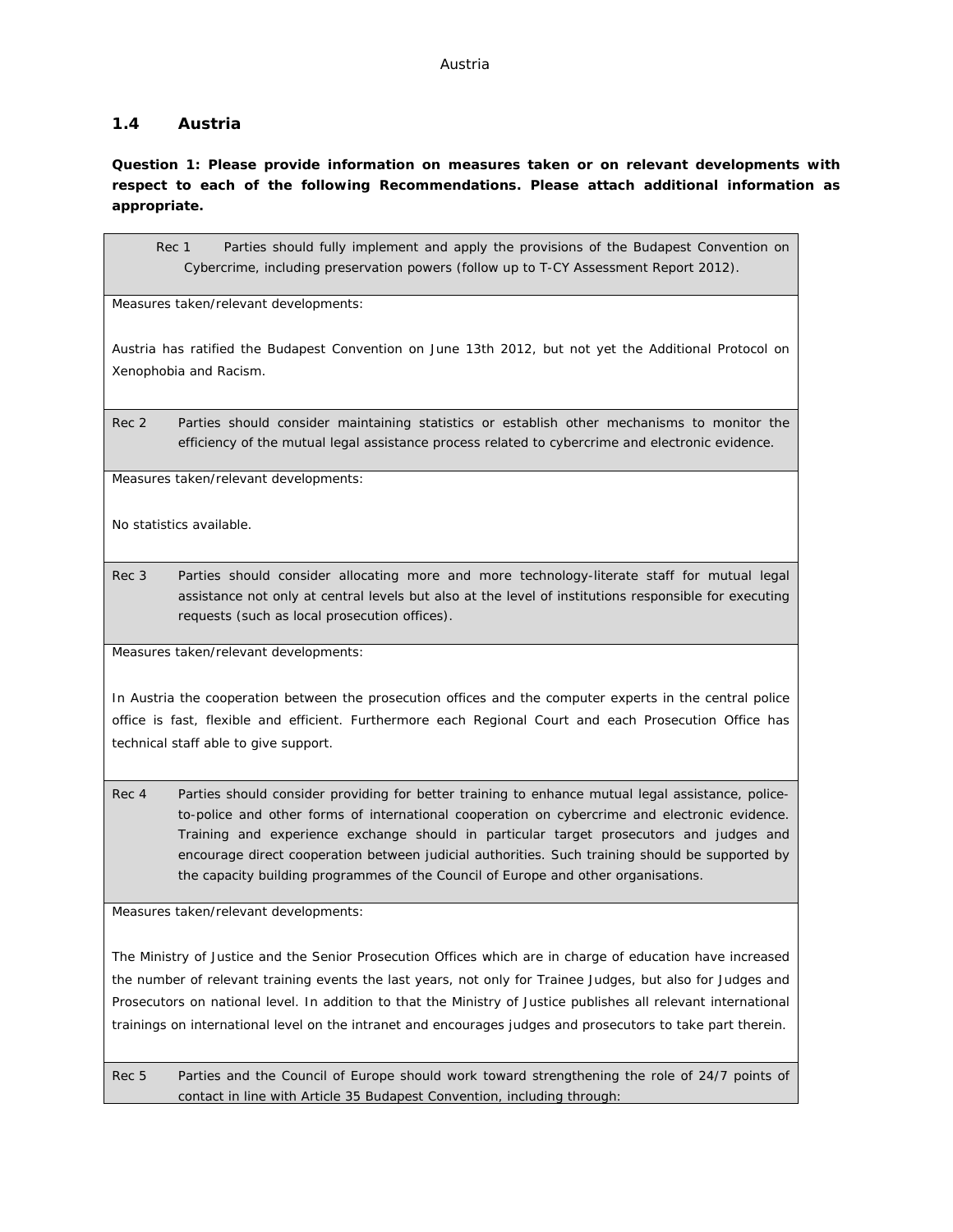### <span id="page-17-0"></span>**1.4 Austria**

**Question 1: Please provide information on measures taken or on relevant developments with respect to each of the following Recommendations. Please attach additional information as appropriate.**

Rec 1 Parties should fully implement and apply the provisions of the Budapest Convention on Cybercrime, including preservation powers (follow up to T-CY Assessment Report 2012).

Measures taken/relevant developments:

Austria has ratified the Budapest Convention on June 13th 2012, but not yet the Additional Protocol on Xenophobia and Racism.

Rec 2 Parties should consider maintaining statistics or establish other mechanisms to monitor the efficiency of the mutual legal assistance process related to cybercrime and electronic evidence.

Measures taken/relevant developments:

No statistics available.

Rec 3 Parties should consider allocating more and more technology-literate staff for mutual legal assistance not only at central levels but also at the level of institutions responsible for executing requests (such as local prosecution offices).

Measures taken/relevant developments:

In Austria the cooperation between the prosecution offices and the computer experts in the central police office is fast, flexible and efficient. Furthermore each Regional Court and each Prosecution Office has technical staff able to give support.

Rec 4 Parties should consider providing for better training to enhance mutual legal assistance, policeto-police and other forms of international cooperation on cybercrime and electronic evidence. Training and experience exchange should in particular target prosecutors and judges and encourage direct cooperation between judicial authorities. Such training should be supported by the capacity building programmes of the Council of Europe and other organisations.

Measures taken/relevant developments:

The Ministry of Justice and the Senior Prosecution Offices which are in charge of education have increased the number of relevant training events the last years, not only for Trainee Judges, but also for Judges and Prosecutors on national level. In addition to that the Ministry of Justice publishes all relevant international trainings on international level on the intranet and encourages judges and prosecutors to take part therein.

Rec 5 Parties and the Council of Europe should work toward strengthening the role of 24/7 points of contact in line with Article 35 Budapest Convention, including through: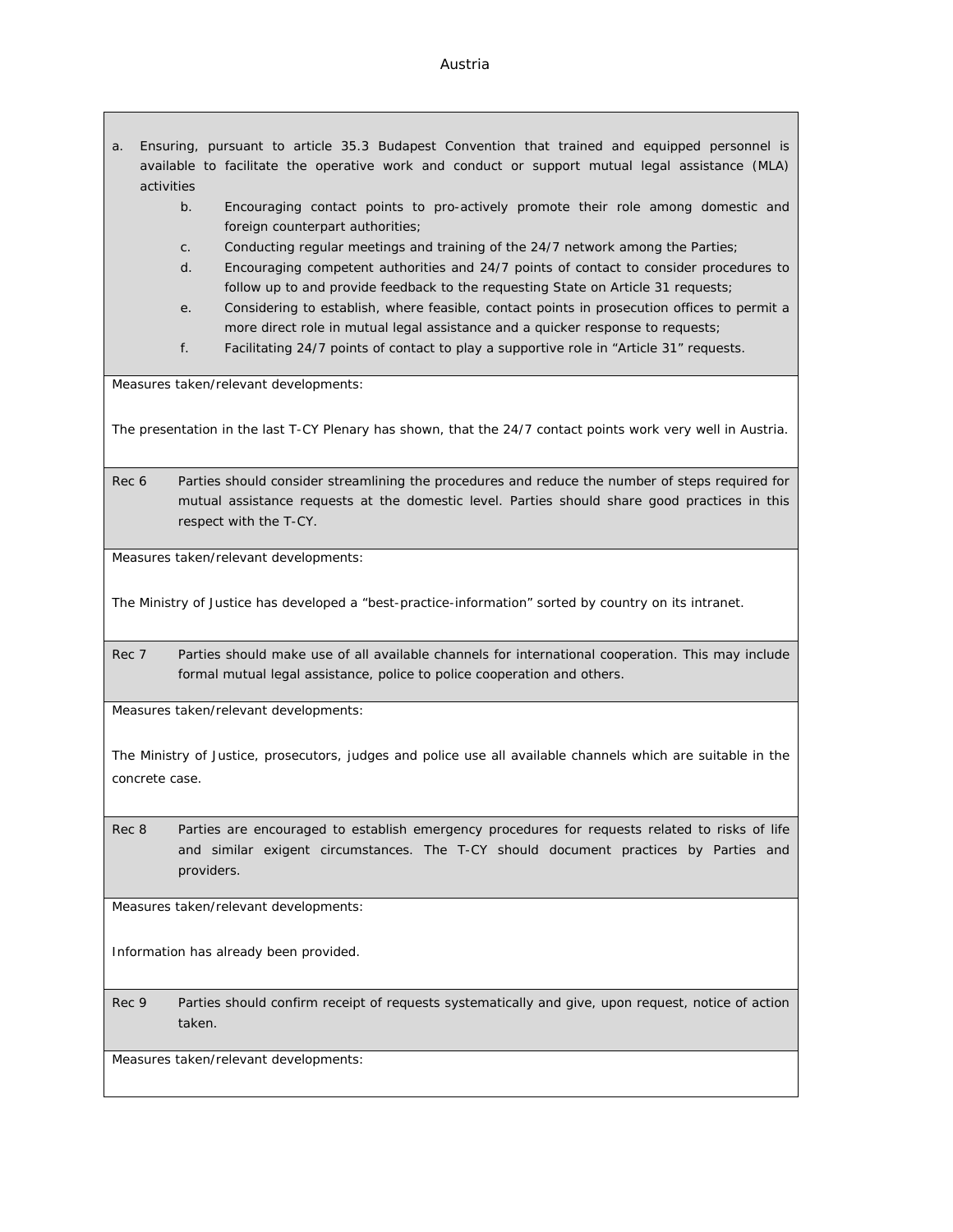#### Austria

- a. Ensuring, pursuant to article 35.3 Budapest Convention that trained and equipped personnel is available to facilitate the operative work and conduct or support mutual legal assistance (MLA) activities
	- b. Encouraging contact points to pro-actively promote their role among domestic and foreign counterpart authorities;
	- c. Conducting regular meetings and training of the 24/7 network among the Parties;
	- d. Encouraging competent authorities and 24/7 points of contact to consider procedures to follow up to and provide feedback to the requesting State on Article 31 requests;
	- e. Considering to establish, where feasible, contact points in prosecution offices to permit a more direct role in mutual legal assistance and a quicker response to requests;
	- f. Facilitating 24/7 points of contact to play a supportive role in "Article 31" requests.

Measures taken/relevant developments:

The presentation in the last T-CY Plenary has shown, that the 24/7 contact points work very well in Austria.

Rec 6 Parties should consider streamlining the procedures and reduce the number of steps required for mutual assistance requests at the domestic level. Parties should share good practices in this respect with the T-CY.

Measures taken/relevant developments:

The Ministry of Justice has developed a "best-practice-information" sorted by country on its intranet.

Rec 7 Parties should make use of all available channels for international cooperation. This may include formal mutual legal assistance, police to police cooperation and others.

Measures taken/relevant developments:

The Ministry of Justice, prosecutors, judges and police use all available channels which are suitable in the concrete case.

Rec 8 Parties are encouraged to establish emergency procedures for requests related to risks of life and similar exigent circumstances. The T-CY should document practices by Parties and providers.

Measures taken/relevant developments:

Information has already been provided.

Rec 9 Parties should confirm receipt of requests systematically and give, upon request, notice of action taken.

Measures taken/relevant developments: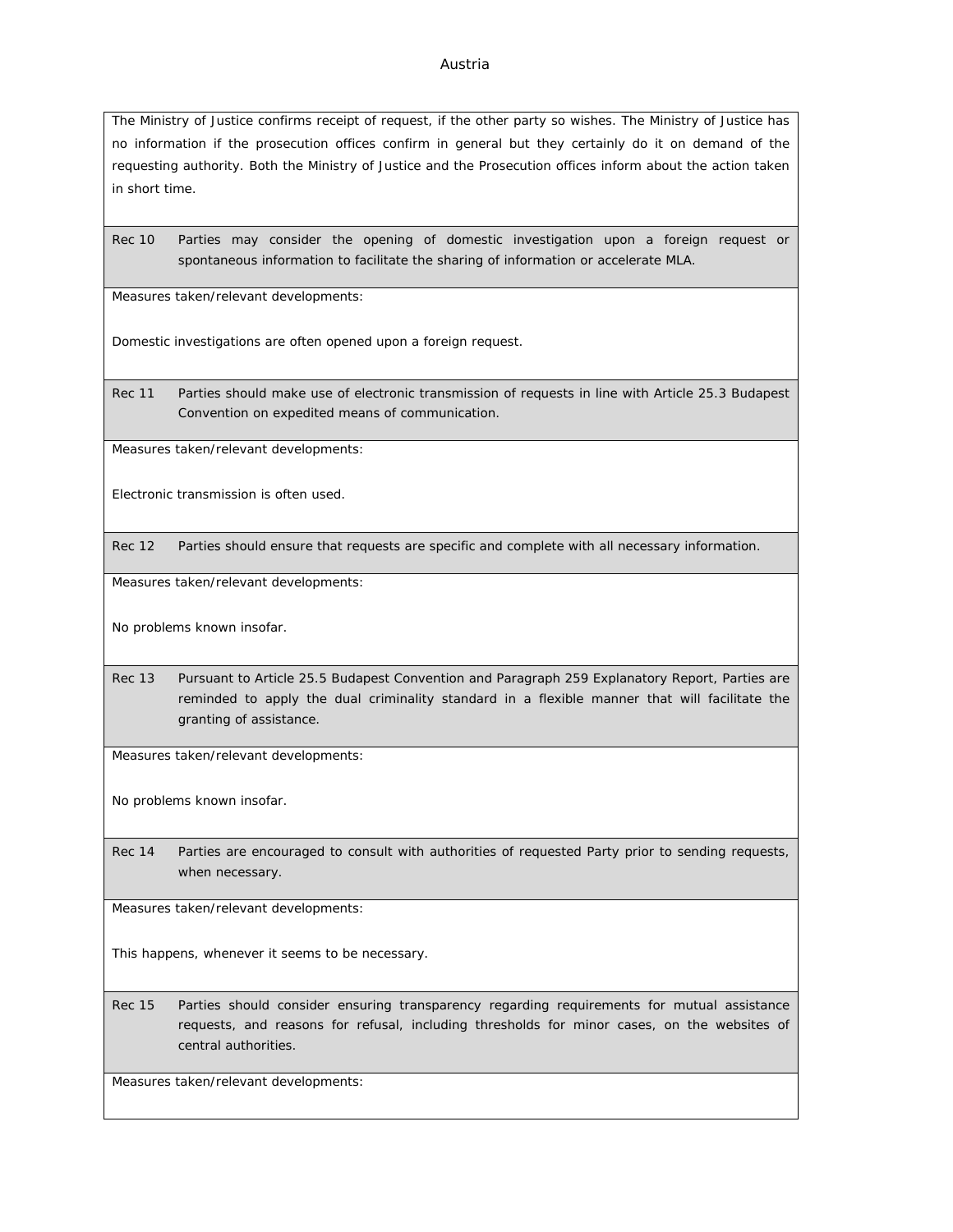#### Austria

The Ministry of Justice confirms receipt of request, if the other party so wishes. The Ministry of Justice has no information if the prosecution offices confirm in general but they certainly do it on demand of the requesting authority. Both the Ministry of Justice and the Prosecution offices inform about the action taken in short time.

Rec 10 Parties may consider the opening of domestic investigation upon a foreign request or spontaneous information to facilitate the sharing of information or accelerate MLA.

Measures taken/relevant developments:

Domestic investigations are often opened upon a foreign request.

Rec 11 Parties should make use of electronic transmission of requests in line with Article 25.3 Budapest Convention on expedited means of communication.

Measures taken/relevant developments:

Electronic transmission is often used.

Rec 12 Parties should ensure that requests are specific and complete with all necessary information.

Measures taken/relevant developments:

No problems known insofar.

Rec 13 Pursuant to Article 25.5 Budapest Convention and Paragraph 259 Explanatory Report, Parties are reminded to apply the dual criminality standard in a flexible manner that will facilitate the granting of assistance.

Measures taken/relevant developments:

No problems known insofar.

Rec 14 Parties are encouraged to consult with authorities of requested Party prior to sending requests, when necessary.

Measures taken/relevant developments:

This happens, whenever it seems to be necessary.

Rec 15 Parties should consider ensuring transparency regarding requirements for mutual assistance requests, and reasons for refusal, including thresholds for minor cases, on the websites of central authorities.

Measures taken/relevant developments: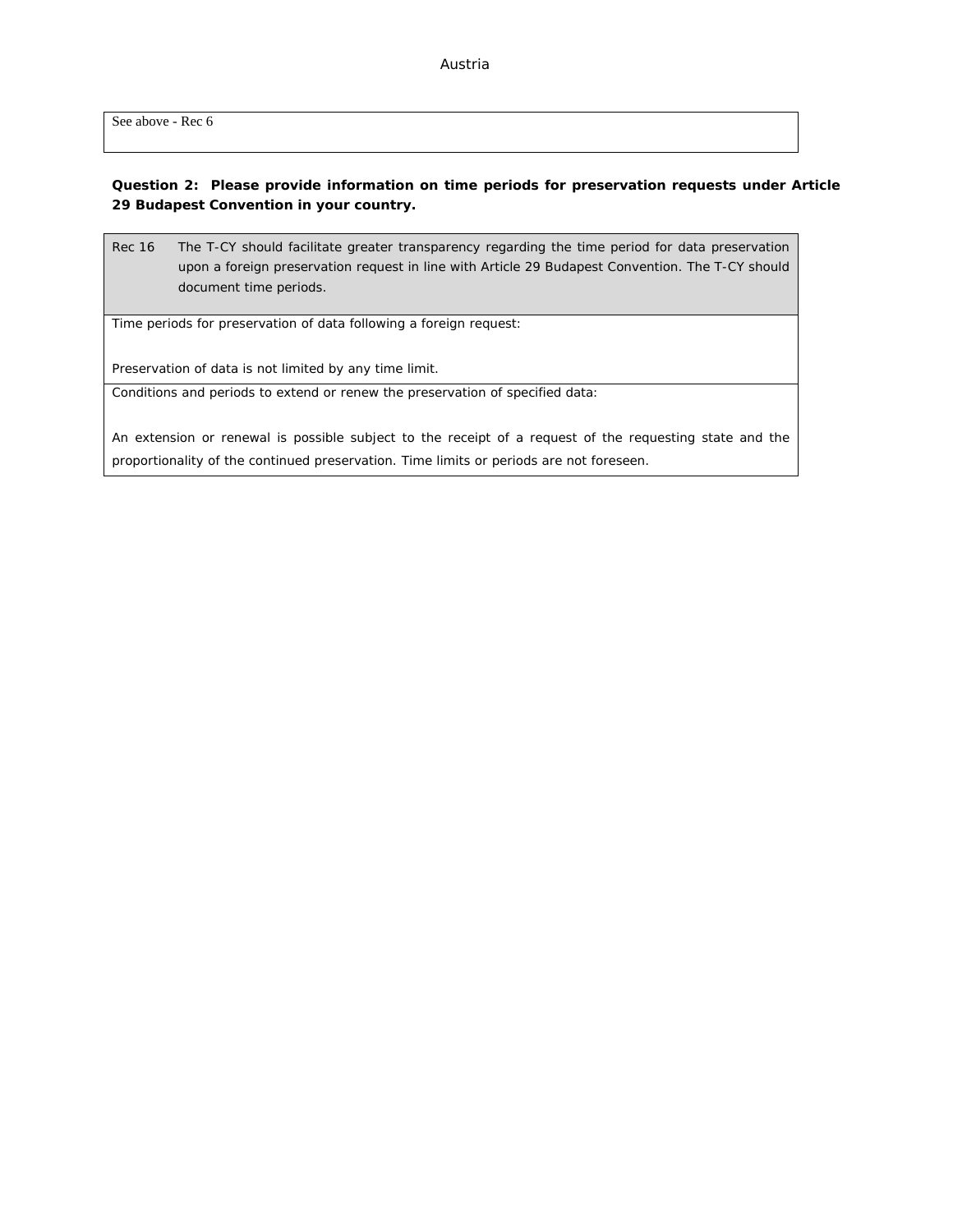See above - Rec 6

**Question 2: Please provide information on time periods for preservation requests under Article 29 Budapest Convention in your country.**

Rec 16 The T-CY should facilitate greater transparency regarding the time period for data preservation upon a foreign preservation request in line with Article 29 Budapest Convention. The T-CY should document time periods.

Time periods for preservation of data following a foreign request:

Preservation of data is not limited by any time limit.

Conditions and periods to extend or renew the preservation of specified data:

An extension or renewal is possible subject to the receipt of a request of the requesting state and the proportionality of the continued preservation. Time limits or periods are not foreseen.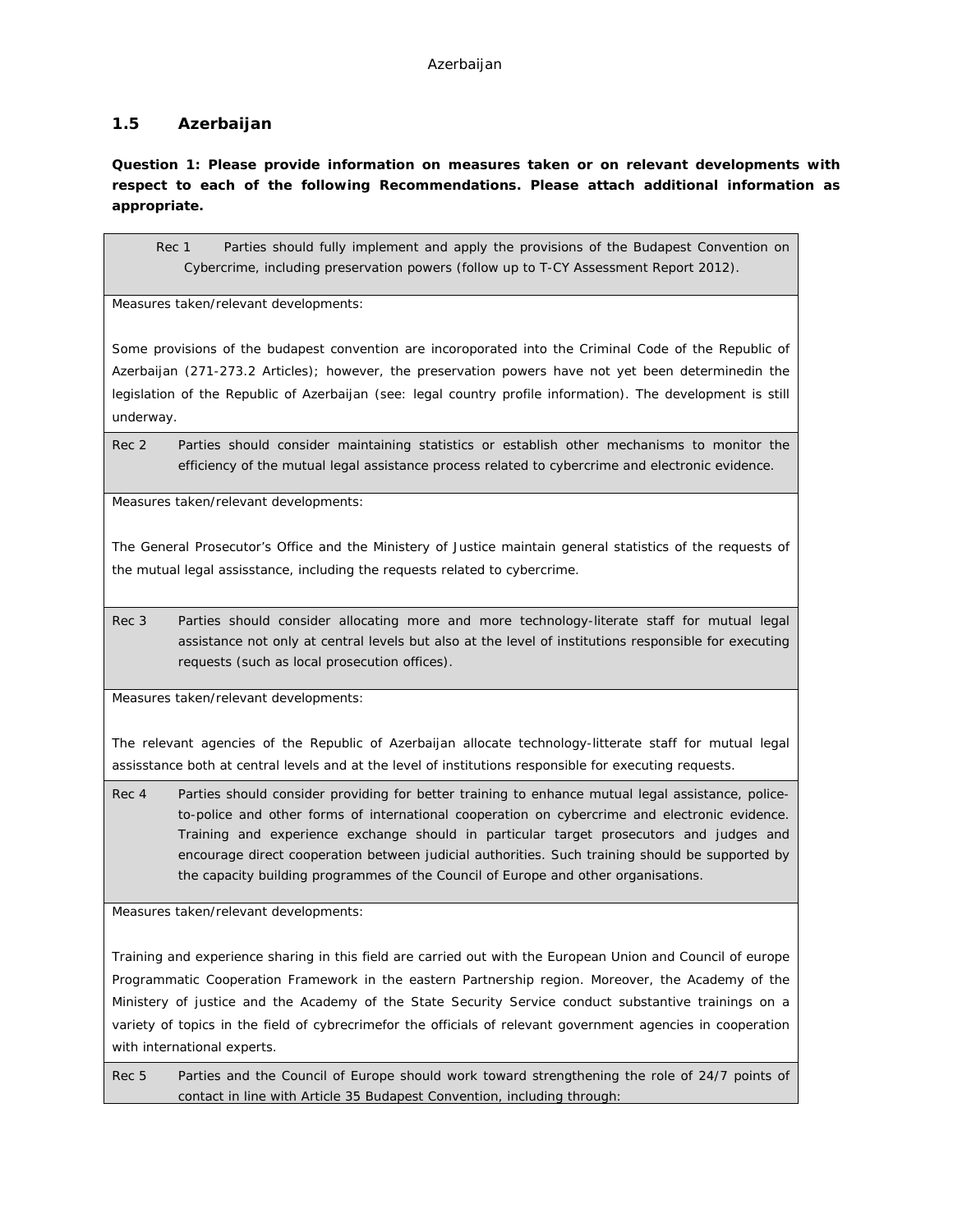### <span id="page-21-0"></span>**1.5 Azerbaijan**

**Question 1: Please provide information on measures taken or on relevant developments with respect to each of the following Recommendations. Please attach additional information as appropriate.**

Rec 1 Parties should fully implement and apply the provisions of the Budapest Convention on Cybercrime, including preservation powers (follow up to T-CY Assessment Report 2012).

Measures taken/relevant developments:

Some provisions of the budapest convention are incoroporated into the Criminal Code of the Republic of Azerbaijan (271-273.2 Articles); however, the preservation powers have not yet been determinedin the legislation of the Republic of Azerbaijan (see: legal country profile information). The development is still underway.

Rec 2 Parties should consider maintaining statistics or establish other mechanisms to monitor the efficiency of the mutual legal assistance process related to cybercrime and electronic evidence.

Measures taken/relevant developments:

The General Prosecutor's Office and the Ministery of Justice maintain general statistics of the requests of the mutual legal assisstance, including the requests related to cybercrime.

Rec 3 Parties should consider allocating more and more technology-literate staff for mutual legal assistance not only at central levels but also at the level of institutions responsible for executing requests (such as local prosecution offices).

Measures taken/relevant developments:

The relevant agencies of the Republic of Azerbaijan allocate technology-litterate staff for mutual legal assisstance both at central levels and at the level of institutions responsible for executing requests.

Rec 4 Parties should consider providing for better training to enhance mutual legal assistance, policeto-police and other forms of international cooperation on cybercrime and electronic evidence. Training and experience exchange should in particular target prosecutors and judges and encourage direct cooperation between judicial authorities. Such training should be supported by the capacity building programmes of the Council of Europe and other organisations.

Measures taken/relevant developments:

Training and experience sharing in this field are carried out with the European Union and Council of europe Programmatic Cooperation Framework in the eastern Partnership region. Moreover, the Academy of the Ministery of justice and the Academy of the State Security Service conduct substantive trainings on a variety of topics in the field of cybrecrimefor the officials of relevant government agencies in cooperation with international experts.

Rec 5 Parties and the Council of Europe should work toward strengthening the role of 24/7 points of contact in line with Article 35 Budapest Convention, including through: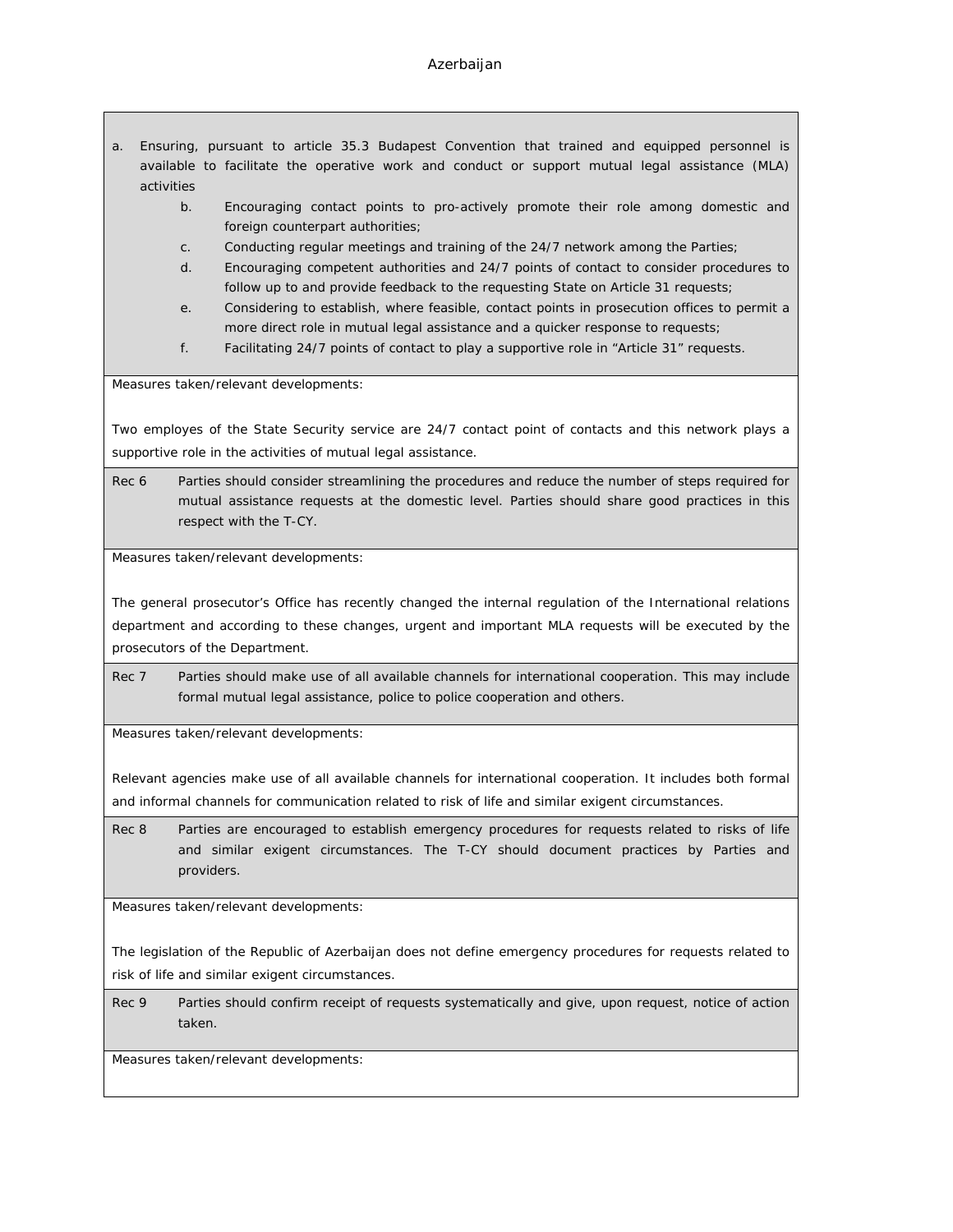#### Azerbaijan

- a. Ensuring, pursuant to article 35.3 Budapest Convention that trained and equipped personnel is available to facilitate the operative work and conduct or support mutual legal assistance (MLA) activities
	- b. Encouraging contact points to pro-actively promote their role among domestic and foreign counterpart authorities;
	- c. Conducting regular meetings and training of the 24/7 network among the Parties;
	- d. Encouraging competent authorities and 24/7 points of contact to consider procedures to follow up to and provide feedback to the requesting State on Article 31 requests;
	- e. Considering to establish, where feasible, contact points in prosecution offices to permit a more direct role in mutual legal assistance and a quicker response to requests;
	- f. Facilitating 24/7 points of contact to play a supportive role in "Article 31" requests.

Measures taken/relevant developments:

Two employes of the State Security service are 24/7 contact point of contacts and this network plays a supportive role in the activities of mutual legal assistance.

Rec 6 Parties should consider streamlining the procedures and reduce the number of steps required for mutual assistance requests at the domestic level. Parties should share good practices in this respect with the T-CY.

Measures taken/relevant developments:

The general prosecutor's Office has recently changed the internal regulation of the International relations department and according to these changes, urgent and important MLA requests will be executed by the prosecutors of the Department.

Rec 7 Parties should make use of all available channels for international cooperation. This may include formal mutual legal assistance, police to police cooperation and others.

Measures taken/relevant developments:

Relevant agencies make use of all available channels for international cooperation. It includes both formal and informal channels for communication related to risk of life and similar exigent circumstances.

Rec 8 Parties are encouraged to establish emergency procedures for requests related to risks of life and similar exigent circumstances. The T-CY should document practices by Parties and providers.

Measures taken/relevant developments:

The legislation of the Republic of Azerbaijan does not define emergency procedures for requests related to risk of life and similar exigent circumstances.

Rec 9 Parties should confirm receipt of requests systematically and give, upon request, notice of action taken.

Measures taken/relevant developments: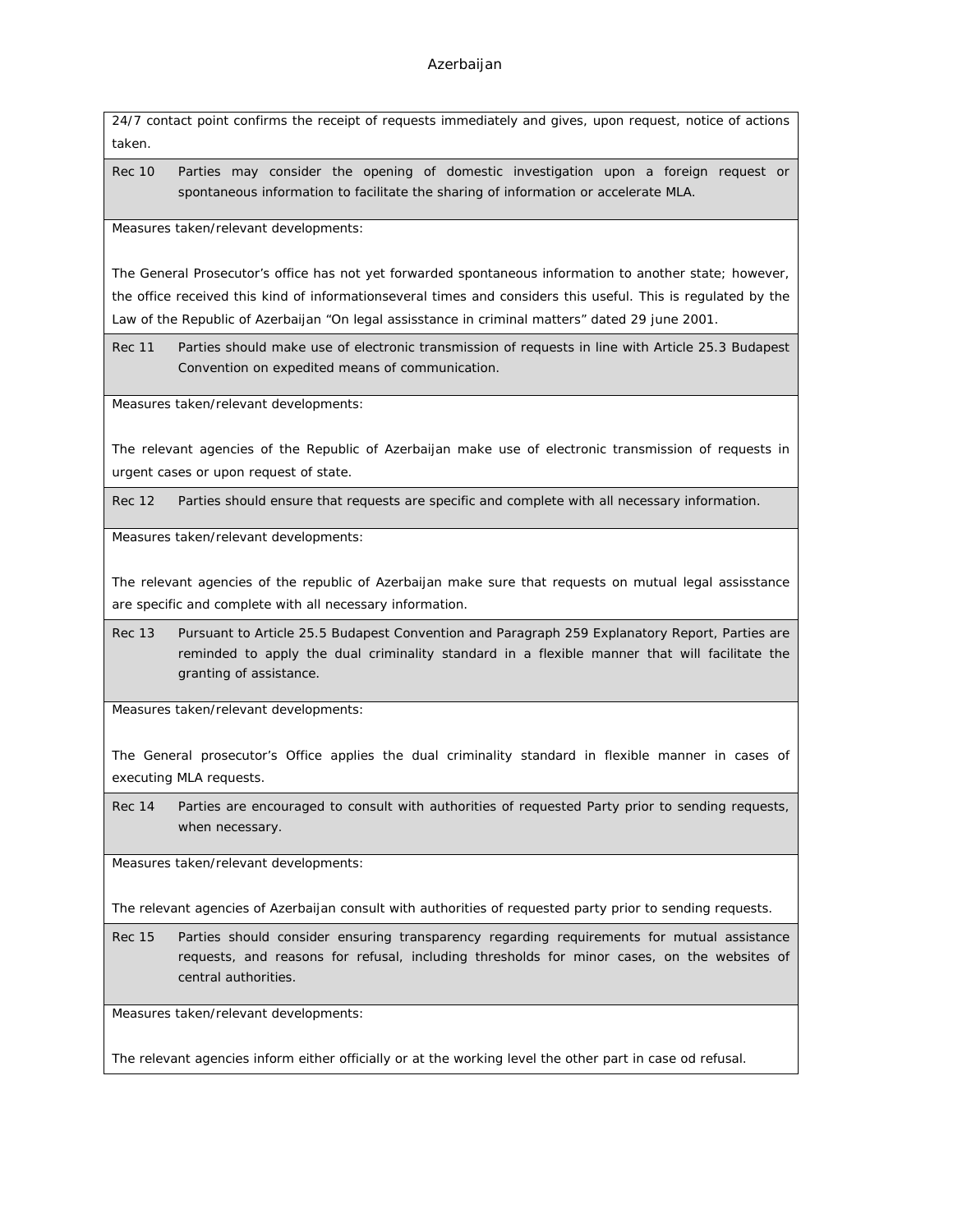24/7 contact point confirms the receipt of requests immediately and gives, upon request, notice of actions taken.

Rec 10 Parties may consider the opening of domestic investigation upon a foreign request or spontaneous information to facilitate the sharing of information or accelerate MLA.

Measures taken/relevant developments:

The General Prosecutor's office has not yet forwarded spontaneous information to another state; however, the office received this kind of informationseveral times and considers this useful. This is regulated by the Law of the Republic of Azerbaijan "On legal assisstance in criminal matters" dated 29 june 2001.

Rec 11 Parties should make use of electronic transmission of requests in line with Article 25.3 Budapest Convention on expedited means of communication.

Measures taken/relevant developments:

The relevant agencies of the Republic of Azerbaijan make use of electronic transmission of requests in urgent cases or upon request of state.

Rec 12 Parties should ensure that requests are specific and complete with all necessary information.

Measures taken/relevant developments:

The relevant agencies of the republic of Azerbaijan make sure that requests on mutual legal assisstance are specific and complete with all necessary information.

Rec 13 Pursuant to Article 25.5 Budapest Convention and Paragraph 259 Explanatory Report, Parties are reminded to apply the dual criminality standard in a flexible manner that will facilitate the granting of assistance.

Measures taken/relevant developments:

The General prosecutor's Office applies the dual criminality standard in flexible manner in cases of executing MLA requests.

Rec 14 Parties are encouraged to consult with authorities of requested Party prior to sending requests, when necessary.

Measures taken/relevant developments:

The relevant agencies of Azerbaijan consult with authorities of requested party prior to sending requests.

Rec 15 Parties should consider ensuring transparency regarding requirements for mutual assistance requests, and reasons for refusal, including thresholds for minor cases, on the websites of central authorities.

Measures taken/relevant developments:

The relevant agencies inform either officially or at the working level the other part in case od refusal.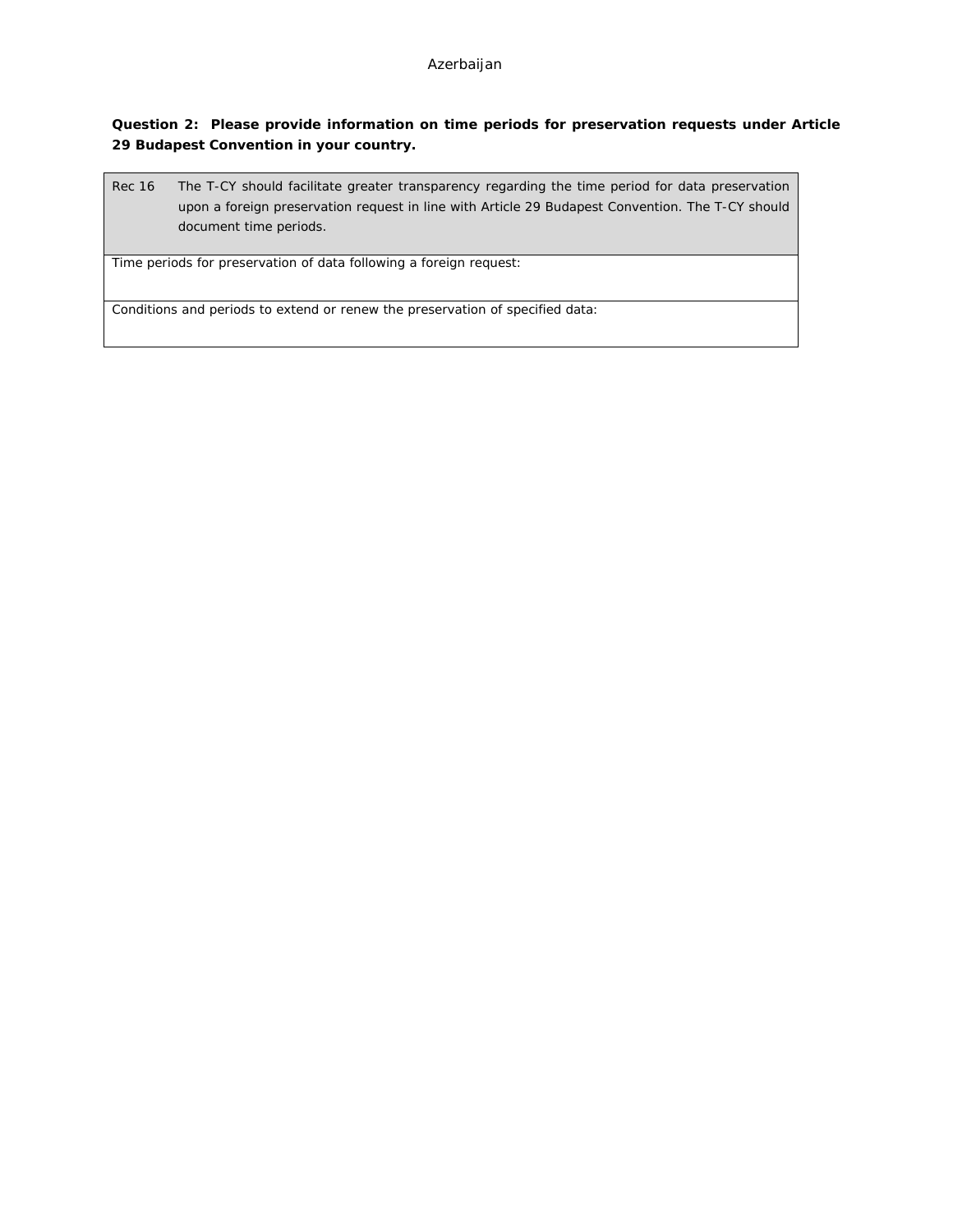**Question 2: Please provide information on time periods for preservation requests under Article 29 Budapest Convention in your country.**

Rec 16 The T-CY should facilitate greater transparency regarding the time period for data preservation upon a foreign preservation request in line with Article 29 Budapest Convention. The T-CY should document time periods.

Time periods for preservation of data following a foreign request:

Conditions and periods to extend or renew the preservation of specified data: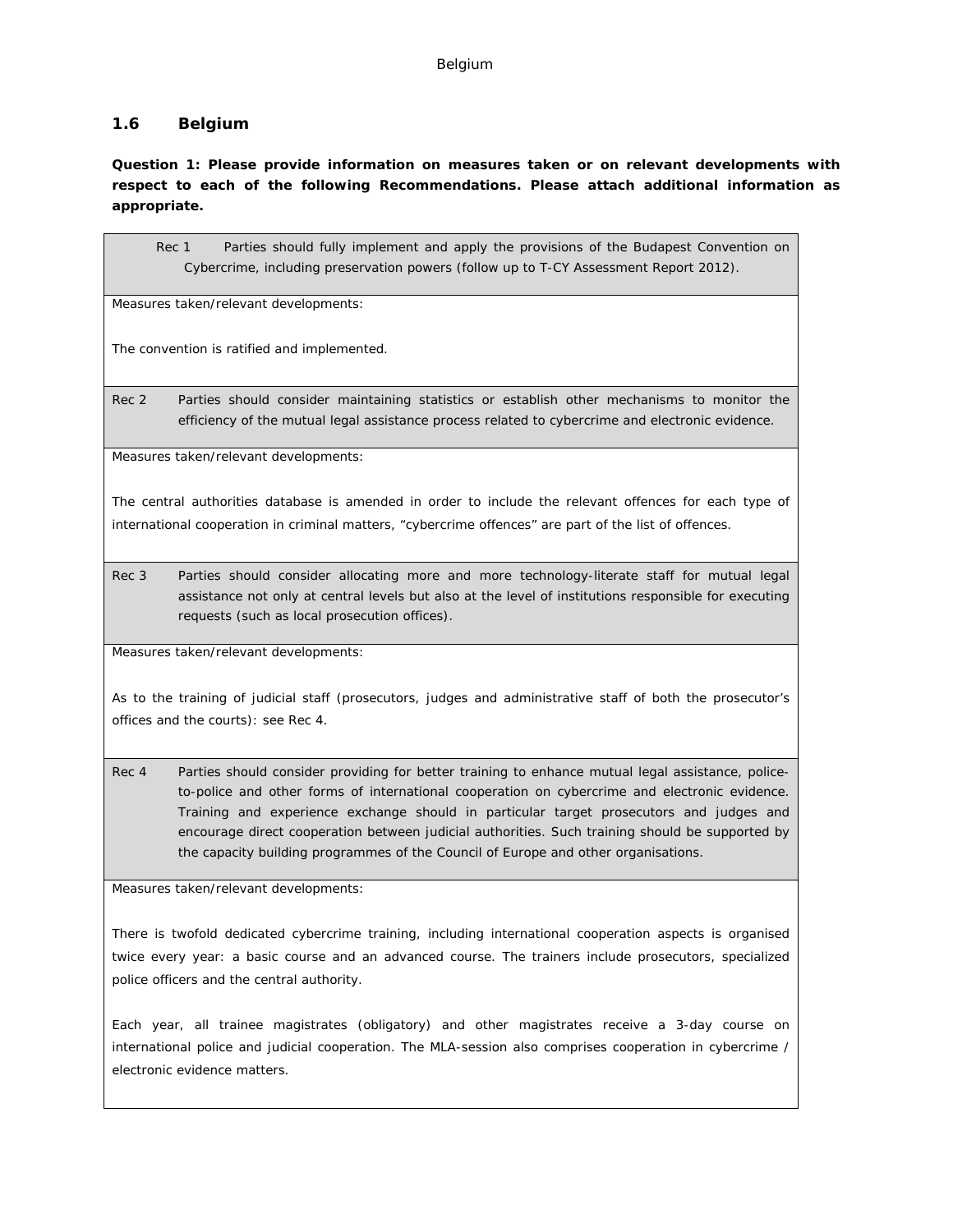### <span id="page-25-0"></span>**1.6 Belgium**

**Question 1: Please provide information on measures taken or on relevant developments with respect to each of the following Recommendations. Please attach additional information as appropriate.**

Rec 1 Parties should fully implement and apply the provisions of the Budapest Convention on Cybercrime, including preservation powers (follow up to T-CY Assessment Report 2012).

Measures taken/relevant developments:

The convention is ratified and implemented.

Rec 2 Parties should consider maintaining statistics or establish other mechanisms to monitor the efficiency of the mutual legal assistance process related to cybercrime and electronic evidence.

Measures taken/relevant developments:

The central authorities database is amended in order to include the relevant offences for each type of international cooperation in criminal matters, "cybercrime offences" are part of the list of offences.

Rec 3 Parties should consider allocating more and more technology-literate staff for mutual legal assistance not only at central levels but also at the level of institutions responsible for executing requests (such as local prosecution offices).

Measures taken/relevant developments:

As to the training of judicial staff (prosecutors, judges and administrative staff of both the prosecutor's offices and the courts): see Rec 4.

Rec 4 Parties should consider providing for better training to enhance mutual legal assistance, policeto-police and other forms of international cooperation on cybercrime and electronic evidence. Training and experience exchange should in particular target prosecutors and judges and encourage direct cooperation between judicial authorities. Such training should be supported by the capacity building programmes of the Council of Europe and other organisations.

Measures taken/relevant developments:

There is twofold dedicated cybercrime training, including international cooperation aspects is organised twice every year: a basic course and an advanced course. The trainers include prosecutors, specialized police officers and the central authority.

Each year, all trainee magistrates (obligatory) and other magistrates receive a 3-day course on international police and judicial cooperation. The MLA-session also comprises cooperation in cybercrime / electronic evidence matters.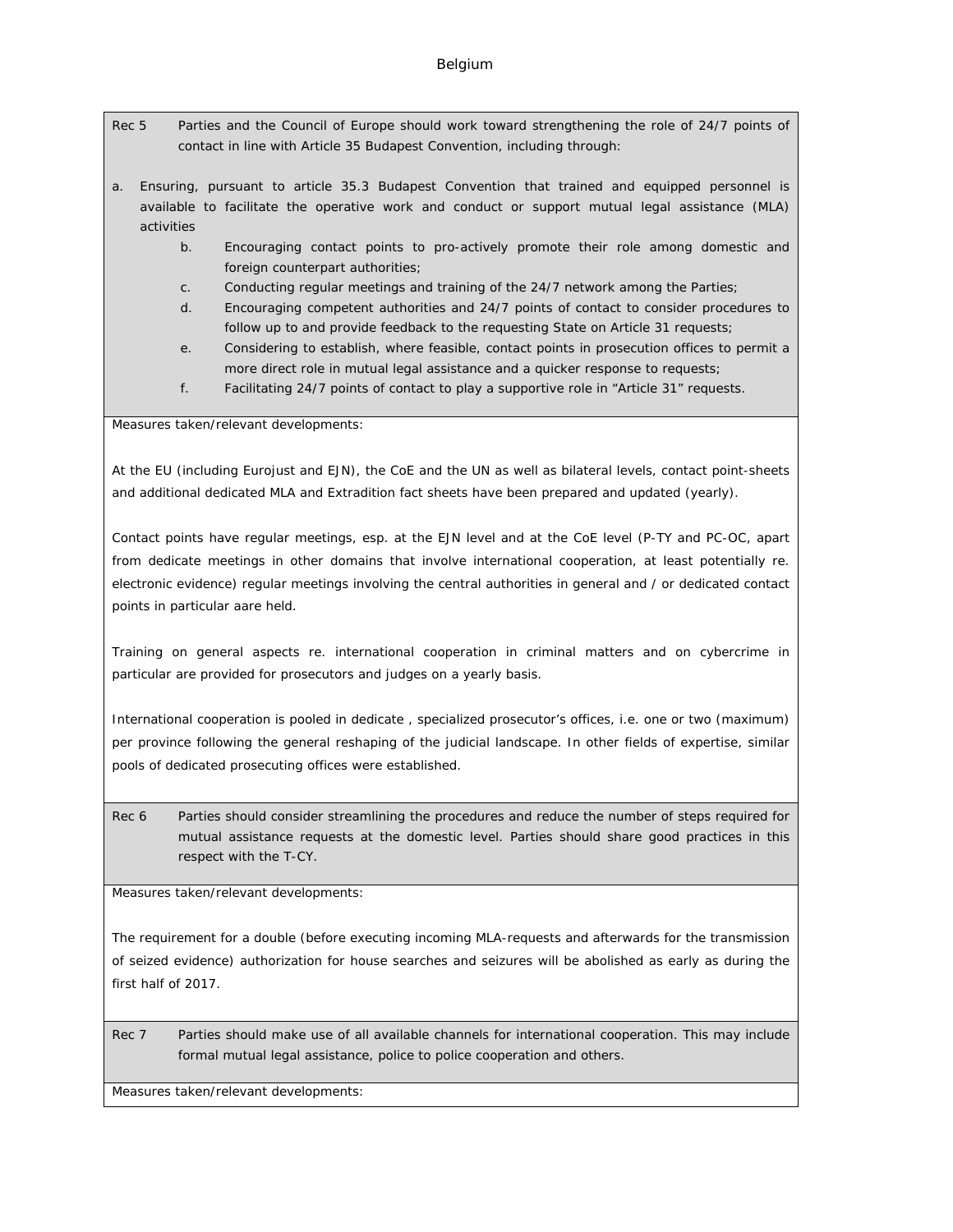- Rec 5 Parties and the Council of Europe should work toward strengthening the role of 24/7 points of contact in line with Article 35 Budapest Convention, including through:
- a. Ensuring, pursuant to article 35.3 Budapest Convention that trained and equipped personnel is available to facilitate the operative work and conduct or support mutual legal assistance (MLA) activities
	- b. Encouraging contact points to pro-actively promote their role among domestic and foreign counterpart authorities;
	- c. Conducting regular meetings and training of the 24/7 network among the Parties;
	- d. Encouraging competent authorities and 24/7 points of contact to consider procedures to follow up to and provide feedback to the requesting State on Article 31 requests;
	- e. Considering to establish, where feasible, contact points in prosecution offices to permit a more direct role in mutual legal assistance and a quicker response to requests;
	- f. Facilitating 24/7 points of contact to play a supportive role in "Article 31" requests.

Measures taken/relevant developments:

At the EU (including Eurojust and EJN), the CoE and the UN as well as bilateral levels, contact point-sheets and additional dedicated MLA and Extradition fact sheets have been prepared and updated (yearly).

Contact points have regular meetings, esp. at the EJN level and at the CoE level (P-TY and PC-OC, apart from dedicate meetings in other domains that involve international cooperation, at least potentially re. electronic evidence) regular meetings involving the central authorities in general and / or dedicated contact points in particular aare held.

Training on general aspects re. international cooperation in criminal matters and on cybercrime in particular are provided for prosecutors and judges on a yearly basis.

International cooperation is pooled in dedicate , specialized prosecutor's offices, i.e. one or two (maximum) per province following the general reshaping of the judicial landscape. In other fields of expertise, similar pools of dedicated prosecuting offices were established.

Rec 6 Parties should consider streamlining the procedures and reduce the number of steps required for mutual assistance requests at the domestic level. Parties should share good practices in this respect with the T-CY.

Measures taken/relevant developments:

The requirement for a double (before executing incoming MLA-requests and afterwards for the transmission of seized evidence) authorization for house searches and seizures will be abolished as early as during the first half of 2017.

Rec 7 Parties should make use of all available channels for international cooperation. This may include formal mutual legal assistance, police to police cooperation and others.

Measures taken/relevant developments: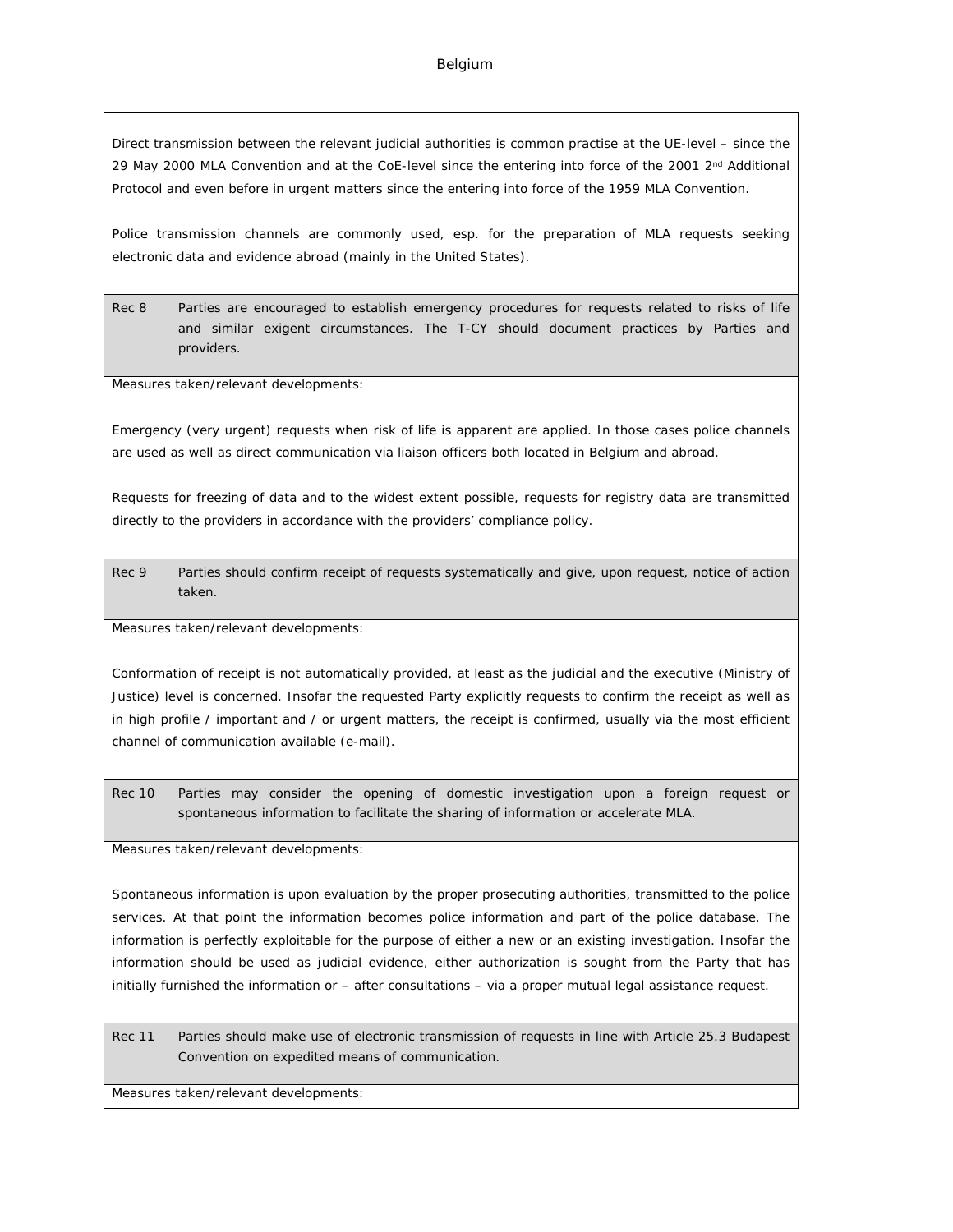#### Belgium

Direct transmission between the relevant judicial authorities is common practise at the UE-level – since the 29 May 2000 MLA Convention and at the CoE-level since the entering into force of the 2001 2<sup>nd</sup> Additional Protocol and even before in urgent matters since the entering into force of the 1959 MLA Convention.

Police transmission channels are commonly used, esp. for the preparation of MLA requests seeking electronic data and evidence abroad (mainly in the United States).

Rec 8 Parties are encouraged to establish emergency procedures for requests related to risks of life and similar exigent circumstances. The T-CY should document practices by Parties and providers.

Measures taken/relevant developments:

Emergency (very urgent) requests when risk of life is apparent are applied. In those cases police channels are used as well as direct communication via liaison officers both located in Belgium and abroad.

Requests for freezing of data and to the widest extent possible, requests for registry data are transmitted directly to the providers in accordance with the providers' compliance policy.

Rec 9 Parties should confirm receipt of requests systematically and give, upon request, notice of action taken.

Measures taken/relevant developments:

Conformation of receipt is not automatically provided, at least as the judicial and the executive (Ministry of Justice) level is concerned. Insofar the requested Party explicitly requests to confirm the receipt as well as in high profile / important and / or urgent matters, the receipt is confirmed, usually via the most efficient channel of communication available (e-mail).

Rec 10 Parties may consider the opening of domestic investigation upon a foreign request or spontaneous information to facilitate the sharing of information or accelerate MLA.

Measures taken/relevant developments:

Spontaneous information is upon evaluation by the proper prosecuting authorities, transmitted to the police services. At that point the information becomes police information and part of the police database. The information is perfectly exploitable for the purpose of either a new or an existing investigation. Insofar the information should be used as judicial evidence, either authorization is sought from the Party that has initially furnished the information or – after consultations – via a proper mutual legal assistance request.

Rec 11 Parties should make use of electronic transmission of requests in line with Article 25.3 Budapest Convention on expedited means of communication.

Measures taken/relevant developments: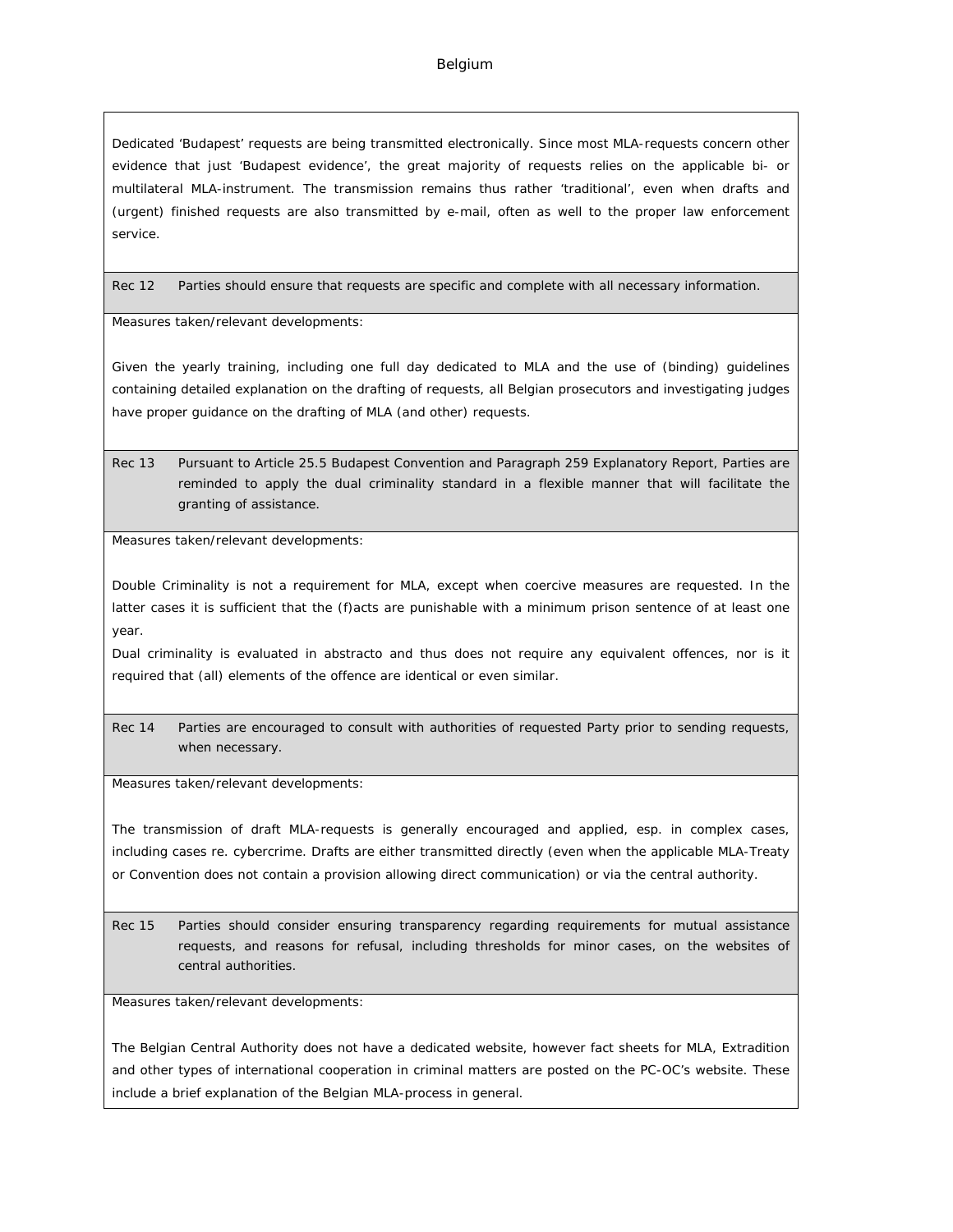#### Belgium

Dedicated 'Budapest' requests are being transmitted electronically. Since most MLA-requests concern other evidence that just 'Budapest evidence', the great majority of requests relies on the applicable bi- or multilateral MLA-instrument. The transmission remains thus rather 'traditional', even when drafts and (urgent) finished requests are also transmitted by e-mail, often as well to the proper law enforcement service.

Rec 12 Parties should ensure that requests are specific and complete with all necessary information.

Measures taken/relevant developments:

Given the yearly training, including one full day dedicated to MLA and the use of (binding) guidelines containing detailed explanation on the drafting of requests, all Belgian prosecutors and investigating judges have proper guidance on the drafting of MLA (and other) requests.

Rec 13 Pursuant to Article 25.5 Budapest Convention and Paragraph 259 Explanatory Report, Parties are reminded to apply the dual criminality standard in a flexible manner that will facilitate the granting of assistance.

Measures taken/relevant developments:

Double Criminality is not a requirement for MLA, except when coercive measures are requested. In the latter cases it is sufficient that the (f)acts are punishable with a minimum prison sentence of at least one year.

Dual criminality is evaluated in abstracto and thus does not require any equivalent offences, nor is it required that (all) elements of the offence are identical or even similar.

Rec 14 Parties are encouraged to consult with authorities of requested Party prior to sending requests, when necessary.

Measures taken/relevant developments:

The transmission of draft MLA-requests is generally encouraged and applied, esp. in complex cases, including cases re. cybercrime. Drafts are either transmitted directly (even when the applicable MLA-Treaty or Convention does not contain a provision allowing direct communication) or via the central authority.

Rec 15 Parties should consider ensuring transparency regarding requirements for mutual assistance requests, and reasons for refusal, including thresholds for minor cases, on the websites of central authorities.

Measures taken/relevant developments:

The Belgian Central Authority does not have a dedicated website, however fact sheets for MLA, Extradition and other types of international cooperation in criminal matters are posted on the PC-OC's website. These include a brief explanation of the Belgian MLA-process in general.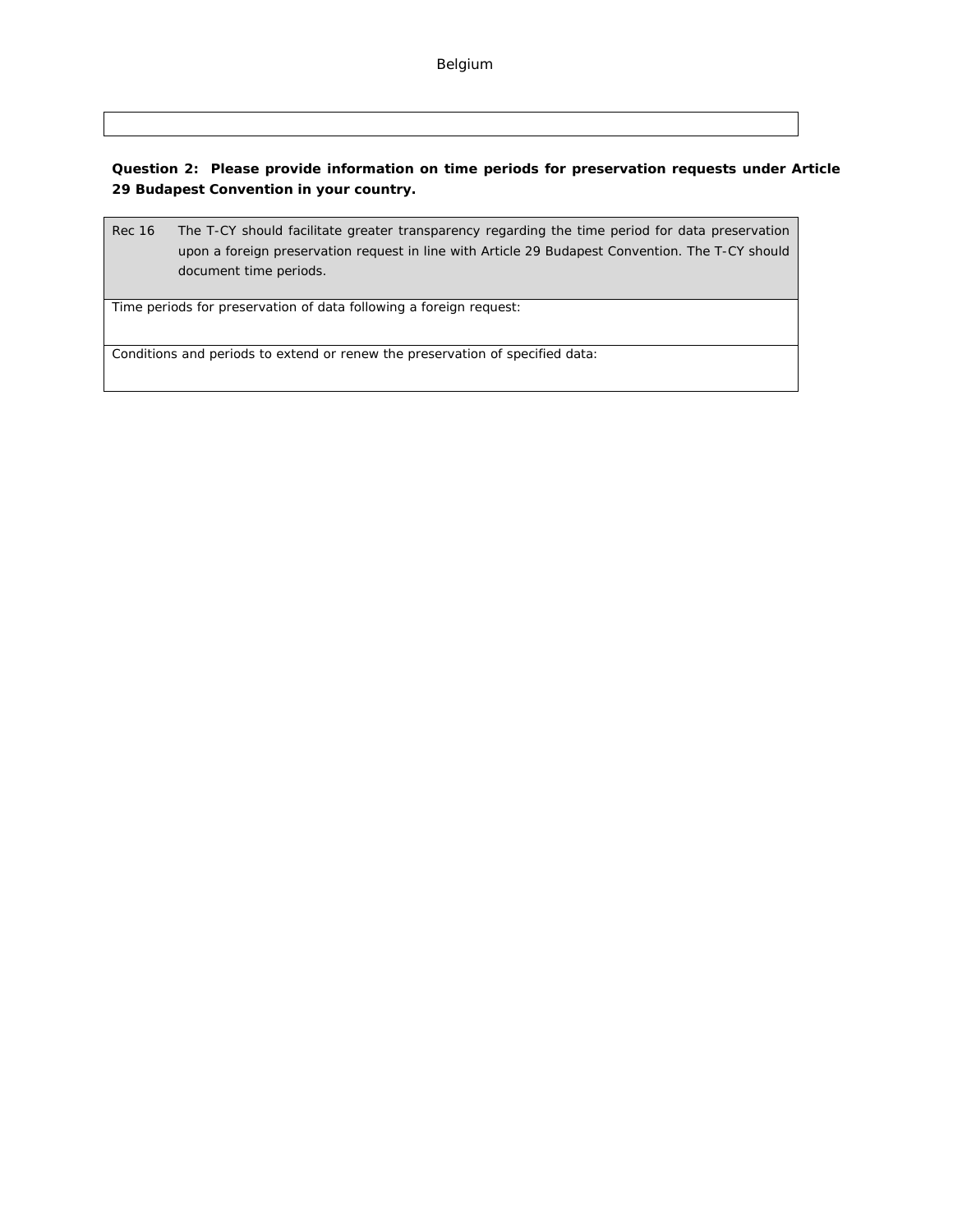**Question 2: Please provide information on time periods for preservation requests under Article 29 Budapest Convention in your country.**

Rec 16 The T-CY should facilitate greater transparency regarding the time period for data preservation upon a foreign preservation request in line with Article 29 Budapest Convention. The T-CY should document time periods.

Time periods for preservation of data following a foreign request:

Conditions and periods to extend or renew the preservation of specified data: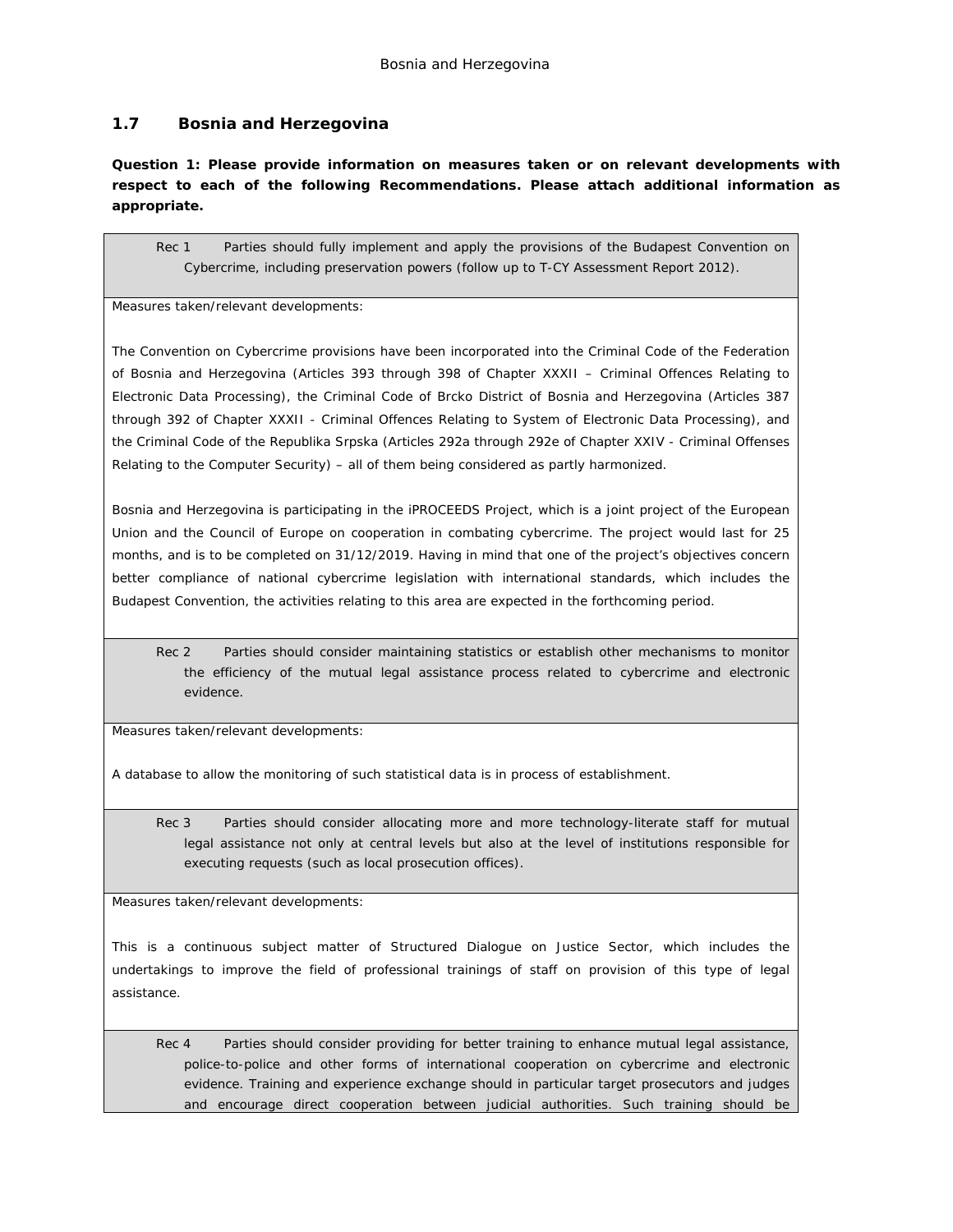### <span id="page-30-0"></span>**1.7 Bosnia and Herzegovina**

**Question 1: Please provide information on measures taken or on relevant developments with respect to each of the following Recommendations. Please attach additional information as appropriate.**

Rec 1 Parties should fully implement and apply the provisions of the Budapest Convention on Cybercrime, including preservation powers (follow up to T-CY Assessment Report 2012).

Measures taken/relevant developments:

The Convention on Cybercrime provisions have been incorporated into the Criminal Code of the Federation of Bosnia and Herzegovina (Articles 393 through 398 of Chapter XXXII – Criminal Offences Relating to Electronic Data Processing), the Criminal Code of Brcko District of Bosnia and Herzegovina (Articles 387 through 392 of Chapter XXXII - Criminal Offences Relating to System of Electronic Data Processing), and the Criminal Code of the Republika Srpska (Articles 292a through 292e of Chapter XXIV - Criminal Offenses Relating to the Computer Security) – all of them being considered as partly harmonized.

Bosnia and Herzegovina is participating in the iPROCEEDS Project, which is a joint project of the European Union and the Council of Europe on cooperation in combating cybercrime. The project would last for 25 months, and is to be completed on 31/12/2019. Having in mind that one of the project's objectives concern better compliance of national cybercrime legislation with international standards, which includes the Budapest Convention, the activities relating to this area are expected in the forthcoming period.

Rec 2 Parties should consider maintaining statistics or establish other mechanisms to monitor the efficiency of the mutual legal assistance process related to cybercrime and electronic evidence.

Measures taken/relevant developments:

A database to allow the monitoring of such statistical data is in process of establishment.

Rec 3 Parties should consider allocating more and more technology-literate staff for mutual legal assistance not only at central levels but also at the level of institutions responsible for executing requests (such as local prosecution offices).

Measures taken/relevant developments:

This is a continuous subject matter of Structured Dialogue on Justice Sector, which includes the undertakings to improve the field of professional trainings of staff on provision of this type of legal assistance.

Rec 4 Parties should consider providing for better training to enhance mutual legal assistance, police-to-police and other forms of international cooperation on cybercrime and electronic evidence. Training and experience exchange should in particular target prosecutors and judges and encourage direct cooperation between judicial authorities. Such training should be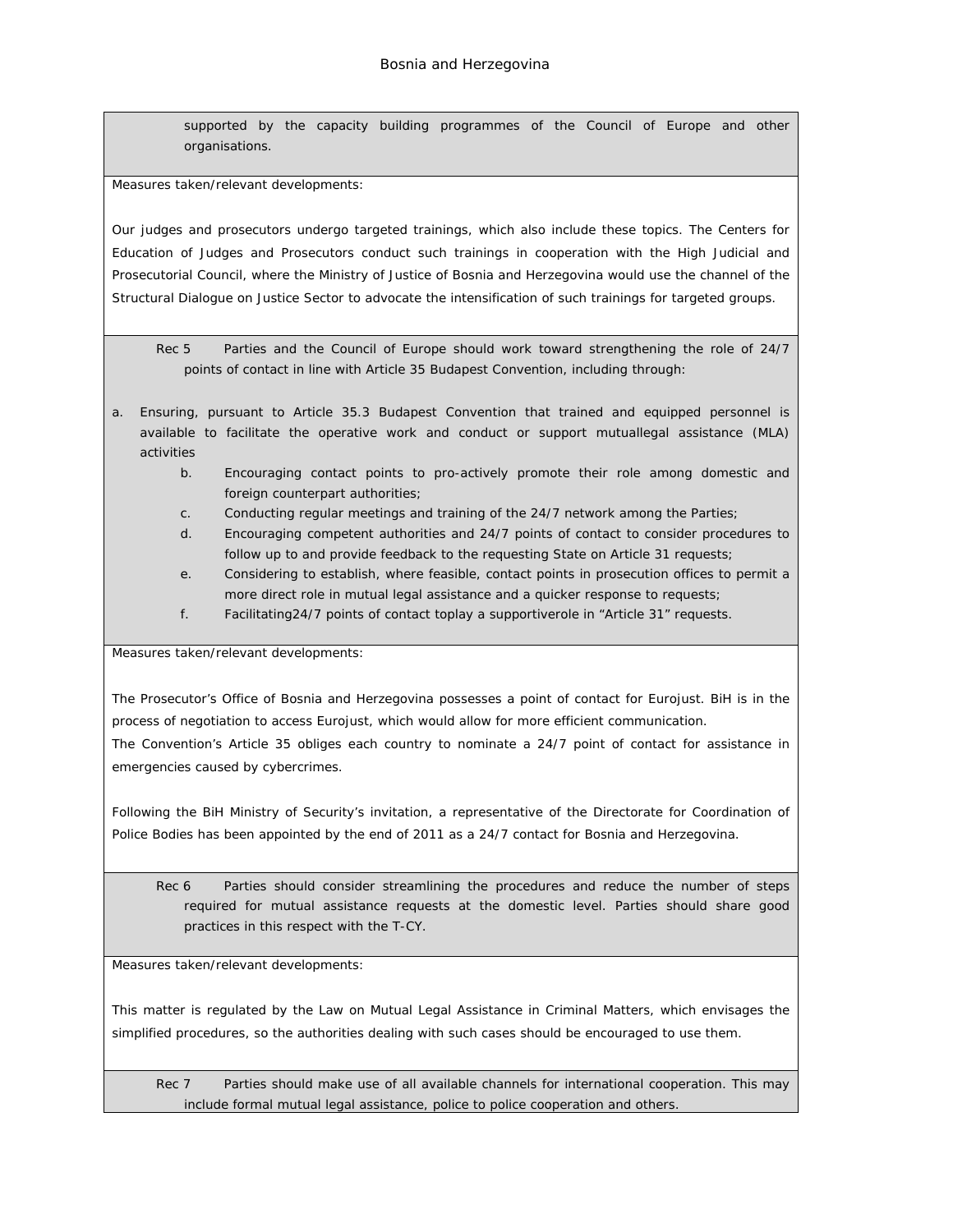supported by the capacity building programmes of the Council of Europe and other organisations.

Measures taken/relevant developments:

Our judges and prosecutors undergo targeted trainings, which also include these topics. The Centers for Education of Judges and Prosecutors conduct such trainings in cooperation with the High Judicial and Prosecutorial Council, where the Ministry of Justice of Bosnia and Herzegovina would use the channel of the Structural Dialogue on Justice Sector to advocate the intensification of such trainings for targeted groups.

Rec 5 Parties and the Council of Europe should work toward strengthening the role of 24/7 points of contact in line with Article 35 Budapest Convention, including through:

- a. Ensuring, pursuant to Article 35.3 Budapest Convention that trained and equipped personnel is available to facilitate the operative work and conduct or support mutuallegal assistance (MLA) activities
	- b. Encouraging contact points to pro-actively promote their role among domestic and foreign counterpart authorities;
	- c. Conducting regular meetings and training of the 24/7 network among the Parties;
	- d. Encouraging competent authorities and 24/7 points of contact to consider procedures to follow up to and provide feedback to the requesting State on Article 31 requests;
	- e. Considering to establish, where feasible, contact points in prosecution offices to permit a more direct role in mutual legal assistance and a quicker response to requests;
	- f. Facilitating24/7 points of contact toplay a supportiverole in "Article 31" requests.

Measures taken/relevant developments:

The Prosecutor's Office of Bosnia and Herzegovina possesses a point of contact for Eurojust. BiH is in the process of negotiation to access Eurojust, which would allow for more efficient communication.

The Convention's Article 35 obliges each country to nominate a 24/7 point of contact for assistance in emergencies caused by cybercrimes.

Following the BiH Ministry of Security's invitation, a representative of the Directorate for Coordination of Police Bodies has been appointed by the end of 2011 as a 24/7 contact for Bosnia and Herzegovina.

Rec 6 Parties should consider streamlining the procedures and reduce the number of steps required for mutual assistance requests at the domestic level. Parties should share good practices in this respect with the T-CY.

Measures taken/relevant developments:

This matter is regulated by the Law on Mutual Legal Assistance in Criminal Matters, which envisages the simplified procedures, so the authorities dealing with such cases should be encouraged to use them.

Rec 7 Parties should make use of all available channels for international cooperation. This may include formal mutual legal assistance, police to police cooperation and others.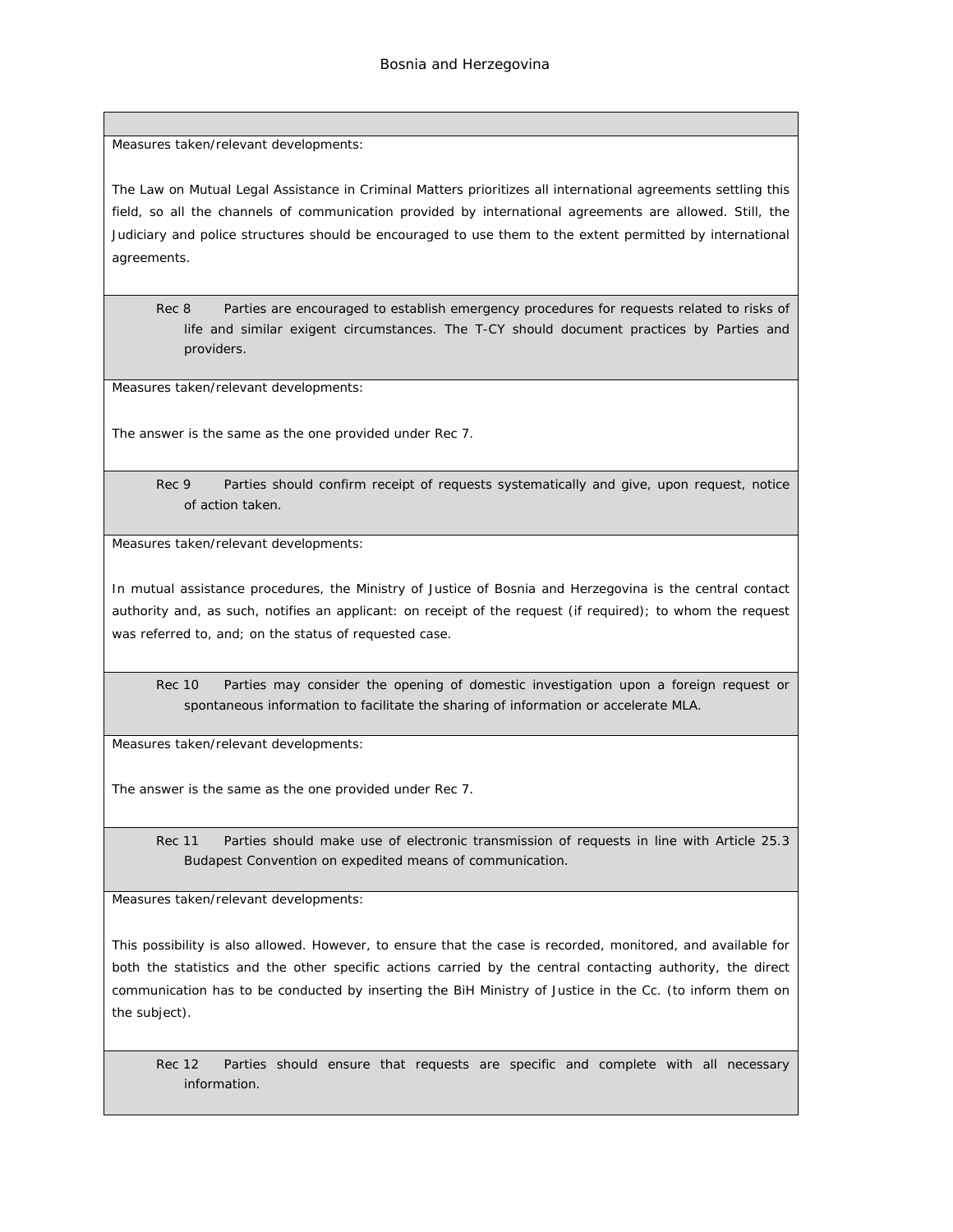Measures taken/relevant developments:

The Law on Mutual Legal Assistance in Criminal Matters prioritizes all international agreements settling this field, so all the channels of communication provided by international agreements are allowed. Still, the Judiciary and police structures should be encouraged to use them to the extent permitted by international agreements.

Rec 8 Parties are encouraged to establish emergency procedures for requests related to risks of life and similar exigent circumstances. The T-CY should document practices by Parties and providers.

Measures taken/relevant developments:

The answer is the same as the one provided under Rec 7.

Rec 9 Parties should confirm receipt of requests systematically and give, upon request, notice of action taken.

Measures taken/relevant developments:

In mutual assistance procedures, the Ministry of Justice of Bosnia and Herzegovina is the central contact authority and, as such, notifies an applicant: on receipt of the request (if required); to whom the request was referred to, and; on the status of requested case.

Rec 10 Parties may consider the opening of domestic investigation upon a foreign request or spontaneous information to facilitate the sharing of information or accelerate MLA.

Measures taken/relevant developments:

The answer is the same as the one provided under Rec 7.

Rec 11 Parties should make use of electronic transmission of requests in line with Article 25.3 Budapest Convention on expedited means of communication.

Measures taken/relevant developments:

This possibility is also allowed. However, to ensure that the case is recorded, monitored, and available for both the statistics and the other specific actions carried by the central contacting authority, the direct communication has to be conducted by inserting the BiH Ministry of Justice in the Cc. (to inform them on the subject).

Rec 12 Parties should ensure that requests are specific and complete with all necessary information.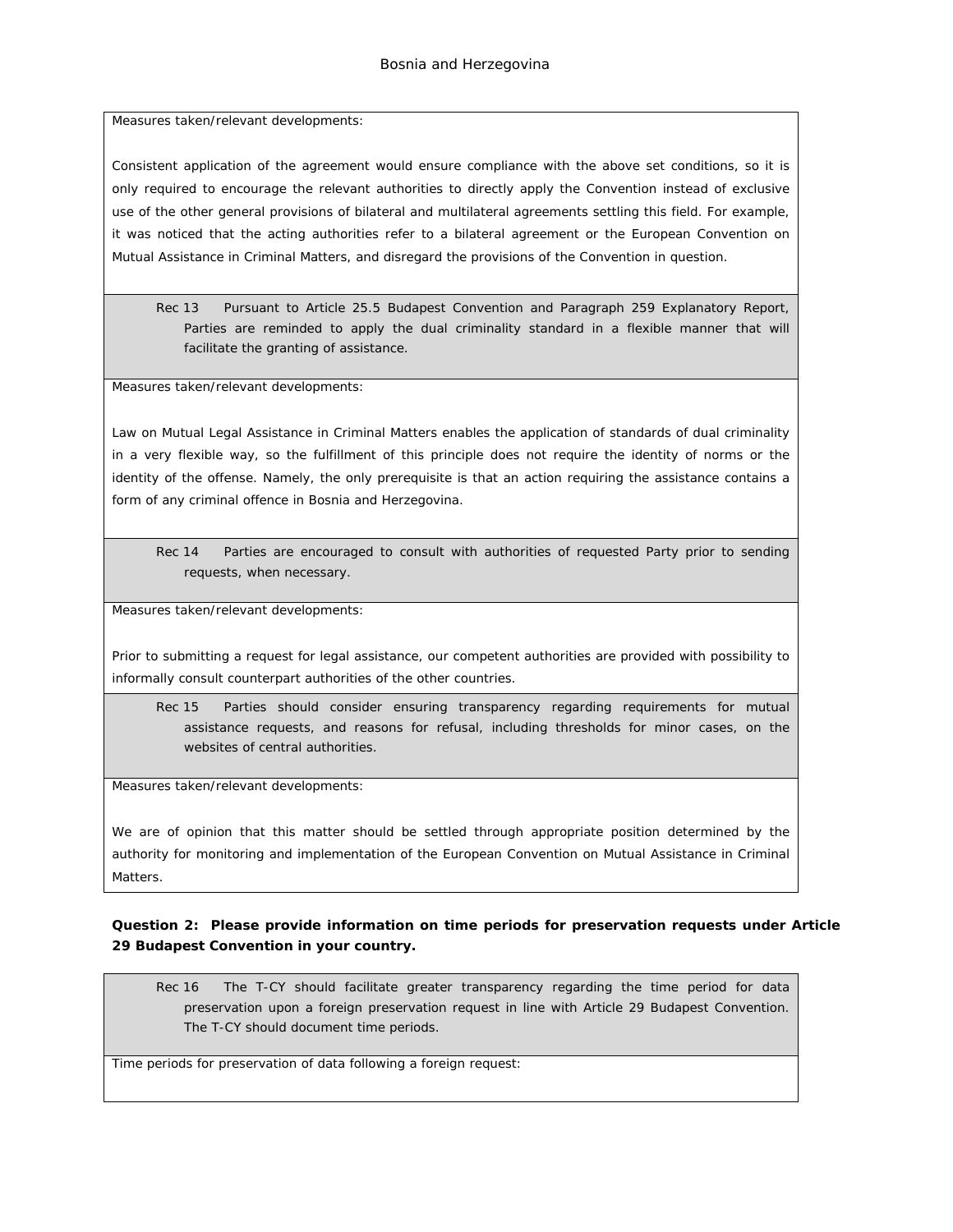Measures taken/relevant developments:

Consistent application of the agreement would ensure compliance with the above set conditions, so it is only required to encourage the relevant authorities to directly apply the Convention instead of exclusive use of the other general provisions of bilateral and multilateral agreements settling this field. For example, it was noticed that the acting authorities refer to a bilateral agreement or the European Convention on Mutual Assistance in Criminal Matters, and disregard the provisions of the Convention in question.

Rec 13 Pursuant to Article 25.5 Budapest Convention and Paragraph 259 Explanatory Report, Parties are reminded to apply the dual criminality standard in a flexible manner that will facilitate the granting of assistance.

Measures taken/relevant developments:

Law on Mutual Legal Assistance in Criminal Matters enables the application of standards of dual criminality in a very flexible way, so the fulfillment of this principle does not require the identity of norms or the identity of the offense. Namely, the only prerequisite is that an action requiring the assistance contains a form of any criminal offence in Bosnia and Herzegovina.

Rec 14 Parties are encouraged to consult with authorities of requested Party prior to sending requests, when necessary.

Measures taken/relevant developments:

Prior to submitting a request for legal assistance, our competent authorities are provided with possibility to informally consult counterpart authorities of the other countries.

Rec 15 Parties should consider ensuring transparency regarding requirements for mutual assistance requests, and reasons for refusal, including thresholds for minor cases, on the websites of central authorities.

Measures taken/relevant developments:

We are of opinion that this matter should be settled through appropriate position determined by the authority for monitoring and implementation of the European Convention on Mutual Assistance in Criminal Matters.

**Question 2: Please provide information on time periods for preservation requests under Article 29 Budapest Convention in your country.**

Rec 16 The T-CY should facilitate greater transparency regarding the time period for data preservation upon a foreign preservation request in line with Article 29 Budapest Convention. The T-CY should document time periods.

Time periods for preservation of data following a foreign request: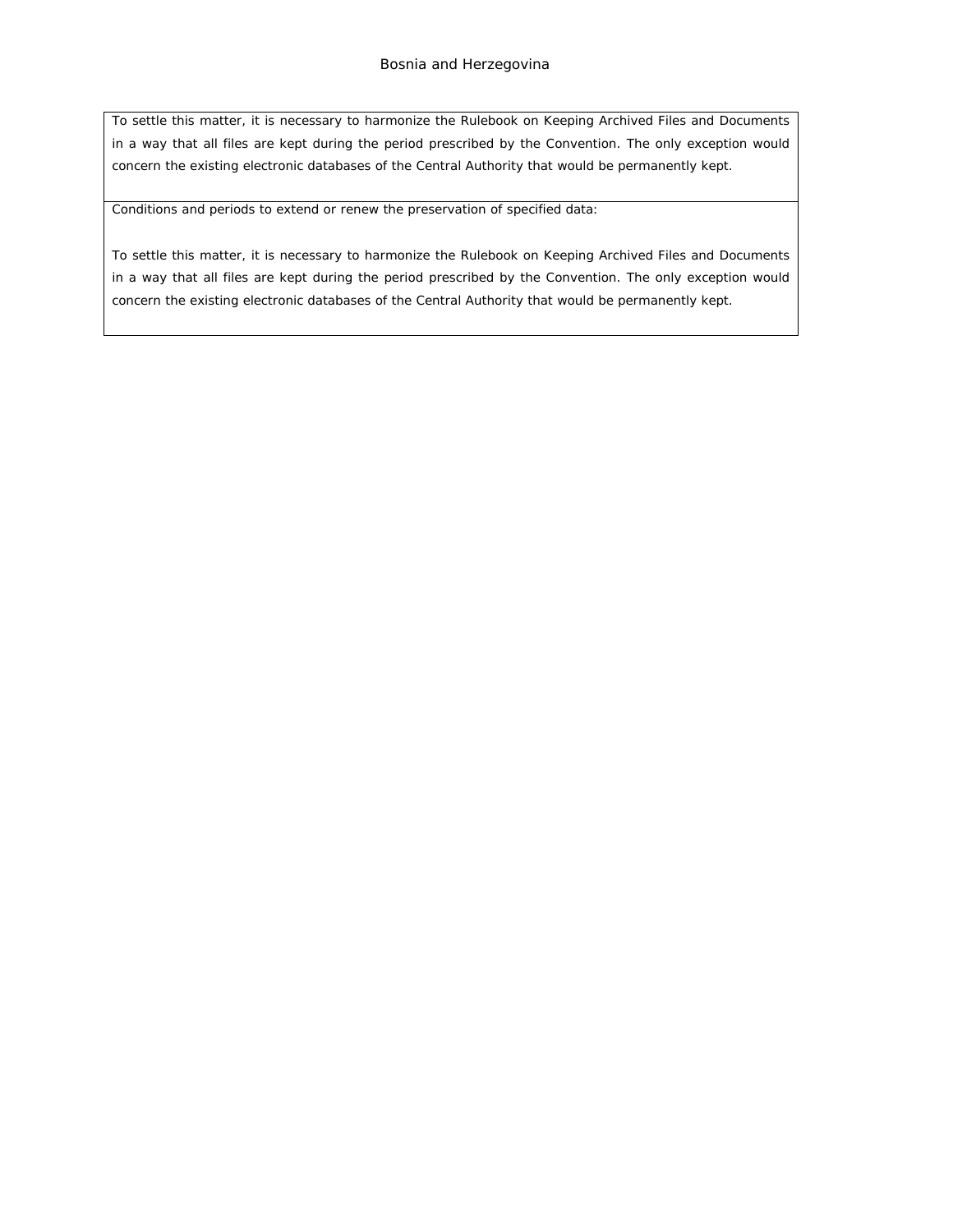To settle this matter, it is necessary to harmonize the Rulebook on Keeping Archived Files and Documents in a way that all files are kept during the period prescribed by the Convention. The only exception would concern the existing electronic databases of the Central Authority that would be permanently kept.

Conditions and periods to extend or renew the preservation of specified data:

To settle this matter, it is necessary to harmonize the Rulebook on Keeping Archived Files and Documents in a way that all files are kept during the period prescribed by the Convention. The only exception would concern the existing electronic databases of the Central Authority that would be permanently kept.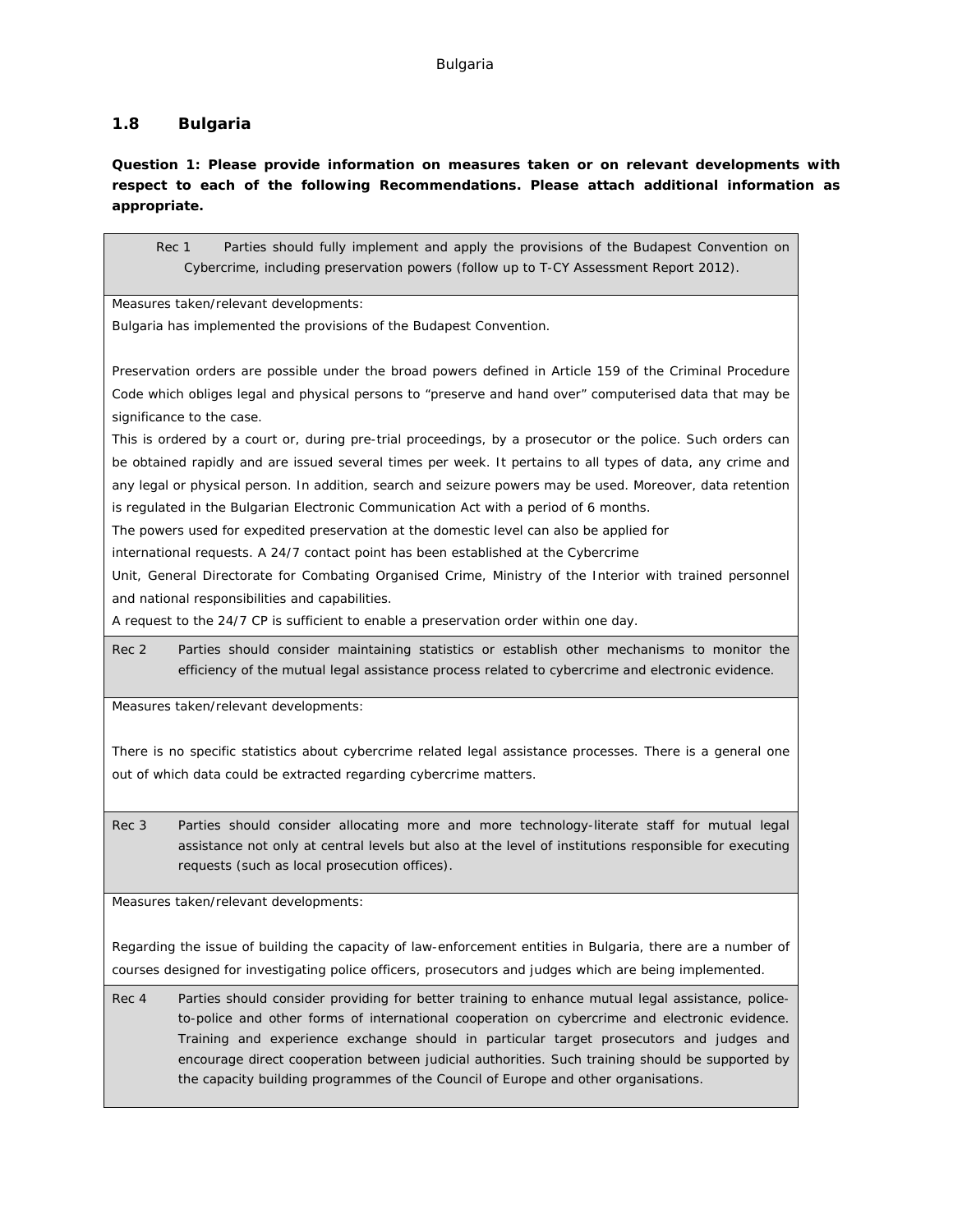### <span id="page-35-0"></span>**1.8 Bulgaria**

**Question 1: Please provide information on measures taken or on relevant developments with respect to each of the following Recommendations. Please attach additional information as appropriate.**

Rec 1 Parties should fully implement and apply the provisions of the Budapest Convention on Cybercrime, including preservation powers (follow up to T-CY Assessment Report 2012).

Measures taken/relevant developments:

Bulgaria has implemented the provisions of the Budapest Convention.

Preservation orders are possible under the broad powers defined in Article 159 of the Criminal Procedure Code which obliges legal and physical persons to "preserve and hand over" computerised data that may be significance to the case.

This is ordered by a court or, during pre-trial proceedings, by a prosecutor or the police. Such orders can be obtained rapidly and are issued several times per week. It pertains to all types of data, any crime and any legal or physical person. In addition, search and seizure powers may be used. Moreover, data retention is regulated in the Bulgarian Electronic Communication Act with a period of 6 months.

The powers used for expedited preservation at the domestic level can also be applied for

international requests. A 24/7 contact point has been established at the Cybercrime

Unit, General Directorate for Combating Organised Crime, Ministry of the Interior with trained personnel and national responsibilities and capabilities.

A request to the 24/7 CP is sufficient to enable a preservation order within one day.

Rec 2 Parties should consider maintaining statistics or establish other mechanisms to monitor the efficiency of the mutual legal assistance process related to cybercrime and electronic evidence.

Measures taken/relevant developments:

There is no specific statistics about cybercrime related legal assistance processes. There is a general one out of which data could be extracted regarding cybercrime matters.

Rec 3 Parties should consider allocating more and more technology-literate staff for mutual legal assistance not only at central levels but also at the level of institutions responsible for executing requests (such as local prosecution offices).

Measures taken/relevant developments:

Regarding the issue of building the capacity of law-enforcement entities in Bulgaria, there are a number of courses designed for investigating police officers, prosecutors and judges which are being implemented.

Rec 4 Parties should consider providing for better training to enhance mutual legal assistance, policeto-police and other forms of international cooperation on cybercrime and electronic evidence. Training and experience exchange should in particular target prosecutors and judges and encourage direct cooperation between judicial authorities. Such training should be supported by the capacity building programmes of the Council of Europe and other organisations.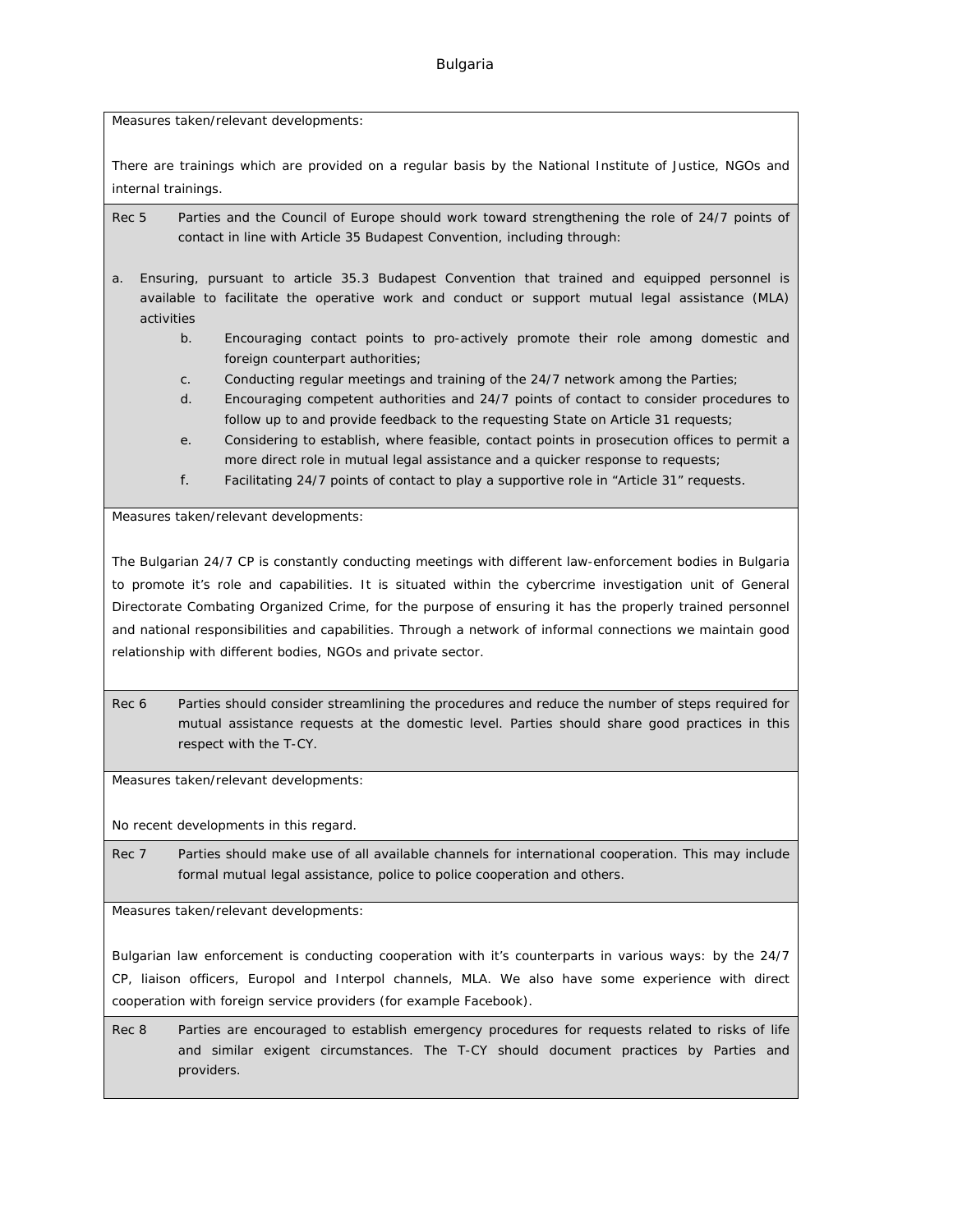### Bulgaria

Measures taken/relevant developments:

There are trainings which are provided on a regular basis by the National Institute of Justice, NGOs and internal trainings.

Rec 5 Parties and the Council of Europe should work toward strengthening the role of 24/7 points of contact in line with Article 35 Budapest Convention, including through:

a. Ensuring, pursuant to article 35.3 Budapest Convention that trained and equipped personnel is available to facilitate the operative work and conduct or support mutual legal assistance (MLA) activities

- b. Encouraging contact points to pro-actively promote their role among domestic and foreign counterpart authorities;
- c. Conducting regular meetings and training of the 24/7 network among the Parties;
- d. Encouraging competent authorities and 24/7 points of contact to consider procedures to follow up to and provide feedback to the requesting State on Article 31 requests;
- e. Considering to establish, where feasible, contact points in prosecution offices to permit a more direct role in mutual legal assistance and a quicker response to requests;
- f. Facilitating 24/7 points of contact to play a supportive role in "Article 31" requests.

Measures taken/relevant developments:

The Bulgarian 24/7 CP is constantly conducting meetings with different law-enforcement bodies in Bulgaria to promote it's role and capabilities. It is situated within the cybercrime investigation unit of General Directorate Combating Organized Crime, for the purpose of ensuring it has the properly trained personnel and national responsibilities and capabilities. Through a network of informal connections we maintain good relationship with different bodies, NGOs and private sector.

Rec 6 Parties should consider streamlining the procedures and reduce the number of steps required for mutual assistance requests at the domestic level. Parties should share good practices in this respect with the T-CY.

Measures taken/relevant developments:

No recent developments in this regard.

Rec 7 Parties should make use of all available channels for international cooperation. This may include formal mutual legal assistance, police to police cooperation and others.

Measures taken/relevant developments:

Bulgarian law enforcement is conducting cooperation with it's counterparts in various ways: by the 24/7 CP, liaison officers, Europol and Interpol channels, MLA. We also have some experience with direct cooperation with foreign service providers (for example Facebook).

Rec 8 Parties are encouraged to establish emergency procedures for requests related to risks of life and similar exigent circumstances. The T-CY should document practices by Parties and providers.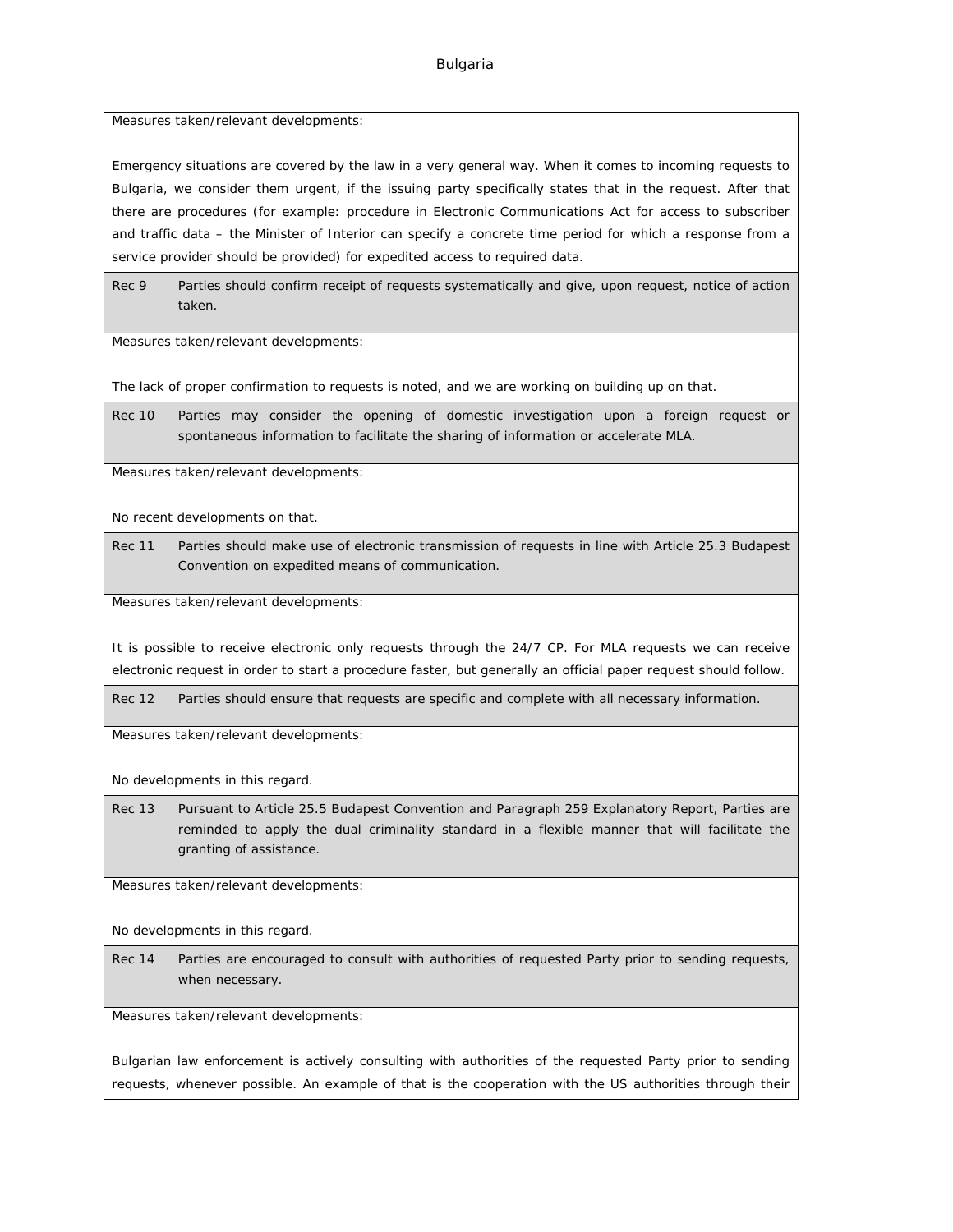Measures taken/relevant developments:

Emergency situations are covered by the law in a very general way. When it comes to incoming requests to Bulgaria, we consider them urgent, if the issuing party specifically states that in the request. After that there are procedures (for example: procedure in Electronic Communications Act for access to subscriber and traffic data – the Minister of Interior can specify a concrete time period for which a response from a service provider should be provided) for expedited access to required data.

Rec 9 Parties should confirm receipt of requests systematically and give, upon request, notice of action taken.

Measures taken/relevant developments:

The lack of proper confirmation to requests is noted, and we are working on building up on that.

Rec 10 Parties may consider the opening of domestic investigation upon a foreign request or spontaneous information to facilitate the sharing of information or accelerate MLA.

Measures taken/relevant developments:

No recent developments on that.

Rec 11 Parties should make use of electronic transmission of requests in line with Article 25.3 Budapest Convention on expedited means of communication.

Measures taken/relevant developments:

It is possible to receive electronic only requests through the 24/7 CP. For MLA requests we can receive electronic request in order to start a procedure faster, but generally an official paper request should follow.

Rec 12 Parties should ensure that requests are specific and complete with all necessary information.

Measures taken/relevant developments:

No developments in this regard.

Rec 13 Pursuant to Article 25.5 Budapest Convention and Paragraph 259 Explanatory Report, Parties are reminded to apply the dual criminality standard in a flexible manner that will facilitate the granting of assistance.

Measures taken/relevant developments:

No developments in this regard.

Rec 14 Parties are encouraged to consult with authorities of requested Party prior to sending requests, when necessary.

Measures taken/relevant developments:

Bulgarian law enforcement is actively consulting with authorities of the requested Party prior to sending requests, whenever possible. An example of that is the cooperation with the US authorities through their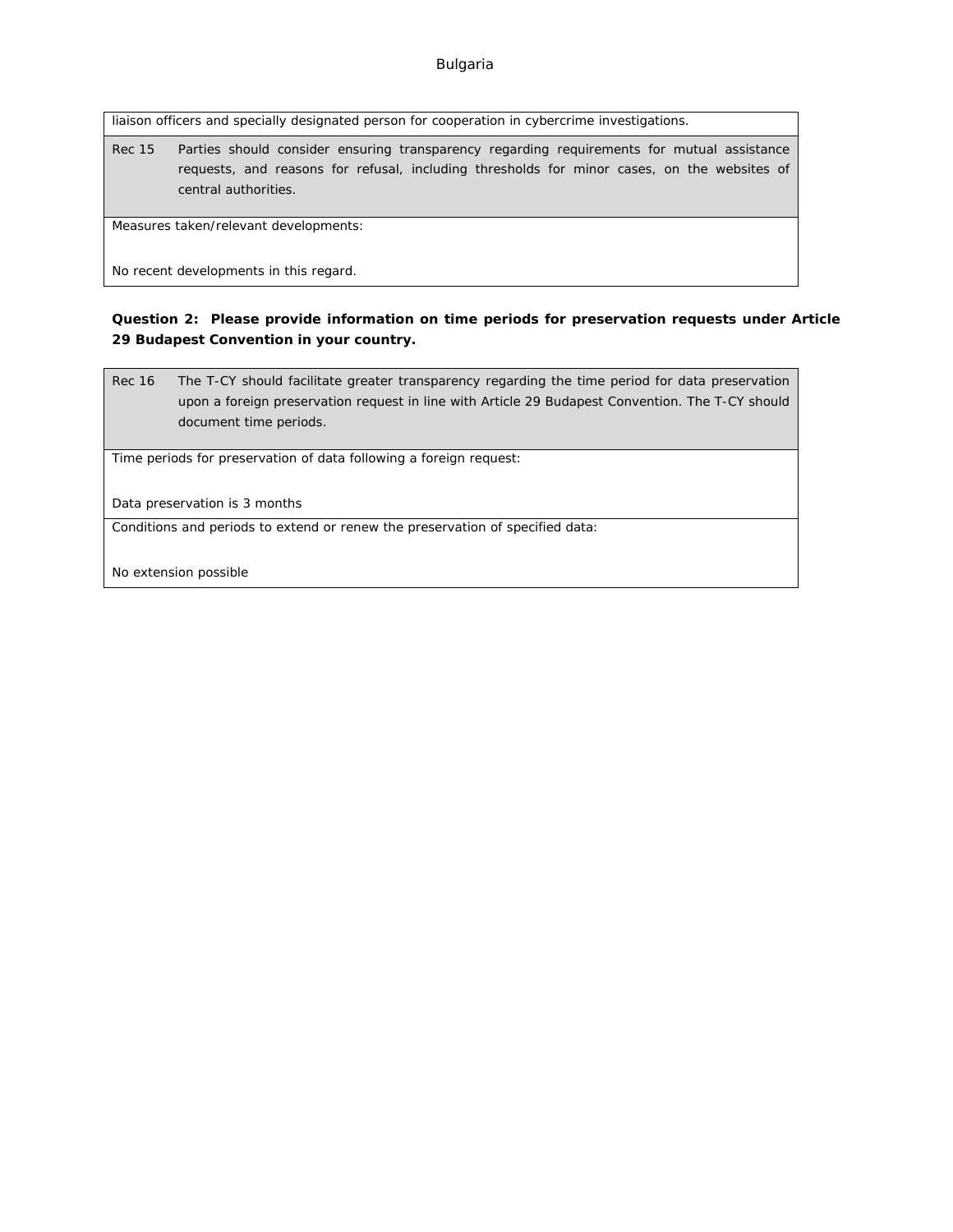liaison officers and specially designated person for cooperation in cybercrime investigations.

Rec 15 Parties should consider ensuring transparency regarding requirements for mutual assistance requests, and reasons for refusal, including thresholds for minor cases, on the websites of central authorities.

Measures taken/relevant developments:

No recent developments in this regard.

**Question 2: Please provide information on time periods for preservation requests under Article 29 Budapest Convention in your country.**

Rec 16 The T-CY should facilitate greater transparency regarding the time period for data preservation upon a foreign preservation request in line with Article 29 Budapest Convention. The T-CY should document time periods.

Time periods for preservation of data following a foreign request:

Data preservation is 3 months

Conditions and periods to extend or renew the preservation of specified data:

No extension possible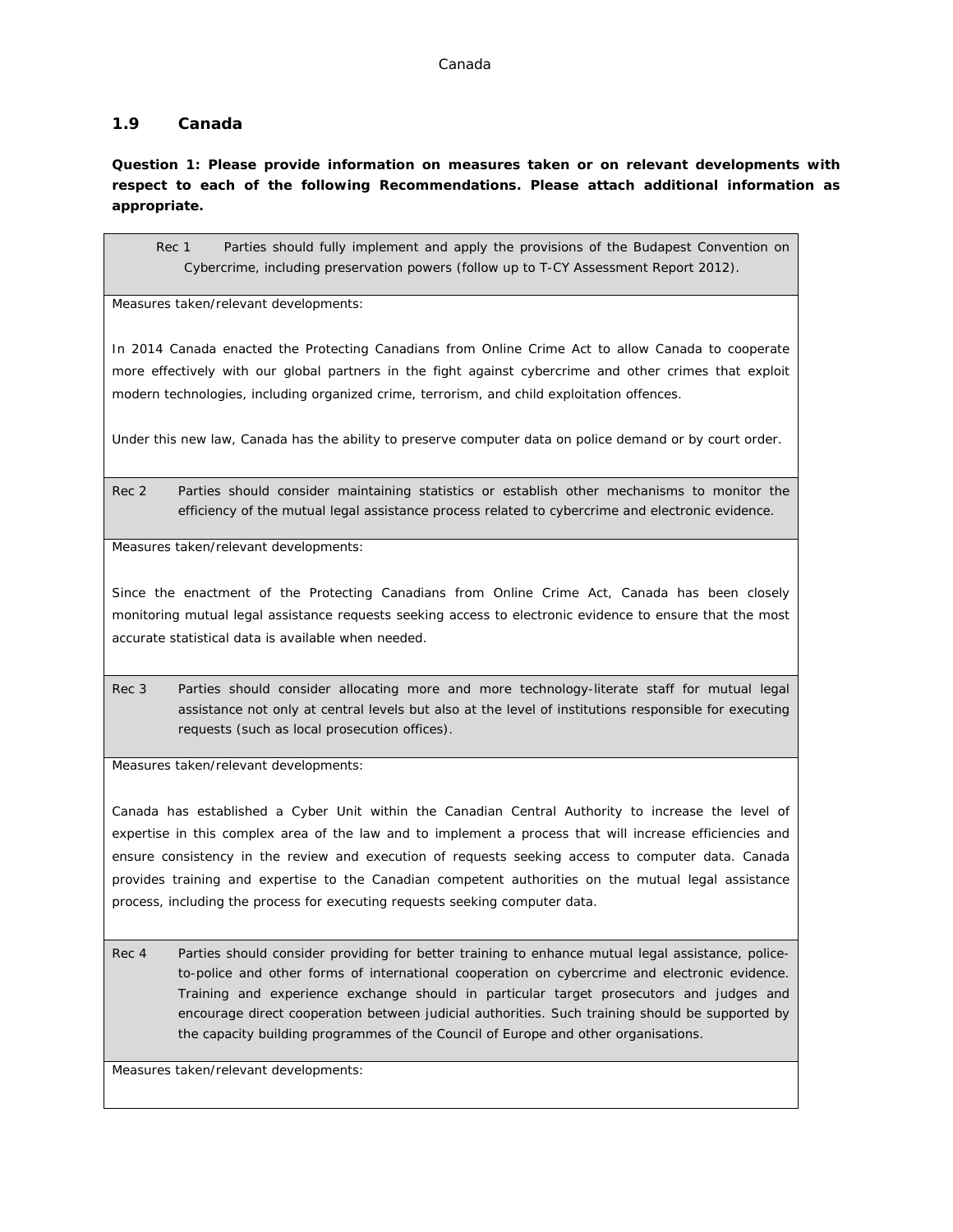## **1.9 Canada**

**Question 1: Please provide information on measures taken or on relevant developments with respect to each of the following Recommendations. Please attach additional information as appropriate.**

Rec 1 Parties should fully implement and apply the provisions of the Budapest Convention on Cybercrime, including preservation powers (follow up to T-CY Assessment Report 2012).

Measures taken/relevant developments:

In 2014 Canada enacted the Protecting Canadians from Online Crime Act to allow Canada to cooperate more effectively with our global partners in the fight against cybercrime and other crimes that exploit modern technologies, including organized crime, terrorism, and child exploitation offences.

Under this new law, Canada has the ability to preserve computer data on police demand or by court order.

Rec 2 Parties should consider maintaining statistics or establish other mechanisms to monitor the efficiency of the mutual legal assistance process related to cybercrime and electronic evidence.

Measures taken/relevant developments:

Since the enactment of the Protecting Canadians from Online Crime Act, Canada has been closely monitoring mutual legal assistance requests seeking access to electronic evidence to ensure that the most accurate statistical data is available when needed.

Rec 3 Parties should consider allocating more and more technology-literate staff for mutual legal assistance not only at central levels but also at the level of institutions responsible for executing requests (such as local prosecution offices).

Measures taken/relevant developments:

Canada has established a Cyber Unit within the Canadian Central Authority to increase the level of expertise in this complex area of the law and to implement a process that will increase efficiencies and ensure consistency in the review and execution of requests seeking access to computer data. Canada provides training and expertise to the Canadian competent authorities on the mutual legal assistance process, including the process for executing requests seeking computer data.

Rec 4 Parties should consider providing for better training to enhance mutual legal assistance, policeto-police and other forms of international cooperation on cybercrime and electronic evidence. Training and experience exchange should in particular target prosecutors and judges and encourage direct cooperation between judicial authorities. Such training should be supported by the capacity building programmes of the Council of Europe and other organisations.

Measures taken/relevant developments: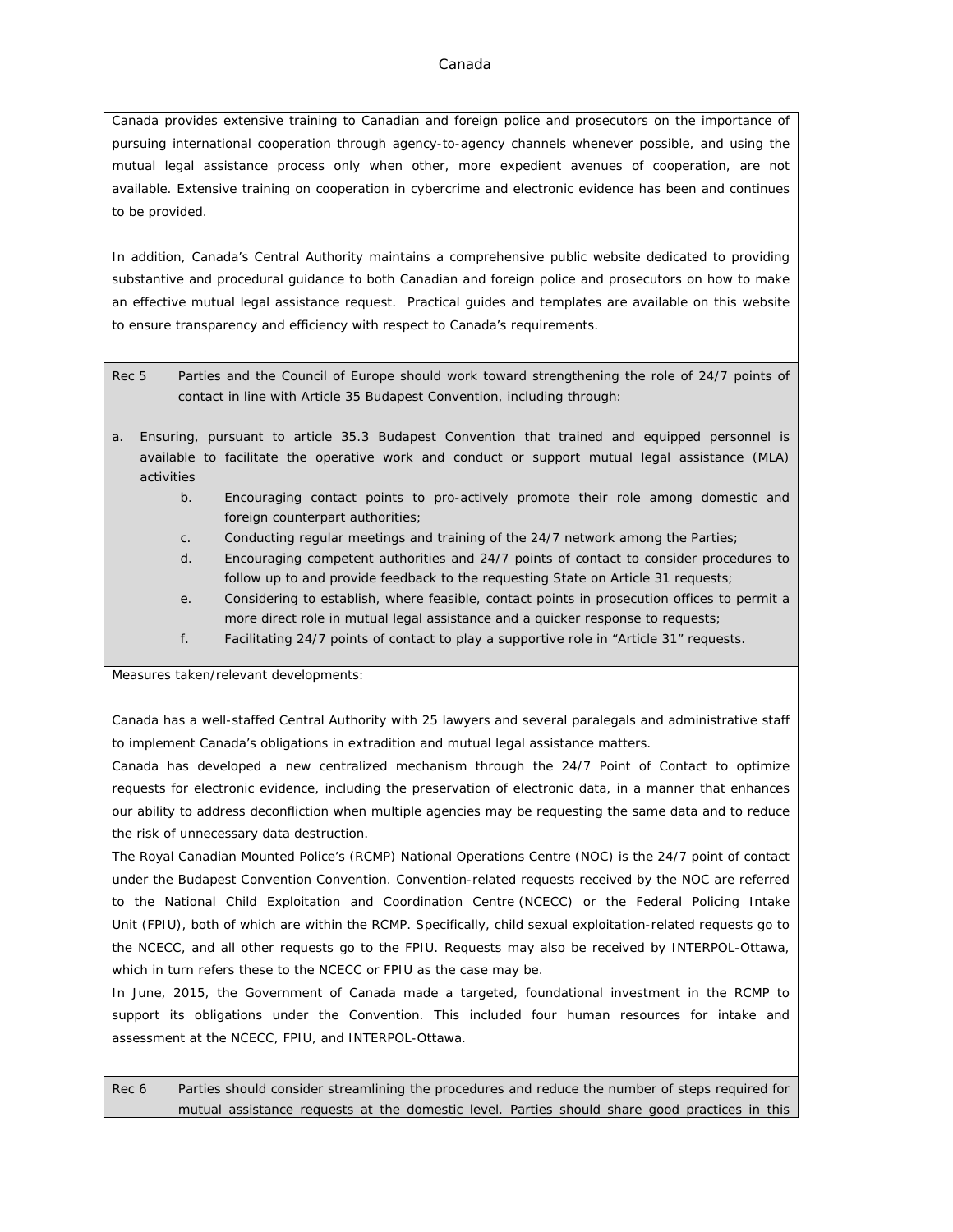#### Canada

Canada provides extensive training to Canadian and foreign police and prosecutors on the importance of pursuing international cooperation through agency-to-agency channels whenever possible, and using the mutual legal assistance process only when other, more expedient avenues of cooperation, are not available. Extensive training on cooperation in cybercrime and electronic evidence has been and continues to be provided.

In addition, Canada's Central Authority maintains a comprehensive public website dedicated to providing substantive and procedural guidance to both Canadian and foreign police and prosecutors on how to make an effective mutual legal assistance request. Practical guides and templates are available on this website to ensure transparency and efficiency with respect to Canada's requirements.

Rec 5 Parties and the Council of Europe should work toward strengthening the role of 24/7 points of contact in line with Article 35 Budapest Convention, including through:

- a. Ensuring, pursuant to article 35.3 Budapest Convention that trained and equipped personnel is available to facilitate the operative work and conduct or support mutual legal assistance (MLA) activities
	- b. Encouraging contact points to pro-actively promote their role among domestic and foreign counterpart authorities;
	- c. Conducting regular meetings and training of the 24/7 network among the Parties;
	- d. Encouraging competent authorities and 24/7 points of contact to consider procedures to follow up to and provide feedback to the requesting State on Article 31 requests;
	- e. Considering to establish, where feasible, contact points in prosecution offices to permit a more direct role in mutual legal assistance and a quicker response to requests;
	- f. Facilitating 24/7 points of contact to play a supportive role in "Article 31" requests.

Measures taken/relevant developments:

Canada has a well-staffed Central Authority with 25 lawyers and several paralegals and administrative staff to implement Canada's obligations in extradition and mutual legal assistance matters.

Canada has developed a new centralized mechanism through the 24/7 Point of Contact to optimize requests for electronic evidence, including the preservation of electronic data, in a manner that enhances our ability to address deconfliction when multiple agencies may be requesting the same data and to reduce the risk of unnecessary data destruction.

The Royal Canadian Mounted Police's (RCMP) National Operations Centre (NOC) is the 24/7 point of contact under the Budapest Convention Convention. Convention-related requests received by the NOC are referred to the National Child Exploitation and Coordination Centre (NCECC) or the Federal Policing Intake Unit (FPIU), both of which are within the RCMP. Specifically, child sexual exploitation-related requests go to the NCECC, and all other requests go to the FPIU. Requests may also be received by INTERPOL-Ottawa, which in turn refers these to the NCECC or FPIU as the case may be.

In June, 2015, the Government of Canada made a targeted, foundational investment in the RCMP to support its obligations under the Convention. This included four human resources for intake and assessment at the NCECC, FPIU, and INTERPOL-Ottawa.

Rec 6 Parties should consider streamlining the procedures and reduce the number of steps required for mutual assistance requests at the domestic level. Parties should share good practices in this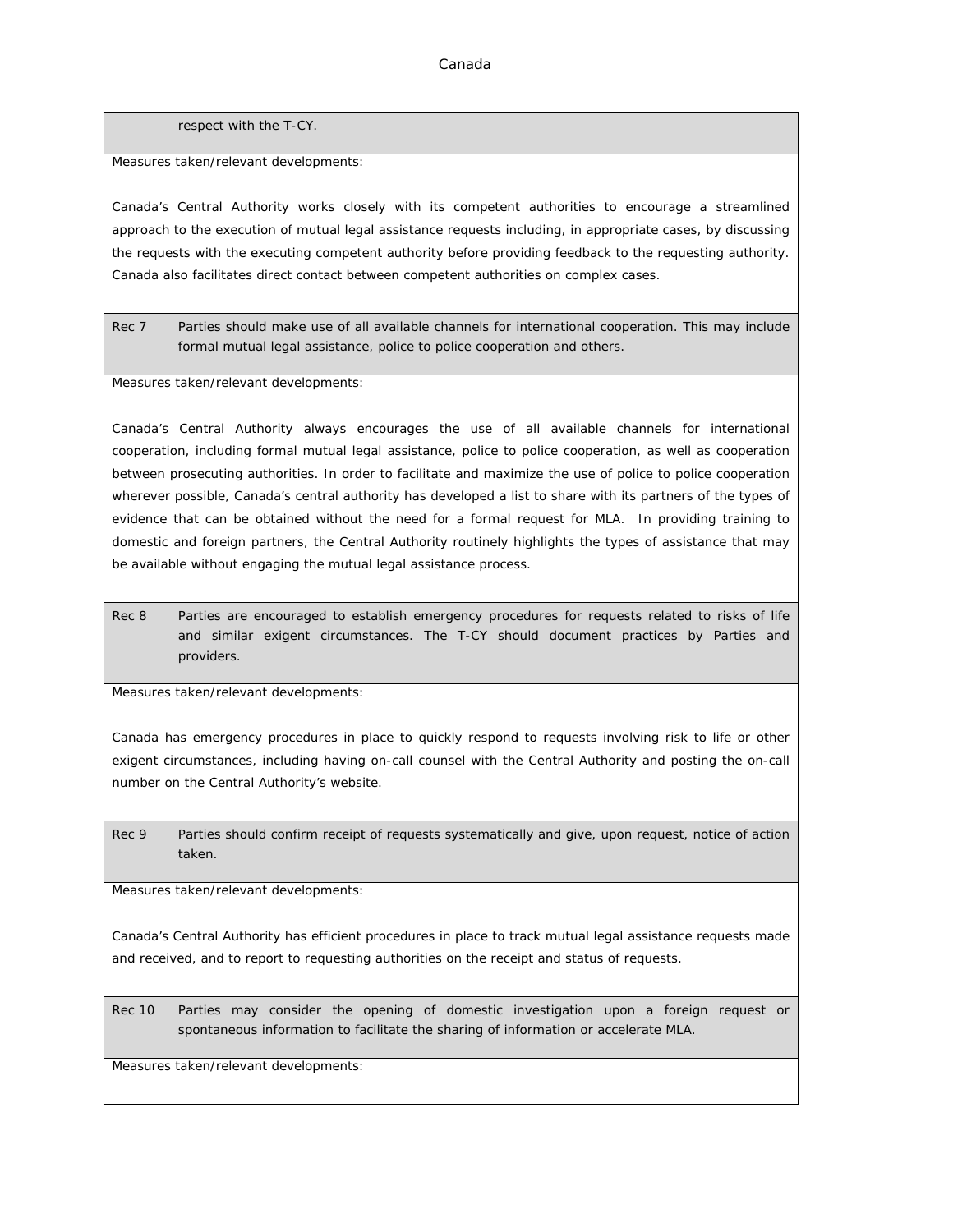respect with the T-CY.

Measures taken/relevant developments:

Canada's Central Authority works closely with its competent authorities to encourage a streamlined approach to the execution of mutual legal assistance requests including, in appropriate cases, by discussing the requests with the executing competent authority before providing feedback to the requesting authority. Canada also facilitates direct contact between competent authorities on complex cases.

Rec 7 Parties should make use of all available channels for international cooperation. This may include formal mutual legal assistance, police to police cooperation and others.

Measures taken/relevant developments:

Canada's Central Authority always encourages the use of all available channels for international cooperation, including formal mutual legal assistance, police to police cooperation, as well as cooperation between prosecuting authorities. In order to facilitate and maximize the use of police to police cooperation wherever possible, Canada's central authority has developed a list to share with its partners of the types of evidence that can be obtained without the need for a formal request for MLA. In providing training to domestic and foreign partners, the Central Authority routinely highlights the types of assistance that may be available without engaging the mutual legal assistance process.

Rec 8 Parties are encouraged to establish emergency procedures for requests related to risks of life and similar exigent circumstances. The T-CY should document practices by Parties and providers.

Measures taken/relevant developments:

Canada has emergency procedures in place to quickly respond to requests involving risk to life or other exigent circumstances, including having on-call counsel with the Central Authority and posting the on-call number on the Central Authority's website.

Rec 9 Parties should confirm receipt of requests systematically and give, upon request, notice of action taken.

Measures taken/relevant developments:

Canada's Central Authority has efficient procedures in place to track mutual legal assistance requests made and received, and to report to requesting authorities on the receipt and status of requests.

Rec 10 Parties may consider the opening of domestic investigation upon a foreign request or spontaneous information to facilitate the sharing of information or accelerate MLA.

Measures taken/relevant developments: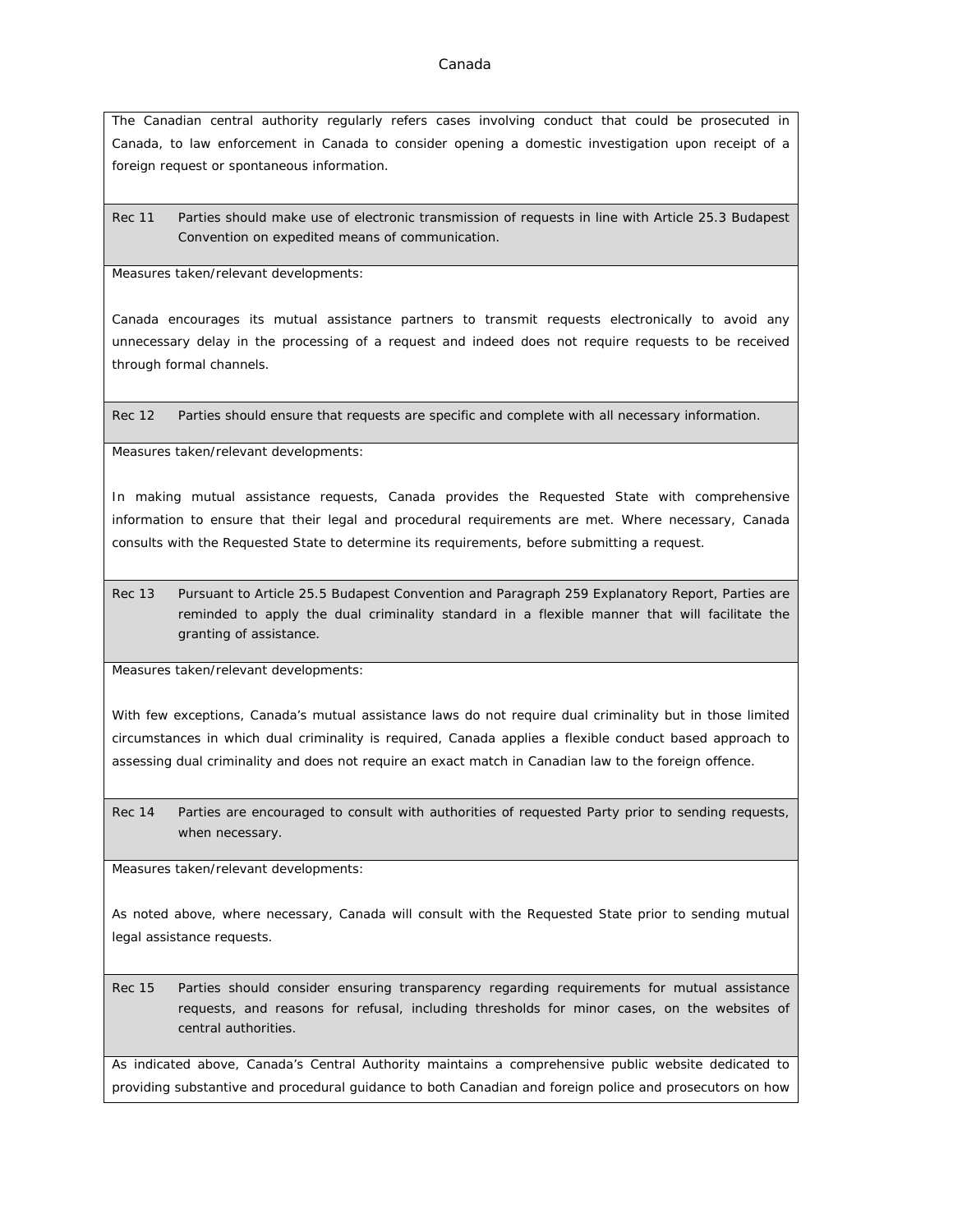The Canadian central authority regularly refers cases involving conduct that could be prosecuted in Canada, to law enforcement in Canada to consider opening a domestic investigation upon receipt of a foreign request or spontaneous information.

Rec 11 Parties should make use of electronic transmission of requests in line with Article 25.3 Budapest Convention on expedited means of communication.

Measures taken/relevant developments:

Canada encourages its mutual assistance partners to transmit requests electronically to avoid any unnecessary delay in the processing of a request and indeed does not require requests to be received through formal channels.

Rec 12 Parties should ensure that requests are specific and complete with all necessary information.

Measures taken/relevant developments:

In making mutual assistance requests, Canada provides the Requested State with comprehensive information to ensure that their legal and procedural requirements are met. Where necessary, Canada consults with the Requested State to determine its requirements, before submitting a request.

Rec 13 Pursuant to Article 25.5 Budapest Convention and Paragraph 259 Explanatory Report, Parties are reminded to apply the dual criminality standard in a flexible manner that will facilitate the granting of assistance.

Measures taken/relevant developments:

With few exceptions, Canada's mutual assistance laws do not require dual criminality but in those limited circumstances in which dual criminality is required, Canada applies a flexible conduct based approach to assessing dual criminality and does not require an exact match in Canadian law to the foreign offence.

Rec 14 Parties are encouraged to consult with authorities of requested Party prior to sending requests, when necessary.

Measures taken/relevant developments:

As noted above, where necessary, Canada will consult with the Requested State prior to sending mutual legal assistance requests.

Rec 15 Parties should consider ensuring transparency regarding requirements for mutual assistance requests, and reasons for refusal, including thresholds for minor cases, on the websites of central authorities.

As indicated above, Canada's Central Authority maintains a comprehensive public website dedicated to providing substantive and procedural guidance to both Canadian and foreign police and prosecutors on how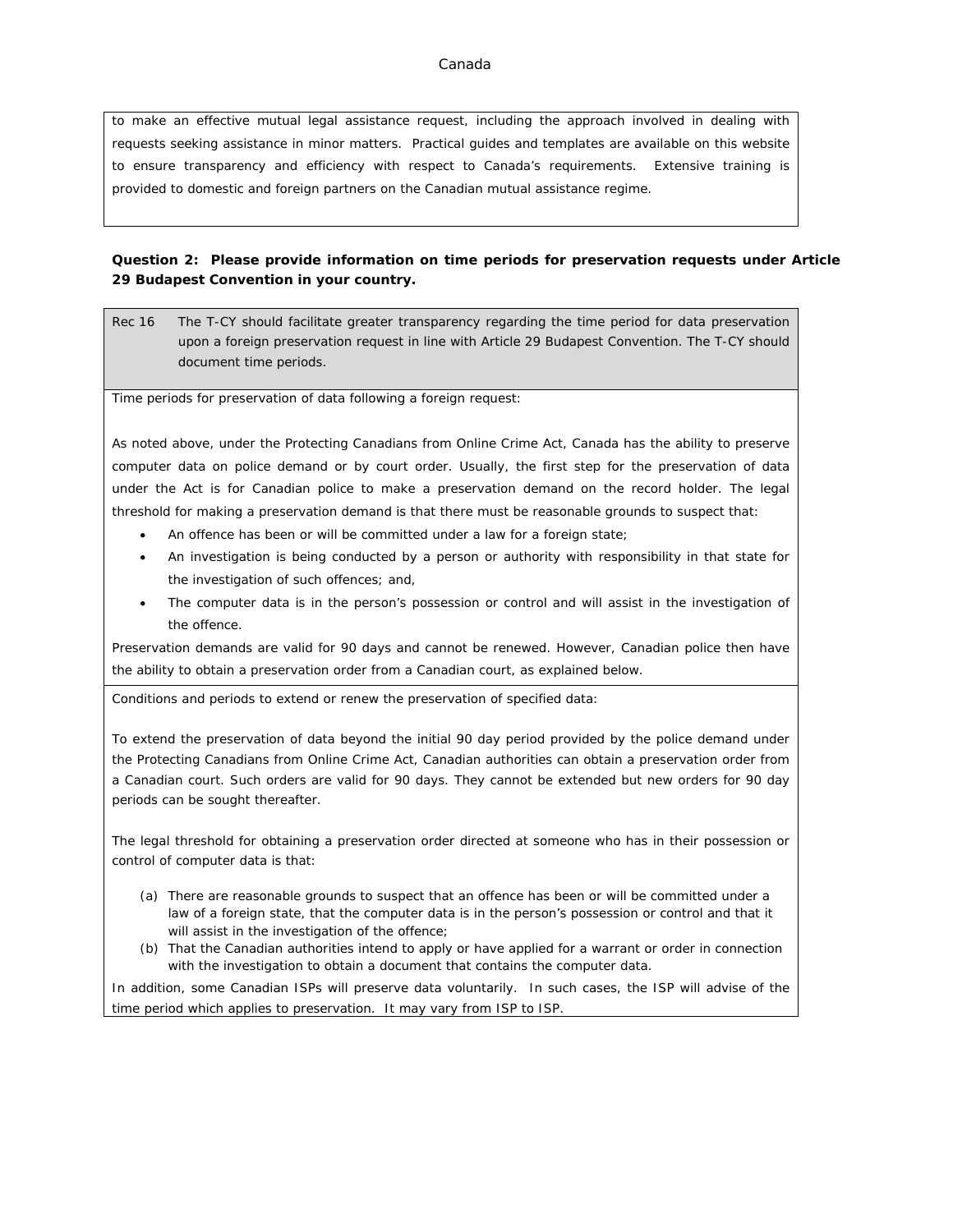#### Canada

to make an effective mutual legal assistance request, including the approach involved in dealing with requests seeking assistance in minor matters. Practical guides and templates are available on this website to ensure transparency and efficiency with respect to Canada's requirements. Extensive training is provided to domestic and foreign partners on the Canadian mutual assistance regime.

**Question 2: Please provide information on time periods for preservation requests under Article 29 Budapest Convention in your country.**

Rec 16 The T-CY should facilitate greater transparency regarding the time period for data preservation upon a foreign preservation request in line with Article 29 Budapest Convention. The T-CY should document time periods.

Time periods for preservation of data following a foreign request:

As noted above, under the Protecting Canadians from Online Crime Act, Canada has the ability to preserve computer data on police demand or by court order. Usually, the first step for the preservation of data under the Act is for Canadian police to make a preservation demand on the record holder. The legal threshold for making a preservation demand is that there must be reasonable grounds to suspect that:

- An offence has been or will be committed under a law for a foreign state;
- An investigation is being conducted by a person or authority with responsibility in that state for the investigation of such offences; and,
- The computer data is in the person's possession or control and will assist in the investigation of the offence.

Preservation demands are valid for 90 days and cannot be renewed. However, Canadian police then have the ability to obtain a preservation order from a Canadian court, as explained below.

Conditions and periods to extend or renew the preservation of specified data:

To extend the preservation of data beyond the initial 90 day period provided by the police demand under the *Protecting Canadians from Online Crime Act*, Canadian authorities can obtain a preservation order from a Canadian court. Such orders are valid for 90 days. They cannot be extended but new orders for 90 day periods can be sought thereafter.

The legal threshold for obtaining a preservation order directed at someone who has in their possession or control of computer data is that:

- (a) There are reasonable grounds to suspect that an offence has been or will be committed under a law of a foreign state, that the computer data is in the person's possession or control and that it will assist in the investigation of the offence;
- (b) That the Canadian authorities intend to apply or have applied for a warrant or order in connection with the investigation to obtain a document that contains the computer data.

In addition, some Canadian ISPs will preserve data voluntarily. In such cases, the ISP will advise of the time period which applies to preservation. It may vary from ISP to ISP.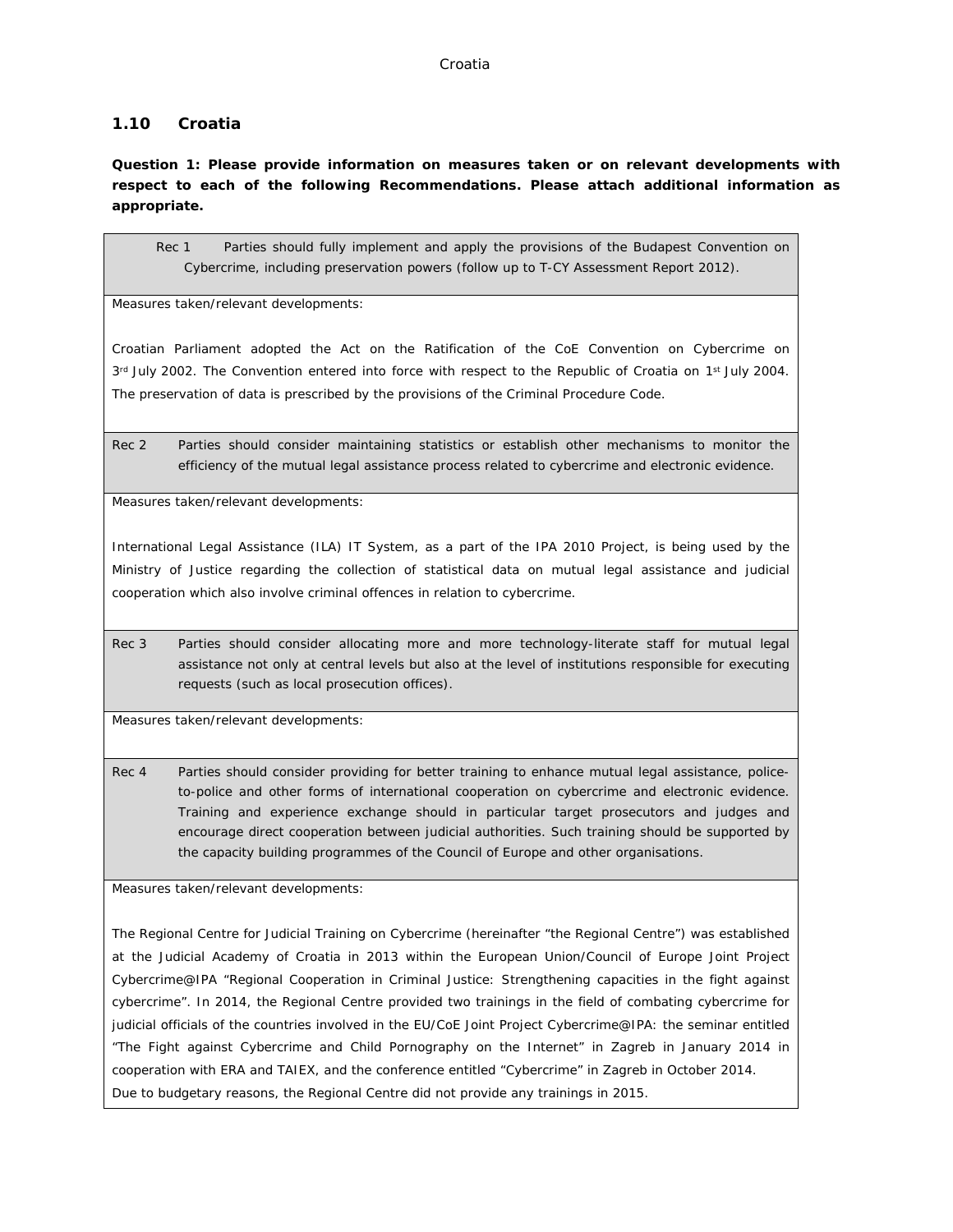### **1.10 Croatia**

**Question 1: Please provide information on measures taken or on relevant developments with respect to each of the following Recommendations. Please attach additional information as appropriate.**

Rec 1 Parties should fully implement and apply the provisions of the Budapest Convention on Cybercrime, including preservation powers (follow up to T-CY Assessment Report 2012).

Measures taken/relevant developments:

Croatian Parliament adopted the Act on the Ratification of the CoE Convention on Cybercrime on 3<sup>rd</sup> July 2002. The Convention entered into force with respect to the Republic of Croatia on 1<sup>st</sup> July 2004. The preservation of data is prescribed by the provisions of the Criminal Procedure Code.

Rec 2 Parties should consider maintaining statistics or establish other mechanisms to monitor the efficiency of the mutual legal assistance process related to cybercrime and electronic evidence.

Measures taken/relevant developments:

International Legal Assistance (ILA) IT System, as a part of the IPA 2010 Project, is being used by the Ministry of Justice regarding the collection of statistical data on mutual legal assistance and judicial cooperation which also involve criminal offences in relation to cybercrime.

Rec 3 Parties should consider allocating more and more technology-literate staff for mutual legal assistance not only at central levels but also at the level of institutions responsible for executing requests (such as local prosecution offices).

Measures taken/relevant developments:

Rec 4 Parties should consider providing for better training to enhance mutual legal assistance, policeto-police and other forms of international cooperation on cybercrime and electronic evidence. Training and experience exchange should in particular target prosecutors and judges and encourage direct cooperation between judicial authorities. Such training should be supported by the capacity building programmes of the Council of Europe and other organisations.

Measures taken/relevant developments:

The Regional Centre for Judicial Training on Cybercrime (hereinafter "the Regional Centre") was established at the Judicial Academy of Croatia in 2013 within the European Union/Council of Europe Joint Project Cybercrime@IPA "Regional Cooperation in Criminal Justice: Strengthening capacities in the fight against cybercrime". In 2014, the Regional Centre provided two trainings in the field of combating cybercrime for judicial officials of the countries involved in the EU/CoE Joint Project Cybercrime@IPA: the seminar entitled "The Fight against Cybercrime and Child Pornography on the Internet" in Zagreb in January 2014 in cooperation with ERA and TAIEX, and the conference entitled "Cybercrime" in Zagreb in October 2014. Due to budgetary reasons, the Regional Centre did not provide any trainings in 2015.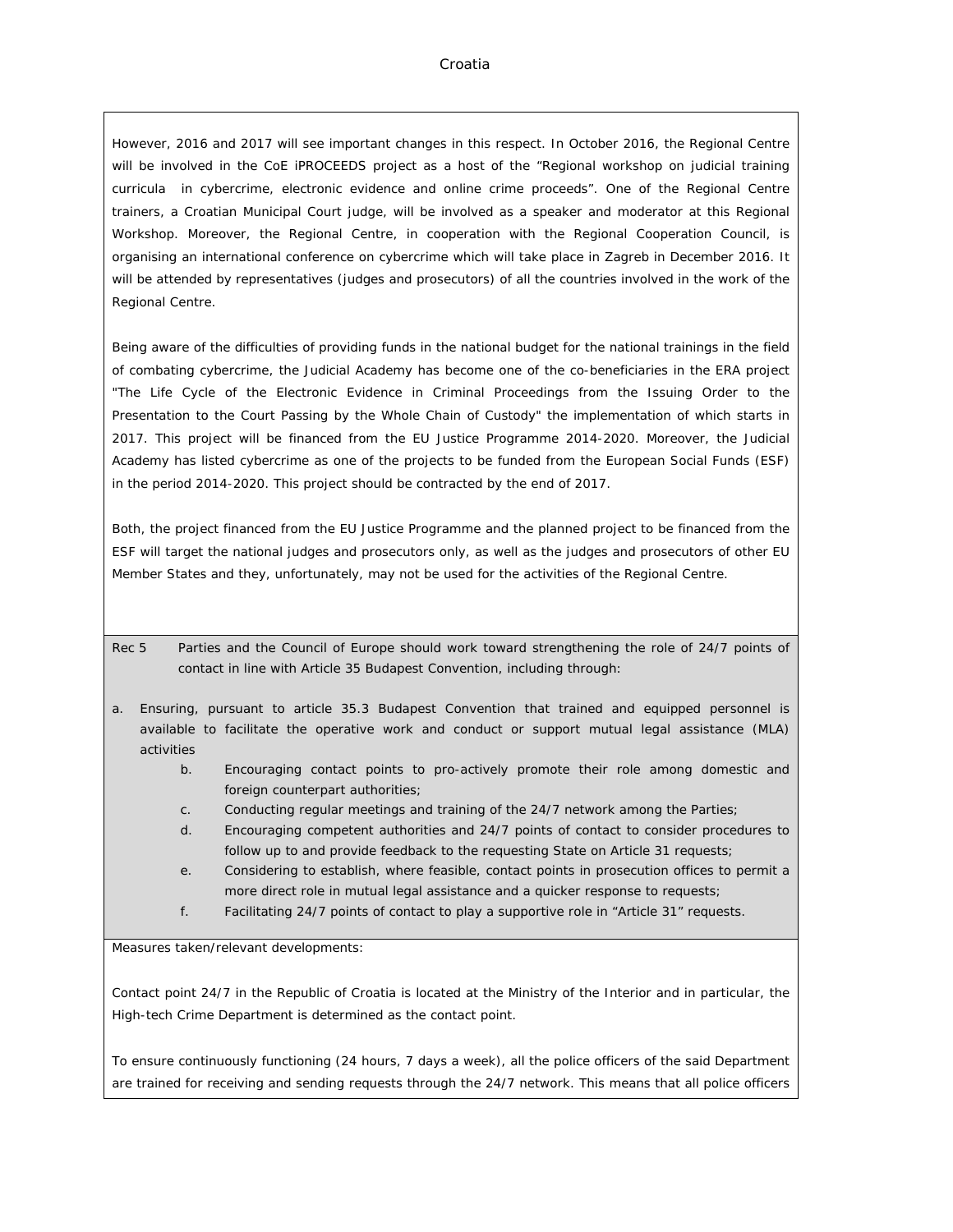However, 2016 and 2017 will see important changes in this respect. In October 2016, the Regional Centre will be involved in the CoE iPROCEEDS project as a host of the "Regional workshop on judicial training curricula in cybercrime, electronic evidence and online crime proceeds". One of the Regional Centre trainers, a Croatian Municipal Court judge, will be involved as a speaker and moderator at this Regional Workshop. Moreover, the Regional Centre, in cooperation with the Regional Cooperation Council, is organising an international conference on cybercrime which will take place in Zagreb in December 2016. It will be attended by representatives (judges and prosecutors) of all the countries involved in the work of the Regional Centre.

Being aware of the difficulties of providing funds in the national budget for the national trainings in the field of combating cybercrime, the Judicial Academy has become one of the co-beneficiaries in the ERA project "The Life Cycle of the Electronic Evidence in Criminal Proceedings from the Issuing Order to the Presentation to the Court Passing by the Whole Chain of Custody" the implementation of which starts in 2017. This project will be financed from the EU Justice Programme 2014-2020. Moreover, the Judicial Academy has listed cybercrime as one of the projects to be funded from the European Social Funds (ESF) in the period 2014-2020. This project should be contracted by the end of 2017.

Both, the project financed from the EU Justice Programme and the planned project to be financed from the ESF will target the national judges and prosecutors only, as well as the judges and prosecutors of other EU Member States and they, unfortunately, may not be used for the activities of the Regional Centre.

- Rec 5 Parties and the Council of Europe should work toward strengthening the role of 24/7 points of contact in line with Article 35 Budapest Convention, including through:
- a. Ensuring, pursuant to article 35.3 Budapest Convention that trained and equipped personnel is available to facilitate the operative work and conduct or support mutual legal assistance (MLA) activities
	- b. Encouraging contact points to pro-actively promote their role among domestic and foreign counterpart authorities;
	- c. Conducting regular meetings and training of the 24/7 network among the Parties;
	- d. Encouraging competent authorities and 24/7 points of contact to consider procedures to follow up to and provide feedback to the requesting State on Article 31 requests;
	- e. Considering to establish, where feasible, contact points in prosecution offices to permit a more direct role in mutual legal assistance and a quicker response to requests;
	- f. Facilitating 24/7 points of contact to play a supportive role in "Article 31" requests.

Measures taken/relevant developments:

Contact point 24/7 in the Republic of Croatia is located at the Ministry of the Interior and in particular, the High-tech Crime Department is determined as the contact point.

To ensure continuously functioning (24 hours, 7 days a week), all the police officers of the said Department are trained for receiving and sending requests through the 24/7 network. This means that all police officers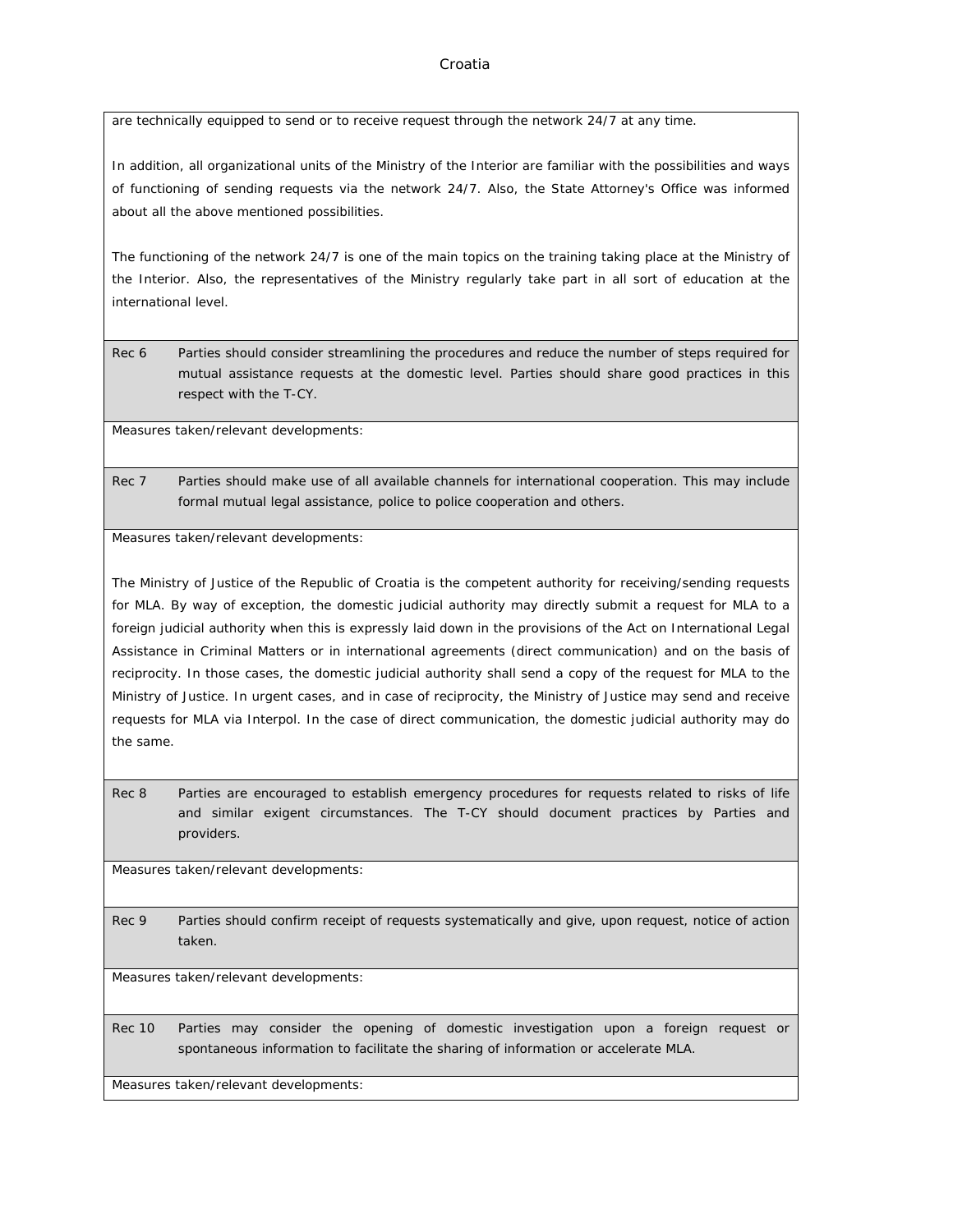are technically equipped to send or to receive request through the network 24/7 at any time.

In addition, all organizational units of the Ministry of the Interior are familiar with the possibilities and ways of functioning of sending requests via the network 24/7. Also, the State Attorney's Office was informed about all the above mentioned possibilities.

The functioning of the network 24/7 is one of the main topics on the training taking place at the Ministry of the Interior. Also, the representatives of the Ministry regularly take part in all sort of education at the international level.

Rec 6 Parties should consider streamlining the procedures and reduce the number of steps required for mutual assistance requests at the domestic level. Parties should share good practices in this respect with the T-CY.

Measures taken/relevant developments:

Rec 7 Parties should make use of all available channels for international cooperation. This may include formal mutual legal assistance, police to police cooperation and others.

Measures taken/relevant developments:

The Ministry of Justice of the Republic of Croatia is the competent authority for receiving/sending requests for MLA. By way of exception, the domestic judicial authority may directly submit a request for MLA to a foreign judicial authority when this is expressly laid down in the provisions of the Act on International Legal Assistance in Criminal Matters or in international agreements (direct communication) and on the basis of reciprocity. In those cases, the domestic judicial authority shall send a copy of the request for MLA to the Ministry of Justice. In urgent cases, and in case of reciprocity, the Ministry of Justice may send and receive requests for MLA via Interpol. In the case of direct communication, the domestic judicial authority may do the same.

Rec 8 Parties are encouraged to establish emergency procedures for requests related to risks of life and similar exigent circumstances. The T-CY should document practices by Parties and providers.

Measures taken/relevant developments:

Rec 9 Parties should confirm receipt of requests systematically and give, upon request, notice of action taken.

Measures taken/relevant developments:

Rec 10 Parties may consider the opening of domestic investigation upon a foreign request or spontaneous information to facilitate the sharing of information or accelerate MLA.

Measures taken/relevant developments: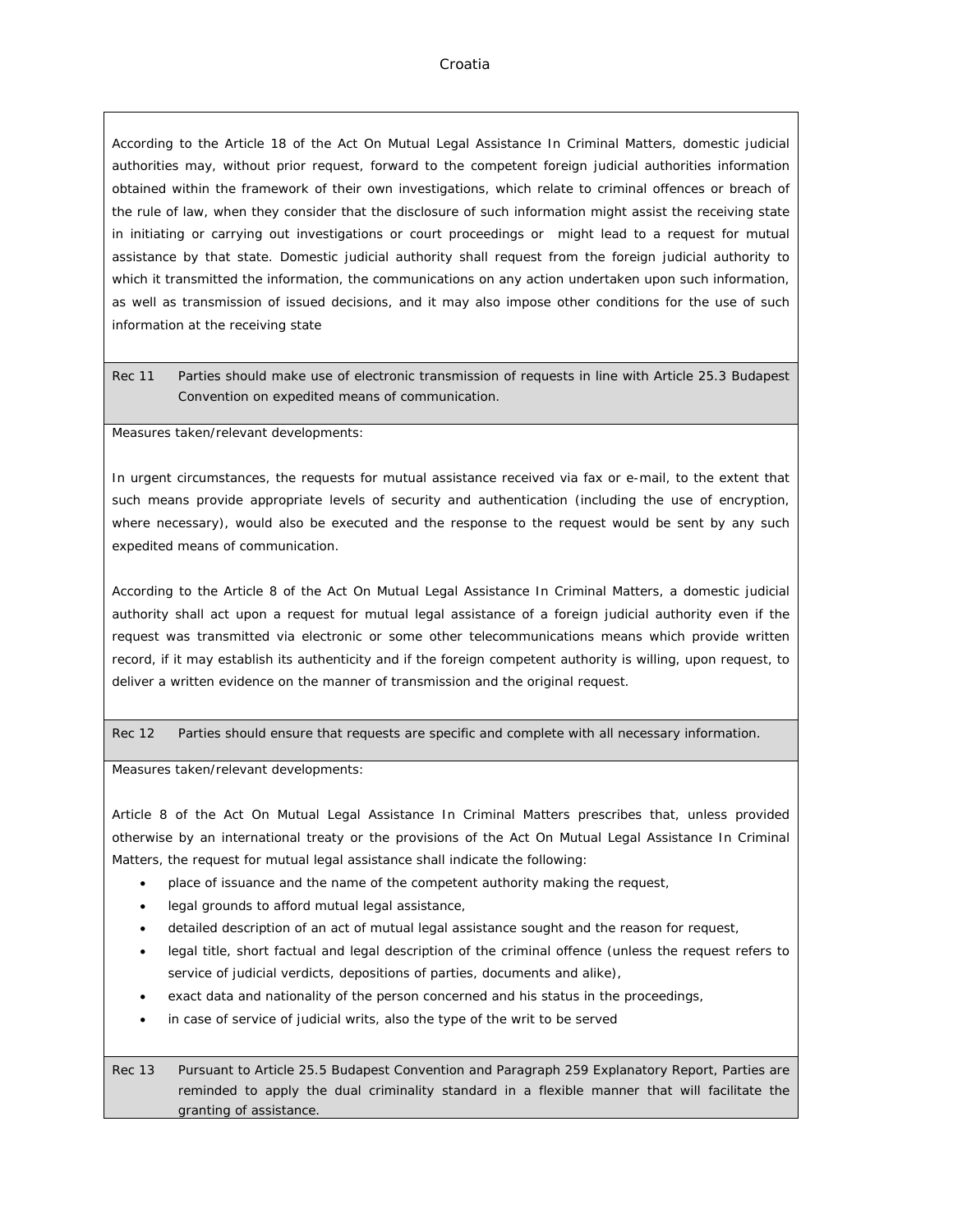According to the Article 18 of the Act On Mutual Legal Assistance In Criminal Matters, domestic judicial authorities may, without prior request, forward to the competent foreign judicial authorities information obtained within the framework of their own investigations, which relate to criminal offences or breach of the rule of law, when they consider that the disclosure of such information might assist the receiving state in initiating or carrying out investigations or court proceedings or might lead to a request for mutual assistance by that state. Domestic judicial authority shall request from the foreign judicial authority to which it transmitted the information, the communications on any action undertaken upon such information, as well as transmission of issued decisions, and it may also impose other conditions for the use of such information at the receiving state

Rec 11 Parties should make use of electronic transmission of requests in line with Article 25.3 Budapest Convention on expedited means of communication.

Measures taken/relevant developments:

In urgent circumstances, the requests for mutual assistance received via fax or e-mail, to the extent that such means provide appropriate levels of security and authentication (including the use of encryption, where necessary), would also be executed and the response to the request would be sent by any such expedited means of communication.

According to the Article 8 of the Act On Mutual Legal Assistance In Criminal Matters, a domestic judicial authority shall act upon a request for mutual legal assistance of a foreign judicial authority even if the request was transmitted via electronic or some other telecommunications means which provide written record, if it may establish its authenticity and if the foreign competent authority is willing, upon request, to deliver a written evidence on the manner of transmission and the original request.

Rec 12 Parties should ensure that requests are specific and complete with all necessary information.

Measures taken/relevant developments:

Article 8 of the Act On Mutual Legal Assistance In Criminal Matters prescribes that, unless provided otherwise by an international treaty or the provisions of the Act On Mutual Legal Assistance In Criminal Matters, the request for mutual legal assistance shall indicate the following:

- place of issuance and the name of the competent authority making the request,
- legal grounds to afford mutual legal assistance,
- detailed description of an act of mutual legal assistance sought and the reason for request,
- legal title, short factual and legal description of the criminal offence (unless the request refers to service of judicial verdicts, depositions of parties, documents and alike),
- exact data and nationality of the person concerned and his status in the proceedings,
- in case of service of judicial writs, also the type of the writ to be served

Rec 13 Pursuant to Article 25.5 Budapest Convention and Paragraph 259 Explanatory Report, Parties are reminded to apply the dual criminality standard in a flexible manner that will facilitate the granting of assistance.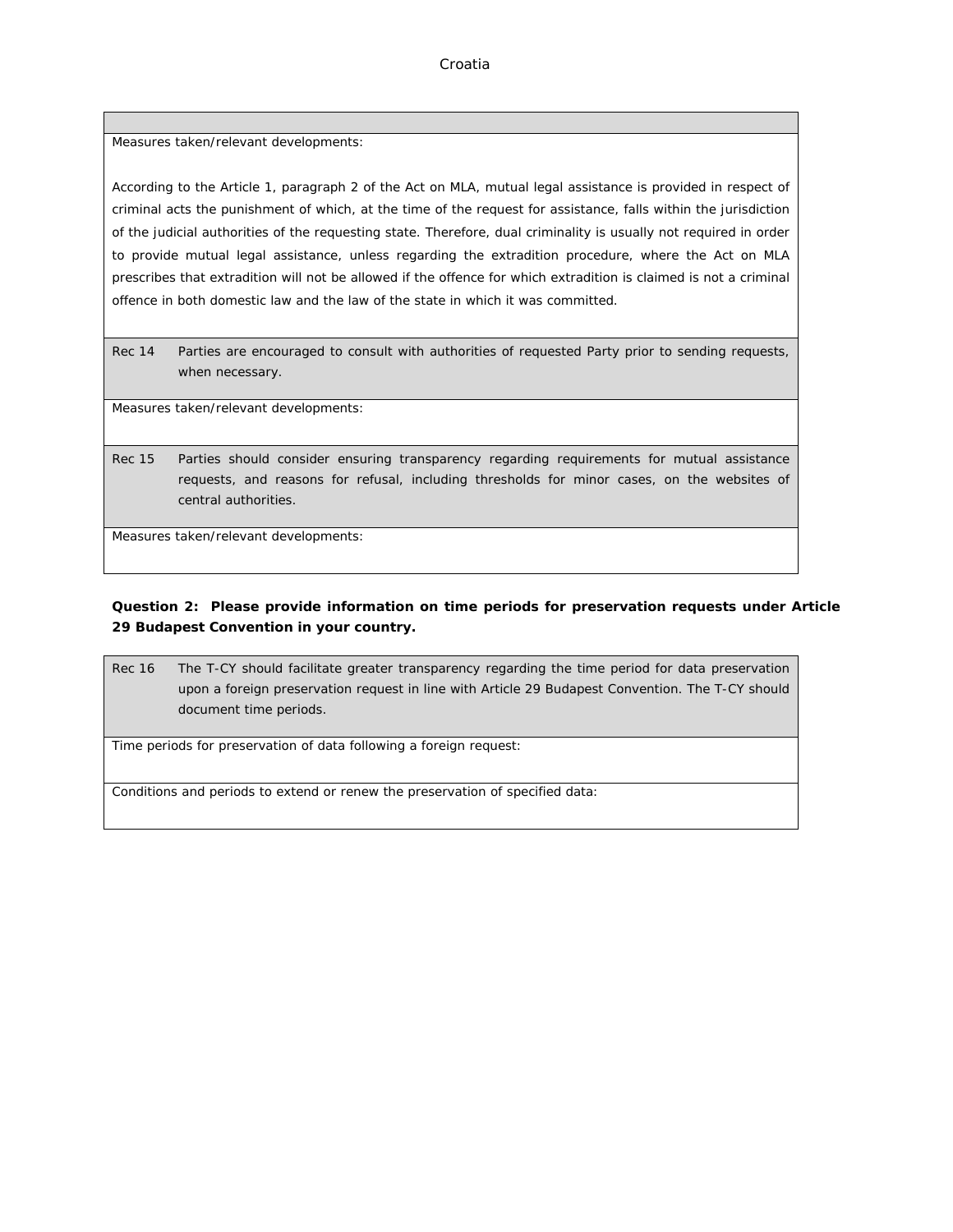Measures taken/relevant developments:

According to the Article 1, paragraph 2 of the Act on MLA, mutual legal assistance is provided in respect of criminal acts the punishment of which, at the time of the request for assistance, falls within the jurisdiction of the judicial authorities of the requesting state. Therefore, dual criminality is usually not required in order to provide mutual legal assistance, unless regarding the extradition procedure, where the Act on MLA prescribes that extradition will not be allowed if the offence for which extradition is claimed is not a criminal offence in both domestic law and the law of the state in which it was committed.

Rec 14 Parties are encouraged to consult with authorities of requested Party prior to sending requests, when necessary.

Measures taken/relevant developments:

Rec 15 Parties should consider ensuring transparency regarding requirements for mutual assistance requests, and reasons for refusal, including thresholds for minor cases, on the websites of central authorities.

Measures taken/relevant developments:

**Question 2: Please provide information on time periods for preservation requests under Article 29 Budapest Convention in your country.**

Rec 16 The T-CY should facilitate greater transparency regarding the time period for data preservation upon a foreign preservation request in line with Article 29 Budapest Convention. The T-CY should document time periods.

Time periods for preservation of data following a foreign request:

Conditions and periods to extend or renew the preservation of specified data: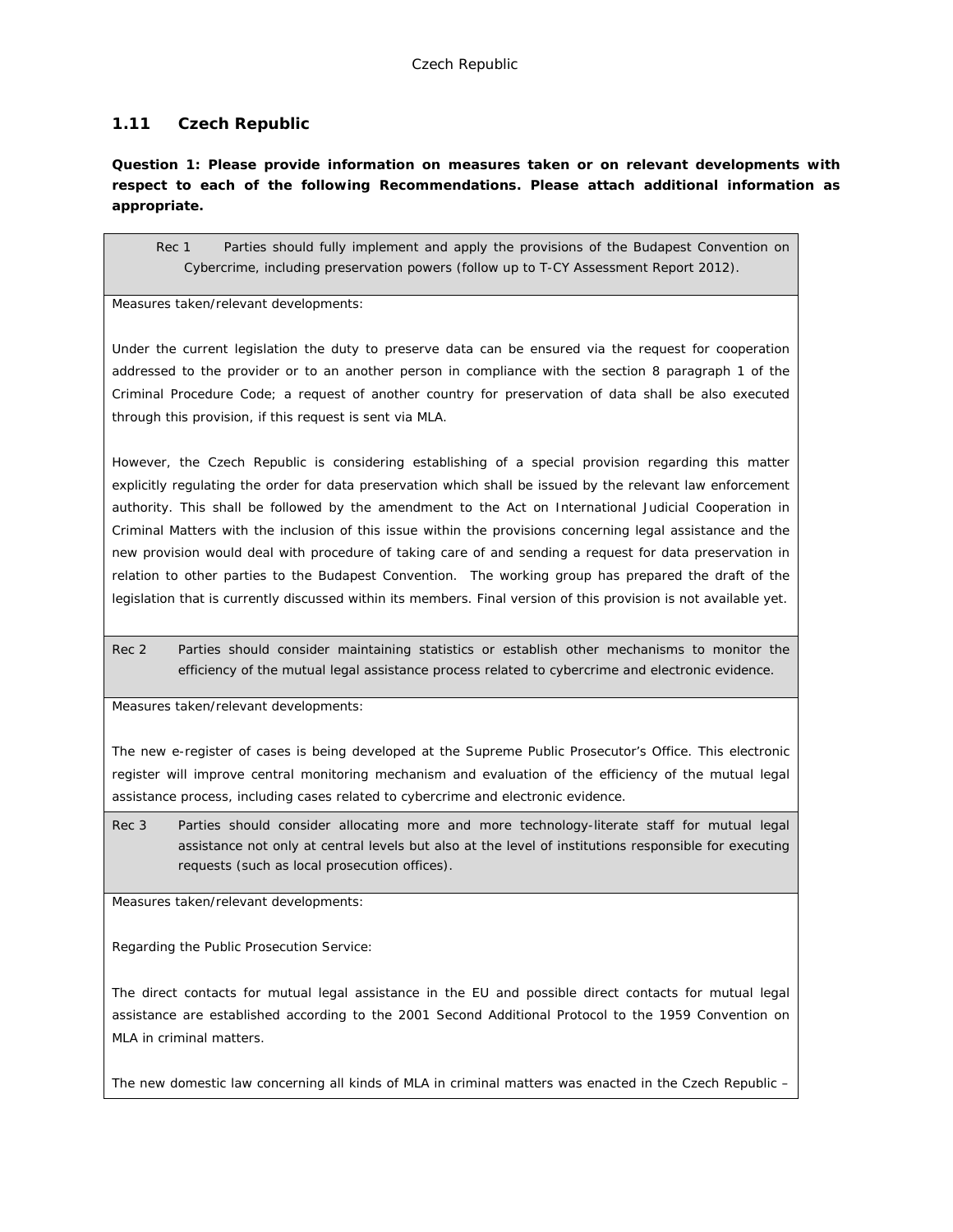# **1.11 Czech Republic**

**Question 1: Please provide information on measures taken or on relevant developments with respect to each of the following Recommendations. Please attach additional information as appropriate.**

Rec 1 Parties should fully implement and apply the provisions of the Budapest Convention on Cybercrime, including preservation powers (follow up to T-CY Assessment Report 2012).

Measures taken/relevant developments:

Under the current legislation the duty to preserve data can be ensured via the request for cooperation addressed to the provider or to an another person in compliance with the section 8 paragraph 1 of the Criminal Procedure Code; a request of another country for preservation of data shall be also executed through this provision, if this request is sent via MLA.

However, the Czech Republic is considering establishing of a special provision regarding this matter explicitly regulating the order for data preservation which shall be issued by the relevant law enforcement authority. This shall be followed by the amendment to the Act on International Judicial Cooperation in Criminal Matters with the inclusion of this issue within the provisions concerning legal assistance and the new provision would deal with procedure of taking care of and sending a request for data preservation in relation to other parties to the Budapest Convention. The working group has prepared the draft of the legislation that is currently discussed within its members. Final version of this provision is not available yet.

Rec 2 Parties should consider maintaining statistics or establish other mechanisms to monitor the efficiency of the mutual legal assistance process related to cybercrime and electronic evidence.

Measures taken/relevant developments:

The new e-register of cases is being developed at the Supreme Public Prosecutor's Office. This electronic register will improve central monitoring mechanism and evaluation of the efficiency of the mutual legal assistance process, including cases related to cybercrime and electronic evidence.

Rec 3 Parties should consider allocating more and more technology-literate staff for mutual legal assistance not only at central levels but also at the level of institutions responsible for executing requests (such as local prosecution offices).

Measures taken/relevant developments:

Regarding the Public Prosecution Service:

The direct contacts for mutual legal assistance in the EU and possible direct contacts for mutual legal assistance are established according to the 2001 Second Additional Protocol to the 1959 Convention on MLA in criminal matters.

The new domestic law concerning all kinds of MLA in criminal matters was enacted in the Czech Republic –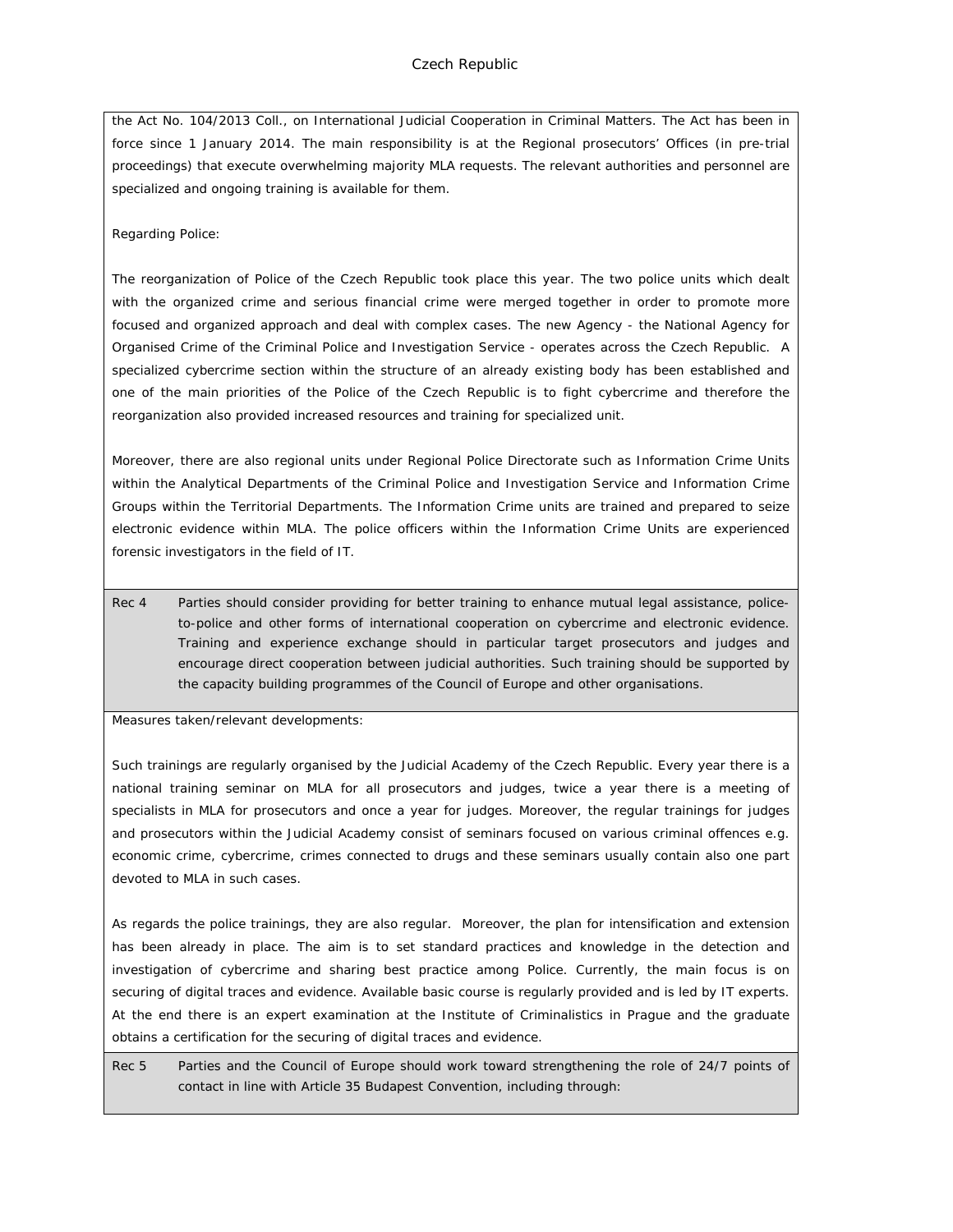the Act No. 104/2013 Coll., on International Judicial Cooperation in Criminal Matters. The Act has been in force since 1 January 2014. The main responsibility is at the Regional prosecutors' Offices (in pre-trial proceedings) that execute overwhelming majority MLA requests. The relevant authorities and personnel are specialized and ongoing training is available for them.

#### Regarding Police:

The reorganization of Police of the Czech Republic took place this year. The two police units which dealt with the organized crime and serious financial crime were merged together in order to promote more focused and organized approach and deal with complex cases. The new Agency - the National Agency for Organised Crime of the Criminal Police and Investigation Service - operates across the Czech Republic. A specialized cybercrime section within the structure of an already existing body has been established and one of the main priorities of the Police of the Czech Republic is to fight cybercrime and therefore the reorganization also provided increased resources and training for specialized unit.

Moreover, there are also regional units under Regional Police Directorate such as Information Crime Units within the Analytical Departments of the Criminal Police and Investigation Service and Information Crime Groups within the Territorial Departments. The Information Crime units are trained and prepared to seize electronic evidence within MLA. The police officers within the Information Crime Units are experienced forensic investigators in the field of IT.

Rec 4 Parties should consider providing for better training to enhance mutual legal assistance, policeto-police and other forms of international cooperation on cybercrime and electronic evidence. Training and experience exchange should in particular target prosecutors and judges and encourage direct cooperation between judicial authorities. Such training should be supported by the capacity building programmes of the Council of Europe and other organisations.

Measures taken/relevant developments:

Such trainings are regularly organised by the Judicial Academy of the Czech Republic. Every year there is a national training seminar on MLA for all prosecutors and judges, twice a year there is a meeting of specialists in MLA for prosecutors and once a year for judges. Moreover, the regular trainings for judges and prosecutors within the Judicial Academy consist of seminars focused on various criminal offences e.g. economic crime, cybercrime, crimes connected to drugs and these seminars usually contain also one part devoted to MLA in such cases.

As regards the police trainings, they are also regular. Moreover, the plan for intensification and extension has been already in place. The aim is to set standard practices and knowledge in the detection and investigation of cybercrime and sharing best practice among Police. Currently, the main focus is on securing of digital traces and evidence. Available basic course is regularly provided and is led by IT experts. At the end there is an expert examination at the Institute of Criminalistics in Prague and the graduate obtains a certification for the securing of digital traces and evidence.

Rec 5 Parties and the Council of Europe should work toward strengthening the role of 24/7 points of contact in line with Article 35 Budapest Convention, including through: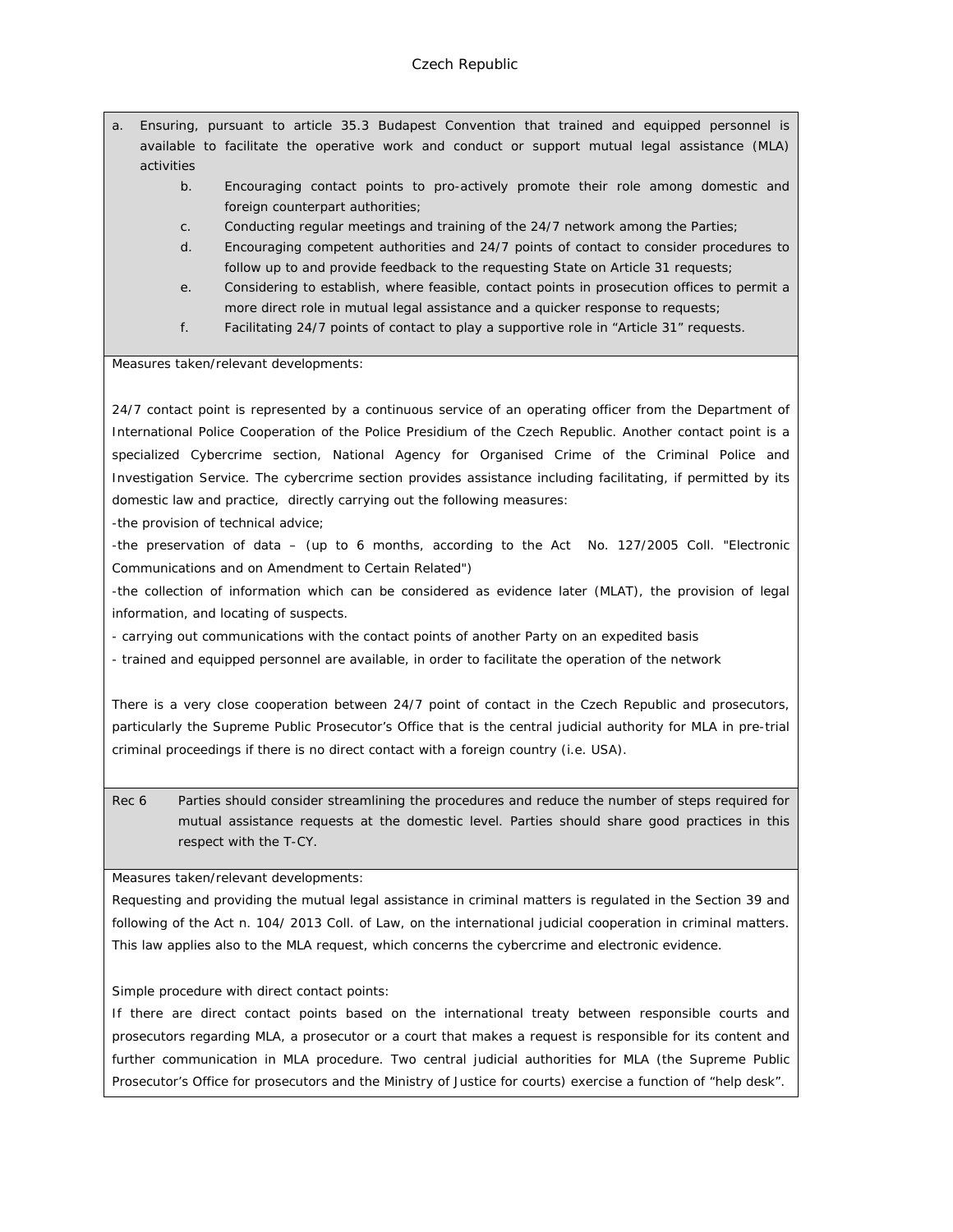- a. Ensuring, pursuant to article 35.3 Budapest Convention that trained and equipped personnel is available to facilitate the operative work and conduct or support mutual legal assistance (MLA) activities
	- b. Encouraging contact points to pro-actively promote their role among domestic and foreign counterpart authorities;
	- c. Conducting regular meetings and training of the 24/7 network among the Parties;
	- d. Encouraging competent authorities and 24/7 points of contact to consider procedures to follow up to and provide feedback to the requesting State on Article 31 requests;
	- e. Considering to establish, where feasible, contact points in prosecution offices to permit a more direct role in mutual legal assistance and a quicker response to requests;
	- f. Facilitating 24/7 points of contact to play a supportive role in "Article 31" requests.

Measures taken/relevant developments:

24/7 contact point is represented by a continuous service of an operating officer from the Department of International Police Cooperation of the Police Presidium of the Czech Republic. Another contact point is a specialized Cybercrime section, National Agency for Organised Crime of the Criminal Police and Investigation Service. The cybercrime section provides assistance including facilitating, if permitted by its domestic law and practice, directly carrying out the following measures:

-the provision of technical advice;

-the preservation of data – (up to 6 months, according to the Act No. 127/2005 Coll. "Electronic Communications and on Amendment to Certain Related")

-the collection of information which can be considered as evidence later (MLAT), the provision of legal information, and locating of suspects.

- carrying out communications with the contact points of another Party on an expedited basis

- trained and equipped personnel are available, in order to facilitate the operation of the network

There is a very close cooperation between 24/7 point of contact in the Czech Republic and prosecutors, particularly the Supreme Public Prosecutor's Office that is the central judicial authority for MLA in pre-trial criminal proceedings if there is no direct contact with a foreign country (i.e. USA).

Rec 6 Parties should consider streamlining the procedures and reduce the number of steps required for mutual assistance requests at the domestic level. Parties should share good practices in this respect with the T-CY.

Measures taken/relevant developments:

Requesting and providing the mutual legal assistance in criminal matters is regulated in the Section 39 and following of the Act n. 104/ 2013 Coll. of Law, on the international judicial cooperation in criminal matters. This law applies also to the MLA request, which concerns the cybercrime and electronic evidence.

Simple procedure with direct contact points:

If there are direct contact points based on the international treaty between responsible courts and prosecutors regarding MLA, a prosecutor or a court that makes a request is responsible for its content and further communication in MLA procedure. Two central judicial authorities for MLA (the Supreme Public Prosecutor's Office for prosecutors and the Ministry of Justice for courts) exercise a function of "help desk".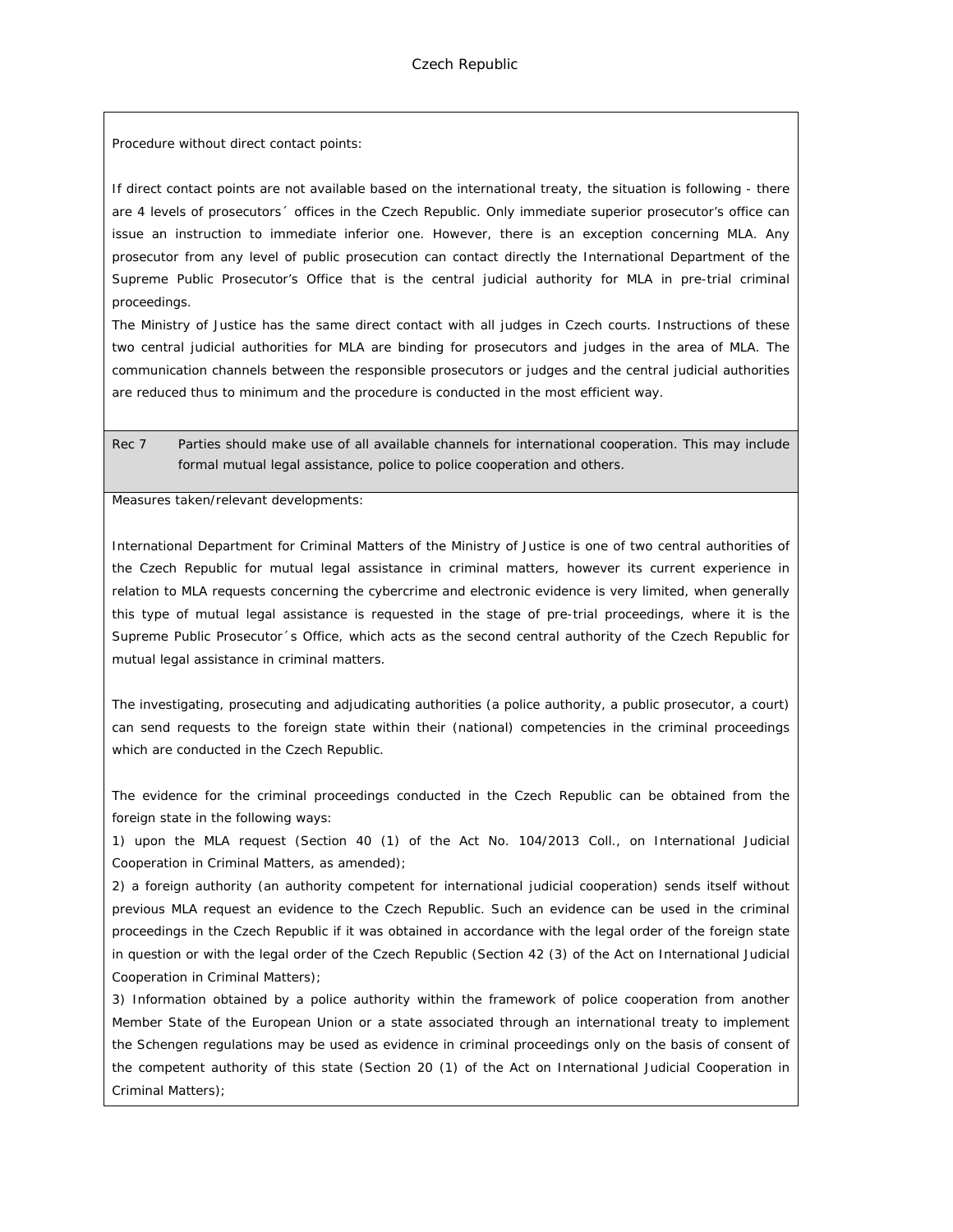Procedure without direct contact points:

If direct contact points are not available based on the international treaty, the situation is following - there are 4 levels of prosecutors´ offices in the Czech Republic. Only immediate superior prosecutor's office can issue an instruction to immediate inferior one. However, there is an exception concerning MLA. Any prosecutor from any level of public prosecution can contact directly the International Department of the Supreme Public Prosecutor's Office that is the central judicial authority for MLA in pre-trial criminal proceedings.

The Ministry of Justice has the same direct contact with all judges in Czech courts. Instructions of these two central judicial authorities for MLA are binding for prosecutors and judges in the area of MLA. The communication channels between the responsible prosecutors or judges and the central judicial authorities are reduced thus to minimum and the procedure is conducted in the most efficient way.

Rec 7 Parties should make use of all available channels for international cooperation. This may include formal mutual legal assistance, police to police cooperation and others.

Measures taken/relevant developments:

International Department for Criminal Matters of the Ministry of Justice is one of two central authorities of the Czech Republic for mutual legal assistance in criminal matters, however its current experience in relation to MLA requests concerning the cybercrime and electronic evidence is very limited, when generally this type of mutual legal assistance is requested in the stage of pre-trial proceedings, where it is the Supreme Public Prosecutor´s Office, which acts as the second central authority of the Czech Republic for mutual legal assistance in criminal matters.

The investigating, prosecuting and adjudicating authorities (a police authority, a public prosecutor, a court) can send requests to the foreign state within their (national) competencies in the criminal proceedings which are conducted in the Czech Republic.

The evidence for the criminal proceedings conducted in the Czech Republic can be obtained from the foreign state in the following ways:

1) upon the MLA request (Section 40 (1) of the Act No. 104/2013 Coll., on International Judicial Cooperation in Criminal Matters, as amended);

2) a foreign authority (an authority competent for international judicial cooperation) sends itself without previous MLA request an evidence to the Czech Republic. Such an evidence can be used in the criminal proceedings in the Czech Republic if it was obtained in accordance with the legal order of the foreign state in question or with the legal order of the Czech Republic (Section 42 (3) of the Act on International Judicial Cooperation in Criminal Matters);

3) Information obtained by a police authority within the framework of police cooperation from another Member State of the European Union or a state associated through an international treaty to implement the Schengen regulations may be used as evidence in criminal proceedings only on the basis of consent of the competent authority of this state (Section 20 (1) of the Act on International Judicial Cooperation in Criminal Matters);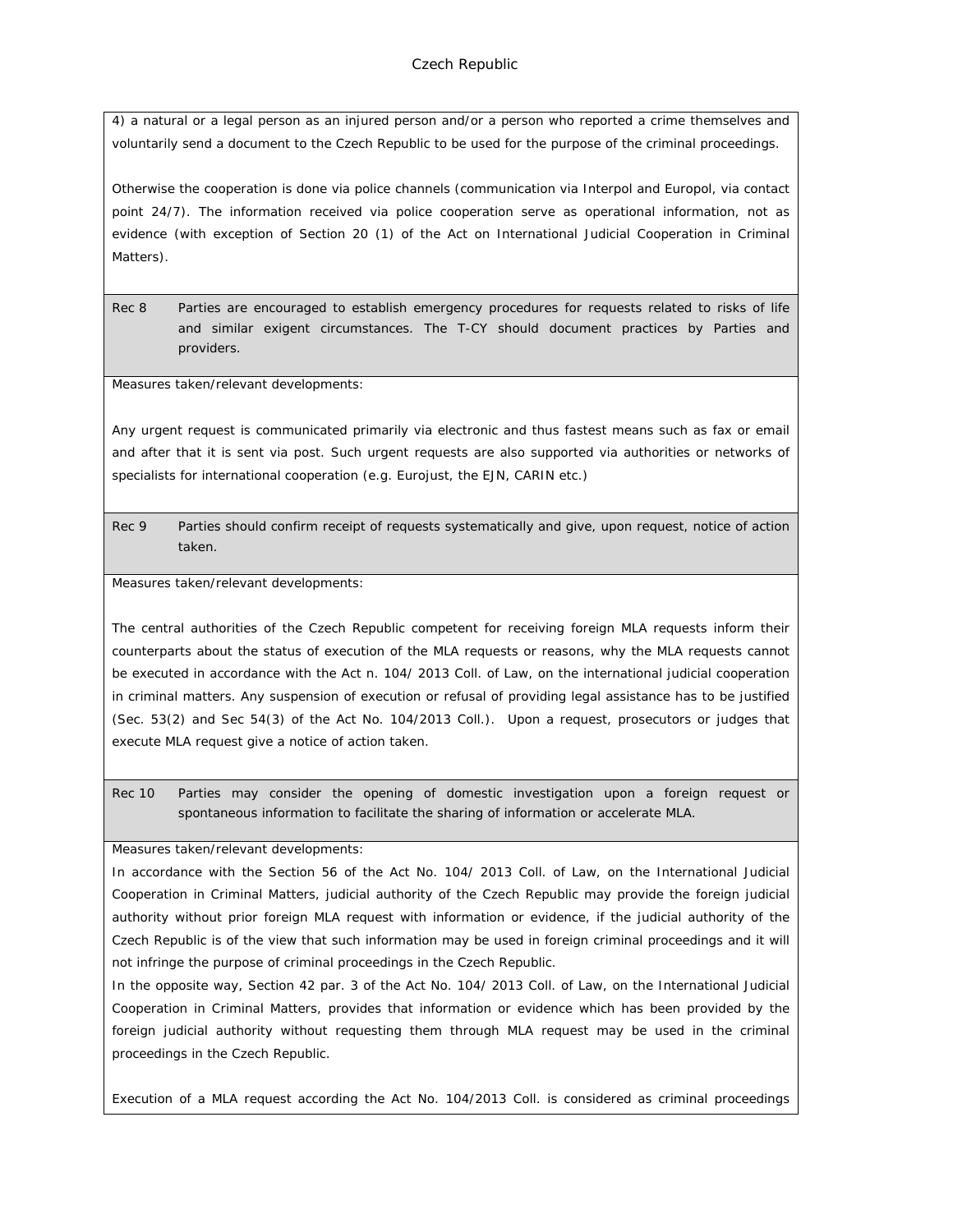4) a natural or a legal person as an injured person and/or a person who reported a crime themselves and voluntarily send a document to the Czech Republic to be used for the purpose of the criminal proceedings.

Otherwise the cooperation is done via police channels (communication via Interpol and Europol, via contact point 24/7). The information received via police cooperation serve as operational information, not as evidence (with exception of Section 20 (1) of the Act on International Judicial Cooperation in Criminal Matters).

Rec 8 Parties are encouraged to establish emergency procedures for requests related to risks of life and similar exigent circumstances. The T-CY should document practices by Parties and providers.

Measures taken/relevant developments:

Any urgent request is communicated primarily via electronic and thus fastest means such as fax or email and after that it is sent via post. Such urgent requests are also supported via authorities or networks of specialists for international cooperation (e.g. Eurojust, the EJN, CARIN etc.)

Rec 9 Parties should confirm receipt of requests systematically and give, upon request, notice of action taken.

Measures taken/relevant developments:

The central authorities of the Czech Republic competent for receiving foreign MLA requests inform their counterparts about the status of execution of the MLA requests or reasons, why the MLA requests cannot be executed in accordance with the Act n. 104/ 2013 Coll. of Law, on the international judicial cooperation in criminal matters. Any suspension of execution or refusal of providing legal assistance has to be justified (Sec. 53(2) and Sec 54(3) of the Act No. 104/2013 Coll.). Upon a request, prosecutors or judges that execute MLA request give a notice of action taken.

Rec 10 Parties may consider the opening of domestic investigation upon a foreign request or spontaneous information to facilitate the sharing of information or accelerate MLA.

Measures taken/relevant developments:

In accordance with the Section 56 of the Act No. 104/ 2013 Coll. of Law, on the International Judicial Cooperation in Criminal Matters, judicial authority of the Czech Republic may provide the foreign judicial authority without prior foreign MLA request with information or evidence, if the judicial authority of the Czech Republic is of the view that such information may be used in foreign criminal proceedings and it will not infringe the purpose of criminal proceedings in the Czech Republic.

In the opposite way, Section 42 par. 3 of the Act No. 104/ 2013 Coll. of Law, on the International Judicial Cooperation in Criminal Matters, provides that information or evidence which has been provided by the foreign judicial authority without requesting them through MLA request may be used in the criminal proceedings in the Czech Republic.

Execution of a MLA request according the Act No. 104/2013 Coll. is considered as criminal proceedings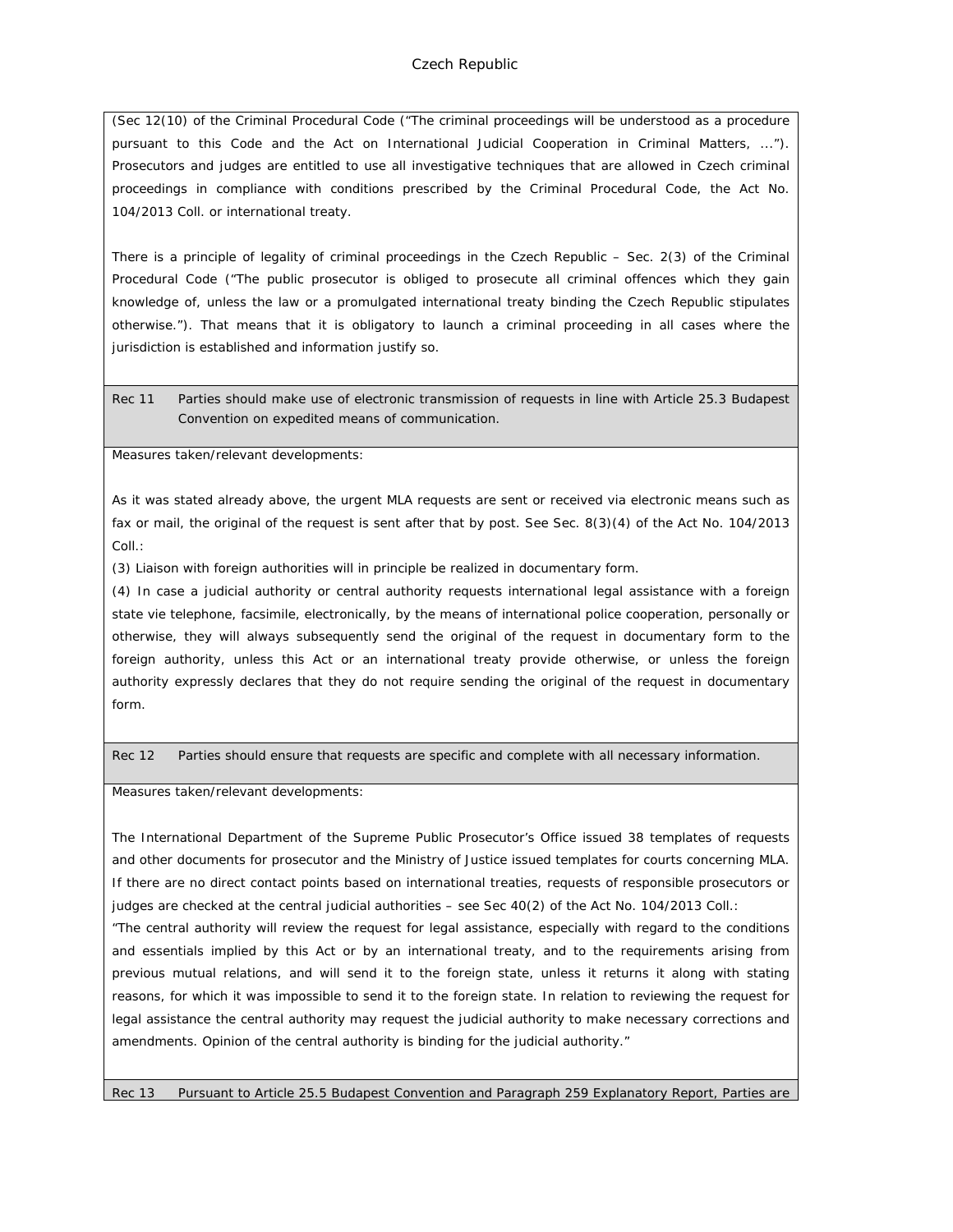(Sec 12(10) of the Criminal Procedural Code ("The criminal proceedings will be understood as a procedure pursuant to this Code and the Act on International Judicial Cooperation in Criminal Matters, ..."). Prosecutors and judges are entitled to use all investigative techniques that are allowed in Czech criminal proceedings in compliance with conditions prescribed by the Criminal Procedural Code, the Act No. 104/2013 Coll. or international treaty.

There is a principle of legality of criminal proceedings in the Czech Republic – Sec. 2(3) of the Criminal Procedural Code ("The public prosecutor is obliged to prosecute all criminal offences which they gain knowledge of, unless the law or a promulgated international treaty binding the Czech Republic stipulates otherwise."). That means that it is obligatory to launch a criminal proceeding in all cases where the jurisdiction is established and information justify so.

Rec 11 Parties should make use of electronic transmission of requests in line with Article 25.3 Budapest Convention on expedited means of communication.

Measures taken/relevant developments:

As it was stated already above, the urgent MLA requests are sent or received via electronic means such as fax or mail, the original of the request is sent after that by post. See Sec. 8(3)(4) of the Act No. 104/2013 Coll.:

(3) Liaison with foreign authorities will in principle be realized in documentary form.

(4) In case a judicial authority or central authority requests international legal assistance with a foreign state vie telephone, facsimile, electronically, by the means of international police cooperation, personally or otherwise, they will always subsequently send the original of the request in documentary form to the foreign authority, unless this Act or an international treaty provide otherwise, or unless the foreign authority expressly declares that they do not require sending the original of the request in documentary form.

Rec 12 Parties should ensure that requests are specific and complete with all necessary information.

Measures taken/relevant developments:

The International Department of the Supreme Public Prosecutor's Office issued 38 templates of requests and other documents for prosecutor and the Ministry of Justice issued templates for courts concerning MLA. If there are no direct contact points based on international treaties, requests of responsible prosecutors or judges are checked at the central judicial authorities – see Sec 40(2) of the Act No. 104/2013 Coll.:

"The central authority will review the request for legal assistance, especially with regard to the conditions and essentials implied by this Act or by an international treaty, and to the requirements arising from previous mutual relations, and will send it to the foreign state, unless it returns it along with stating reasons, for which it was impossible to send it to the foreign state. In relation to reviewing the request for legal assistance the central authority may request the judicial authority to make necessary corrections and amendments. Opinion of the central authority is binding for the judicial authority."

Rec 13 Pursuant to Article 25.5 Budapest Convention and Paragraph 259 Explanatory Report, Parties are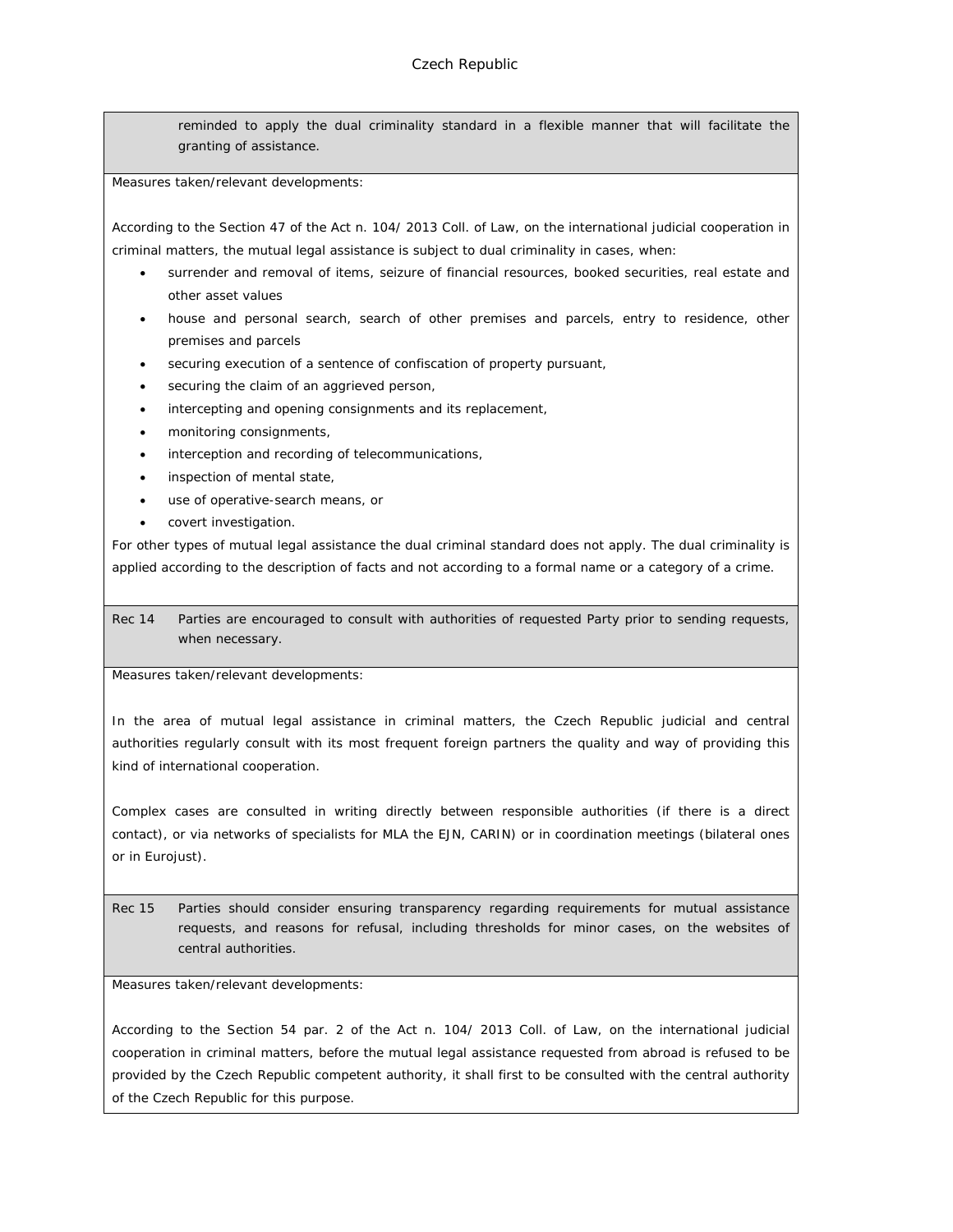reminded to apply the dual criminality standard in a flexible manner that will facilitate the granting of assistance.

Measures taken/relevant developments:

According to the Section 47 of the Act n. 104/ 2013 Coll. of Law, on the international judicial cooperation in criminal matters, the mutual legal assistance is subject to dual criminality in cases, when:

- surrender and removal of items, seizure of financial resources, booked securities, real estate and other asset values
- house and personal search, search of other premises and parcels, entry to residence, other premises and parcels
- securing execution of a sentence of confiscation of property pursuant,
- securing the claim of an aggrieved person,
- intercepting and opening consignments and its replacement,
- monitoring consignments,
- interception and recording of telecommunications,
- inspection of mental state,
- use of operative-search means, or
- covert investigation.

For other types of mutual legal assistance the dual criminal standard does not apply. The dual criminality is applied according to the description of facts and not according to a formal name or a category of a crime.

Rec 14 Parties are encouraged to consult with authorities of requested Party prior to sending requests, when necessary.

Measures taken/relevant developments:

In the area of mutual legal assistance in criminal matters, the Czech Republic judicial and central authorities regularly consult with its most frequent foreign partners the quality and way of providing this kind of international cooperation.

Complex cases are consulted in writing directly between responsible authorities (if there is a direct contact), or via networks of specialists for MLA the EJN, CARIN) or in coordination meetings (bilateral ones or in Eurojust).

Rec 15 Parties should consider ensuring transparency regarding requirements for mutual assistance requests, and reasons for refusal, including thresholds for minor cases, on the websites of central authorities.

Measures taken/relevant developments:

According to the Section 54 par. 2 of the Act n. 104/ 2013 Coll. of Law, on the international judicial cooperation in criminal matters, before the mutual legal assistance requested from abroad is refused to be provided by the Czech Republic competent authority, it shall first to be consulted with the central authority of the Czech Republic for this purpose.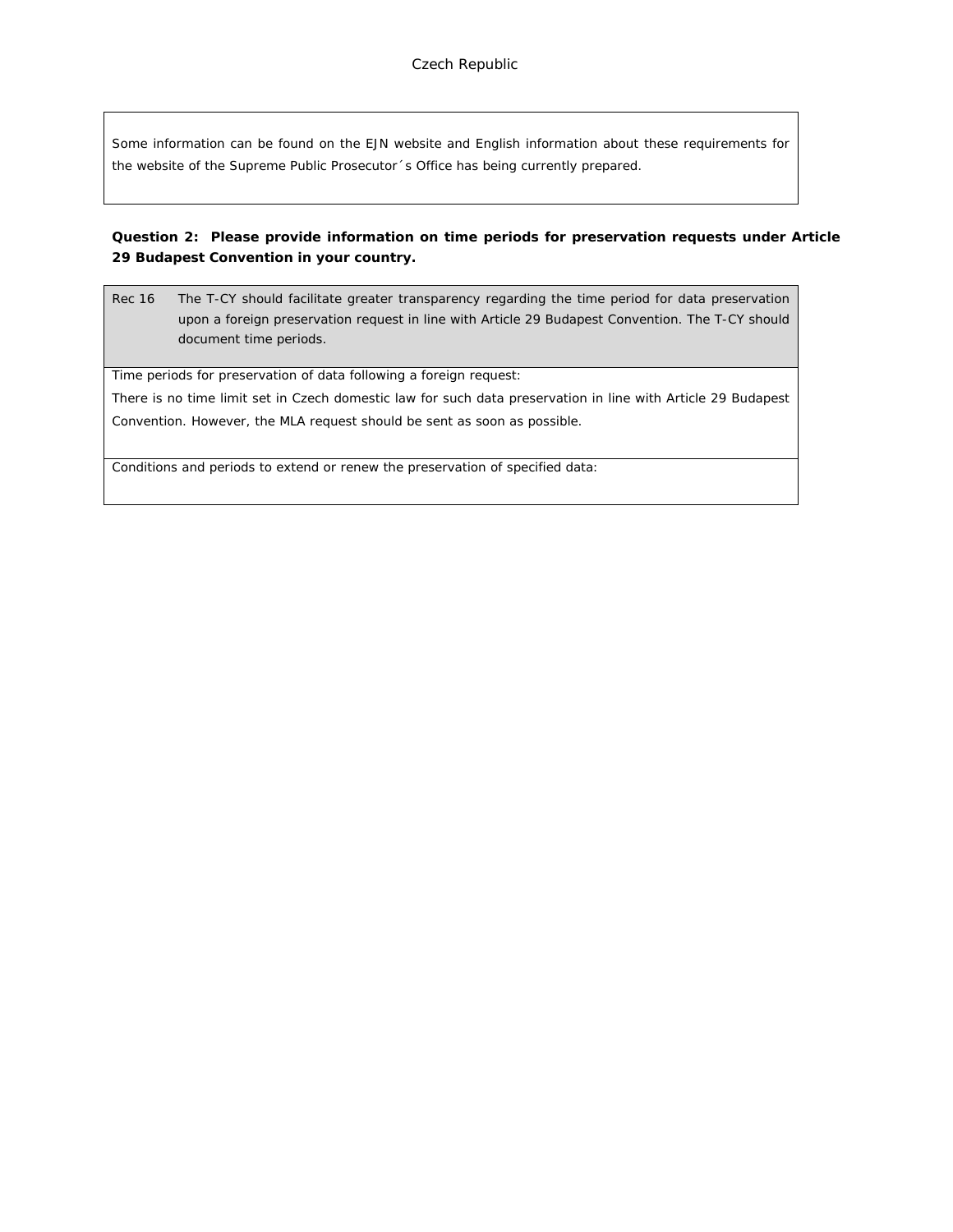Some information can be found on the EJN website and English information about these requirements for the website of the Supreme Public Prosecutor´s Office has being currently prepared.

**Question 2: Please provide information on time periods for preservation requests under Article 29 Budapest Convention in your country.**

Rec 16 The T-CY should facilitate greater transparency regarding the time period for data preservation upon a foreign preservation request in line with Article 29 Budapest Convention. The T-CY should document time periods.

Time periods for preservation of data following a foreign request:

There is no time limit set in Czech domestic law for such data preservation in line with Article 29 Budapest Convention. However, the MLA request should be sent as soon as possible.

Conditions and periods to extend or renew the preservation of specified data: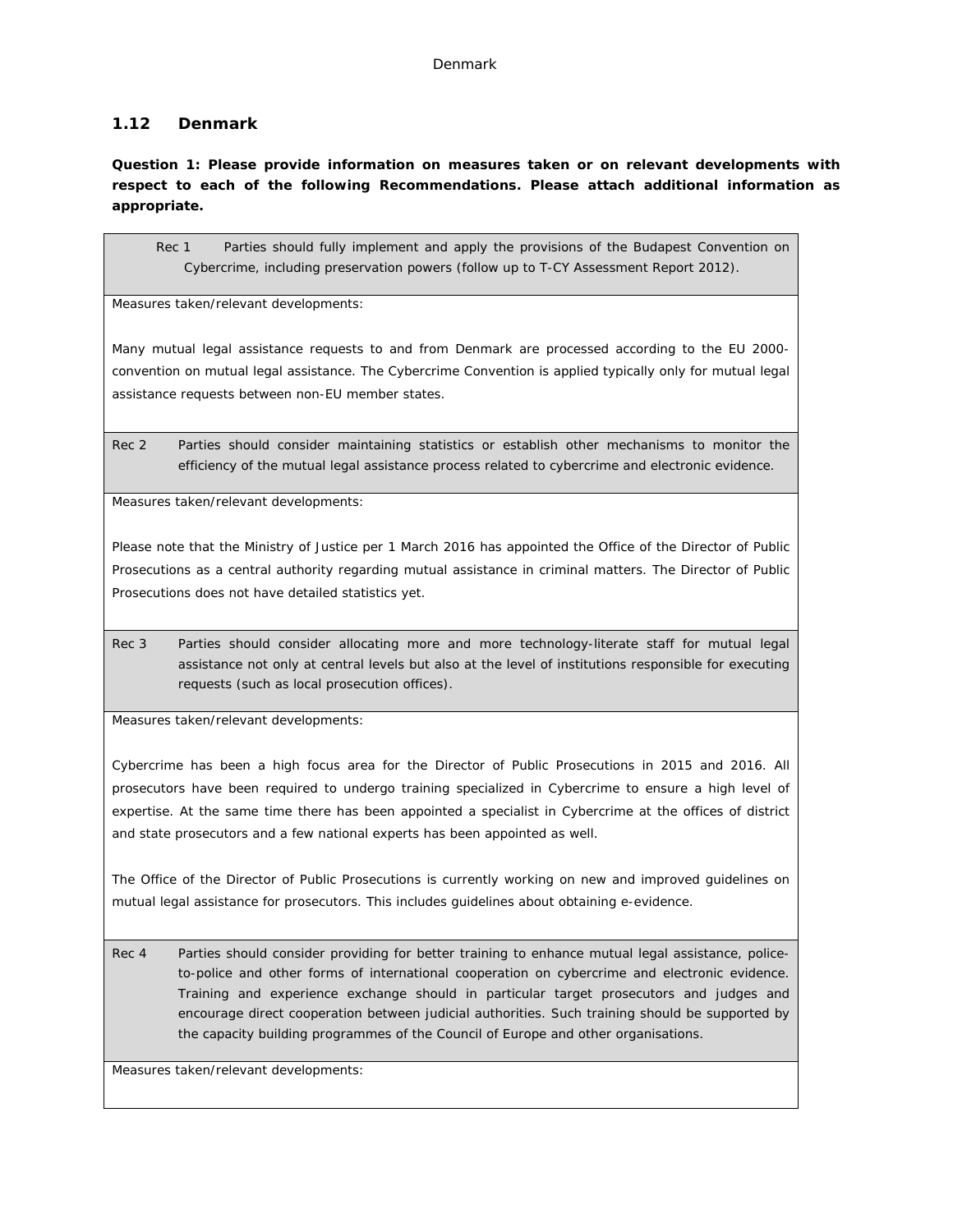## **1.12 Denmark**

**Question 1: Please provide information on measures taken or on relevant developments with respect to each of the following Recommendations. Please attach additional information as appropriate.**

Rec 1 Parties should fully implement and apply the provisions of the Budapest Convention on Cybercrime, including preservation powers (follow up to T-CY Assessment Report 2012).

Measures taken/relevant developments:

Many mutual legal assistance requests to and from Denmark are processed according to the EU 2000 convention on mutual legal assistance. The Cybercrime Convention is applied typically only for mutual legal assistance requests between non-EU member states.

Rec 2 Parties should consider maintaining statistics or establish other mechanisms to monitor the efficiency of the mutual legal assistance process related to cybercrime and electronic evidence.

Measures taken/relevant developments:

Please note that the Ministry of Justice per 1 March 2016 has appointed the Office of the Director of Public Prosecutions as a central authority regarding mutual assistance in criminal matters. The Director of Public Prosecutions does not have detailed statistics yet.

Rec 3 Parties should consider allocating more and more technology-literate staff for mutual legal assistance not only at central levels but also at the level of institutions responsible for executing requests (such as local prosecution offices).

Measures taken/relevant developments:

Cybercrime has been a high focus area for the Director of Public Prosecutions in 2015 and 2016. All prosecutors have been required to undergo training specialized in Cybercrime to ensure a high level of expertise. At the same time there has been appointed a specialist in Cybercrime at the offices of district and state prosecutors and a few national experts has been appointed as well.

The Office of the Director of Public Prosecutions is currently working on new and improved guidelines on mutual legal assistance for prosecutors. This includes guidelines about obtaining e-evidence.

Rec 4 Parties should consider providing for better training to enhance mutual legal assistance, policeto-police and other forms of international cooperation on cybercrime and electronic evidence. Training and experience exchange should in particular target prosecutors and judges and encourage direct cooperation between judicial authorities. Such training should be supported by the capacity building programmes of the Council of Europe and other organisations.

Measures taken/relevant developments: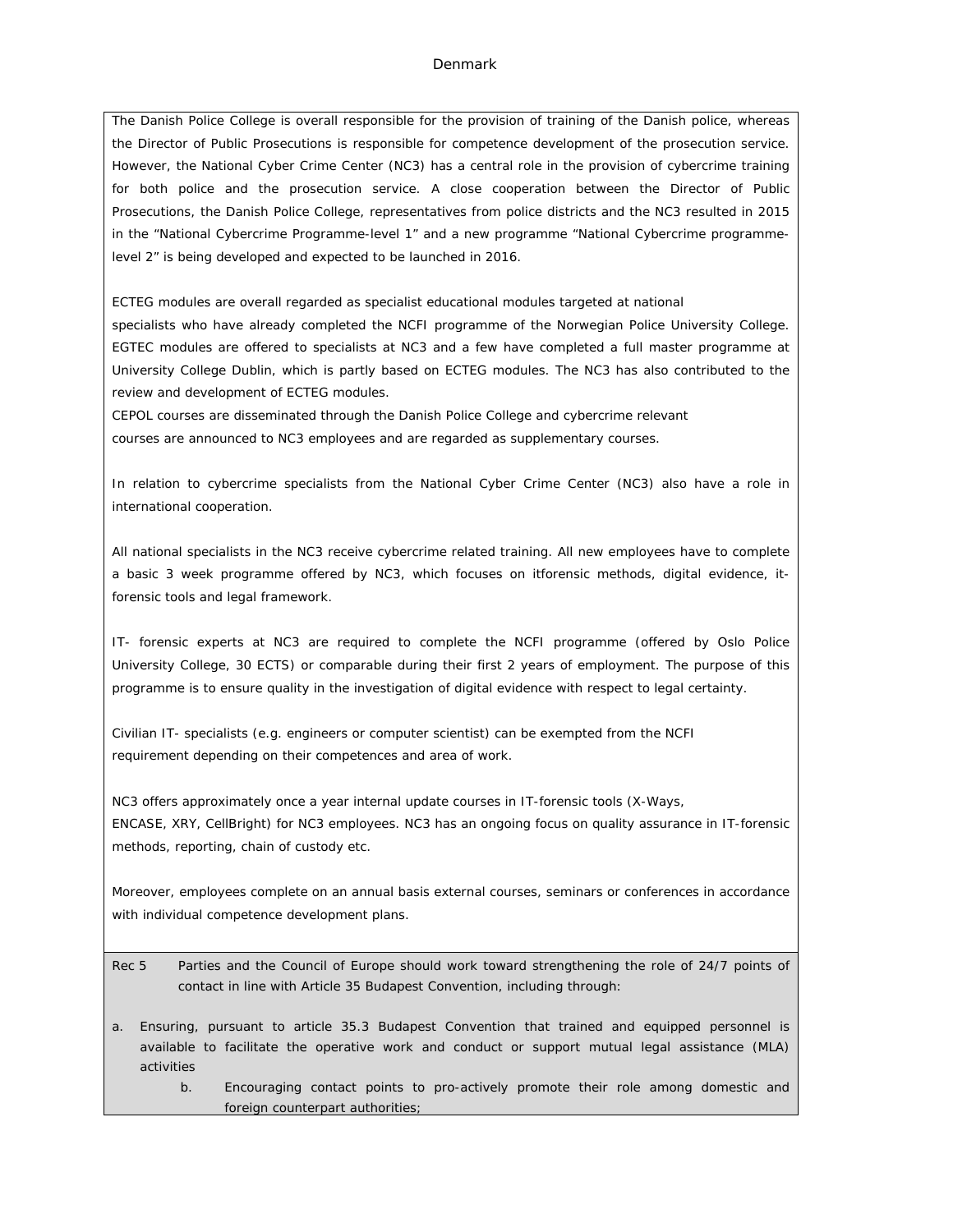The Danish Police College is overall responsible for the provision of training of the Danish police, whereas the Director of Public Prosecutions is responsible for competence development of the prosecution service. However, the National Cyber Crime Center (NC3) has a central role in the provision of cybercrime training for both police and the prosecution service. A close cooperation between the Director of Public Prosecutions, the Danish Police College, representatives from police districts and the NC3 resulted in 2015 in the "National Cybercrime Programme-level 1" and a new programme "National Cybercrime programmelevel 2" is being developed and expected to be launched in 2016.

ECTEG modules are overall regarded as specialist educational modules targeted at national specialists who have already completed the NCFI programme of the Norwegian Police University College. EGTEC modules are offered to specialists at NC3 and a few have completed a full master programme at University College Dublin, which is partly based on ECTEG modules. The NC3 has also contributed to the review and development of ECTEG modules.

CEPOL courses are disseminated through the Danish Police College and cybercrime relevant courses are announced to NC3 employees and are regarded as supplementary courses.

In relation to cybercrime specialists from the National Cyber Crime Center (NC3) also have a role in international cooperation.

All national specialists in the NC3 receive cybercrime related training. All new employees have to complete a basic 3 week programme offered by NC3, which focuses on itforensic methods, digital evidence, itforensic tools and legal framework.

IT- forensic experts at NC3 are required to complete the NCFI programme (offered by Oslo Police University College, 30 ECTS) or comparable during their first 2 years of employment. The purpose of this programme is to ensure quality in the investigation of digital evidence with respect to legal certainty.

Civilian IT- specialists (e.g. engineers or computer scientist) can be exempted from the NCFI requirement depending on their competences and area of work.

NC3 offers approximately once a year internal update courses in IT-forensic tools (X-Ways, ENCASE, XRY, CellBright) for NC3 employees. NC3 has an ongoing focus on quality assurance in IT-forensic methods, reporting, chain of custody etc.

Moreover, employees complete on an annual basis external courses, seminars or conferences in accordance with individual competence development plans.

- Rec 5 Parties and the Council of Europe should work toward strengthening the role of 24/7 points of contact in line with Article 35 Budapest Convention, including through:
- a. Ensuring, pursuant to article 35.3 Budapest Convention that trained and equipped personnel is available to facilitate the operative work and conduct or support mutual legal assistance (MLA) activities
	- b. Encouraging contact points to pro-actively promote their role among domestic and foreign counterpart authorities;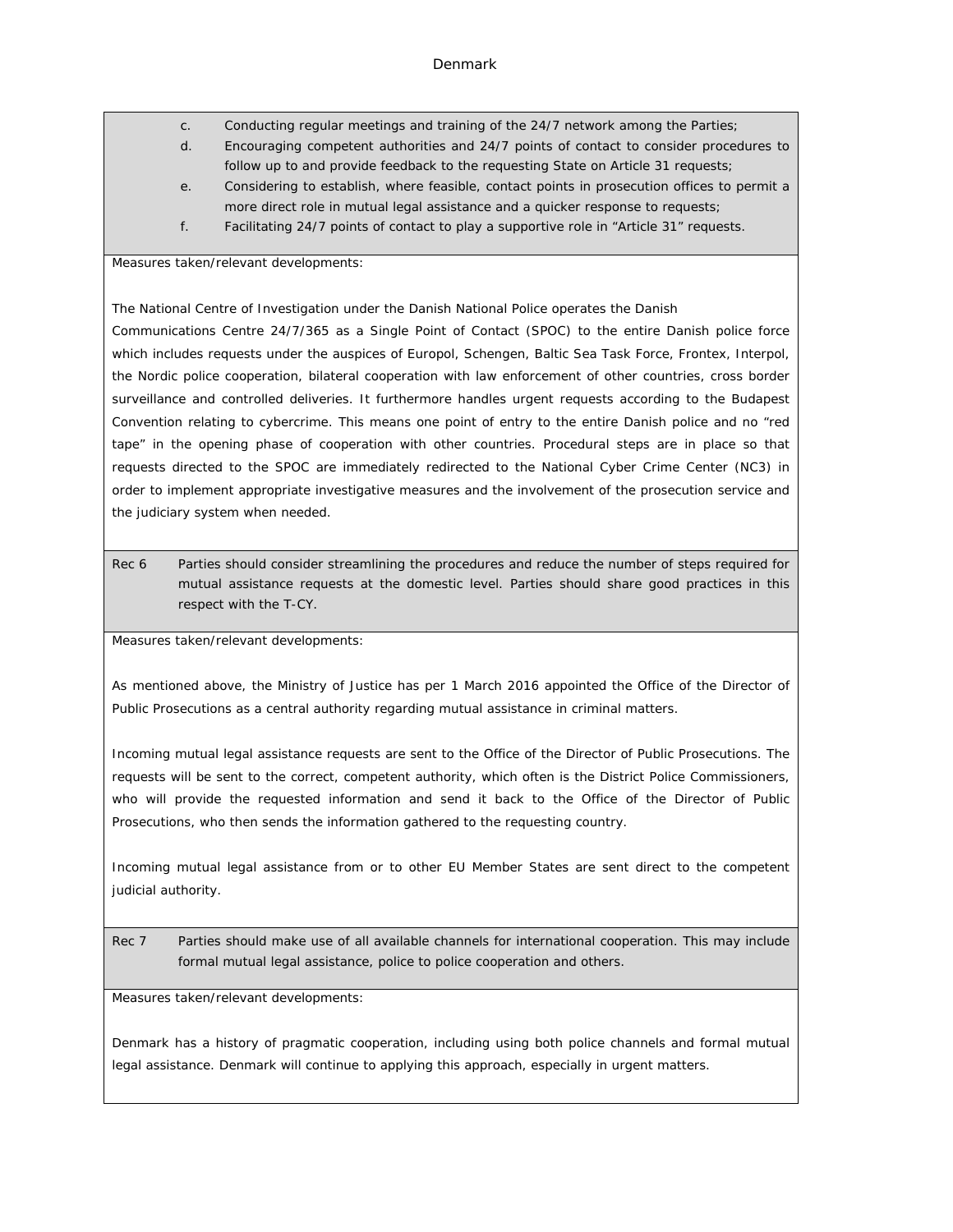- c. Conducting regular meetings and training of the 24/7 network among the Parties;
- d. Encouraging competent authorities and 24/7 points of contact to consider procedures to follow up to and provide feedback to the requesting State on Article 31 requests;
- e. Considering to establish, where feasible, contact points in prosecution offices to permit a more direct role in mutual legal assistance and a quicker response to requests;
- f. Facilitating 24/7 points of contact to play a supportive role in "Article 31" requests.

Measures taken/relevant developments:

The National Centre of Investigation under the Danish National Police operates the Danish

Communications Centre 24/7/365 as a Single Point of Contact (SPOC) to the entire Danish police force which includes requests under the auspices of Europol, Schengen, Baltic Sea Task Force, Frontex, Interpol, the Nordic police cooperation, bilateral cooperation with law enforcement of other countries, cross border surveillance and controlled deliveries. It furthermore handles urgent requests according to the Budapest Convention relating to cybercrime. This means one point of entry to the entire Danish police and no "red tape" in the opening phase of cooperation with other countries. Procedural steps are in place so that requests directed to the SPOC are immediately redirected to the National Cyber Crime Center (NC3) in order to implement appropriate investigative measures and the involvement of the prosecution service and the judiciary system when needed.

Rec 6 Parties should consider streamlining the procedures and reduce the number of steps required for mutual assistance requests at the domestic level. Parties should share good practices in this respect with the T-CY.

Measures taken/relevant developments:

As mentioned above, the Ministry of Justice has per 1 March 2016 appointed the Office of the Director of Public Prosecutions as a central authority regarding mutual assistance in criminal matters.

Incoming mutual legal assistance requests are sent to the Office of the Director of Public Prosecutions. The requests will be sent to the correct, competent authority, which often is the District Police Commissioners, who will provide the requested information and send it back to the Office of the Director of Public Prosecutions, who then sends the information gathered to the requesting country.

Incoming mutual legal assistance from or to other EU Member States are sent direct to the competent judicial authority.

Rec 7 Parties should make use of all available channels for international cooperation. This may include formal mutual legal assistance, police to police cooperation and others.

Measures taken/relevant developments:

Denmark has a history of pragmatic cooperation, including using both police channels and formal mutual legal assistance. Denmark will continue to applying this approach, especially in urgent matters.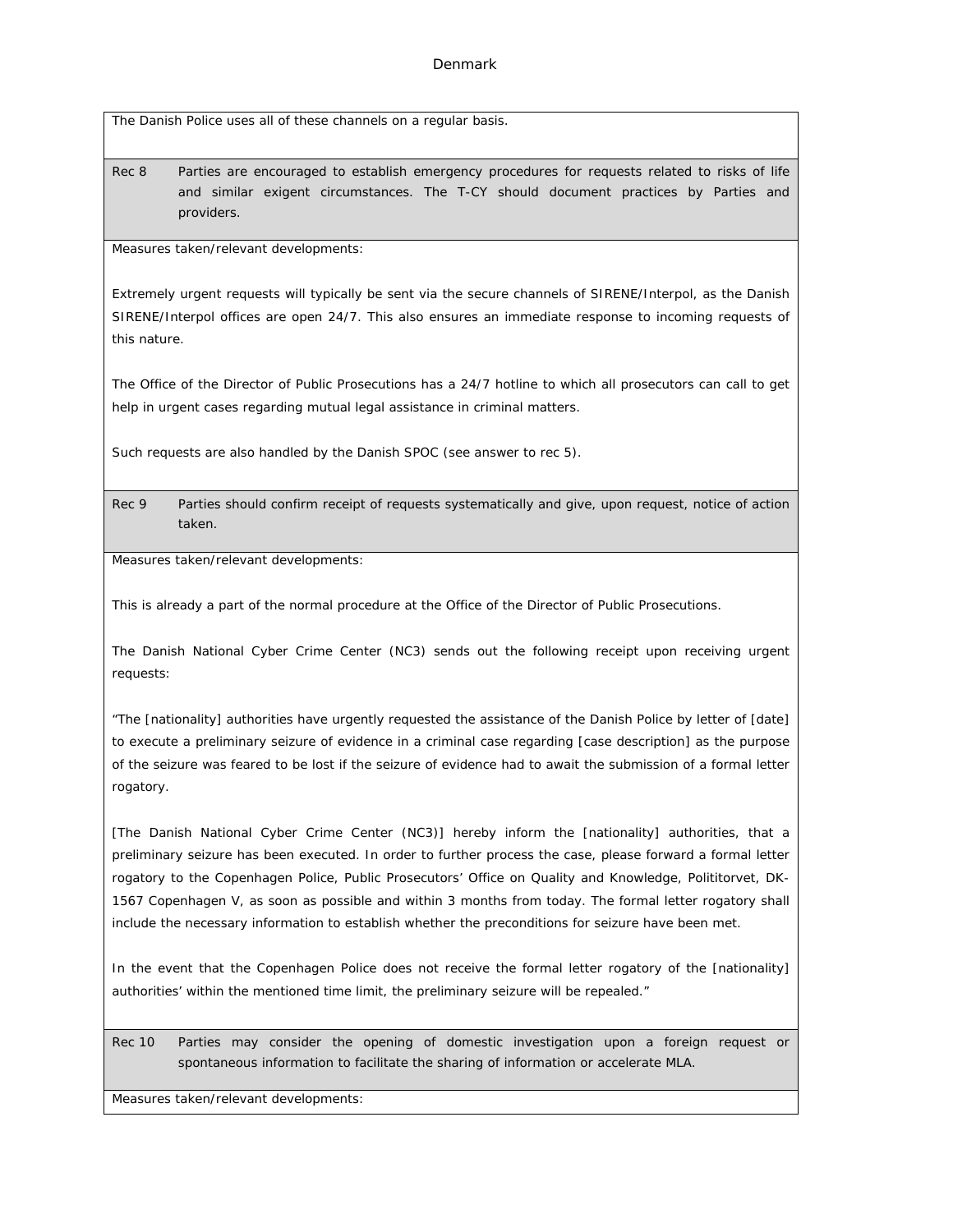The Danish Police uses all of these channels on a regular basis.

Rec 8 Parties are encouraged to establish emergency procedures for requests related to risks of life and similar exigent circumstances. The T-CY should document practices by Parties and providers.

Measures taken/relevant developments:

Extremely urgent requests will typically be sent via the secure channels of SIRENE/Interpol, as the Danish SIRENE/Interpol offices are open 24/7. This also ensures an immediate response to incoming requests of this nature.

The Office of the Director of Public Prosecutions has a 24/7 hotline to which all prosecutors can call to get help in urgent cases regarding mutual legal assistance in criminal matters.

Such requests are also handled by the Danish SPOC (see answer to rec 5).

Rec 9 Parties should confirm receipt of requests systematically and give, upon request, notice of action taken.

Measures taken/relevant developments:

This is already a part of the normal procedure at the Office of the Director of Public Prosecutions.

The Danish National Cyber Crime Center (NC3) sends out the following receipt upon receiving urgent requests:

"The [nationality] authorities have urgently requested the assistance of the Danish Police by letter of [date] to execute a preliminary seizure of evidence in a criminal case regarding [case description] as the purpose of the seizure was feared to be lost if the seizure of evidence had to await the submission of a formal letter rogatory.

[The Danish National Cyber Crime Center (NC3)] hereby inform the [nationality] authorities, that a preliminary seizure has been executed. In order to further process the case, please forward a formal letter rogatory to the Copenhagen Police, Public Prosecutors' Office on Quality and Knowledge, Polititorvet, DK-1567 Copenhagen V, as soon as possible and within 3 months from today. The formal letter rogatory shall include the necessary information to establish whether the preconditions for seizure have been met.

In the event that the Copenhagen Police does not receive the formal letter rogatory of the [nationality] authorities' within the mentioned time limit, the preliminary seizure will be repealed."

Rec 10 Parties may consider the opening of domestic investigation upon a foreign request or spontaneous information to facilitate the sharing of information or accelerate MLA.

Measures taken/relevant developments: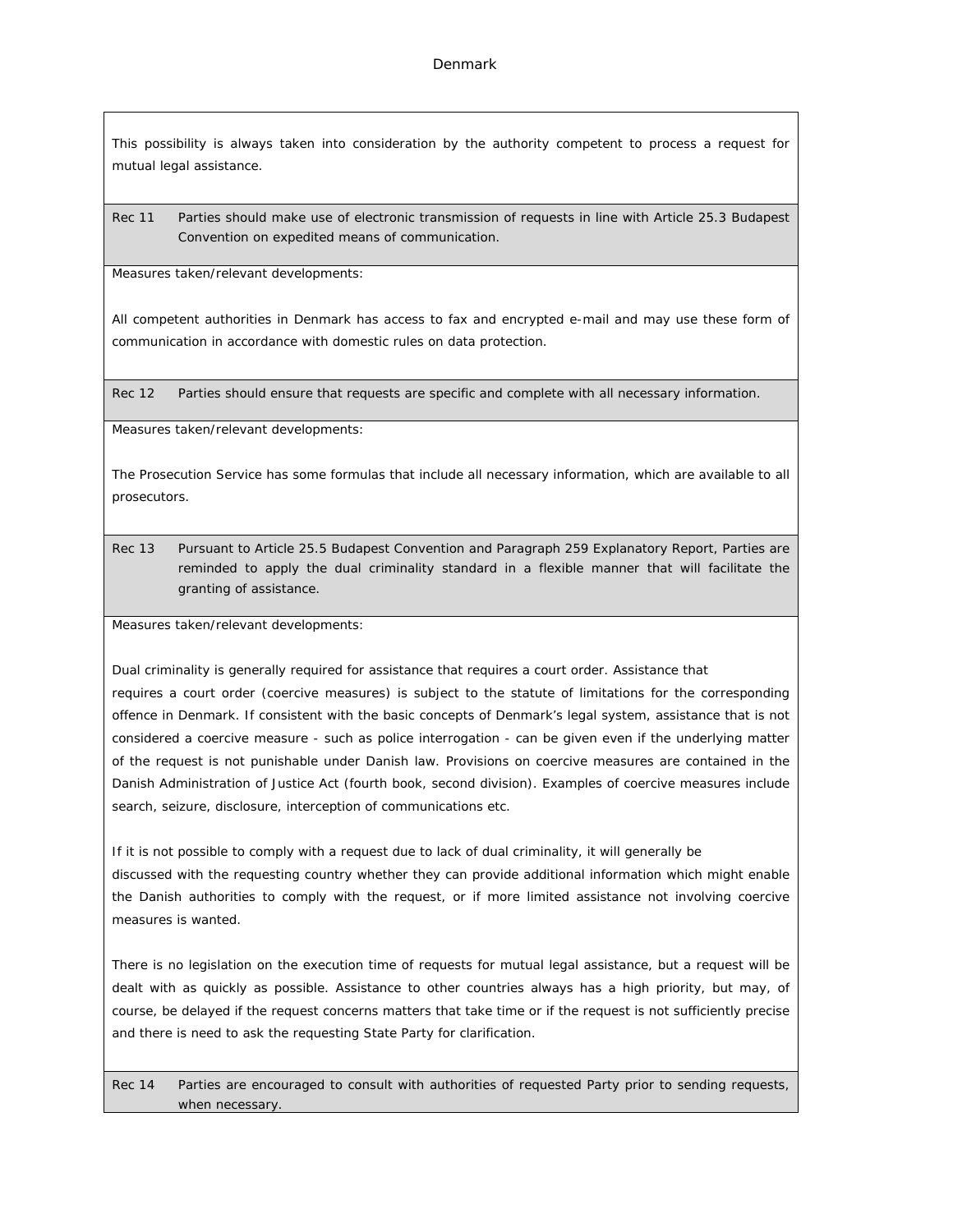This possibility is always taken into consideration by the authority competent to process a request for mutual legal assistance.

Rec 11 Parties should make use of electronic transmission of requests in line with Article 25.3 Budapest Convention on expedited means of communication.

Measures taken/relevant developments:

All competent authorities in Denmark has access to fax and encrypted e-mail and may use these form of communication in accordance with domestic rules on data protection.

Rec 12 Parties should ensure that requests are specific and complete with all necessary information.

Measures taken/relevant developments:

The Prosecution Service has some formulas that include all necessary information, which are available to all prosecutors.

Rec 13 Pursuant to Article 25.5 Budapest Convention and Paragraph 259 Explanatory Report, Parties are reminded to apply the dual criminality standard in a flexible manner that will facilitate the granting of assistance.

Measures taken/relevant developments:

Dual criminality is generally required for assistance that requires a court order. Assistance that requires a court order (coercive measures) is subject to the statute of limitations for the corresponding offence in Denmark. If consistent with the basic concepts of Denmark's legal system, assistance that is not considered a coercive measure - such as police interrogation - can be given even if the underlying matter of the request is not punishable under Danish law. Provisions on coercive measures are contained in the Danish Administration of Justice Act (fourth book, second division). Examples of coercive measures include search, seizure, disclosure, interception of communications etc.

If it is not possible to comply with a request due to lack of dual criminality, it will generally be discussed with the requesting country whether they can provide additional information which might enable the Danish authorities to comply with the request, or if more limited assistance not involving coercive measures is wanted.

There is no legislation on the execution time of requests for mutual legal assistance, but a request will be dealt with as quickly as possible. Assistance to other countries always has a high priority, but may, of course, be delayed if the request concerns matters that take time or if the request is not sufficiently precise and there is need to ask the requesting State Party for clarification.

Rec 14 Parties are encouraged to consult with authorities of requested Party prior to sending requests, when necessary.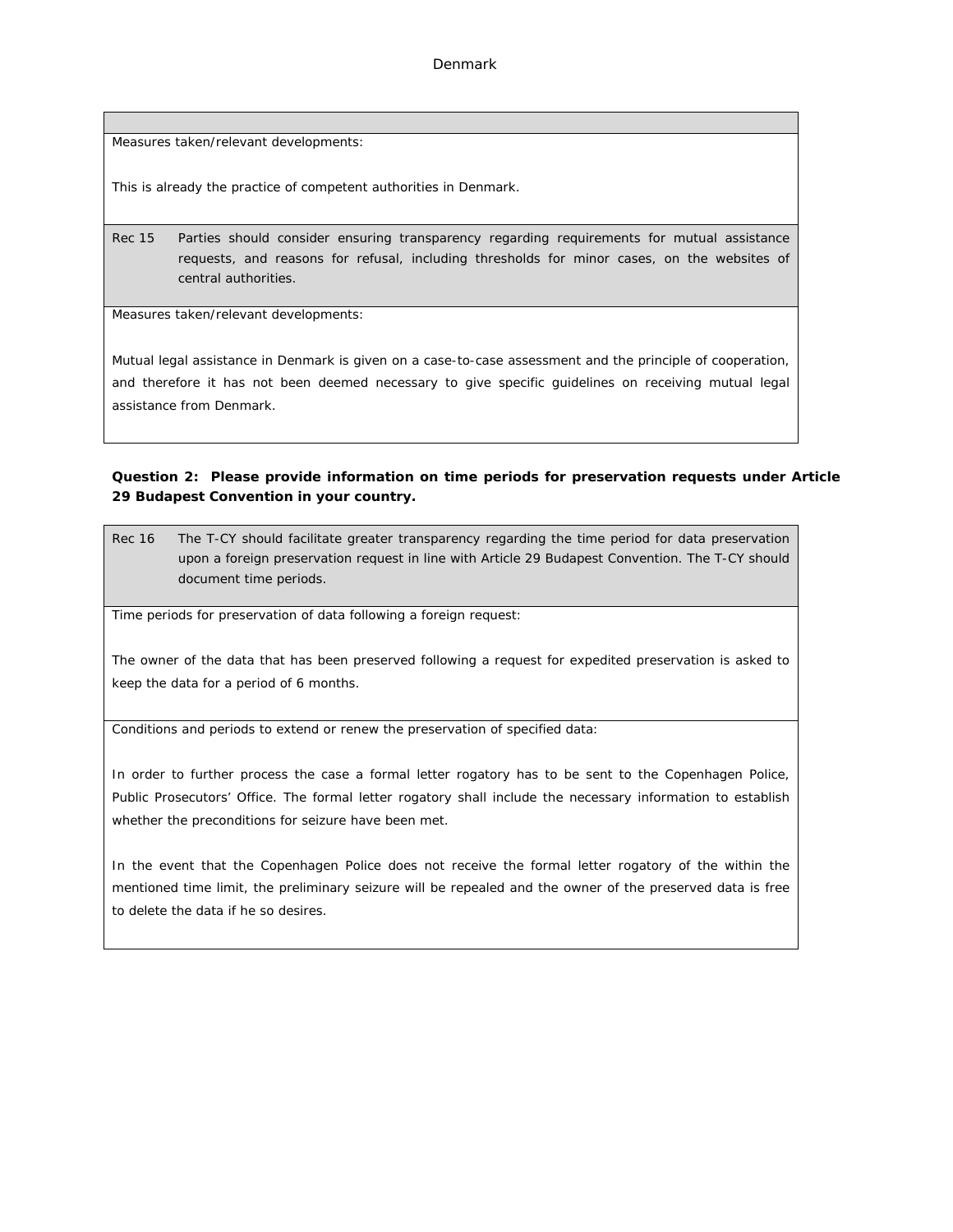Measures taken/relevant developments:

This is already the practice of competent authorities in Denmark.

Rec 15 Parties should consider ensuring transparency regarding requirements for mutual assistance requests, and reasons for refusal, including thresholds for minor cases, on the websites of central authorities.

Measures taken/relevant developments:

Mutual legal assistance in Denmark is given on a case-to-case assessment and the principle of cooperation, and therefore it has not been deemed necessary to give specific guidelines on receiving mutual legal assistance from Denmark.

**Question 2: Please provide information on time periods for preservation requests under Article 29 Budapest Convention in your country.**

Rec 16 The T-CY should facilitate greater transparency regarding the time period for data preservation upon a foreign preservation request in line with Article 29 Budapest Convention. The T-CY should document time periods.

Time periods for preservation of data following a foreign request:

The owner of the data that has been preserved following a request for expedited preservation is asked to keep the data for a period of 6 months.

Conditions and periods to extend or renew the preservation of specified data:

In order to further process the case a formal letter rogatory has to be sent to the Copenhagen Police, Public Prosecutors' Office. The formal letter rogatory shall include the necessary information to establish whether the preconditions for seizure have been met.

In the event that the Copenhagen Police does not receive the formal letter rogatory of the within the mentioned time limit, the preliminary seizure will be repealed and the owner of the preserved data is free to delete the data if he so desires.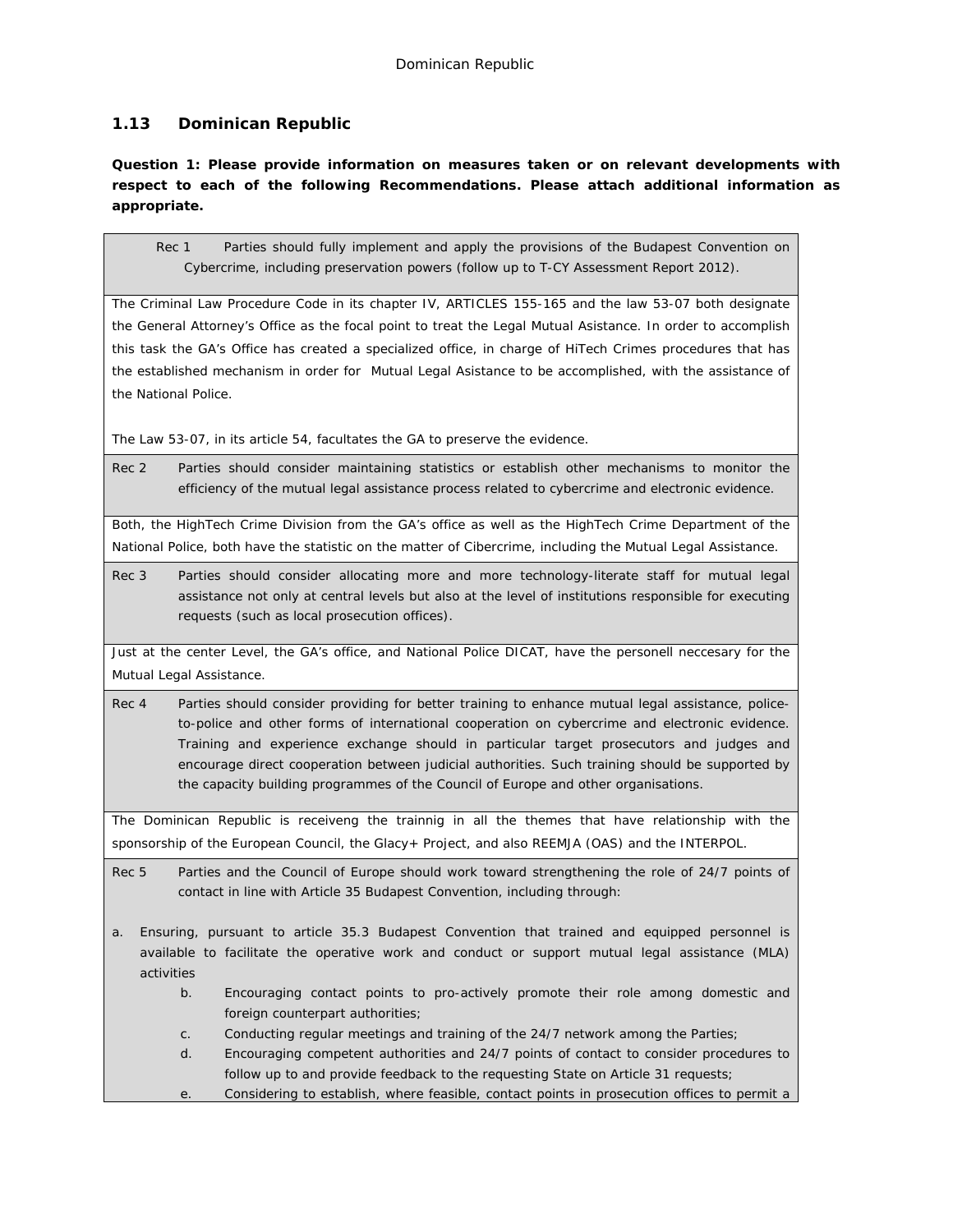# **1.13 Dominican Republic**

**Question 1: Please provide information on measures taken or on relevant developments with respect to each of the following Recommendations. Please attach additional information as appropriate.**

Rec 1 Parties should fully implement and apply the provisions of the Budapest Convention on Cybercrime, including preservation powers (follow up to T-CY Assessment Report 2012).

The Criminal Law Procedure Code in its chapter IV, ARTICLES 155-165 and the law 53-07 both designate the General Attorney's Office as the focal point to treat the Legal Mutual Asistance. In order to accomplish this task the GA's Office has created a specialized office, in charge of HiTech Crimes procedures that has the established mechanism in order for Mutual Legal Asistance to be accomplished, with the assistance of the National Police.

The Law 53-07, in its article 54, facultates the GA to preserve the evidence.

Rec 2 Parties should consider maintaining statistics or establish other mechanisms to monitor the efficiency of the mutual legal assistance process related to cybercrime and electronic evidence.

Both, the HighTech Crime Division from the GA's office as well as the HighTech Crime Department of the National Police, both have the statistic on the matter of Cibercrime, including the Mutual Legal Assistance.

Rec 3 Parties should consider allocating more and more technology-literate staff for mutual legal assistance not only at central levels but also at the level of institutions responsible for executing requests (such as local prosecution offices).

Just at the center Level, the GA's office, and National Police DICAT, have the personell neccesary for the Mutual Legal Assistance.

Rec 4 Parties should consider providing for better training to enhance mutual legal assistance, policeto-police and other forms of international cooperation on cybercrime and electronic evidence. Training and experience exchange should in particular target prosecutors and judges and encourage direct cooperation between judicial authorities. Such training should be supported by the capacity building programmes of the Council of Europe and other organisations.

The Dominican Republic is receiveng the trainnig in all the themes that have relationship with the sponsorship of the European Council, the Glacy+ Project, and also REEMJA (OAS) and the INTERPOL.

Rec 5 Parties and the Council of Europe should work toward strengthening the role of 24/7 points of contact in line with Article 35 Budapest Convention, including through:

- a. Ensuring, pursuant to article 35.3 Budapest Convention that trained and equipped personnel is available to facilitate the operative work and conduct or support mutual legal assistance (MLA) activities
	- b. Encouraging contact points to pro-actively promote their role among domestic and foreign counterpart authorities;
	- c. Conducting regular meetings and training of the 24/7 network among the Parties;
	- d. Encouraging competent authorities and 24/7 points of contact to consider procedures to follow up to and provide feedback to the requesting State on Article 31 requests;
	- e. Considering to establish, where feasible, contact points in prosecution offices to permit a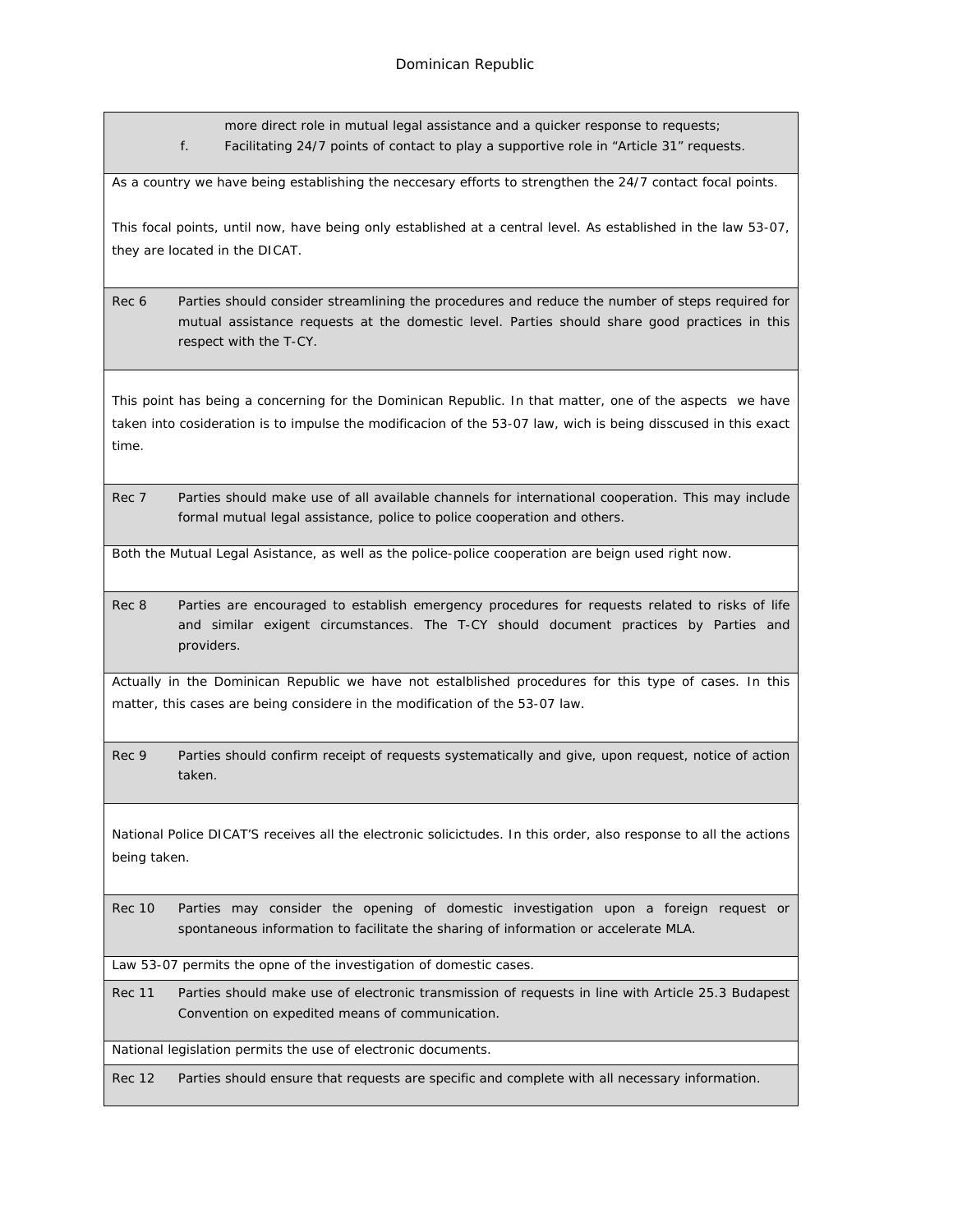more direct role in mutual legal assistance and a quicker response to requests; f. Facilitating 24/7 points of contact to play a supportive role in "Article 31" requests.

As a country we have being establishing the neccesary efforts to strengthen the 24/7 contact focal points.

This focal points, until now, have being only established at a central level. As established in the law 53-07, they are located in the DICAT.

Rec 6 Parties should consider streamlining the procedures and reduce the number of steps required for mutual assistance requests at the domestic level. Parties should share good practices in this respect with the T-CY.

This point has being a concerning for the Dominican Republic. In that matter, one of the aspects we have taken into cosideration is to impulse the modificacion of the 53-07 law, wich is being disscused in this exact time.

Rec 7 Parties should make use of all available channels for international cooperation. This may include formal mutual legal assistance, police to police cooperation and others.

Both the Mutual Legal Asistance, as well as the police-police cooperation are beign used right now.

Rec 8 Parties are encouraged to establish emergency procedures for requests related to risks of life and similar exigent circumstances. The T-CY should document practices by Parties and providers.

Actually in the Dominican Republic we have not estalblished procedures for this type of cases. In this matter, this cases are being considere in the modification of the 53-07 law.

Rec 9 Parties should confirm receipt of requests systematically and give, upon request, notice of action taken.

National Police DICAT'S receives all the electronic solicictudes. In this order, also response to all the actions being taken.

Rec 10 Parties may consider the opening of domestic investigation upon a foreign request or spontaneous information to facilitate the sharing of information or accelerate MLA.

Law 53-07 permits the opne of the investigation of domestic cases.

Rec 11 Parties should make use of electronic transmission of requests in line with Article 25.3 Budapest Convention on expedited means of communication.

National legislation permits the use of electronic documents.

Rec 12 Parties should ensure that requests are specific and complete with all necessary information.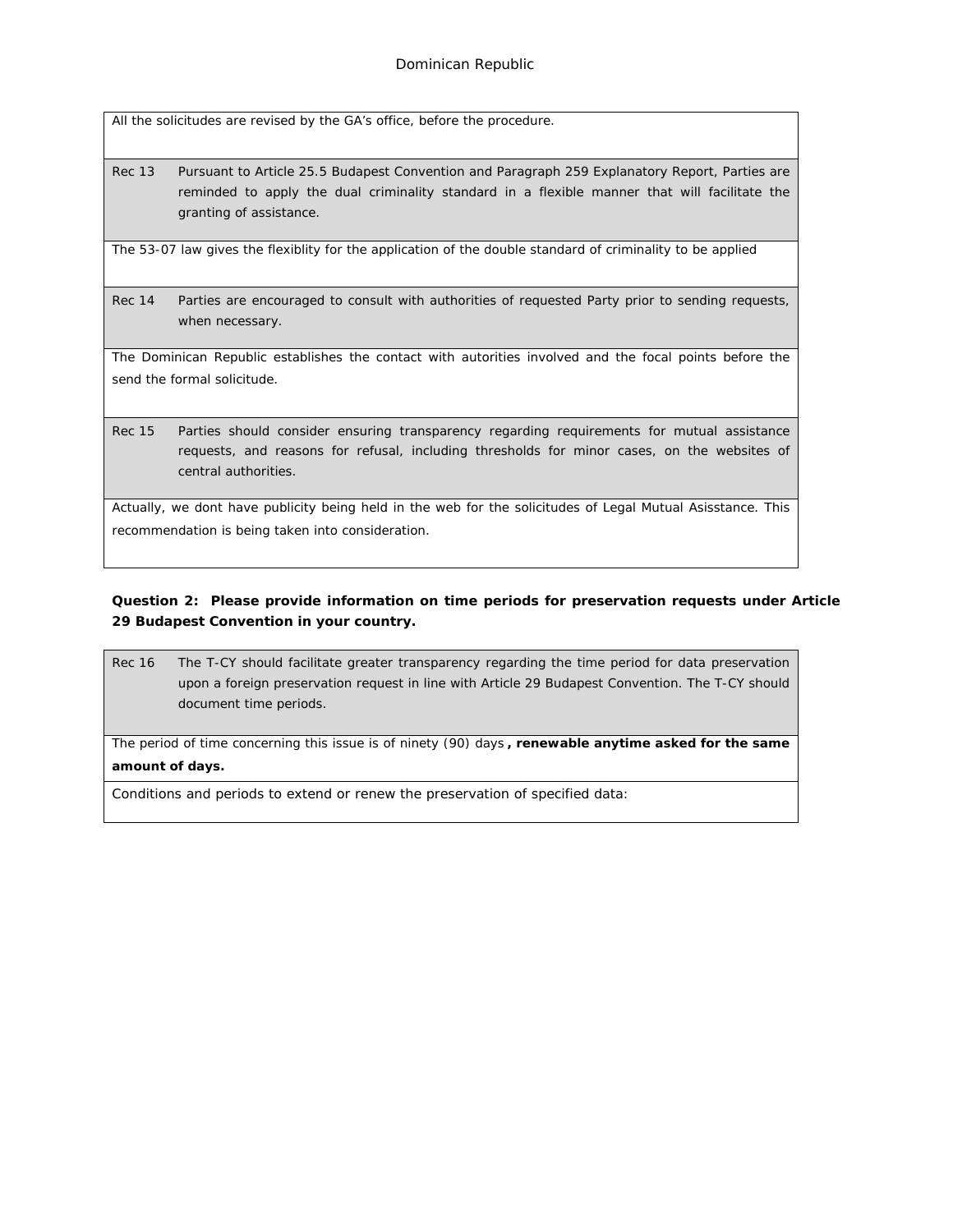All the solicitudes are revised by the GA's office, before the procedure.

Rec 13 Pursuant to Article 25.5 Budapest Convention and Paragraph 259 Explanatory Report, Parties are reminded to apply the dual criminality standard in a flexible manner that will facilitate the granting of assistance.

The 53-07 law gives the flexiblity for the application of the double standard of criminality to be applied

Rec 14 Parties are encouraged to consult with authorities of requested Party prior to sending requests, when necessary.

The Dominican Republic establishes the contact with autorities involved and the focal points before the send the formal solicitude.

Rec 15 Parties should consider ensuring transparency regarding requirements for mutual assistance requests, and reasons for refusal, including thresholds for minor cases, on the websites of central authorities.

Actually, we dont have publicity being held in the web for the solicitudes of Legal Mutual Asisstance. This recommendation is being taken into consideration.

**Question 2: Please provide information on time periods for preservation requests under Article 29 Budapest Convention in your country.**

Rec 16 The T-CY should facilitate greater transparency regarding the time period for data preservation upon a foreign preservation request in line with Article 29 Budapest Convention. The T-CY should document time periods.

The period of time concerning this issue is of ninety (90) days **, renewable anytime asked for the same amount of days.**

Conditions and periods to extend or renew the preservation of specified data: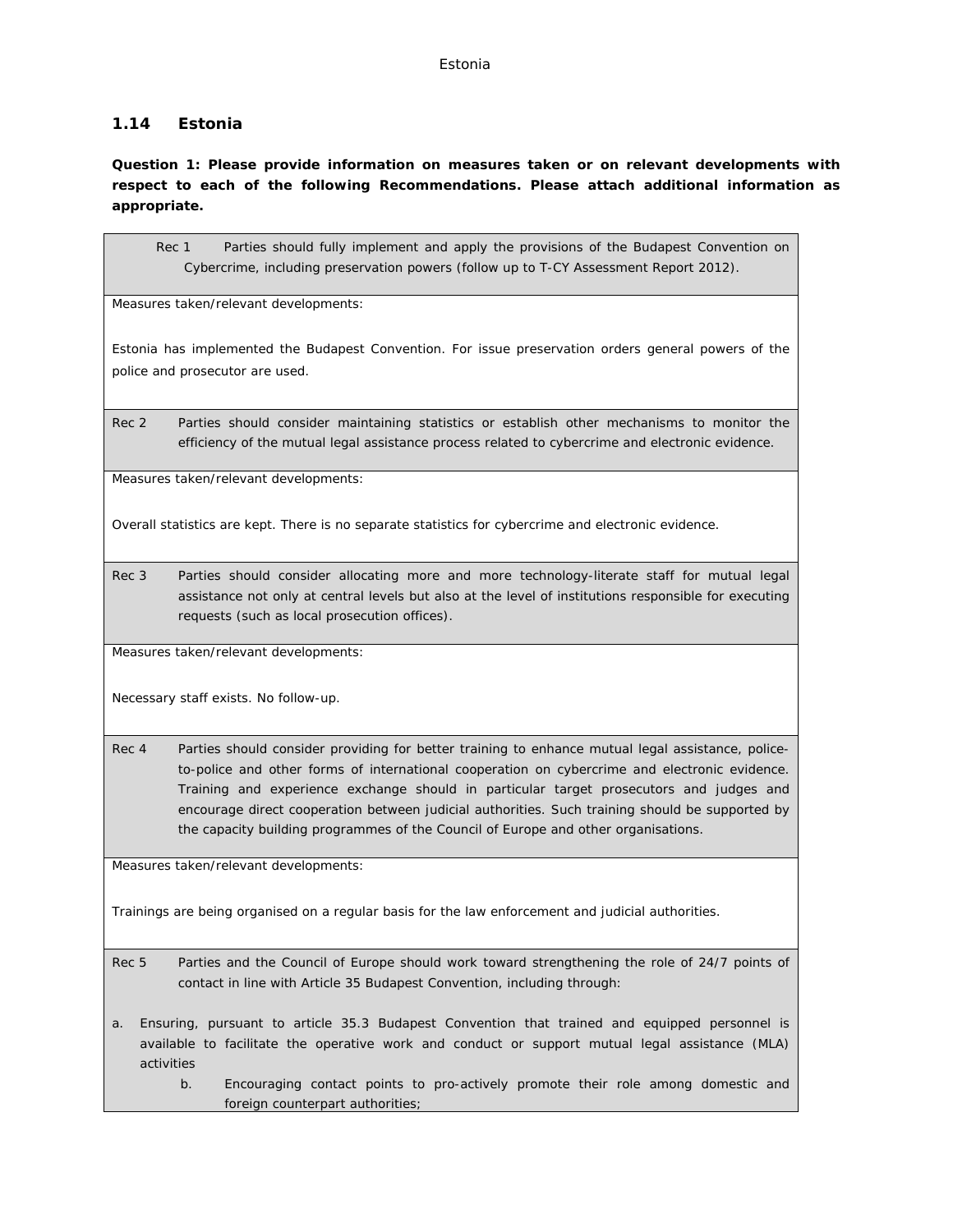## **1.14 Estonia**

**Question 1: Please provide information on measures taken or on relevant developments with respect to each of the following Recommendations. Please attach additional information as appropriate.**

Rec 1 Parties should fully implement and apply the provisions of the Budapest Convention on Cybercrime, including preservation powers (follow up to T-CY Assessment Report 2012).

Measures taken/relevant developments:

Estonia has implemented the Budapest Convention. For issue preservation orders general powers of the police and prosecutor are used.

Rec 2 Parties should consider maintaining statistics or establish other mechanisms to monitor the efficiency of the mutual legal assistance process related to cybercrime and electronic evidence.

Measures taken/relevant developments:

Overall statistics are kept. There is no separate statistics for cybercrime and electronic evidence.

Rec 3 Parties should consider allocating more and more technology-literate staff for mutual legal assistance not only at central levels but also at the level of institutions responsible for executing requests (such as local prosecution offices).

Measures taken/relevant developments:

Necessary staff exists. No follow-up.

Rec 4 Parties should consider providing for better training to enhance mutual legal assistance, policeto-police and other forms of international cooperation on cybercrime and electronic evidence. Training and experience exchange should in particular target prosecutors and judges and encourage direct cooperation between judicial authorities. Such training should be supported by the capacity building programmes of the Council of Europe and other organisations.

Measures taken/relevant developments:

Trainings are being organised on a regular basis for the law enforcement and judicial authorities.

- Rec 5 Parties and the Council of Europe should work toward strengthening the role of 24/7 points of contact in line with Article 35 Budapest Convention, including through:
- a. Ensuring, pursuant to article 35.3 Budapest Convention that trained and equipped personnel is available to facilitate the operative work and conduct or support mutual legal assistance (MLA) activities
	- b. Encouraging contact points to pro-actively promote their role among domestic and foreign counterpart authorities;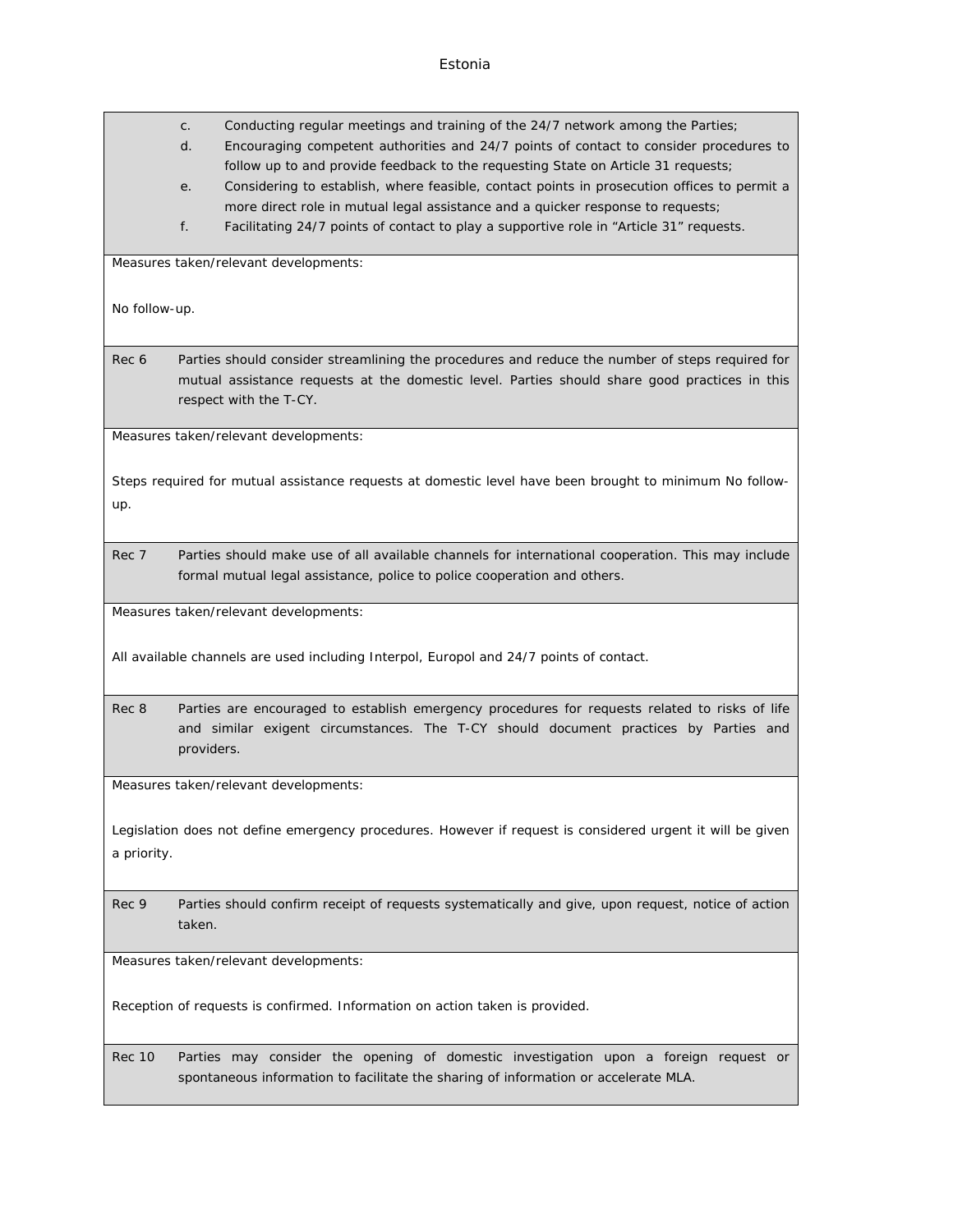c. Conducting regular meetings and training of the 24/7 network among the Parties;

- d. Encouraging competent authorities and 24/7 points of contact to consider procedures to follow up to and provide feedback to the requesting State on Article 31 requests;
- e. Considering to establish, where feasible, contact points in prosecution offices to permit a more direct role in mutual legal assistance and a quicker response to requests;
- f. Facilitating 24/7 points of contact to play a supportive role in "Article 31" requests.

Measures taken/relevant developments:

No follow-up.

Rec 6 Parties should consider streamlining the procedures and reduce the number of steps required for mutual assistance requests at the domestic level. Parties should share good practices in this respect with the T-CY.

Measures taken/relevant developments:

Steps required for mutual assistance requests at domestic level have been brought to minimum No followup.

Rec 7 Parties should make use of all available channels for international cooperation. This may include formal mutual legal assistance, police to police cooperation and others.

Measures taken/relevant developments:

All available channels are used including Interpol, Europol and 24/7 points of contact.

Rec 8 Parties are encouraged to establish emergency procedures for requests related to risks of life and similar exigent circumstances. The T-CY should document practices by Parties and providers.

Measures taken/relevant developments:

Legislation does not define emergency procedures. However if request is considered urgent it will be given a priority.

Rec 9 Parties should confirm receipt of requests systematically and give, upon request, notice of action taken.

Measures taken/relevant developments:

Reception of requests is confirmed. Information on action taken is provided.

Rec 10 Parties may consider the opening of domestic investigation upon a foreign request or spontaneous information to facilitate the sharing of information or accelerate MLA.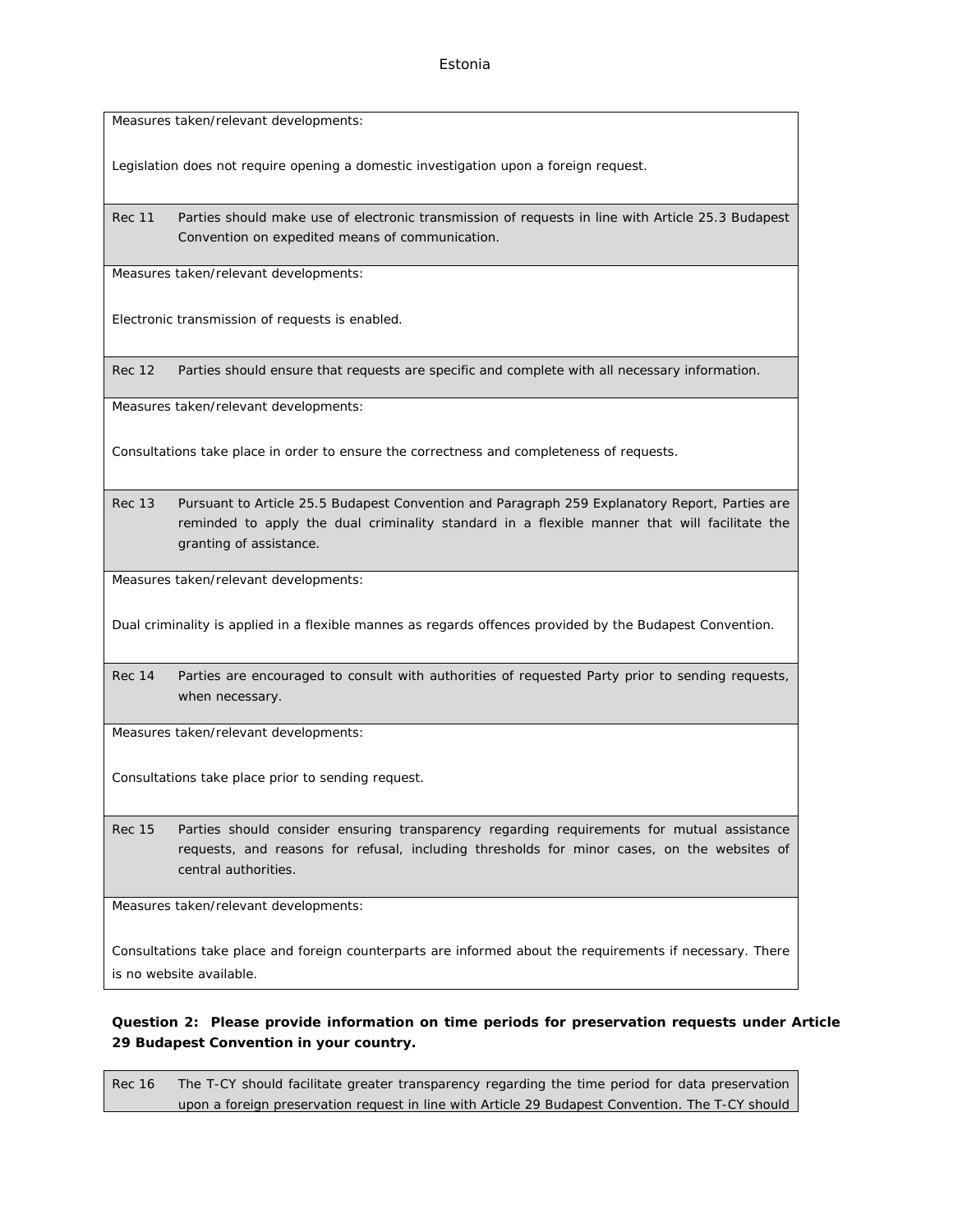Measures taken/relevant developments:

Legislation does not require opening a domestic investigation upon a foreign request.

Rec 11 Parties should make use of electronic transmission of requests in line with Article 25.3 Budapest Convention on expedited means of communication.

Measures taken/relevant developments:

Electronic transmission of requests is enabled.

Rec 12 Parties should ensure that requests are specific and complete with all necessary information.

Measures taken/relevant developments:

Consultations take place in order to ensure the correctness and completeness of requests.

Rec 13 Pursuant to Article 25.5 Budapest Convention and Paragraph 259 Explanatory Report, Parties are reminded to apply the dual criminality standard in a flexible manner that will facilitate the granting of assistance.

Measures taken/relevant developments:

Dual criminality is applied in a flexible mannes as regards offences provided by the Budapest Convention.

Rec 14 Parties are encouraged to consult with authorities of requested Party prior to sending requests, when necessary.

Measures taken/relevant developments:

Consultations take place prior to sending request.

Rec 15 Parties should consider ensuring transparency regarding requirements for mutual assistance requests, and reasons for refusal, including thresholds for minor cases, on the websites of central authorities.

Measures taken/relevant developments:

Consultations take place and foreign counterparts are informed about the requirements if necessary. There is no website available.

**Question 2: Please provide information on time periods for preservation requests under Article 29 Budapest Convention in your country.**

Rec 16 The T-CY should facilitate greater transparency regarding the time period for data preservation upon a foreign preservation request in line with Article 29 Budapest Convention. The T-CY should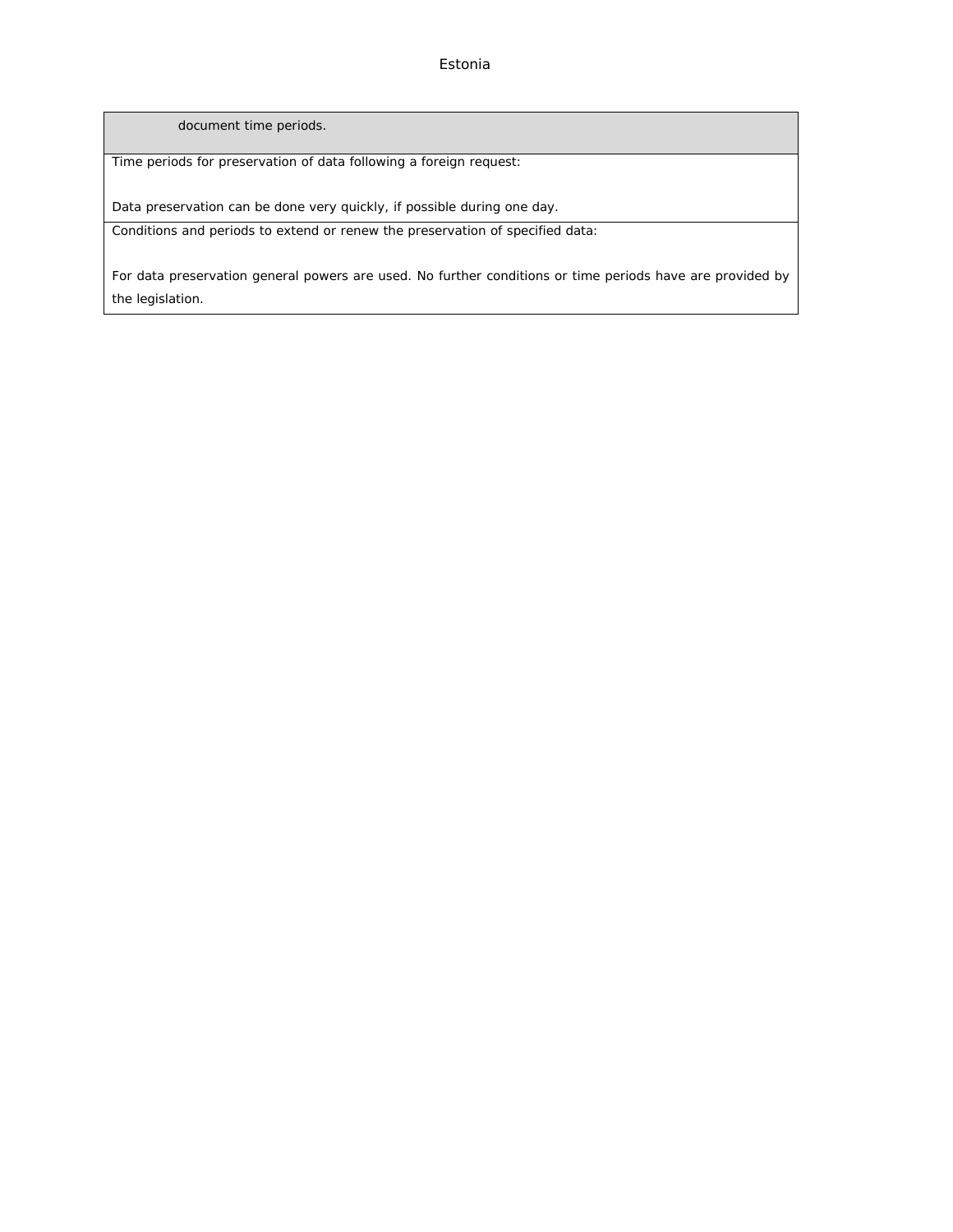Estonia

document time periods.

Time periods for preservation of data following a foreign request:

Data preservation can be done very quickly, if possible during one day.

Conditions and periods to extend or renew the preservation of specified data:

For data preservation general powers are used. No further conditions or time periods have are provided by the legislation.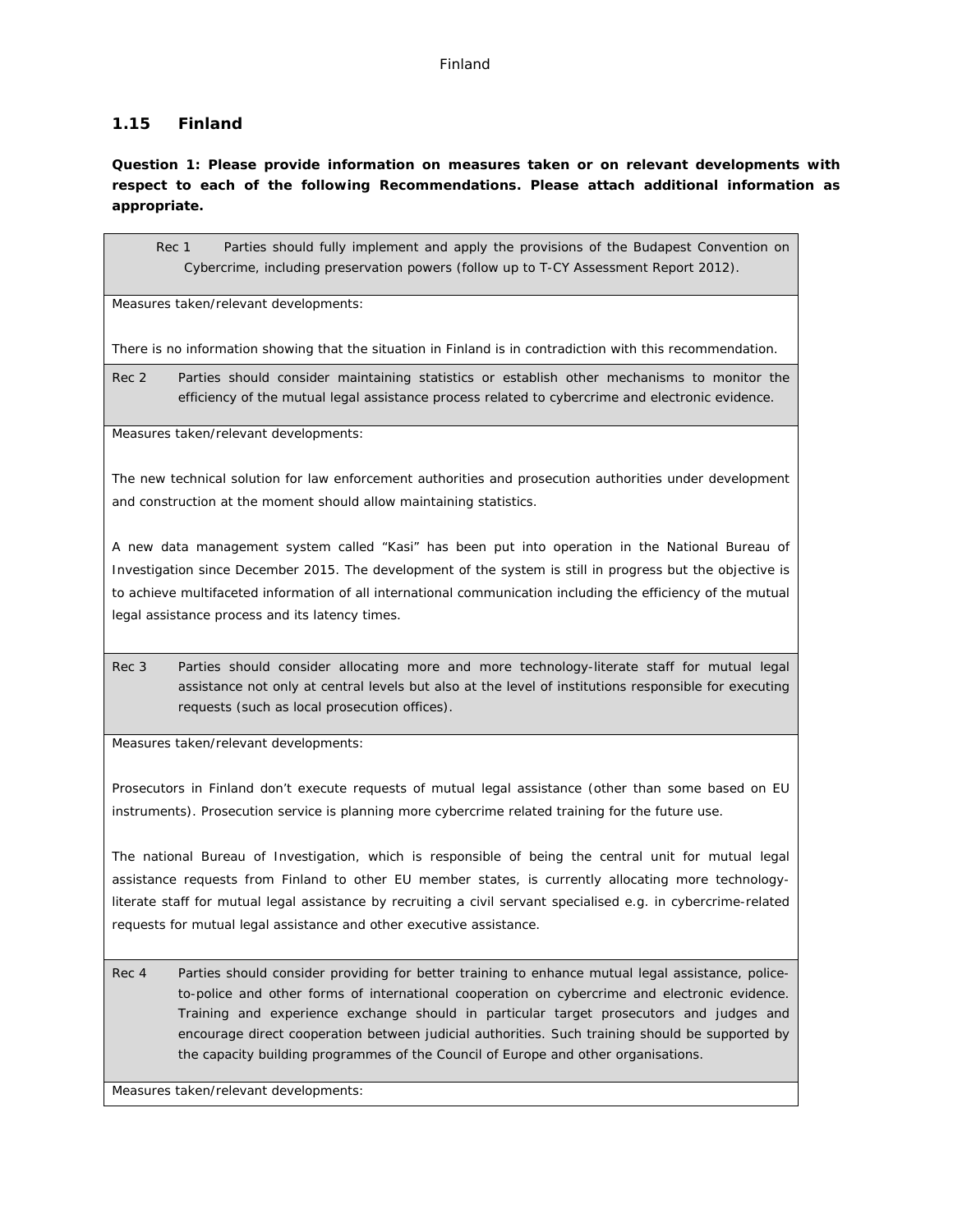### Finland

## **1.15 Finland**

**Question 1: Please provide information on measures taken or on relevant developments with respect to each of the following Recommendations. Please attach additional information as appropriate.**

Rec 1 Parties should fully implement and apply the provisions of the Budapest Convention on Cybercrime, including preservation powers (follow up to T-CY Assessment Report 2012).

Measures taken/relevant developments:

There is no information showing that the situation in Finland is in contradiction with this recommendation.

Rec 2 Parties should consider maintaining statistics or establish other mechanisms to monitor the efficiency of the mutual legal assistance process related to cybercrime and electronic evidence.

Measures taken/relevant developments:

The new technical solution for law enforcement authorities and prosecution authorities under development and construction at the moment should allow maintaining statistics.

A new data management system called "Kasi" has been put into operation in the National Bureau of Investigation since December 2015. The development of the system is still in progress but the objective is to achieve multifaceted information of all international communication including the efficiency of the mutual legal assistance process and its latency times.

Rec 3 Parties should consider allocating more and more technology-literate staff for mutual legal assistance not only at central levels but also at the level of institutions responsible for executing requests (such as local prosecution offices).

Measures taken/relevant developments:

Prosecutors in Finland don't execute requests of mutual legal assistance (other than some based on EU instruments). Prosecution service is planning more cybercrime related training for the future use.

The national Bureau of Investigation, which is responsible of being the central unit for mutual legal assistance requests from Finland to other EU member states, is currently allocating more technologyliterate staff for mutual legal assistance by recruiting a civil servant specialised e.g. in cybercrime-related requests for mutual legal assistance and other executive assistance.

Rec 4 Parties should consider providing for better training to enhance mutual legal assistance, policeto-police and other forms of international cooperation on cybercrime and electronic evidence. Training and experience exchange should in particular target prosecutors and judges and encourage direct cooperation between judicial authorities. Such training should be supported by the capacity building programmes of the Council of Europe and other organisations.

Measures taken/relevant developments: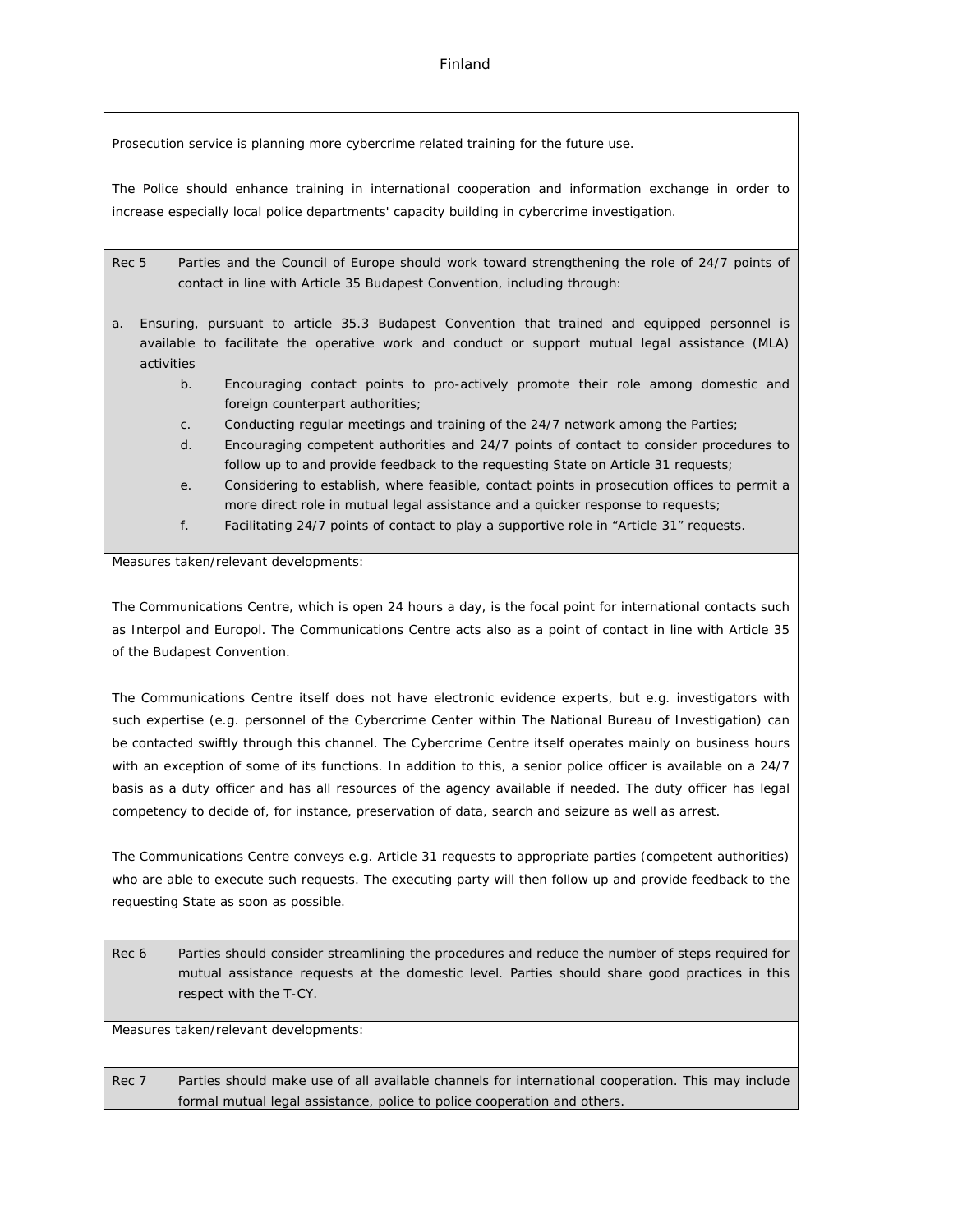### Finland

Prosecution service is planning more cybercrime related training for the future use.

The Police should enhance training in international cooperation and information exchange in order to increase especially local police departments' capacity building in cybercrime investigation.

Rec 5 Parties and the Council of Europe should work toward strengthening the role of 24/7 points of contact in line with Article 35 Budapest Convention, including through:

- a. Ensuring, pursuant to article 35.3 Budapest Convention that trained and equipped personnel is available to facilitate the operative work and conduct or support mutual legal assistance (MLA) activities
	- b. Encouraging contact points to pro-actively promote their role among domestic and foreign counterpart authorities;
	- c. Conducting regular meetings and training of the 24/7 network among the Parties;
	- d. Encouraging competent authorities and 24/7 points of contact to consider procedures to follow up to and provide feedback to the requesting State on Article 31 requests;
	- e. Considering to establish, where feasible, contact points in prosecution offices to permit a more direct role in mutual legal assistance and a quicker response to requests;
	- f. Facilitating 24/7 points of contact to play a supportive role in "Article 31" requests.

Measures taken/relevant developments:

The Communications Centre, which is open 24 hours a day, is the focal point for international contacts such as Interpol and Europol. The Communications Centre acts also as a point of contact in line with Article 35 of the Budapest Convention.

The Communications Centre itself does not have electronic evidence experts, but e.g. investigators with such expertise (e.g. personnel of the Cybercrime Center within The National Bureau of Investigation) can be contacted swiftly through this channel. The Cybercrime Centre itself operates mainly on business hours with an exception of some of its functions. In addition to this, a senior police officer is available on a 24/7 basis as a duty officer and has all resources of the agency available if needed. The duty officer has legal competency to decide of, for instance, preservation of data, search and seizure as well as arrest.

The Communications Centre conveys e.g. Article 31 requests to appropriate parties (competent authorities) who are able to execute such requests. The executing party will then follow up and provide feedback to the requesting State as soon as possible.

Rec 6 Parties should consider streamlining the procedures and reduce the number of steps required for mutual assistance requests at the domestic level. Parties should share good practices in this respect with the T-CY.

Measures taken/relevant developments:

Rec 7 Parties should make use of all available channels for international cooperation. This may include formal mutual legal assistance, police to police cooperation and others.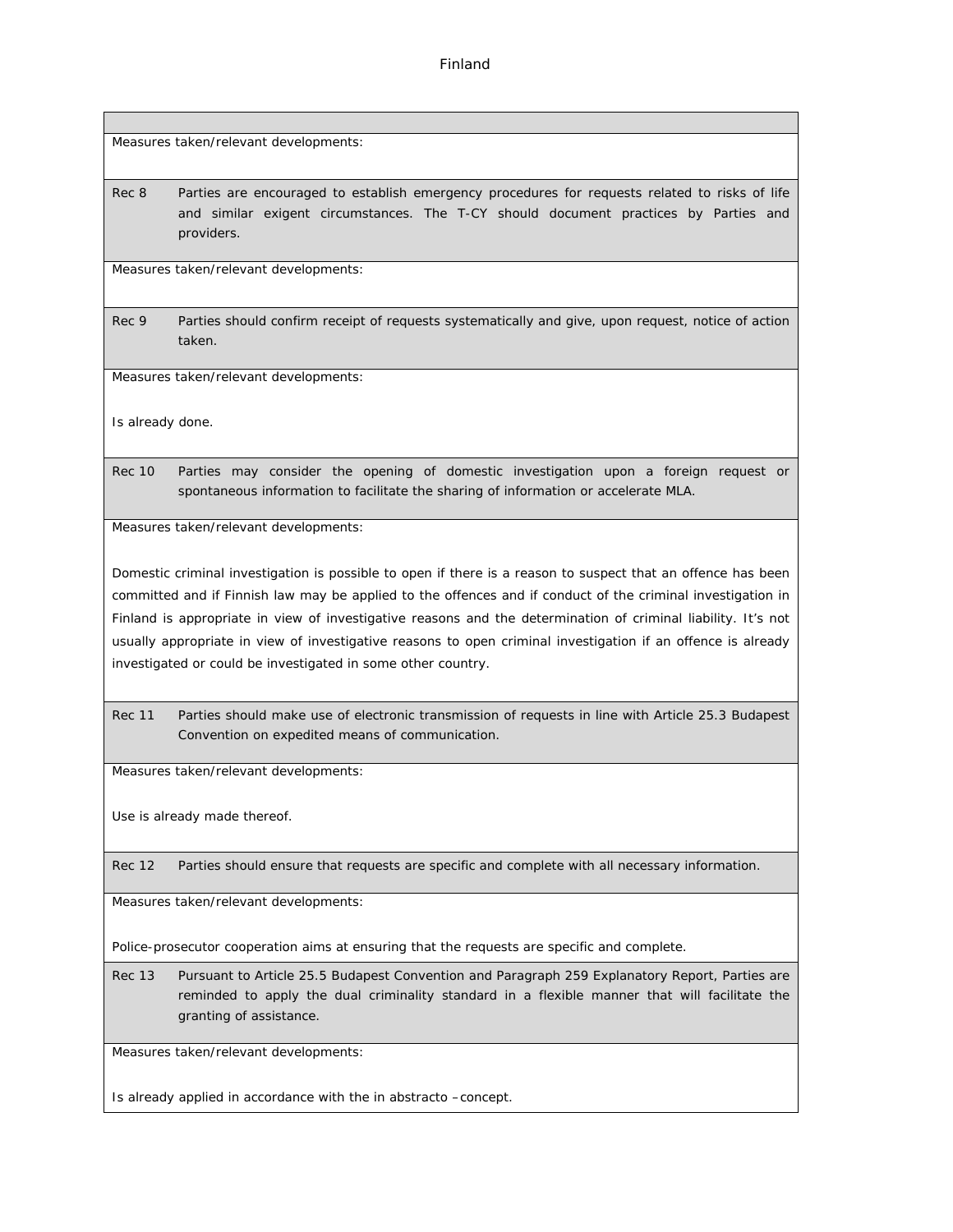Finland

Measures taken/relevant developments:

Rec 8 Parties are encouraged to establish emergency procedures for requests related to risks of life and similar exigent circumstances. The T-CY should document practices by Parties and providers.

Measures taken/relevant developments:

Rec 9 Parties should confirm receipt of requests systematically and give, upon request, notice of action taken.

Measures taken/relevant developments:

Is already done.

Rec 10 Parties may consider the opening of domestic investigation upon a foreign request or spontaneous information to facilitate the sharing of information or accelerate MLA.

Measures taken/relevant developments:

Domestic criminal investigation is possible to open if there is a reason to suspect that an offence has been committed and if Finnish law may be applied to the offences and if conduct of the criminal investigation in Finland is appropriate in view of investigative reasons and the determination of criminal liability. It's not usually appropriate in view of investigative reasons to open criminal investigation if an offence is already investigated or could be investigated in some other country.

Rec 11 Parties should make use of electronic transmission of requests in line with Article 25.3 Budapest Convention on expedited means of communication.

Measures taken/relevant developments:

Use is already made thereof.

Rec 12 Parties should ensure that requests are specific and complete with all necessary information.

Measures taken/relevant developments:

Police-prosecutor cooperation aims at ensuring that the requests are specific and complete.

Rec 13 Pursuant to Article 25.5 Budapest Convention and Paragraph 259 Explanatory Report, Parties are reminded to apply the dual criminality standard in a flexible manner that will facilitate the granting of assistance.

Measures taken/relevant developments:

Is already applied in accordance with the in abstracto –concept.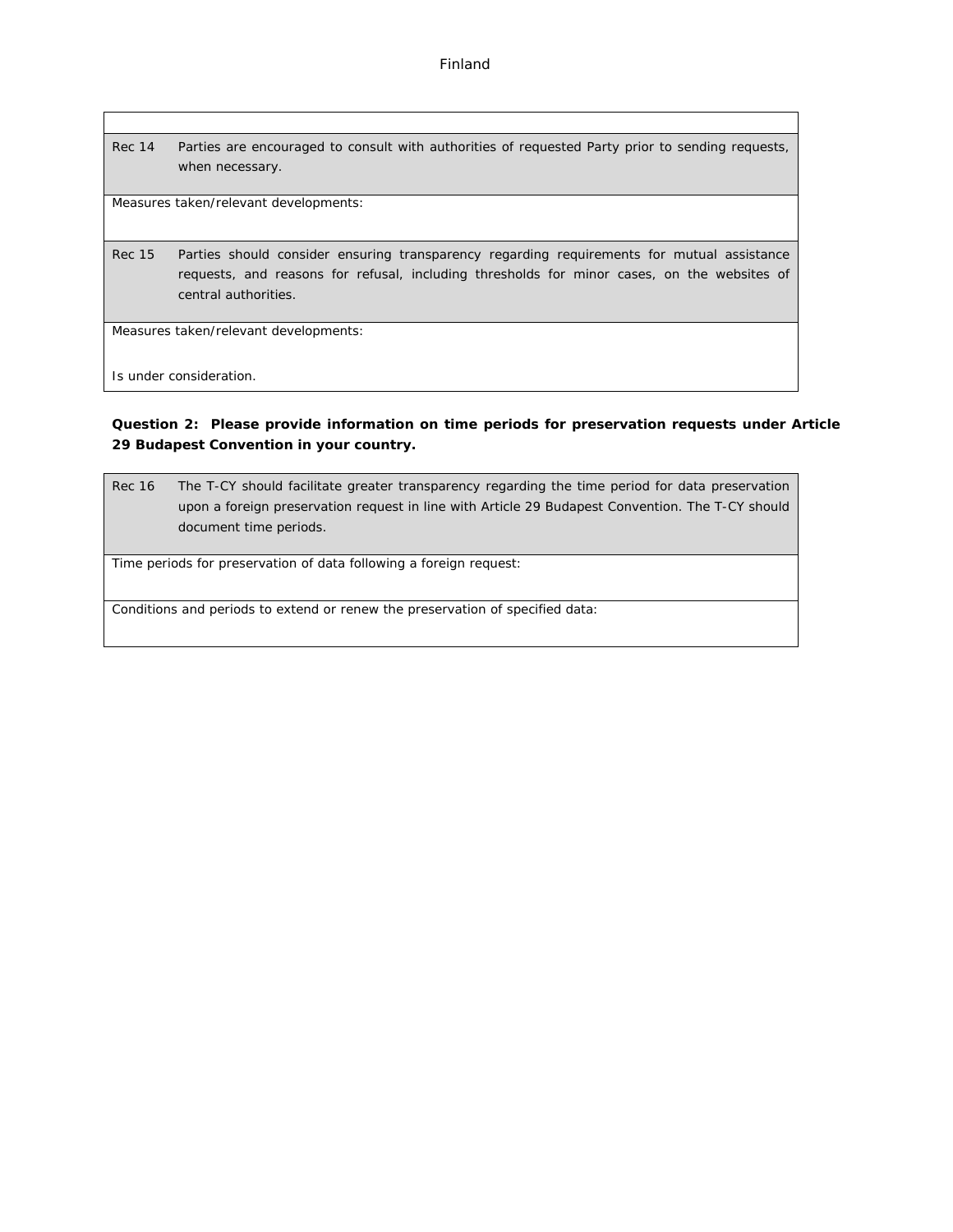Rec 14 Parties are encouraged to consult with authorities of requested Party prior to sending requests, when necessary.

Measures taken/relevant developments:

Rec 15 Parties should consider ensuring transparency regarding requirements for mutual assistance requests, and reasons for refusal, including thresholds for minor cases, on the websites of central authorities.

Measures taken/relevant developments:

Is under consideration.

**Question 2: Please provide information on time periods for preservation requests under Article 29 Budapest Convention in your country.**

Rec 16 The T-CY should facilitate greater transparency regarding the time period for data preservation upon a foreign preservation request in line with Article 29 Budapest Convention. The T-CY should document time periods.

Time periods for preservation of data following a foreign request:

Conditions and periods to extend or renew the preservation of specified data: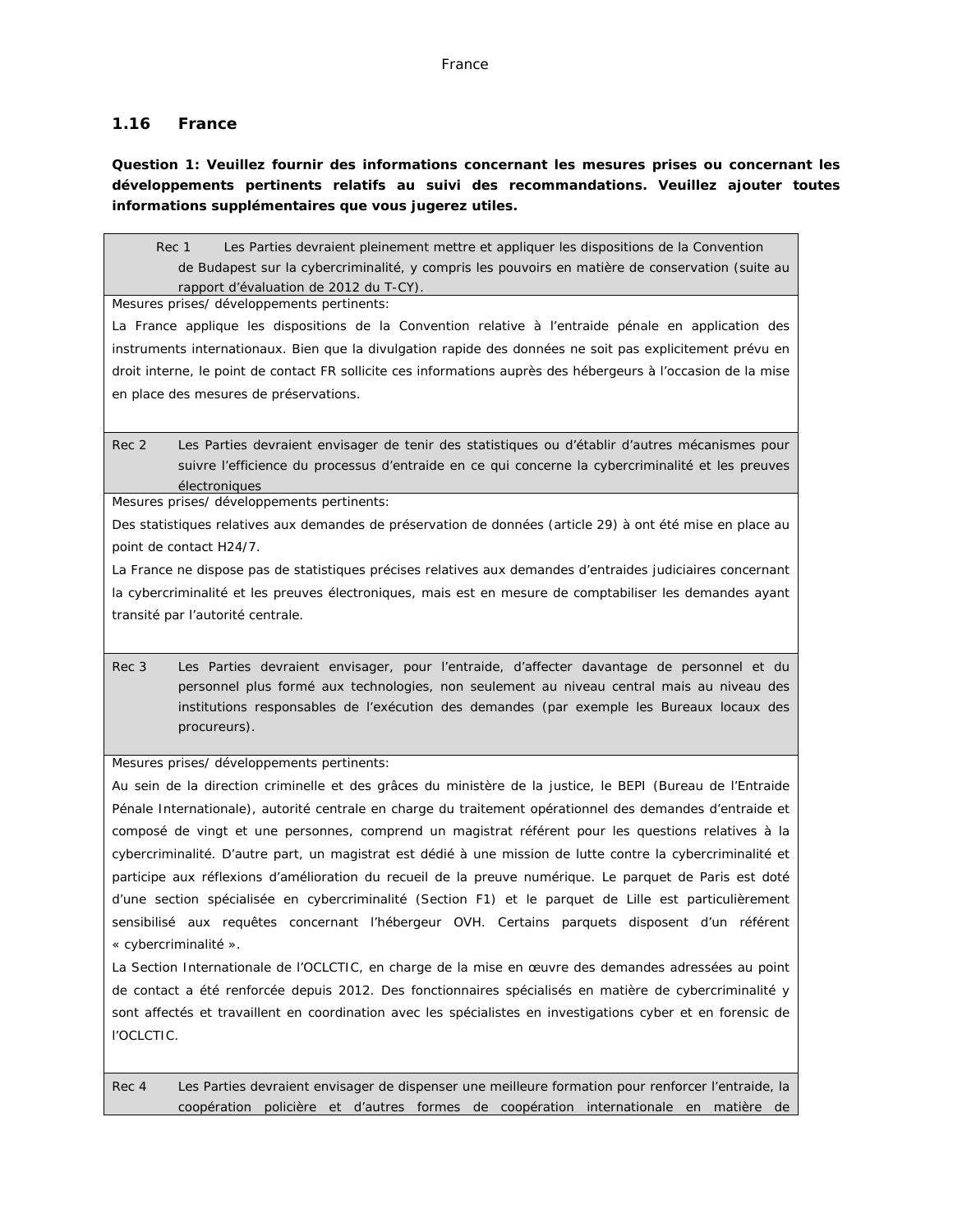## **1.16 France**

**Question 1: Veuillez fournir des informations concernant les mesures prises ou concernant les développements pertinents relatifs au suivi des recommandations. Veuillez ajouter toutes informations supplémentaires que vous jugerez utiles.**

Rec 1 Les Parties devraient pleinement mettre et appliquer les dispositions de la Convention de Budapest sur la cybercriminalité, y compris les pouvoirs en matière de conservation (suite au rapport d'évaluation de 2012 du T-CY).

Mesures prises/ développements pertinents:

La France applique les dispositions de la Convention relative à l'entraide pénale en application des instruments internationaux. Bien que la divulgation rapide des données ne soit pas explicitement prévu en droit interne, le point de contact FR sollicite ces informations auprès des hébergeurs à l'occasion de la mise en place des mesures de préservations.

### Rec 2 Les Parties devraient envisager de tenir des statistiques ou d'établir d'autres mécanismes pour suivre l'efficience du processus d'entraide en ce qui concerne la cybercriminalité et les preuves électroniques

Mesures prises/ développements pertinents:

Des statistiques relatives aux demandes de préservation de données (article 29) à ont été mise en place au point de contact H24/7.

La France ne dispose pas de statistiques précises relatives aux demandes d'entraides judiciaires concernant la cybercriminalité et les preuves électroniques, mais est en mesure de comptabiliser les demandes ayant transité par l'autorité centrale.

Rec 3 Les Parties devraient envisager, pour l'entraide, d'affecter davantage de personnel et du personnel plus formé aux technologies, non seulement au niveau central mais au niveau des institutions responsables de l'exécution des demandes (par exemple les Bureaux locaux des procureurs).

Mesures prises/ développements pertinents:

Au sein de la direction criminelle et des grâces du ministère de la justice, le BEPI (Bureau de l'Entraide Pénale Internationale), autorité centrale en charge du traitement opérationnel des demandes d'entraide et composé de vingt et une personnes, comprend un magistrat référent pour les questions relatives à la cybercriminalité. D'autre part, un magistrat est dédié à une mission de lutte contre la cybercriminalité et participe aux réflexions d'amélioration du recueil de la preuve numérique. Le parquet de Paris est doté d'une section spécialisée en cybercriminalité (Section F1) et le parquet de Lille est particulièrement sensibilisé aux requêtes concernant l'hébergeur OVH. Certains parquets disposent d'un référent « cybercriminalité ».

La Section Internationale de l'OCLCTIC, en charge de la mise en œuvre des demandes adressées au point de contact a été renforcée depuis 2012. Des fonctionnaires spécialisés en matière de cybercriminalité y sont affectés et travaillent en coordination avec les spécialistes en investigations cyber et en forensic de l'OCLCTIC.

Rec 4 Les Parties devraient envisager de dispenser une meilleure formation pour renforcer l'entraide, la coopération policière et d'autres formes de coopération internationale en matière de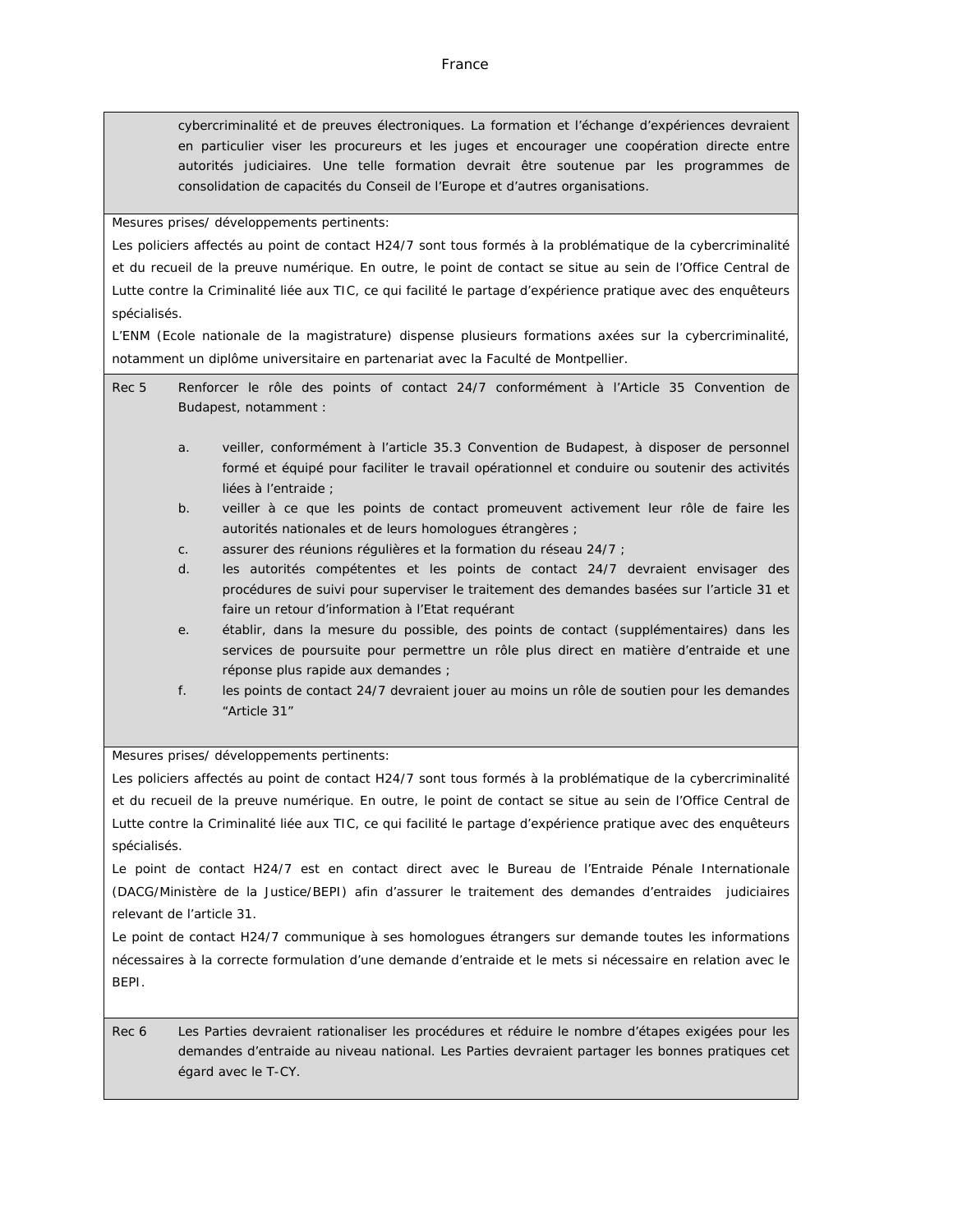cybercriminalité et de preuves électroniques. La formation et l'échange d'expériences devraient en particulier viser les procureurs et les juges et encourager une coopération directe entre autorités judiciaires. Une telle formation devrait être soutenue par les programmes de consolidation de capacités du Conseil de l'Europe et d'autres organisations.

#### Mesures prises/ développements pertinents:

Les policiers affectés au point de contact H24/7 sont tous formés à la problématique de la cybercriminalité et du recueil de la preuve numérique. En outre, le point de contact se situe au sein de l'Office Central de Lutte contre la Criminalité liée aux TIC, ce qui facilité le partage d'expérience pratique avec des enquêteurs spécialisés.

L'ENM (Ecole nationale de la magistrature) dispense plusieurs formations axées sur la cybercriminalité, notamment un diplôme universitaire en partenariat avec la Faculté de Montpellier.

- Rec 5 Renforcer le rôle des points of contact 24/7 conformément à l'Article 35 Convention de Budapest, notamment :
	- a. veiller, conformément à l'article 35.3 Convention de Budapest, à disposer de personnel formé et équipé pour faciliter le travail opérationnel et conduire ou soutenir des activités liées à l'entraide ;
	- b. veiller à ce que les points de contact promeuvent activement leur rôle de faire les autorités nationales et de leurs homologues étrangères ;
	- c. assurer des réunions régulières et la formation du réseau 24/7 ;
	- d. les autorités compétentes et les points de contact 24/7 devraient envisager des procédures de suivi pour superviser le traitement des demandes basées sur l'article 31 et faire un retour d'information à l'Etat requérant
	- e. établir, dans la mesure du possible, des points de contact (supplémentaires) dans les services de poursuite pour permettre un rôle plus direct en matière d'entraide et une réponse plus rapide aux demandes ;
	- f. les points de contact 24/7 devraient jouer au moins un rôle de soutien pour les demandes "Article 31"

Mesures prises/ développements pertinents:

Les policiers affectés au point de contact H24/7 sont tous formés à la problématique de la cybercriminalité et du recueil de la preuve numérique. En outre, le point de contact se situe au sein de l'Office Central de Lutte contre la Criminalité liée aux TIC, ce qui facilité le partage d'expérience pratique avec des enquêteurs spécialisés.

Le point de contact H24/7 est en contact direct avec le Bureau de l'Entraide Pénale Internationale (DACG/Ministère de la Justice/BEPI) afin d'assurer le traitement des demandes d'entraides judiciaires relevant de l'article 31.

Le point de contact H24/7 communique à ses homologues étrangers sur demande toutes les informations nécessaires à la correcte formulation d'une demande d'entraide et le mets si nécessaire en relation avec le BEPI.

Rec 6 Les Parties devraient rationaliser les procédures et réduire le nombre d'étapes exigées pour les demandes d'entraide au niveau national. Les Parties devraient partager les bonnes pratiques cet égard avec le T-CY.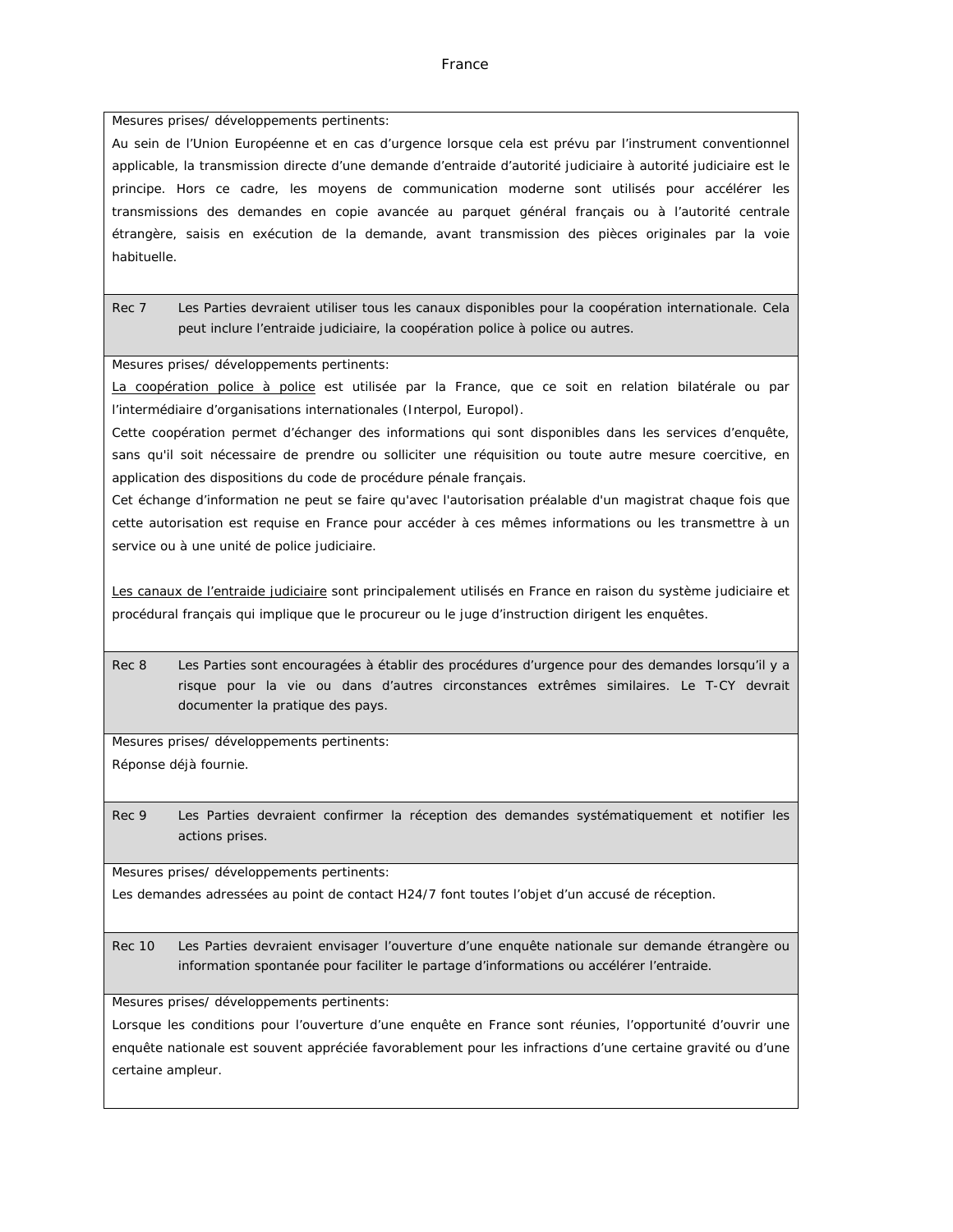Mesures prises/ développements pertinents:

Au sein de l'Union Européenne et en cas d'urgence lorsque cela est prévu par l'instrument conventionnel applicable, la transmission directe d'une demande d'entraide d'autorité judiciaire à autorité judiciaire est le principe. Hors ce cadre, les moyens de communication moderne sont utilisés pour accélérer les transmissions des demandes en copie avancée au parquet général français ou à l'autorité centrale étrangère, saisis en exécution de la demande, avant transmission des pièces originales par la voie habituelle.

Rec 7 Les Parties devraient utiliser tous les canaux disponibles pour la coopération internationale. Cela peut inclure l'entraide judiciaire, la coopération police à police ou autres.

Mesures prises/ développements pertinents:

La coopération police à police est utilisée par la France, que ce soit en relation bilatérale ou par l'intermédiaire d'organisations internationales (Interpol, Europol).

Cette coopération permet d'échanger des informations qui sont disponibles dans les services d'enquête, sans qu'il soit nécessaire de prendre ou solliciter une réquisition ou toute autre mesure coercitive, en application des dispositions du code de procédure pénale français.

Cet échange d'information ne peut se faire qu'avec l'autorisation préalable d'un magistrat chaque fois que cette autorisation est requise en France pour accéder à ces mêmes informations ou les transmettre à un service ou à une unité de police judiciaire.

Les canaux de l'entraide judiciaire sont principalement utilisés en France en raison du système judiciaire et procédural français qui implique que le procureur ou le juge d'instruction dirigent les enquêtes.

Rec 8 Les Parties sont encouragées à établir des procédures d'urgence pour des demandes lorsqu'il y a risque pour la vie ou dans d'autres circonstances extrêmes similaires. Le T-CY devrait documenter la pratique des pays.

Mesures prises/ développements pertinents: Réponse déjà fournie.

Rec 9 Les Parties devraient confirmer la réception des demandes systématiquement et notifier les actions prises.

Mesures prises/ développements pertinents:

Les demandes adressées au point de contact H24/7 font toutes l'objet d'un accusé de réception.

Rec 10 Les Parties devraient envisager l'ouverture d'une enquête nationale sur demande étrangère ou information spontanée pour faciliter le partage d'informations ou accélérer l'entraide.

Mesures prises/ développements pertinents:

Lorsque les conditions pour l'ouverture d'une enquête en France sont réunies, l'opportunité d'ouvrir une enquête nationale est souvent appréciée favorablement pour les infractions d'une certaine gravité ou d'une certaine ampleur.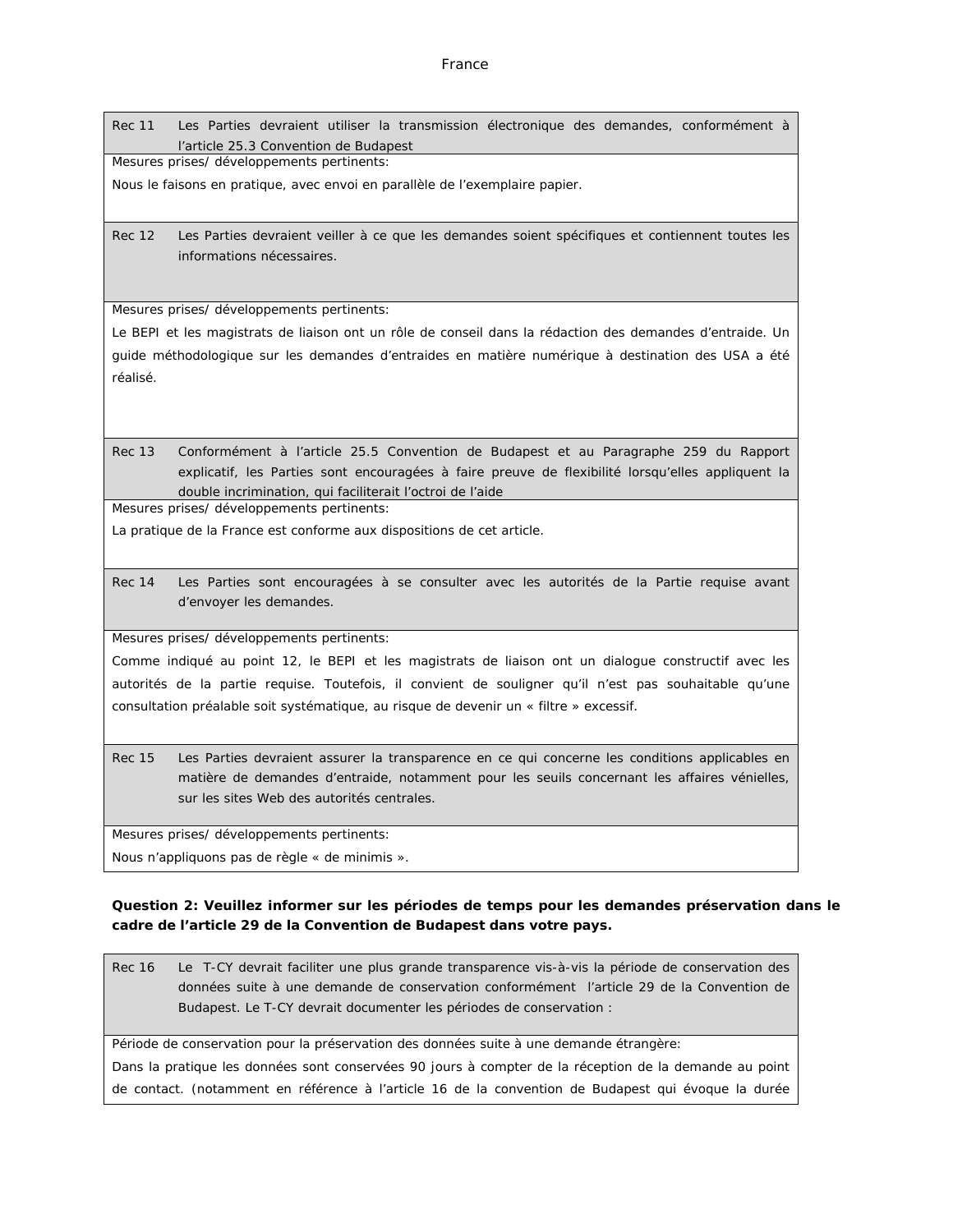Rec 11 Les Parties devraient utiliser la transmission électronique des demandes, conformément à l'article 25.3 Convention de Budapest

Mesures prises/ développements pertinents:

Nous le faisons en pratique, avec envoi en parallèle de l'exemplaire papier.

Rec 12 Les Parties devraient veiller à ce que les demandes soient spécifiques et contiennent toutes les informations nécessaires.

Mesures prises/ développements pertinents:

Le BEPI et les magistrats de liaison ont un rôle de conseil dans la rédaction des demandes d'entraide. Un guide méthodologique sur les demandes d'entraides en matière numérique à destination des USA a été réalisé.

Rec 13 Conformément à l'article 25.5 Convention de Budapest et au Paragraphe 259 du Rapport explicatif, les Parties sont encouragées à faire preuve de flexibilité lorsqu'elles appliquent la double incrimination, qui faciliterait l'octroi de l'aide

Mesures prises/ développements pertinents:

La pratique de la France est conforme aux dispositions de cet article.

Rec 14 Les Parties sont encouragées à se consulter avec les autorités de la Partie requise avant d'envoyer les demandes.

Mesures prises/ développements pertinents:

Comme indiqué au point 12, le BEPI et les magistrats de liaison ont un dialogue constructif avec les autorités de la partie requise. Toutefois, il convient de souligner qu'il n'est pas souhaitable qu'une consultation préalable soit systématique, au risque de devenir un « filtre » excessif.

Rec 15 Les Parties devraient assurer la transparence en ce qui concerne les conditions applicables en matière de demandes d'entraide, notamment pour les seuils concernant les affaires vénielles, sur les sites Web des autorités centrales.

Mesures prises/ développements pertinents:

Nous n'appliquons pas de règle « de minimis ».

**Question 2: Veuillez informer sur les périodes de temps pour les demandes préservation dans le cadre de l'article 29 de la Convention de Budapest dans votre pays.**

Rec 16 Le T-CY devrait faciliter une plus grande transparence vis-à-vis la période de conservation des données suite à une demande de conservation conformément l'article 29 de la Convention de Budapest. Le T-CY devrait documenter les périodes de conservation :

Période de conservation pour la préservation des données suite à une demande étrangère:

Dans la pratique les données sont conservées 90 jours à compter de la réception de la demande au point de contact. (notamment en référence à l'article 16 de la convention de Budapest qui évoque la durée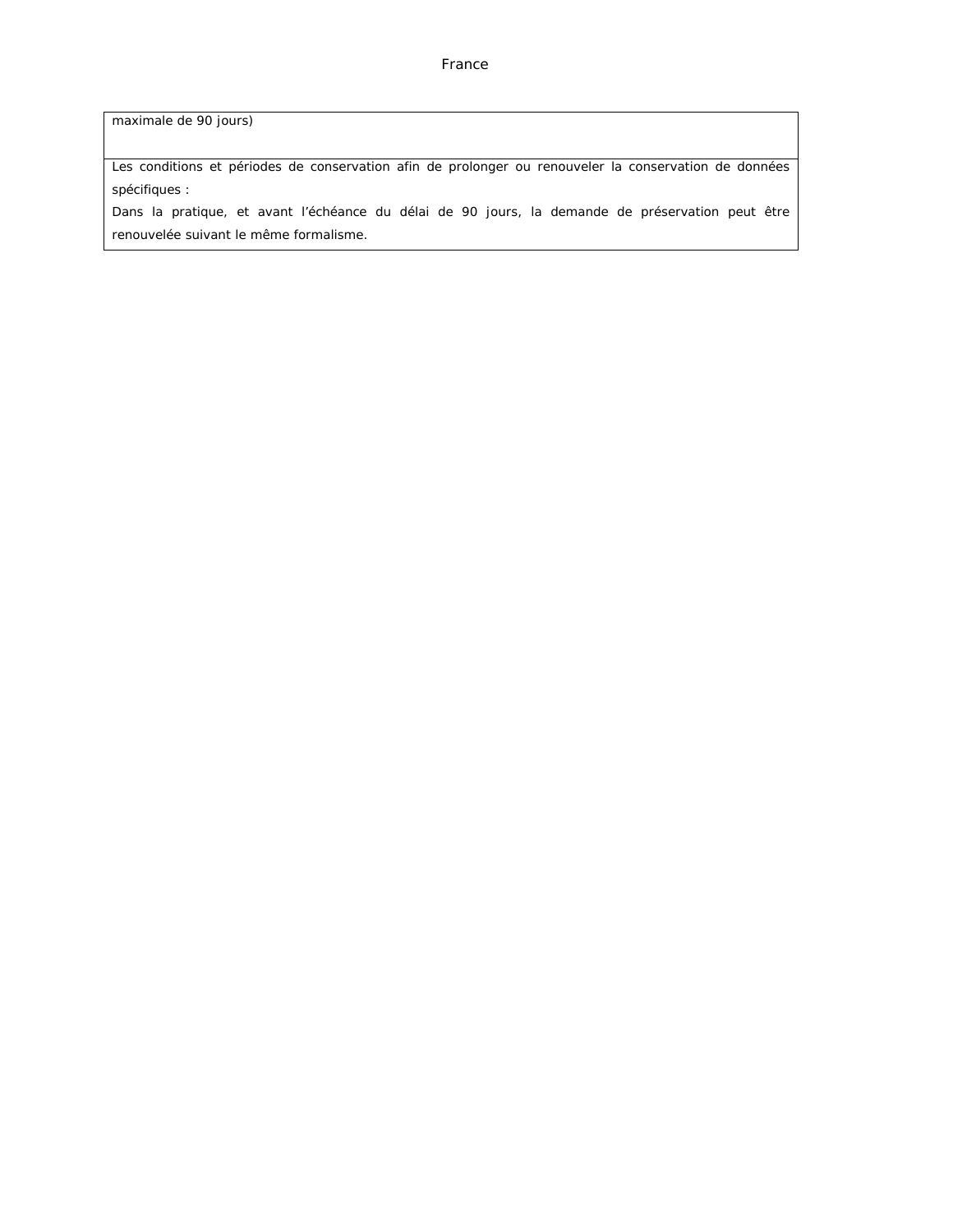maximale de 90 jours)

Les conditions et périodes de conservation afin de prolonger ou renouveler la conservation de données spécifiques :

Dans la pratique, et avant l'échéance du délai de 90 jours, la demande de préservation peut être renouvelée suivant le même formalisme.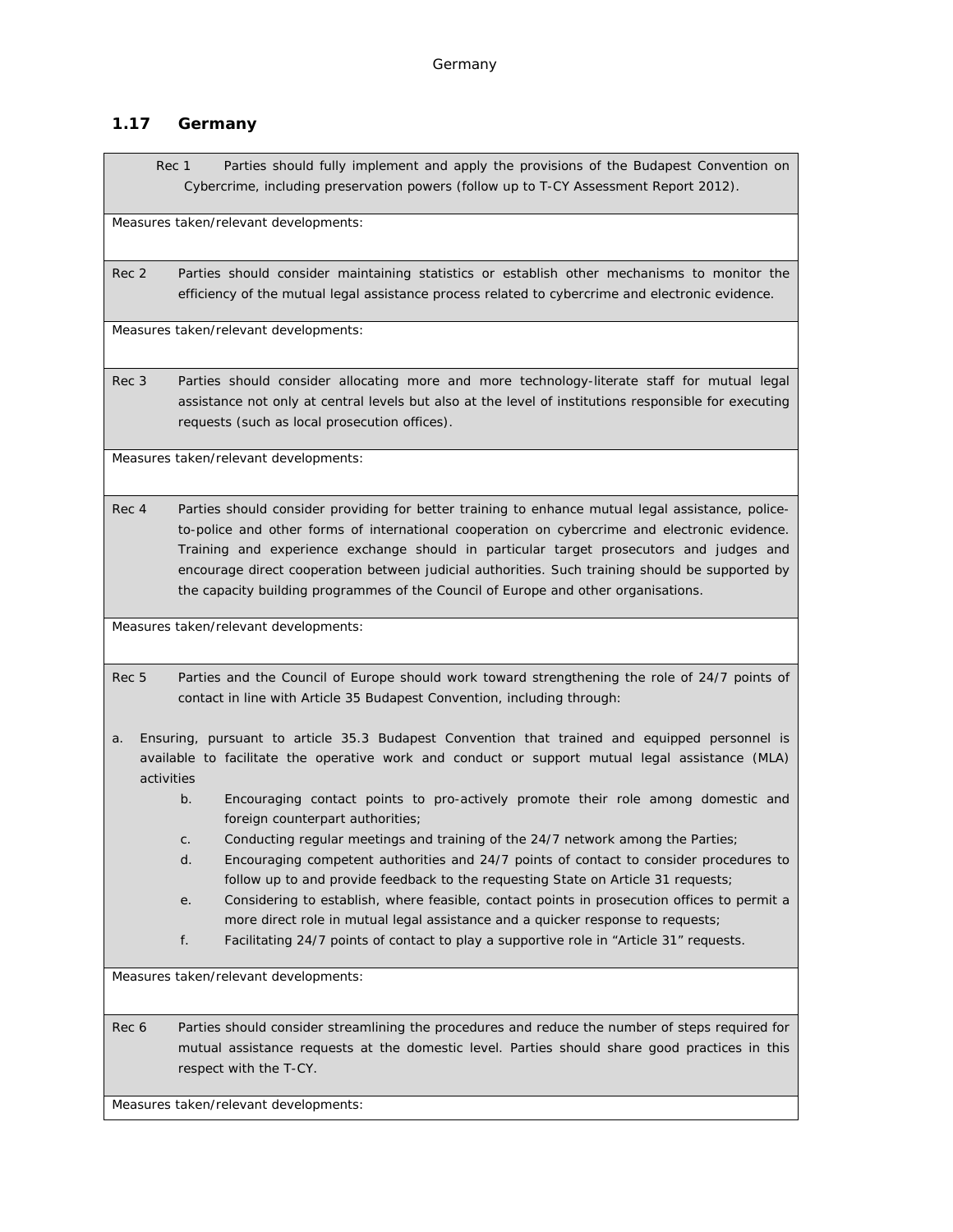# **1.17 Germany**

Rec 1 Parties should fully implement and apply the provisions of the Budapest Convention on Cybercrime, including preservation powers (follow up to T-CY Assessment Report 2012).

Measures taken/relevant developments:

Rec 2 Parties should consider maintaining statistics or establish other mechanisms to monitor the efficiency of the mutual legal assistance process related to cybercrime and electronic evidence.

Measures taken/relevant developments:

Rec 3 Parties should consider allocating more and more technology-literate staff for mutual legal assistance not only at central levels but also at the level of institutions responsible for executing requests (such as local prosecution offices).

Measures taken/relevant developments:

Rec 4 Parties should consider providing for better training to enhance mutual legal assistance, policeto-police and other forms of international cooperation on cybercrime and electronic evidence. Training and experience exchange should in particular target prosecutors and judges and encourage direct cooperation between judicial authorities. Such training should be supported by the capacity building programmes of the Council of Europe and other organisations.

Measures taken/relevant developments:

Rec 5 Parties and the Council of Europe should work toward strengthening the role of 24/7 points of contact in line with Article 35 Budapest Convention, including through:

- a. Ensuring, pursuant to article 35.3 Budapest Convention that trained and equipped personnel is available to facilitate the operative work and conduct or support mutual legal assistance (MLA) activities
	- b. Encouraging contact points to pro-actively promote their role among domestic and foreign counterpart authorities;
	- c. Conducting regular meetings and training of the 24/7 network among the Parties;
	- d. Encouraging competent authorities and 24/7 points of contact to consider procedures to follow up to and provide feedback to the requesting State on Article 31 requests;
	- e. Considering to establish, where feasible, contact points in prosecution offices to permit a more direct role in mutual legal assistance and a quicker response to requests;
	- f. Facilitating 24/7 points of contact to play a supportive role in "Article 31" requests.

Measures taken/relevant developments:

Rec 6 Parties should consider streamlining the procedures and reduce the number of steps required for mutual assistance requests at the domestic level. Parties should share good practices in this respect with the T-CY.

Measures taken/relevant developments: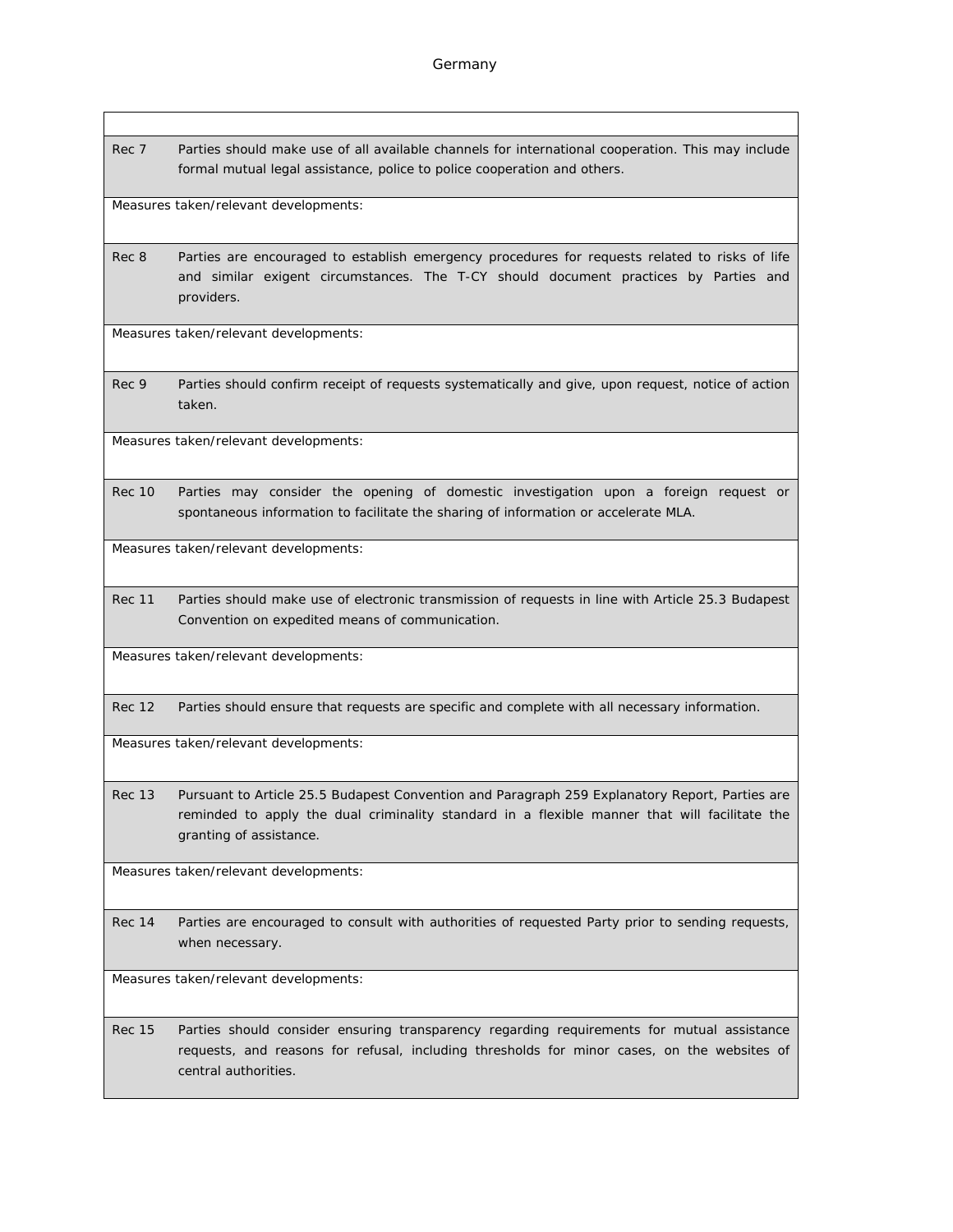Rec 7 Parties should make use of all available channels for international cooperation. This may include formal mutual legal assistance, police to police cooperation and others.

Measures taken/relevant developments:

Rec 8 Parties are encouraged to establish emergency procedures for requests related to risks of life and similar exigent circumstances. The T-CY should document practices by Parties and providers.

Measures taken/relevant developments:

Rec 9 Parties should confirm receipt of requests systematically and give, upon request, notice of action taken.

Measures taken/relevant developments:

Rec 10 Parties may consider the opening of domestic investigation upon a foreign request or spontaneous information to facilitate the sharing of information or accelerate MLA.

Measures taken/relevant developments:

Rec 11 Parties should make use of electronic transmission of requests in line with Article 25.3 Budapest Convention on expedited means of communication.

Measures taken/relevant developments:

Rec 12 Parties should ensure that requests are specific and complete with all necessary information.

Measures taken/relevant developments:

Rec 13 Pursuant to Article 25.5 Budapest Convention and Paragraph 259 Explanatory Report, Parties are reminded to apply the dual criminality standard in a flexible manner that will facilitate the granting of assistance.

Measures taken/relevant developments:

Rec 14 Parties are encouraged to consult with authorities of requested Party prior to sending requests, when necessary.

Measures taken/relevant developments:

Rec 15 Parties should consider ensuring transparency regarding requirements for mutual assistance requests, and reasons for refusal, including thresholds for minor cases, on the websites of central authorities.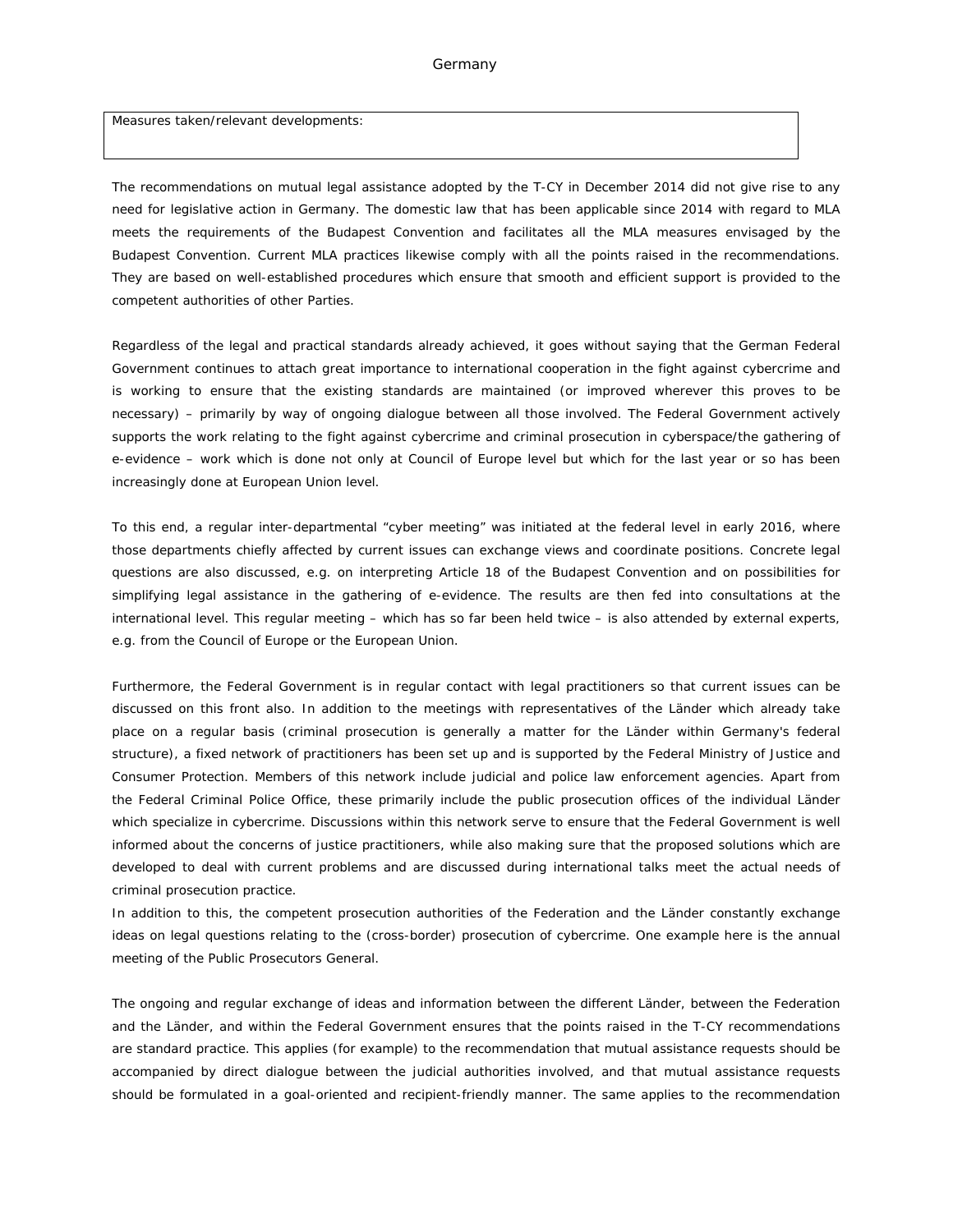#### Germany

Measures taken/relevant developments:

The recommendations on mutual legal assistance adopted by the T-CY in December 2014 did not give rise to any need for legislative action in Germany. The domestic law that has been applicable since 2014 with regard to MLA meets the requirements of the Budapest Convention and facilitates all the MLA measures envisaged by the Budapest Convention. Current MLA practices likewise comply with all the points raised in the recommendations. They are based on well-established procedures which ensure that smooth and efficient support is provided to the competent authorities of other Parties.

Regardless of the legal and practical standards already achieved, it goes without saying that the German Federal Government continues to attach great importance to international cooperation in the fight against cybercrime and is working to ensure that the existing standards are maintained (or improved wherever this proves to be necessary) – primarily by way of ongoing dialogue between all those involved. The Federal Government actively supports the work relating to the fight against cybercrime and criminal prosecution in cyberspace/the gathering of e-evidence – work which is done not only at Council of Europe level but which for the last year or so has been increasingly done at European Union level.

To this end, a regular inter-departmental "cyber meeting" was initiated at the federal level in early 2016, where those departments chiefly affected by current issues can exchange views and coordinate positions. Concrete legal questions are also discussed, e.g. on interpreting Article 18 of the Budapest Convention and on possibilities for simplifying legal assistance in the gathering of e-evidence. The results are then fed into consultations at the international level. This regular meeting – which has so far been held twice – is also attended by external experts, e.g. from the Council of Europe or the European Union.

Furthermore, the Federal Government is in regular contact with legal practitioners so that current issues can be discussed on this front also. In addition to the meetings with representatives of the *Länder* which already take place on a regular basis (criminal prosecution is generally a matter for the *Länder* within Germany's federal structure), a fixed network of practitioners has been set up and is supported by the Federal Ministry of Justice and Consumer Protection. Members of this network include judicial and police law enforcement agencies. Apart from the Federal Criminal Police Office, these primarily include the public prosecution offices of the individual *Länder* which specialize in cybercrime. Discussions within this network serve to ensure that the Federal Government is well informed about the concerns of justice practitioners, while also making sure that the proposed solutions which are developed to deal with current problems and are discussed during international talks meet the actual needs of criminal prosecution practice.

In addition to this, the competent prosecution authorities of the Federation and the *Länder* constantly exchange ideas on legal questions relating to the (cross-border) prosecution of cybercrime. One example here is the annual meeting of the Public Prosecutors General.

The ongoing and regular exchange of ideas and information between the different *Länder*, between the Federation and the *Länder*, and within the Federal Government ensures that the points raised in the T-CY recommendations are standard practice. This applies (for example) to the recommendation that mutual assistance requests should be accompanied by direct dialogue between the judicial authorities involved, and that mutual assistance requests should be formulated in a goal-oriented and recipient-friendly manner. The same applies to the recommendation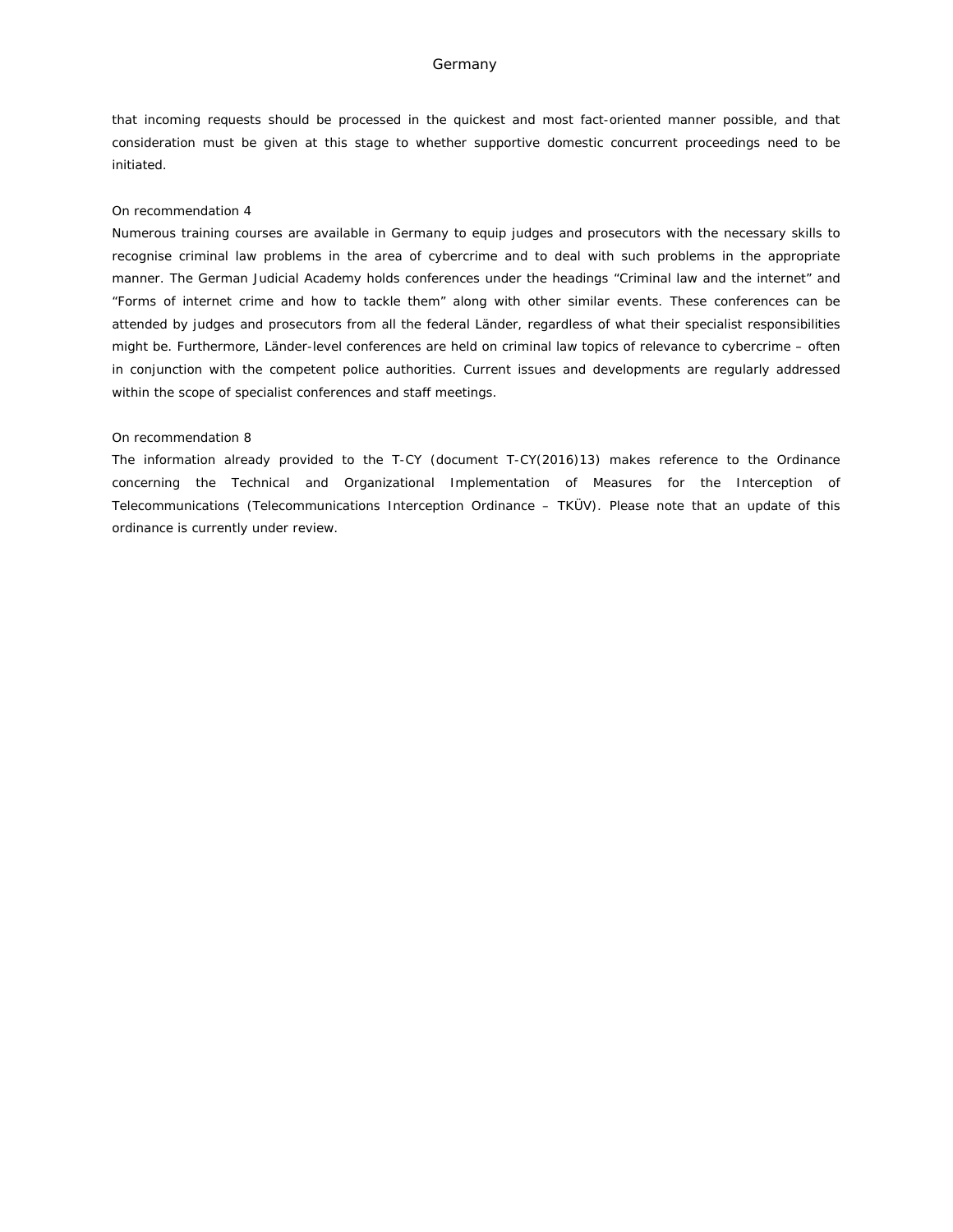#### Germany

that incoming requests should be processed in the quickest and most fact-oriented manner possible, and that consideration must be given at this stage to whether supportive domestic concurrent proceedings need to be initiated.

#### On recommendation 4

Numerous training courses are available in Germany to equip judges and prosecutors with the necessary skills to recognise criminal law problems in the area of cybercrime and to deal with such problems in the appropriate manner. The German Judicial Academy holds conferences under the headings "Criminal law and the internet" and "Forms of internet crime and how to tackle them" along with other similar events. These conferences can be attended by judges and prosecutors from all the federal *Länder*, regardless of what their specialist responsibilities might be. Furthermore, *Länder*-level conferences are held on criminal law topics of relevance to cybercrime – often in conjunction with the competent police authorities. Current issues and developments are regularly addressed within the scope of specialist conferences and staff meetings.

#### On recommendation 8

The information already provided to the T-CY (document T-CY(2016)13) makes reference to the Ordinance concerning the Technical and Organizational Implementation of Measures for the Interception of Telecommunications (Telecommunications Interception Ordinance – TKÜV). Please note that an update of this ordinance is currently under review.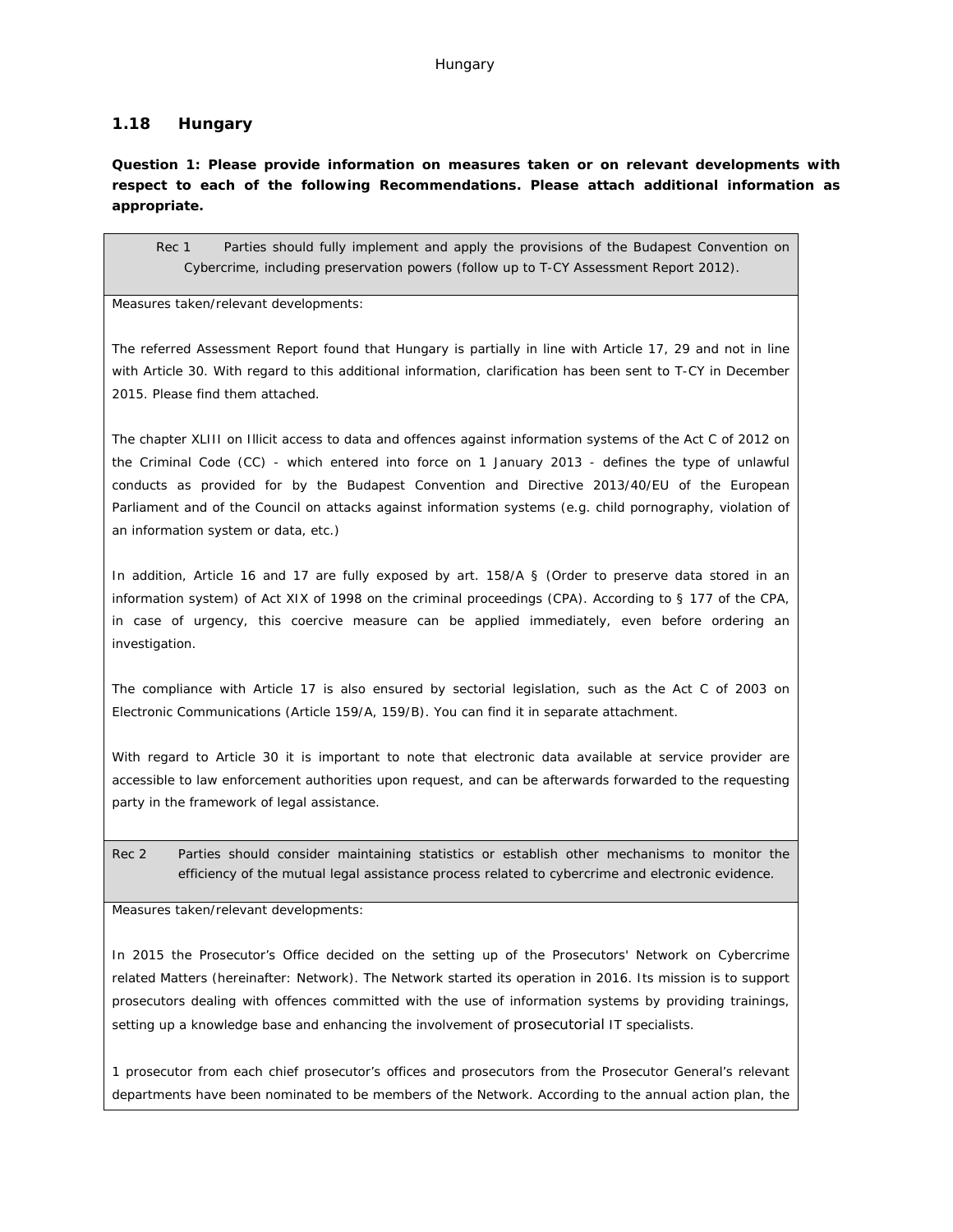### **1.18 Hungary**

**Question 1: Please provide information on measures taken or on relevant developments with respect to each of the following Recommendations. Please attach additional information as appropriate.**

Rec 1 Parties should fully implement and apply the provisions of the Budapest Convention on Cybercrime, including preservation powers (follow up to T-CY Assessment Report 2012).

Measures taken/relevant developments:

The referred Assessment Report found that Hungary is partially in line with Article 17, 29 and not in line with Article 30. With regard to this additional information, clarification has been sent to T-CY in December 2015. Please find them attached.

The chapter XLIII on Illicit access to data and offences against information systems of the Act C of 2012 on the Criminal Code (CC) - which entered into force on 1 January 2013 - defines the type of unlawful conducts as provided for by the Budapest Convention and Directive 2013/40/EU of the European Parliament and of the Council on attacks against information systems (e.g. child pornography, violation of an information system or data, etc.)

In addition, Article 16 and 17 are fully exposed by art. 158/A § (Order to preserve data stored in an information system) of Act XIX of 1998 on the criminal proceedings (CPA). According to § 177 of the CPA, in case of urgency, this coercive measure can be applied immediately, even before ordering an investigation.

The compliance with Article 17 is also ensured by sectorial legislation, such as the Act C of 2003 on Electronic Communications (Article 159/A, 159/B). You can find it in separate attachment.

With regard to Article 30 it is important to note that electronic data available at service provider are accessible to law enforcement authorities upon request, and can be afterwards forwarded to the requesting party in the framework of legal assistance.

Rec 2 Parties should consider maintaining statistics or establish other mechanisms to monitor the efficiency of the mutual legal assistance process related to cybercrime and electronic evidence.

Measures taken/relevant developments:

In 2015 the Prosecutor's Office decided on the setting up of the Prosecutors' Network on Cybercrime related Matters (hereinafter: Network). The Network started its operation in 2016. Its mission is to support prosecutors dealing with offences committed with the use of information systems by providing trainings, setting up a knowledge base and enhancing the involvement of prosecutorial IT specialists.

1 prosecutor from each chief prosecutor's offices and prosecutors from the Prosecutor General's relevant departments have been nominated to be members of the Network. According to the annual action plan, the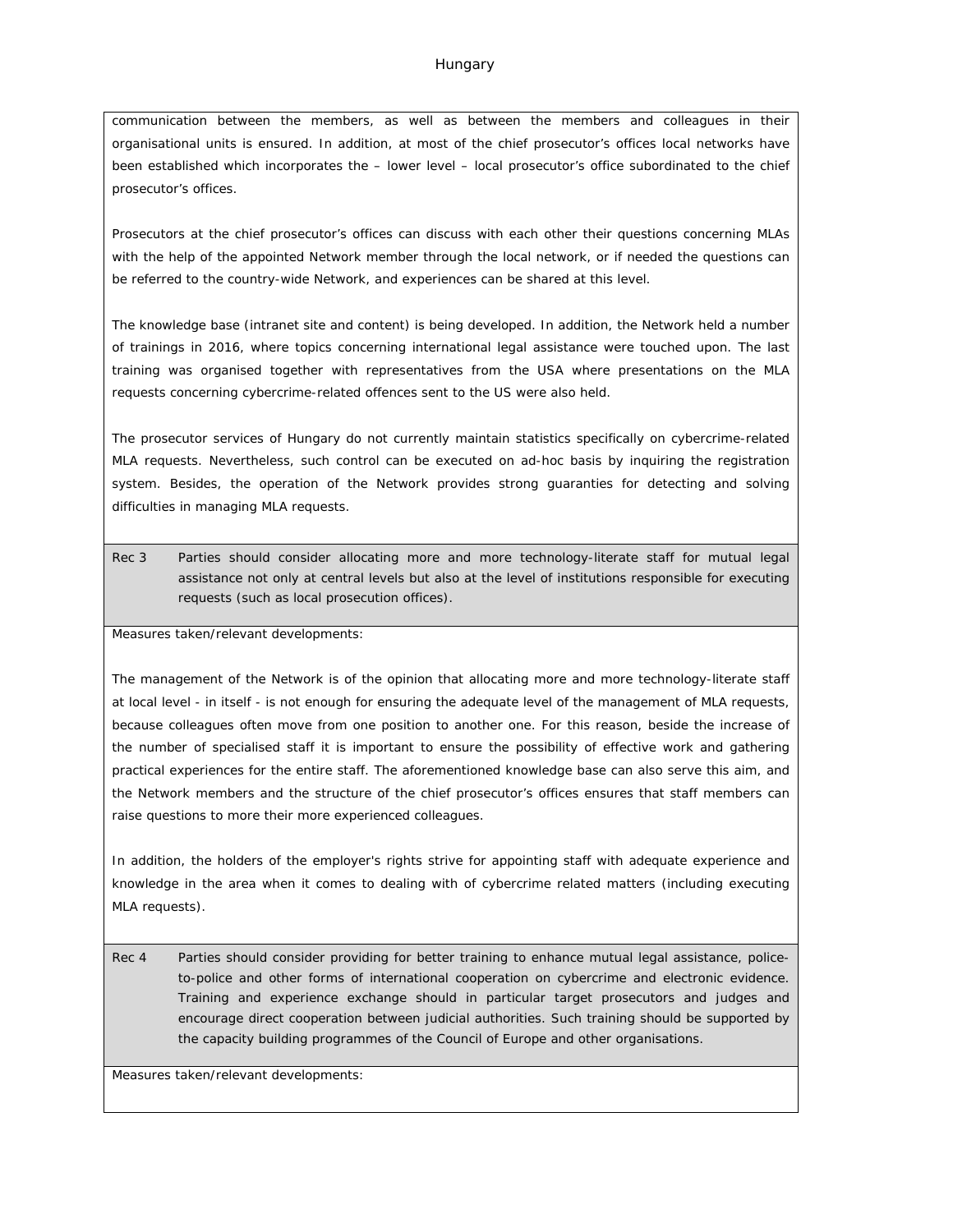communication between the members, as well as between the members and colleagues in their organisational units is ensured. In addition, at most of the chief prosecutor's offices local networks have been established which incorporates the – lower level – local prosecutor's office subordinated to the chief prosecutor's offices.

Prosecutors at the chief prosecutor's offices can discuss with each other their questions concerning MLAs with the help of the appointed Network member through the local network, or if needed the questions can be referred to the country-wide Network, and experiences can be shared at this level.

The knowledge base (intranet site and content) is being developed. In addition, the Network held a number of trainings in 2016, where topics concerning international legal assistance were touched upon. The last training was organised together with representatives from the USA where presentations on the MLA requests concerning cybercrime-related offences sent to the US were also held.

The prosecutor services of Hungary do not currently maintain statistics specifically on cybercrime-related MLA requests. Nevertheless, such control can be executed on ad-hoc basis by inquiring the registration system. Besides, the operation of the Network provides strong guaranties for detecting and solving difficulties in managing MLA requests.

Rec 3 Parties should consider allocating more and more technology-literate staff for mutual legal assistance not only at central levels but also at the level of institutions responsible for executing requests (such as local prosecution offices).

Measures taken/relevant developments:

The management of the Network is of the opinion that allocating more and more technology-literate staff at local level - in itself - is not enough for ensuring the adequate level of the management of MLA requests, because colleagues often move from one position to another one. For this reason, beside the increase of the number of specialised staff it is important to ensure the possibility of effective work and gathering practical experiences for the entire staff. The aforementioned knowledge base can also serve this aim, and the Network members and the structure of the chief prosecutor's offices ensures that staff members can raise questions to more their more experienced colleagues.

In addition, the holders of the employer's rights strive for appointing staff with adequate experience and knowledge in the area when it comes to dealing with of cybercrime related matters (including executing MLA requests).

Rec 4 Parties should consider providing for better training to enhance mutual legal assistance, policeto-police and other forms of international cooperation on cybercrime and electronic evidence. Training and experience exchange should in particular target prosecutors and judges and encourage direct cooperation between judicial authorities. Such training should be supported by the capacity building programmes of the Council of Europe and other organisations.

Measures taken/relevant developments: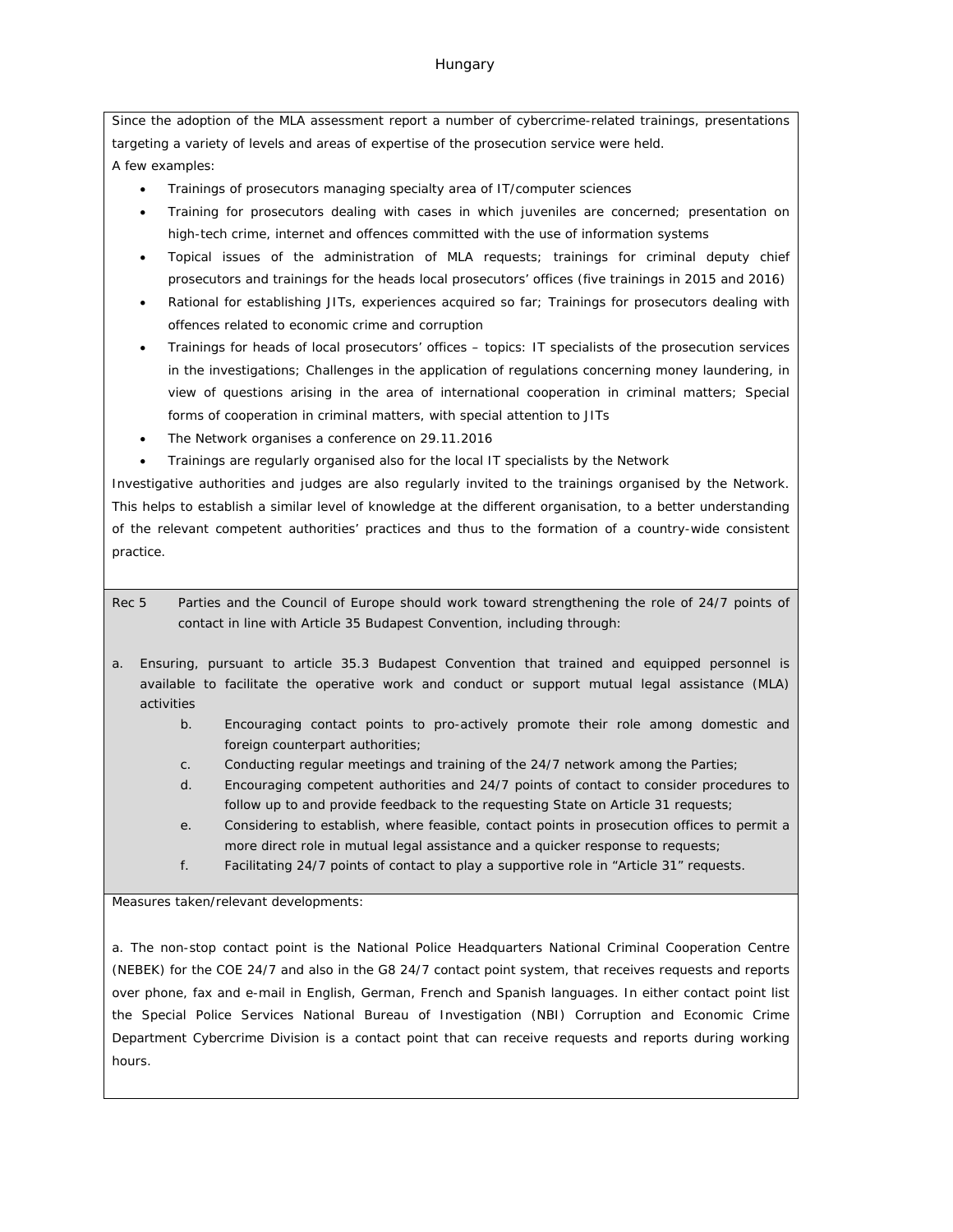Since the adoption of the MLA assessment report a number of cybercrime-related trainings, presentations targeting a variety of levels and areas of expertise of the prosecution service were held. A few examples:

- Trainings of prosecutors managing specialty area of IT/computer sciences
- Training for prosecutors dealing with cases in which juveniles are concerned; presentation on high-tech crime, internet and offences committed with the use of information systems
- Topical issues of the administration of MLA requests; trainings for criminal deputy chief prosecutors and trainings for the heads local prosecutors' offices (five trainings in 2015 and 2016)
- Rational for establishing JITs, experiences acquired so far; Trainings for prosecutors dealing with offences related to economic crime and corruption
- Trainings for heads of local prosecutors' offices topics: IT specialists of the prosecution services in the investigations; Challenges in the application of regulations concerning money laundering, in view of questions arising in the area of international cooperation in criminal matters; Special forms of cooperation in criminal matters, with special attention to JITs
- The Network organises a conference on 29.11.2016
- Trainings are regularly organised also for the local IT specialists by the Network

Investigative authorities and judges are also regularly invited to the trainings organised by the Network. This helps to establish a similar level of knowledge at the different organisation, to a better understanding of the relevant competent authorities' practices and thus to the formation of a country-wide consistent practice.

- Rec 5 Parties and the Council of Europe should work toward strengthening the role of 24/7 points of contact in line with Article 35 Budapest Convention, including through:
- a. Ensuring, pursuant to article 35.3 Budapest Convention that trained and equipped personnel is available to facilitate the operative work and conduct or support mutual legal assistance (MLA) activities
	- b. Encouraging contact points to pro-actively promote their role among domestic and foreign counterpart authorities;
	- c. Conducting regular meetings and training of the 24/7 network among the Parties;
	- d. Encouraging competent authorities and 24/7 points of contact to consider procedures to follow up to and provide feedback to the requesting State on Article 31 requests;
	- e. Considering to establish, where feasible, contact points in prosecution offices to permit a more direct role in mutual legal assistance and a quicker response to requests;
	- f. Facilitating 24/7 points of contact to play a supportive role in "Article 31" requests.

Measures taken/relevant developments:

a. The non-stop contact point is the National Police Headquarters National Criminal Cooperation Centre (NEBEK) for the COE 24/7 and also in the G8 24/7 contact point system, that receives requests and reports over phone, fax and e-mail in English, German, French and Spanish languages. In either contact point list the Special Police Services National Bureau of Investigation (NBI) Corruption and Economic Crime Department Cybercrime Division is a contact point that can receive requests and reports during working hours.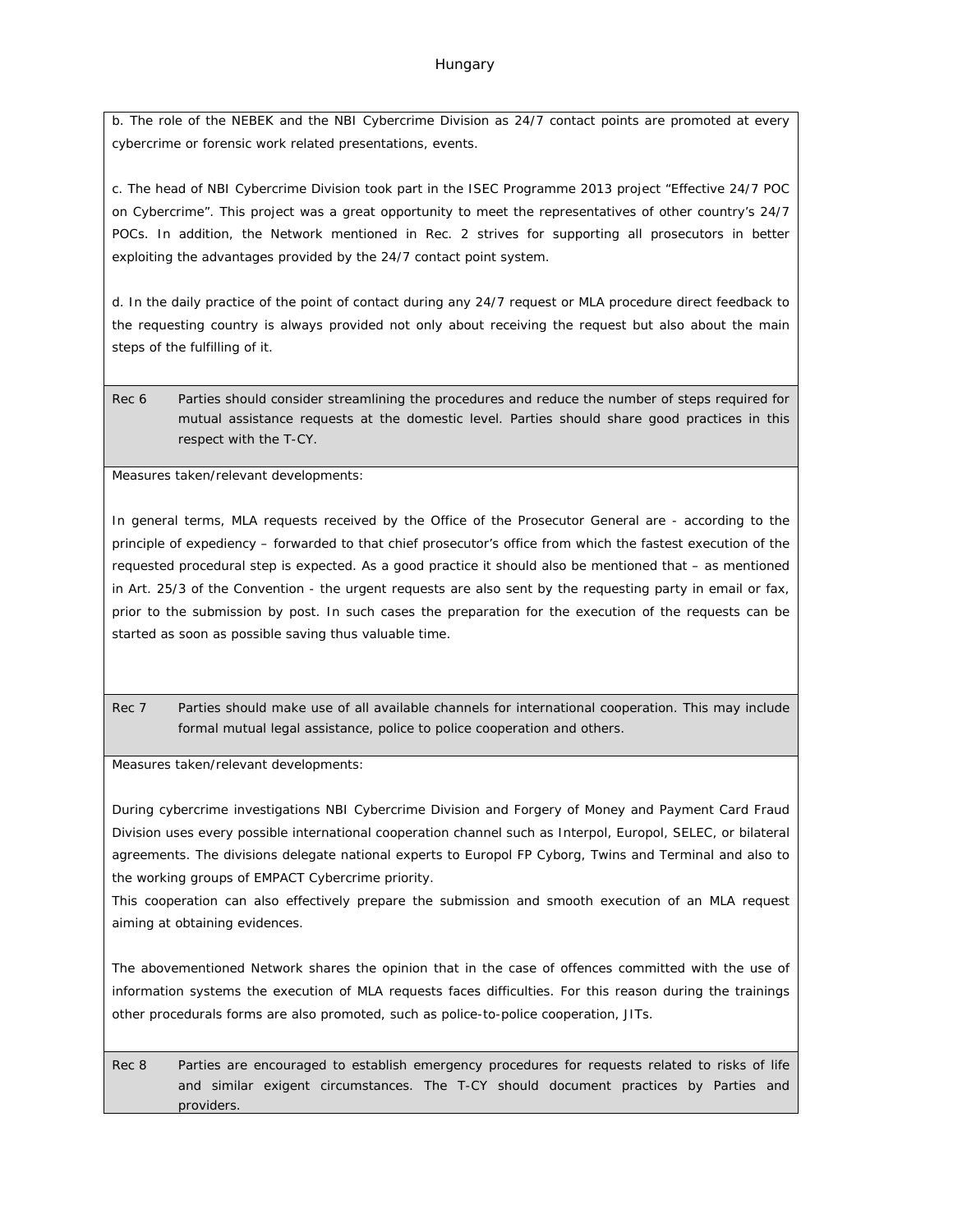b. The role of the NEBEK and the NBI Cybercrime Division as 24/7 contact points are promoted at every cybercrime or forensic work related presentations, events.

c. The head of NBI Cybercrime Division took part in the ISEC Programme 2013 project "Effective 24/7 POC on Cybercrime". This project was a great opportunity to meet the representatives of other country's 24/7 POCs. In addition, the Network mentioned in Rec. 2 strives for supporting all prosecutors in better exploiting the advantages provided by the 24/7 contact point system.

d. In the daily practice of the point of contact during any 24/7 request or MLA procedure direct feedback to the requesting country is always provided not only about receiving the request but also about the main steps of the fulfilling of it.

Rec 6 Parties should consider streamlining the procedures and reduce the number of steps required for mutual assistance requests at the domestic level. Parties should share good practices in this respect with the T-CY.

Measures taken/relevant developments:

In general terms, MLA requests received by the Office of the Prosecutor General are - according to the principle of expediency – forwarded to that chief prosecutor's office from which the fastest execution of the requested procedural step is expected. As a good practice it should also be mentioned that – as mentioned in Art. 25/3 of the Convention - the urgent requests are also sent by the requesting party in email or fax, prior to the submission by post. In such cases the preparation for the execution of the requests can be started as soon as possible saving thus valuable time.

Rec 7 Parties should make use of all available channels for international cooperation. This may include formal mutual legal assistance, police to police cooperation and others.

Measures taken/relevant developments:

During cybercrime investigations NBI Cybercrime Division and Forgery of Money and Payment Card Fraud Division uses every possible international cooperation channel such as Interpol, Europol, SELEC, or bilateral agreements. The divisions delegate national experts to Europol FP Cyborg, Twins and Terminal and also to the working groups of EMPACT Cybercrime priority.

This cooperation can also effectively prepare the submission and smooth execution of an MLA request aiming at obtaining evidences.

The abovementioned Network shares the opinion that in the case of offences committed with the use of information systems the execution of MLA requests faces difficulties. For this reason during the trainings other procedurals forms are also promoted, such as police-to-police cooperation, JITs.

Rec 8 Parties are encouraged to establish emergency procedures for requests related to risks of life and similar exigent circumstances. The T-CY should document practices by Parties and providers.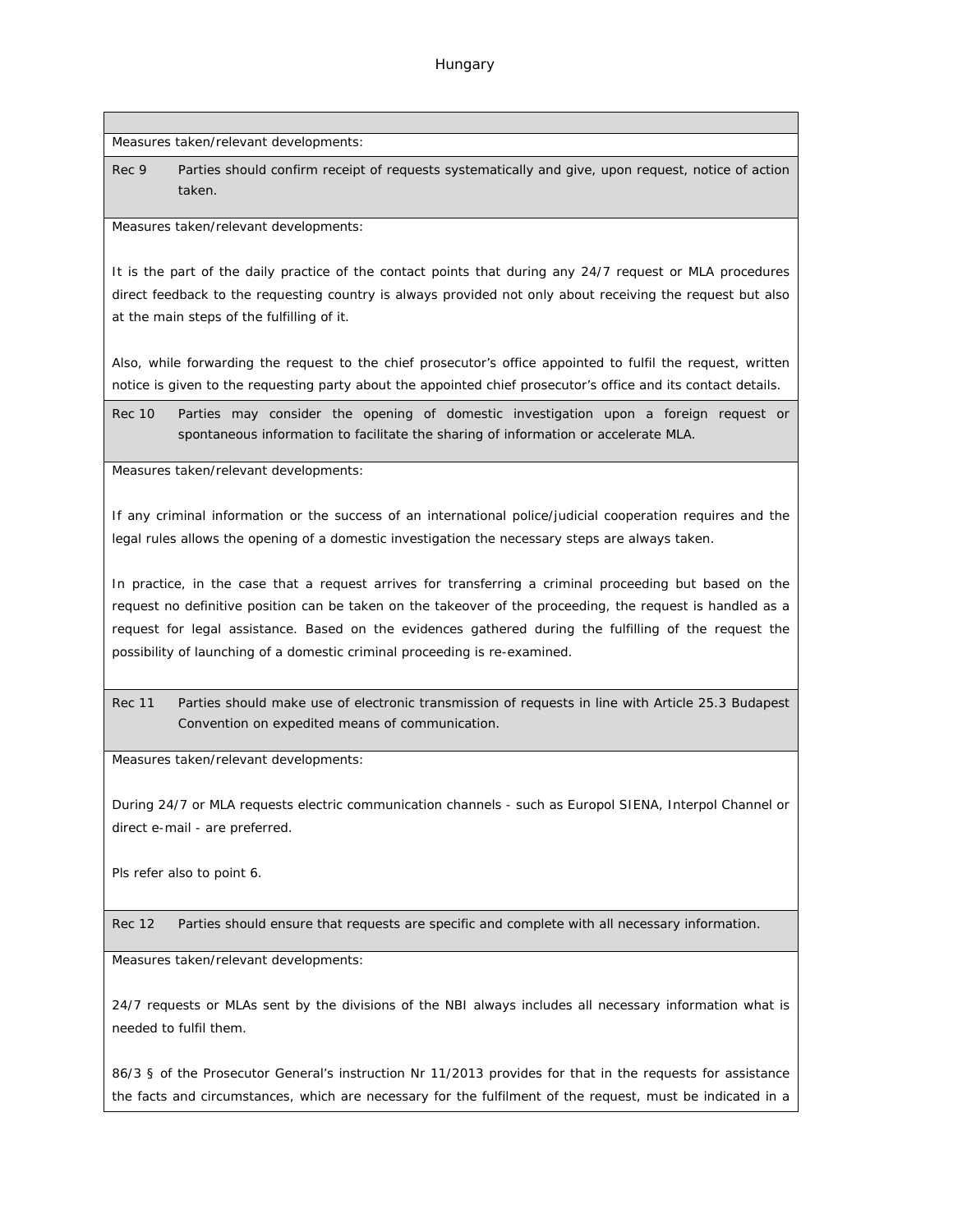Measures taken/relevant developments:

Rec 9 Parties should confirm receipt of requests systematically and give, upon request, notice of action taken.

Measures taken/relevant developments:

It is the part of the daily practice of the contact points that during any 24/7 request or MLA procedures direct feedback to the requesting country is always provided not only about receiving the request but also at the main steps of the fulfilling of it.

Also, while forwarding the request to the chief prosecutor's office appointed to fulfil the request, written notice is given to the requesting party about the appointed chief prosecutor's office and its contact details.

Rec 10 Parties may consider the opening of domestic investigation upon a foreign request or spontaneous information to facilitate the sharing of information or accelerate MLA.

Measures taken/relevant developments:

If any criminal information or the success of an international police/judicial cooperation requires and the legal rules allows the opening of a domestic investigation the necessary steps are always taken.

In practice, in the case that a request arrives for transferring a criminal proceeding but based on the request no definitive position can be taken on the takeover of the proceeding, the request is handled as a request for legal assistance. Based on the evidences gathered during the fulfilling of the request the possibility of launching of a domestic criminal proceeding is re-examined.

Rec 11 Parties should make use of electronic transmission of requests in line with Article 25.3 Budapest Convention on expedited means of communication.

Measures taken/relevant developments:

During 24/7 or MLA requests electric communication channels - such as Europol SIENA, Interpol Channel or direct e-mail - are preferred.

Pls refer also to point 6.

Rec 12 Parties should ensure that requests are specific and complete with all necessary information.

Measures taken/relevant developments:

24/7 requests or MLAs sent by the divisions of the NBI always includes all necessary information what is needed to fulfil them.

86/3 § of the Prosecutor General's instruction Nr 11/2013 provides for that in the requests for assistance the facts and circumstances, which are necessary for the fulfilment of the request, must be indicated in a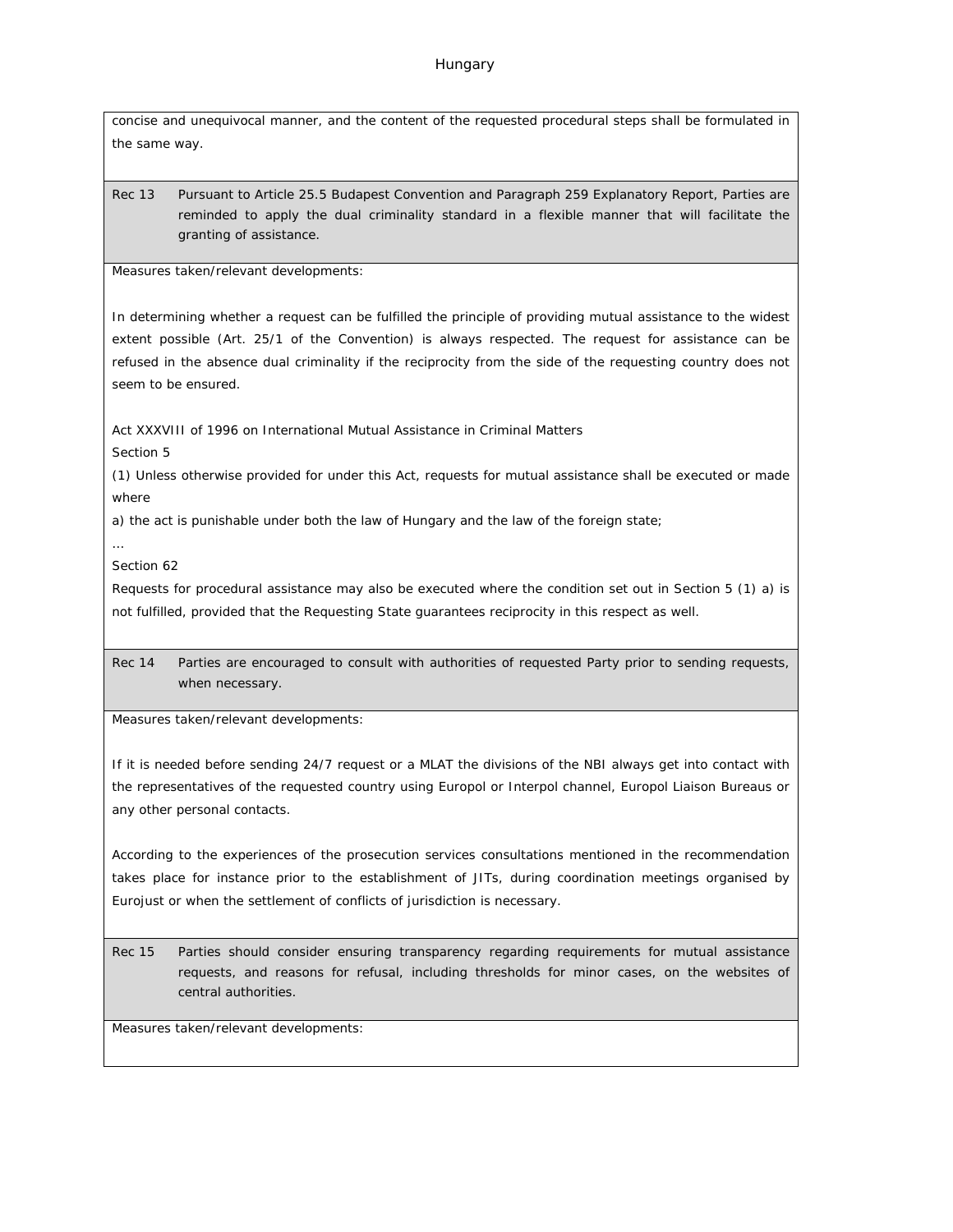concise and unequivocal manner, and the content of the requested procedural steps shall be formulated in the same way.

Rec 13 Pursuant to Article 25.5 Budapest Convention and Paragraph 259 Explanatory Report, Parties are reminded to apply the dual criminality standard in a flexible manner that will facilitate the granting of assistance.

Measures taken/relevant developments:

In determining whether a request can be fulfilled the principle of providing mutual assistance to the widest extent possible (Art. 25/1 of the Convention) is always respected. The request for assistance can be refused in the absence dual criminality if the reciprocity from the side of the requesting country does not seem to be ensured.

Act XXXVIII of 1996 on International Mutual Assistance in Criminal Matters

Section 5

(1) Unless otherwise provided for under this Act, requests for mutual assistance shall be executed or made where

a) the act is punishable under both the law of Hungary and the law of the foreign state;

…

Section 62

Requests for procedural assistance may also be executed where the condition set out in Section 5 (1) a) is not fulfilled, provided that the Requesting State guarantees reciprocity in this respect as well.

Rec 14 Parties are encouraged to consult with authorities of requested Party prior to sending requests, when necessary.

Measures taken/relevant developments:

If it is needed before sending 24/7 request or a MLAT the divisions of the NBI always get into contact with the representatives of the requested country using Europol or Interpol channel, Europol Liaison Bureaus or any other personal contacts.

According to the experiences of the prosecution services consultations mentioned in the recommendation takes place for instance prior to the establishment of JITs, during coordination meetings organised by Eurojust or when the settlement of conflicts of jurisdiction is necessary.

Rec 15 Parties should consider ensuring transparency regarding requirements for mutual assistance requests, and reasons for refusal, including thresholds for minor cases, on the websites of central authorities.

Measures taken/relevant developments: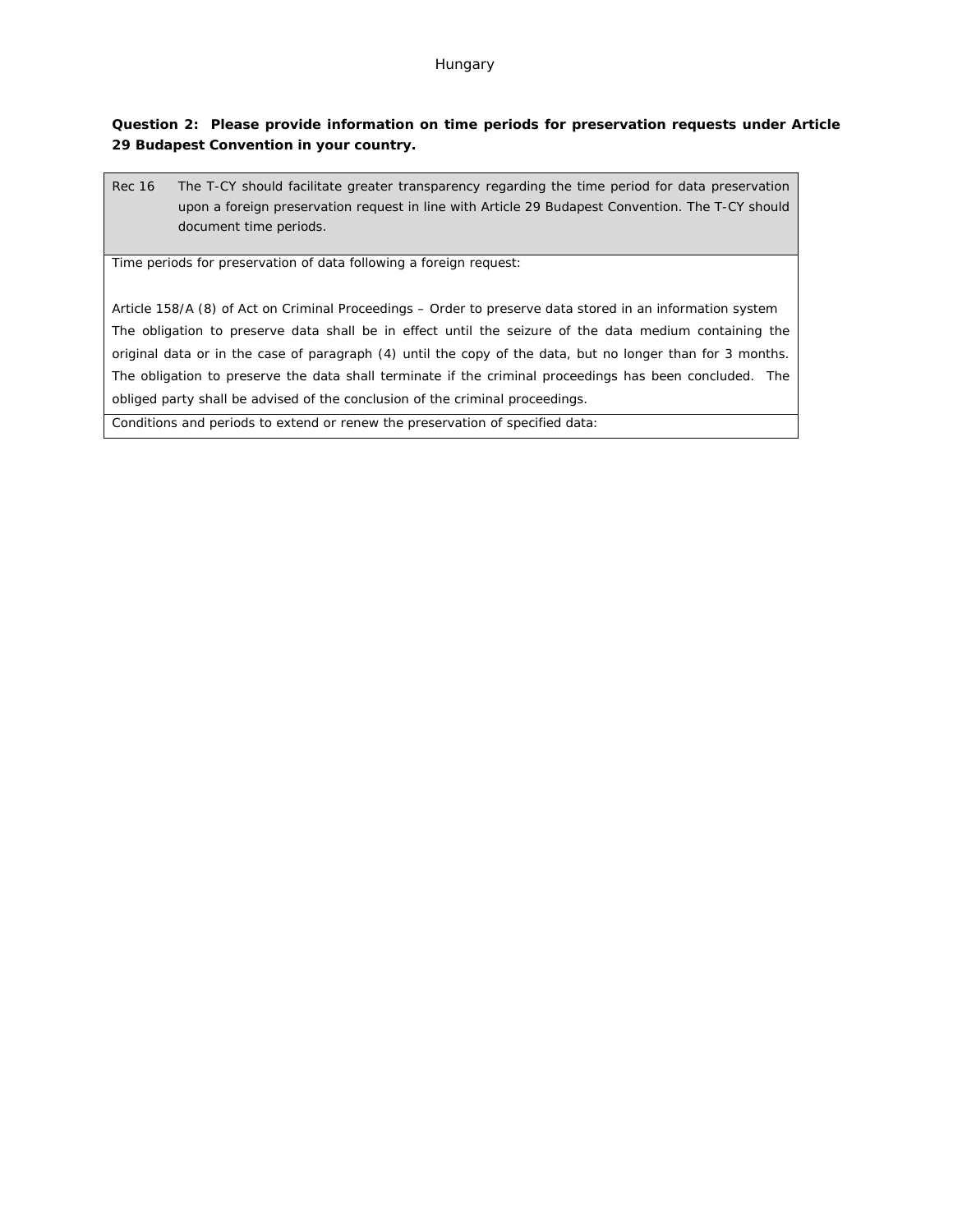**Question 2: Please provide information on time periods for preservation requests under Article 29 Budapest Convention in your country.**

Rec 16 The T-CY should facilitate greater transparency regarding the time period for data preservation upon a foreign preservation request in line with Article 29 Budapest Convention. The T-CY should document time periods.

Time periods for preservation of data following a foreign request:

Article 158/A (8) of Act on Criminal Proceedings – Order to preserve data stored in an information system The obligation to preserve data shall be in effect until the seizure of the data medium containing the original data or in the case of paragraph (4) until the copy of the data, but no longer than for 3 months. The obligation to preserve the data shall terminate if the criminal proceedings has been concluded. The obliged party shall be advised of the conclusion of the criminal proceedings.

Conditions and periods to extend or renew the preservation of specified data: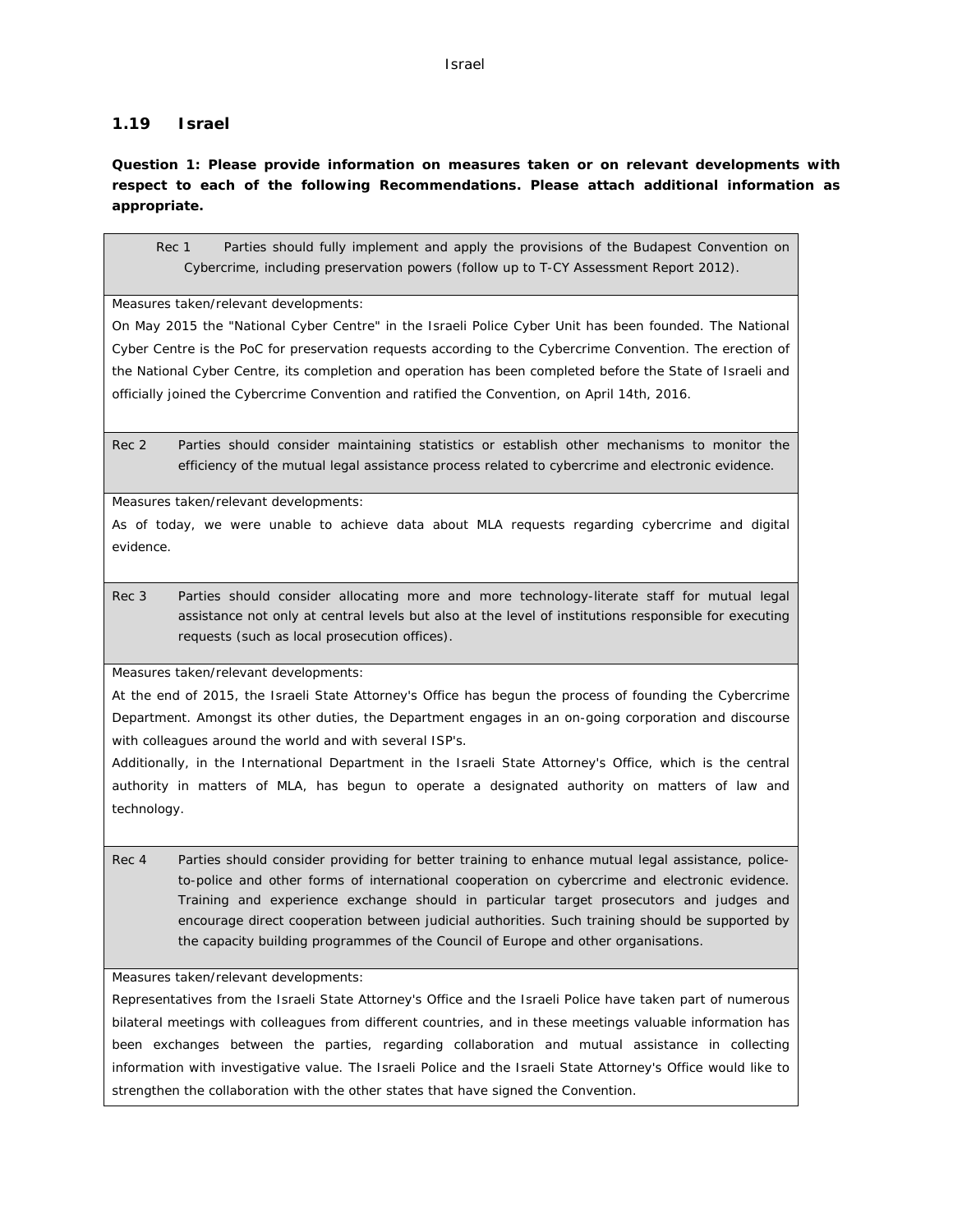#### **1.19 Israel**

**Question 1: Please provide information on measures taken or on relevant developments with respect to each of the following Recommendations. Please attach additional information as appropriate.**

Rec 1 Parties should fully implement and apply the provisions of the Budapest Convention on Cybercrime, including preservation powers (follow up to T-CY Assessment Report 2012).

Measures taken/relevant developments:

On May 2015 the "National Cyber Centre" in the Israeli Police Cyber Unit has been founded. The National Cyber Centre is the PoC for preservation requests according to the Cybercrime Convention. The erection of the National Cyber Centre, its completion and operation has been completed before the State of Israeli and officially joined the Cybercrime Convention and ratified the Convention, on April 14th, 2016.

Rec 2 Parties should consider maintaining statistics or establish other mechanisms to monitor the efficiency of the mutual legal assistance process related to cybercrime and electronic evidence.

Measures taken/relevant developments:

As of today, we were unable to achieve data about MLA requests regarding cybercrime and digital evidence.

Rec 3 Parties should consider allocating more and more technology-literate staff for mutual legal assistance not only at central levels but also at the level of institutions responsible for executing requests (such as local prosecution offices).

Measures taken/relevant developments:

At the end of 2015, the Israeli State Attorney's Office has begun the process of founding the Cybercrime Department. Amongst its other duties, the Department engages in an on-going corporation and discourse with colleagues around the world and with several ISP's.

Additionally, in the International Department in the Israeli State Attorney's Office, which is the central authority in matters of MLA, has begun to operate a designated authority on matters of law and technology.

Rec 4 Parties should consider providing for better training to enhance mutual legal assistance, policeto-police and other forms of international cooperation on cybercrime and electronic evidence. Training and experience exchange should in particular target prosecutors and judges and encourage direct cooperation between judicial authorities. Such training should be supported by the capacity building programmes of the Council of Europe and other organisations.

Measures taken/relevant developments:

Representatives from the Israeli State Attorney's Office and the Israeli Police have taken part of numerous bilateral meetings with colleagues from different countries, and in these meetings valuable information has been exchanges between the parties, regarding collaboration and mutual assistance in collecting information with investigative value. The Israeli Police and the Israeli State Attorney's Office would like to strengthen the collaboration with the other states that have signed the Convention.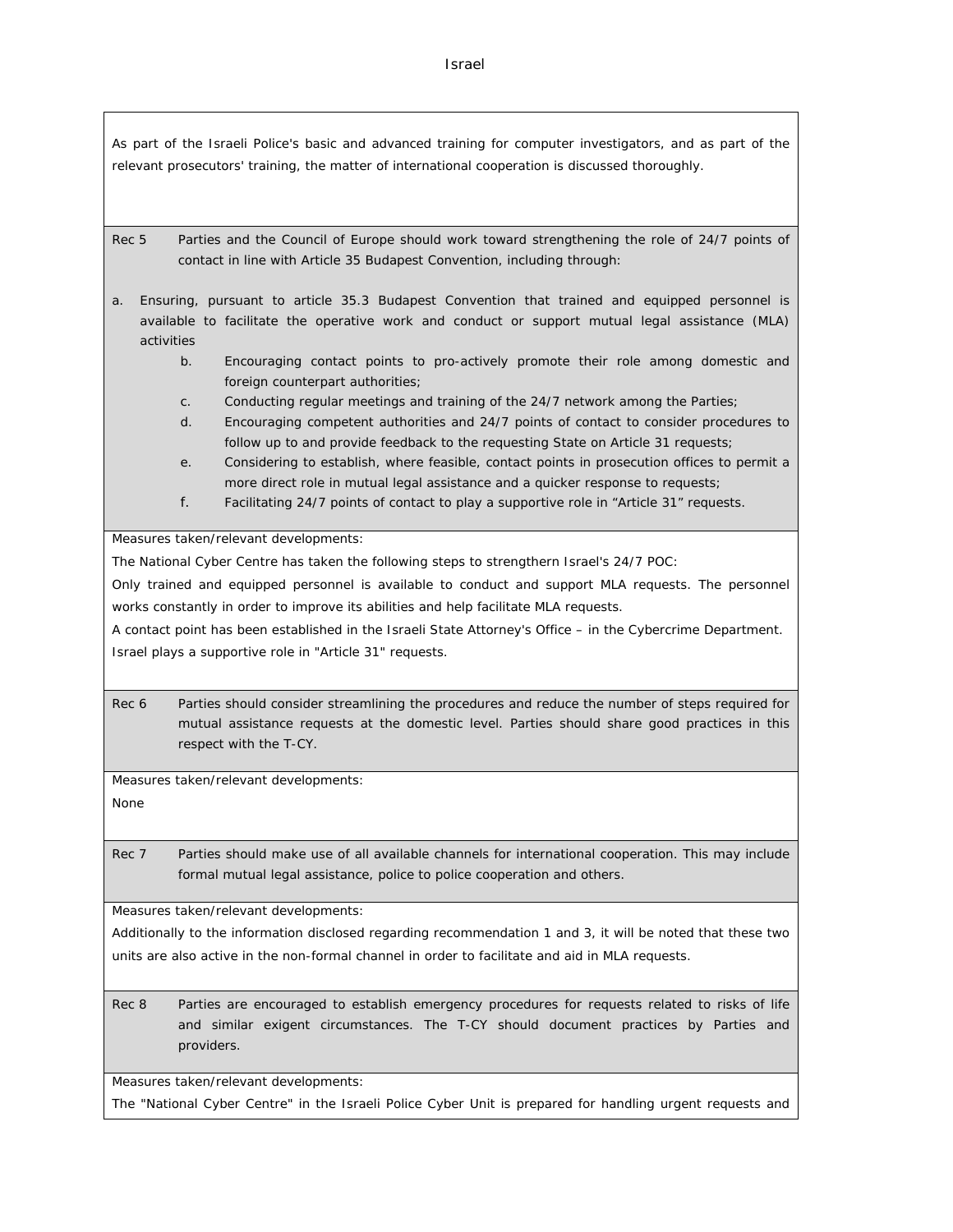As part of the Israeli Police's basic and advanced training for computer investigators, and as part of the relevant prosecutors' training, the matter of international cooperation is discussed thoroughly.

Rec 5 Parties and the Council of Europe should work toward strengthening the role of 24/7 points of contact in line with Article 35 Budapest Convention, including through:

a. Ensuring, pursuant to article 35.3 Budapest Convention that trained and equipped personnel is available to facilitate the operative work and conduct or support mutual legal assistance (MLA) activities

> b. Encouraging contact points to pro-actively promote their role among domestic and foreign counterpart authorities;

- c. Conducting regular meetings and training of the 24/7 network among the Parties;
- d. Encouraging competent authorities and 24/7 points of contact to consider procedures to follow up to and provide feedback to the requesting State on Article 31 requests;
- e. Considering to establish, where feasible, contact points in prosecution offices to permit a more direct role in mutual legal assistance and a quicker response to requests;
- f. Facilitating 24/7 points of contact to play a supportive role in "Article 31" requests.

Measures taken/relevant developments:

The National Cyber Centre has taken the following steps to strengthern Israel's 24/7 POC:

Only trained and equipped personnel is available to conduct and support MLA requests. The personnel works constantly in order to improve its abilities and help facilitate MLA requests.

A contact point has been established in the Israeli State Attorney's Office – in the Cybercrime Department. Israel plays a supportive role in "Article 31" requests.

Rec 6 Parties should consider streamlining the procedures and reduce the number of steps required for mutual assistance requests at the domestic level. Parties should share good practices in this respect with the T-CY.

Measures taken/relevant developments: None

Rec 7 Parties should make use of all available channels for international cooperation. This may include formal mutual legal assistance, police to police cooperation and others.

Measures taken/relevant developments:

Additionally to the information disclosed regarding recommendation 1 and 3, it will be noted that these two units are also active in the non-formal channel in order to facilitate and aid in MLA requests.

Rec 8 Parties are encouraged to establish emergency procedures for requests related to risks of life and similar exigent circumstances. The T-CY should document practices by Parties and providers.

Measures taken/relevant developments:

The "National Cyber Centre" in the Israeli Police Cyber Unit is prepared for handling urgent requests and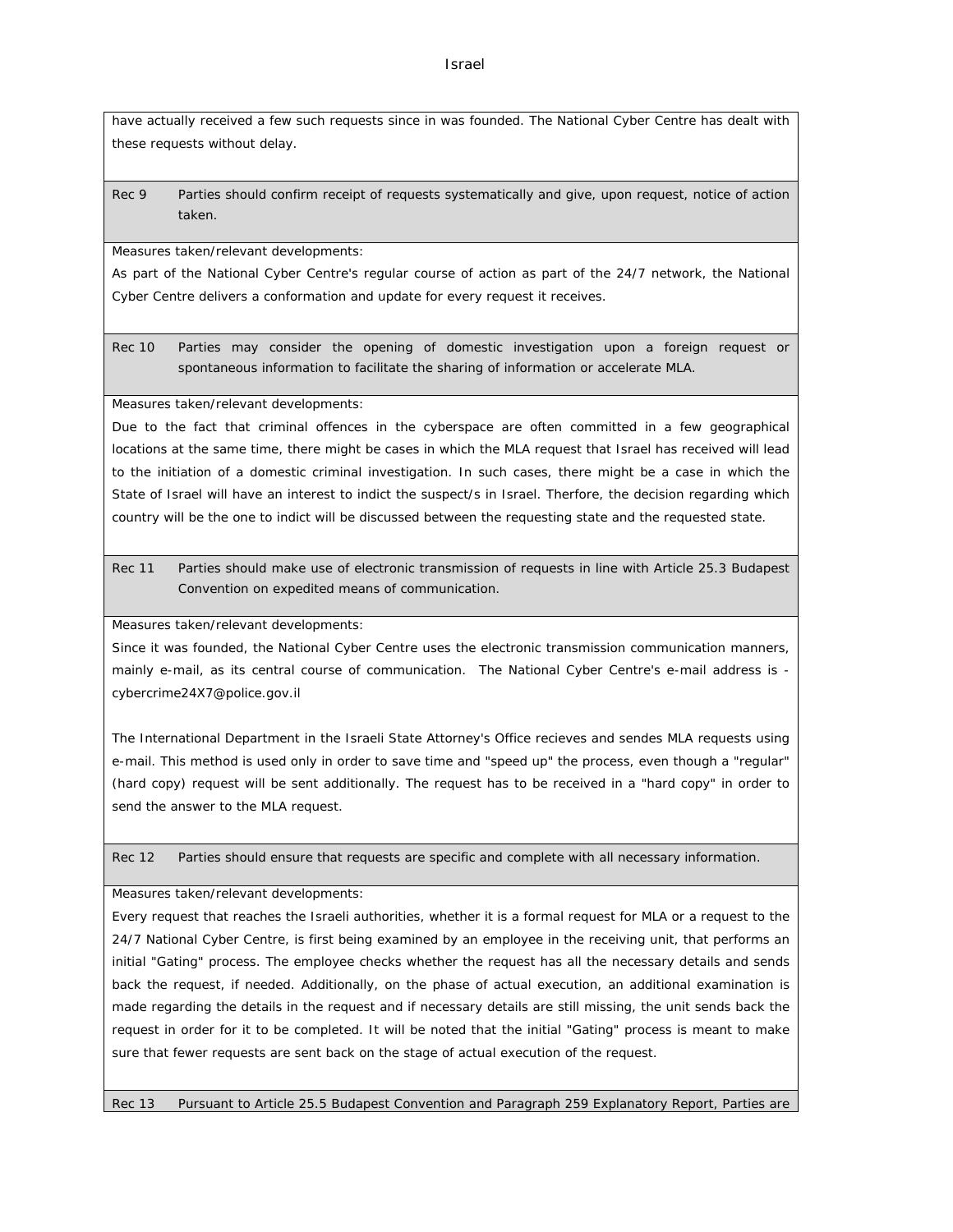have actually received a few such requests since in was founded. The National Cyber Centre has dealt with these requests without delay.

Rec 9 Parties should confirm receipt of requests systematically and give, upon request, notice of action taken.

Measures taken/relevant developments:

As part of the National Cyber Centre's regular course of action as part of the 24/7 network, the National Cyber Centre delivers a conformation and update for every request it receives.

Rec 10 Parties may consider the opening of domestic investigation upon a foreign request or spontaneous information to facilitate the sharing of information or accelerate MLA.

Measures taken/relevant developments:

Due to the fact that criminal offences in the cyberspace are often committed in a few geographical locations at the same time, there might be cases in which the MLA request that Israel has received will lead to the initiation of a domestic criminal investigation. In such cases, there might be a case in which the State of Israel will have an interest to indict the suspect/s in Israel. Therfore, the decision regarding which country will be the one to indict will be discussed between the requesting state and the requested state.

Rec 11 Parties should make use of electronic transmission of requests in line with Article 25.3 Budapest Convention on expedited means of communication.

Measures taken/relevant developments:

Since it was founded, the National Cyber Centre uses the electronic transmission communication manners, mainly e-mail, as its central course of communication. The National Cyber Centre's e-mail address is [cybercrime24X7@police.gov.il](mailto:cybercrime24X7@police.gov.il)

The International Department in the Israeli State Attorney's Office recieves and sendes MLA requests using e-mail. This method is used only in order to save time and "speed up" the process, even though a "regular" (hard copy) request will be sent additionally. The request has to be received in a "hard copy" in order to send the answer to the MLA request.

Rec 12 Parties should ensure that requests are specific and complete with all necessary information.

Measures taken/relevant developments:

Every request that reaches the Israeli authorities, whether it is a formal request for MLA or a request to the 24/7 National Cyber Centre, is first being examined by an employee in the receiving unit, that performs an initial "Gating" process. The employee checks whether the request has all the necessary details and sends back the request, if needed. Additionally, on the phase of actual execution, an additional examination is made regarding the details in the request and if necessary details are still missing, the unit sends back the request in order for it to be completed. It will be noted that the initial "Gating" process is meant to make sure that fewer requests are sent back on the stage of actual execution of the request.

Rec 13 Pursuant to Article 25.5 Budapest Convention and Paragraph 259 Explanatory Report, Parties are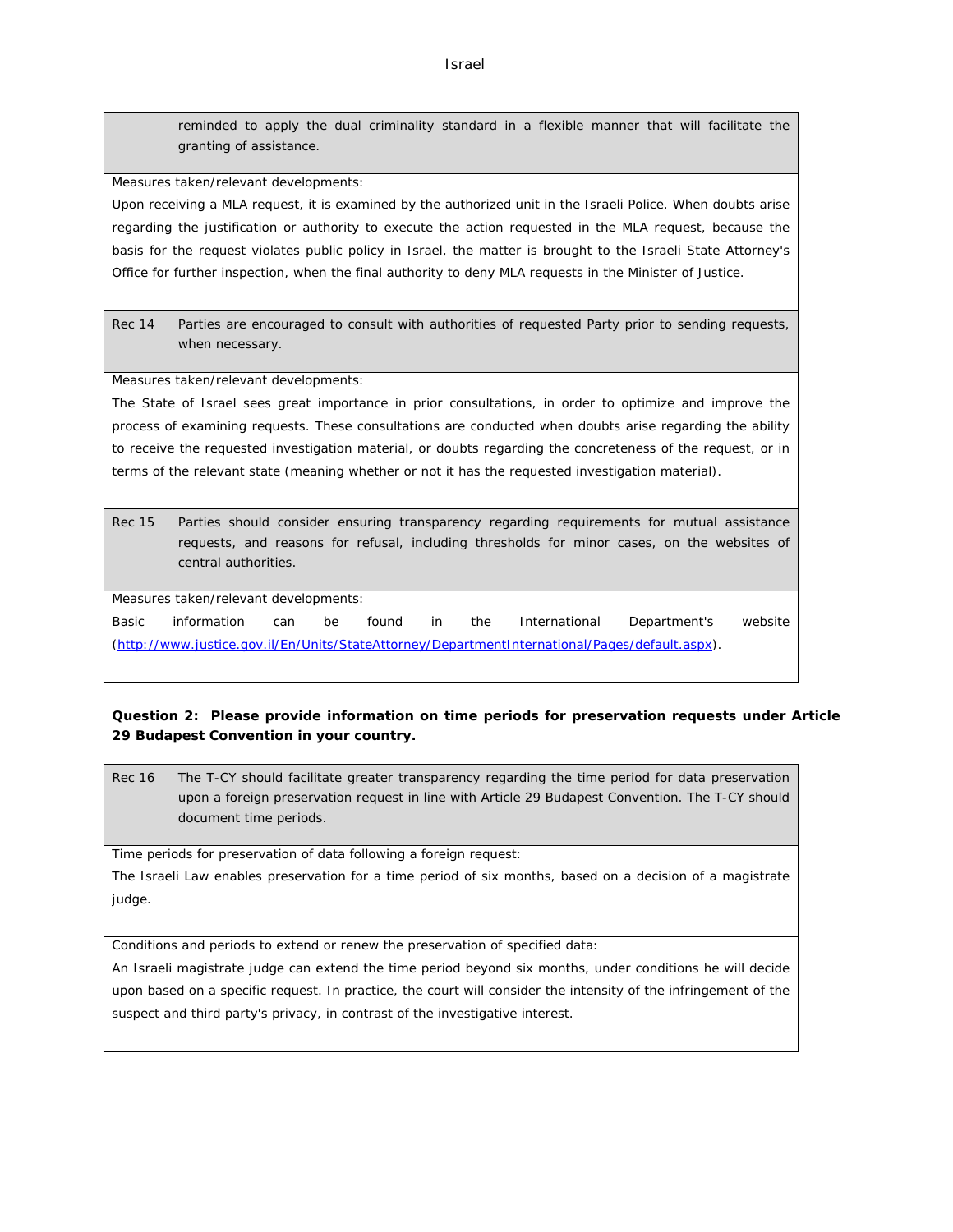Israel

reminded to apply the dual criminality standard in a flexible manner that will facilitate the granting of assistance.

Measures taken/relevant developments:

Upon receiving a MLA request, it is examined by the authorized unit in the Israeli Police. When doubts arise regarding the justification or authority to execute the action requested in the MLA request, because the basis for the request violates public policy in Israel, the matter is brought to the Israeli State Attorney's Office for further inspection, when the final authority to deny MLA requests in the Minister of Justice.

Rec 14 Parties are encouraged to consult with authorities of requested Party prior to sending requests, when necessary.

Measures taken/relevant developments:

The State of Israel sees great importance in prior consultations, in order to optimize and improve the process of examining requests. These consultations are conducted when doubts arise regarding the ability to receive the requested investigation material, or doubts regarding the concreteness of the request, or in terms of the relevant state (meaning whether or not it has the requested investigation material).

Rec 15 Parties should consider ensuring transparency regarding requirements for mutual assistance requests, and reasons for refusal, including thresholds for minor cases, on the websites of central authorities.

Measures taken/relevant developments:

Basic information can be found in the International Department's website ([http://www.justice.gov.il/En/Units/StateAttorney/DepartmentInternational/Pages/default.aspx\)](http://www.justice.gov.il/En/Units/StateAttorney/DepartmentInternational/Pages/default.aspx).

**Question 2: Please provide information on time periods for preservation requests under Article 29 Budapest Convention in your country.**

Rec 16 The T-CY should facilitate greater transparency regarding the time period for data preservation upon a foreign preservation request in line with Article 29 Budapest Convention. The T-CY should document time periods.

Time periods for preservation of data following a foreign request:

The Israeli Law enables preservation for a time period of six months, based on a decision of a magistrate judge.

Conditions and periods to extend or renew the preservation of specified data:

An Israeli magistrate judge can extend the time period beyond six months, under conditions he will decide upon based on a specific request. In practice, the court will consider the intensity of the infringement of the suspect and third party's privacy, in contrast of the investigative interest.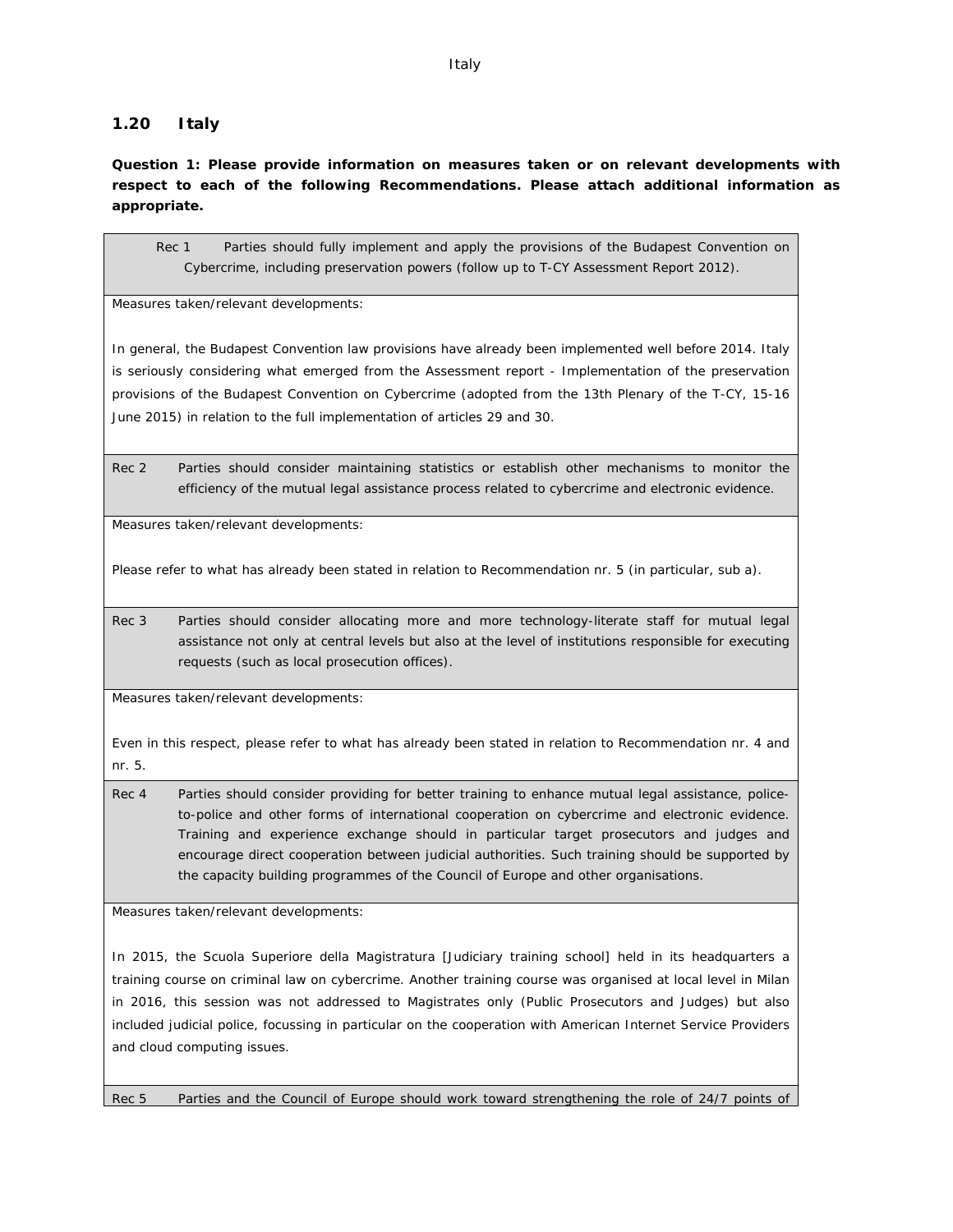## **1.20 Italy**

**Question 1: Please provide information on measures taken or on relevant developments with respect to each of the following Recommendations. Please attach additional information as appropriate.**

Rec 1 Parties should fully implement and apply the provisions of the Budapest Convention on Cybercrime, including preservation powers (follow up to T-CY Assessment Report 2012).

Measures taken/relevant developments:

In general, the Budapest Convention law provisions have already been implemented well before 2014. Italy is seriously considering what emerged from the Assessment report - Implementation of the preservation provisions of the Budapest Convention on Cybercrime (adopted from the 13th Plenary of the T-CY, 15-16 June 2015) in relation to the full implementation of articles 29 and 30.

Rec 2 Parties should consider maintaining statistics or establish other mechanisms to monitor the efficiency of the mutual legal assistance process related to cybercrime and electronic evidence.

Measures taken/relevant developments:

Please refer to what has already been stated in relation to Recommendation nr. 5 (in particular, sub a).

Rec 3 Parties should consider allocating more and more technology-literate staff for mutual legal assistance not only at central levels but also at the level of institutions responsible for executing requests (such as local prosecution offices).

Measures taken/relevant developments:

Even in this respect, please refer to what has already been stated in relation to Recommendation nr. 4 and nr. 5.

Rec 4 Parties should consider providing for better training to enhance mutual legal assistance, policeto-police and other forms of international cooperation on cybercrime and electronic evidence. Training and experience exchange should in particular target prosecutors and judges and encourage direct cooperation between judicial authorities. Such training should be supported by the capacity building programmes of the Council of Europe and other organisations.

Measures taken/relevant developments:

In 2015, the Scuola Superiore della Magistratura [Judiciary training school] held in its headquarters a training course on criminal law on cybercrime. Another training course was organised at local level in Milan in 2016, this session was not addressed to Magistrates only (Public Prosecutors and Judges) but also included judicial police, focussing in particular on the cooperation with American Internet Service Providers and cloud computing issues.

Rec 5 Parties and the Council of Europe should work toward strengthening the role of 24/7 points of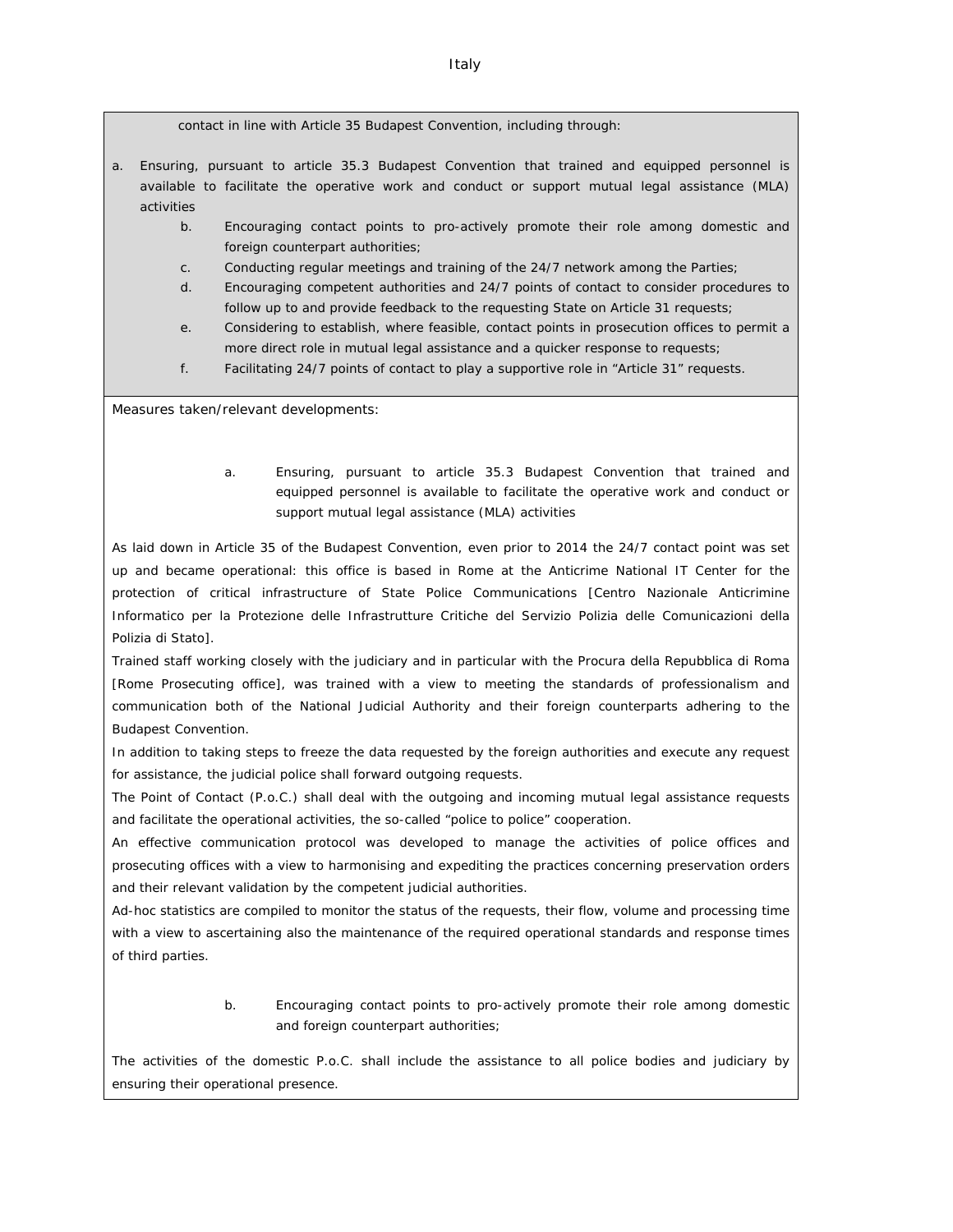contact in line with Article 35 Budapest Convention, including through:

- a. Ensuring, pursuant to article 35.3 Budapest Convention that trained and equipped personnel is available to facilitate the operative work and conduct or support mutual legal assistance (MLA) activities
	- b. Encouraging contact points to pro-actively promote their role among domestic and foreign counterpart authorities;
	- c. Conducting regular meetings and training of the 24/7 network among the Parties;
	- d. Encouraging competent authorities and 24/7 points of contact to consider procedures to follow up to and provide feedback to the requesting State on Article 31 requests;
	- e. Considering to establish, where feasible, contact points in prosecution offices to permit a more direct role in mutual legal assistance and a quicker response to requests;
	- f. Facilitating 24/7 points of contact to play a supportive role in "Article 31" requests.

Measures taken/relevant developments:

a. Ensuring, pursuant to article 35.3 Budapest Convention that trained and equipped personnel is available to facilitate the operative work and conduct or support mutual legal assistance (MLA) activities

As laid down in Article 35 of the Budapest Convention, even prior to 2014 the 24/7 contact point was set up and became operational: this office is based in Rome at the Anticrime National IT Center for the protection of critical infrastructure of State Police Communications [*Centro Nazionale Anticrimine Informatico per la Protezione delle Infrastrutture Critiche del Servizio Polizia delle Comunicazioni della Polizia di Stato]*.

Trained staff working closely with the judiciary and in particular with the *Procura della Repubblica di Roma* [Rome Prosecuting office], was trained with a view to meeting the standards of professionalism and communication both of the National Judicial Authority and their foreign counterparts adhering to the Budapest Convention.

In addition to taking steps to freeze the data requested by the foreign authorities and execute any request for assistance, the judicial police shall forward outgoing requests.

The Point of Contact (P.o.C.) shall deal with the outgoing and incoming mutual legal assistance requests and facilitate the operational activities, the so-called "police to police" cooperation.

An effective communication protocol was developed to manage the activities of police offices and prosecuting offices with a view to harmonising and expediting the practices concerning preservation orders and their relevant validation by the competent judicial authorities.

Ad-hoc statistics are compiled to monitor the status of the requests, their flow, volume and processing time with a view to ascertaining also the maintenance of the required operational standards and response times of third parties.

> b. Encouraging contact points to pro-actively promote their role among domestic and foreign counterpart authorities;

The activities of the domestic P.o.C. shall include the assistance to all police bodies and judiciary by ensuring their operational presence.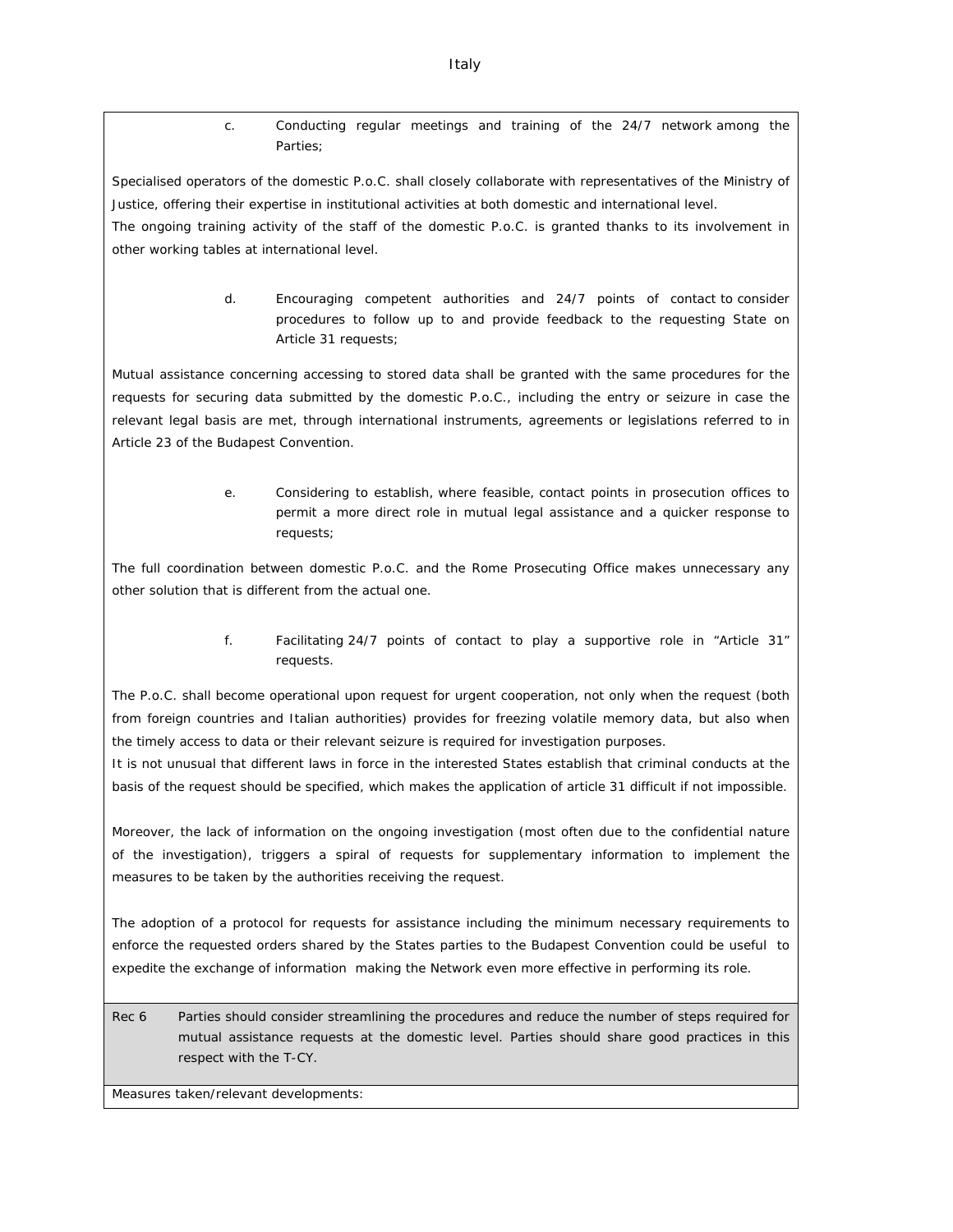c. Conducting regular meetings and training of the 24/7 network among the Parties;

Specialised operators of the domestic P.o.C. shall closely collaborate with representatives of the Ministry of Justice, offering their expertise in institutional activities at both domestic and international level.

The ongoing training activity of the staff of the domestic P.o.C. is granted thanks to its involvement in other working tables at international level.

> d. Encouraging competent authorities and 24/7 points of contact to consider procedures to follow up to and provide feedback to the requesting State on Article 31 requests;

Mutual assistance concerning accessing to stored data shall be granted with the same procedures for the requests for securing data submitted by the domestic P.o.C., including the entry or seizure in case the relevant legal basis are met, through international instruments, agreements or legislations referred to in Article 23 of the Budapest Convention.

> e. Considering to establish, where feasible, contact points in prosecution offices to permit a more direct role in mutual legal assistance and a quicker response to requests;

The full coordination between domestic P.o.C. and the Rome Prosecuting Office makes unnecessary any other solution that is different from the actual one.

> f. Facilitating 24/7 points of contact to play a supportive role in "Article 31" requests.

The P.o.C. shall become operational upon request for urgent cooperation, not only when the request (both from foreign countries and Italian authorities) provides for freezing volatile memory data, but also when the timely access to data or their relevant seizure is required for investigation purposes.

It is not unusual that different laws in force in the interested States establish that criminal conducts at the basis of the request should be specified, which makes the application of article 31 difficult if not impossible.

Moreover, the lack of information on the ongoing investigation (most often due to the confidential nature of the investigation), triggers a spiral of requests for supplementary information to implement the measures to be taken by the authorities receiving the request.

The adoption of a protocol for requests for assistance including the minimum necessary requirements to enforce the requested orders shared by the States parties to the Budapest Convention could be useful to expedite the exchange of information making the Network even more effective in performing its role.

Rec 6 Parties should consider streamlining the procedures and reduce the number of steps required for mutual assistance requests at the domestic level. Parties should share good practices in this respect with the T-CY.

Measures taken/relevant developments: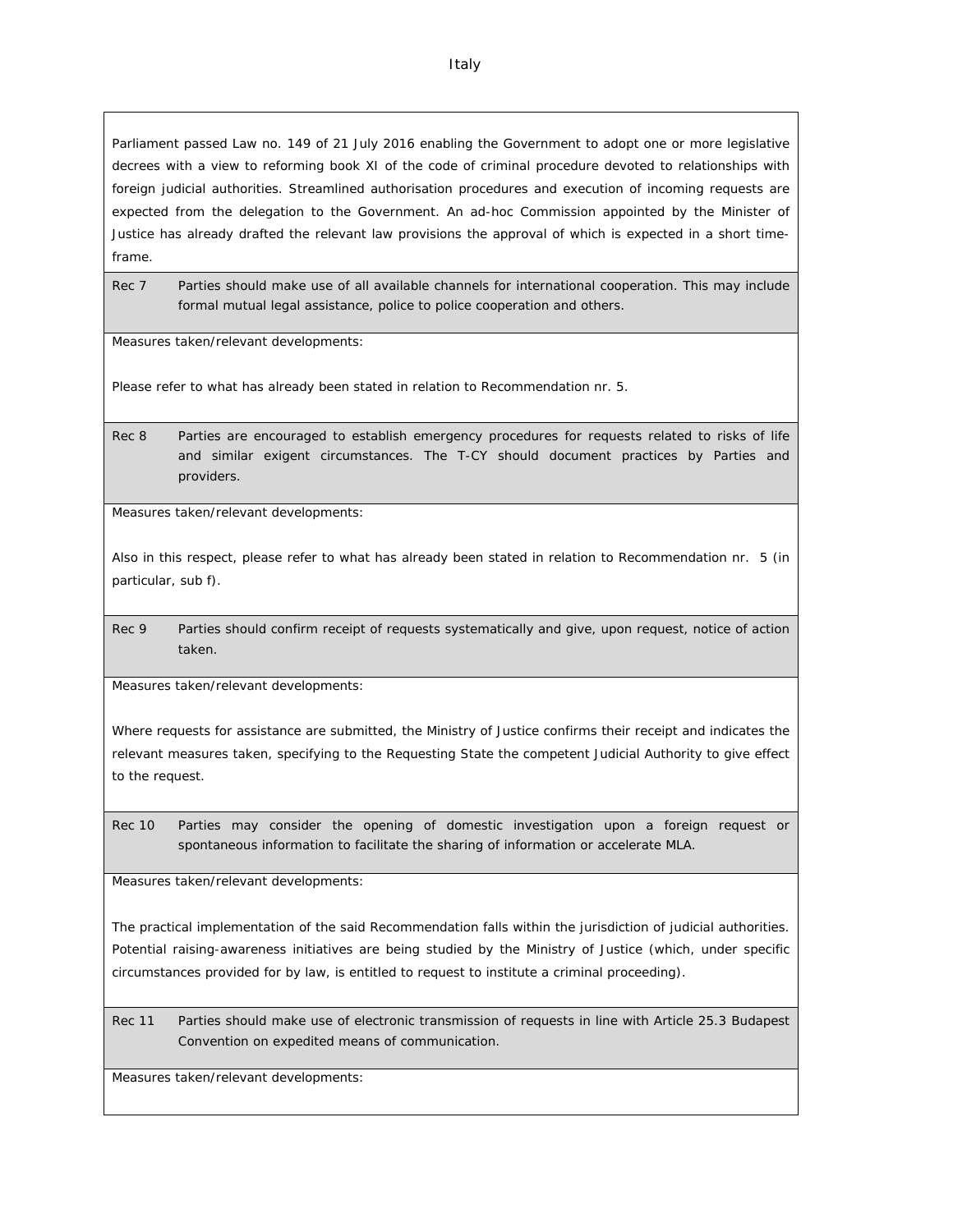Parliament passed Law no. 149 of 21 July 2016 enabling the Government to adopt one or more legislative decrees with a view to reforming book XI of the code of criminal procedure devoted to relationships with foreign judicial authorities. Streamlined authorisation procedures and execution of incoming requests are expected from the delegation to the Government. An ad-hoc Commission appointed by the Minister of Justice has already drafted the relevant law provisions the approval of which is expected in a short timeframe.

Rec 7 Parties should make use of all available channels for international cooperation. This may include formal mutual legal assistance, police to police cooperation and others.

Measures taken/relevant developments:

Please refer to what has already been stated in relation to Recommendation nr. 5.

Rec 8 Parties are encouraged to establish emergency procedures for requests related to risks of life and similar exigent circumstances. The T-CY should document practices by Parties and providers.

Measures taken/relevant developments:

Also in this respect, please refer to what has already been stated in relation to Recommendation nr. 5 (in particular, sub f).

Rec 9 Parties should confirm receipt of requests systematically and give, upon request, notice of action taken.

Measures taken/relevant developments:

Where requests for assistance are submitted, the Ministry of Justice confirms their receipt and indicates the relevant measures taken, specifying to the Requesting State the competent Judicial Authority to give effect to the request.

Rec 10 Parties may consider the opening of domestic investigation upon a foreign request or spontaneous information to facilitate the sharing of information or accelerate MLA.

Measures taken/relevant developments:

The practical implementation of the said Recommendation falls within the jurisdiction of judicial authorities. Potential raising-awareness initiatives are being studied by the Ministry of Justice (which, under specific circumstances provided for by law, is entitled to request to institute a criminal proceeding).

Rec 11 Parties should make use of electronic transmission of requests in line with Article 25.3 Budapest Convention on expedited means of communication.

Measures taken/relevant developments: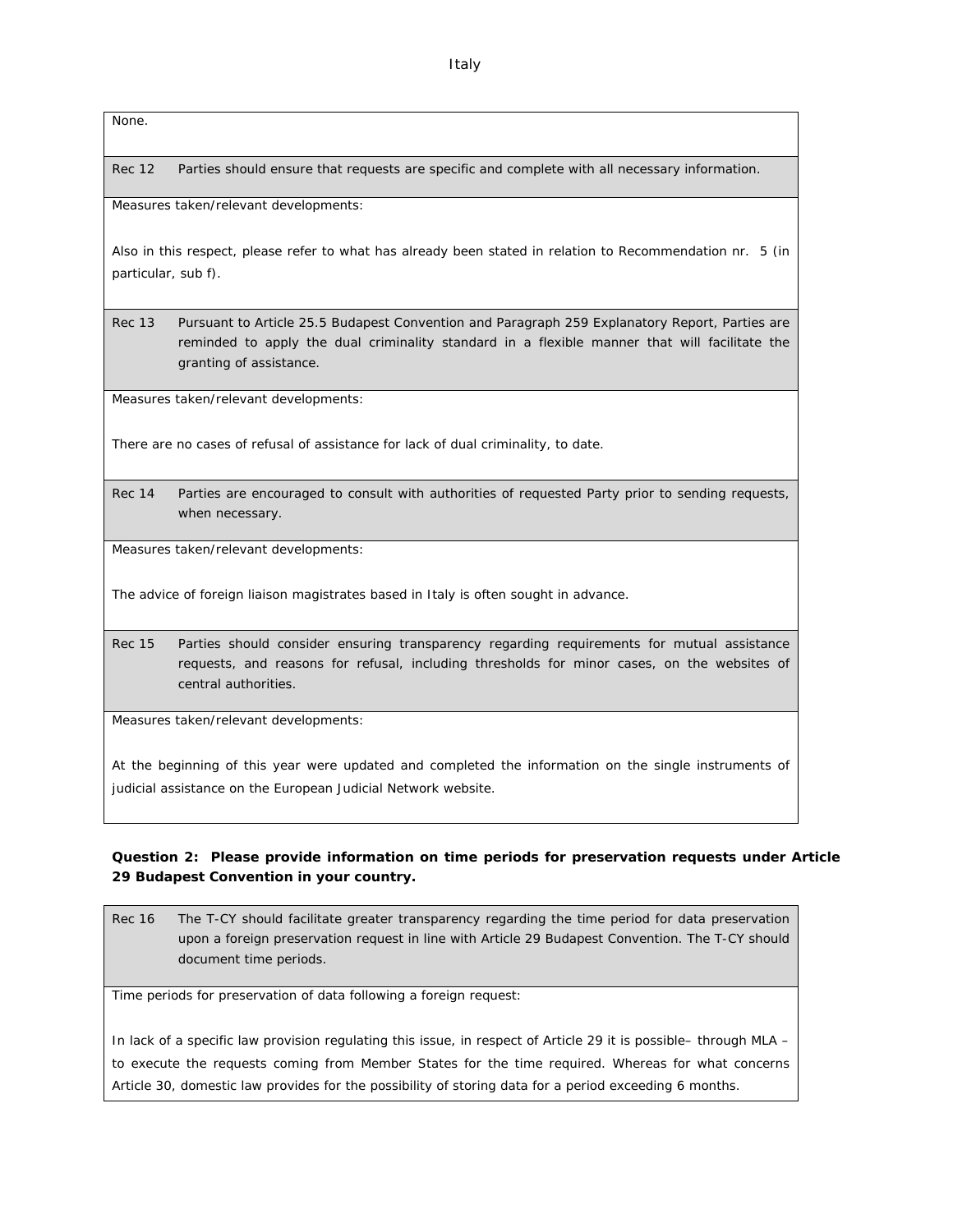None.

Rec 12 Parties should ensure that requests are specific and complete with all necessary information.

Measures taken/relevant developments:

Also in this respect, please refer to what has already been stated in relation to Recommendation nr. 5 (in particular, sub f).

Rec 13 Pursuant to Article 25.5 Budapest Convention and Paragraph 259 Explanatory Report, Parties are reminded to apply the dual criminality standard in a flexible manner that will facilitate the granting of assistance.

Measures taken/relevant developments:

There are no cases of refusal of assistance for lack of dual criminality, to date.

Rec 14 Parties are encouraged to consult with authorities of requested Party prior to sending requests, when necessary.

Measures taken/relevant developments:

The advice of foreign liaison magistrates based in Italy is often sought in advance.

Rec 15 Parties should consider ensuring transparency regarding requirements for mutual assistance requests, and reasons for refusal, including thresholds for minor cases, on the websites of central authorities.

Measures taken/relevant developments:

At the beginning of this year were updated and completed the information on the single instruments of judicial assistance on the *European Judicial Network* website.

**Question 2: Please provide information on time periods for preservation requests under Article 29 Budapest Convention in your country.**

Rec 16 The T-CY should facilitate greater transparency regarding the time period for data preservation upon a foreign preservation request in line with Article 29 Budapest Convention. The T-CY should document time periods.

Time periods for preservation of data following a foreign request:

In lack of a specific law provision regulating this issue, in respect of Article 29 it is possible– through MLA – to execute the requests coming from Member States for the time required. Whereas for what concerns Article 30, domestic law provides for the possibility of storing data for a period exceeding 6 months.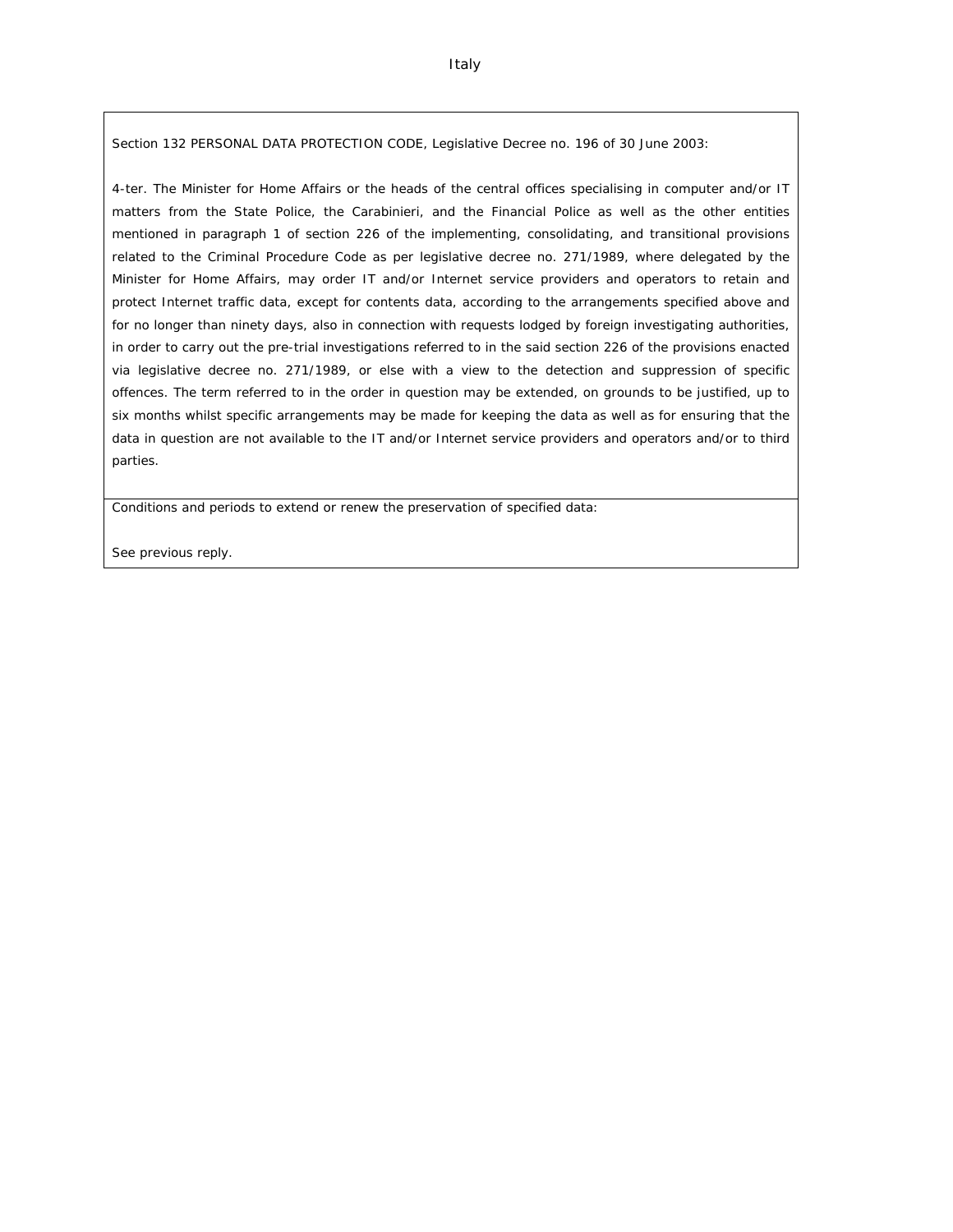Section 132 PERSONAL DATA PROTECTION CODE, Legislative Decree no. 196 of 30 June 2003:

4-ter. The Minister for Home Affairs or the heads of the central offices specialising in computer and/or IT matters from the State Police, the Carabinieri, and the Financial Police as well as the other entities mentioned in paragraph 1 of section 226 of the implementing, consolidating, and transitional provisions related to the Criminal Procedure Code as per legislative decree no. 271/1989, where delegated by the Minister for Home Affairs, may order IT and/or Internet service providers and operators to retain and protect Internet traffic data, except for contents data, according to the arrangements specified above and for no longer than ninety days, also in connection with requests lodged by foreign investigating authorities, in order to carry out the pre-trial investigations referred to in the said section 226 of the provisions enacted via legislative decree no. 271/1989, or else with a view to the detection and suppression of specific offences. The term referred to in the order in question may be extended, on grounds to be justified, up to six months whilst specific arrangements may be made for keeping the data as well as for ensuring that the data in question are not available to the IT and/or Internet service providers and operators and/or to third parties.

Conditions and periods to extend or renew the preservation of specified data:

See previous reply.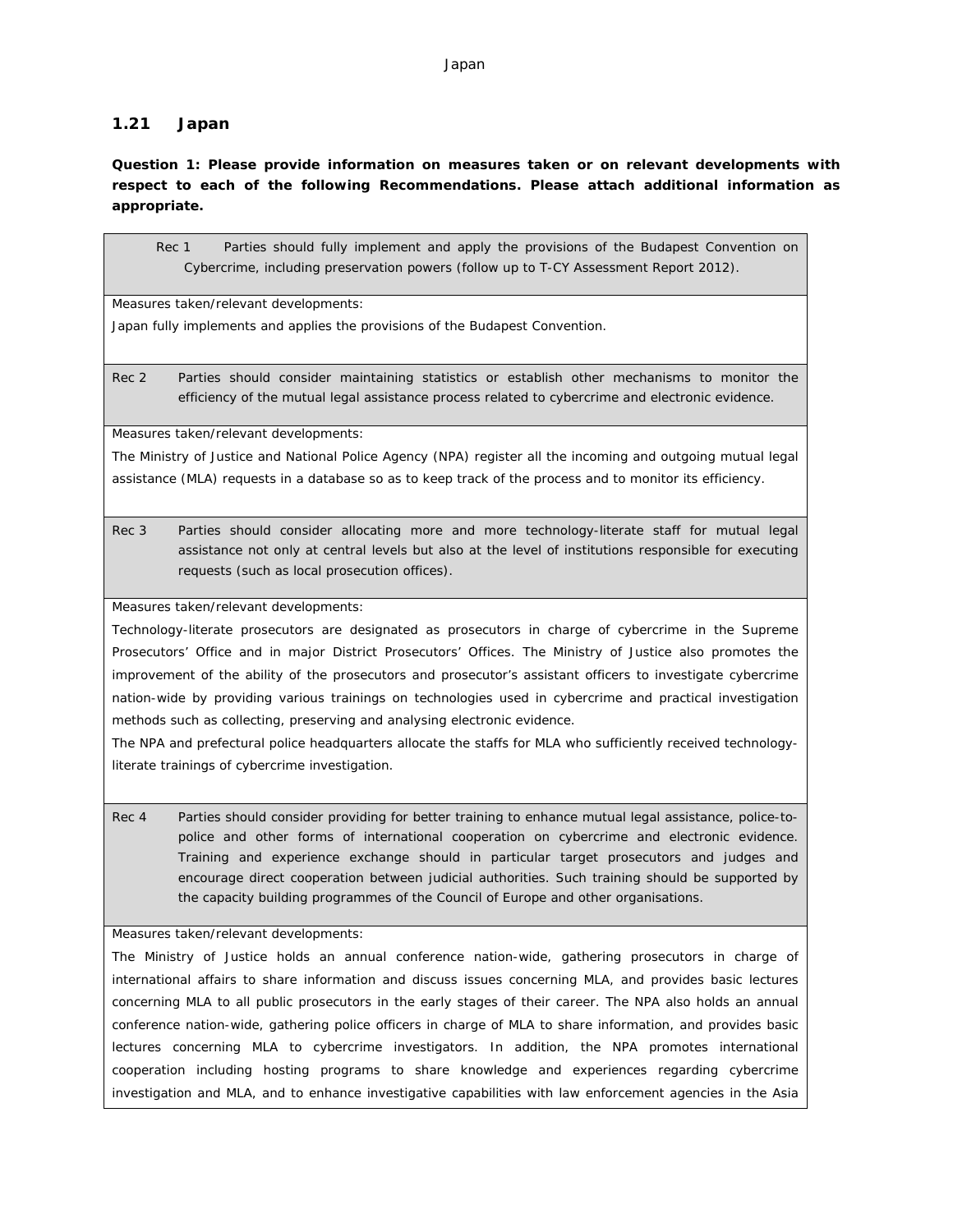### **1.21 Japan**

**Question 1: Please provide information on measures taken or on relevant developments with respect to each of the following Recommendations. Please attach additional information as appropriate.**

Rec 1 Parties should fully implement and apply the provisions of the Budapest Convention on Cybercrime, including preservation powers (follow up to T-CY Assessment Report 2012).

Measures taken/relevant developments:

Japan fully implements and applies the provisions of the Budapest Convention.

Rec 2 Parties should consider maintaining statistics or establish other mechanisms to monitor the efficiency of the mutual legal assistance process related to cybercrime and electronic evidence.

Measures taken/relevant developments:

The Ministry of Justice and National Police Agency (NPA) register all the incoming and outgoing mutual legal assistance (MLA) requests in a database so as to keep track of the process and to monitor its efficiency.

Rec 3 Parties should consider allocating more and more technology-literate staff for mutual legal assistance not only at central levels but also at the level of institutions responsible for executing requests (such as local prosecution offices).

Measures taken/relevant developments:

Technology-literate prosecutors are designated as prosecutors in charge of cybercrime in the Supreme Prosecutors' Office and in major District Prosecutors' Offices. The Ministry of Justice also promotes the improvement of the ability of the prosecutors and prosecutor's assistant officers to investigate cybercrime nation-wide by providing various trainings on technologies used in cybercrime and practical investigation methods such as collecting, preserving and analysing electronic evidence.

The NPA and prefectural police headquarters allocate the staffs for MLA who sufficiently received technologyliterate trainings of cybercrime investigation.

Rec 4 Parties should consider providing for better training to enhance mutual legal assistance, police-topolice and other forms of international cooperation on cybercrime and electronic evidence. Training and experience exchange should in particular target prosecutors and judges and encourage direct cooperation between judicial authorities. Such training should be supported by the capacity building programmes of the Council of Europe and other organisations.

Measures taken/relevant developments:

The Ministry of Justice holds an annual conference nation-wide, gathering prosecutors in charge of international affairs to share information and discuss issues concerning MLA, and provides basic lectures concerning MLA to all public prosecutors in the early stages of their career. The NPA also holds an annual conference nation-wide, gathering police officers in charge of MLA to share information, and provides basic lectures concerning MLA to cybercrime investigators. In addition, the NPA promotes international cooperation including hosting programs to share knowledge and experiences regarding cybercrime investigation and MLA, and to enhance investigative capabilities with law enforcement agencies in the Asia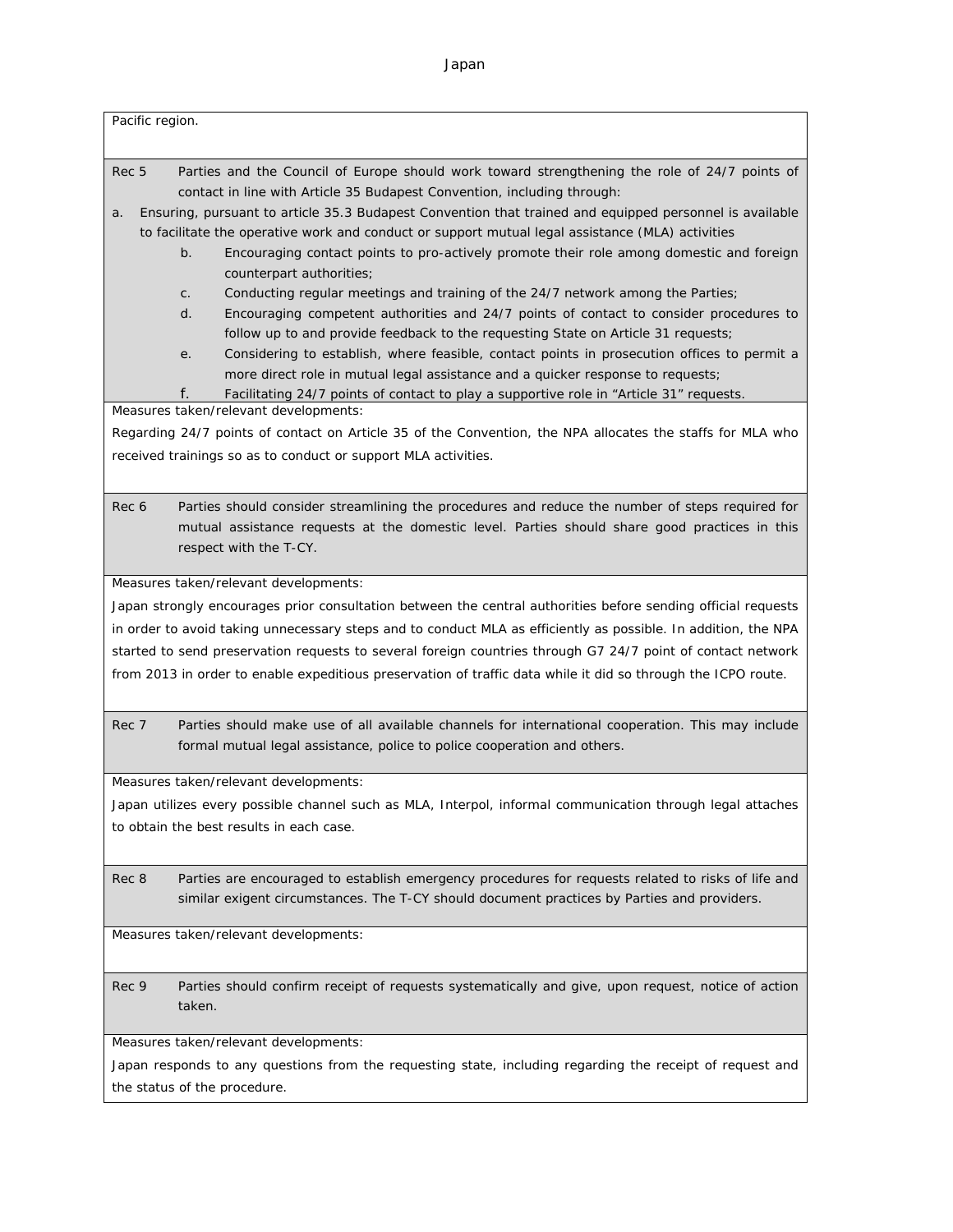Japan

| Rec 5<br>Parties and the Council of Europe should work toward strengthening the role of 24/7 points of<br>contact in line with Article 35 Budapest Convention, including through:<br>Ensuring, pursuant to article 35.3 Budapest Convention that trained and equipped personnel is available<br>a.<br>to facilitate the operative work and conduct or support mutual legal assistance (MLA) activities<br>Encouraging contact points to pro-actively promote their role among domestic and foreign<br>b.<br>counterpart authorities;<br>Conducting regular meetings and training of the 24/7 network among the Parties;<br>C <sub>1</sub>                                                           |
|-----------------------------------------------------------------------------------------------------------------------------------------------------------------------------------------------------------------------------------------------------------------------------------------------------------------------------------------------------------------------------------------------------------------------------------------------------------------------------------------------------------------------------------------------------------------------------------------------------------------------------------------------------------------------------------------------------|
| Encouraging competent authorities and 24/7 points of contact to consider procedures to<br>d.<br>follow up to and provide feedback to the requesting State on Article 31 requests;<br>Considering to establish, where feasible, contact points in prosecution offices to permit a<br>е.<br>more direct role in mutual legal assistance and a quicker response to requests;<br>f.<br>Facilitating 24/7 points of contact to play a supportive role in "Article 31" requests.<br>Measures taken/relevant developments:<br>Regarding 24/7 points of contact on Article 35 of the Convention, the NPA allocates the staffs for MLA who<br>received trainings so as to conduct or support MLA activities. |
| Rec 6<br>Parties should consider streamlining the procedures and reduce the number of steps required for<br>mutual assistance requests at the domestic level. Parties should share good practices in this<br>respect with the T-CY.                                                                                                                                                                                                                                                                                                                                                                                                                                                                 |
| Measures taken/relevant developments:<br>Japan strongly encourages prior consultation between the central authorities before sending official requests<br>in order to avoid taking unnecessary steps and to conduct MLA as efficiently as possible. In addition, the NPA<br>started to send preservation requests to several foreign countries through G7 24/7 point of contact network<br>from 2013 in order to enable expeditious preservation of traffic data while it did so through the ICPO route.                                                                                                                                                                                            |
| Rec 7<br>Parties should make use of all available channels for international cooperation. This may include<br>formal mutual legal assistance, police to police cooperation and others.                                                                                                                                                                                                                                                                                                                                                                                                                                                                                                              |
| Measures taken/relevant developments:<br>Japan utilizes every possible channel such as MLA, Interpol, informal communication through legal attaches<br>to obtain the best results in each case.                                                                                                                                                                                                                                                                                                                                                                                                                                                                                                     |
| Parties are encouraged to establish emergency procedures for requests related to risks of life and<br>Rec 8<br>similar exigent circumstances. The T-CY should document practices by Parties and providers.                                                                                                                                                                                                                                                                                                                                                                                                                                                                                          |
| Measures taken/relevant developments:                                                                                                                                                                                                                                                                                                                                                                                                                                                                                                                                                                                                                                                               |
| Parties should confirm receipt of requests systematically and give, upon request, notice of action<br>Rec 9<br>taken.                                                                                                                                                                                                                                                                                                                                                                                                                                                                                                                                                                               |
| Measures taken/relevant developments:<br>Japan responds to any questions from the requesting state, including regarding the receipt of request and<br>the status of the procedure.                                                                                                                                                                                                                                                                                                                                                                                                                                                                                                                  |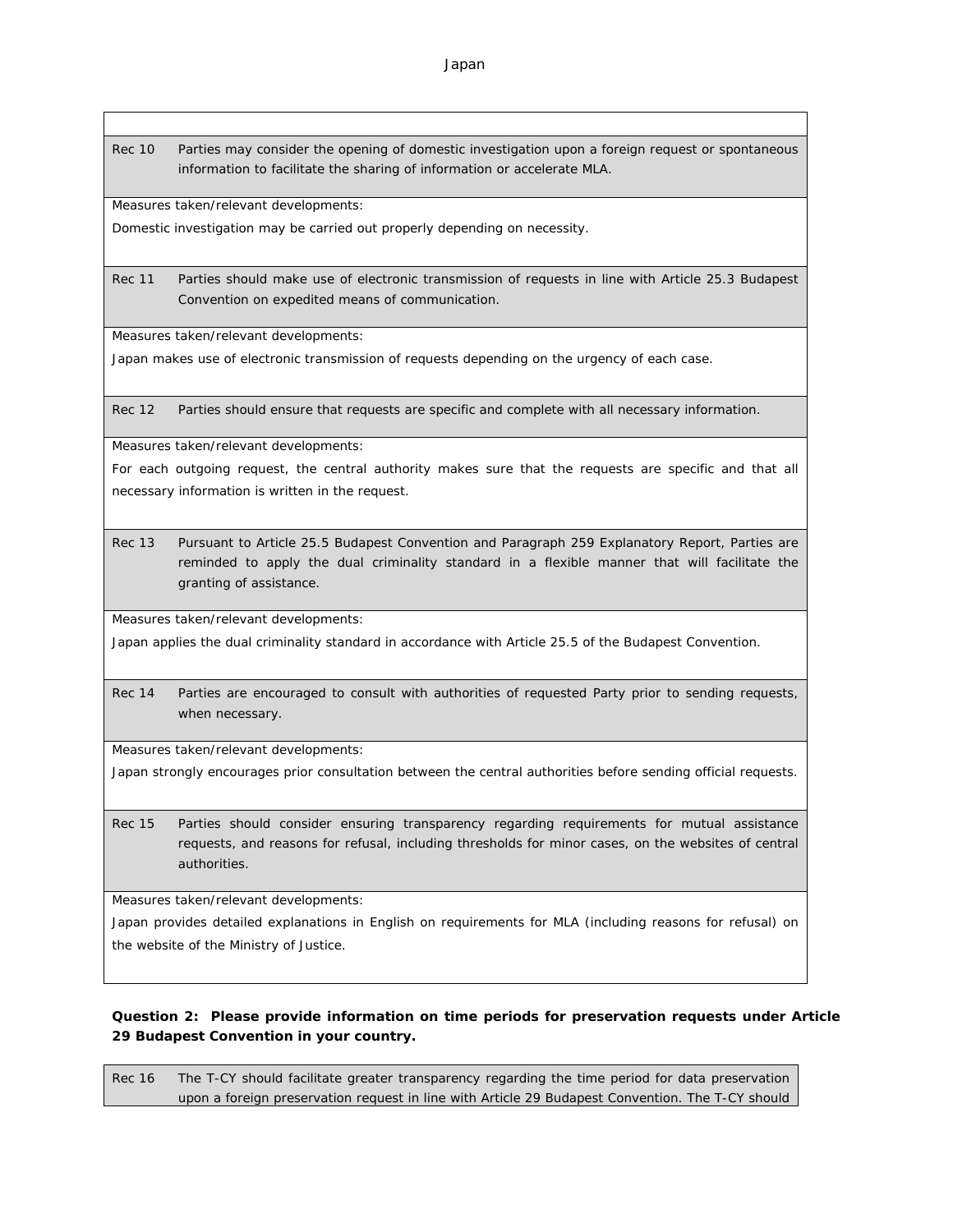Japan

Rec 10 Parties may consider the opening of domestic investigation upon a foreign request or spontaneous information to facilitate the sharing of information or accelerate MLA.

Measures taken/relevant developments:

Domestic investigation may be carried out properly depending on necessity.

Rec 11 Parties should make use of electronic transmission of requests in line with Article 25.3 Budapest Convention on expedited means of communication.

Measures taken/relevant developments:

Japan makes use of electronic transmission of requests depending on the urgency of each case.

Rec 12 Parties should ensure that requests are specific and complete with all necessary information.

Measures taken/relevant developments:

For each outgoing request, the central authority makes sure that the requests are specific and that all necessary information is written in the request.

Rec 13 Pursuant to Article 25.5 Budapest Convention and Paragraph 259 Explanatory Report, Parties are reminded to apply the dual criminality standard in a flexible manner that will facilitate the granting of assistance.

Measures taken/relevant developments:

Japan applies the dual criminality standard in accordance with Article 25.5 of the Budapest Convention.

Rec 14 Parties are encouraged to consult with authorities of requested Party prior to sending requests, when necessary.

Measures taken/relevant developments:

Japan strongly encourages prior consultation between the central authorities before sending official requests.

Rec 15 Parties should consider ensuring transparency regarding requirements for mutual assistance requests, and reasons for refusal, including thresholds for minor cases, on the websites of central authorities.

Measures taken/relevant developments:

Japan provides detailed explanations in English on requirements for MLA (including reasons for refusal) on the website of the Ministry of Justice.

**Question 2: Please provide information on time periods for preservation requests under Article 29 Budapest Convention in your country.**

Rec 16 The T-CY should facilitate greater transparency regarding the time period for data preservation upon a foreign preservation request in line with Article 29 Budapest Convention. The T-CY should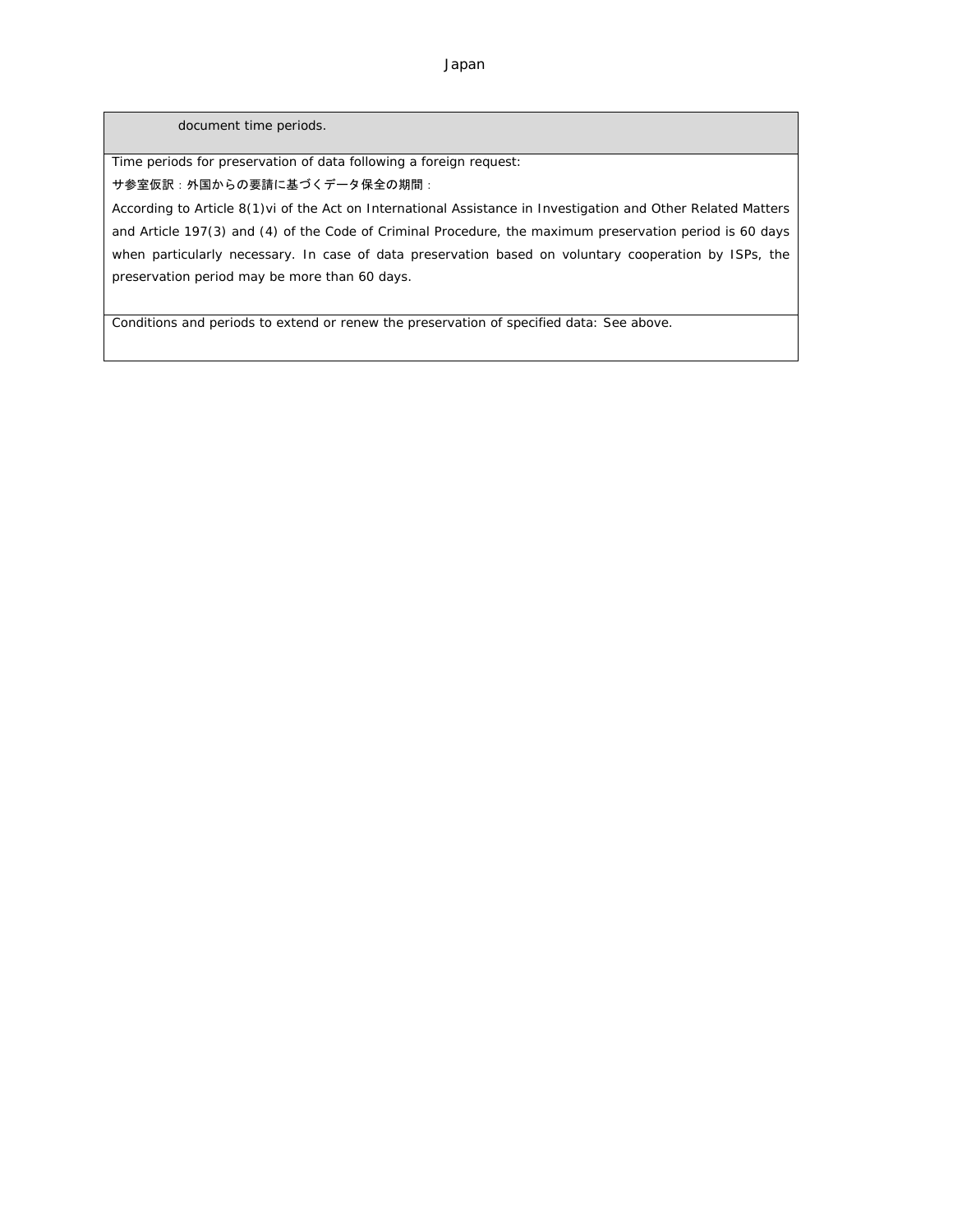document time periods.

Time periods for preservation of data following a foreign request:

## サ参室仮訳:外国からの要請に基づくデータ保全の期間:

According to Article 8(1)vi of the Act on International Assistance in Investigation and Other Related Matters and Article 197(3) and (4) of the Code of Criminal Procedure, the maximum preservation period is 60 days when particularly necessary. In case of data preservation based on voluntary cooperation by ISPs, the preservation period may be more than 60 days.

Conditions and periods to extend or renew the preservation of specified data: See above.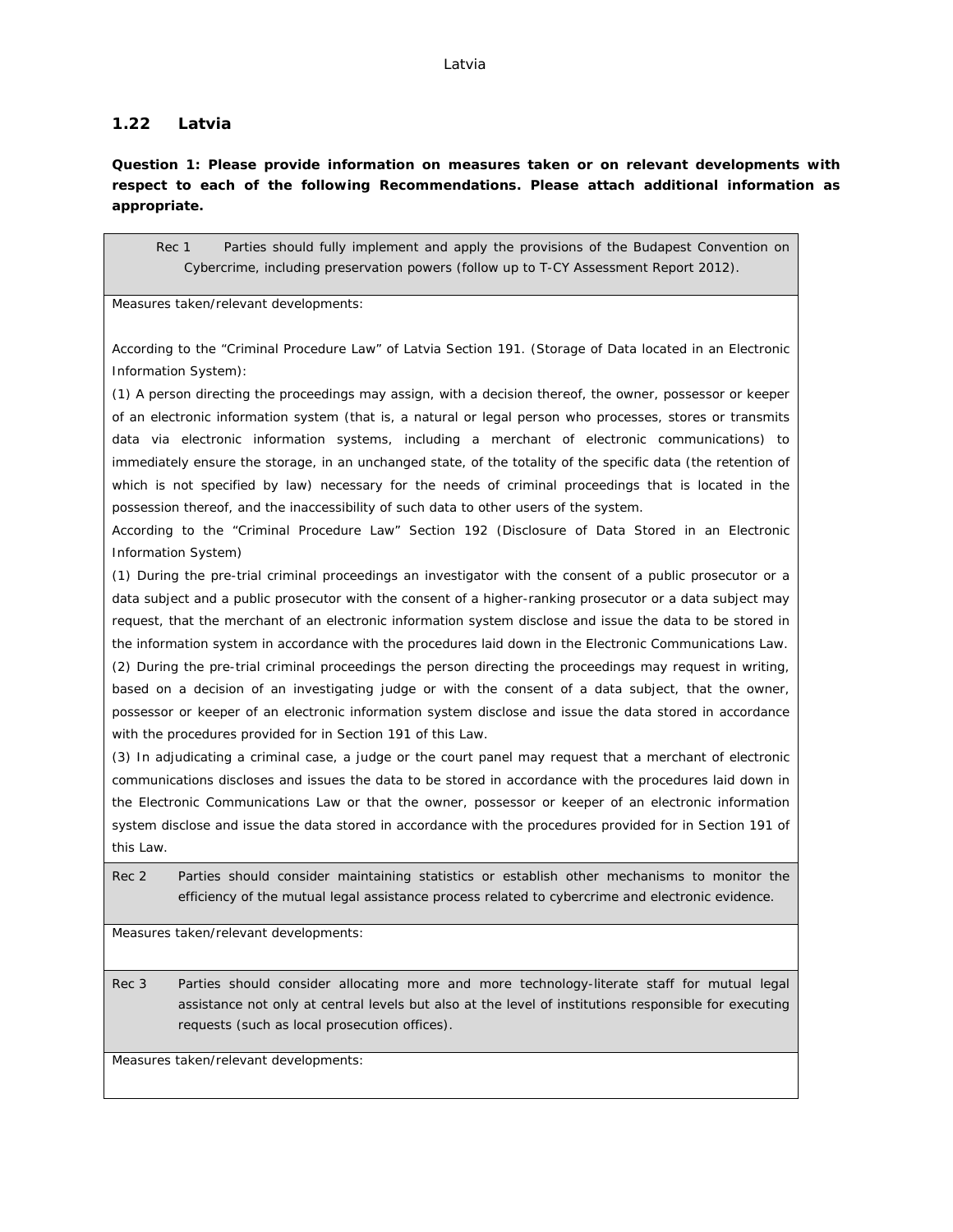#### **1.22 Latvia**

**Question 1: Please provide information on measures taken or on relevant developments with respect to each of the following Recommendations. Please attach additional information as appropriate.**

Rec 1 Parties should fully implement and apply the provisions of the Budapest Convention on Cybercrime, including preservation powers (follow up to T-CY Assessment Report 2012).

Measures taken/relevant developments:

According to the "Criminal Procedure Law" of Latvia Section 191. (Storage of Data located in an Electronic Information System):

(1) A person directing the proceedings may assign, with a decision thereof, the owner, possessor or keeper of an electronic information system (that is, a natural or legal person who processes, stores or transmits data via electronic information systems, including a merchant of electronic communications) to immediately ensure the storage, in an unchanged state, of the totality of the specific data (the retention of which is not specified by law) necessary for the needs of criminal proceedings that is located in the possession thereof, and the inaccessibility of such data to other users of the system.

According to the "Criminal Procedure Law" Section 192 (Disclosure of Data Stored in an Electronic Information System)

(1) During the pre-trial criminal proceedings an investigator with the consent of a public prosecutor or a data subject and a public prosecutor with the consent of a higher-ranking prosecutor or a data subject may request, that the merchant of an electronic information system disclose and issue the data to be stored in the information system in accordance with the procedures laid down in the Electronic Communications Law. (2) During the pre-trial criminal proceedings the person directing the proceedings may request in writing, based on a decision of an investigating judge or with the consent of a data subject, that the owner, possessor or keeper of an electronic information system disclose and issue the data stored in accordance with the procedures provided for in Section 191 of this Law.

(3) In adjudicating a criminal case, a judge or the court panel may request that a merchant of electronic communications discloses and issues the data to be stored in accordance with the procedures laid down in the Electronic Communications Law or that the owner, possessor or keeper of an electronic information system disclose and issue the data stored in accordance with the procedures provided for in Section 191 of this Law.

Rec 2 Parties should consider maintaining statistics or establish other mechanisms to monitor the efficiency of the mutual legal assistance process related to cybercrime and electronic evidence.

Measures taken/relevant developments:

Rec 3 Parties should consider allocating more and more technology-literate staff for mutual legal assistance not only at central levels but also at the level of institutions responsible for executing requests (such as local prosecution offices).

Measures taken/relevant developments: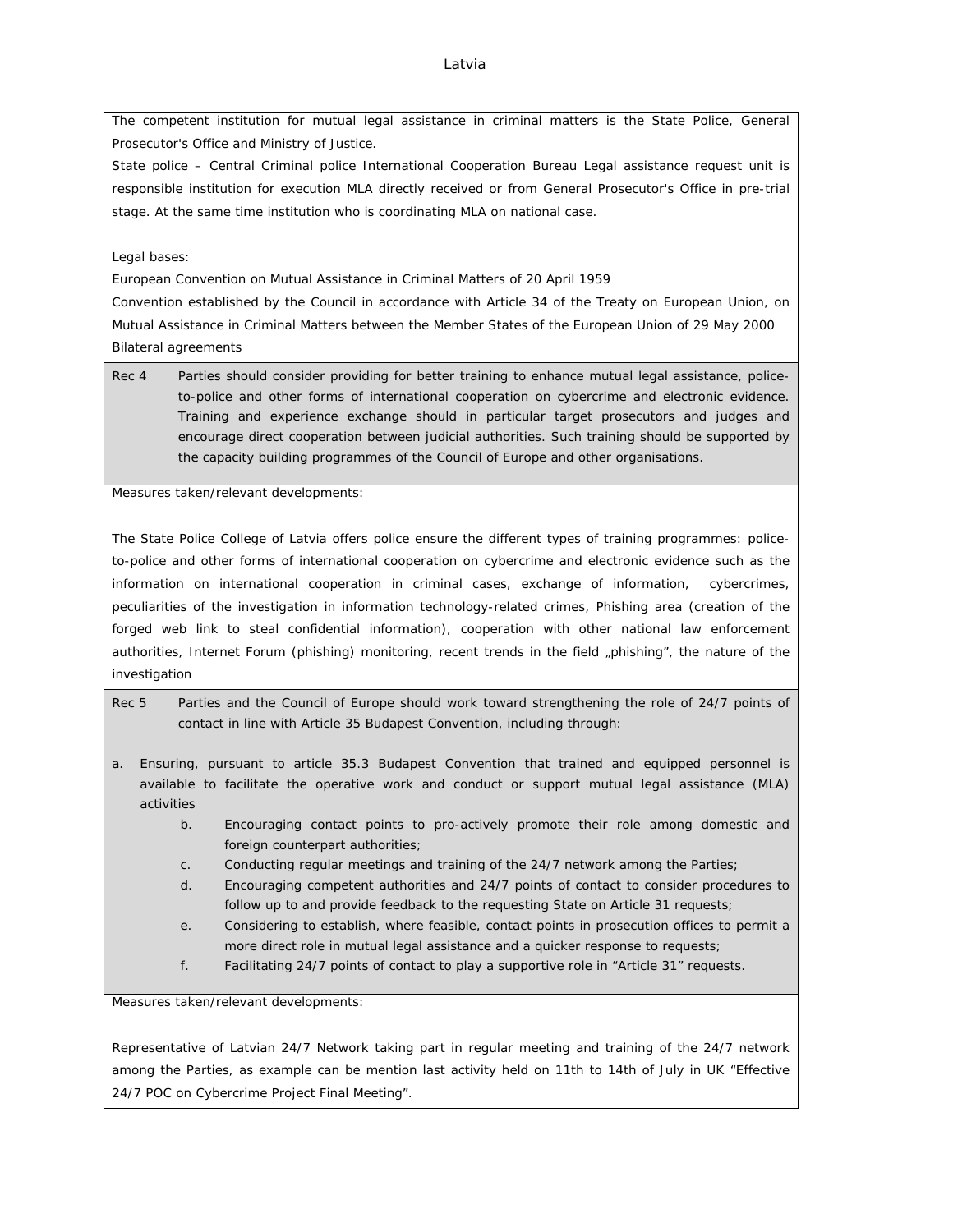The competent institution for mutual legal assistance in criminal matters is the State Police, General Prosecutor's Office and Ministry of Justice.

State police – Central Criminal police International Cooperation Bureau Legal assistance request unit is responsible institution for execution MLA directly received or from General Prosecutor's Office in pre-trial stage. At the same time institution who is coordinating MLA on national case.

# Legal bases:

European Convention on Mutual Assistance in Criminal Matters of 20 April 1959

Convention established by the Council in accordance with Article 34 of the Treaty on European Union, on Mutual Assistance in Criminal Matters between the Member States of the European Union of 29 May 2000 Bilateral agreements

Rec 4 Parties should consider providing for better training to enhance mutual legal assistance, policeto-police and other forms of international cooperation on cybercrime and electronic evidence. Training and experience exchange should in particular target prosecutors and judges and encourage direct cooperation between judicial authorities. Such training should be supported by the capacity building programmes of the Council of Europe and other organisations.

Measures taken/relevant developments:

The State Police College of Latvia offers police ensure the different types of training programmes: policeto-police and other forms of international cooperation on cybercrime and electronic evidence such as the information on international cooperation in criminal cases, exchange of information, cybercrimes, peculiarities of the investigation in information technology-related crimes, Phishing area (creation of the forged web link to steal confidential information), cooperation with other national law enforcement authorities, Internet Forum (phishing) monitoring, recent trends in the field "phishing", the nature of the investigation

- Rec 5 Parties and the Council of Europe should work toward strengthening the role of 24/7 points of contact in line with Article 35 Budapest Convention, including through:
- a. Ensuring, pursuant to article 35.3 Budapest Convention that trained and equipped personnel is available to facilitate the operative work and conduct or support mutual legal assistance (MLA) activities
	- b. Encouraging contact points to pro-actively promote their role among domestic and foreign counterpart authorities;
	- c. Conducting regular meetings and training of the 24/7 network among the Parties;
	- d. Encouraging competent authorities and 24/7 points of contact to consider procedures to follow up to and provide feedback to the requesting State on Article 31 requests;
	- e. Considering to establish, where feasible, contact points in prosecution offices to permit a more direct role in mutual legal assistance and a quicker response to requests;
	- f. Facilitating 24/7 points of contact to play a supportive role in "Article 31" requests.

Measures taken/relevant developments:

Representative of Latvian 24/7 Network taking part in regular meeting and training of the 24/7 network among the Parties, as example can be mention last activity held on 11th to 14th of July in UK "Effective 24/7 POC on Cybercrime Project Final Meeting".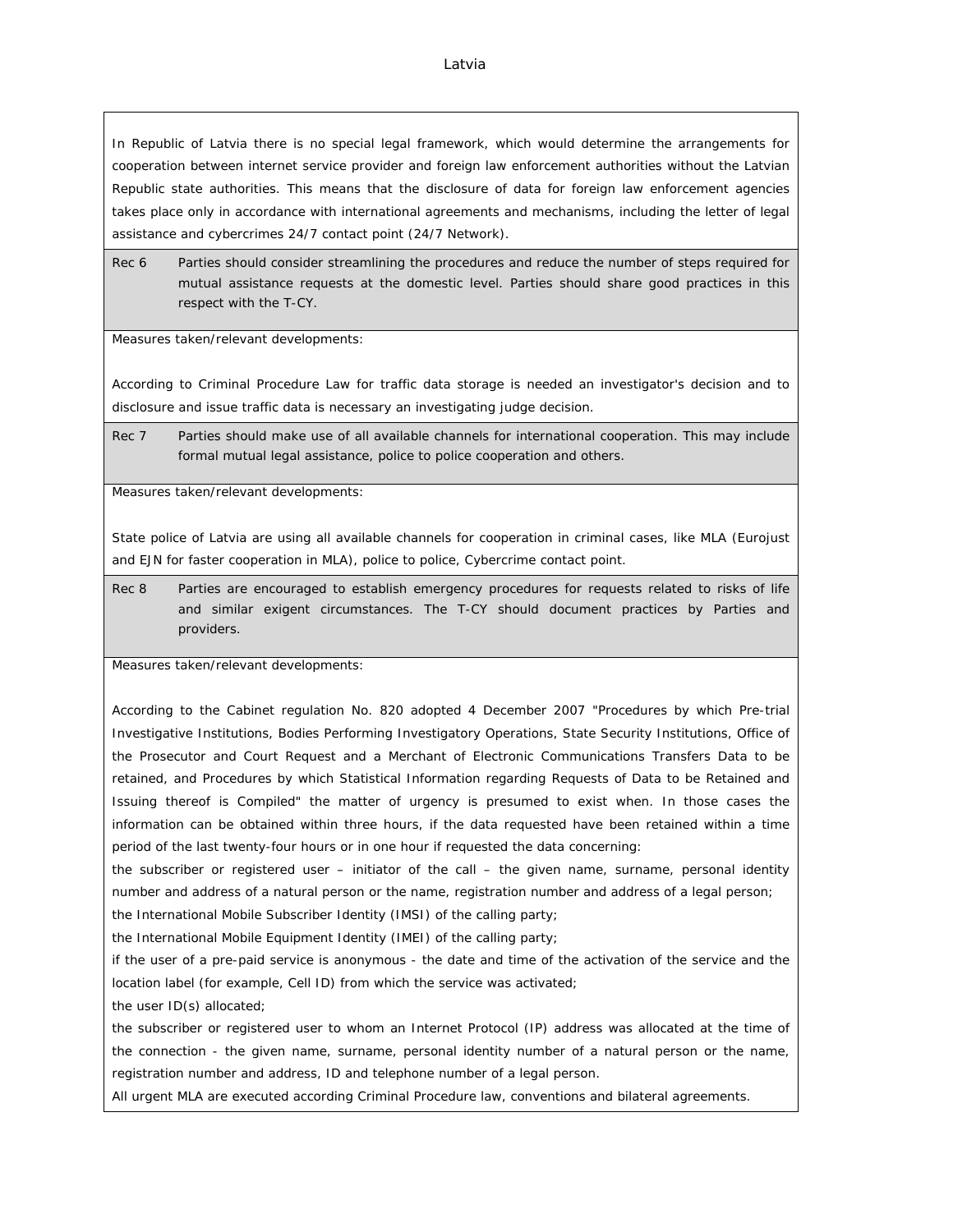In Republic of Latvia there is no special legal framework, which would determine the arrangements for cooperation between internet service provider and foreign law enforcement authorities without the Latvian Republic state authorities. This means that the disclosure of data for foreign law enforcement agencies takes place only in accordance with international agreements and mechanisms, including the letter of legal assistance and cybercrimes 24/7 contact point (24/7 Network).

Rec 6 Parties should consider streamlining the procedures and reduce the number of steps required for mutual assistance requests at the domestic level. Parties should share good practices in this respect with the T-CY.

Measures taken/relevant developments:

According to Criminal Procedure Law for traffic data storage is needed an investigator's decision and to disclosure and issue traffic data is necessary an investigating judge decision.

Rec 7 Parties should make use of all available channels for international cooperation. This may include formal mutual legal assistance, police to police cooperation and others.

Measures taken/relevant developments:

State police of Latvia are using all available channels for cooperation in criminal cases, like MLA (Eurojust and EJN for faster cooperation in MLA), police to police, Cybercrime contact point.

Rec 8 Parties are encouraged to establish emergency procedures for requests related to risks of life and similar exigent circumstances. The T-CY should document practices by Parties and providers.

Measures taken/relevant developments:

According to the Cabinet regulation No. 820 adopted 4 December 2007 "Procedures by which Pre-trial Investigative Institutions, Bodies Performing Investigatory Operations, State Security Institutions, Office of the Prosecutor and Court Request and a Merchant of Electronic Communications Transfers Data to be retained, and Procedures by which Statistical Information regarding Requests of Data to be Retained and Issuing thereof is Compiled" the matter of urgency is presumed to exist when. In those cases the information can be obtained within three hours, if the data requested have been retained within a time period of the last twenty-four hours or in one hour if requested the data concerning:

the subscriber or registered user – initiator of the call – the given name, surname, personal identity number and address of a natural person or the name, registration number and address of a legal person;

the International Mobile Subscriber Identity (IMSI) of the calling party;

the International Mobile Equipment Identity (IMEI) of the calling party;

if the user of a pre-paid service is anonymous - the date and time of the activation of the service and the location label (for example, Cell ID) from which the service was activated;

the user ID(s) allocated;

the subscriber or registered user to whom an Internet Protocol (IP) address was allocated at the time of the connection - the given name, surname, personal identity number of a natural person or the name, registration number and address, ID and telephone number of a legal person.

All urgent MLA are executed according Criminal Procedure law, conventions and bilateral agreements.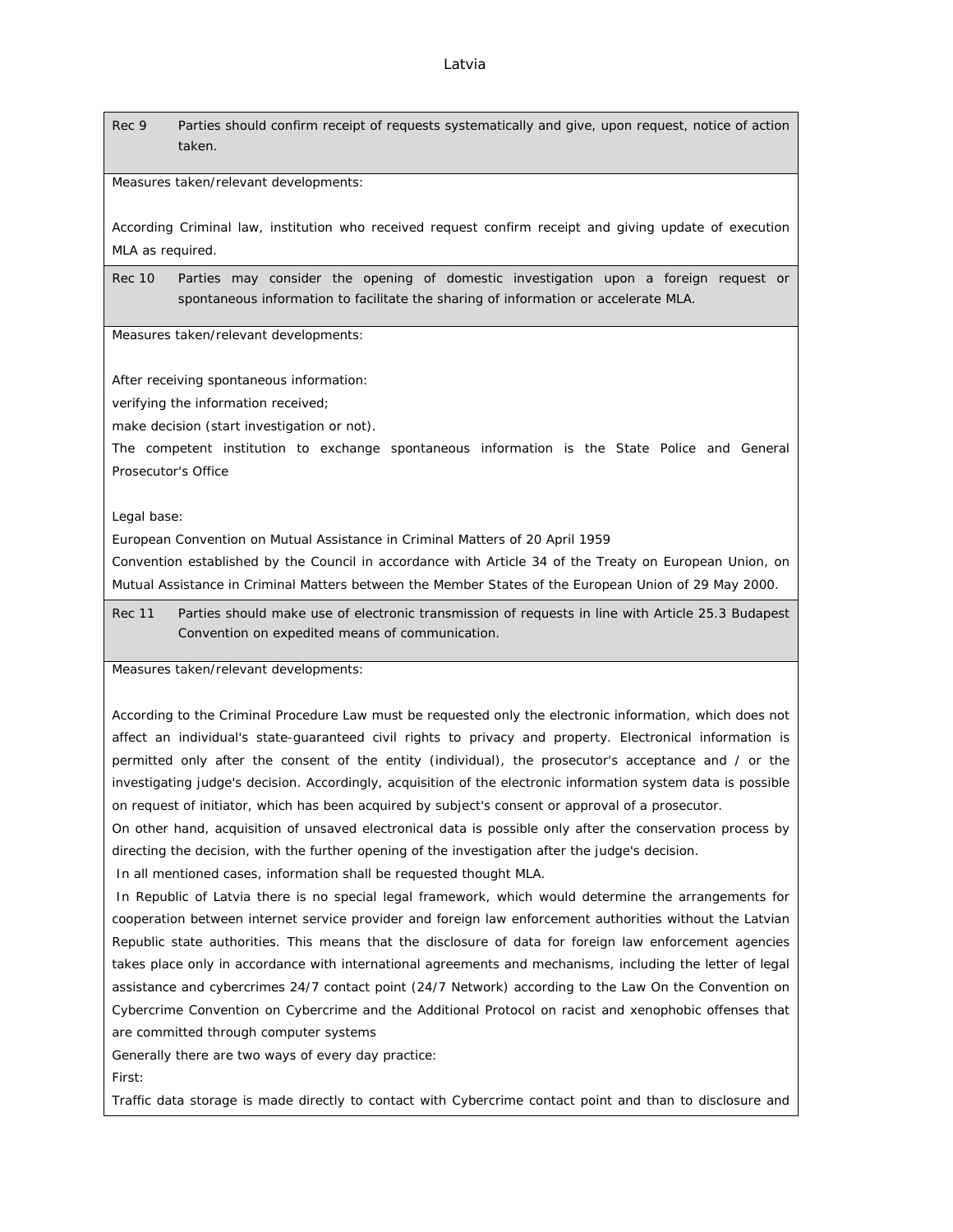Rec 9 Parties should confirm receipt of requests systematically and give, upon request, notice of action taken.

Measures taken/relevant developments:

According Criminal law, institution who received request confirm receipt and giving update of execution MLA as required.

Rec 10 Parties may consider the opening of domestic investigation upon a foreign request or spontaneous information to facilitate the sharing of information or accelerate MLA.

Measures taken/relevant developments:

After receiving spontaneous information:

verifying the information received;

make decision (start investigation or not).

The competent institution to exchange spontaneous information is the State Police and General Prosecutor's Office

Legal base:

European Convention on Mutual Assistance in Criminal Matters of 20 April 1959

Convention established by the Council in accordance with Article 34 of the Treaty on European Union, on Mutual Assistance in Criminal Matters between the Member States of the European Union of 29 May 2000.

Rec 11 Parties should make use of electronic transmission of requests in line with Article 25.3 Budapest Convention on expedited means of communication.

Measures taken/relevant developments:

According to the Criminal Procedure Law must be requested only the electronic information, which does not affect an individual's state-guaranteed civil rights to privacy and property. Electronical information is permitted only after the consent of the entity (individual), the prosecutor's acceptance and / or the investigating judge's decision. Accordingly, acquisition of the electronic information system data is possible on request of initiator, which has been acquired by subject's consent or approval of a prosecutor.

On other hand, acquisition of unsaved electronical data is possible only after the conservation process by directing the decision, with the further opening of the investigation after the judge's decision.

In all mentioned cases, information shall be requested thought MLA.

 In Republic of Latvia there is no special legal framework, which would determine the arrangements for cooperation between internet service provider and foreign law enforcement authorities without the Latvian Republic state authorities. This means that the disclosure of data for foreign law enforcement agencies takes place only in accordance with international agreements and mechanisms, including the letter of legal assistance and cybercrimes 24/7 contact point (24/7 Network) according to the Law On the Convention on Cybercrime Convention on Cybercrime and the Additional Protocol on racist and xenophobic offenses that are committed through computer systems

Generally there are two ways of every day practice: First:

Traffic data storage is made directly to contact with Cybercrime contact point and than to disclosure and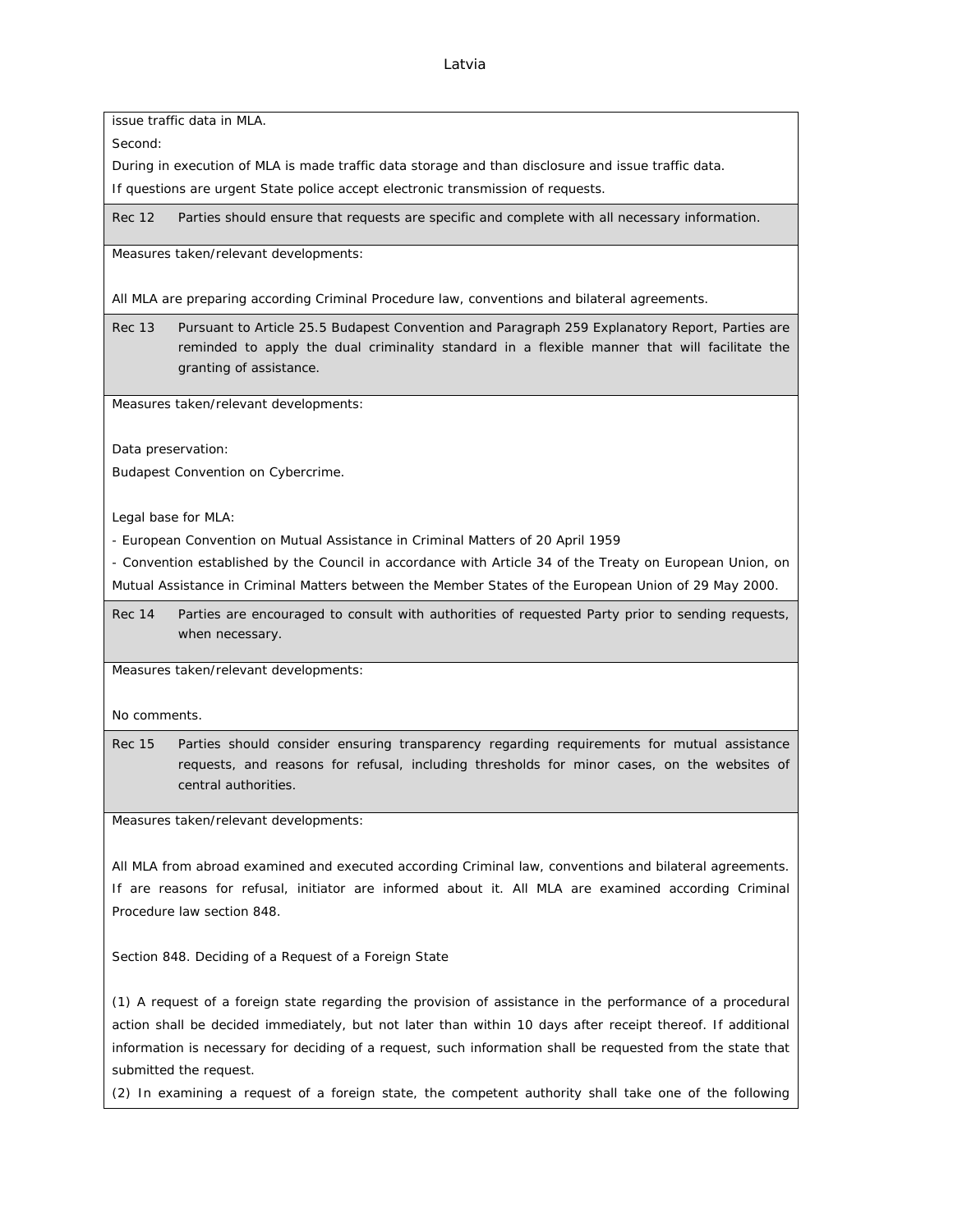issue traffic data in MLA.

Second:

During in execution of MLA is made traffic data storage and than disclosure and issue traffic data.

If questions are urgent State police accept electronic transmission of requests.

Rec 12 Parties should ensure that requests are specific and complete with all necessary information.

Measures taken/relevant developments:

All MLA are preparing according Criminal Procedure law, conventions and bilateral agreements.

Rec 13 Pursuant to Article 25.5 Budapest Convention and Paragraph 259 Explanatory Report, Parties are reminded to apply the dual criminality standard in a flexible manner that will facilitate the granting of assistance.

Measures taken/relevant developments:

Data preservation:

Budapest Convention on Cybercrime.

Legal base for MLA:

- European Convention on Mutual Assistance in Criminal Matters of 20 April 1959

- Convention established by the Council in accordance with Article 34 of the Treaty on European Union, on Mutual Assistance in Criminal Matters between the Member States of the European Union of 29 May 2000.

Rec 14 Parties are encouraged to consult with authorities of requested Party prior to sending requests, when necessary.

Measures taken/relevant developments:

No comments.

Rec 15 Parties should consider ensuring transparency regarding requirements for mutual assistance requests, and reasons for refusal, including thresholds for minor cases, on the websites of central authorities.

Measures taken/relevant developments:

All MLA from abroad examined and executed according Criminal law, conventions and bilateral agreements. If are reasons for refusal, initiator are informed about it. All MLA are examined according Criminal Procedure law section 848.

Section 848. Deciding of a Request of a Foreign State

(1) A request of a foreign state regarding the provision of assistance in the performance of a procedural action shall be decided immediately, but not later than within 10 days after receipt thereof. If additional information is necessary for deciding of a request, such information shall be requested from the state that submitted the request.

(2) In examining a request of a foreign state, the competent authority shall take one of the following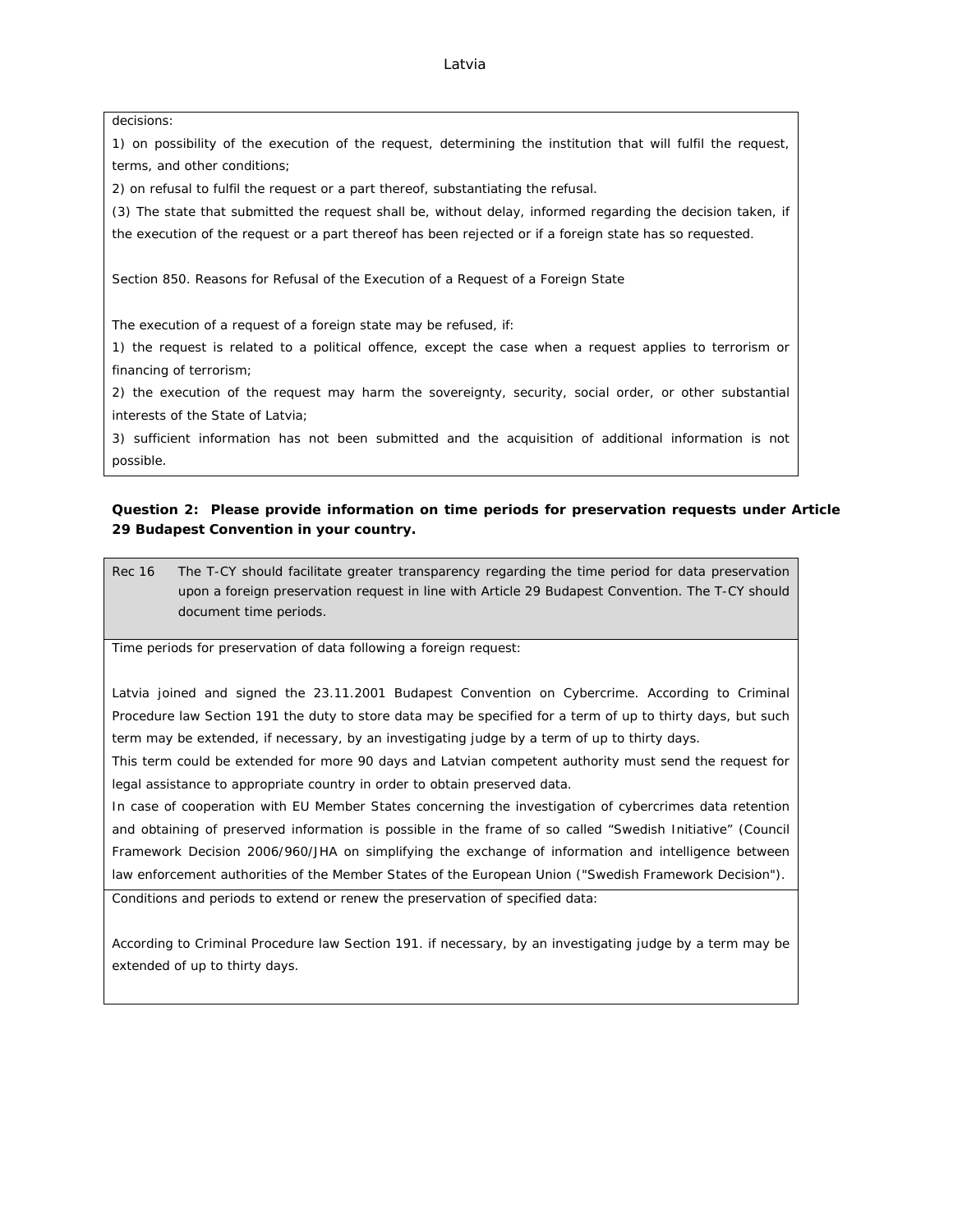#### decisions:

1) on possibility of the execution of the request, determining the institution that will fulfil the request, terms, and other conditions;

2) on refusal to fulfil the request or a part thereof, substantiating the refusal.

(3) The state that submitted the request shall be, without delay, informed regarding the decision taken, if the execution of the request or a part thereof has been rejected or if a foreign state has so requested.

Section 850. Reasons for Refusal of the Execution of a Request of a Foreign State

The execution of a request of a foreign state may be refused, if:

1) the request is related to a political offence, except the case when a request applies to terrorism or financing of terrorism;

2) the execution of the request may harm the sovereignty, security, social order, or other substantial interests of the State of Latvia;

3) sufficient information has not been submitted and the acquisition of additional information is not possible.

**Question 2: Please provide information on time periods for preservation requests under Article 29 Budapest Convention in your country.**

Rec 16 The T-CY should facilitate greater transparency regarding the time period for data preservation upon a foreign preservation request in line with Article 29 Budapest Convention. The T-CY should document time periods.

Time periods for preservation of data following a foreign request:

Latvia joined and signed the 23.11.2001 Budapest Convention on Cybercrime. According to Criminal Procedure law Section 191 the duty to store data may be specified for a term of up to thirty days, but such term may be extended, if necessary, by an investigating judge by a term of up to thirty days.

This term could be extended for more 90 days and Latvian competent authority must send the request for legal assistance to appropriate country in order to obtain preserved data.

In case of cooperation with EU Member States concerning the investigation of cybercrimes data retention and obtaining of preserved information is possible in the frame of so called "Swedish Initiative" (Council Framework Decision 2006/960/JHA on simplifying the exchange of information and intelligence between law enforcement authorities of the Member States of the European Union ("Swedish Framework Decision").

Conditions and periods to extend or renew the preservation of specified data:

According to Criminal Procedure law Section 191. if necessary, by an investigating judge by a term may be extended of up to thirty days.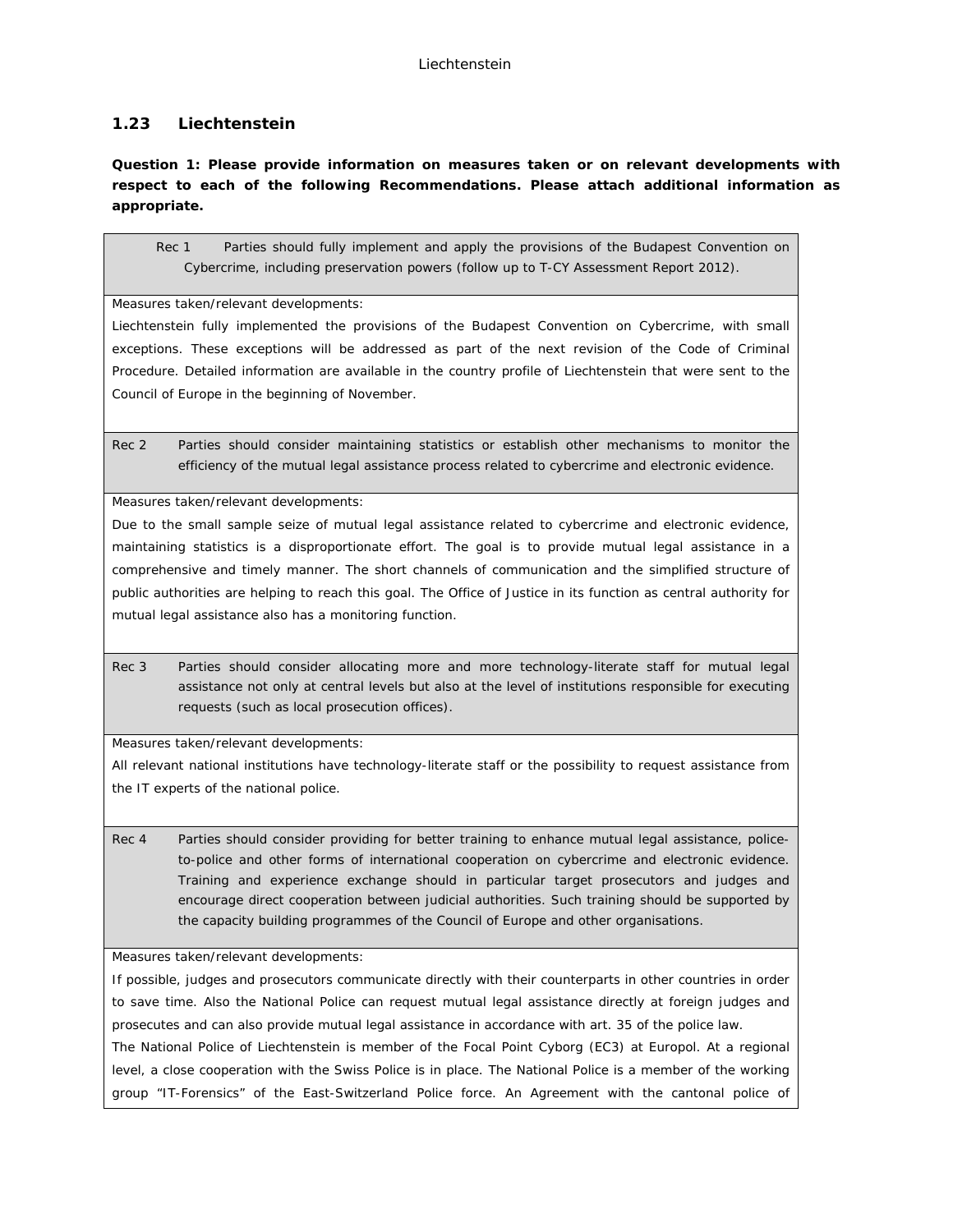# **1.23 Liechtenstein**

**Question 1: Please provide information on measures taken or on relevant developments with respect to each of the following Recommendations. Please attach additional information as appropriate.**

Rec 1 Parties should fully implement and apply the provisions of the Budapest Convention on Cybercrime, including preservation powers (follow up to T-CY Assessment Report 2012).

Measures taken/relevant developments:

Liechtenstein fully implemented the provisions of the Budapest Convention on Cybercrime, with small exceptions. These exceptions will be addressed as part of the next revision of the Code of Criminal Procedure. Detailed information are available in the country profile of Liechtenstein that were sent to the Council of Europe in the beginning of November.

Rec 2 Parties should consider maintaining statistics or establish other mechanisms to monitor the efficiency of the mutual legal assistance process related to cybercrime and electronic evidence.

Measures taken/relevant developments:

Due to the small sample seize of mutual legal assistance related to cybercrime and electronic evidence, maintaining statistics is a disproportionate effort. The goal is to provide mutual legal assistance in a comprehensive and timely manner. The short channels of communication and the simplified structure of public authorities are helping to reach this goal. The Office of Justice in its function as central authority for mutual legal assistance also has a monitoring function.

Rec 3 Parties should consider allocating more and more technology-literate staff for mutual legal assistance not only at central levels but also at the level of institutions responsible for executing requests (such as local prosecution offices).

Measures taken/relevant developments:

All relevant national institutions have technology-literate staff or the possibility to request assistance from the IT experts of the national police.

Rec 4 Parties should consider providing for better training to enhance mutual legal assistance, policeto-police and other forms of international cooperation on cybercrime and electronic evidence. Training and experience exchange should in particular target prosecutors and judges and encourage direct cooperation between judicial authorities. Such training should be supported by the capacity building programmes of the Council of Europe and other organisations.

Measures taken/relevant developments:

If possible, judges and prosecutors communicate directly with their counterparts in other countries in order to save time. Also the National Police can request mutual legal assistance directly at foreign judges and prosecutes and can also provide mutual legal assistance in accordance with art. 35 of the police law.

The National Police of Liechtenstein is member of the Focal Point Cyborg (EC3) at Europol. At a regional level, a close cooperation with the Swiss Police is in place. The National Police is a member of the working group "IT-Forensics" of the East-Switzerland Police force. An Agreement with the cantonal police of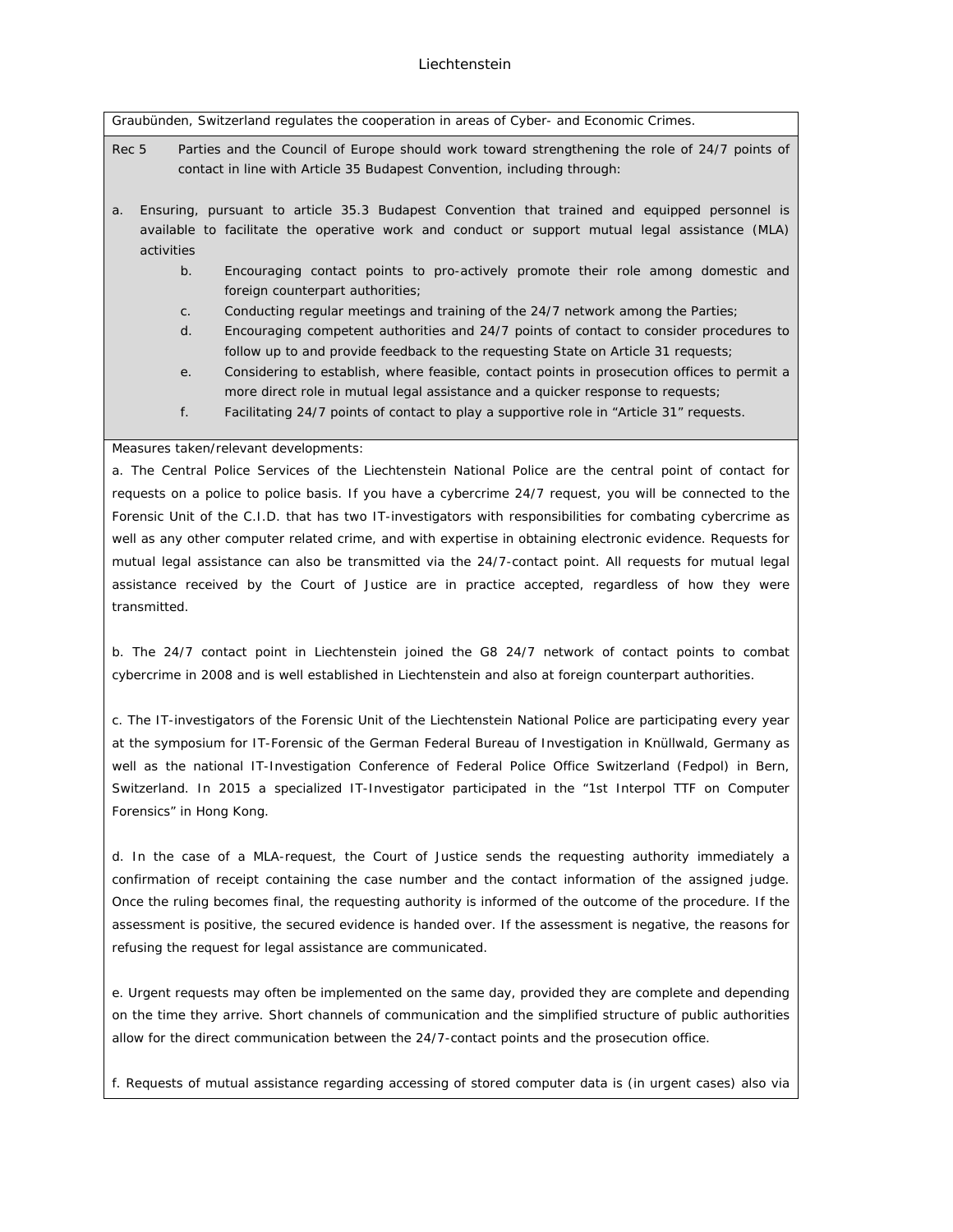Graubünden, Switzerland regulates the cooperation in areas of Cyber- and Economic Crimes.

Rec 5 Parties and the Council of Europe should work toward strengthening the role of 24/7 points of contact in line with Article 35 Budapest Convention, including through:

- a. Ensuring, pursuant to article 35.3 Budapest Convention that trained and equipped personnel is available to facilitate the operative work and conduct or support mutual legal assistance (MLA) activities
	- b. Encouraging contact points to pro-actively promote their role among domestic and foreign counterpart authorities;
	- c. Conducting regular meetings and training of the 24/7 network among the Parties;
	- d. Encouraging competent authorities and 24/7 points of contact to consider procedures to follow up to and provide feedback to the requesting State on Article 31 requests;
	- e. Considering to establish, where feasible, contact points in prosecution offices to permit a more direct role in mutual legal assistance and a quicker response to requests;
	- f. Facilitating 24/7 points of contact to play a supportive role in "Article 31" requests.

#### Measures taken/relevant developments:

a. The Central Police Services of the Liechtenstein National Police are the central point of contact for requests on a police to police basis. If you have a cybercrime 24/7 request, you will be connected to the Forensic Unit of the C.I.D. that has two IT-investigators with responsibilities for combating cybercrime as well as any other computer related crime, and with expertise in obtaining electronic evidence. Requests for mutual legal assistance can also be transmitted via the 24/7-contact point. All requests for mutual legal assistance received by the Court of Justice are in practice accepted, regardless of how they were transmitted.

b. The 24/7 contact point in Liechtenstein joined the G8 24/7 network of contact points to combat cybercrime in 2008 and is well established in Liechtenstein and also at foreign counterpart authorities.

c. The IT-investigators of the Forensic Unit of the Liechtenstein National Police are participating every year at the symposium for IT-Forensic of the German Federal Bureau of Investigation in Knüllwald, Germany as well as the national IT-Investigation Conference of Federal Police Office Switzerland (Fedpol) in Bern, Switzerland. In 2015 a specialized IT-Investigator participated in the "1st Interpol TTF on Computer Forensics" in Hong Kong.

d. In the case of a MLA-request, the Court of Justice sends the requesting authority immediately a confirmation of receipt containing the case number and the contact information of the assigned judge. Once the ruling becomes final, the requesting authority is informed of the outcome of the procedure. If the assessment is positive, the secured evidence is handed over. If the assessment is negative, the reasons for refusing the request for legal assistance are communicated.

e. Urgent requests may often be implemented on the same day, provided they are complete and depending on the time they arrive. Short channels of communication and the simplified structure of public authorities allow for the direct communication between the 24/7-contact points and the prosecution office.

f. Requests of mutual assistance regarding accessing of stored computer data is (in urgent cases) also via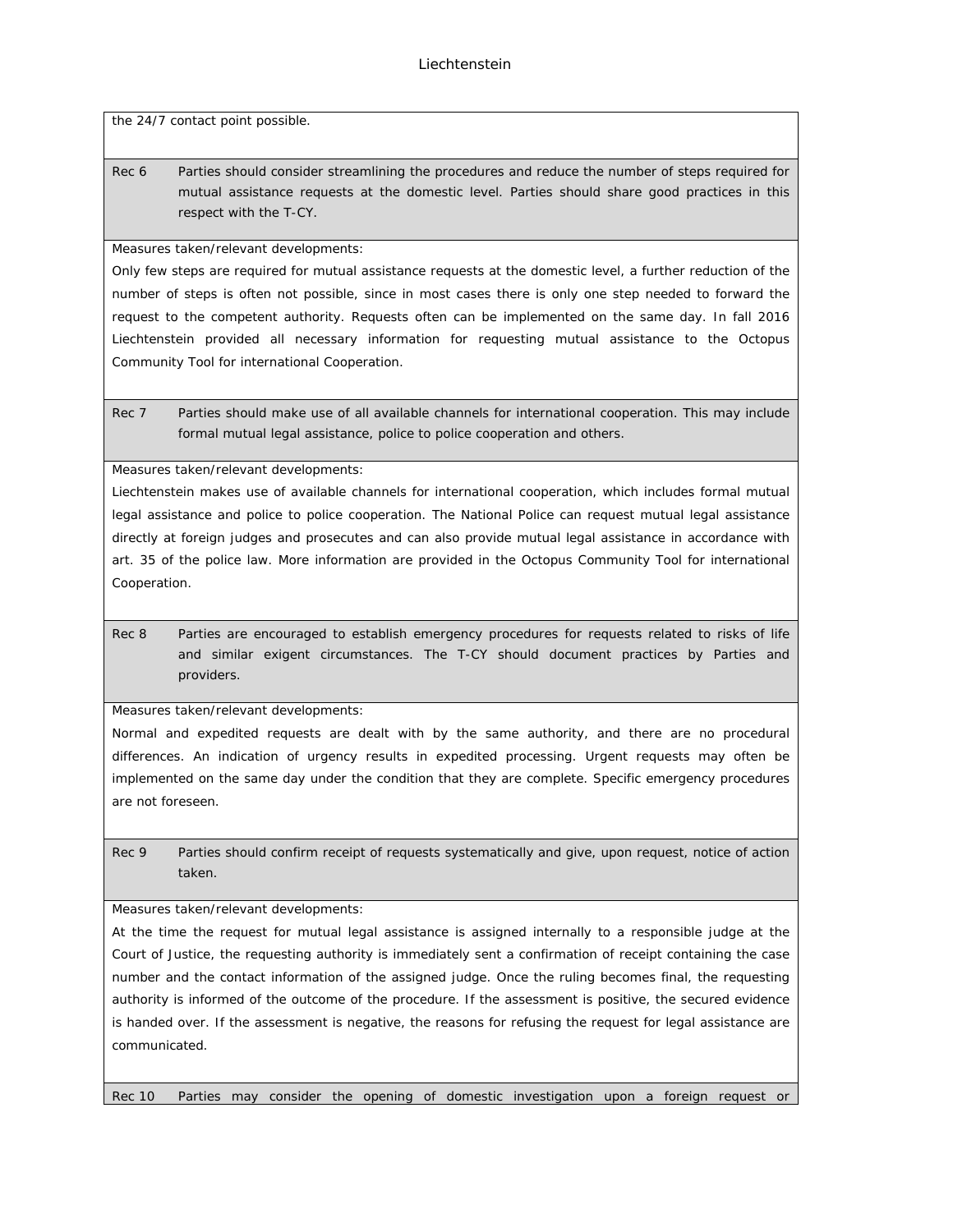the 24/7 contact point possible.

Rec 6 Parties should consider streamlining the procedures and reduce the number of steps required for mutual assistance requests at the domestic level. Parties should share good practices in this respect with the T-CY.

Measures taken/relevant developments:

Only few steps are required for mutual assistance requests at the domestic level, a further reduction of the number of steps is often not possible, since in most cases there is only one step needed to forward the request to the competent authority. Requests often can be implemented on the same day. In fall 2016 Liechtenstein provided all necessary information for requesting mutual assistance to the Octopus Community Tool for international Cooperation.

Rec 7 Parties should make use of all available channels for international cooperation. This may include formal mutual legal assistance, police to police cooperation and others.

Measures taken/relevant developments:

Liechtenstein makes use of available channels for international cooperation, which includes formal mutual legal assistance and police to police cooperation. The National Police can request mutual legal assistance directly at foreign judges and prosecutes and can also provide mutual legal assistance in accordance with art. 35 of the police law. More information are provided in the Octopus Community Tool for international Cooperation.

Rec 8 Parties are encouraged to establish emergency procedures for requests related to risks of life and similar exigent circumstances. The T-CY should document practices by Parties and providers.

Measures taken/relevant developments:

Normal and expedited requests are dealt with by the same authority, and there are no procedural differences. An indication of urgency results in expedited processing. Urgent requests may often be implemented on the same day under the condition that they are complete. Specific emergency procedures are not foreseen.

Rec 9 Parties should confirm receipt of requests systematically and give, upon request, notice of action taken.

Measures taken/relevant developments:

At the time the request for mutual legal assistance is assigned internally to a responsible judge at the Court of Justice, the requesting authority is immediately sent a confirmation of receipt containing the case number and the contact information of the assigned judge. Once the ruling becomes final, the requesting authority is informed of the outcome of the procedure. If the assessment is positive, the secured evidence is handed over. If the assessment is negative, the reasons for refusing the request for legal assistance are communicated.

Rec 10 Parties may consider the opening of domestic investigation upon a foreign request or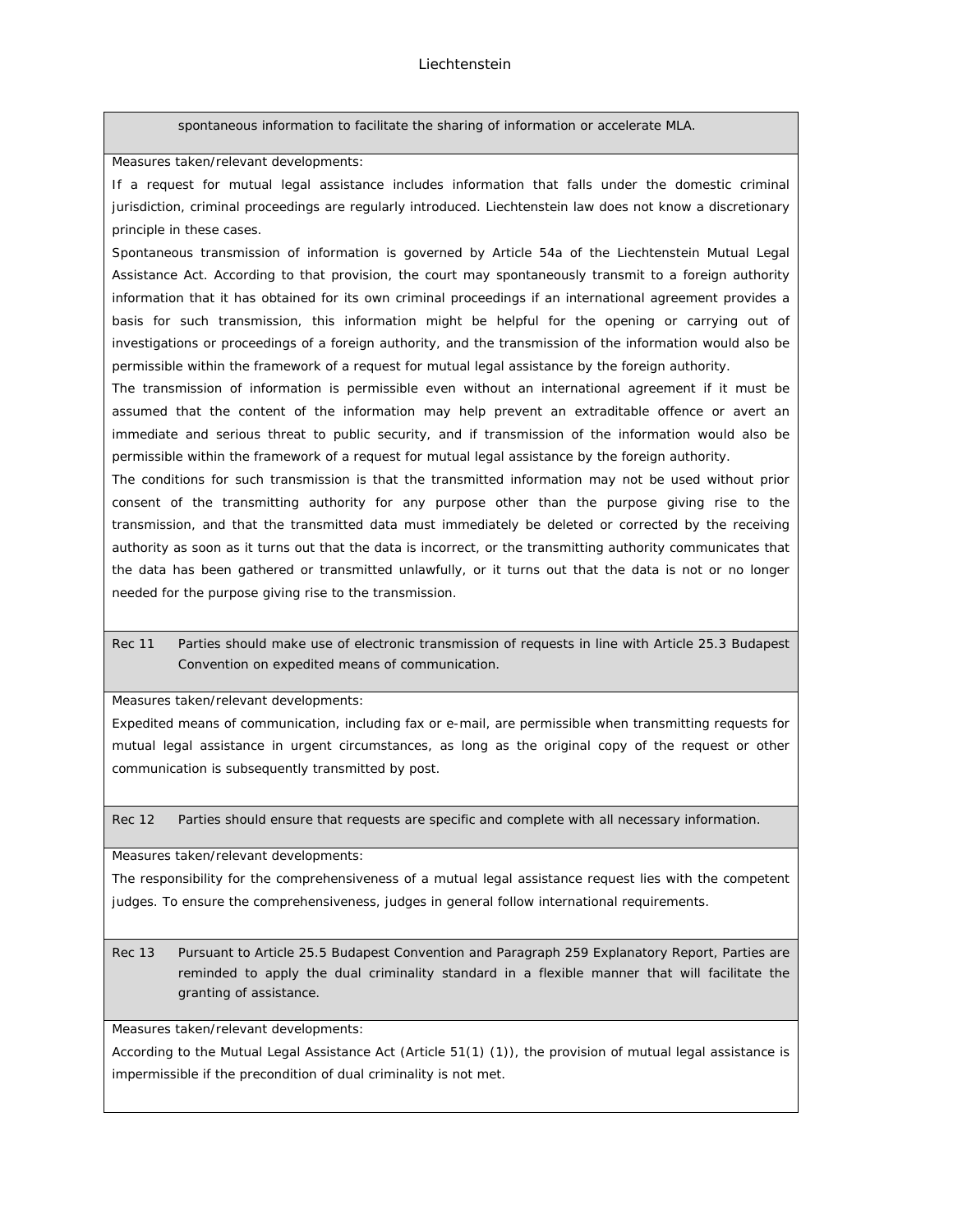spontaneous information to facilitate the sharing of information or accelerate MLA.

Measures taken/relevant developments:

If a request for mutual legal assistance includes information that falls under the domestic criminal jurisdiction, criminal proceedings are regularly introduced. Liechtenstein law does not know a discretionary principle in these cases.

Spontaneous transmission of information is governed by Article 54a of the Liechtenstein Mutual Legal Assistance Act. According to that provision, the court may spontaneously transmit to a foreign authority information that it has obtained for its own criminal proceedings if an international agreement provides a basis for such transmission, this information might be helpful for the opening or carrying out of investigations or proceedings of a foreign authority, and the transmission of the information would also be permissible within the framework of a request for mutual legal assistance by the foreign authority.

The transmission of information is permissible even without an international agreement if it must be assumed that the content of the information may help prevent an extraditable offence or avert an immediate and serious threat to public security, and if transmission of the information would also be permissible within the framework of a request for mutual legal assistance by the foreign authority.

The conditions for such transmission is that the transmitted information may not be used without prior consent of the transmitting authority for any purpose other than the purpose giving rise to the transmission, and that the transmitted data must immediately be deleted or corrected by the receiving authority as soon as it turns out that the data is incorrect, or the transmitting authority communicates that the data has been gathered or transmitted unlawfully, or it turns out that the data is not or no longer needed for the purpose giving rise to the transmission.

## Rec 11 Parties should make use of electronic transmission of requests in line with Article 25.3 Budapest Convention on expedited means of communication.

Measures taken/relevant developments:

Expedited means of communication, including fax or e-mail, are permissible when transmitting requests for mutual legal assistance in urgent circumstances, as long as the original copy of the request or other communication is subsequently transmitted by post.

Rec 12 Parties should ensure that requests are specific and complete with all necessary information.

Measures taken/relevant developments:

The responsibility for the comprehensiveness of a mutual legal assistance request lies with the competent judges. To ensure the comprehensiveness, judges in general follow international requirements.

Rec 13 Pursuant to Article 25.5 Budapest Convention and Paragraph 259 Explanatory Report, Parties are reminded to apply the dual criminality standard in a flexible manner that will facilitate the granting of assistance.

Measures taken/relevant developments:

According to the Mutual Legal Assistance Act (Article 51(1) (1)), the provision of mutual legal assistance is impermissible if the precondition of dual criminality is not met.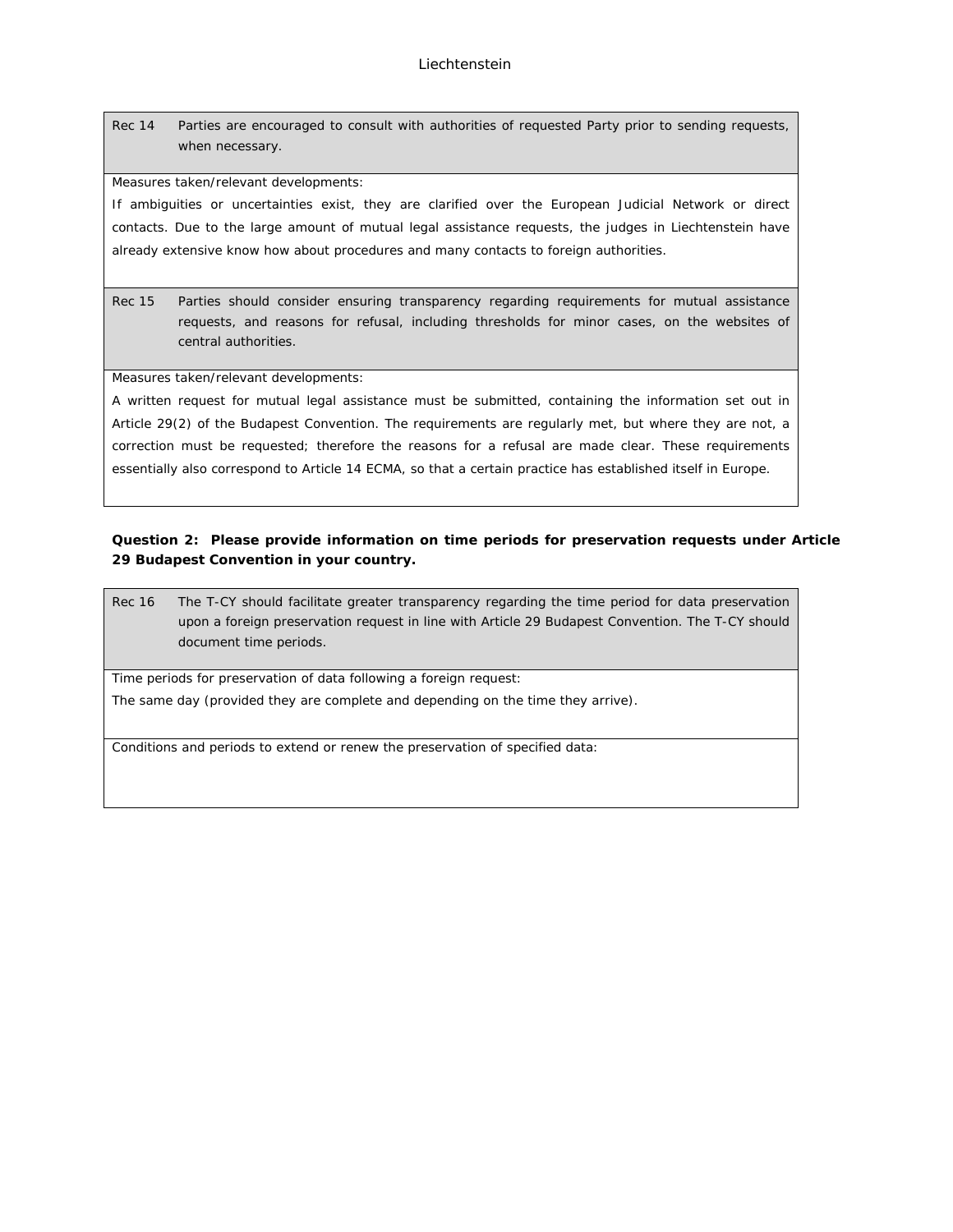Rec 14 Parties are encouraged to consult with authorities of requested Party prior to sending requests, when necessary.

Measures taken/relevant developments:

If ambiguities or uncertainties exist, they are clarified over the European Judicial Network or direct contacts. Due to the large amount of mutual legal assistance requests, the judges in Liechtenstein have already extensive know how about procedures and many contacts to foreign authorities.

Rec 15 Parties should consider ensuring transparency regarding requirements for mutual assistance requests, and reasons for refusal, including thresholds for minor cases, on the websites of central authorities.

Measures taken/relevant developments:

A written request for mutual legal assistance must be submitted, containing the information set out in Article 29(2) of the Budapest Convention. The requirements are regularly met, but where they are not, a correction must be requested; therefore the reasons for a refusal are made clear. These requirements essentially also correspond to Article 14 ECMA, so that a certain practice has established itself in Europe.

**Question 2: Please provide information on time periods for preservation requests under Article 29 Budapest Convention in your country.**

Rec 16 The T-CY should facilitate greater transparency regarding the time period for data preservation upon a foreign preservation request in line with Article 29 Budapest Convention. The T-CY should document time periods.

Time periods for preservation of data following a foreign request:

The same day (provided they are complete and depending on the time they arrive).

Conditions and periods to extend or renew the preservation of specified data: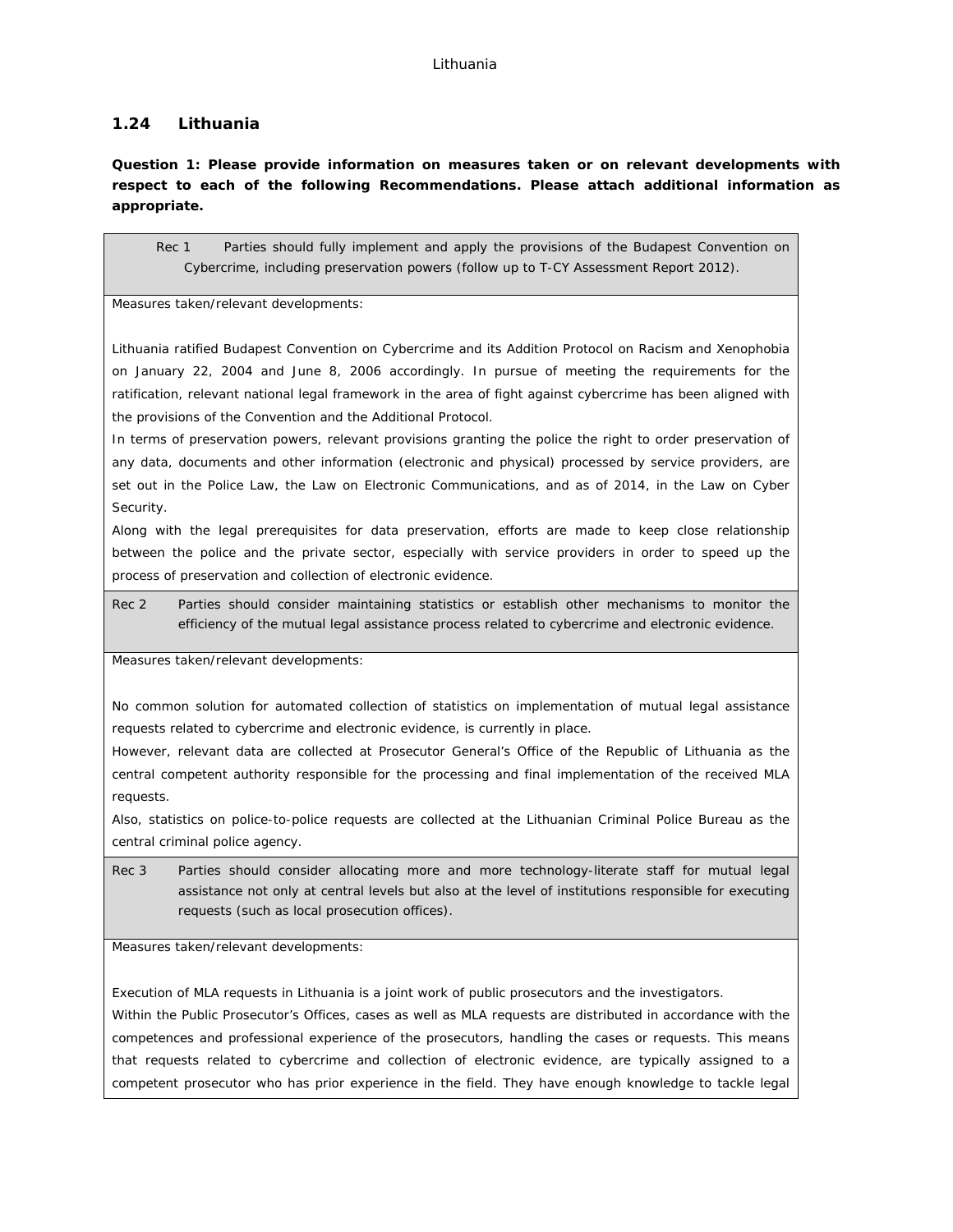## **1.24 Lithuania**

**Question 1: Please provide information on measures taken or on relevant developments with respect to each of the following Recommendations. Please attach additional information as appropriate.**

Rec 1 Parties should fully implement and apply the provisions of the Budapest Convention on Cybercrime, including preservation powers (follow up to T-CY Assessment Report 2012).

Measures taken/relevant developments:

Lithuania ratified Budapest Convention on Cybercrime and its Addition Protocol on Racism and Xenophobia on January 22, 2004 and June 8, 2006 accordingly. In pursue of meeting the requirements for the ratification, relevant national legal framework in the area of fight against cybercrime has been aligned with the provisions of the Convention and the Additional Protocol.

In terms of preservation powers, relevant provisions granting the police the right to order preservation of any data, documents and other information (electronic and physical) processed by service providers, are set out in the Police Law, the Law on Electronic Communications, and as of 2014, in the Law on Cyber Security.

Along with the legal prerequisites for data preservation, efforts are made to keep close relationship between the police and the private sector, especially with service providers in order to speed up the process of preservation and collection of electronic evidence.

Rec 2 Parties should consider maintaining statistics or establish other mechanisms to monitor the efficiency of the mutual legal assistance process related to cybercrime and electronic evidence.

Measures taken/relevant developments:

No common solution for automated collection of statistics on implementation of mutual legal assistance requests related to cybercrime and electronic evidence, is currently in place.

However, relevant data are collected at Prosecutor General's Office of the Republic of Lithuania as the central competent authority responsible for the processing and final implementation of the received MLA requests.

Also, statistics on police-to-police requests are collected at the Lithuanian Criminal Police Bureau as the central criminal police agency.

Rec 3 Parties should consider allocating more and more technology-literate staff for mutual legal assistance not only at central levels but also at the level of institutions responsible for executing requests (such as local prosecution offices).

Measures taken/relevant developments:

Execution of MLA requests in Lithuania is a joint work of public prosecutors and the investigators.

Within the Public Prosecutor's Offices, cases as well as MLA requests are distributed in accordance with the competences and professional experience of the prosecutors, handling the cases or requests. This means that requests related to cybercrime and collection of electronic evidence, are typically assigned to a competent prosecutor who has prior experience in the field. They have enough knowledge to tackle legal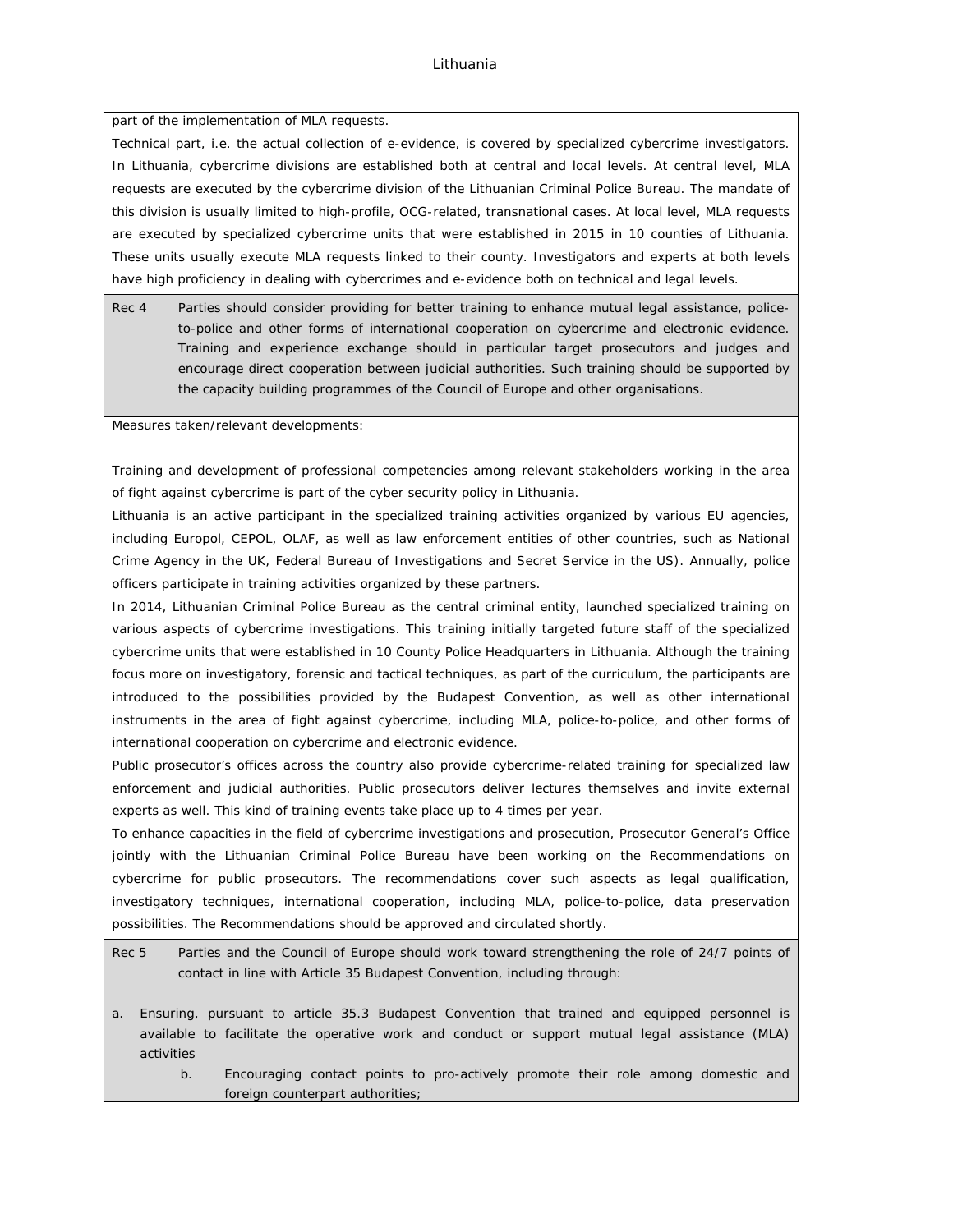### Lithuania

part of the implementation of MLA requests.

Technical part, i.e. the actual collection of e-evidence, is covered by specialized cybercrime investigators. In Lithuania, cybercrime divisions are established both at central and local levels. At central level, MLA requests are executed by the cybercrime division of the Lithuanian Criminal Police Bureau. The mandate of this division is usually limited to high-profile, OCG-related, transnational cases. At local level, MLA requests are executed by specialized cybercrime units that were established in 2015 in 10 counties of Lithuania. These units usually execute MLA requests linked to their county. Investigators and experts at both levels have high proficiency in dealing with cybercrimes and e-evidence both on technical and legal levels.

Rec 4 Parties should consider providing for better training to enhance mutual legal assistance, policeto-police and other forms of international cooperation on cybercrime and electronic evidence. Training and experience exchange should in particular target prosecutors and judges and encourage direct cooperation between judicial authorities. Such training should be supported by the capacity building programmes of the Council of Europe and other organisations.

Measures taken/relevant developments:

Training and development of professional competencies among relevant stakeholders working in the area of fight against cybercrime is part of the cyber security policy in Lithuania.

Lithuania is an active participant in the specialized training activities organized by various EU agencies, including Europol, CEPOL, OLAF, as well as law enforcement entities of other countries, such as National Crime Agency in the UK, Federal Bureau of Investigations and Secret Service in the US). Annually, police officers participate in training activities organized by these partners.

In 2014, Lithuanian Criminal Police Bureau as the central criminal entity, launched specialized training on various aspects of cybercrime investigations. This training initially targeted future staff of the specialized cybercrime units that were established in 10 County Police Headquarters in Lithuania. Although the training focus more on investigatory, forensic and tactical techniques, as part of the curriculum, the participants are introduced to the possibilities provided by the Budapest Convention, as well as other international instruments in the area of fight against cybercrime, including MLA, police-to-police, and other forms of international cooperation on cybercrime and electronic evidence.

Public prosecutor's offices across the country also provide cybercrime-related training for specialized law enforcement and judicial authorities. Public prosecutors deliver lectures themselves and invite external experts as well. This kind of training events take place up to 4 times per year.

To enhance capacities in the field of cybercrime investigations and prosecution, Prosecutor General's Office jointly with the Lithuanian Criminal Police Bureau have been working on the Recommendations on cybercrime for public prosecutors. The recommendations cover such aspects as legal qualification, investigatory techniques, international cooperation, including MLA, police-to-police, data preservation possibilities. The Recommendations should be approved and circulated shortly.

Rec 5 Parties and the Council of Europe should work toward strengthening the role of 24/7 points of contact in line with Article 35 Budapest Convention, including through:

- a. Ensuring, pursuant to article 35.3 Budapest Convention that trained and equipped personnel is available to facilitate the operative work and conduct or support mutual legal assistance (MLA) activities
	- b. Encouraging contact points to pro-actively promote their role among domestic and foreign counterpart authorities;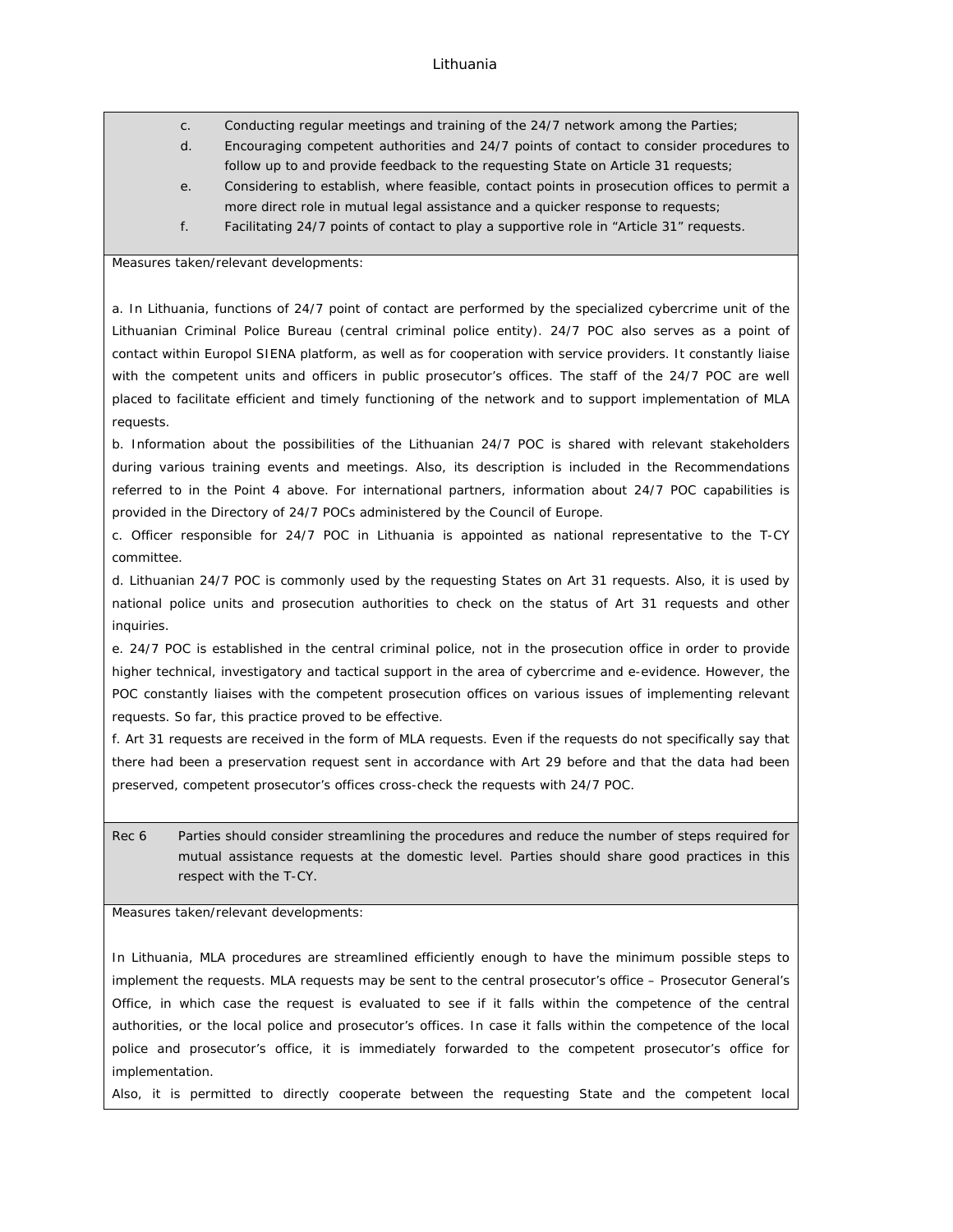- c. Conducting regular meetings and training of the 24/7 network among the Parties;
- d. Encouraging competent authorities and 24/7 points of contact to consider procedures to follow up to and provide feedback to the requesting State on Article 31 requests;
- e. Considering to establish, where feasible, contact points in prosecution offices to permit a more direct role in mutual legal assistance and a quicker response to requests;
- f. Facilitating 24/7 points of contact to play a supportive role in "Article 31" requests.

Measures taken/relevant developments:

a. In Lithuania, functions of 24/7 point of contact are performed by the specialized cybercrime unit of the Lithuanian Criminal Police Bureau (central criminal police entity). 24/7 POC also serves as a point of contact within Europol SIENA platform, as well as for cooperation with service providers. It constantly liaise with the competent units and officers in public prosecutor's offices. The staff of the 24/7 POC are well placed to facilitate efficient and timely functioning of the network and to support implementation of MLA requests.

b. Information about the possibilities of the Lithuanian 24/7 POC is shared with relevant stakeholders during various training events and meetings. Also, its description is included in the Recommendations referred to in the Point 4 above. For international partners, information about 24/7 POC capabilities is provided in the Directory of 24/7 POCs administered by the Council of Europe.

c. Officer responsible for 24/7 POC in Lithuania is appointed as national representative to the T-CY committee.

d. Lithuanian 24/7 POC is commonly used by the requesting States on Art 31 requests. Also, it is used by national police units and prosecution authorities to check on the status of Art 31 requests and other inquiries.

e. 24/7 POC is established in the central criminal police, not in the prosecution office in order to provide higher technical, investigatory and tactical support in the area of cybercrime and e-evidence. However, the POC constantly liaises with the competent prosecution offices on various issues of implementing relevant requests. So far, this practice proved to be effective.

f. Art 31 requests are received in the form of MLA requests. Even if the requests do not specifically say that there had been a preservation request sent in accordance with Art 29 before and that the data had been preserved, competent prosecutor's offices cross-check the requests with 24/7 POC.

Rec 6 Parties should consider streamlining the procedures and reduce the number of steps required for mutual assistance requests at the domestic level. Parties should share good practices in this respect with the T-CY.

Measures taken/relevant developments:

In Lithuania, MLA procedures are streamlined efficiently enough to have the minimum possible steps to implement the requests. MLA requests may be sent to the central prosecutor's office – Prosecutor General's Office, in which case the request is evaluated to see if it falls within the competence of the central authorities, or the local police and prosecutor's offices. In case it falls within the competence of the local police and prosecutor's office, it is immediately forwarded to the competent prosecutor's office for implementation.

Also, it is permitted to directly cooperate between the requesting State and the competent local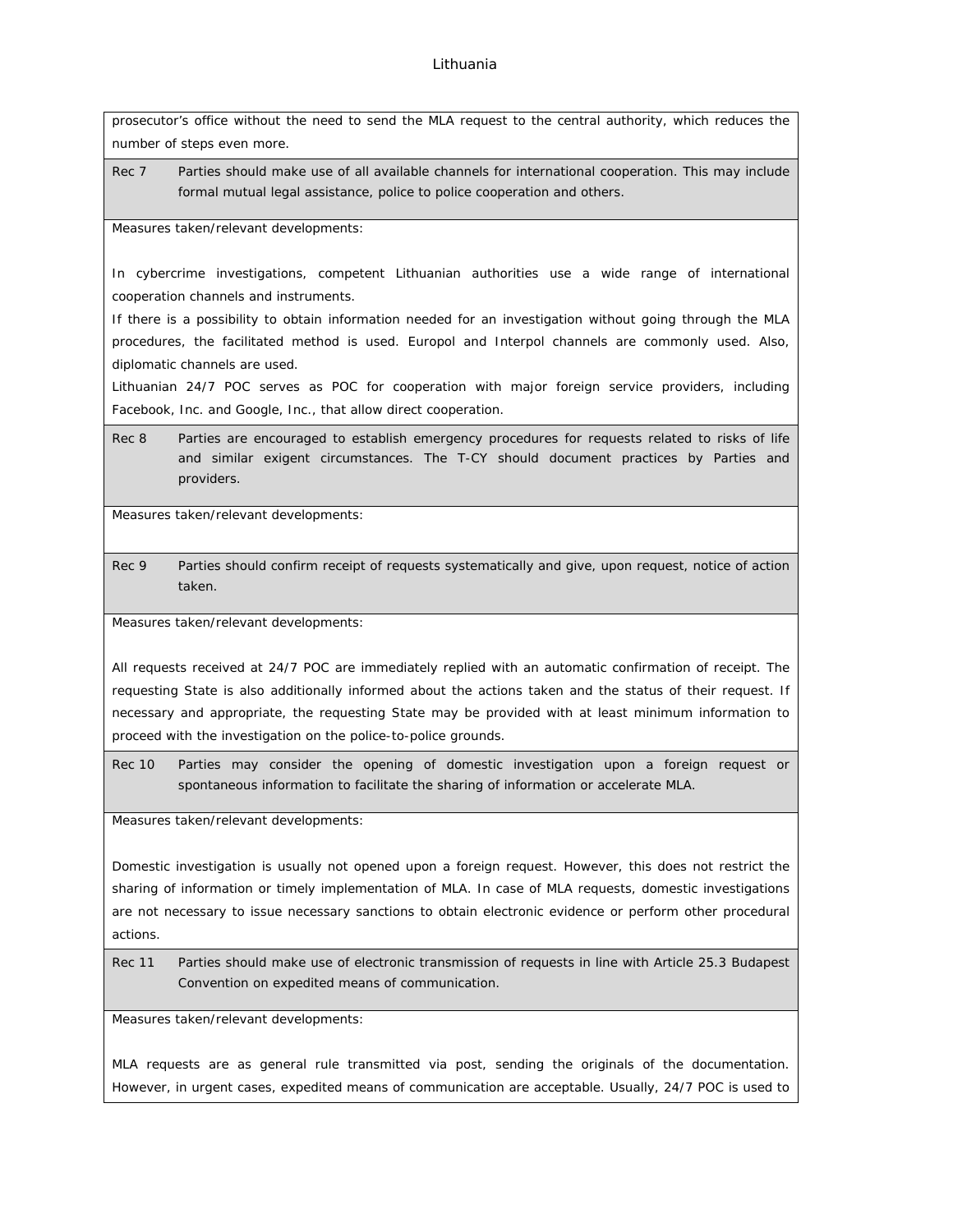prosecutor's office without the need to send the MLA request to the central authority, which reduces the number of steps even more.

Rec 7 Parties should make use of all available channels for international cooperation. This may include formal mutual legal assistance, police to police cooperation and others.

Measures taken/relevant developments:

In cybercrime investigations, competent Lithuanian authorities use a wide range of international cooperation channels and instruments.

If there is a possibility to obtain information needed for an investigation without going through the MLA procedures, the facilitated method is used. Europol and Interpol channels are commonly used. Also, diplomatic channels are used.

Lithuanian 24/7 POC serves as POC for cooperation with major foreign service providers, including Facebook, Inc. and Google, Inc., that allow direct cooperation.

Rec 8 Parties are encouraged to establish emergency procedures for requests related to risks of life and similar exigent circumstances. The T-CY should document practices by Parties and providers.

Measures taken/relevant developments:

Rec 9 Parties should confirm receipt of requests systematically and give, upon request, notice of action taken.

Measures taken/relevant developments:

All requests received at 24/7 POC are immediately replied with an automatic confirmation of receipt. The requesting State is also additionally informed about the actions taken and the status of their request. If necessary and appropriate, the requesting State may be provided with at least minimum information to proceed with the investigation on the police-to-police grounds.

Rec 10 Parties may consider the opening of domestic investigation upon a foreign request or spontaneous information to facilitate the sharing of information or accelerate MLA.

Measures taken/relevant developments:

Domestic investigation is usually not opened upon a foreign request. However, this does not restrict the sharing of information or timely implementation of MLA. In case of MLA requests, domestic investigations are not necessary to issue necessary sanctions to obtain electronic evidence or perform other procedural actions.

Rec 11 Parties should make use of electronic transmission of requests in line with Article 25.3 Budapest Convention on expedited means of communication.

Measures taken/relevant developments:

MLA requests are as general rule transmitted via post, sending the originals of the documentation. However, in urgent cases, expedited means of communication are acceptable. Usually, 24/7 POC is used to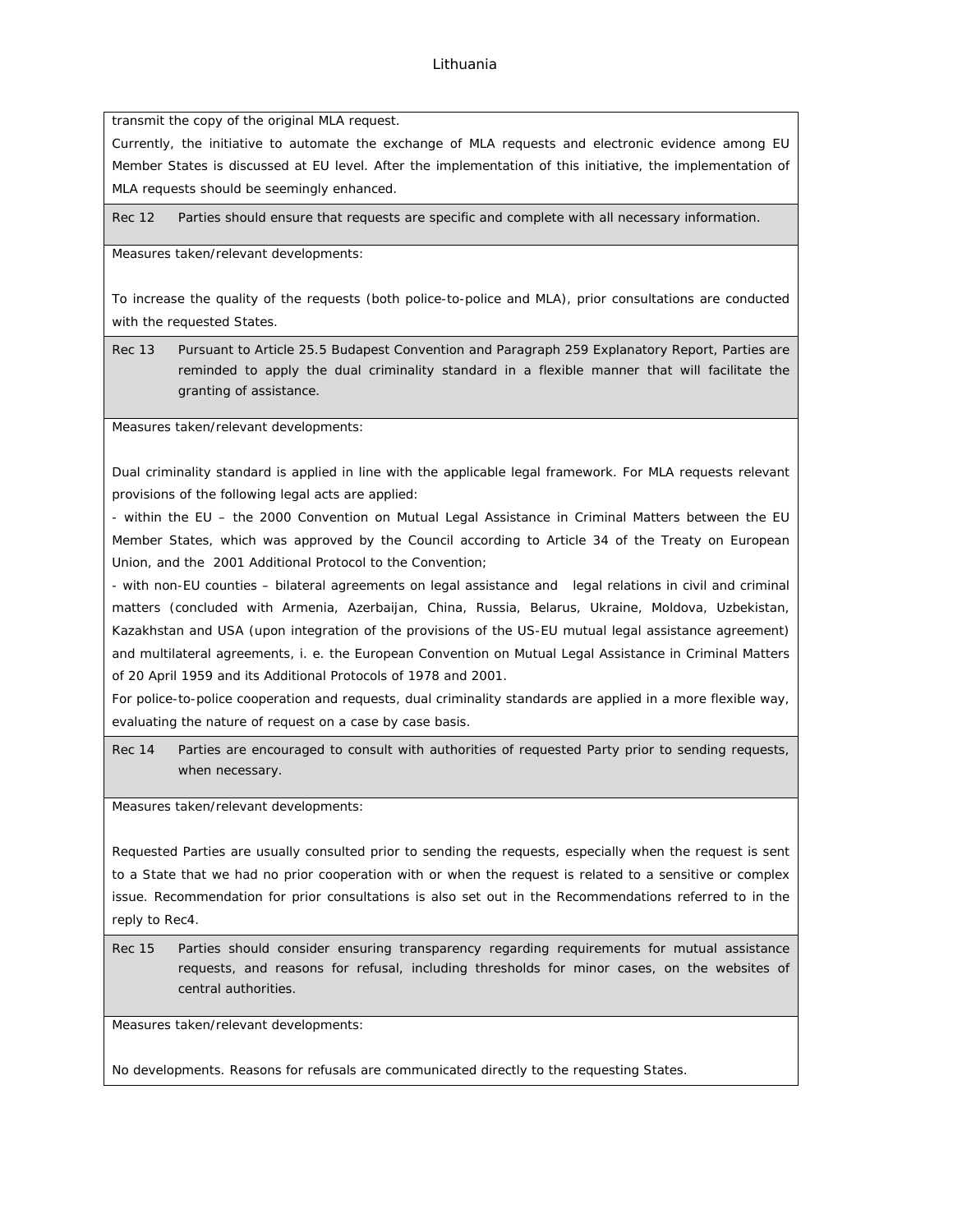transmit the copy of the original MLA request.

Currently, the initiative to automate the exchange of MLA requests and electronic evidence among EU Member States is discussed at EU level. After the implementation of this initiative, the implementation of MLA requests should be seemingly enhanced.

Rec 12 Parties should ensure that requests are specific and complete with all necessary information.

Measures taken/relevant developments:

To increase the quality of the requests (both police-to-police and MLA), prior consultations are conducted with the requested States.

Rec 13 Pursuant to Article 25.5 Budapest Convention and Paragraph 259 Explanatory Report, Parties are reminded to apply the dual criminality standard in a flexible manner that will facilitate the granting of assistance.

Measures taken/relevant developments:

Dual criminality standard is applied in line with the applicable legal framework. For MLA requests relevant provisions of the following legal acts are applied:

- within the EU – the 2000 Convention on Mutual Legal Assistance in Criminal Matters between the EU Member States, which was approved by the Council according to Article 34 of the Treaty on European Union, and the 2001 Additional Protocol to the Convention;

- with non-EU counties – bilateral agreements on legal assistance and legal relations in civil and criminal matters (concluded with Armenia, Azerbaijan, China, Russia, Belarus, Ukraine, Moldova, Uzbekistan, Kazakhstan and USA (upon integration of the provisions of the US-EU mutual legal assistance agreement) and multilateral agreements, i. e. the European Convention on Mutual Legal Assistance in Criminal Matters of 20 April 1959 and its Additional Protocols of 1978 and 2001.

For police-to-police cooperation and requests, dual criminality standards are applied in a more flexible way, evaluating the nature of request on a case by case basis.

Rec 14 Parties are encouraged to consult with authorities of requested Party prior to sending requests, when necessary.

Measures taken/relevant developments:

Requested Parties are usually consulted prior to sending the requests, especially when the request is sent to a State that we had no prior cooperation with or when the request is related to a sensitive or complex issue. Recommendation for prior consultations is also set out in the Recommendations referred to in the reply to Rec4.

Rec 15 Parties should consider ensuring transparency regarding requirements for mutual assistance requests, and reasons for refusal, including thresholds for minor cases, on the websites of central authorities.

Measures taken/relevant developments:

No developments. Reasons for refusals are communicated directly to the requesting States.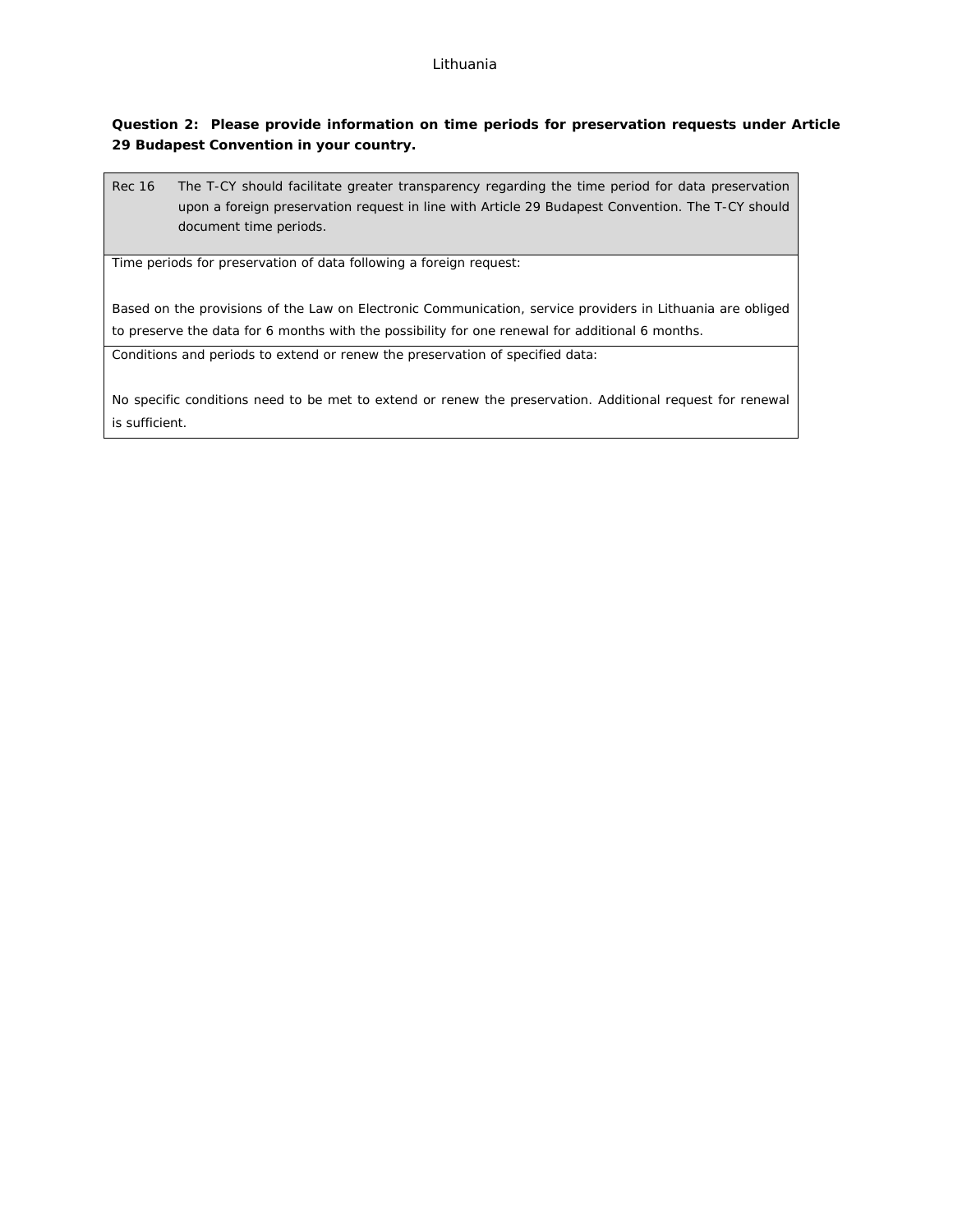**Question 2: Please provide information on time periods for preservation requests under Article 29 Budapest Convention in your country.**

Rec 16 The T-CY should facilitate greater transparency regarding the time period for data preservation upon a foreign preservation request in line with Article 29 Budapest Convention. The T-CY should document time periods.

Time periods for preservation of data following a foreign request:

Based on the provisions of the Law on Electronic Communication, service providers in Lithuania are obliged to preserve the data for 6 months with the possibility for one renewal for additional 6 months.

Conditions and periods to extend or renew the preservation of specified data:

No specific conditions need to be met to extend or renew the preservation. Additional request for renewal is sufficient.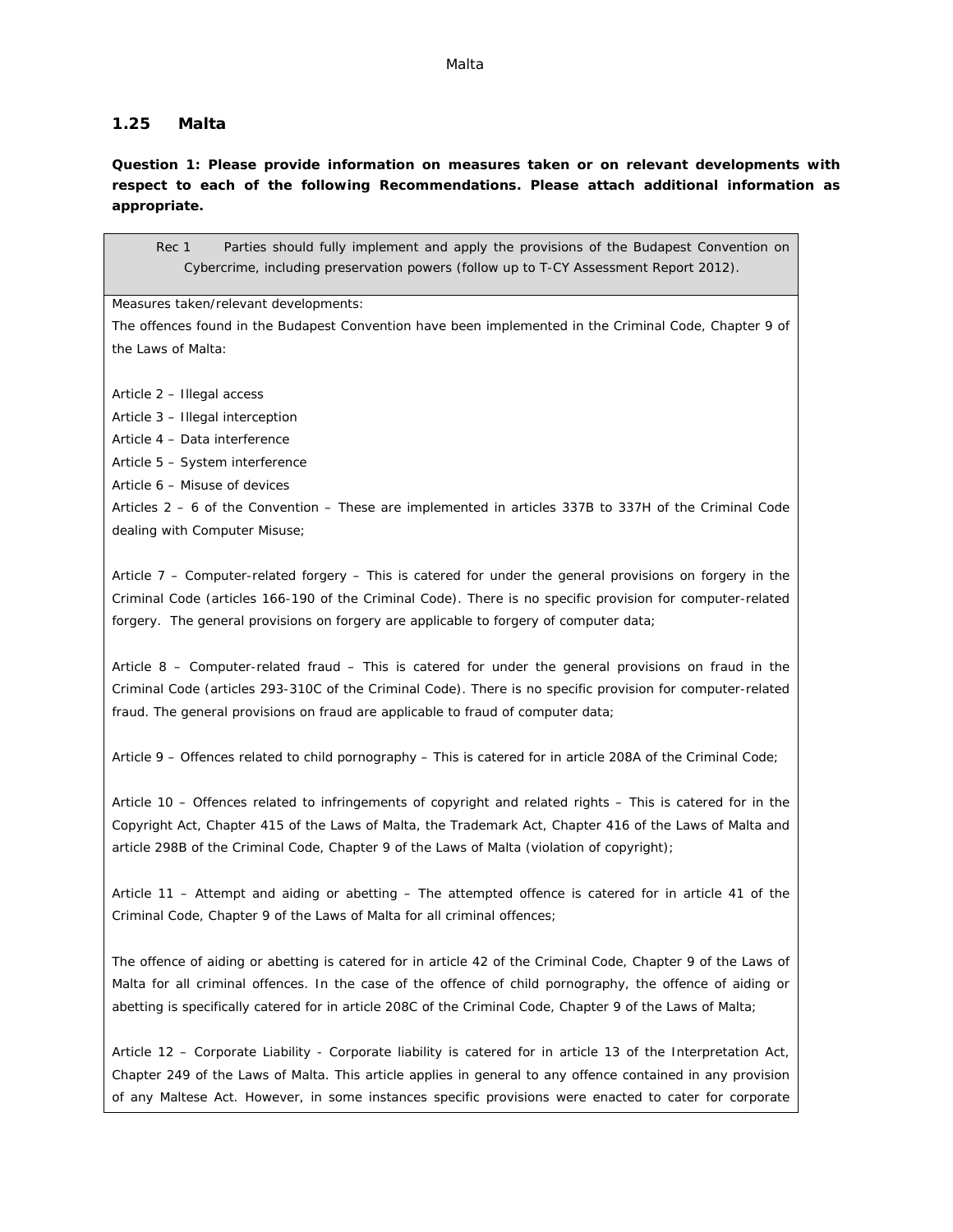## **1.25 Malta**

**Question 1: Please provide information on measures taken or on relevant developments with respect to each of the following Recommendations. Please attach additional information as appropriate.**

Rec 1 Parties should fully implement and apply the provisions of the Budapest Convention on Cybercrime, including preservation powers (follow up to T-CY Assessment Report 2012).

Measures taken/relevant developments:

The offences found in the Budapest Convention have been implemented in the Criminal Code, Chapter 9 of the Laws of Malta:

Article 2 – Illegal access

Article 3 – Illegal interception

Article 4 – Data interference

Article 5 – System interference

Article 6 – Misuse of devices

Articles 2 – 6 of the Convention – These are implemented in articles 337B to 337H of the Criminal Code dealing with Computer Misuse;

Article 7 – Computer-related forgery – This is catered for under the general provisions on forgery in the Criminal Code (articles 166-190 of the Criminal Code). There is no specific provision for computer-related forgery. The general provisions on forgery are applicable to forgery of computer data;

Article 8 – Computer-related fraud – This is catered for under the general provisions on fraud in the Criminal Code (articles 293-310C of the Criminal Code). There is no specific provision for computer-related fraud. The general provisions on fraud are applicable to fraud of computer data;

Article 9 – Offences related to child pornography – This is catered for in article 208A of the Criminal Code;

Article 10 – Offences related to infringements of copyright and related rights – This is catered for in the Copyright Act, Chapter 415 of the Laws of Malta, the Trademark Act, Chapter 416 of the Laws of Malta and article 298B of the Criminal Code, Chapter 9 of the Laws of Malta (violation of copyright);

Article 11 – Attempt and aiding or abetting – The attempted offence is catered for in article 41 of the Criminal Code, Chapter 9 of the Laws of Malta for all criminal offences;

The offence of aiding or abetting is catered for in article 42 of the Criminal Code, Chapter 9 of the Laws of Malta for all criminal offences. In the case of the offence of child pornography, the offence of aiding or abetting is specifically catered for in article 208C of the Criminal Code, Chapter 9 of the Laws of Malta;

Article 12 – Corporate Liability - Corporate liability is catered for in article 13 of the Interpretation Act, Chapter 249 of the Laws of Malta. This article applies in general to any offence contained in any provision of any Maltese Act. However, in some instances specific provisions were enacted to cater for corporate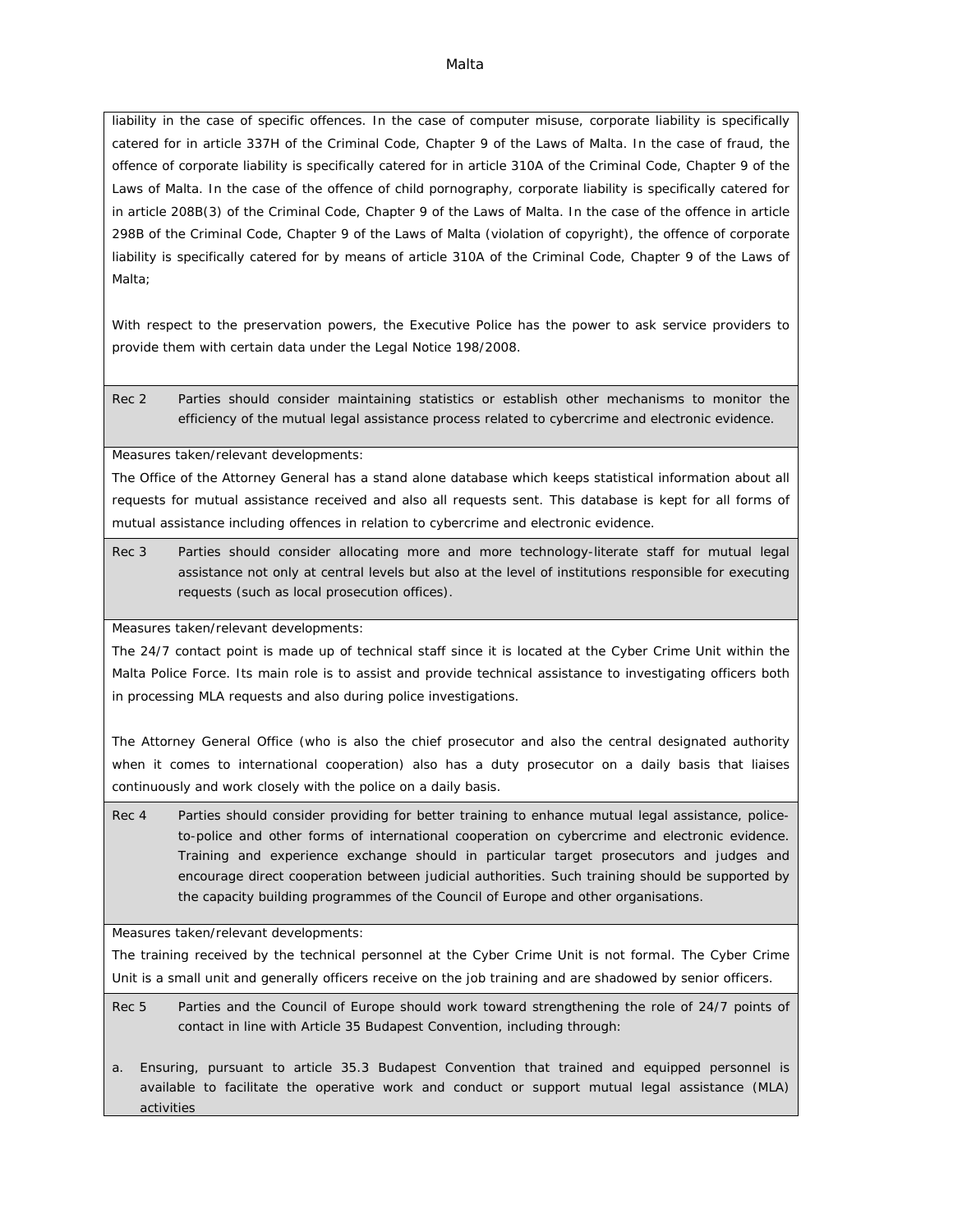#### Malta

liability in the case of specific offences. In the case of computer misuse, corporate liability is specifically catered for in article 337H of the Criminal Code, Chapter 9 of the Laws of Malta. In the case of fraud, the offence of corporate liability is specifically catered for in article 310A of the Criminal Code, Chapter 9 of the Laws of Malta. In the case of the offence of child pornography, corporate liability is specifically catered for in article 208B(3) of the Criminal Code, Chapter 9 of the Laws of Malta. In the case of the offence in article 298B of the Criminal Code, Chapter 9 of the Laws of Malta (violation of copyright), the offence of corporate liability is specifically catered for by means of article 310A of the Criminal Code, Chapter 9 of the Laws of Malta;

With respect to the preservation powers, the Executive Police has the power to ask service providers to provide them with certain data under the Legal Notice 198/2008.

Rec 2 Parties should consider maintaining statistics or establish other mechanisms to monitor the efficiency of the mutual legal assistance process related to cybercrime and electronic evidence.

Measures taken/relevant developments:

The Office of the Attorney General has a stand alone database which keeps statistical information about all requests for mutual assistance received and also all requests sent. This database is kept for all forms of mutual assistance including offences in relation to cybercrime and electronic evidence.

Rec 3 Parties should consider allocating more and more technology-literate staff for mutual legal assistance not only at central levels but also at the level of institutions responsible for executing requests (such as local prosecution offices).

Measures taken/relevant developments:

The 24/7 contact point is made up of technical staff since it is located at the Cyber Crime Unit within the Malta Police Force. Its main role is to assist and provide technical assistance to investigating officers both in processing MLA requests and also during police investigations.

The Attorney General Office (who is also the chief prosecutor and also the central designated authority when it comes to international cooperation) also has a duty prosecutor on a daily basis that liaises continuously and work closely with the police on a daily basis.

Rec 4 Parties should consider providing for better training to enhance mutual legal assistance, policeto-police and other forms of international cooperation on cybercrime and electronic evidence. Training and experience exchange should in particular target prosecutors and judges and encourage direct cooperation between judicial authorities. Such training should be supported by the capacity building programmes of the Council of Europe and other organisations.

Measures taken/relevant developments:

The training received by the technical personnel at the Cyber Crime Unit is not formal. The Cyber Crime Unit is a small unit and generally officers receive on the job training and are shadowed by senior officers.

Rec 5 Parties and the Council of Europe should work toward strengthening the role of 24/7 points of contact in line with Article 35 Budapest Convention, including through:

a. Ensuring, pursuant to article 35.3 Budapest Convention that trained and equipped personnel is available to facilitate the operative work and conduct or support mutual legal assistance (MLA) activities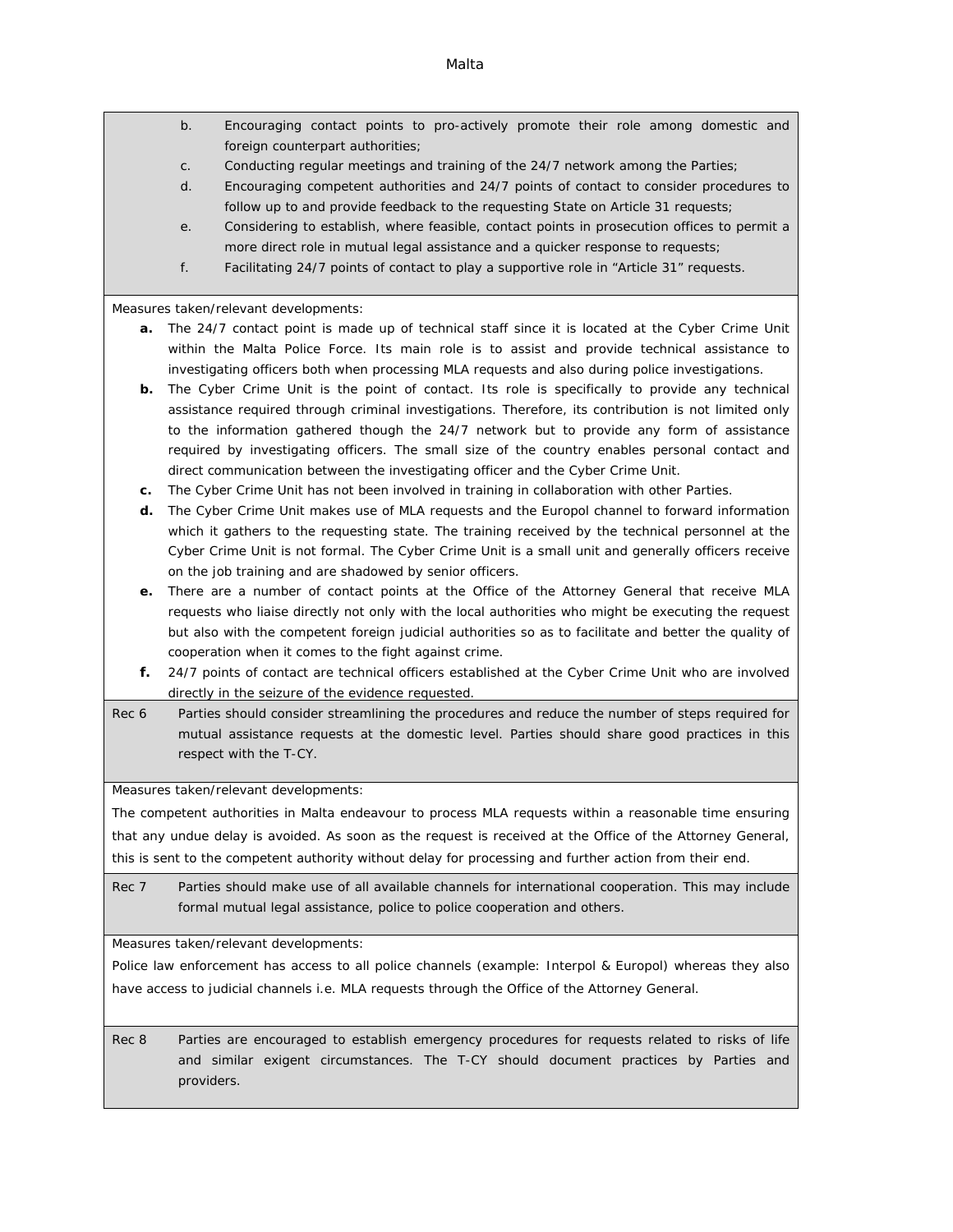b. Encouraging contact points to pro-actively promote their role among domestic and foreign counterpart authorities;

- c. Conducting regular meetings and training of the 24/7 network among the Parties;
- d. Encouraging competent authorities and 24/7 points of contact to consider procedures to follow up to and provide feedback to the requesting State on Article 31 requests;
- e. Considering to establish, where feasible, contact points in prosecution offices to permit a more direct role in mutual legal assistance and a quicker response to requests;
- f. Facilitating 24/7 points of contact to play a supportive role in "Article 31" requests.

Measures taken/relevant developments:

- **a.** The 24/7 contact point is made up of technical staff since it is located at the Cyber Crime Unit within the Malta Police Force. Its main role is to assist and provide technical assistance to investigating officers both when processing MLA requests and also during police investigations.
- **b.** The Cyber Crime Unit is the point of contact. Its role is specifically to provide any technical assistance required through criminal investigations. Therefore, its contribution is not limited only to the information gathered though the 24/7 network but to provide any form of assistance required by investigating officers. The small size of the country enables personal contact and direct communication between the investigating officer and the Cyber Crime Unit.
- **c.** The Cyber Crime Unit has not been involved in training in collaboration with other Parties.
- **d.** The Cyber Crime Unit makes use of MLA requests and the Europol channel to forward information which it gathers to the requesting state. The training received by the technical personnel at the Cyber Crime Unit is not formal. The Cyber Crime Unit is a small unit and generally officers receive on the job training and are shadowed by senior officers.
- **e.** There are a number of contact points at the Office of the Attorney General that receive MLA requests who liaise directly not only with the local authorities who might be executing the request but also with the competent foreign judicial authorities so as to facilitate and better the quality of cooperation when it comes to the fight against crime.
- **f.** 24/7 points of contact are technical officers established at the Cyber Crime Unit who are involved directly in the seizure of the evidence requested.
- Rec 6 Parties should consider streamlining the procedures and reduce the number of steps required for mutual assistance requests at the domestic level. Parties should share good practices in this respect with the T-CY.

Measures taken/relevant developments:

The competent authorities in Malta endeavour to process MLA requests within a reasonable time ensuring that any undue delay is avoided. As soon as the request is received at the Office of the Attorney General, this is sent to the competent authority without delay for processing and further action from their end.

Rec 7 Parties should make use of all available channels for international cooperation. This may include formal mutual legal assistance, police to police cooperation and others.

Measures taken/relevant developments:

Police law enforcement has access to all police channels (example: Interpol & Europol) whereas they also have access to judicial channels i.e. MLA requests through the Office of the Attorney General.

Rec 8 Parties are encouraged to establish emergency procedures for requests related to risks of life and similar exigent circumstances. The T-CY should document practices by Parties and providers.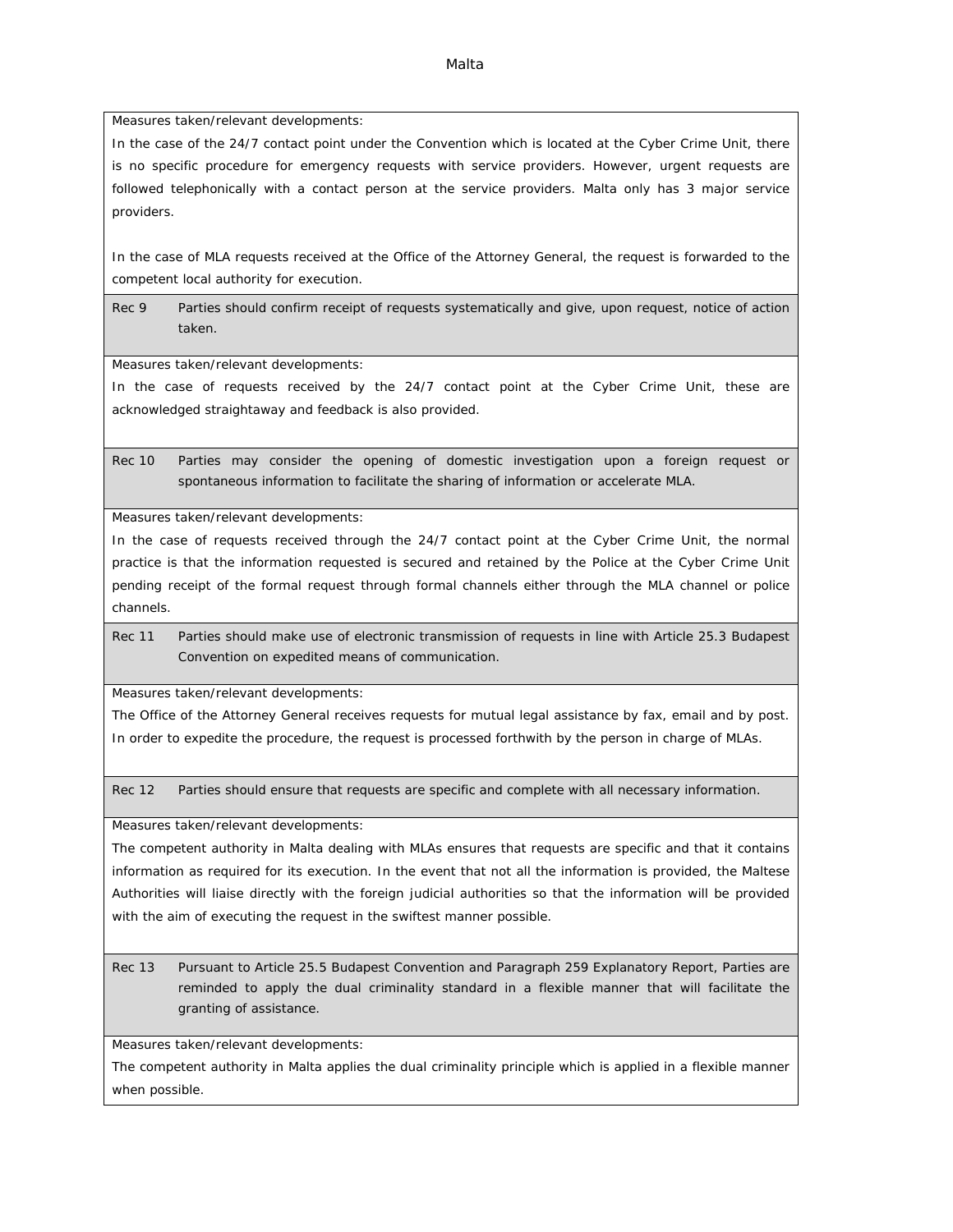Malta

Measures taken/relevant developments:

In the case of the 24/7 contact point under the Convention which is located at the Cyber Crime Unit, there is no specific procedure for emergency requests with service providers. However, urgent requests are followed telephonically with a contact person at the service providers. Malta only has 3 major service providers.

In the case of MLA requests received at the Office of the Attorney General, the request is forwarded to the competent local authority for execution.

Rec 9 Parties should confirm receipt of requests systematically and give, upon request, notice of action taken.

Measures taken/relevant developments:

In the case of requests received by the 24/7 contact point at the Cyber Crime Unit, these are acknowledged straightaway and feedback is also provided.

Rec 10 Parties may consider the opening of domestic investigation upon a foreign request or spontaneous information to facilitate the sharing of information or accelerate MLA.

Measures taken/relevant developments:

In the case of requests received through the 24/7 contact point at the Cyber Crime Unit, the normal practice is that the information requested is secured and retained by the Police at the Cyber Crime Unit pending receipt of the formal request through formal channels either through the MLA channel or police channels.

Rec 11 Parties should make use of electronic transmission of requests in line with Article 25.3 Budapest Convention on expedited means of communication.

Measures taken/relevant developments:

The Office of the Attorney General receives requests for mutual legal assistance by fax, email and by post. In order to expedite the procedure, the request is processed forthwith by the person in charge of MLAs.

Rec 12 Parties should ensure that requests are specific and complete with all necessary information.

Measures taken/relevant developments:

The competent authority in Malta dealing with MLAs ensures that requests are specific and that it contains information as required for its execution. In the event that not all the information is provided, the Maltese Authorities will liaise directly with the foreign judicial authorities so that the information will be provided with the aim of executing the request in the swiftest manner possible.

Rec 13 Pursuant to Article 25.5 Budapest Convention and Paragraph 259 Explanatory Report, Parties are reminded to apply the dual criminality standard in a flexible manner that will facilitate the granting of assistance.

Measures taken/relevant developments:

The competent authority in Malta applies the dual criminality principle which is applied in a flexible manner when possible.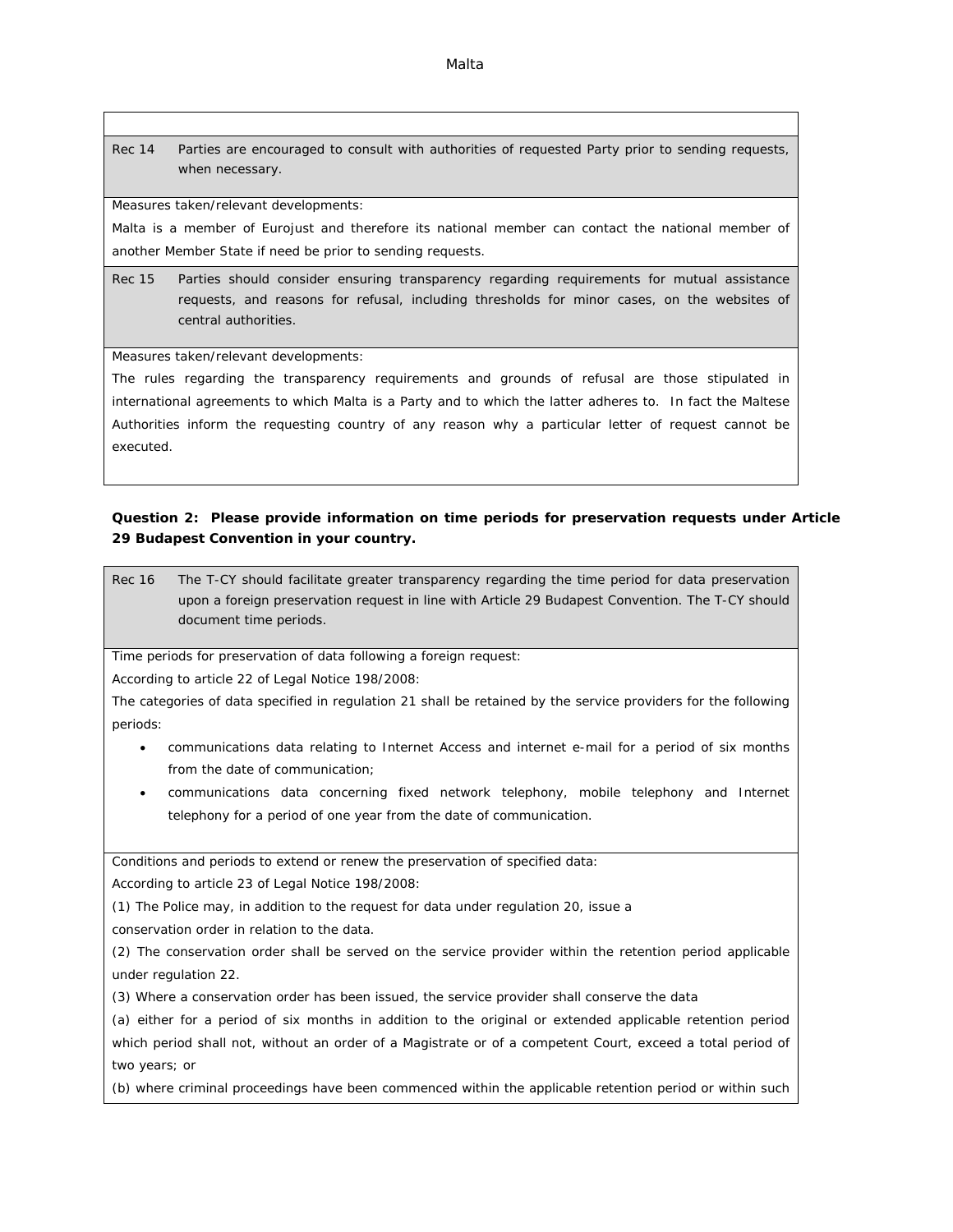Rec 14 Parties are encouraged to consult with authorities of requested Party prior to sending requests, when necessary.

Measures taken/relevant developments:

Malta is a member of Eurojust and therefore its national member can contact the national member of another Member State if need be prior to sending requests.

Rec 15 Parties should consider ensuring transparency regarding requirements for mutual assistance requests, and reasons for refusal, including thresholds for minor cases, on the websites of central authorities.

Measures taken/relevant developments:

The rules regarding the transparency requirements and grounds of refusal are those stipulated in international agreements to which Malta is a Party and to which the latter adheres to. In fact the Maltese Authorities inform the requesting country of any reason why a particular letter of request cannot be executed.

**Question 2: Please provide information on time periods for preservation requests under Article 29 Budapest Convention in your country.**

Rec 16 The T-CY should facilitate greater transparency regarding the time period for data preservation upon a foreign preservation request in line with Article 29 Budapest Convention. The T-CY should document time periods.

Time periods for preservation of data following a foreign request:

According to article 22 of Legal Notice 198/2008:

The categories of data specified in regulation 21 shall be retained by the service providers for the following periods:

- communications data relating to Internet Access and internet e-mail for a period of six months from the date of communication;
- communications data concerning fixed network telephony, mobile telephony and Internet telephony for a period of one year from the date of communication.

Conditions and periods to extend or renew the preservation of specified data:

According to article 23 of Legal Notice 198/2008:

(1) The Police may, in addition to the request for data under regulation 20, issue a

conservation order in relation to the data.

(2) The conservation order shall be served on the service provider within the retention period applicable under regulation 22.

(3) Where a conservation order has been issued, the service provider shall conserve the data

(a) either for a period of six months in addition to the original or extended applicable retention period which period shall not, without an order of a Magistrate or of a competent Court, exceed a total period of two years; or

(b) where criminal proceedings have been commenced within the applicable retention period or within such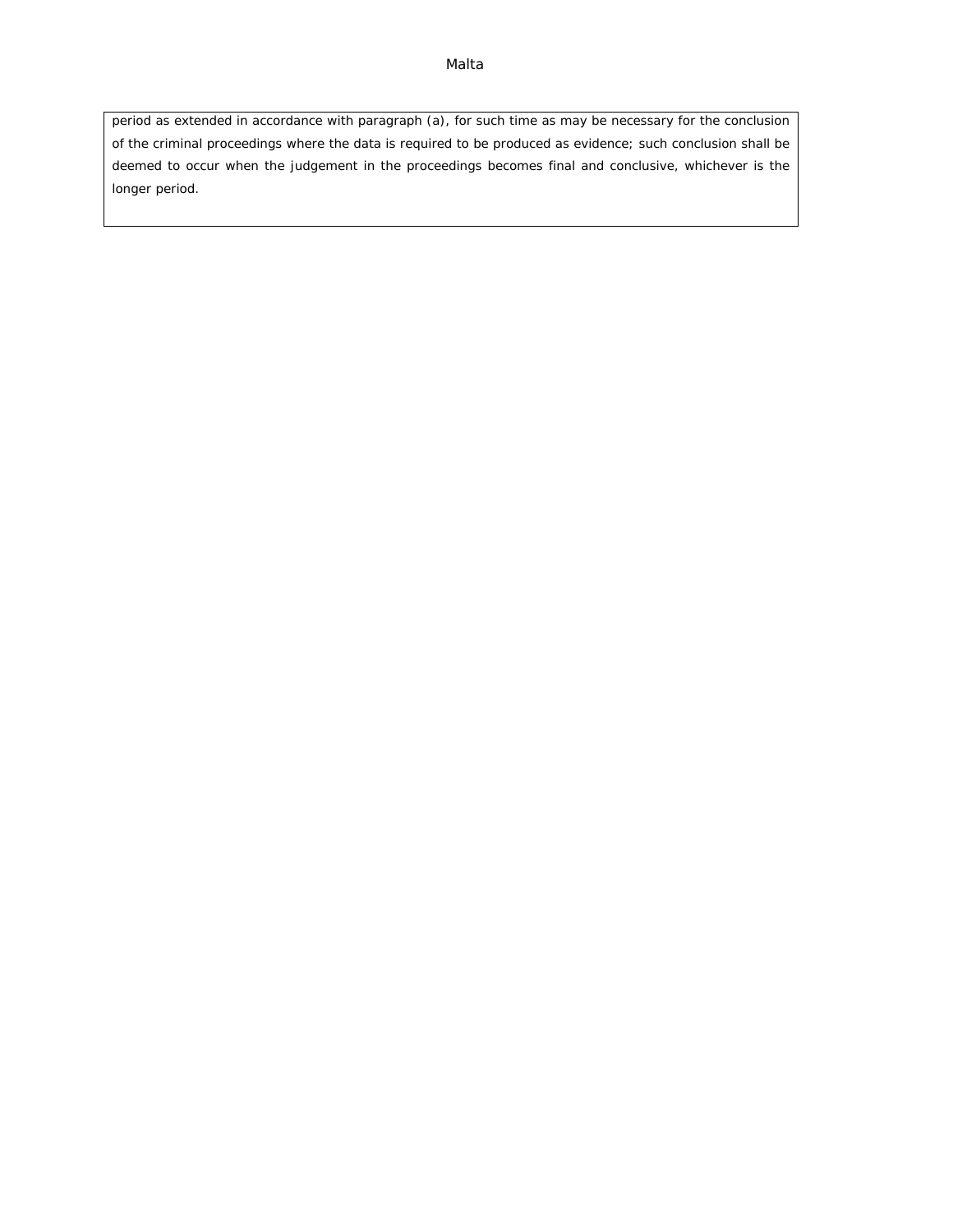period as extended in accordance with paragraph (a), for such time as may be necessary for the conclusion of the criminal proceedings where the data is required to be produced as evidence; such conclusion shall be deemed to occur when the judgement in the proceedings becomes final and conclusive, whichever is the longer period.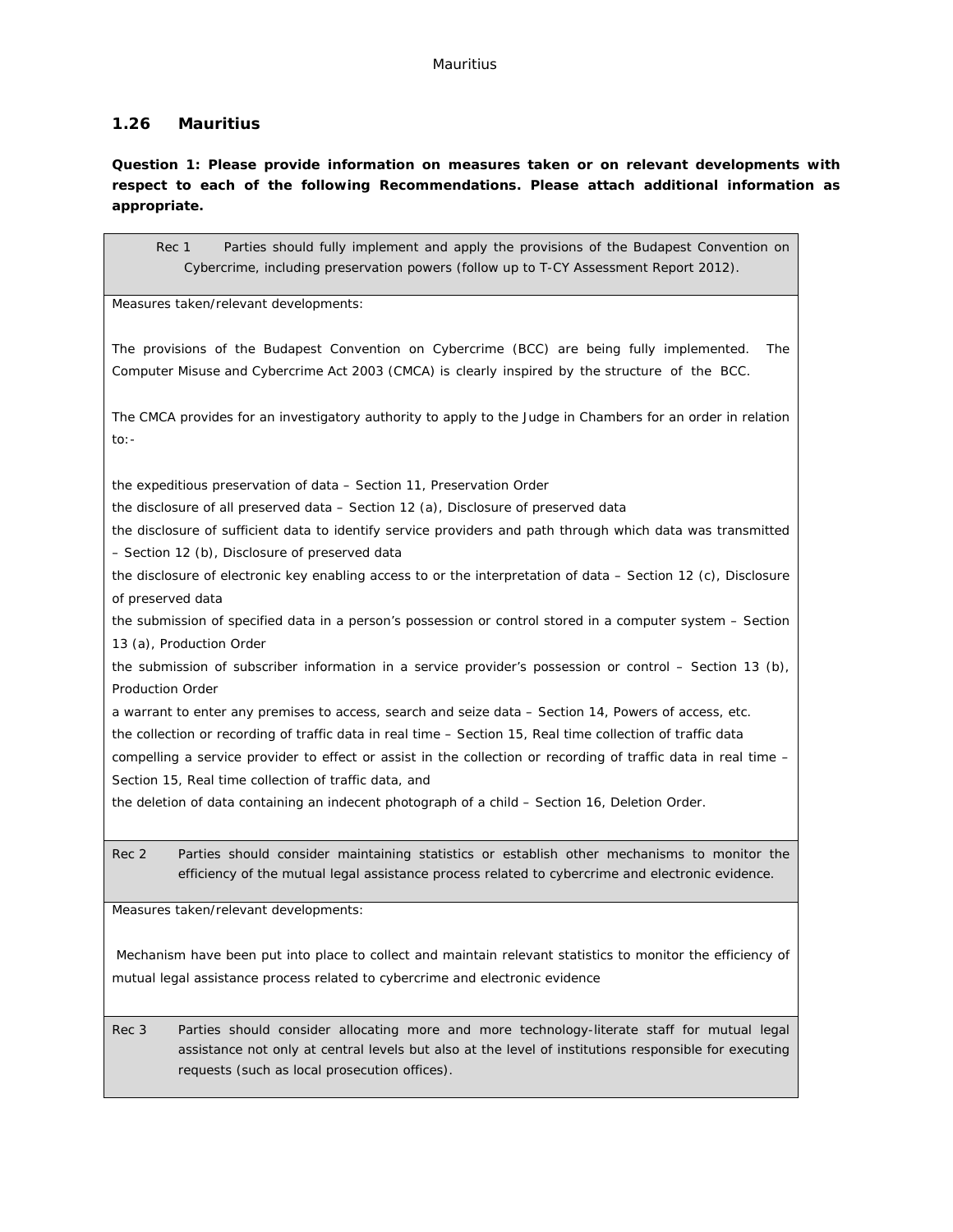## **1.26 Mauritius**

**Question 1: Please provide information on measures taken or on relevant developments with respect to each of the following Recommendations. Please attach additional information as appropriate.**

Rec 1 Parties should fully implement and apply the provisions of the Budapest Convention on Cybercrime, including preservation powers (follow up to T-CY Assessment Report 2012).

Measures taken/relevant developments:

The provisions of the Budapest Convention on Cybercrime (BCC) are being fully implemented. The Computer Misuse and Cybercrime Act 2003 (CMCA) is clearly inspired by the structure of the BCC.

The CMCA provides for an investigatory authority to apply to the Judge in Chambers for an order in relation to:-

the expeditious preservation of data – Section 11, Preservation Order

the disclosure of all preserved data – Section 12 (a), Disclosure of preserved data

the disclosure of sufficient data to identify service providers and path through which data was transmitted – Section 12 (b), Disclosure of preserved data

the disclosure of electronic key enabling access to or the interpretation of data – Section 12 (c), Disclosure of preserved data

the submission of specified data in a person's possession or control stored in a computer system – Section 13 (a), Production Order

the submission of subscriber information in a service provider's possession or control – Section 13 (b), Production Order

a warrant to enter any premises to access, search and seize data – Section 14, Powers of access, etc.

the collection or recording of traffic data in real time – Section 15, Real time collection of traffic data

compelling a service provider to effect or assist in the collection or recording of traffic data in real time – Section 15, Real time collection of traffic data, and

the deletion of data containing an indecent photograph of a child – Section 16, Deletion Order.

Rec 2 Parties should consider maintaining statistics or establish other mechanisms to monitor the efficiency of the mutual legal assistance process related to cybercrime and electronic evidence.

Measures taken/relevant developments:

Mechanism have been put into place to collect and maintain relevant statistics to monitor the efficiency of mutual legal assistance process related to cybercrime and electronic evidence

Rec 3 Parties should consider allocating more and more technology-literate staff for mutual legal assistance not only at central levels but also at the level of institutions responsible for executing requests (such as local prosecution offices).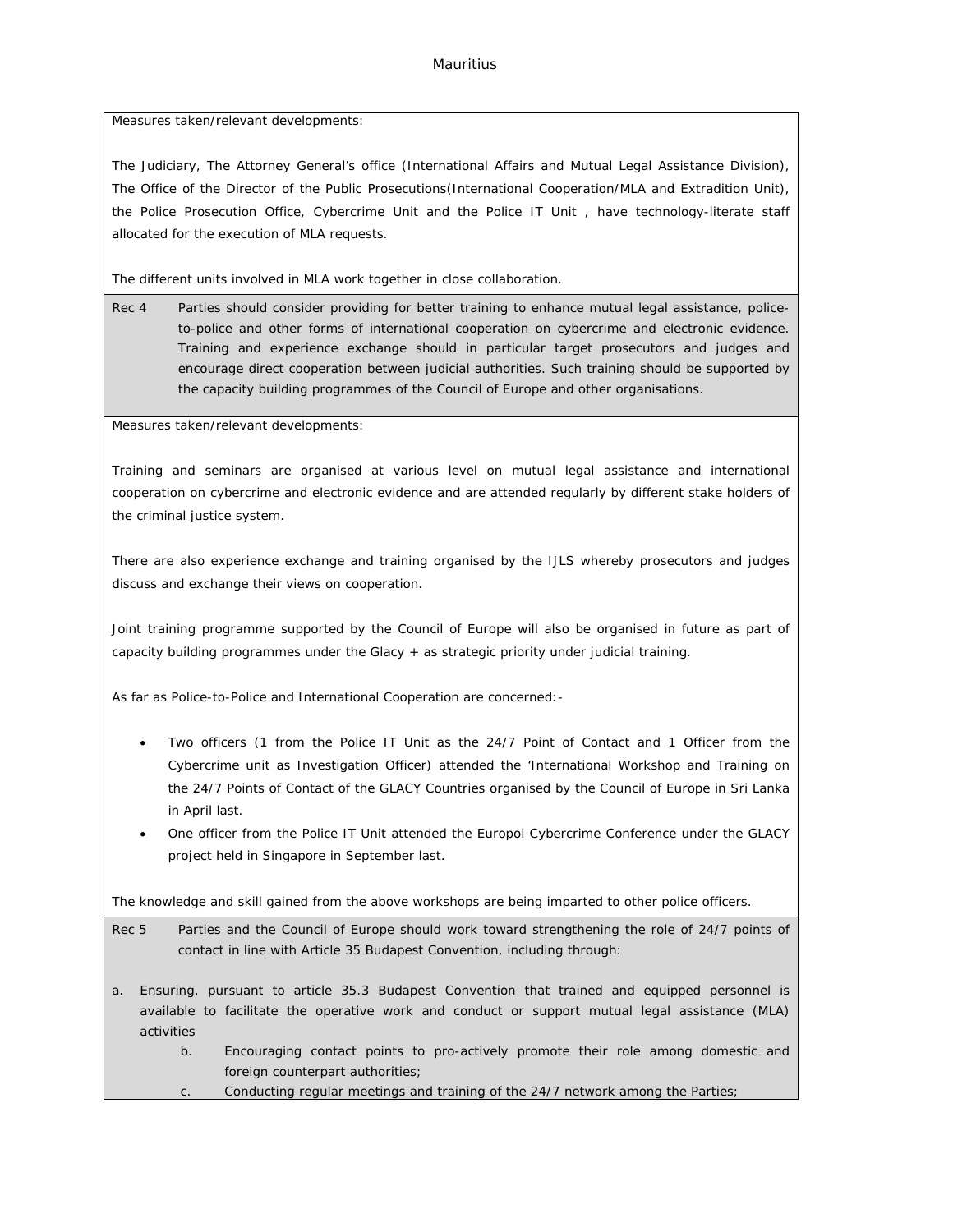Measures taken/relevant developments:

The Judiciary, The Attorney General's office (International Affairs and Mutual Legal Assistance Division), The Office of the Director of the Public Prosecutions(International Cooperation/MLA and Extradition Unit), the Police Prosecution Office, Cybercrime Unit and the Police IT Unit , have technology-literate staff allocated for the execution of MLA requests.

The different units involved in MLA work together in close collaboration.

Rec 4 Parties should consider providing for better training to enhance mutual legal assistance, policeto-police and other forms of international cooperation on cybercrime and electronic evidence. Training and experience exchange should in particular target prosecutors and judges and encourage direct cooperation between judicial authorities. Such training should be supported by the capacity building programmes of the Council of Europe and other organisations.

Measures taken/relevant developments:

Training and seminars are organised at various level on mutual legal assistance and international cooperation on cybercrime and electronic evidence and are attended regularly by different stake holders of the criminal justice system.

There are also experience exchange and training organised by the IJLS whereby prosecutors and judges discuss and exchange their views on cooperation.

Joint training programme supported by the Council of Europe will also be organised in future as part of capacity building programmes under the Glacy + as strategic priority under judicial training.

As far as Police-to-Police and International Cooperation are concerned:-

- Two officers (1 from the Police IT Unit as the 24/7 Point of Contact and 1 Officer from the Cybercrime unit as Investigation Officer) attended the 'International Workshop and Training on the 24/7 Points of Contact of the GLACY Countries organised by the Council of Europe in Sri Lanka in April last.
- One officer from the Police IT Unit attended the Europol Cybercrime Conference under the GLACY project held in Singapore in September last.

The knowledge and skill gained from the above workshops are being imparted to other police officers.

Rec 5 Parties and the Council of Europe should work toward strengthening the role of 24/7 points of contact in line with Article 35 Budapest Convention, including through:

- a. Ensuring, pursuant to article 35.3 Budapest Convention that trained and equipped personnel is available to facilitate the operative work and conduct or support mutual legal assistance (MLA) activities
	- b. Encouraging contact points to pro-actively promote their role among domestic and foreign counterpart authorities;
	- Conducting regular meetings and training of the 24/7 network among the Parties;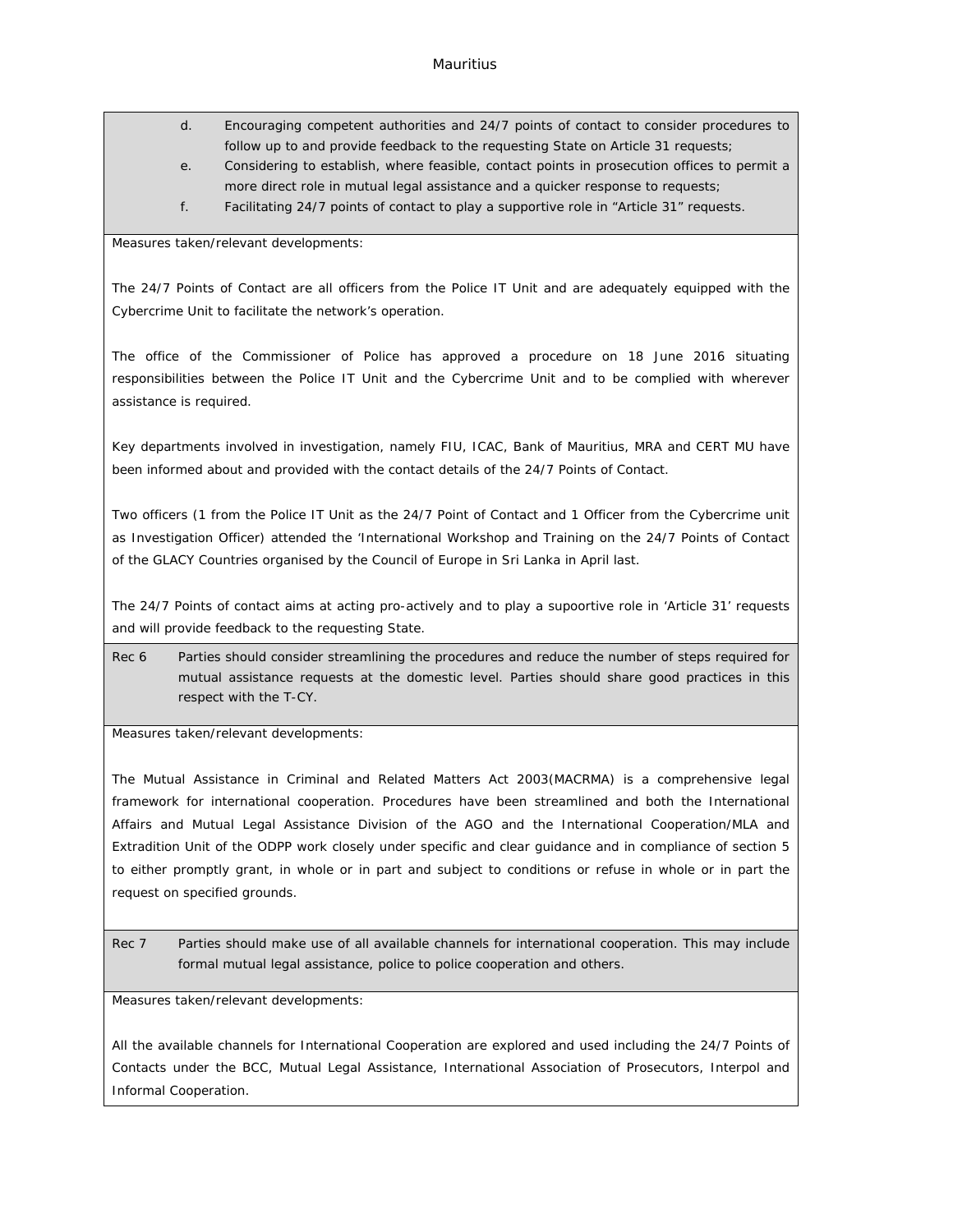- d. Encouraging competent authorities and 24/7 points of contact to consider procedures to follow up to and provide feedback to the requesting State on Article 31 requests;
- e. Considering to establish, where feasible, contact points in prosecution offices to permit a more direct role in mutual legal assistance and a quicker response to requests;
- f. Facilitating 24/7 points of contact to play a supportive role in "Article 31" requests.

#### Measures taken/relevant developments:

The 24/7 Points of Contact are all officers from the Police IT Unit and are adequately equipped with the Cybercrime Unit to facilitate the network's operation.

The office of the Commissioner of Police has approved a procedure on 18 June 2016 situating responsibilities between the Police IT Unit and the Cybercrime Unit and to be complied with wherever assistance is required.

Key departments involved in investigation, namely FIU, ICAC, Bank of Mauritius, MRA and CERT MU have been informed about and provided with the contact details of the 24/7 Points of Contact.

Two officers (1 from the Police IT Unit as the 24/7 Point of Contact and 1 Officer from the Cybercrime unit as Investigation Officer) attended the 'International Workshop and Training on the 24/7 Points of Contact of the GLACY Countries organised by the Council of Europe in Sri Lanka in April last.

The 24/7 Points of contact aims at acting pro-actively and to play a supoortive role in 'Article 31' requests and will provide feedback to the requesting State.

Rec 6 Parties should consider streamlining the procedures and reduce the number of steps required for mutual assistance requests at the domestic level. Parties should share good practices in this respect with the T-CY.

Measures taken/relevant developments:

The Mutual Assistance in Criminal and Related Matters Act 2003(MACRMA) is a comprehensive legal framework for international cooperation. Procedures have been streamlined and both the International Affairs and Mutual Legal Assistance Division of the AGO and the International Cooperation/MLA and Extradition Unit of the ODPP work closely under specific and clear guidance and in compliance of section 5 to either promptly grant, in whole or in part and subject to conditions or refuse in whole or in part the request on specified grounds.

Rec 7 Parties should make use of all available channels for international cooperation. This may include formal mutual legal assistance, police to police cooperation and others.

Measures taken/relevant developments:

All the available channels for International Cooperation are explored and used including the 24/7 Points of Contacts under the BCC, Mutual Legal Assistance, International Association of Prosecutors, Interpol and Informal Cooperation.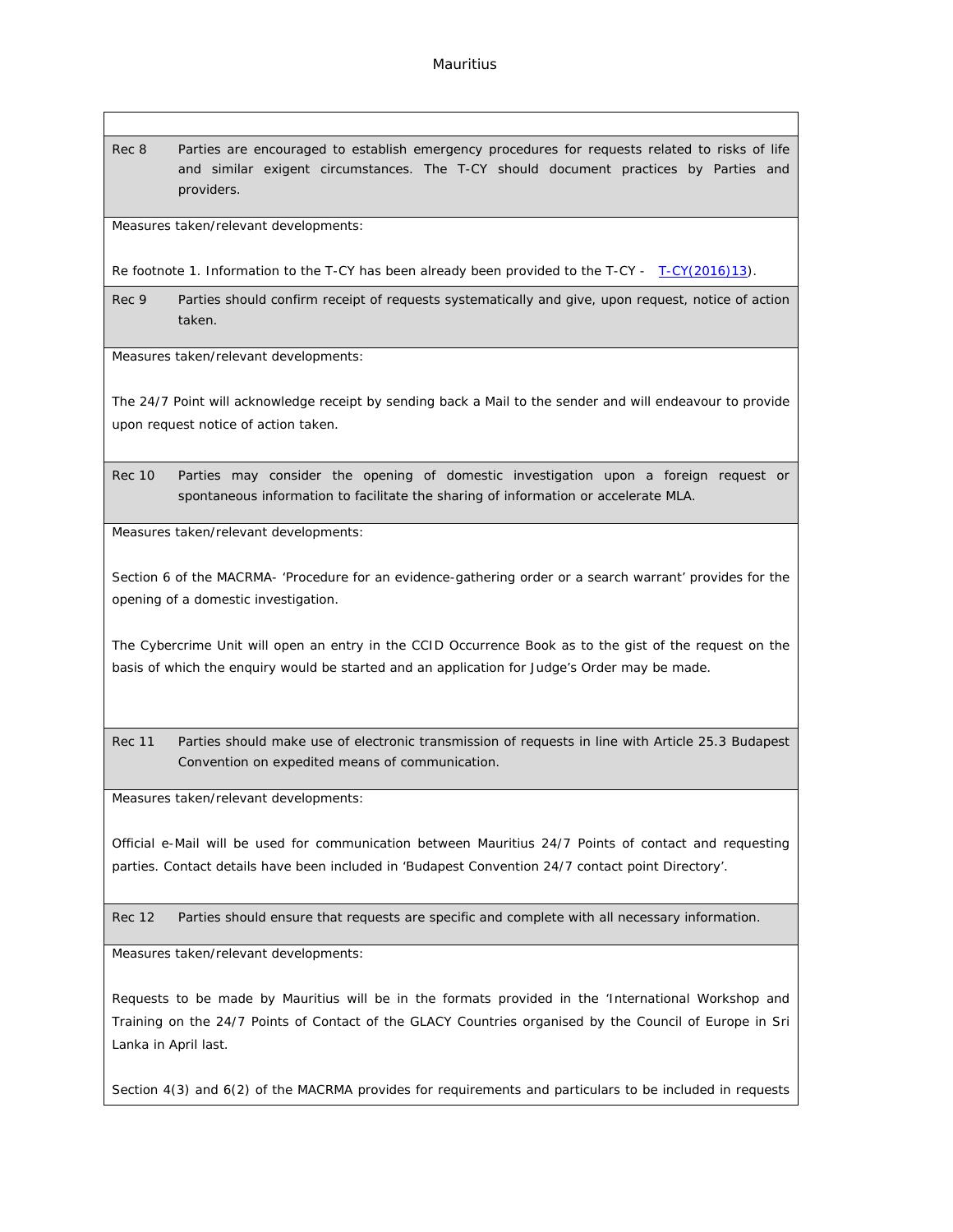Rec 8 Parties are encouraged to establish emergency procedures for requests related to risks of life and similar exigent circumstances. The T-CY should document practices by Parties and providers.

Measures taken/relevant developments:

Re footnote 1. Information to the T-CY has been already been provided to the T-CY - [T-CY\(2016\)13](https://rm.coe.int/CoERMPublicCommonSearchServices/DisplayDCTMContent?documentId=0900001680651a6f)).

Rec 9 Parties should confirm receipt of requests systematically and give, upon request, notice of action taken.

Measures taken/relevant developments:

The 24/7 Point will acknowledge receipt by sending back a Mail to the sender and will endeavour to provide upon request notice of action taken.

Rec 10 Parties may consider the opening of domestic investigation upon a foreign request or spontaneous information to facilitate the sharing of information or accelerate MLA.

Measures taken/relevant developments:

Section 6 of the MACRMA- 'Procedure for an evidence-gathering order or a search warrant' provides for the opening of a domestic investigation.

The Cybercrime Unit will open an entry in the CCID Occurrence Book as to the gist of the request on the basis of which the enquiry would be started and an application for Judge's Order may be made.

Rec 11 Parties should make use of electronic transmission of requests in line with Article 25.3 Budapest Convention on expedited means of communication.

Measures taken/relevant developments:

Official e-Mail will be used for communication between Mauritius 24/7 Points of contact and requesting parties. Contact details have been included in 'Budapest Convention 24/7 contact point Directory'.

Rec 12 Parties should ensure that requests are specific and complete with all necessary information.

Measures taken/relevant developments:

Requests to be made by Mauritius will be in the formats provided in the 'International Workshop and Training on the 24/7 Points of Contact of the GLACY Countries organised by the Council of Europe in Sri Lanka in April last.

Section 4(3) and 6(2) of the MACRMA provides for requirements and particulars to be included in requests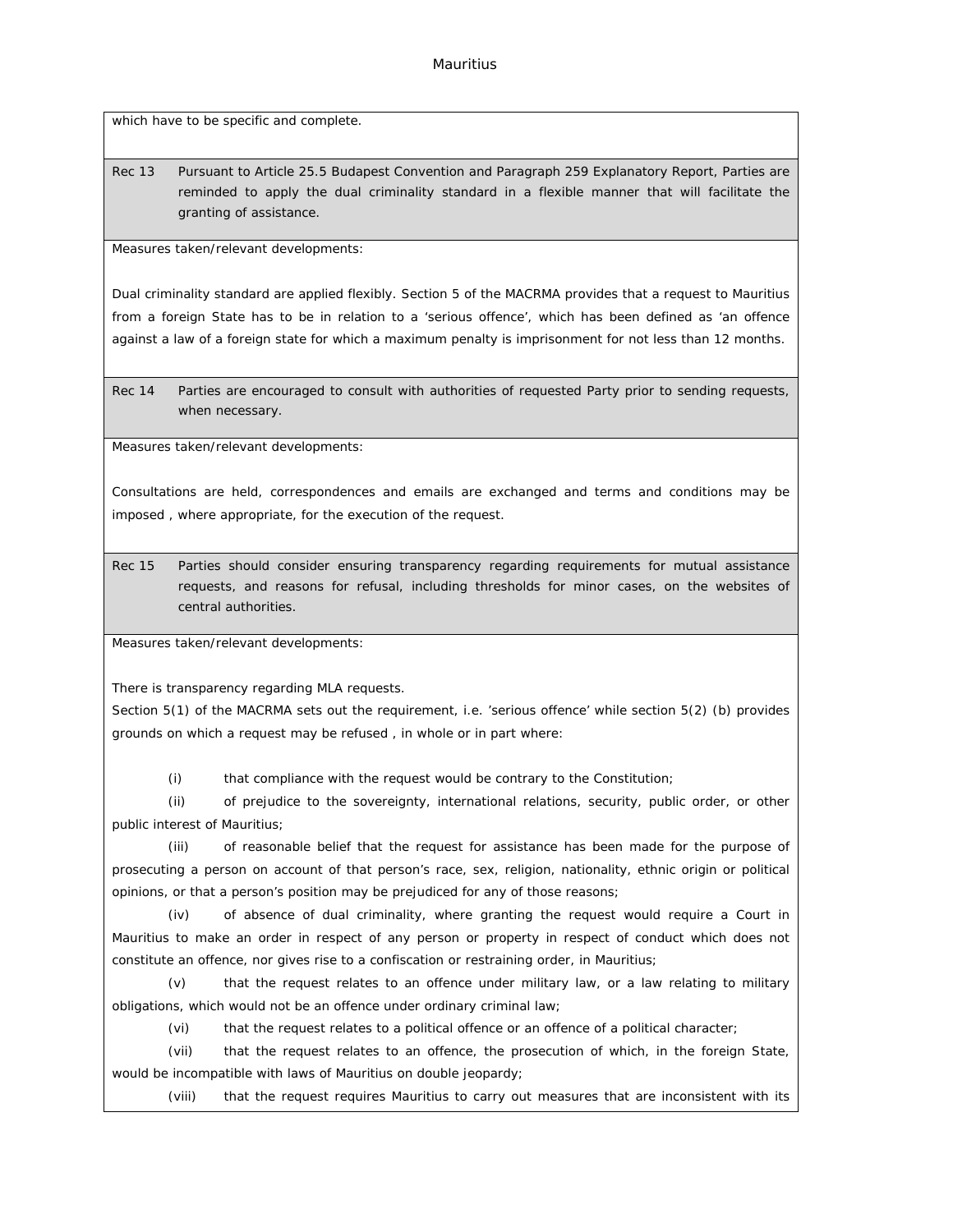which have to be specific and complete.

Rec 13 Pursuant to Article 25.5 Budapest Convention and Paragraph 259 Explanatory Report, Parties are reminded to apply the dual criminality standard in a flexible manner that will facilitate the granting of assistance.

Measures taken/relevant developments:

Dual criminality standard are applied flexibly. Section 5 of the MACRMA provides that a request to Mauritius from a foreign State has to be in relation to a 'serious offence', which has been defined as 'an offence against a law of a foreign state for which a maximum penalty is imprisonment for not less than 12 months.

Rec 14 Parties are encouraged to consult with authorities of requested Party prior to sending requests, when necessary.

Measures taken/relevant developments:

Consultations are held, correspondences and emails are exchanged and terms and conditions may be imposed , where appropriate, for the execution of the request.

Rec 15 Parties should consider ensuring transparency regarding requirements for mutual assistance requests, and reasons for refusal, including thresholds for minor cases, on the websites of central authorities.

Measures taken/relevant developments:

There is transparency regarding MLA requests.

Section 5(1) of the MACRMA sets out the requirement, i.e. 'serious offence' while section 5(2) (b) provides grounds on which a request may be refused , in whole or in part where:

(i) that compliance with the request would be contrary to the Constitution;

(ii) of prejudice to the sovereignty, international relations, security, public order, or other public interest of Mauritius;

(iii) of reasonable belief that the request for assistance has been made for the purpose of prosecuting a person on account of that person's race, sex, religion, nationality, ethnic origin or political opinions, or that a person's position may be prejudiced for any of those reasons;

(iv) of absence of dual criminality, where granting the request would require a Court in Mauritius to make an order in respect of any person or property in respect of conduct which does not constitute an offence, nor gives rise to a confiscation or restraining order, in Mauritius;

(v) that the request relates to an offence under military law, or a law relating to military obligations, which would not be an offence under ordinary criminal law;

(vi) that the request relates to a political offence or an offence of a political character;

(vii) that the request relates to an offence, the prosecution of which, in the foreign State, would be incompatible with laws of Mauritius on double jeopardy;

(viii) that the request requires Mauritius to carry out measures that are inconsistent with its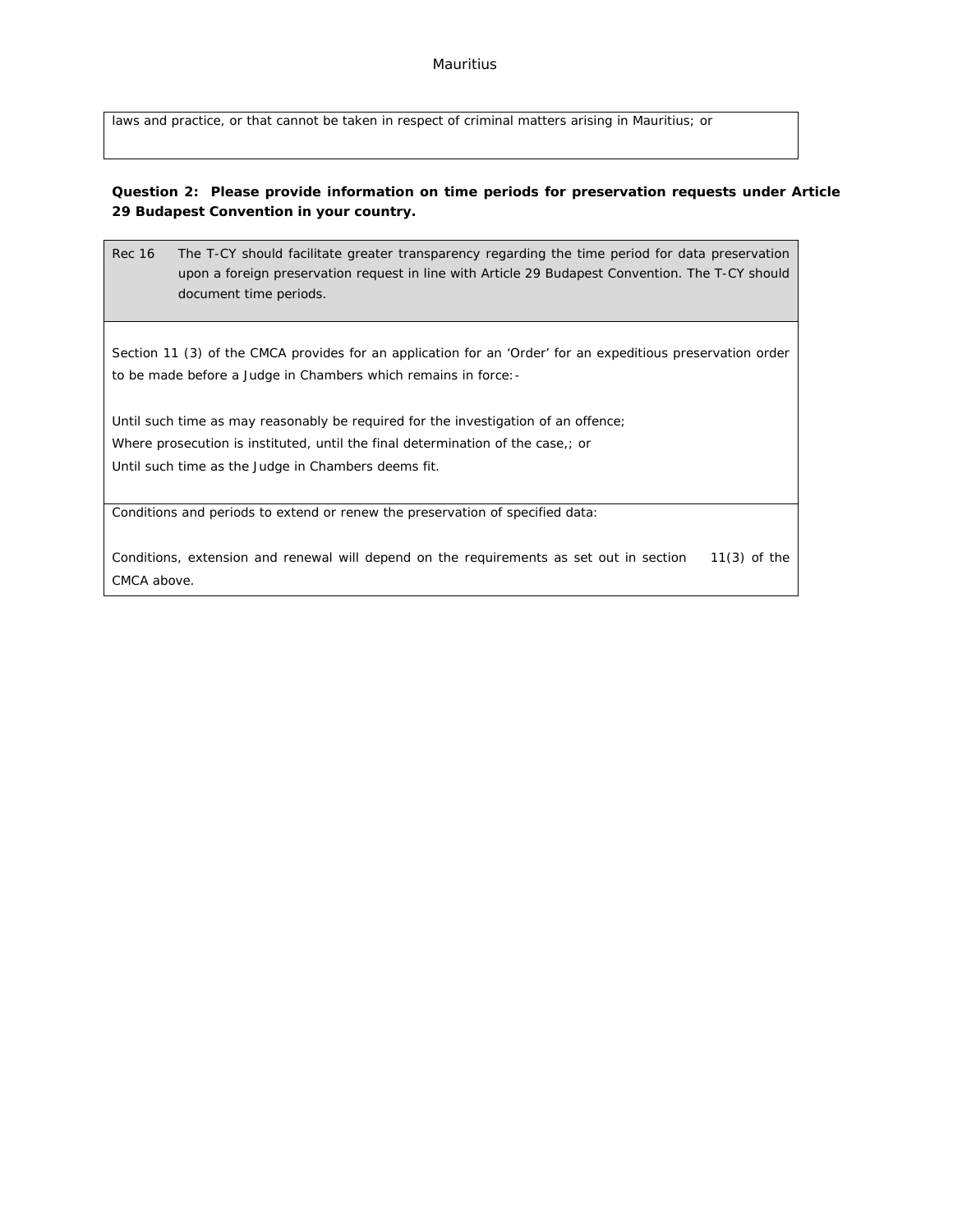### Mauritius

laws and practice, or that cannot be taken in respect of criminal matters arising in Mauritius; or

**Question 2: Please provide information on time periods for preservation requests under Article 29 Budapest Convention in your country.**

Rec 16 The T-CY should facilitate greater transparency regarding the time period for data preservation upon a foreign preservation request in line with Article 29 Budapest Convention. The T-CY should document time periods.

Section 11 (3) of the CMCA provides for an application for an 'Order' for an expeditious preservation order to be made before a Judge in Chambers which remains in force:-

Until such time as may reasonably be required for the investigation of an offence; Where prosecution is instituted, until the final determination of the case,; or Until such time as the Judge in Chambers deems fit.

Conditions and periods to extend or renew the preservation of specified data:

Conditions, extension and renewal will depend on the requirements as set out in section 11(3) of the CMCA above.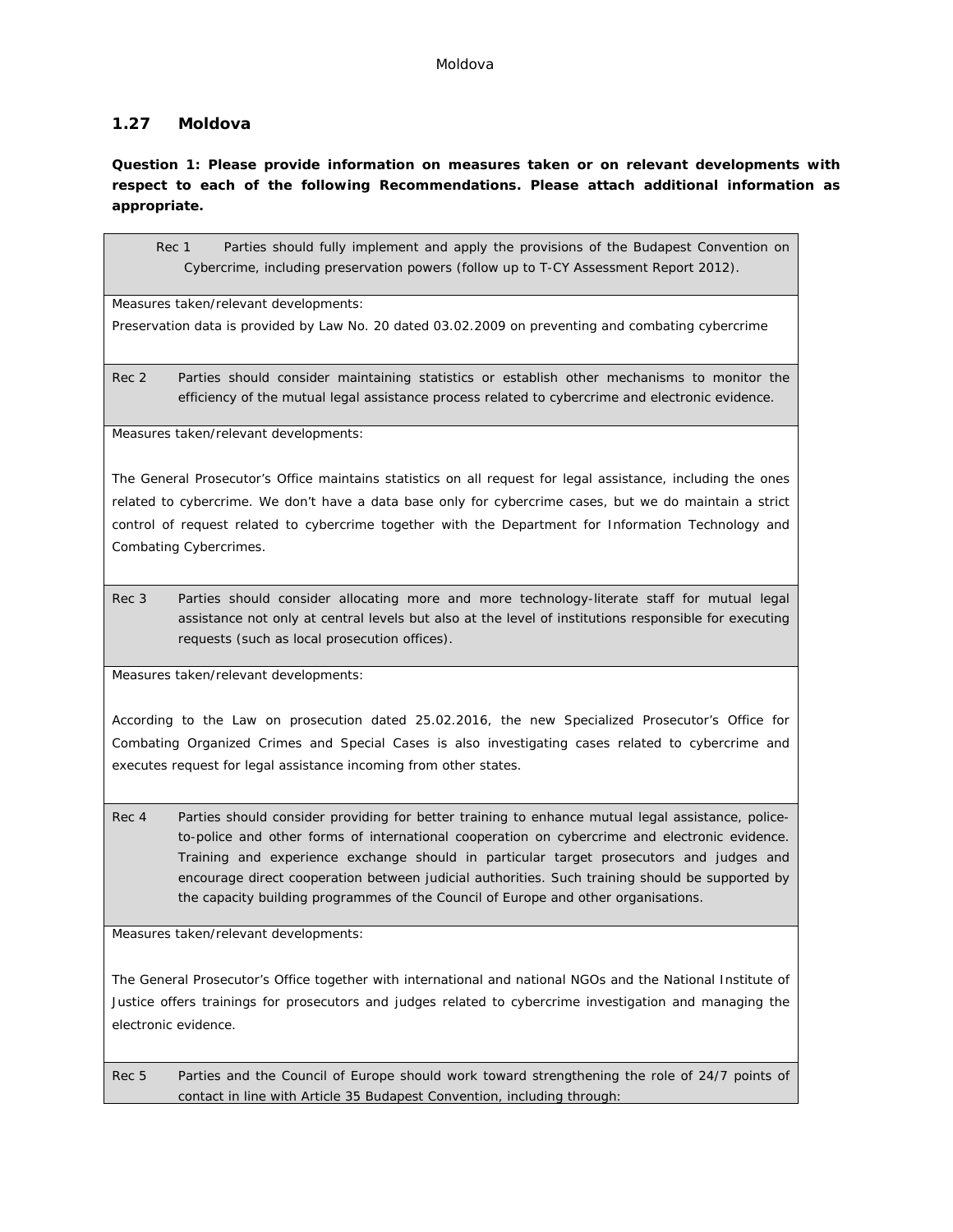# **1.27 Moldova**

**Question 1: Please provide information on measures taken or on relevant developments with respect to each of the following Recommendations. Please attach additional information as appropriate.**

Rec 1 Parties should fully implement and apply the provisions of the Budapest Convention on Cybercrime, including preservation powers (follow up to T-CY Assessment Report 2012).

Measures taken/relevant developments:

Preservation data is provided by Law No. 20 dated 03.02.2009 on preventing and combating cybercrime

Rec 2 Parties should consider maintaining statistics or establish other mechanisms to monitor the efficiency of the mutual legal assistance process related to cybercrime and electronic evidence.

Measures taken/relevant developments:

The General Prosecutor's Office maintains statistics on all request for legal assistance, including the ones related to cybercrime. We don't have a data base only for cybercrime cases, but we do maintain a strict control of request related to cybercrime together with the Department for Information Technology and Combating Cybercrimes.

Rec 3 Parties should consider allocating more and more technology-literate staff for mutual legal assistance not only at central levels but also at the level of institutions responsible for executing requests (such as local prosecution offices).

Measures taken/relevant developments:

According to the Law on prosecution dated 25.02.2016, the new Specialized Prosecutor's Office for Combating Organized Crimes and Special Cases is also investigating cases related to cybercrime and executes request for legal assistance incoming from other states.

Rec 4 Parties should consider providing for better training to enhance mutual legal assistance, policeto-police and other forms of international cooperation on cybercrime and electronic evidence. Training and experience exchange should in particular target prosecutors and judges and encourage direct cooperation between judicial authorities. Such training should be supported by the capacity building programmes of the Council of Europe and other organisations.

Measures taken/relevant developments:

The General Prosecutor's Office together with international and national NGOs and the National Institute of Justice offers trainings for prosecutors and judges related to cybercrime investigation and managing the electronic evidence.

Rec 5 Parties and the Council of Europe should work toward strengthening the role of 24/7 points of contact in line with Article 35 Budapest Convention, including through: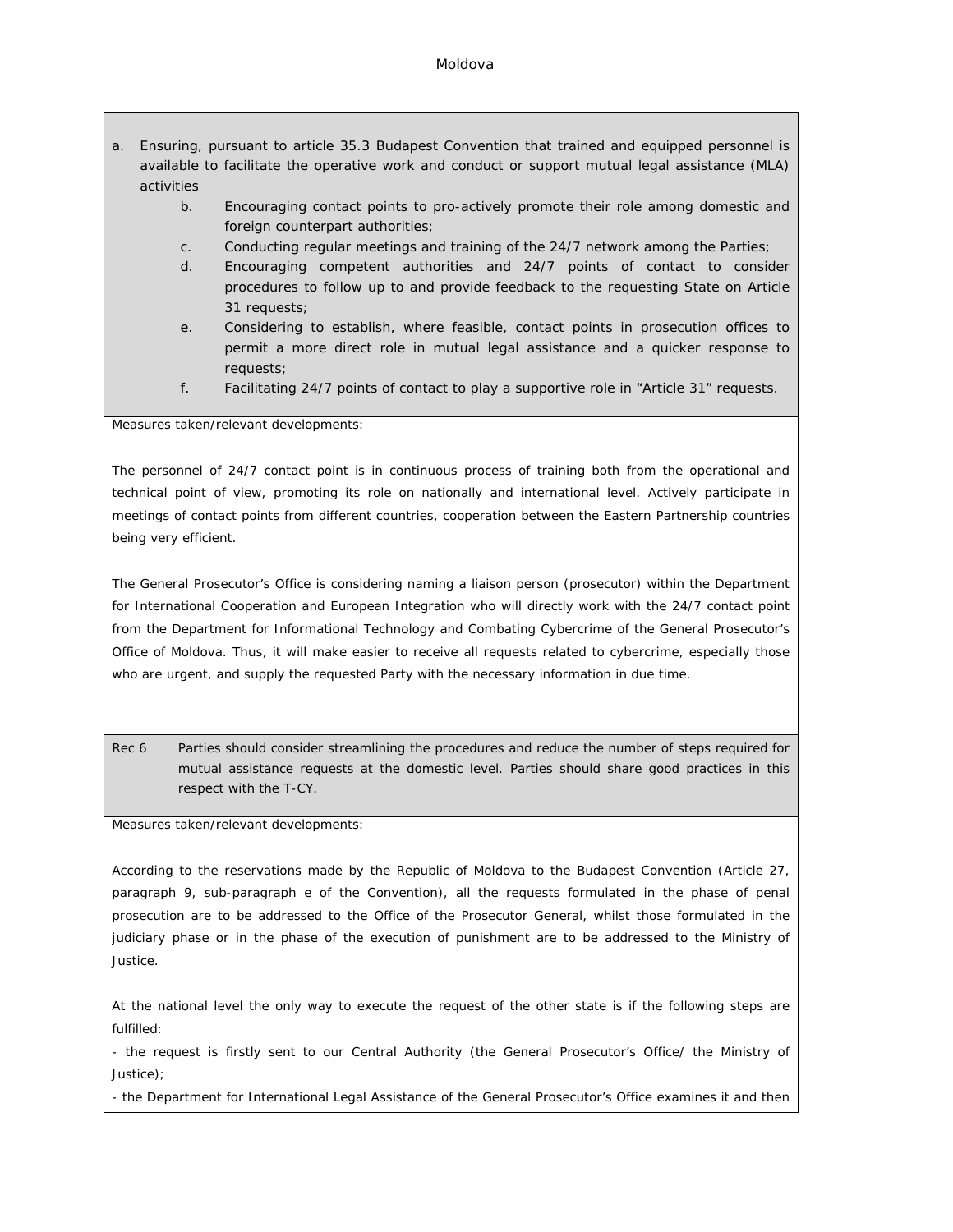### Moldova

- a. Ensuring, pursuant to article 35.3 Budapest Convention that trained and equipped personnel is available to facilitate the operative work and conduct or support mutual legal assistance (MLA) activities
	- b. Encouraging contact points to pro-actively promote their role among domestic and foreign counterpart authorities;
	- c. Conducting regular meetings and training of the 24/7 network among the Parties;
	- d. Encouraging competent authorities and 24/7 points of contact to consider procedures to follow up to and provide feedback to the requesting State on Article 31 requests;
	- e. Considering to establish, where feasible, contact points in prosecution offices to permit a more direct role in mutual legal assistance and a quicker response to requests;
	- f. Facilitating 24/7 points of contact to play a supportive role in "Article 31" requests.

Measures taken/relevant developments:

The personnel of 24/7 contact point is in continuous process of training both from the operational and technical point of view, promoting its role on nationally and international level. Actively participate in meetings of contact points from different countries, cooperation between the Eastern Partnership countries being very efficient.

The General Prosecutor's Office is considering naming a liaison person (prosecutor) within the Department for International Cooperation and European Integration who will directly work with the 24/7 contact point from the Department for Informational Technology and Combating Cybercrime of the General Prosecutor's Office of Moldova. Thus, it will make easier to receive all requests related to cybercrime, especially those who are urgent, and supply the requested Party with the necessary information in due time.

Rec 6 Parties should consider streamlining the procedures and reduce the number of steps required for mutual assistance requests at the domestic level. Parties should share good practices in this respect with the T-CY.

Measures taken/relevant developments:

According to the reservations made by the Republic of Moldova to the Budapest Convention (Article 27, paragraph 9, sub-paragraph e of the Convention), all the requests formulated in the phase of penal prosecution are to be addressed to the Office of the Prosecutor General, whilst those formulated in the judiciary phase or in the phase of the execution of punishment are to be addressed to the Ministry of Justice.

At the national level the only way to execute the request of the other state is if the following steps are fulfilled:

- the request is firstly sent to our Central Authority (the General Prosecutor's Office/ the Ministry of Justice);

- the Department for International Legal Assistance of the General Prosecutor's Office examines it and then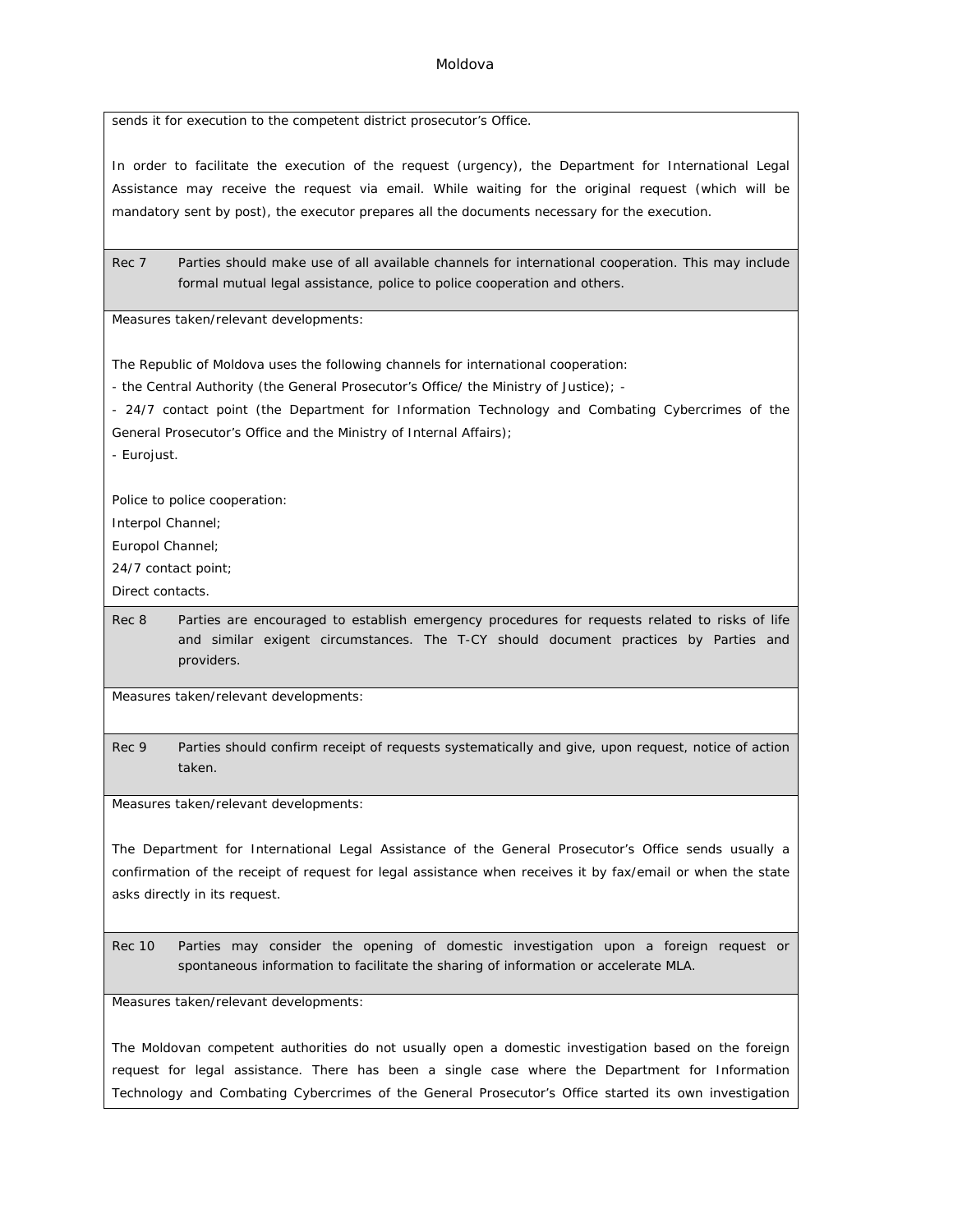sends it for execution to the competent district prosecutor's Office.

In order to facilitate the execution of the request (urgency), the Department for International Legal Assistance may receive the request via email. While waiting for the original request (which will be mandatory sent by post), the executor prepares all the documents necessary for the execution.

Rec 7 Parties should make use of all available channels for international cooperation. This may include formal mutual legal assistance, police to police cooperation and others.

Measures taken/relevant developments:

The Republic of Moldova uses the following channels for international cooperation:

- the Central Authority (the General Prosecutor's Office/ the Ministry of Justice); -

- 24/7 contact point (the Department for Information Technology and Combating Cybercrimes of the

General Prosecutor's Office and the Ministry of Internal Affairs);

- Eurojust.

Police to police cooperation:

Interpol Channel;

Europol Channel;

24/7 contact point;

Direct contacts.

Rec 8 Parties are encouraged to establish emergency procedures for requests related to risks of life and similar exigent circumstances. The T-CY should document practices by Parties and providers.

Measures taken/relevant developments:

Rec 9 Parties should confirm receipt of requests systematically and give, upon request, notice of action taken.

Measures taken/relevant developments:

The Department for International Legal Assistance of the General Prosecutor's Office sends usually a confirmation of the receipt of request for legal assistance when receives it by fax/email or when the state asks directly in its request.

Rec 10 Parties may consider the opening of domestic investigation upon a foreign request or spontaneous information to facilitate the sharing of information or accelerate MLA.

Measures taken/relevant developments:

The Moldovan competent authorities do not usually open a domestic investigation based on the foreign request for legal assistance. There has been a single case where the Department for Information Technology and Combating Cybercrimes of the General Prosecutor's Office started its own investigation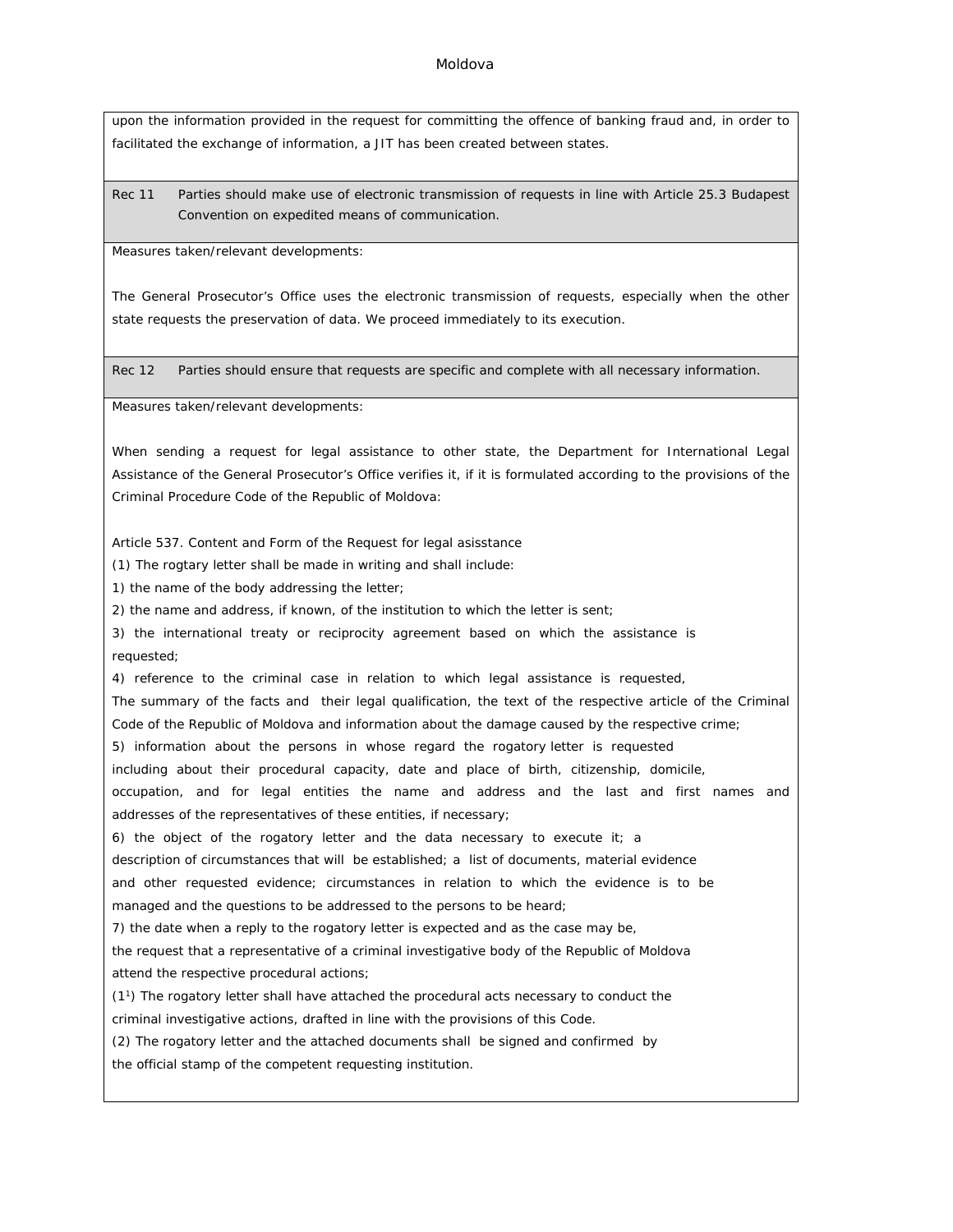upon the information provided in the request for committing the offence of banking fraud and, in order to facilitated the exchange of information, a JIT has been created between states.

Rec 11 Parties should make use of electronic transmission of requests in line with Article 25.3 Budapest Convention on expedited means of communication.

Measures taken/relevant developments:

The General Prosecutor's Office uses the electronic transmission of requests, especially when the other state requests the preservation of data. We proceed immediately to its execution.

Rec 12 Parties should ensure that requests are specific and complete with all necessary information.

Measures taken/relevant developments:

When sending a request for legal assistance to other state, the Department for International Legal Assistance of the General Prosecutor's Office verifies it, if it is formulated according to the provisions of the Criminal Procedure Code of the Republic of Moldova:

Article 537. Content and Form of the Request for legal asisstance

(1) The rogtary letter shall be made in writing and shall include:

1) the name of the body addressing the letter;

2) the name and address, if known, of the institution to which the letter is sent;

3) the international treaty or reciprocity agreement based on which the assistance is requested;

4) reference to the criminal case in relation to which legal assistance is requested,

The summary of the facts and their legal qualification, the text of the respective article of the Criminal Code of the Republic of Moldova and information about the damage caused by the respective crime;

5) information about the persons in whose regard the rogatory letter is requested

including about their procedural capacity, date and place of birth, citizenship, domicile,

occupation, and for legal entities the name and address and the last and first names and addresses of the representatives of these entities, if necessary;

6) the object of the rogatory letter and the data necessary to execute it; a

description of circumstances that will be established; a list of documents, material evidence

and other requested evidence; circumstances in relation to which the evidence is to be managed and the questions to be addressed to the persons to be heard;

7) the date when a reply to the rogatory letter is expected and as the case may be,

the request that a representative of a criminal investigative body of the Republic of Moldova attend the respective procedural actions;

(11) The rogatory letter shall have attached the procedural acts necessary to conduct the criminal investigative actions, drafted in line with the provisions of this Code.

(2) The rogatory letter and the attached documents shall be signed and confirmed by the official stamp of the competent requesting institution.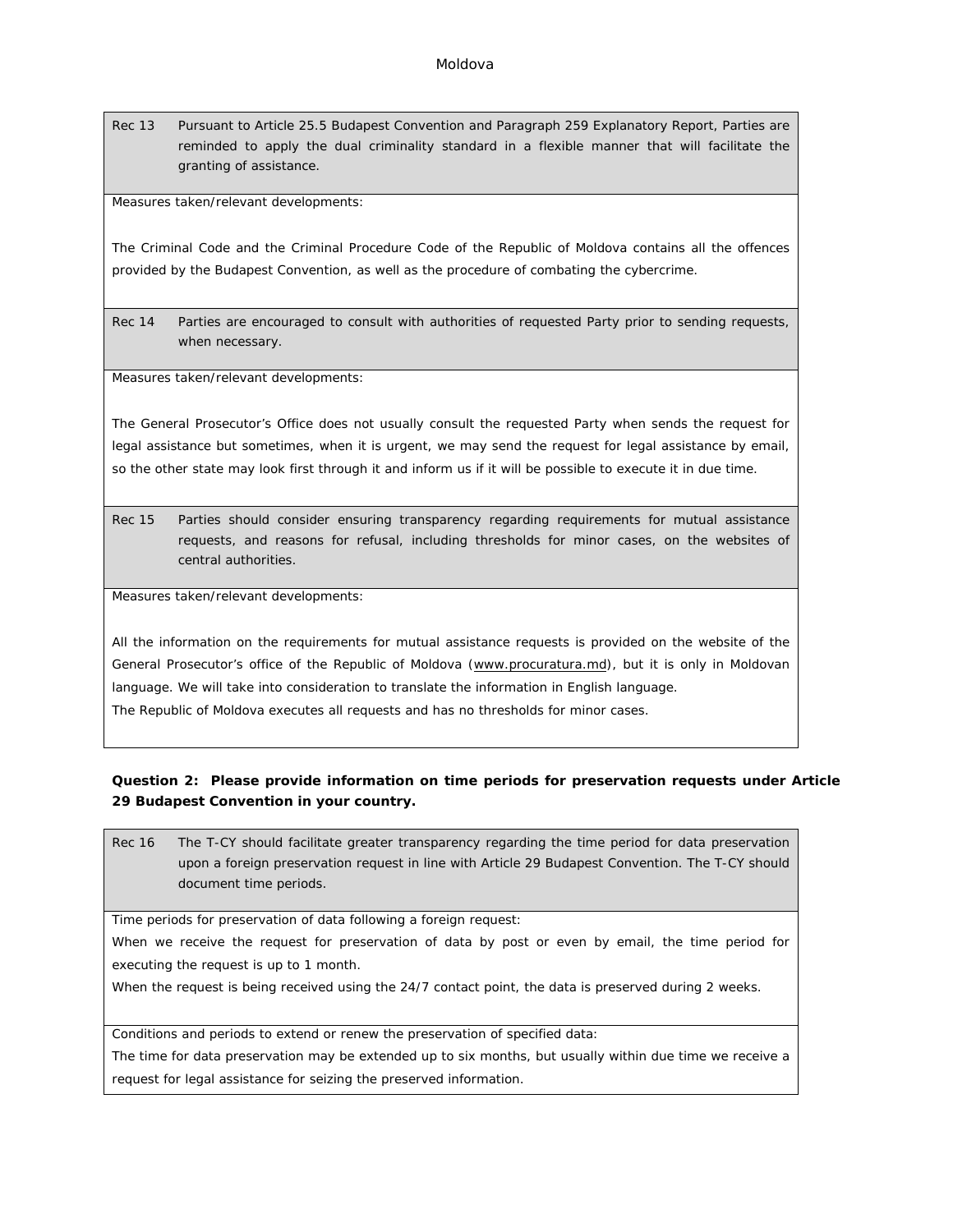Rec 13 Pursuant to Article 25.5 Budapest Convention and Paragraph 259 Explanatory Report, Parties are reminded to apply the dual criminality standard in a flexible manner that will facilitate the granting of assistance.

Measures taken/relevant developments:

The Criminal Code and the Criminal Procedure Code of the Republic of Moldova contains all the offences provided by the Budapest Convention, as well as the procedure of combating the cybercrime.

Rec 14 Parties are encouraged to consult with authorities of requested Party prior to sending requests, when necessary.

Measures taken/relevant developments:

The General Prosecutor's Office does not usually consult the requested Party when sends the request for legal assistance but sometimes, when it is urgent, we may send the request for legal assistance by email, so the other state may look first through it and inform us if it will be possible to execute it in due time.

Rec 15 Parties should consider ensuring transparency regarding requirements for mutual assistance requests, and reasons for refusal, including thresholds for minor cases, on the websites of central authorities.

Measures taken/relevant developments:

All the information on the requirements for mutual assistance requests is provided on the website of the General Prosecutor's office of the Republic of Moldova ([www.procuratura.md\)](http://www.procuratura.md), but it is only in Moldovan language. We will take into consideration to translate the information in English language. The Republic of Moldova executes all requests and has no thresholds for minor cases.

**Question 2: Please provide information on time periods for preservation requests under Article 29 Budapest Convention in your country.**

Rec 16 The T-CY should facilitate greater transparency regarding the time period for data preservation upon a foreign preservation request in line with Article 29 Budapest Convention. The T-CY should document time periods.

Time periods for preservation of data following a foreign request:

When we receive the request for preservation of data by post or even by email, the time period for executing the request is up to 1 month.

When the request is being received using the 24/7 contact point, the data is preserved during 2 weeks.

Conditions and periods to extend or renew the preservation of specified data:

The time for data preservation may be extended up to six months, but usually within due time we receive a request for legal assistance for seizing the preserved information.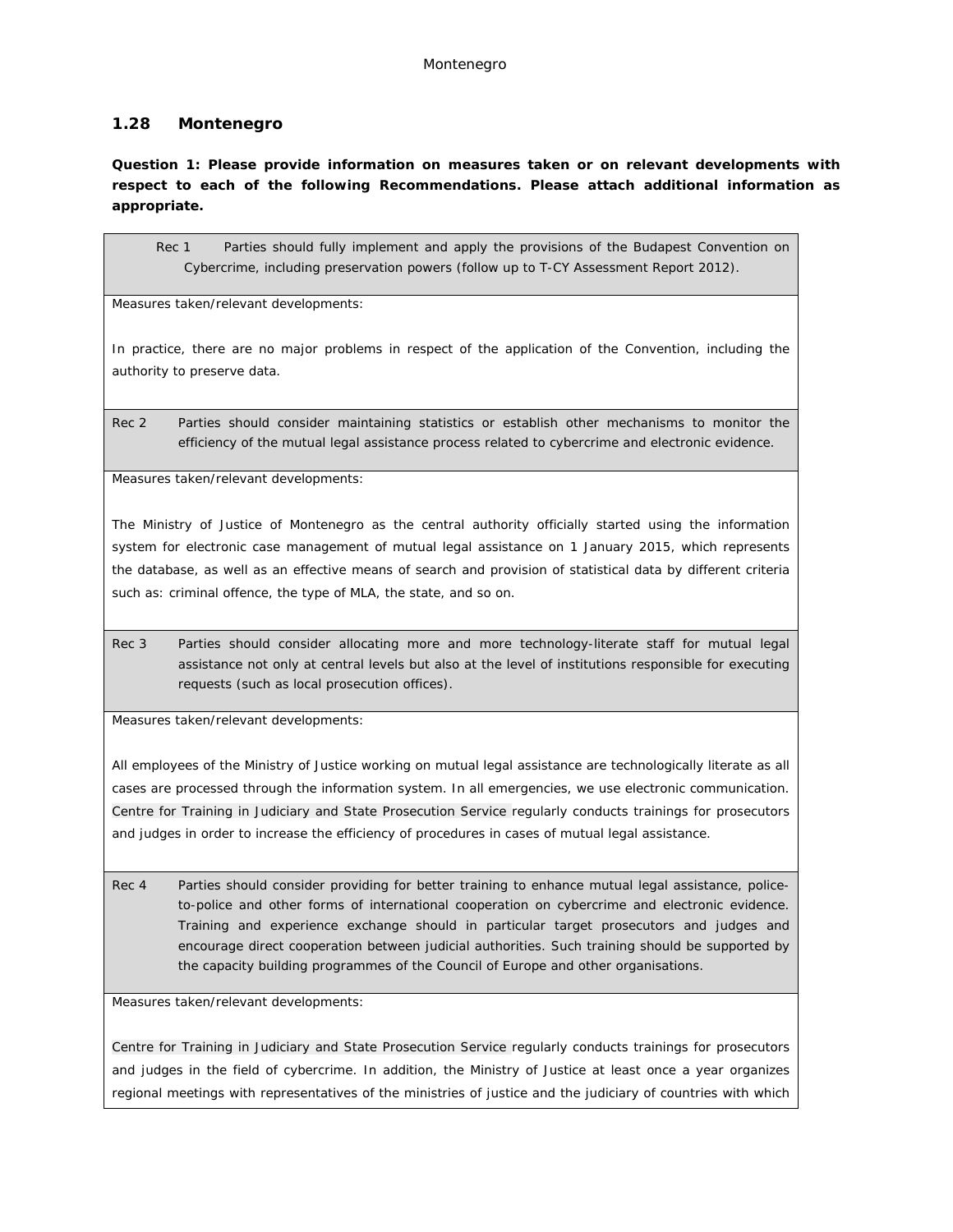# **1.28 Montenegro**

**Question 1: Please provide information on measures taken or on relevant developments with respect to each of the following Recommendations. Please attach additional information as appropriate.**

Rec 1 Parties should fully implement and apply the provisions of the Budapest Convention on Cybercrime, including preservation powers (follow up to T-CY Assessment Report 2012).

Measures taken/relevant developments:

In practice, there are no major problems in respect of the application of the Convention, including the authority to preserve data.

Rec 2 Parties should consider maintaining statistics or establish other mechanisms to monitor the efficiency of the mutual legal assistance process related to cybercrime and electronic evidence.

Measures taken/relevant developments:

The Ministry of Justice of Montenegro as the central authority officially started using the information system for electronic case management of mutual legal assistance on 1 January 2015, which represents the database, as well as an effective means of search and provision of statistical data by different criteria such as: criminal offence, the type of MLA, the state, and so on.

Rec 3 Parties should consider allocating more and more technology-literate staff for mutual legal assistance not only at central levels but also at the level of institutions responsible for executing requests (such as local prosecution offices).

Measures taken/relevant developments:

All employees of the Ministry of Justice working on mutual legal assistance are technologically literate as all cases are processed through the information system. In all emergencies, we use electronic communication. Centre for Training in Judiciary and State Prosecution Service regularly conducts trainings for prosecutors and judges in order to increase the efficiency of procedures in cases of mutual legal assistance.

Rec 4 Parties should consider providing for better training to enhance mutual legal assistance, policeto-police and other forms of international cooperation on cybercrime and electronic evidence. Training and experience exchange should in particular target prosecutors and judges and encourage direct cooperation between judicial authorities. Such training should be supported by the capacity building programmes of the Council of Europe and other organisations.

Measures taken/relevant developments:

Centre for Training in Judiciary and State Prosecution Service regularly conducts trainings for prosecutors and judges in the field of cybercrime. In addition, the Ministry of Justice at least once a year organizes regional meetings with representatives of the ministries of justice and the judiciary of countries with which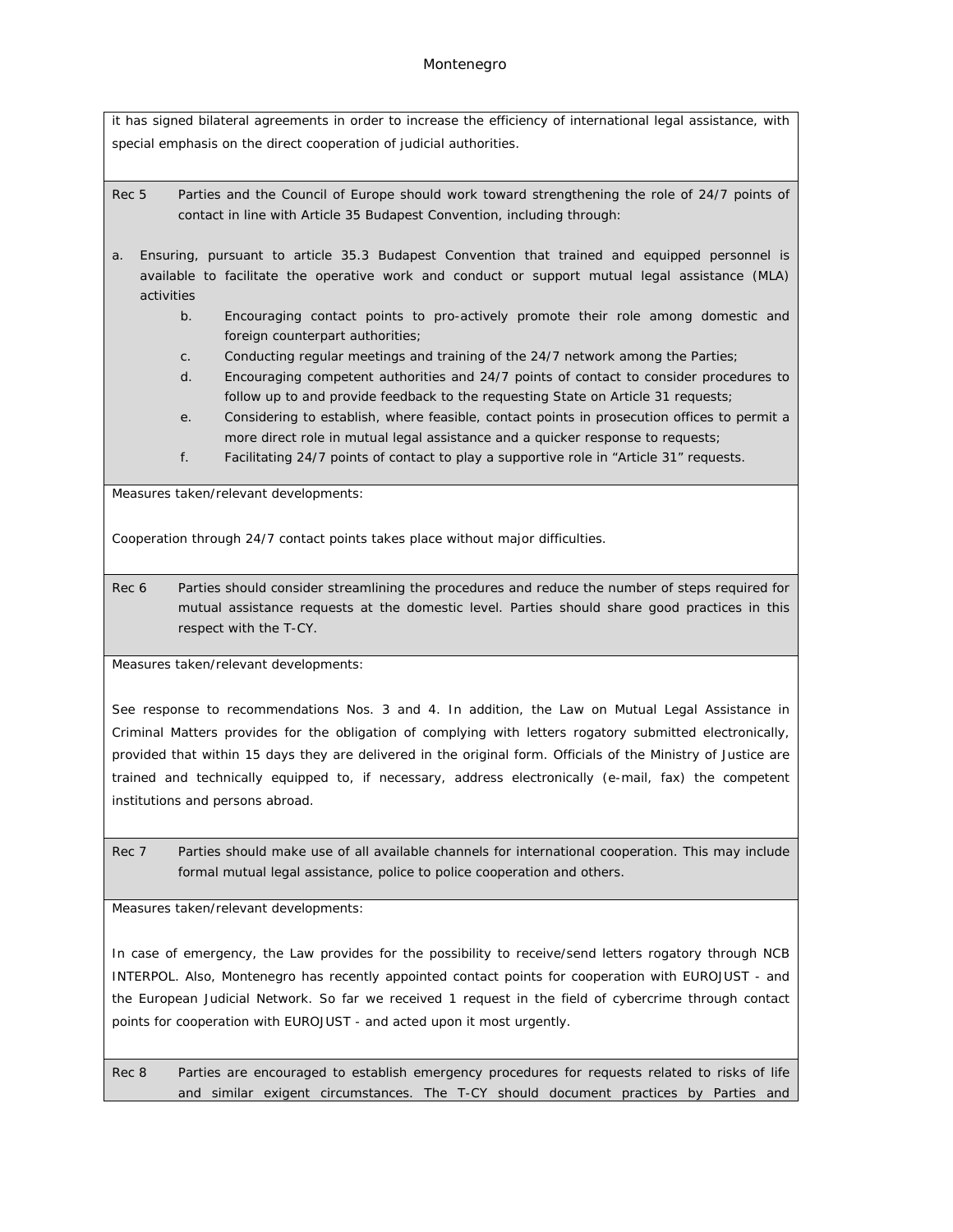## Montenegro

it has signed bilateral agreements in order to increase the efficiency of international legal assistance, with special emphasis on the direct cooperation of judicial authorities.

Rec 5 Parties and the Council of Europe should work toward strengthening the role of 24/7 points of contact in line with Article 35 Budapest Convention, including through:

- a. Ensuring, pursuant to article 35.3 Budapest Convention that trained and equipped personnel is available to facilitate the operative work and conduct or support mutual legal assistance (MLA) activities
	- b. Encouraging contact points to pro-actively promote their role among domestic and foreign counterpart authorities;
	- c. Conducting regular meetings and training of the 24/7 network among the Parties;
	- d. Encouraging competent authorities and 24/7 points of contact to consider procedures to follow up to and provide feedback to the requesting State on Article 31 requests;
	- e. Considering to establish, where feasible, contact points in prosecution offices to permit a more direct role in mutual legal assistance and a quicker response to requests;
	- f. Facilitating 24/7 points of contact to play a supportive role in "Article 31" requests.

Measures taken/relevant developments:

Cooperation through 24/7 contact points takes place without major difficulties.

Rec 6 Parties should consider streamlining the procedures and reduce the number of steps required for mutual assistance requests at the domestic level. Parties should share good practices in this respect with the T-CY.

Measures taken/relevant developments:

See response to recommendations Nos. 3 and 4. In addition, the Law on Mutual Legal Assistance in Criminal Matters provides for the obligation of complying with letters rogatory submitted electronically, provided that within 15 days they are delivered in the original form. Officials of the Ministry of Justice are trained and technically equipped to, if necessary, address electronically (e-mail, fax) the competent institutions and persons abroad.

Rec 7 Parties should make use of all available channels for international cooperation. This may include formal mutual legal assistance, police to police cooperation and others.

Measures taken/relevant developments:

In case of emergency, the Law provides for the possibility to receive/send letters rogatory through NCB INTERPOL. Also, Montenegro has recently appointed contact points for cooperation with EUROJUST - and the European Judicial Network. So far we received 1 request in the field of cybercrime through contact points for cooperation with EUROJUST - and acted upon it most urgently.

Rec 8 Parties are encouraged to establish emergency procedures for requests related to risks of life and similar exigent circumstances. The T-CY should document practices by Parties and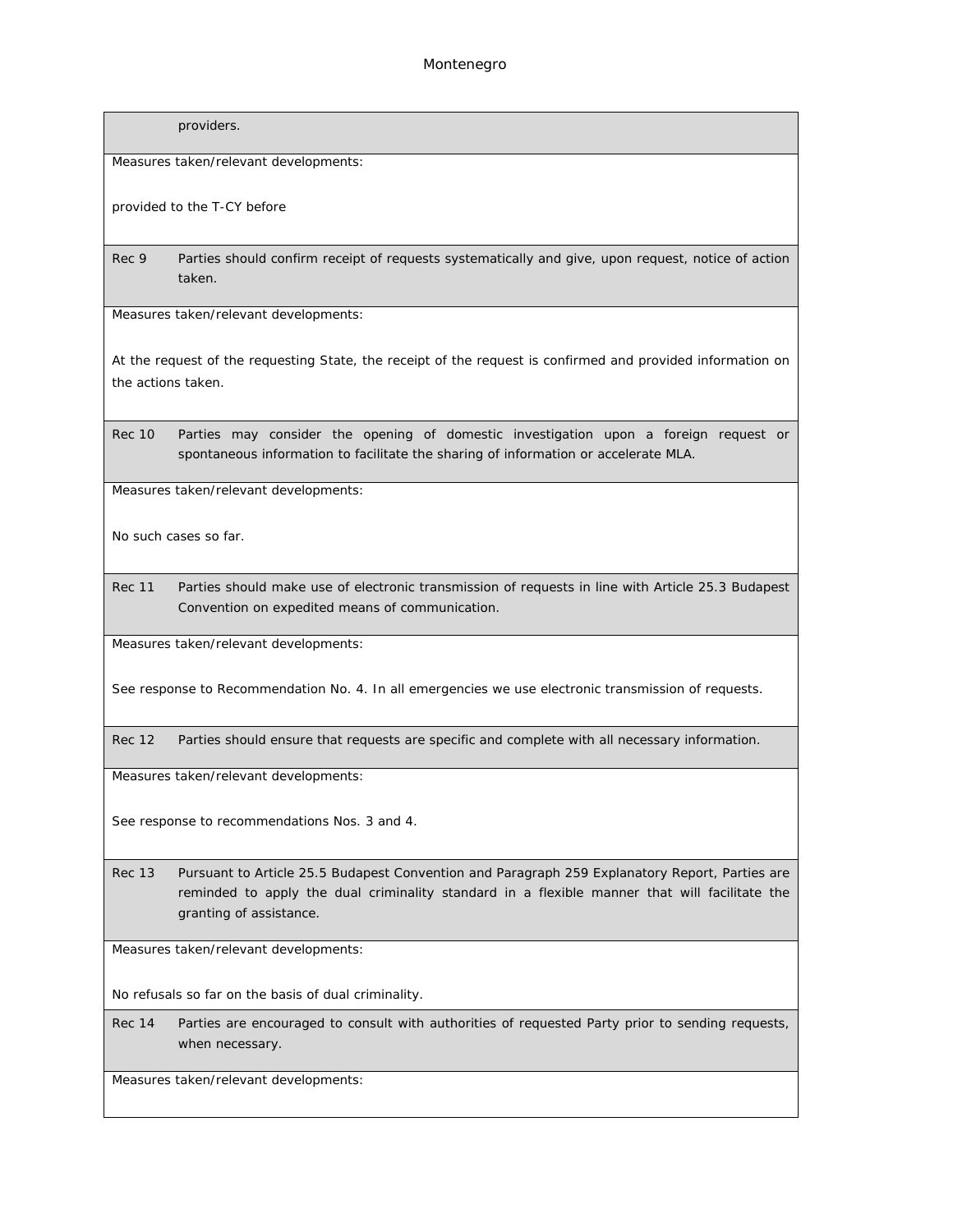providers.

Measures taken/relevant developments:

provided to the T-CY before

Rec 9 Parties should confirm receipt of requests systematically and give, upon request, notice of action taken.

Measures taken/relevant developments:

At the request of the requesting State, the receipt of the request is confirmed and provided information on the actions taken.

Rec 10 Parties may consider the opening of domestic investigation upon a foreign request or spontaneous information to facilitate the sharing of information or accelerate MLA.

Measures taken/relevant developments:

No such cases so far.

Rec 11 Parties should make use of electronic transmission of requests in line with Article 25.3 Budapest Convention on expedited means of communication.

Measures taken/relevant developments:

See response to Recommendation No. 4. In all emergencies we use electronic transmission of requests.

Rec 12 Parties should ensure that requests are specific and complete with all necessary information.

Measures taken/relevant developments:

See response to recommendations Nos. 3 and 4.

Rec 13 Pursuant to Article 25.5 Budapest Convention and Paragraph 259 Explanatory Report, Parties are reminded to apply the dual criminality standard in a flexible manner that will facilitate the granting of assistance.

Measures taken/relevant developments:

No refusals so far on the basis of dual criminality.

Rec 14 Parties are encouraged to consult with authorities of requested Party prior to sending requests, when necessary.

Measures taken/relevant developments: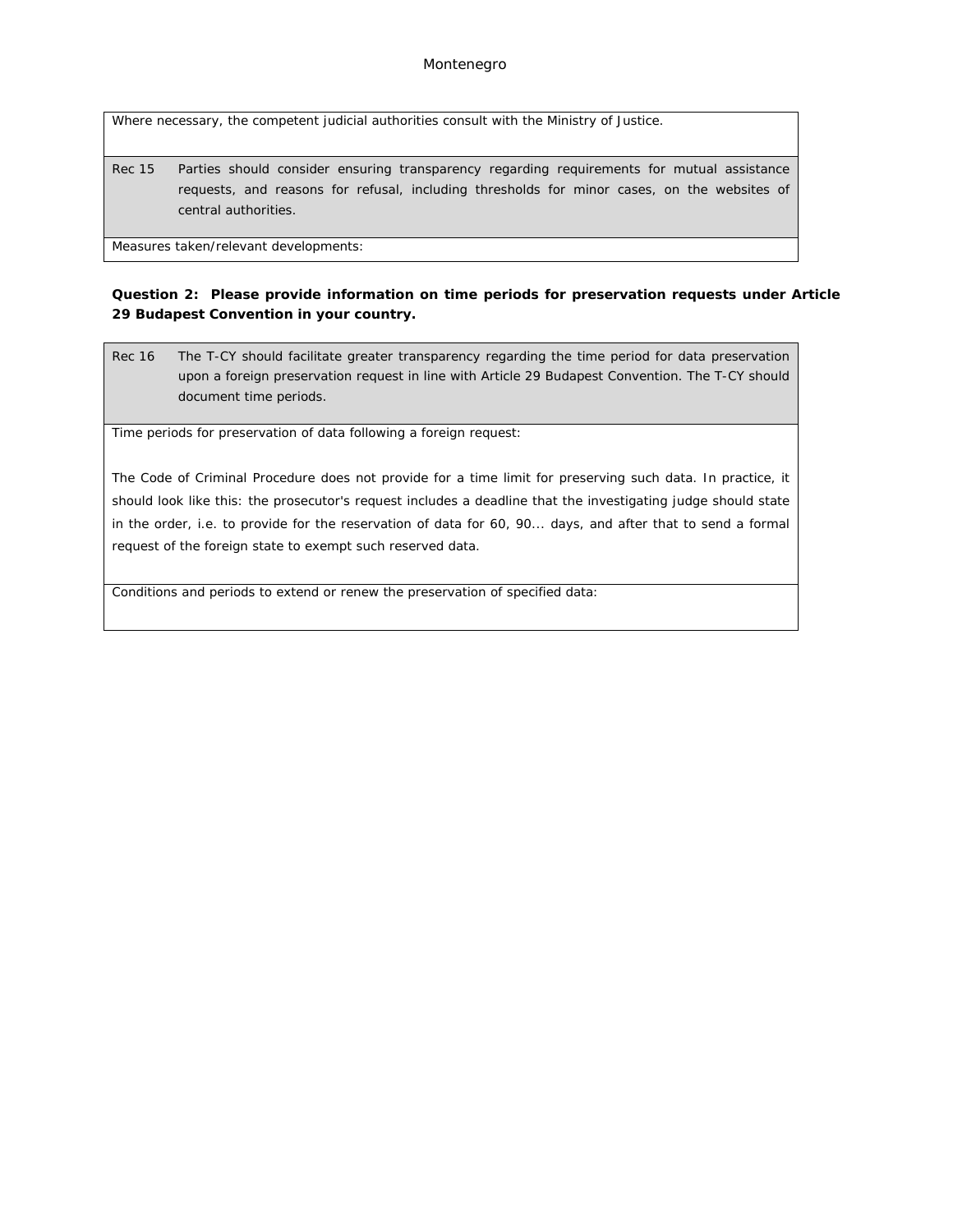Where necessary, the competent judicial authorities consult with the Ministry of Justice.

Rec 15 Parties should consider ensuring transparency regarding requirements for mutual assistance requests, and reasons for refusal, including thresholds for minor cases, on the websites of central authorities.

Measures taken/relevant developments:

**Question 2: Please provide information on time periods for preservation requests under Article 29 Budapest Convention in your country.**

Rec 16 The T-CY should facilitate greater transparency regarding the time period for data preservation upon a foreign preservation request in line with Article 29 Budapest Convention. The T-CY should document time periods.

Time periods for preservation of data following a foreign request:

The Code of Criminal Procedure does not provide for a time limit for preserving such data. In practice, it should look like this: the prosecutor's request includes a deadline that the investigating judge should state in the order, i.e. to provide for the reservation of data for 60, 90... days, and after that to send a formal request of the foreign state to exempt such reserved data.

Conditions and periods to extend or renew the preservation of specified data: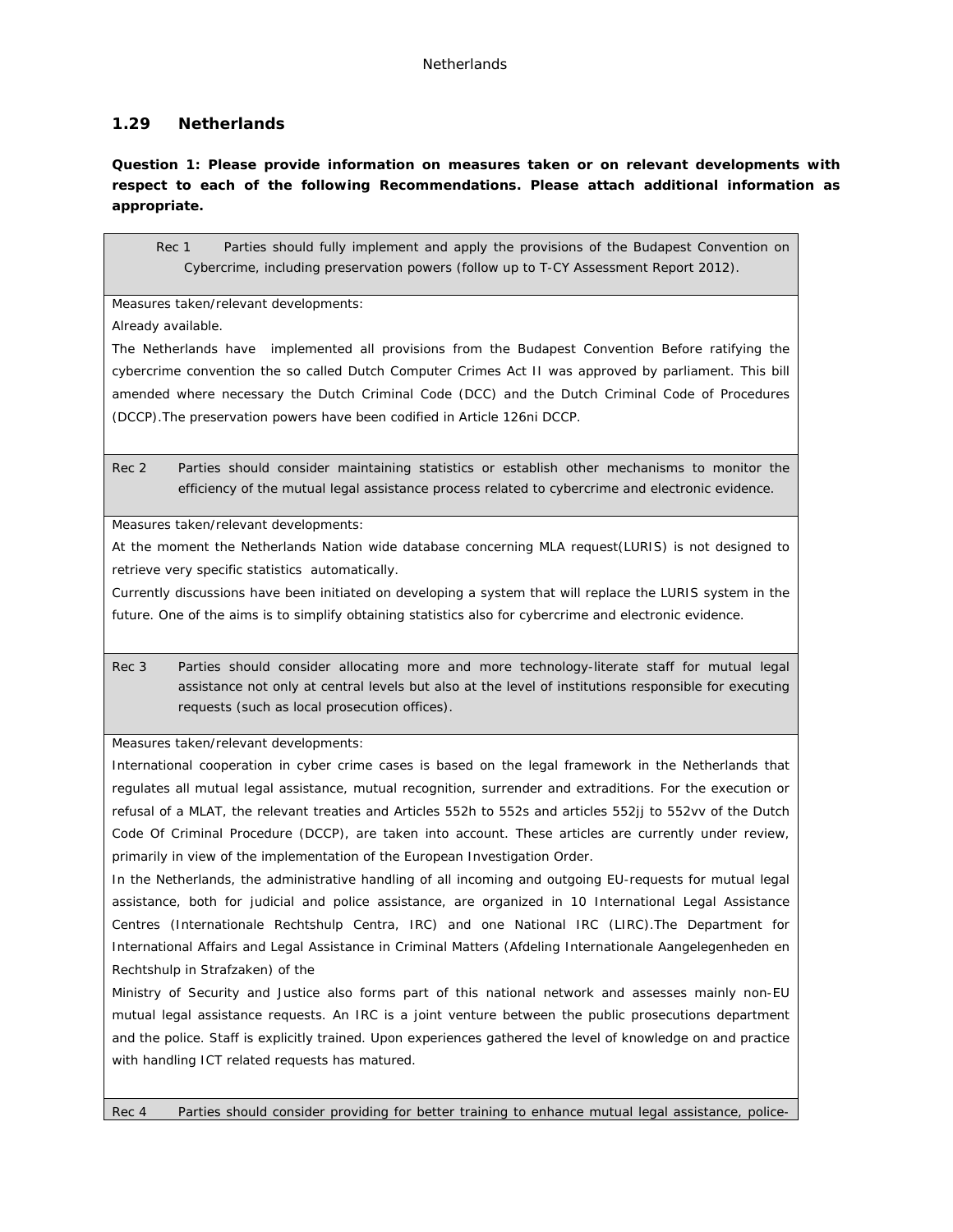# **1.29 Netherlands**

**Question 1: Please provide information on measures taken or on relevant developments with respect to each of the following Recommendations. Please attach additional information as appropriate.**

Rec 1 Parties should fully implement and apply the provisions of the Budapest Convention on Cybercrime, including preservation powers (follow up to T-CY Assessment Report 2012).

Measures taken/relevant developments:

Already available.

The Netherlands have implemented all provisions from the Budapest Convention Before ratifying the cybercrime convention the so called Dutch Computer Crimes Act II was approved by parliament. This bill amended where necessary the Dutch Criminal Code (DCC) and the Dutch Criminal Code of Procedures (DCCP).The preservation powers have been codified in Article 126ni DCCP.

Rec 2 Parties should consider maintaining statistics or establish other mechanisms to monitor the efficiency of the mutual legal assistance process related to cybercrime and electronic evidence.

Measures taken/relevant developments:

At the moment the Netherlands Nation wide database concerning MLA request(LURIS) is not designed to retrieve very specific statistics automatically.

Currently discussions have been initiated on developing a system that will replace the LURIS system in the future. One of the aims is to simplify obtaining statistics also for cybercrime and electronic evidence.

Rec 3 Parties should consider allocating more and more technology-literate staff for mutual legal assistance not only at central levels but also at the level of institutions responsible for executing requests (such as local prosecution offices).

Measures taken/relevant developments:

International cooperation in cyber crime cases is based on the legal framework in the Netherlands that regulates all mutual legal assistance, mutual recognition, surrender and extraditions. For the execution or refusal of a MLAT, the relevant treaties and Articles 552h to 552s and articles 552jj to 552vv of the Dutch Code Of Criminal Procedure (DCCP), are taken into account. These articles are currently under review, primarily in view of the implementation of the European Investigation Order.

In the Netherlands, the administrative handling of all incoming and outgoing EU-requests for mutual legal assistance, both for judicial and police assistance, are organized in 10 International Legal Assistance Centres (Internationale Rechtshulp Centra, IRC) and one National IRC (LIRC).The Department for International Affairs and Legal Assistance in Criminal Matters (Afdeling Internationale Aangelegenheden en Rechtshulp in Strafzaken) of the

Ministry of Security and Justice also forms part of this national network and assesses mainly non-EU mutual legal assistance requests. An IRC is a joint venture between the public prosecutions department and the police. Staff is explicitly trained. Upon experiences gathered the level of knowledge on and practice with handling ICT related requests has matured.

Rec 4 Parties should consider providing for better training to enhance mutual legal assistance, police-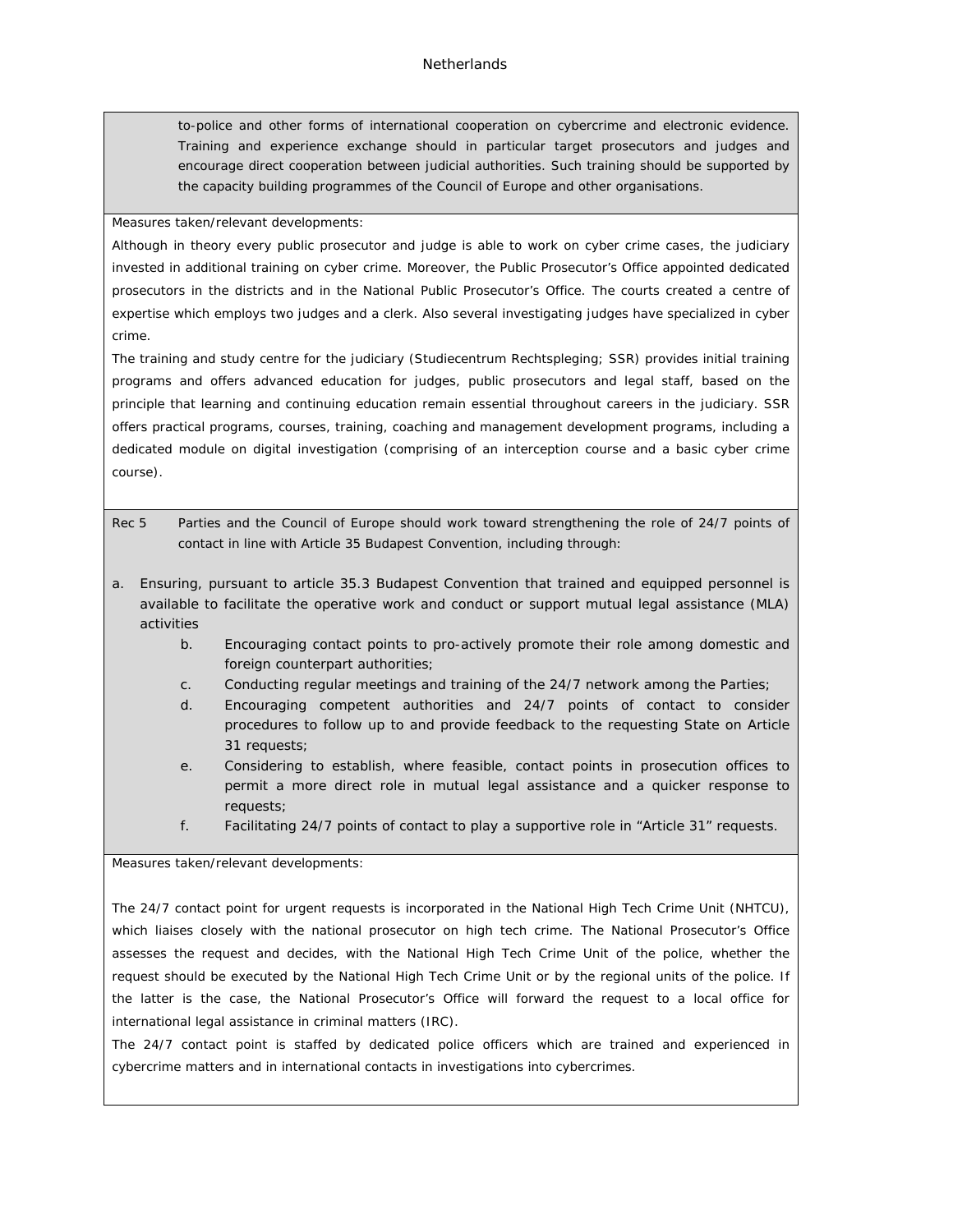### **Netherlands**

to-police and other forms of international cooperation on cybercrime and electronic evidence. Training and experience exchange should in particular target prosecutors and judges and encourage direct cooperation between judicial authorities. Such training should be supported by the capacity building programmes of the Council of Europe and other organisations.

Measures taken/relevant developments:

Although in theory every public prosecutor and judge is able to work on cyber crime cases, the judiciary invested in additional training on cyber crime. Moreover, the Public Prosecutor's Office appointed dedicated prosecutors in the districts and in the National Public Prosecutor's Office. The courts created a centre of expertise which employs two judges and a clerk. Also several investigating judges have specialized in cyber crime.

The training and study centre for the judiciary (Studiecentrum Rechtspleging; SSR) provides initial training programs and offers advanced education for judges, public prosecutors and legal staff, based on the principle that learning and continuing education remain essential throughout careers in the judiciary. SSR offers practical programs, courses, training, coaching and management development programs, including a dedicated module on digital investigation (comprising of an interception course and a basic cyber crime course).

Rec 5 Parties and the Council of Europe should work toward strengthening the role of 24/7 points of contact in line with Article 35 Budapest Convention, including through:

- a. Ensuring, pursuant to article 35.3 Budapest Convention that trained and equipped personnel is available to facilitate the operative work and conduct or support mutual legal assistance (MLA) activities
	- b. Encouraging contact points to pro-actively promote their role among domestic and foreign counterpart authorities;
	- c. Conducting regular meetings and training of the 24/7 network among the Parties;
	- d. Encouraging competent authorities and 24/7 points of contact to consider procedures to follow up to and provide feedback to the requesting State on Article 31 requests;
	- e. Considering to establish, where feasible, contact points in prosecution offices to permit a more direct role in mutual legal assistance and a quicker response to requests;
	- f. Facilitating 24/7 points of contact to play a supportive role in "Article 31" requests.

Measures taken/relevant developments:

The 24/7 contact point for urgent requests is incorporated in the National High Tech Crime Unit (NHTCU), which liaises closely with the national prosecutor on high tech crime. The National Prosecutor's Office assesses the request and decides, with the National High Tech Crime Unit of the police, whether the request should be executed by the National High Tech Crime Unit or by the regional units of the police. If the latter is the case, the National Prosecutor's Office will forward the request to a local office for international legal assistance in criminal matters (IRC).

The 24/7 contact point is staffed by dedicated police officers which are trained and experienced in cybercrime matters and in international contacts in investigations into cybercrimes.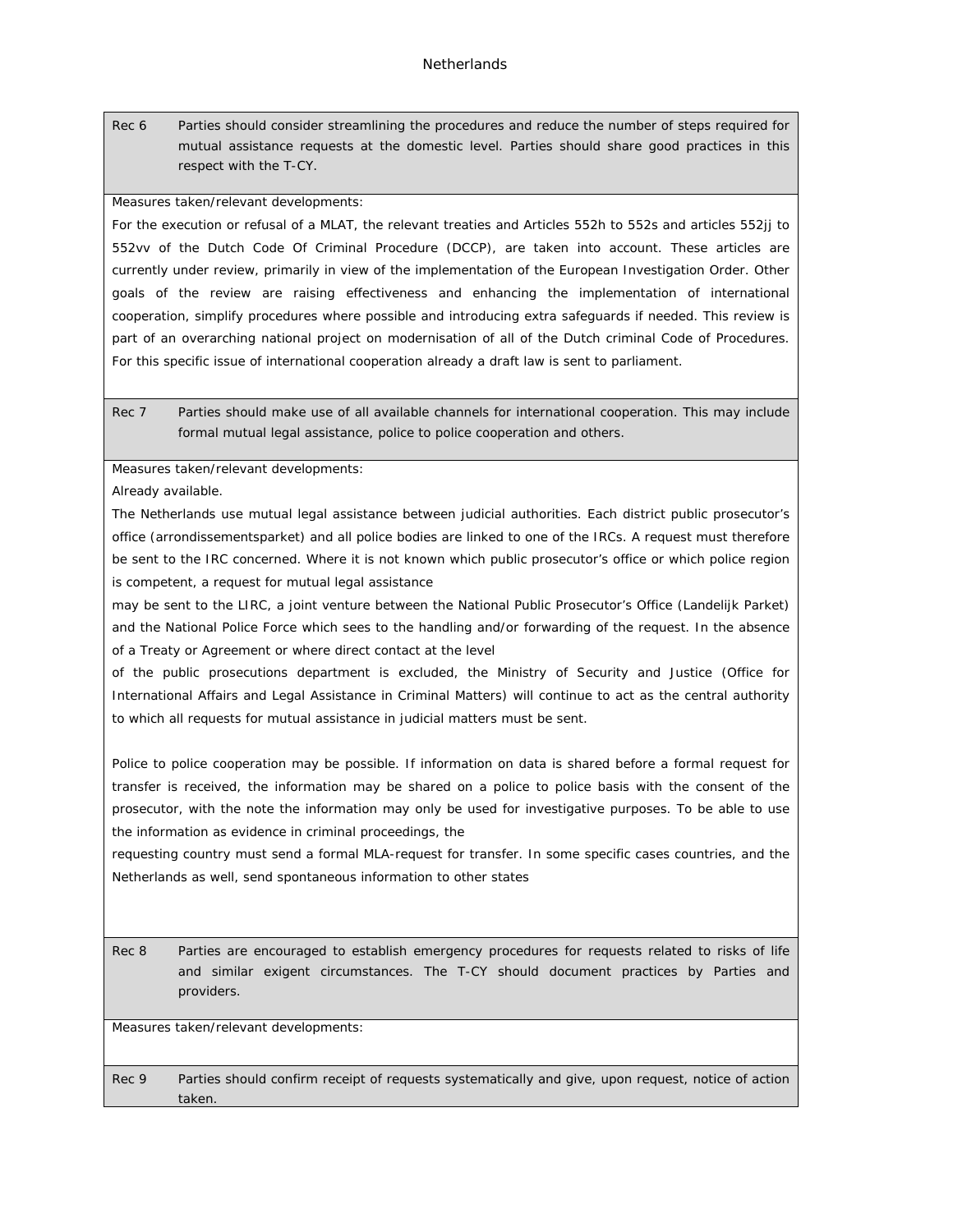Rec 6 Parties should consider streamlining the procedures and reduce the number of steps required for mutual assistance requests at the domestic level. Parties should share good practices in this respect with the T-CY.

Measures taken/relevant developments:

For the execution or refusal of a MLAT, the relevant treaties and Articles 552h to 552s and articles 552jj to 552vv of the Dutch Code Of Criminal Procedure (DCCP), are taken into account. These articles are currently under review, primarily in view of the implementation of the European Investigation Order. Other goals of the review are raising effectiveness and enhancing the implementation of international cooperation, simplify procedures where possible and introducing extra safeguards if needed. This review is part of an overarching national project on modernisation of all of the Dutch criminal Code of Procedures. For this specific issue of international cooperation already a draft law is sent to parliament.

Rec 7 Parties should make use of all available channels for international cooperation. This may include formal mutual legal assistance, police to police cooperation and others.

Measures taken/relevant developments:

Already available.

The Netherlands use mutual legal assistance between judicial authorities. Each district public prosecutor's office (arrondissementsparket) and all police bodies are linked to one of the IRCs. A request must therefore be sent to the IRC concerned. Where it is not known which public prosecutor's office or which police region is competent, a request for mutual legal assistance

may be sent to the LIRC, a joint venture between the National Public Prosecutor's Office (Landelijk Parket) and the National Police Force which sees to the handling and/or forwarding of the request. In the absence of a Treaty or Agreement or where direct contact at the level

of the public prosecutions department is excluded, the Ministry of Security and Justice (Office for International Affairs and Legal Assistance in Criminal Matters) will continue to act as the central authority to which all requests for mutual assistance in judicial matters must be sent.

Police to police cooperation may be possible. If information on data is shared before a formal request for transfer is received, the information may be shared on a police to police basis with the consent of the prosecutor, with the note the information may only be used for investigative purposes. To be able to use the information as evidence in criminal proceedings, the

requesting country must send a formal MLA-request for transfer. In some specific cases countries, and the Netherlands as well, send spontaneous information to other states

Rec 8 Parties are encouraged to establish emergency procedures for requests related to risks of life and similar exigent circumstances. The T-CY should document practices by Parties and providers.

Measures taken/relevant developments:

Rec 9 Parties should confirm receipt of requests systematically and give, upon request, notice of action taken.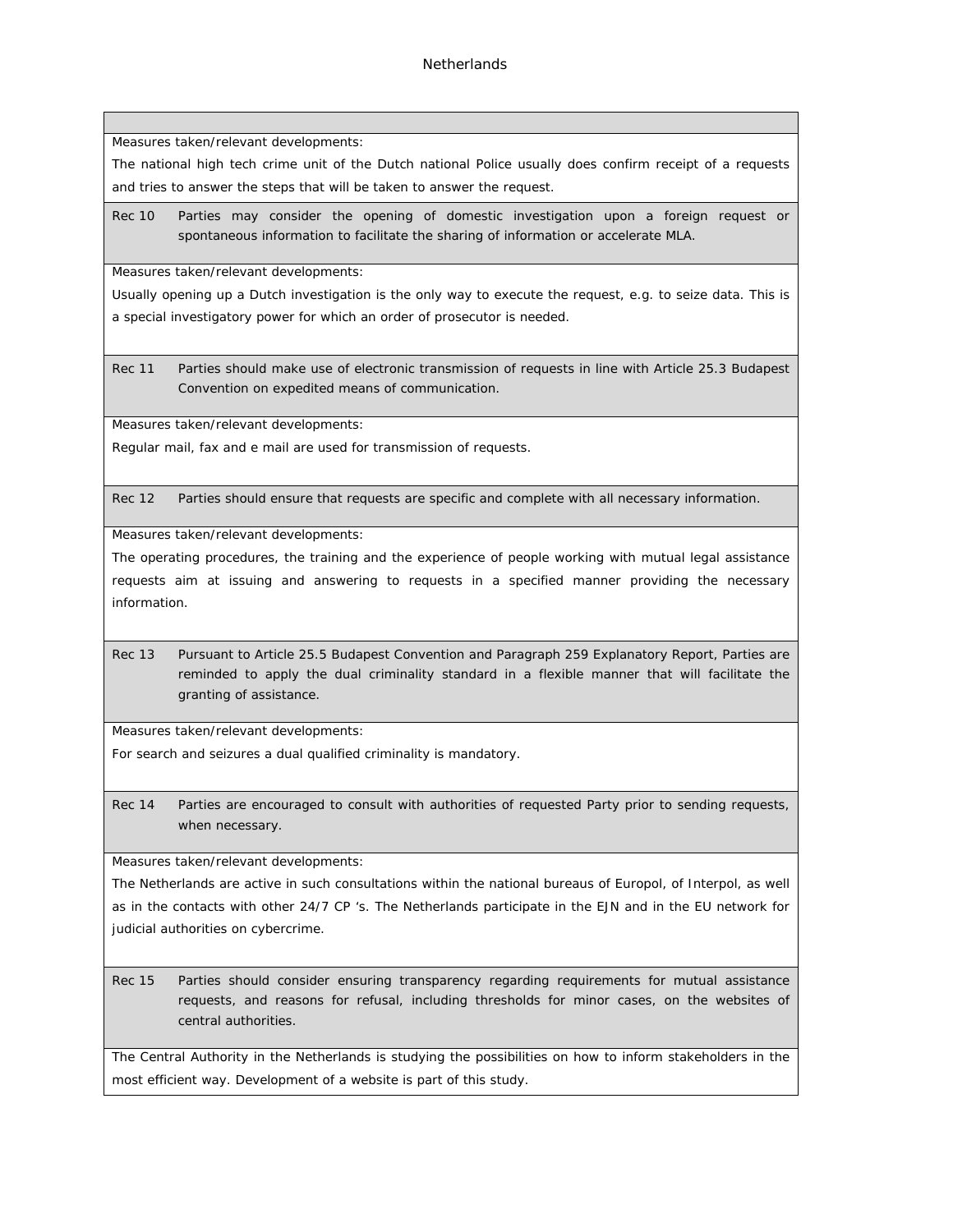Measures taken/relevant developments:

The national high tech crime unit of the Dutch national Police usually does confirm receipt of a requests and tries to answer the steps that will be taken to answer the request.

Rec 10 Parties may consider the opening of domestic investigation upon a foreign request or spontaneous information to facilitate the sharing of information or accelerate MLA.

Measures taken/relevant developments:

Usually opening up a Dutch investigation is the only way to execute the request, e.g. to seize data. This is a special investigatory power for which an order of prosecutor is needed.

Rec 11 Parties should make use of electronic transmission of requests in line with Article 25.3 Budapest Convention on expedited means of communication.

Measures taken/relevant developments:

Regular mail, fax and e mail are used for transmission of requests.

Rec 12 Parties should ensure that requests are specific and complete with all necessary information.

Measures taken/relevant developments:

The operating procedures, the training and the experience of people working with mutual legal assistance requests aim at issuing and answering to requests in a specified manner providing the necessary information.

Rec 13 Pursuant to Article 25.5 Budapest Convention and Paragraph 259 Explanatory Report, Parties are reminded to apply the dual criminality standard in a flexible manner that will facilitate the granting of assistance.

Measures taken/relevant developments:

For search and seizures a dual qualified criminality is mandatory.

Rec 14 Parties are encouraged to consult with authorities of requested Party prior to sending requests, when necessary.

Measures taken/relevant developments:

The Netherlands are active in such consultations within the national bureaus of Europol, of Interpol, as well as in the contacts with other 24/7 CP 's. The Netherlands participate in the EJN and in the EU network for judicial authorities on cybercrime.

Rec 15 Parties should consider ensuring transparency regarding requirements for mutual assistance requests, and reasons for refusal, including thresholds for minor cases, on the websites of central authorities.

The Central Authority in the Netherlands is studying the possibilities on how to inform stakeholders in the most efficient way. Development of a website is part of this study.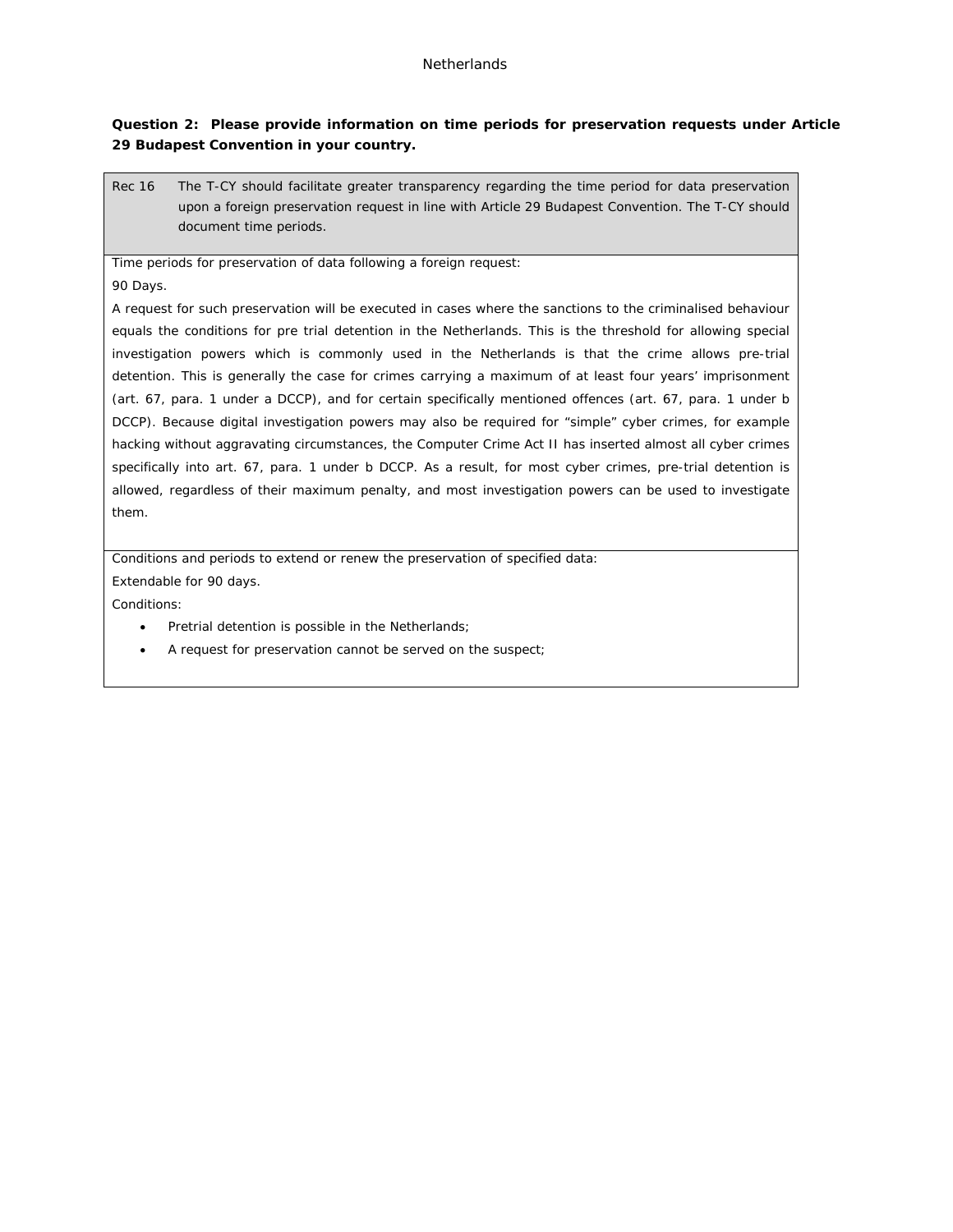**Question 2: Please provide information on time periods for preservation requests under Article 29 Budapest Convention in your country.**

Rec 16 The T-CY should facilitate greater transparency regarding the time period for data preservation upon a foreign preservation request in line with Article 29 Budapest Convention. The T-CY should document time periods.

Time periods for preservation of data following a foreign request:

90 Days.

A request for such preservation will be executed in cases where the sanctions to the criminalised behaviour equals the conditions for pre trial detention in the Netherlands. This is the threshold for allowing special investigation powers which is commonly used in the Netherlands is that the crime allows pre-trial detention. This is generally the case for crimes carrying a maximum of at least four years' imprisonment (art. 67, para. 1 under a DCCP), and for certain specifically mentioned offences (art. 67, para. 1 under b DCCP). Because digital investigation powers may also be required for "simple" cyber crimes, for example hacking without aggravating circumstances, the Computer Crime Act II has inserted almost all cyber crimes specifically into art. 67, para. 1 under b DCCP. As a result, for most cyber crimes, pre-trial detention is allowed, regardless of their maximum penalty, and most investigation powers can be used to investigate them.

Conditions and periods to extend or renew the preservation of specified data: Extendable for 90 days.

Conditions:

- Pretrial detention is possible in the Netherlands;
- A request for preservation cannot be served on the suspect;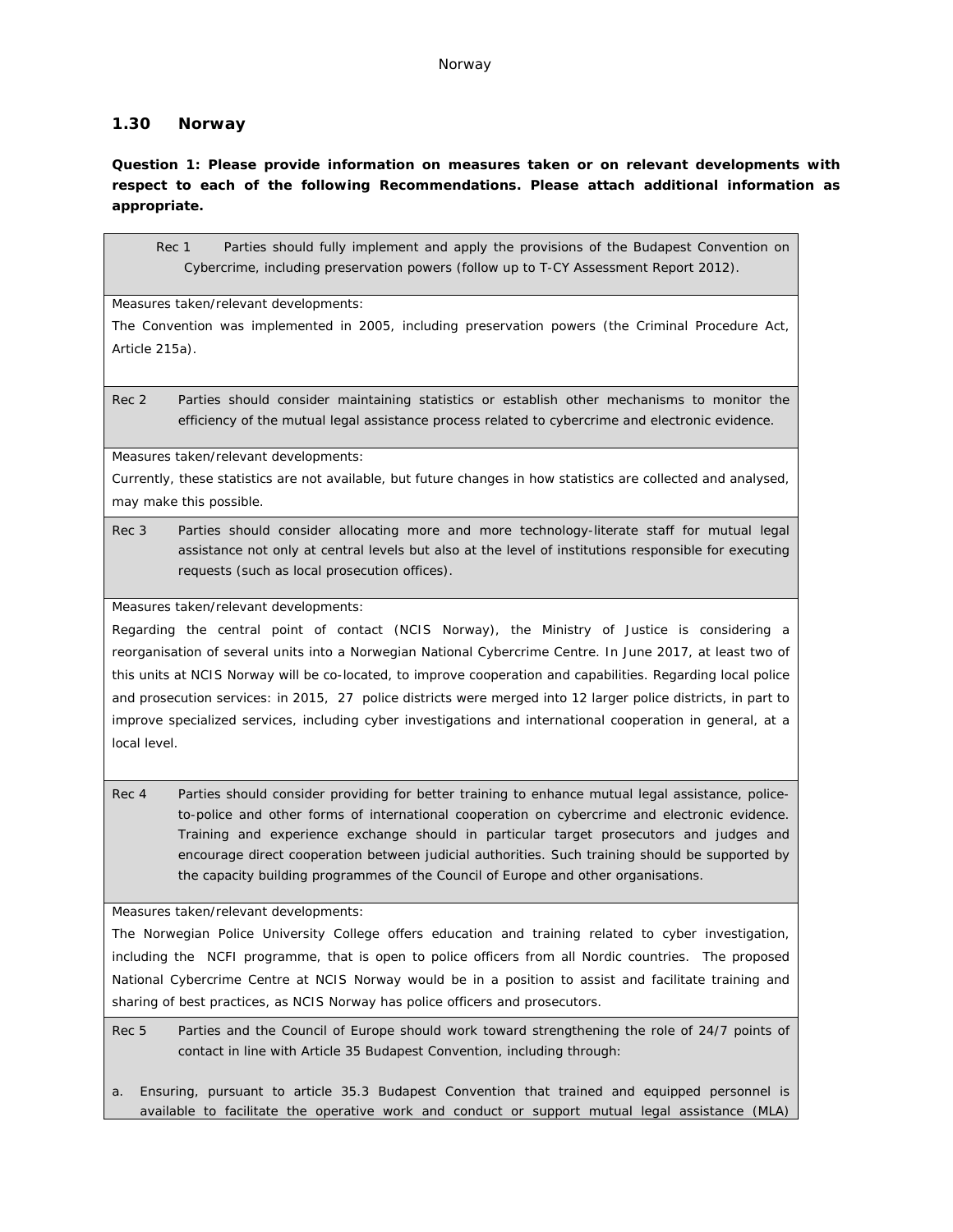## **1.30 Norway**

**Question 1: Please provide information on measures taken or on relevant developments with respect to each of the following Recommendations. Please attach additional information as appropriate.**

Rec 1 Parties should fully implement and apply the provisions of the Budapest Convention on Cybercrime, including preservation powers (follow up to T-CY Assessment Report 2012).

Measures taken/relevant developments:

The Convention was implemented in 2005, including preservation powers (the Criminal Procedure Act, Article 215a).

Rec 2 Parties should consider maintaining statistics or establish other mechanisms to monitor the efficiency of the mutual legal assistance process related to cybercrime and electronic evidence.

Measures taken/relevant developments:

Currently, these statistics are not available, but future changes in how statistics are collected and analysed, may make this possible.

Rec 3 Parties should consider allocating more and more technology-literate staff for mutual legal assistance not only at central levels but also at the level of institutions responsible for executing requests (such as local prosecution offices).

Measures taken/relevant developments:

Regarding the central point of contact (NCIS Norway), the Ministry of Justice is considering a reorganisation of several units into a Norwegian National Cybercrime Centre. In June 2017, at least two of this units at NCIS Norway will be co-located, to improve cooperation and capabilities. Regarding local police and prosecution services: in 2015, 27 police districts were merged into 12 larger police districts, in part to improve specialized services, including cyber investigations and international cooperation in general, at a local level.

Rec 4 Parties should consider providing for better training to enhance mutual legal assistance, policeto-police and other forms of international cooperation on cybercrime and electronic evidence. Training and experience exchange should in particular target prosecutors and judges and encourage direct cooperation between judicial authorities. Such training should be supported by the capacity building programmes of the Council of Europe and other organisations.

Measures taken/relevant developments:

The Norwegian Police University College offers education and training related to cyber investigation, including the NCFI programme, that is open to police officers from all Nordic countries. The proposed National Cybercrime Centre at NCIS Norway would be in a position to assist and facilitate training and sharing of best practices, as NCIS Norway has police officers and prosecutors.

Rec 5 Parties and the Council of Europe should work toward strengthening the role of 24/7 points of contact in line with Article 35 Budapest Convention, including through:

a. Ensuring, pursuant to article 35.3 Budapest Convention that trained and equipped personnel is available to facilitate the operative work and conduct or support mutual legal assistance (MLA)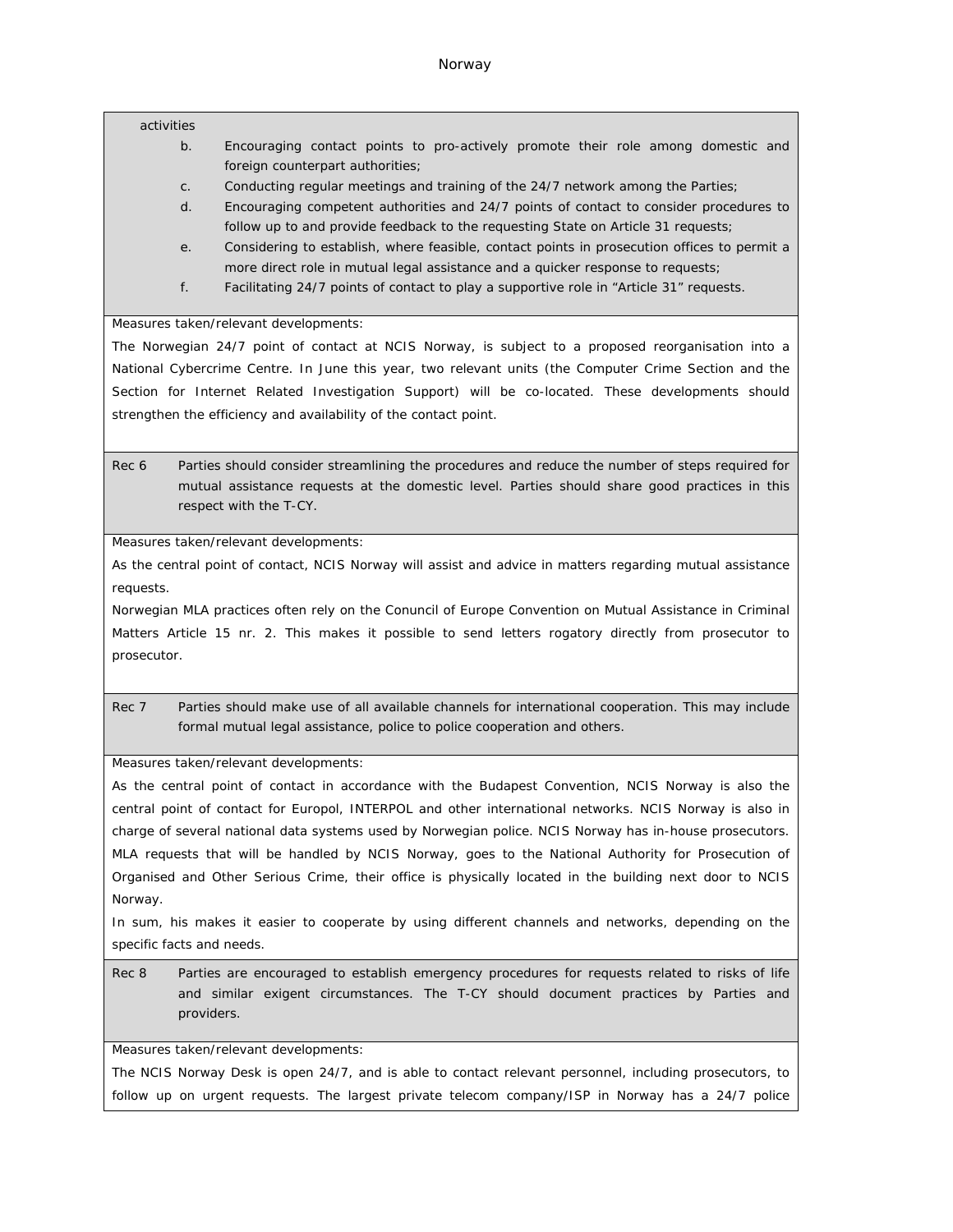#### activities

- b. Encouraging contact points to pro-actively promote their role among domestic and foreign counterpart authorities;
- c. Conducting regular meetings and training of the 24/7 network among the Parties;
- d. Encouraging competent authorities and 24/7 points of contact to consider procedures to follow up to and provide feedback to the requesting State on Article 31 requests;
- e. Considering to establish, where feasible, contact points in prosecution offices to permit a more direct role in mutual legal assistance and a quicker response to requests;
- f. Facilitating 24/7 points of contact to play a supportive role in "Article 31" requests.

Measures taken/relevant developments:

The Norwegian 24/7 point of contact at NCIS Norway, is subject to a proposed reorganisation into a National Cybercrime Centre. In June this year, two relevant units (the Computer Crime Section and the Section for Internet Related Investigation Support) will be co-located. These developments should strengthen the efficiency and availability of the contact point.

Rec 6 Parties should consider streamlining the procedures and reduce the number of steps required for mutual assistance requests at the domestic level. Parties should share good practices in this respect with the T-CY.

Measures taken/relevant developments:

As the central point of contact, NCIS Norway will assist and advice in matters regarding mutual assistance requests.

Norwegian MLA practices often rely on the Conuncil of Europe Convention on Mutual Assistance in Criminal Matters Article 15 nr. 2. This makes it possible to send letters rogatory directly from prosecutor to prosecutor.

Rec 7 Parties should make use of all available channels for international cooperation. This may include formal mutual legal assistance, police to police cooperation and others.

Measures taken/relevant developments:

As the central point of contact in accordance with the Budapest Convention, NCIS Norway is also the central point of contact for Europol, INTERPOL and other international networks. NCIS Norway is also in charge of several national data systems used by Norwegian police. NCIS Norway has in-house prosecutors. MLA requests that will be handled by NCIS Norway, goes to the National Authority for Prosecution of Organised and Other Serious Crime, their office is physically located in the building next door to NCIS Norway.

In sum, his makes it easier to cooperate by using different channels and networks, depending on the specific facts and needs.

Rec 8 Parties are encouraged to establish emergency procedures for requests related to risks of life and similar exigent circumstances. The T-CY should document practices by Parties and providers.

Measures taken/relevant developments:

The NCIS Norway Desk is open 24/7, and is able to contact relevant personnel, including prosecutors, to follow up on urgent requests. The largest private telecom company/ISP in Norway has a 24/7 police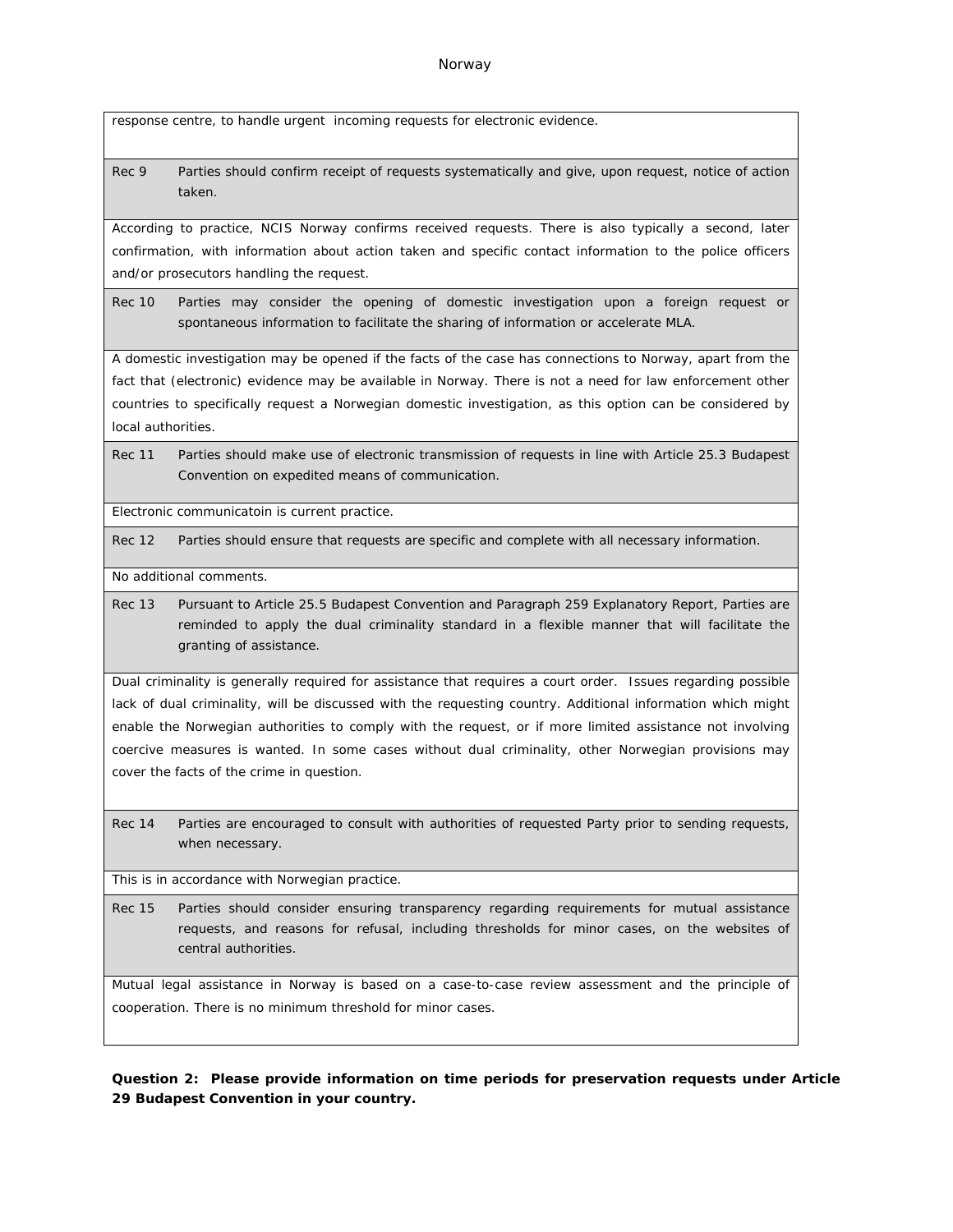response centre, to handle urgent incoming requests for electronic evidence.

Rec 9 Parties should confirm receipt of requests systematically and give, upon request, notice of action taken.

According to practice, NCIS Norway confirms received requests. There is also typically a second, later confirmation, with information about action taken and specific contact information to the police officers and/or prosecutors handling the request.

Rec 10 Parties may consider the opening of domestic investigation upon a foreign request or spontaneous information to facilitate the sharing of information or accelerate MLA.

A domestic investigation may be opened if the facts of the case has connections to Norway, apart from the fact that (electronic) evidence may be available in Norway. There is not a need for law enforcement other countries to specifically request a Norwegian domestic investigation, as this option can be considered by local authorities.

Rec 11 Parties should make use of electronic transmission of requests in line with Article 25.3 Budapest Convention on expedited means of communication.

Electronic communicatoin is current practice.

Rec 12 Parties should ensure that requests are specific and complete with all necessary information.

No additional comments.

Rec 13 Pursuant to Article 25.5 Budapest Convention and Paragraph 259 Explanatory Report, Parties are reminded to apply the dual criminality standard in a flexible manner that will facilitate the granting of assistance.

Dual criminality is generally required for assistance that requires a court order. Issues regarding possible lack of dual criminality, will be discussed with the requesting country. Additional information which might enable the Norwegian authorities to comply with the request, or if more limited assistance not involving coercive measures is wanted. In some cases without dual criminality, other Norwegian provisions may cover the facts of the crime in question.

Rec 14 Parties are encouraged to consult with authorities of requested Party prior to sending requests, when necessary.

This is in accordance with Norwegian practice.

Rec 15 Parties should consider ensuring transparency regarding requirements for mutual assistance requests, and reasons for refusal, including thresholds for minor cases, on the websites of central authorities.

Mutual legal assistance in Norway is based on a case-to-case review assessment and the principle of cooperation. There is no minimum threshold for minor cases.

**Question 2: Please provide information on time periods for preservation requests under Article 29 Budapest Convention in your country.**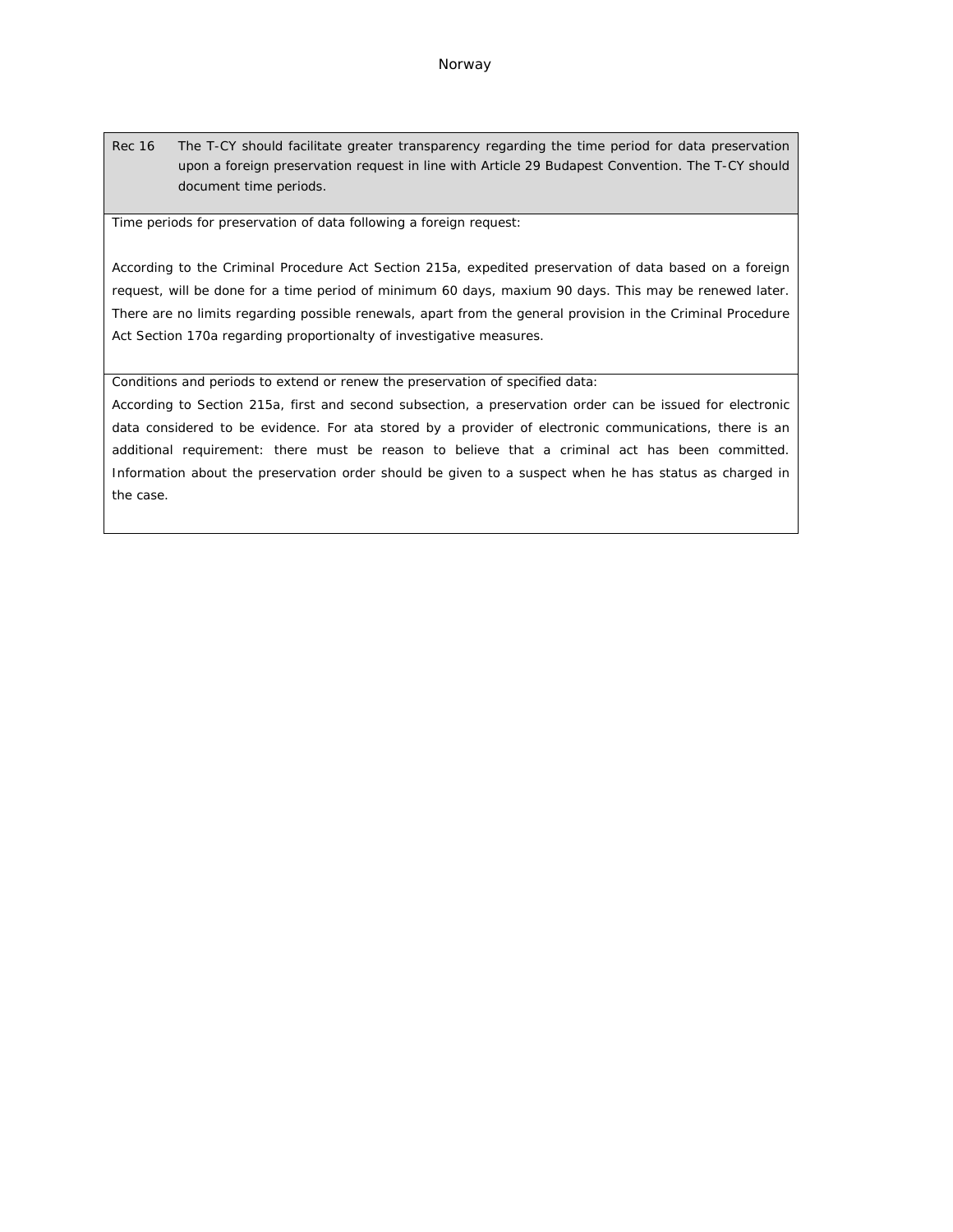Rec 16 The T-CY should facilitate greater transparency regarding the time period for data preservation upon a foreign preservation request in line with Article 29 Budapest Convention. The T-CY should document time periods.

Time periods for preservation of data following a foreign request:

According to the Criminal Procedure Act Section 215a, expedited preservation of data based on a foreign request, will be done for a time period of minimum 60 days, maxium 90 days. This may be renewed later. There are no limits regarding possible renewals, apart from the general provision in the Criminal Procedure Act Section 170a regarding proportionalty of investigative measures.

Conditions and periods to extend or renew the preservation of specified data:

According to Section 215a, first and second subsection, a preservation order can be issued for electronic data considered to be evidence. For ata stored by a provider of electronic communications, there is an additional requirement: there must be reason to believe that a criminal act has been committed. Information about the preservation order should be given to a suspect when he has status as charged in the case.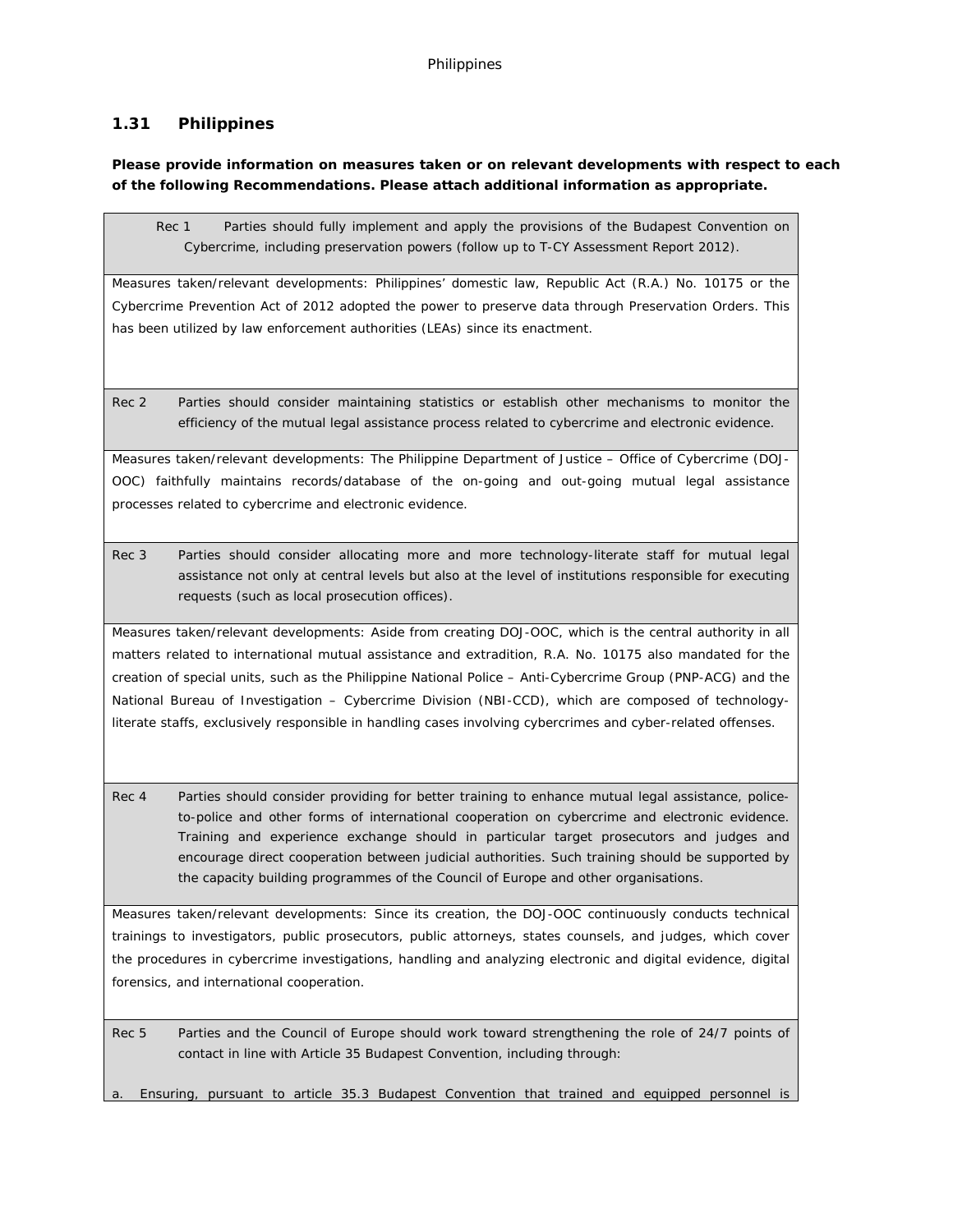# **1.31 Philippines**

**Please provide information on measures taken or on relevant developments with respect to each of the following Recommendations. Please attach additional information as appropriate.**

Rec 1 Parties should fully implement and apply the provisions of the Budapest Convention on Cybercrime, including preservation powers (follow up to T-CY Assessment Report 2012).

Measures taken/relevant developments: Philippines' domestic law, Republic Act (R.A.) No. 10175 or the Cybercrime Prevention Act of 2012 adopted the power to preserve data through Preservation Orders. This has been utilized by law enforcement authorities (LEAs) since its enactment.

Rec 2 Parties should consider maintaining statistics or establish other mechanisms to monitor the efficiency of the mutual legal assistance process related to cybercrime and electronic evidence.

Measures taken/relevant developments: The Philippine Department of Justice – Office of Cybercrime (DOJ-OOC) faithfully maintains records/database of the on-going and out-going mutual legal assistance processes related to cybercrime and electronic evidence.

Rec 3 Parties should consider allocating more and more technology-literate staff for mutual legal assistance not only at central levels but also at the level of institutions responsible for executing requests (such as local prosecution offices).

Measures taken/relevant developments: Aside from creating DOJ-OOC, which is the central authority in all matters related to international mutual assistance and extradition, R.A. No. 10175 also mandated for the creation of special units, such as the Philippine National Police – Anti-Cybercrime Group (PNP-ACG) and the National Bureau of Investigation – Cybercrime Division (NBI-CCD), which are composed of technologyliterate staffs, exclusively responsible in handling cases involving cybercrimes and cyber-related offenses.

Rec 4 Parties should consider providing for better training to enhance mutual legal assistance, policeto-police and other forms of international cooperation on cybercrime and electronic evidence. Training and experience exchange should in particular target prosecutors and judges and encourage direct cooperation between judicial authorities. Such training should be supported by the capacity building programmes of the Council of Europe and other organisations.

Measures taken/relevant developments: Since its creation, the DOJ-OOC continuously conducts technical trainings to investigators, public prosecutors, public attorneys, states counsels, and judges, which cover the procedures in cybercrime investigations, handling and analyzing electronic and digital evidence, digital forensics, and international cooperation.

Rec 5 Parties and the Council of Europe should work toward strengthening the role of 24/7 points of contact in line with Article 35 Budapest Convention, including through:

a. Ensuring, pursuant to article 35.3 Budapest Convention that trained and equipped personnel is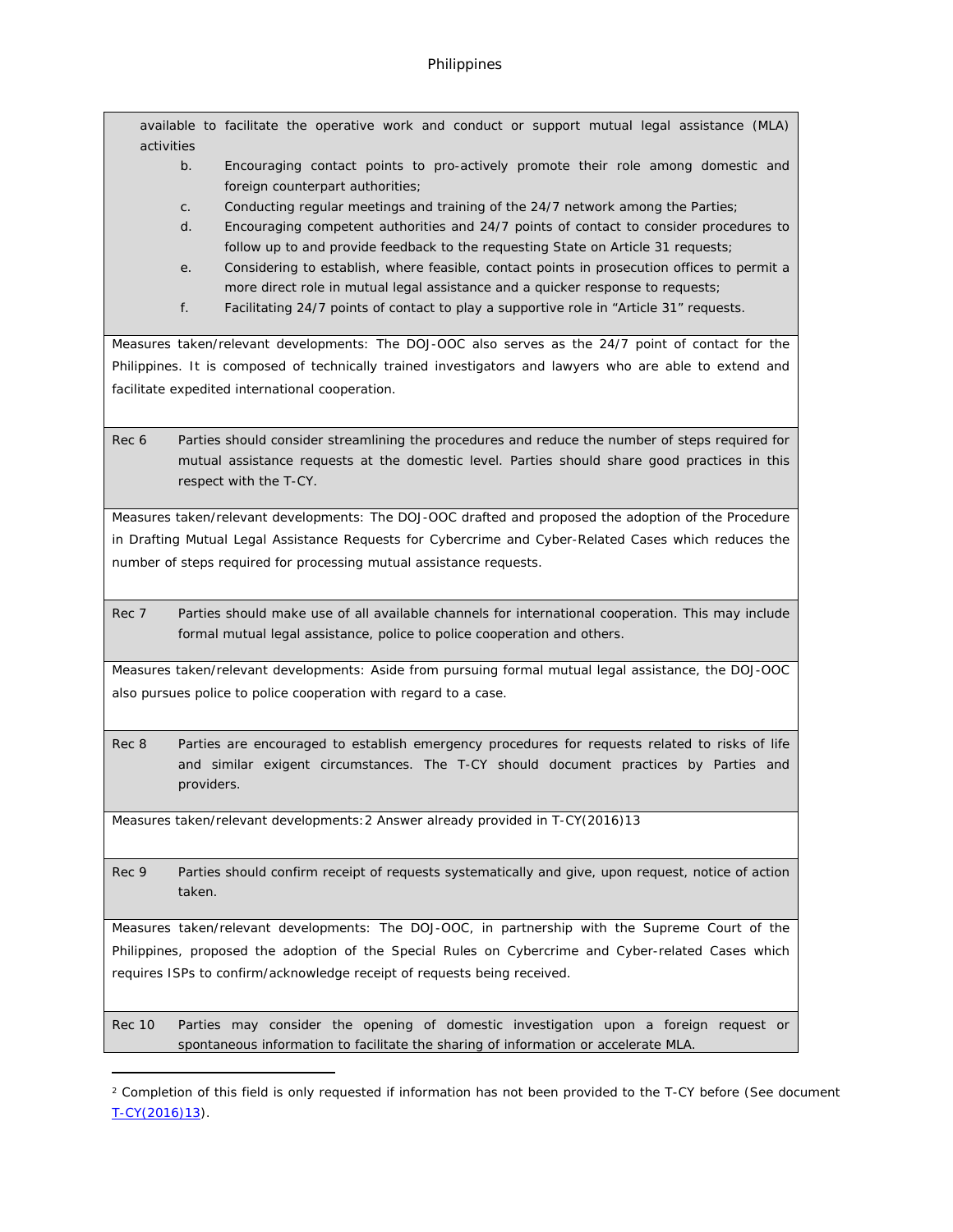available to facilitate the operative work and conduct or support mutual legal assistance (MLA) activities

- b. Encouraging contact points to pro-actively promote their role among domestic and foreign counterpart authorities;
- c. Conducting regular meetings and training of the 24/7 network among the Parties;
- d. Encouraging competent authorities and 24/7 points of contact to consider procedures to follow up to and provide feedback to the requesting State on Article 31 requests;
- e. Considering to establish, where feasible, contact points in prosecution offices to permit a more direct role in mutual legal assistance and a quicker response to requests;
- f. Facilitating 24/7 points of contact to play a supportive role in "Article 31" requests.

Measures taken/relevant developments: The DOJ-OOC also serves as the 24/7 point of contact for the Philippines. It is composed of technically trained investigators and lawyers who are able to extend and facilitate expedited international cooperation.

Rec 6 Parties should consider streamlining the procedures and reduce the number of steps required for mutual assistance requests at the domestic level. Parties should share good practices in this respect with the T-CY.

Measures taken/relevant developments: The DOJ-OOC drafted and proposed the adoption of the Procedure in Drafting Mutual Legal Assistance Requests for Cybercrime and Cyber-Related Cases which reduces the number of steps required for processing mutual assistance requests.

Rec 7 Parties should make use of all available channels for international cooperation. This may include formal mutual legal assistance, police to police cooperation and others.

Measures taken/relevant developments: Aside from pursuing formal mutual legal assistance, the DOJ-OOC also pursues police to police cooperation with regard to a case.

Rec 8 Parties are encouraged to establish emergency procedures for requests related to risks of life and similar exigent circumstances. The T-CY should document practices by Parties and providers.

Measures taken/relevant developments:2 Answer already provided in [T-CY\(2016\)13](https://rm.coe.int/CoERMPublicCommonSearchServices/DisplayDCTMContent?documentId=0900001680651a6f)

Rec 9 Parties should confirm receipt of requests systematically and give, upon request, notice of action taken.

Measures taken/relevant developments: The DOJ-OOC, in partnership with the Supreme Court of the Philippines, proposed the adoption of the Special Rules on Cybercrime and Cyber-related Cases which requires ISPs to confirm/acknowledge receipt of requests being received.

Rec 10 Parties may consider the opening of domestic investigation upon a foreign request or spontaneous information to facilitate the sharing of information or accelerate MLA.

<sup>&</sup>lt;sup>2</sup> Completion of this field is only requested if information has not been provided to the T-CY before (See document [T-CY\(2016\)13\)](https://rm.coe.int/CoERMPublicCommonSearchServices/DisplayDCTMContent?documentId=0900001680651a6f).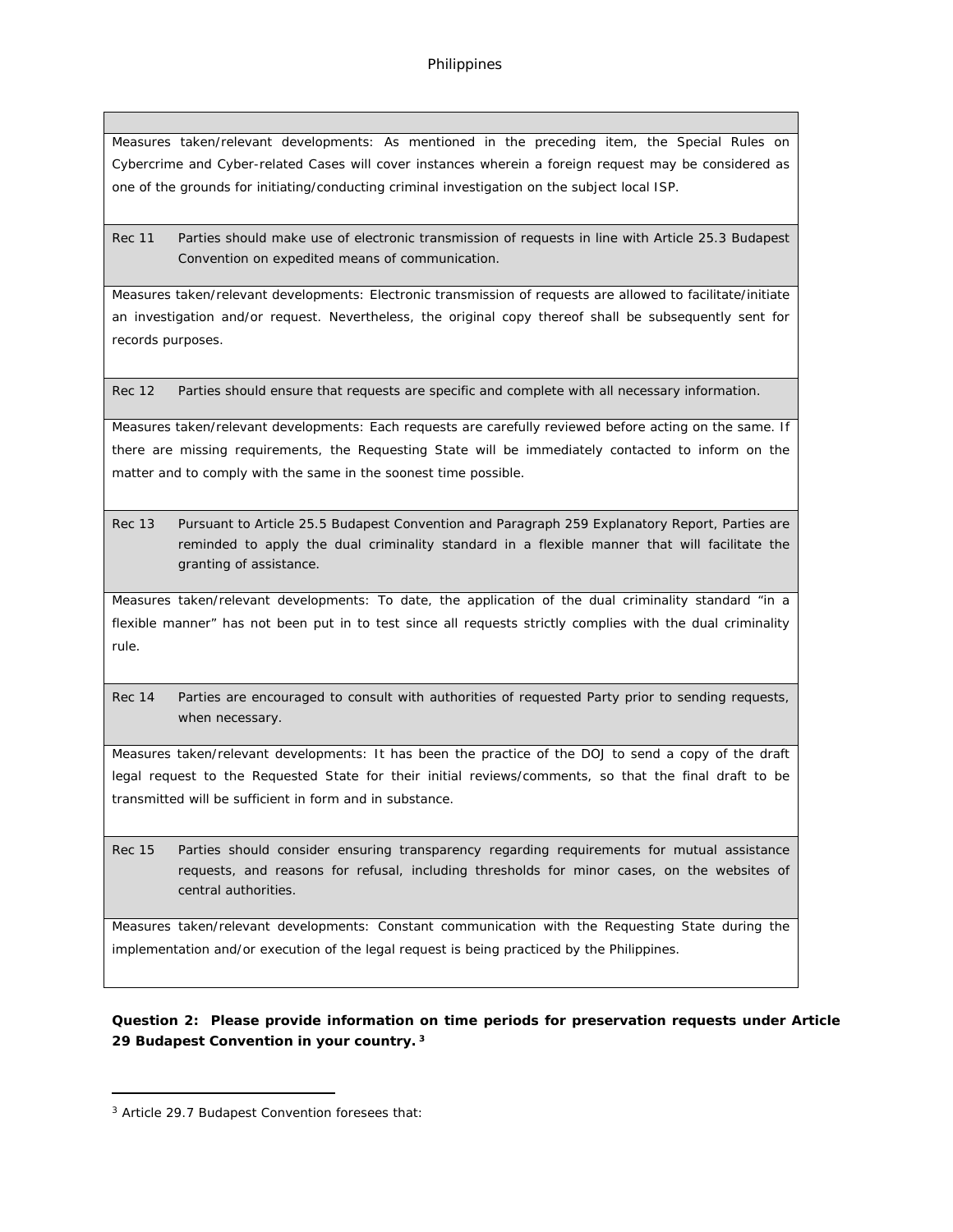Measures taken/relevant developments: As mentioned in the preceding item, the Special Rules on Cybercrime and Cyber-related Cases will cover instances wherein a foreign request may be considered as one of the grounds for initiating/conducting criminal investigation on the subject local ISP.

Rec 11 Parties should make use of electronic transmission of requests in line with Article 25.3 Budapest Convention on expedited means of communication.

Measures taken/relevant developments: Electronic transmission of requests are allowed to facilitate/initiate an investigation and/or request. Nevertheless, the original copy thereof shall be subsequently sent for records purposes.

Rec 12 Parties should ensure that requests are specific and complete with all necessary information.

Measures taken/relevant developments: Each requests are carefully reviewed before acting on the same. If there are missing requirements, the Requesting State will be immediately contacted to inform on the matter and to comply with the same in the soonest time possible.

Rec 13 Pursuant to Article 25.5 Budapest Convention and Paragraph 259 Explanatory Report, Parties are reminded to apply the dual criminality standard in a flexible manner that will facilitate the granting of assistance.

Measures taken/relevant developments: To date, the application of the dual criminality standard "in a flexible manner" has not been put in to test since all requests strictly complies with the dual criminality rule.

Rec 14 Parties are encouraged to consult with authorities of requested Party prior to sending requests, when necessary.

Measures taken/relevant developments: It has been the practice of the DOJ to send a copy of the draft legal request to the Requested State for their initial reviews/comments, so that the final draft to be transmitted will be sufficient in form and in substance.

Rec 15 Parties should consider ensuring transparency regarding requirements for mutual assistance requests, and reasons for refusal, including thresholds for minor cases, on the websites of central authorities.

Measures taken/relevant developments: Constant communication with the Requesting State during the implementation and/or execution of the legal request is being practiced by the Philippines.

**Question 2: Please provide information on time periods for preservation requests under Article 29 Budapest Convention in your country.<sup>3</sup>**

<sup>3</sup> Article 29.7 Budapest Convention foresees that: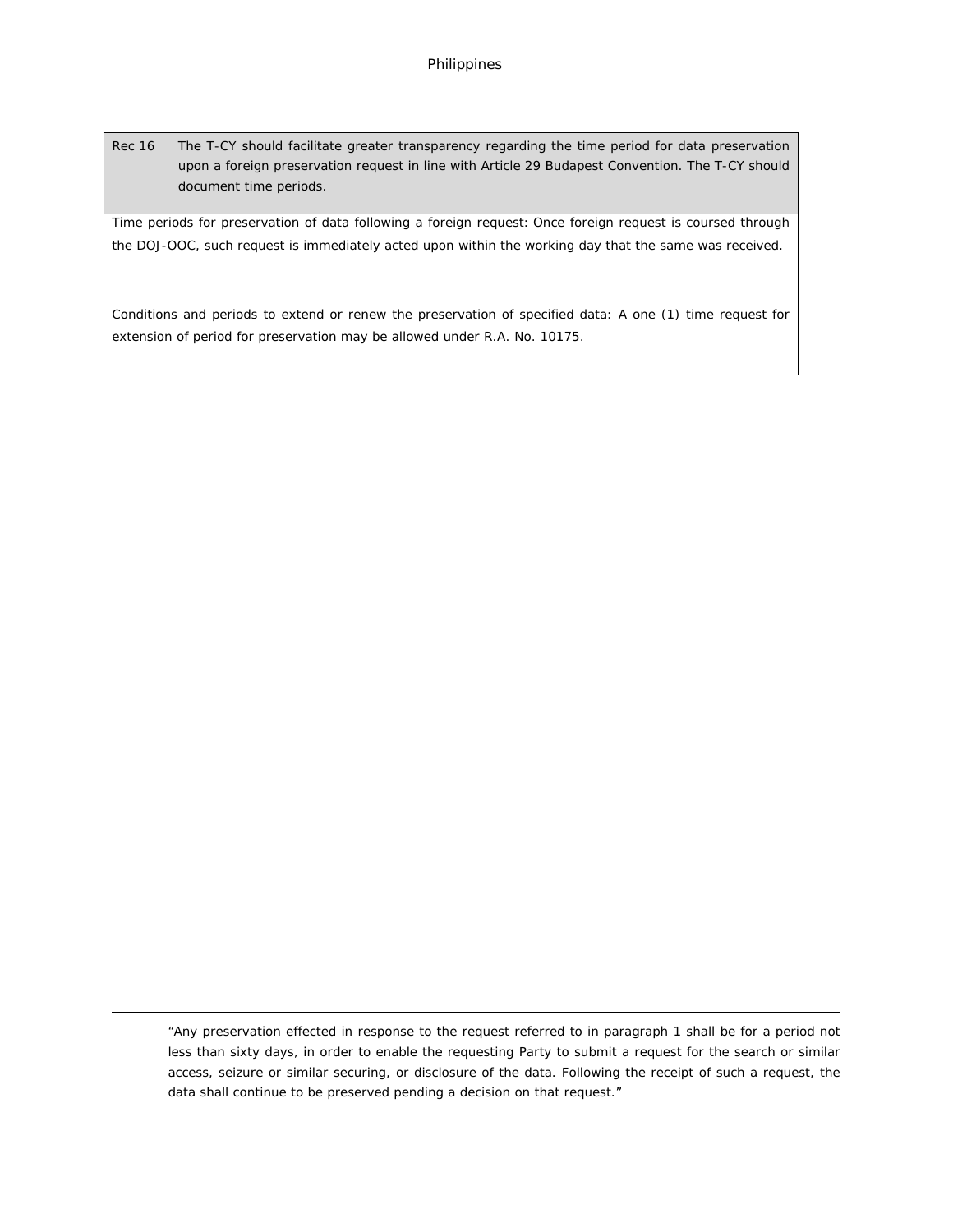Rec 16 The T-CY should facilitate greater transparency regarding the time period for data preservation upon a foreign preservation request in line with Article 29 Budapest Convention. The T-CY should document time periods.

Time periods for preservation of data following a foreign request: Once foreign request is coursed through the DOJ-OOC, such request is immediately acted upon within the working day that the same was received.

Conditions and periods to extend or renew the preservation of specified data: A one (1) time request for extension of period for preservation may be allowed under R.A. No. 10175.

"Any preservation effected in response to the request referred to in paragraph 1 shall be for a period not less than sixty days, in order to enable the requesting Party to submit a request for the search or similar access, seizure or similar securing, or disclosure of the data. Following the receipt of such a request, the data shall continue to be preserved pending a decision on that request."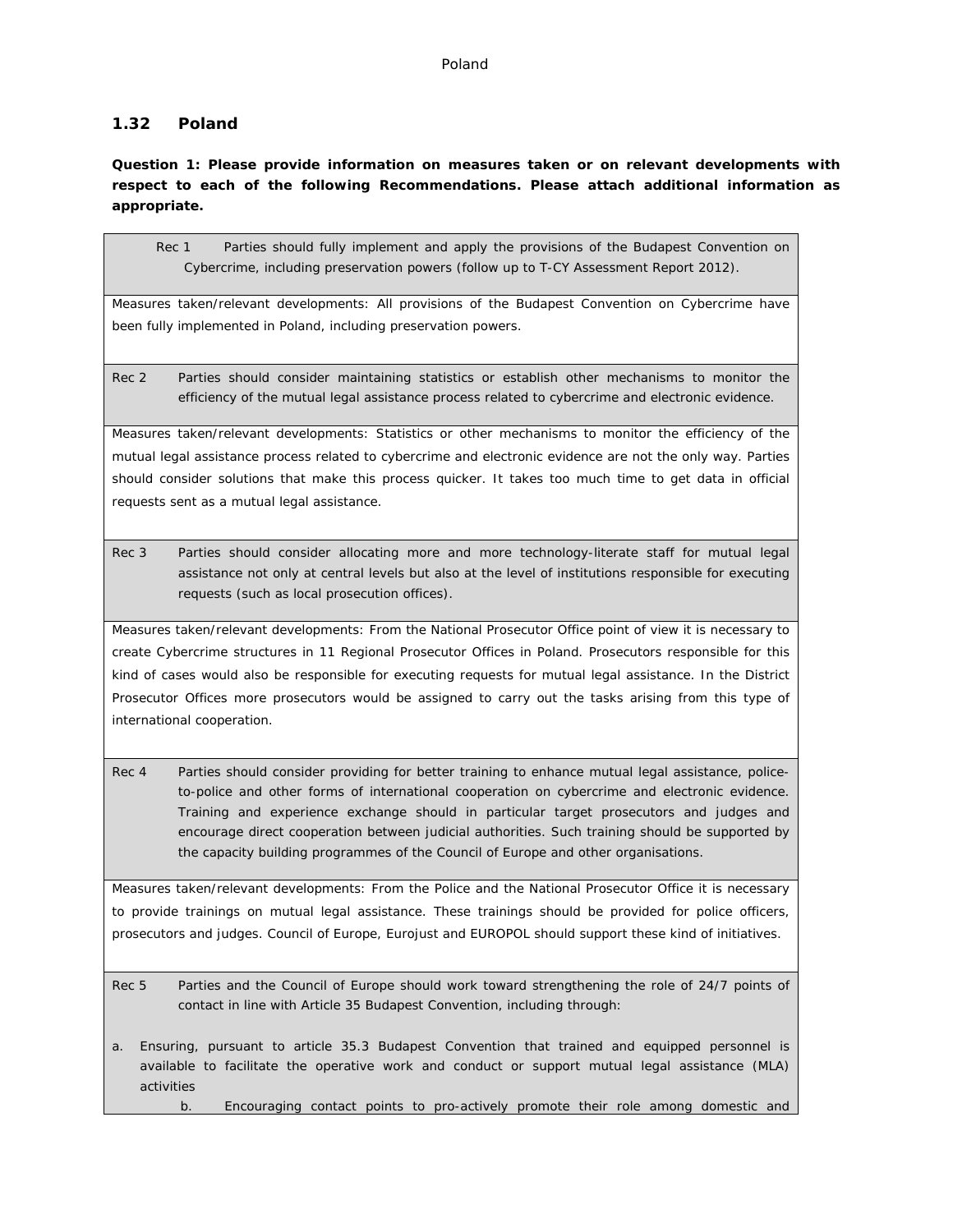#### Poland

## **1.32 Poland**

**Question 1: Please provide information on measures taken or on relevant developments with respect to each of the following Recommendations. Please attach additional information as appropriate.**

Rec 1 Parties should fully implement and apply the provisions of the Budapest Convention on Cybercrime, including preservation powers (follow up to T-CY Assessment Report 2012).

Measures taken/relevant developments: All provisions of the Budapest Convention on Cybercrime have been fully implemented in Poland, including preservation powers.

Rec 2 Parties should consider maintaining statistics or establish other mechanisms to monitor the efficiency of the mutual legal assistance process related to cybercrime and electronic evidence.

Measures taken/relevant developments: Statistics or other mechanisms to monitor the efficiency of the mutual legal assistance process related to cybercrime and electronic evidence are not the only way. Parties should consider solutions that make this process quicker. It takes too much time to get data in official requests sent as a mutual legal assistance.

Rec 3 Parties should consider allocating more and more technology-literate staff for mutual legal assistance not only at central levels but also at the level of institutions responsible for executing requests (such as local prosecution offices).

Measures taken/relevant developments: From the National Prosecutor Office point of view it is necessary to create Cybercrime structures in 11 Regional Prosecutor Offices in Poland. Prosecutors responsible for this kind of cases would also be responsible for executing requests for mutual legal assistance. In the District Prosecutor Offices more prosecutors would be assigned to carry out the tasks arising from this type of international cooperation.

Rec 4 Parties should consider providing for better training to enhance mutual legal assistance, policeto-police and other forms of international cooperation on cybercrime and electronic evidence. Training and experience exchange should in particular target prosecutors and judges and encourage direct cooperation between judicial authorities. Such training should be supported by the capacity building programmes of the Council of Europe and other organisations.

Measures taken/relevant developments: From the Police and the National Prosecutor Office it is necessary to provide trainings on mutual legal assistance. These trainings should be provided for police officers, prosecutors and judges. Council of Europe, Eurojust and EUROPOL should support these kind of initiatives.

Rec 5 Parties and the Council of Europe should work toward strengthening the role of 24/7 points of contact in line with Article 35 Budapest Convention, including through:

a. Ensuring, pursuant to article 35.3 Budapest Convention that trained and equipped personnel is available to facilitate the operative work and conduct or support mutual legal assistance (MLA) activities

b. Encouraging contact points to pro-actively promote their role among domestic and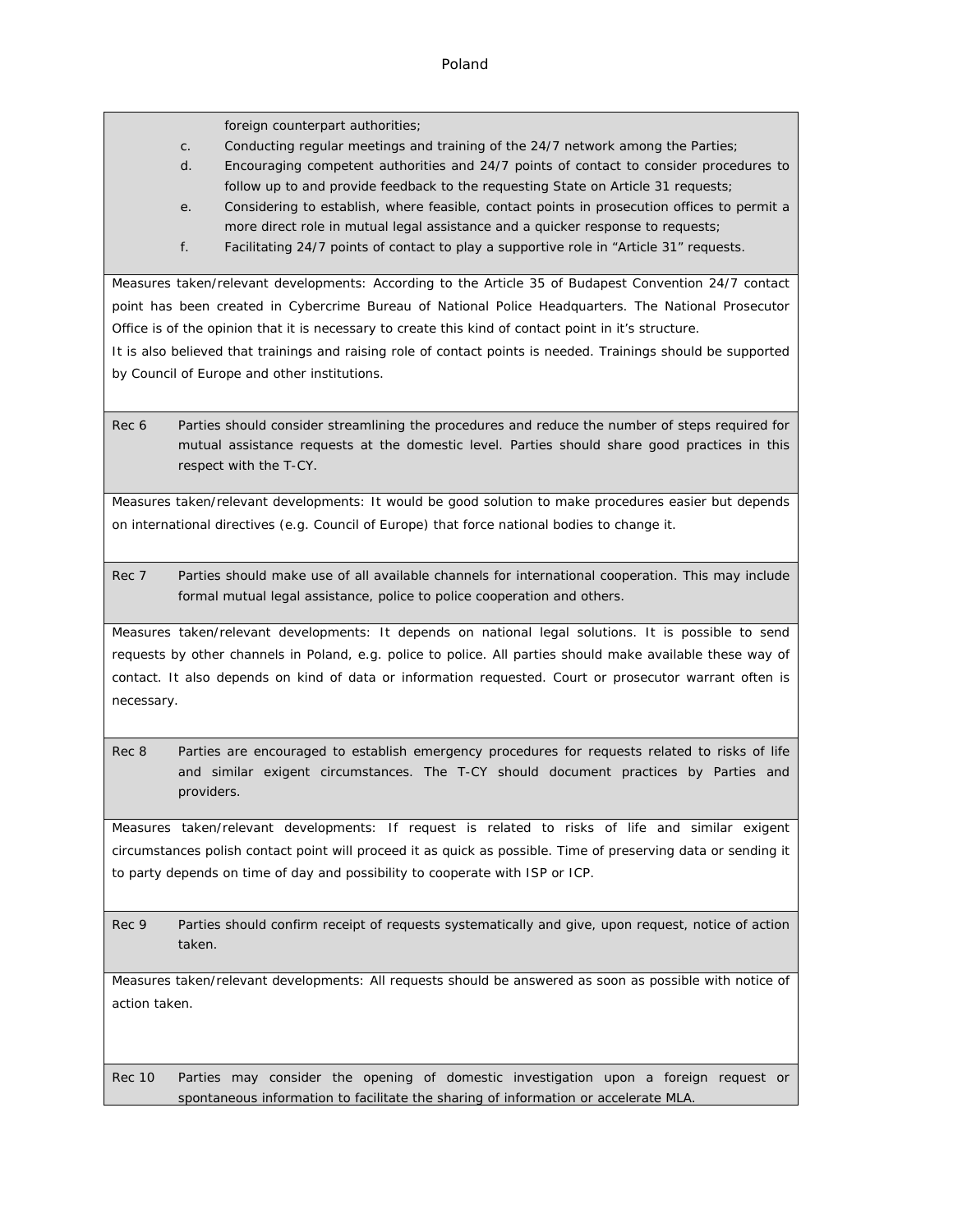foreign counterpart authorities;

- c. Conducting regular meetings and training of the 24/7 network among the Parties;
- d. Encouraging competent authorities and 24/7 points of contact to consider procedures to follow up to and provide feedback to the requesting State on Article 31 requests;
- e. Considering to establish, where feasible, contact points in prosecution offices to permit a more direct role in mutual legal assistance and a quicker response to requests;
- f. Facilitating 24/7 points of contact to play a supportive role in "Article 31" requests.

Measures taken/relevant developments: According to the Article 35 of Budapest Convention 24/7 contact point has been created in Cybercrime Bureau of National Police Headquarters. The National Prosecutor Office is of the opinion that it is necessary to create this kind of contact point in it's structure.

It is also believed that trainings and raising role of contact points is needed. Trainings should be supported by Council of Europe and other institutions.

Rec 6 Parties should consider streamlining the procedures and reduce the number of steps required for mutual assistance requests at the domestic level. Parties should share good practices in this respect with the T-CY.

Measures taken/relevant developments: It would be good solution to make procedures easier but depends on international directives (e.g. Council of Europe) that force national bodies to change it.

Rec 7 Parties should make use of all available channels for international cooperation. This may include formal mutual legal assistance, police to police cooperation and others.

Measures taken/relevant developments: It depends on national legal solutions. It is possible to send requests by other channels in Poland, e.g. police to police. All parties should make available these way of contact. It also depends on kind of data or information requested. Court or prosecutor warrant often is necessary.

Rec 8 Parties are encouraged to establish emergency procedures for requests related to risks of life and similar exigent circumstances. The T-CY should document practices by Parties and providers.

Measures taken/relevant developments: If request is related to risks of life and similar exigent circumstances polish contact point will proceed it as quick as possible. Time of preserving data or sending it to party depends on time of day and possibility to cooperate with ISP or ICP.

Rec 9 Parties should confirm receipt of requests systematically and give, upon request, notice of action taken.

Measures taken/relevant developments: All requests should be answered as soon as possible with notice of action taken.

Rec 10 Parties may consider the opening of domestic investigation upon a foreign request or spontaneous information to facilitate the sharing of information or accelerate MLA.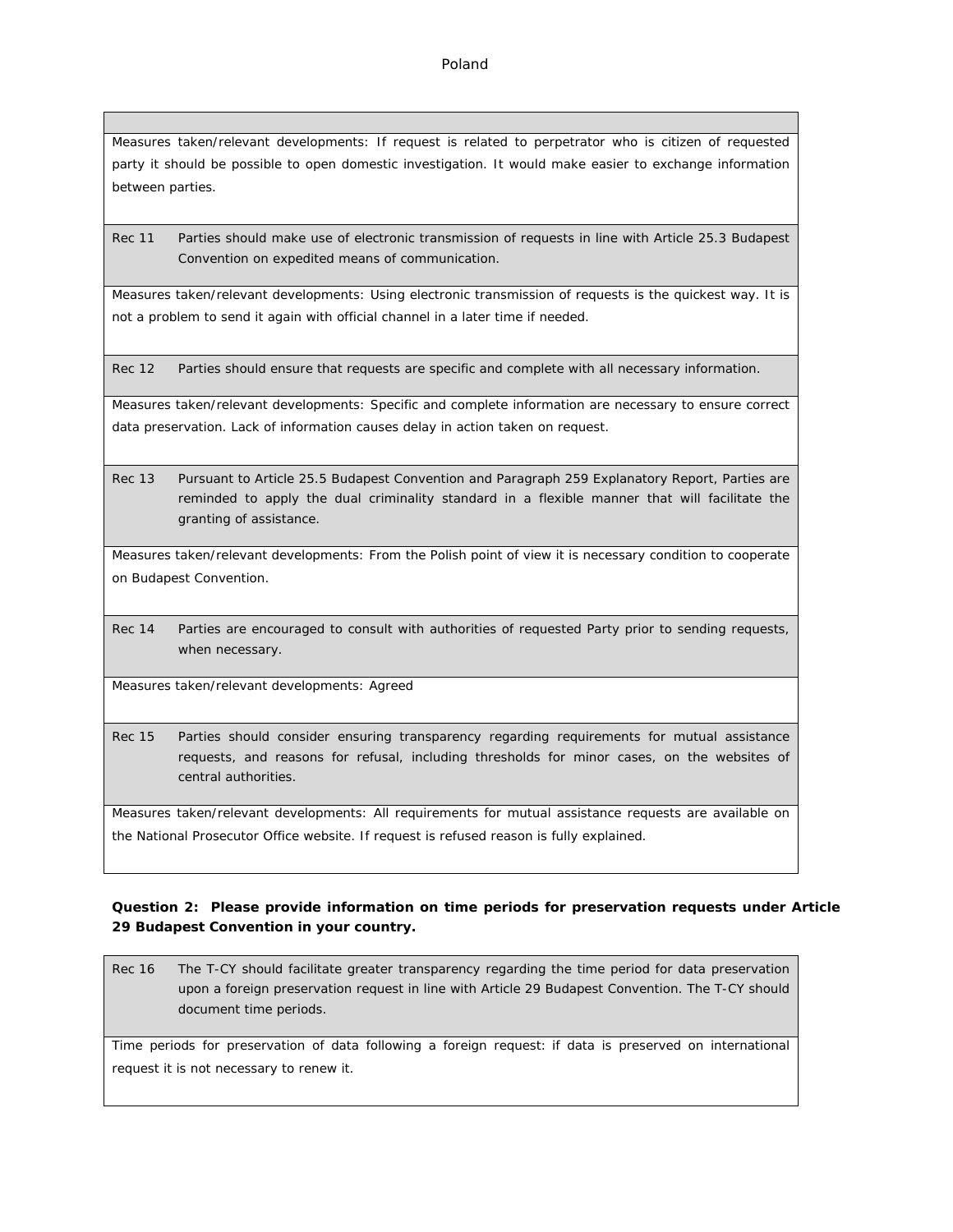Measures taken/relevant developments: If request is related to perpetrator who is citizen of requested party it should be possible to open domestic investigation. It would make easier to exchange information between parties.

Rec 11 Parties should make use of electronic transmission of requests in line with Article 25.3 Budapest Convention on expedited means of communication.

Measures taken/relevant developments: Using electronic transmission of requests is the quickest way. It is not a problem to send it again with official channel in a later time if needed.

Rec 12 Parties should ensure that requests are specific and complete with all necessary information.

Measures taken/relevant developments: Specific and complete information are necessary to ensure correct data preservation. Lack of information causes delay in action taken on request.

Rec 13 Pursuant to Article 25.5 Budapest Convention and Paragraph 259 Explanatory Report, Parties are reminded to apply the dual criminality standard in a flexible manner that will facilitate the granting of assistance.

Measures taken/relevant developments: From the Polish point of view it is necessary condition to cooperate on Budapest Convention.

Rec 14 Parties are encouraged to consult with authorities of requested Party prior to sending requests, when necessary.

Measures taken/relevant developments: Agreed

Rec 15 Parties should consider ensuring transparency regarding requirements for mutual assistance requests, and reasons for refusal, including thresholds for minor cases, on the websites of central authorities.

Measures taken/relevant developments: All requirements for mutual assistance requests are available on the National Prosecutor Office website. If request is refused reason is fully explained.

**Question 2: Please provide information on time periods for preservation requests under Article 29 Budapest Convention in your country.**

Rec 16 The T-CY should facilitate greater transparency regarding the time period for data preservation upon a foreign preservation request in line with Article 29 Budapest Convention. The T-CY should document time periods.

Time periods for preservation of data following a foreign request: if data is preserved on international request it is not necessary to renew it.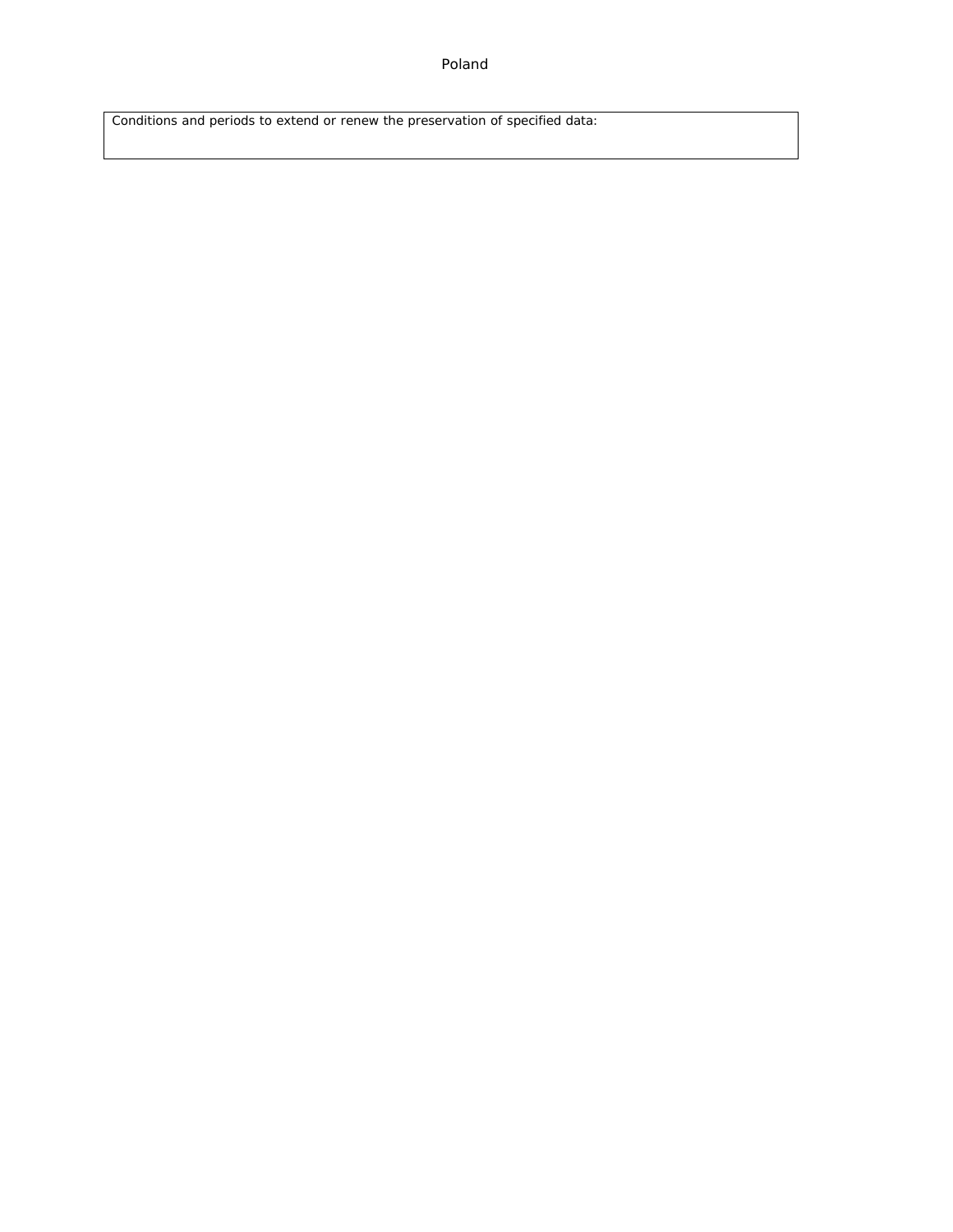Poland

Conditions and periods to extend or renew the preservation of specified data: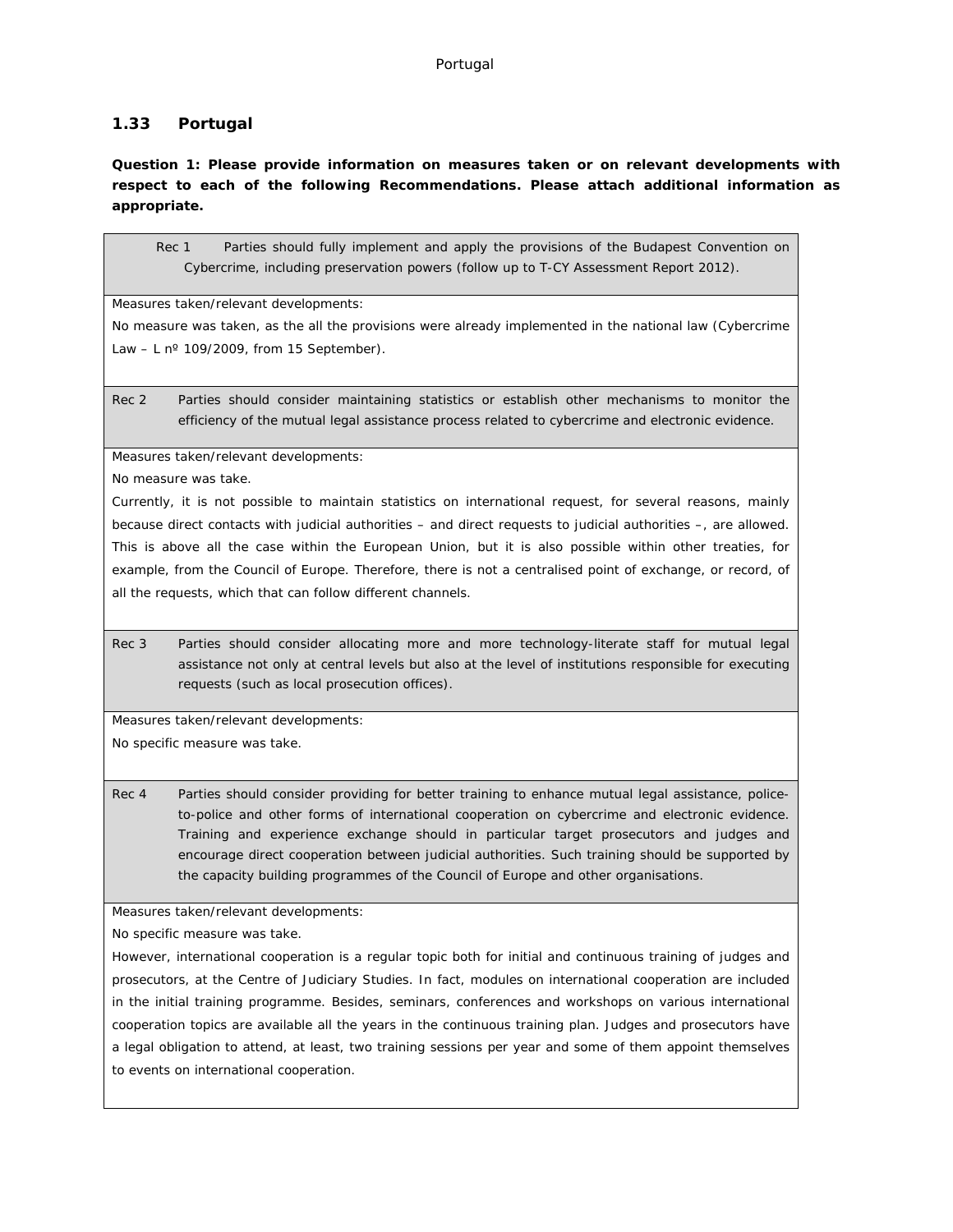# **1.33 Portugal**

**Question 1: Please provide information on measures taken or on relevant developments with respect to each of the following Recommendations. Please attach additional information as appropriate.**

Rec 1 Parties should fully implement and apply the provisions of the Budapest Convention on Cybercrime, including preservation powers (follow up to T-CY Assessment Report 2012).

Measures taken/relevant developments:

No measure was taken, as the all the provisions were already implemented in the national law (Cybercrime Law – L  $n^{\circ}$  109/2009, from 15 September).

Rec 2 Parties should consider maintaining statistics or establish other mechanisms to monitor the efficiency of the mutual legal assistance process related to cybercrime and electronic evidence.

Measures taken/relevant developments:

No measure was take.

Currently, it is not possible to maintain statistics on international request, for several reasons, mainly because direct contacts with judicial authorities – and direct requests to judicial authorities –, are allowed. This is above all the case within the European Union, but it is also possible within other treaties, for example, from the Council of Europe. Therefore, there is not a centralised point of exchange, or record, of all the requests, which that can follow different channels.

Rec 3 Parties should consider allocating more and more technology-literate staff for mutual legal assistance not only at central levels but also at the level of institutions responsible for executing requests (such as local prosecution offices).

Measures taken/relevant developments: No specific measure was take.

Rec 4 Parties should consider providing for better training to enhance mutual legal assistance, policeto-police and other forms of international cooperation on cybercrime and electronic evidence. Training and experience exchange should in particular target prosecutors and judges and encourage direct cooperation between judicial authorities. Such training should be supported by the capacity building programmes of the Council of Europe and other organisations.

Measures taken/relevant developments:

No specific measure was take.

However, international cooperation is a regular topic both for initial and continuous training of judges and prosecutors, at the Centre of Judiciary Studies. In fact, modules on international cooperation are included in the initial training programme. Besides, seminars, conferences and workshops on various international cooperation topics are available all the years in the continuous training plan. Judges and prosecutors have a legal obligation to attend, at least, two training sessions per year and some of them appoint themselves to events on international cooperation.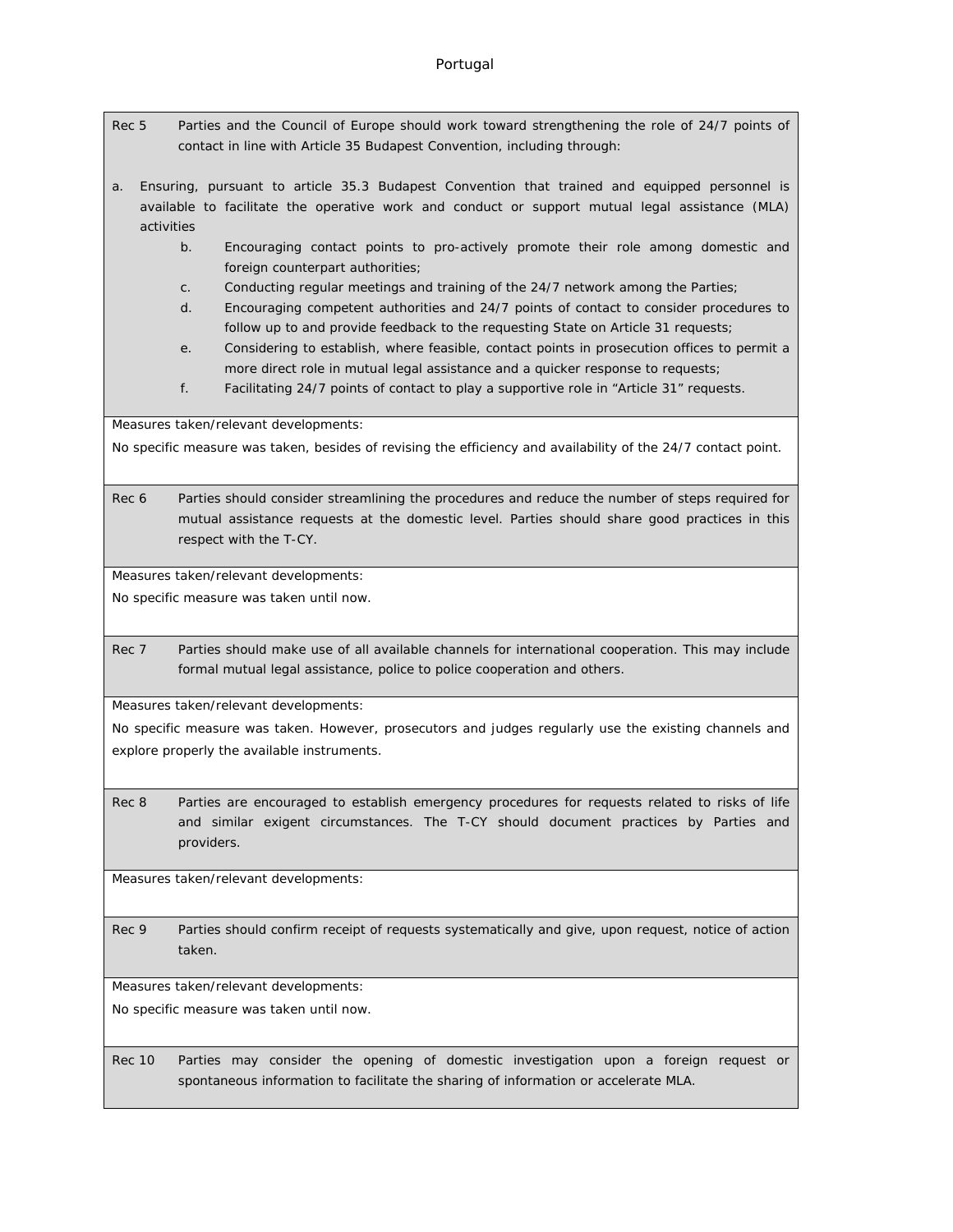- Rec 5 Parties and the Council of Europe should work toward strengthening the role of 24/7 points of contact in line with Article 35 Budapest Convention, including through:
- a. Ensuring, pursuant to article 35.3 Budapest Convention that trained and equipped personnel is available to facilitate the operative work and conduct or support mutual legal assistance (MLA) activities
	- b. Encouraging contact points to pro-actively promote their role among domestic and foreign counterpart authorities;
	- c. Conducting regular meetings and training of the 24/7 network among the Parties;
	- d. Encouraging competent authorities and 24/7 points of contact to consider procedures to follow up to and provide feedback to the requesting State on Article 31 requests;
	- e. Considering to establish, where feasible, contact points in prosecution offices to permit a more direct role in mutual legal assistance and a quicker response to requests;
	- f. Facilitating 24/7 points of contact to play a supportive role in "Article 31" requests.

Measures taken/relevant developments:

No specific measure was taken, besides of revising the efficiency and availability of the 24/7 contact point.

Rec 6 Parties should consider streamlining the procedures and reduce the number of steps required for mutual assistance requests at the domestic level. Parties should share good practices in this respect with the T-CY.

Measures taken/relevant developments:

No specific measure was taken until now.

Rec 7 Parties should make use of all available channels for international cooperation. This may include formal mutual legal assistance, police to police cooperation and others.

Measures taken/relevant developments:

No specific measure was taken. However, prosecutors and judges regularly use the existing channels and explore properly the available instruments.

Rec 8 Parties are encouraged to establish emergency procedures for requests related to risks of life and similar exigent circumstances. The T-CY should document practices by Parties and providers.

Measures taken/relevant developments:

Rec 9 Parties should confirm receipt of requests systematically and give, upon request, notice of action taken.

Measures taken/relevant developments:

No specific measure was taken until now.

Rec 10 Parties may consider the opening of domestic investigation upon a foreign request or spontaneous information to facilitate the sharing of information or accelerate MLA.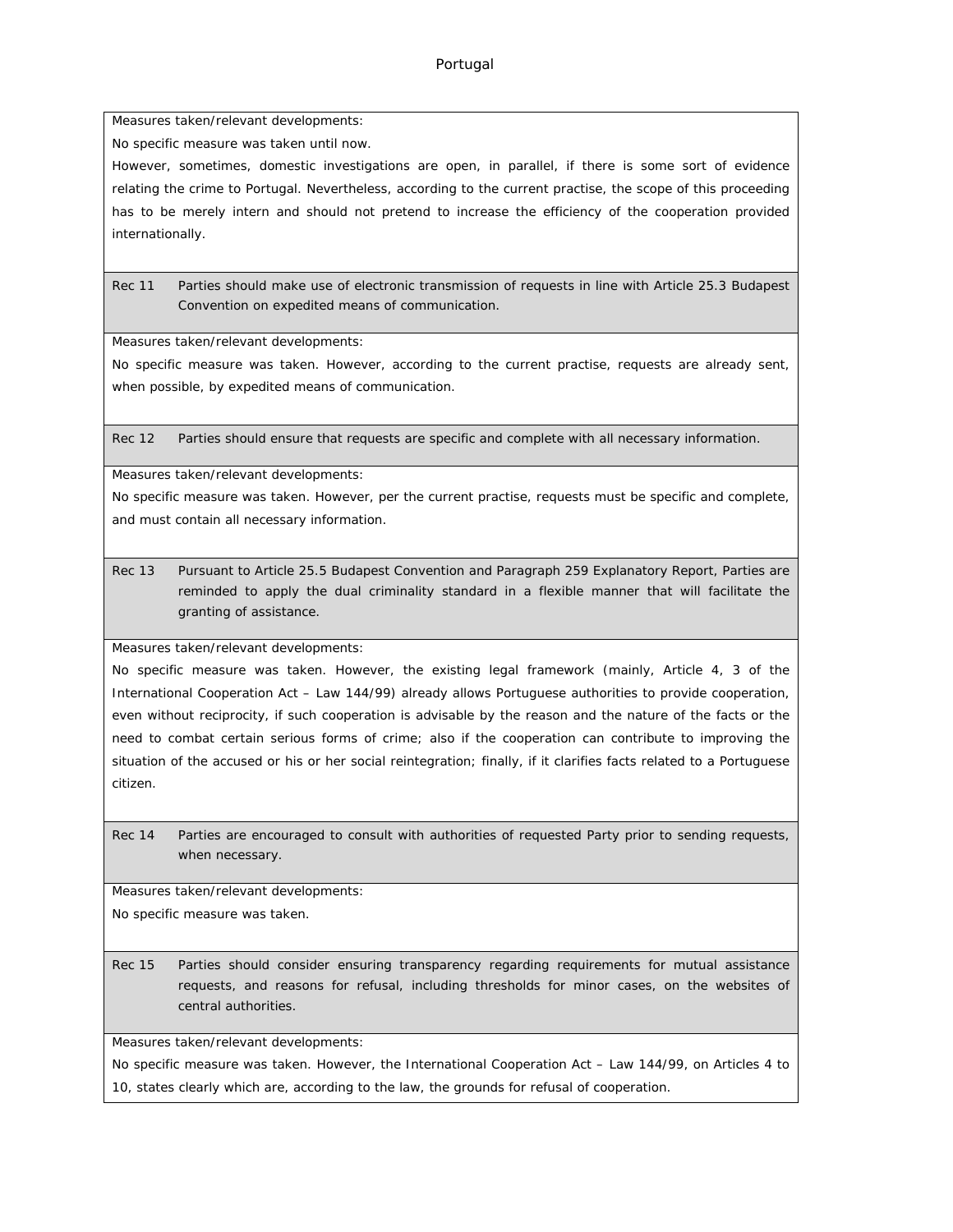Measures taken/relevant developments:

No specific measure was taken until now.

However, sometimes, domestic investigations are open, in parallel, if there is some sort of evidence relating the crime to Portugal. Nevertheless, according to the current practise, the scope of this proceeding has to be merely intern and should not pretend to increase the efficiency of the cooperation provided internationally.

Rec 11 Parties should make use of electronic transmission of requests in line with Article 25.3 Budapest Convention on expedited means of communication.

Measures taken/relevant developments:

No specific measure was taken. However, according to the current practise, requests are already sent, when possible, by expedited means of communication.

Rec 12 Parties should ensure that requests are specific and complete with all necessary information.

Measures taken/relevant developments:

No specific measure was taken. However, per the current practise, requests must be specific and complete, and must contain all necessary information.

Rec 13 Pursuant to Article 25.5 Budapest Convention and Paragraph 259 Explanatory Report, Parties are reminded to apply the dual criminality standard in a flexible manner that will facilitate the granting of assistance.

Measures taken/relevant developments:

No specific measure was taken. However, the existing legal framework (mainly, Article 4, 3 of the International Cooperation Act – Law 144/99) already allows Portuguese authorities to provide cooperation, even without reciprocity, if such cooperation is advisable by the reason and the nature of the facts or the need to combat certain serious forms of crime; also if the cooperation can contribute to improving the situation of the accused or his or her social reintegration; finally, if it clarifies facts related to a Portuguese citizen.

Rec 14 Parties are encouraged to consult with authorities of requested Party prior to sending requests, when necessary.

Measures taken/relevant developments:

No specific measure was taken.

Rec 15 Parties should consider ensuring transparency regarding requirements for mutual assistance requests, and reasons for refusal, including thresholds for minor cases, on the websites of central authorities.

Measures taken/relevant developments:

No specific measure was taken. However, the International Cooperation Act – Law 144/99, on Articles 4 to 10, states clearly which are, according to the law, the grounds for refusal of cooperation.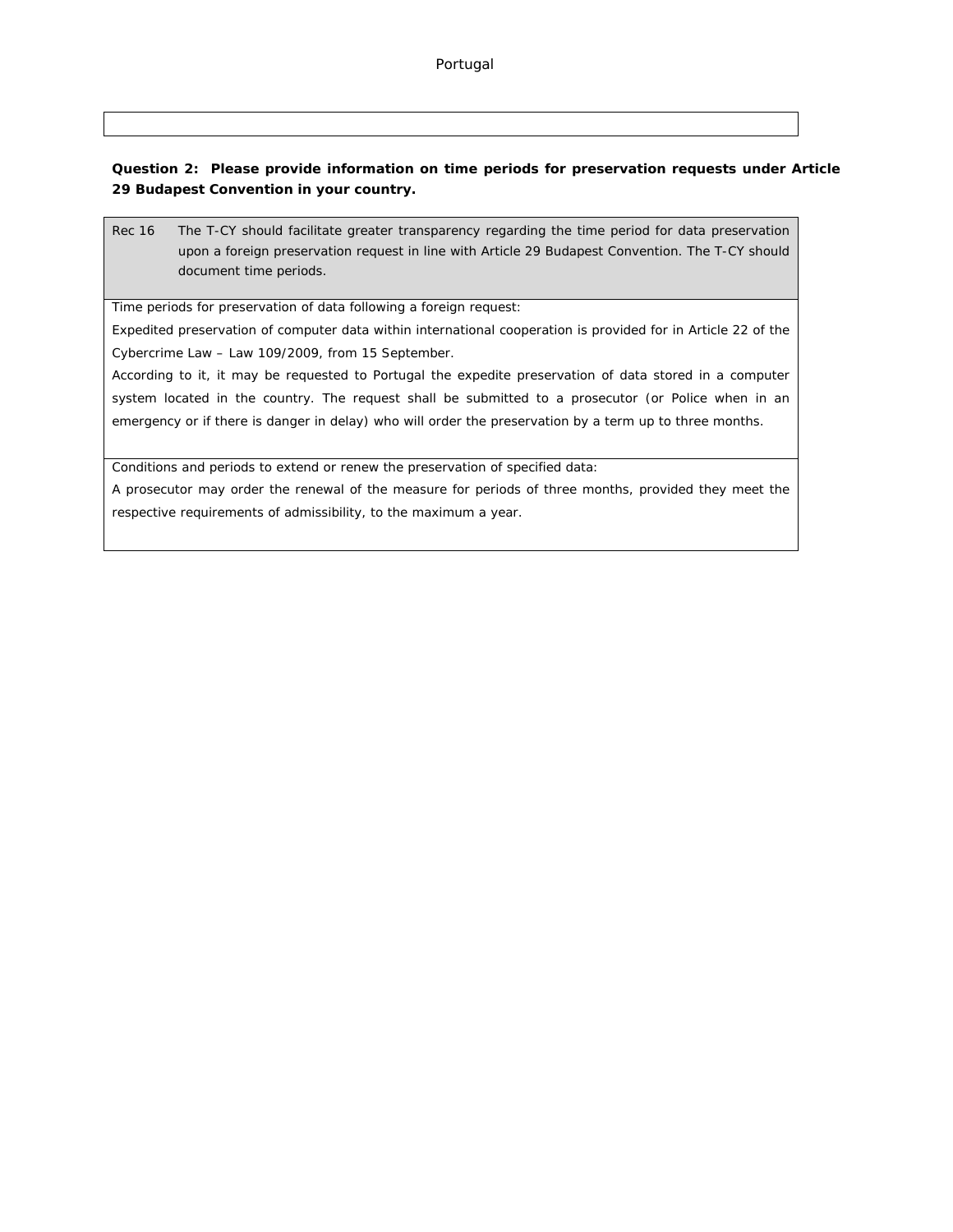**Question 2: Please provide information on time periods for preservation requests under Article 29 Budapest Convention in your country.**

Rec 16 The T-CY should facilitate greater transparency regarding the time period for data preservation upon a foreign preservation request in line with Article 29 Budapest Convention. The T-CY should document time periods.

Time periods for preservation of data following a foreign request:

Expedited preservation of computer data within international cooperation is provided for in Article 22 of the Cybercrime Law – Law 109/2009, from 15 September.

According to it, it may be requested to Portugal the expedite preservation of data stored in a computer system located in the country. The request shall be submitted to a prosecutor (or Police when in an emergency or if there is danger in delay) who will order the preservation by a term up to three months.

Conditions and periods to extend or renew the preservation of specified data:

A prosecutor may order the renewal of the measure for periods of three months, provided they meet the respective requirements of admissibility, to the maximum a year.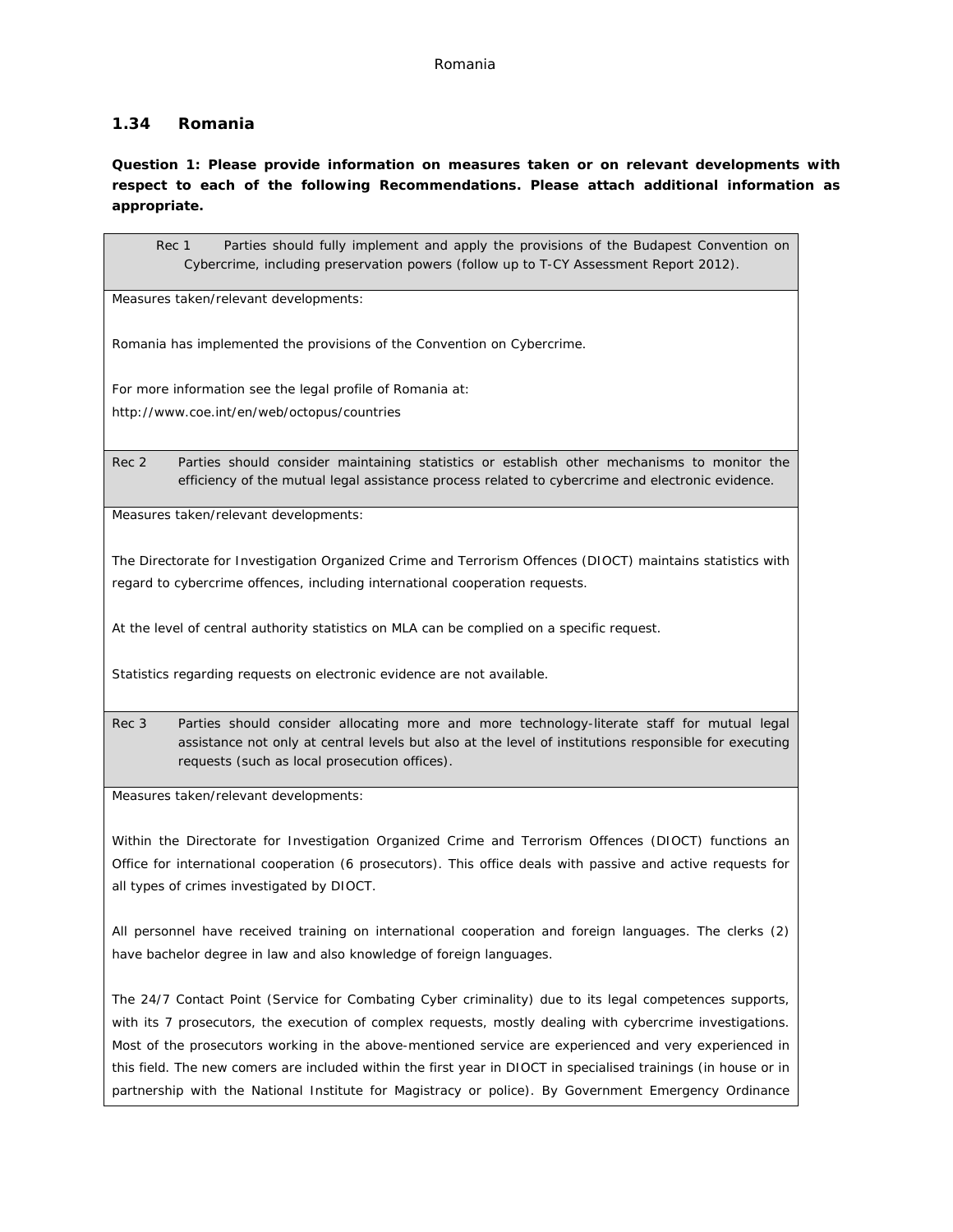# **1.34 Romania**

**Question 1: Please provide information on measures taken or on relevant developments with respect to each of the following Recommendations. Please attach additional information as appropriate.**

| Rec 1<br>Parties should fully implement and apply the provisions of the Budapest Convention on<br>Cybercrime, including preservation powers (follow up to T-CY Assessment Report 2012).                                                                            |
|--------------------------------------------------------------------------------------------------------------------------------------------------------------------------------------------------------------------------------------------------------------------|
| Measures taken/relevant developments:                                                                                                                                                                                                                              |
| Romania has implemented the provisions of the Convention on Cybercrime.                                                                                                                                                                                            |
| For more information see the legal profile of Romania at:                                                                                                                                                                                                          |
| http://www.coe.int/en/web/octopus/countries                                                                                                                                                                                                                        |
| Rec 2<br>Parties should consider maintaining statistics or establish other mechanisms to monitor the<br>efficiency of the mutual legal assistance process related to cybercrime and electronic evidence.                                                           |
| Measures taken/relevant developments:                                                                                                                                                                                                                              |
| The Directorate for Investigation Organized Crime and Terrorism Offences (DIOCT) maintains statistics with                                                                                                                                                         |
| regard to cybercrime offences, including international cooperation requests.                                                                                                                                                                                       |
| At the level of central authority statistics on MLA can be complied on a specific request.                                                                                                                                                                         |
| Statistics regarding requests on electronic evidence are not available.                                                                                                                                                                                            |
| Rec 3<br>Parties should consider allocating more and more technology-literate staff for mutual legal<br>assistance not only at central levels but also at the level of institutions responsible for executing<br>requests (such as local prosecution offices).     |
| Measures taken/relevant developments:                                                                                                                                                                                                                              |
| Within the Directorate for Investigation Organized Crime and Terrorism Offences (DIOCT) functions an<br>Office for international cooperation (6 prosecutors). This office deals with passive and active requests for<br>all types of crimes investigated by DIOCT. |
| All personnel have received training on international cooperation and foreign languages. The clerks (2)<br>have bachelor degree in law and also knowledge of foreign languages.                                                                                    |
|                                                                                                                                                                                                                                                                    |

The 24/7 Contact Point (Service for Combating Cyber criminality) due to its legal competences supports, with its 7 prosecutors, the execution of complex requests, mostly dealing with cybercrime investigations. Most of the prosecutors working in the above-mentioned service are experienced and very experienced in this field. The new comers are included within the first year in DIOCT in specialised trainings (in house or in partnership with the National Institute for Magistracy or police). By Government Emergency Ordinance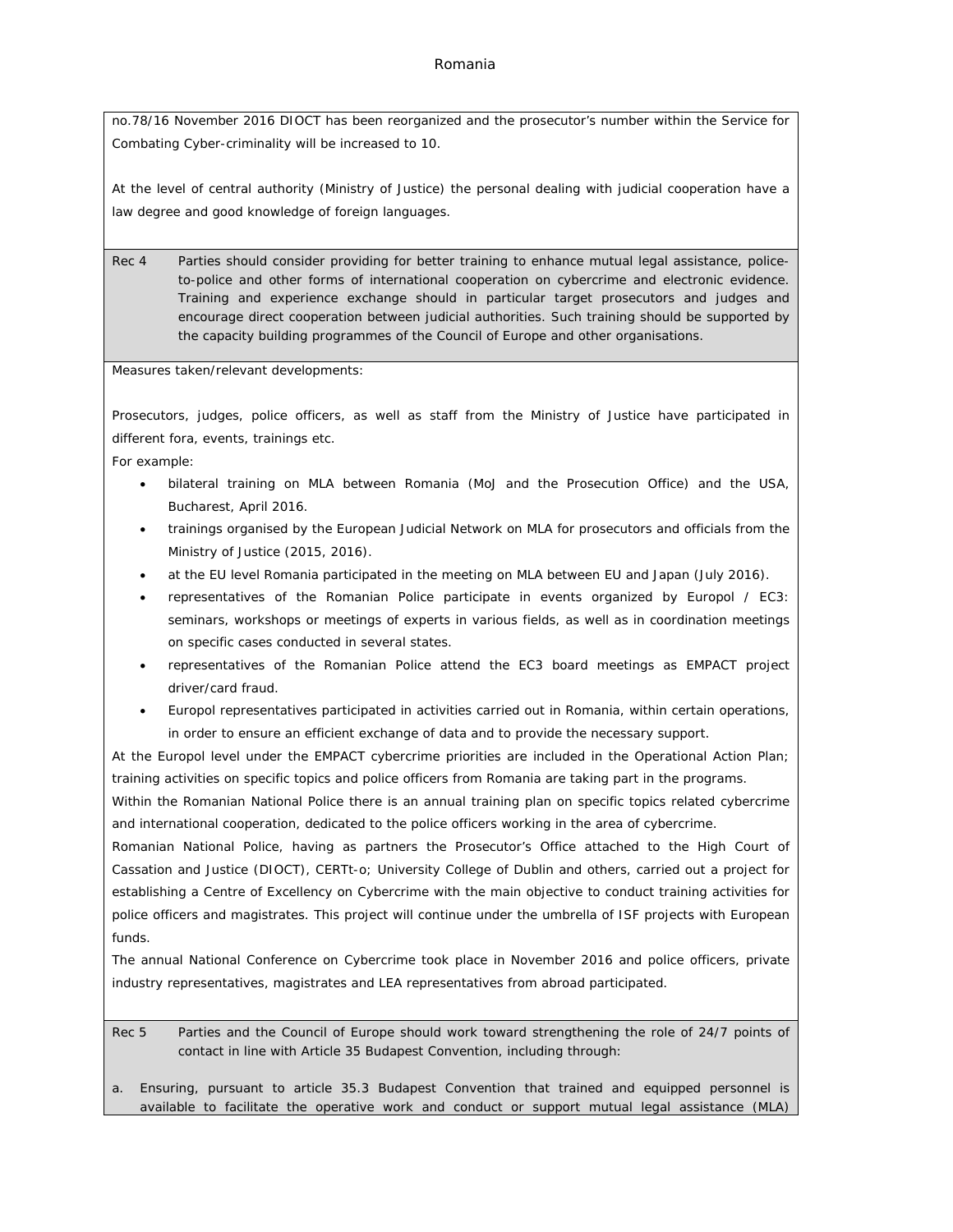no.78/16 November 2016 DIOCT has been reorganized and the prosecutor's number within the Service for Combating Cyber-criminality will be increased to 10.

At the level of central authority (Ministry of Justice) the personal dealing with judicial cooperation have a law degree and good knowledge of foreign languages.

Rec 4 Parties should consider providing for better training to enhance mutual legal assistance, policeto-police and other forms of international cooperation on cybercrime and electronic evidence. Training and experience exchange should in particular target prosecutors and judges and encourage direct cooperation between judicial authorities. Such training should be supported by the capacity building programmes of the Council of Europe and other organisations.

Measures taken/relevant developments:

Prosecutors, judges, police officers, as well as staff from the Ministry of Justice have participated in different fora, events, trainings etc.

For example:

- bilateral training on MLA between Romania (MoJ and the Prosecution Office) and the USA, Bucharest, April 2016.
- trainings organised by the European Judicial Network on MLA for prosecutors and officials from the Ministry of Justice (2015, 2016).
- at the EU level Romania participated in the meeting on MLA between EU and Japan (July 2016).
- representatives of the Romanian Police participate in events organized by Europol / EC3: seminars, workshops or meetings of experts in various fields, as well as in coordination meetings on specific cases conducted in several states.
- representatives of the Romanian Police attend the EC3 board meetings as EMPACT project driver/card fraud.
- Europol representatives participated in activities carried out in Romania, within certain operations, in order to ensure an efficient exchange of data and to provide the necessary support.

At the Europol level under the EMPACT cybercrime priorities are included in the Operational Action Plan; training activities on specific topics and police officers from Romania are taking part in the programs.

Within the Romanian National Police there is an annual training plan on specific topics related cybercrime and international cooperation, dedicated to the police officers working in the area of cybercrime.

Romanian National Police, having as partners the Prosecutor's Office attached to the High Court of Cassation and Justice (DIOCT), CERTt-o; University College of Dublin and others, carried out a project for establishing a Centre of Excellency on Cybercrime with the main objective to conduct training activities for police officers and magistrates. This project will continue under the umbrella of ISF projects with European funds.

The annual National Conference on Cybercrime took place in November 2016 and police officers, private industry representatives, magistrates and LEA representatives from abroad participated.

Rec 5 Parties and the Council of Europe should work toward strengthening the role of 24/7 points of contact in line with Article 35 Budapest Convention, including through:

a. Ensuring, pursuant to article 35.3 Budapest Convention that trained and equipped personnel is available to facilitate the operative work and conduct or support mutual legal assistance (MLA)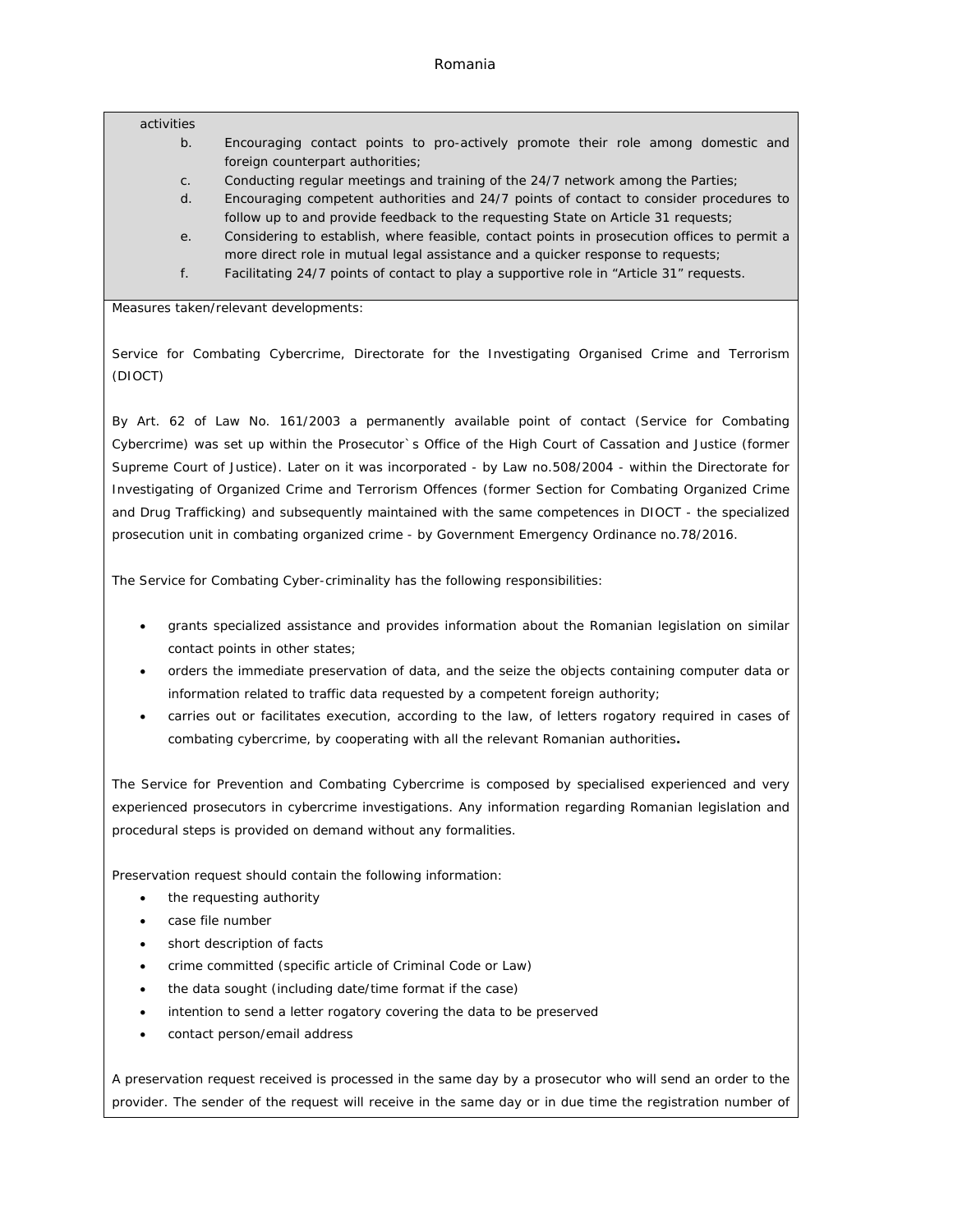#### activities

- b. Encouraging contact points to pro-actively promote their role among domestic and foreign counterpart authorities;
- c. Conducting regular meetings and training of the 24/7 network among the Parties;
- d. Encouraging competent authorities and 24/7 points of contact to consider procedures to follow up to and provide feedback to the requesting State on Article 31 requests;
- e. Considering to establish, where feasible, contact points in prosecution offices to permit a more direct role in mutual legal assistance and a quicker response to requests;
- f. Facilitating 24/7 points of contact to play a supportive role in "Article 31" requests.

Measures taken/relevant developments:

Service for Combating Cybercrime, Directorate for the Investigating Organised Crime and Terrorism (DIOCT)

By Art. 62 of Law No. 161/2003 a permanently available point of contact (Service for Combating Cybercrime) was set up within the Prosecutor`s Office of the High Court of Cassation and Justice (former Supreme Court of Justice). Later on it was incorporated - by Law no.508/2004 - within the Directorate for Investigating of Organized Crime and Terrorism Offences (former Section for Combating Organized Crime and Drug Trafficking) and subsequently maintained with the same competences in DIOCT - the specialized prosecution unit in combating organized crime - by Government Emergency Ordinance no.78/2016.

The Service for Combating Cyber-criminality has the following responsibilities:

- grants specialized assistance and provides information about the Romanian legislation on similar contact points in other states;
- orders the immediate preservation of data, and the seize the objects containing computer data or information related to traffic data requested by a competent foreign authority;
- carries out or facilitates execution, according to the law, of letters rogatory required in cases of combating cybercrime, by cooperating with all the relevant Romanian authorities**.**

The Service for Prevention and Combating Cybercrime is composed by specialised experienced and very experienced prosecutors in cybercrime investigations. Any information regarding Romanian legislation and procedural steps is provided on demand without any formalities.

Preservation request should contain the following information:

- the requesting authority
- case file number
- short description of facts
- crime committed (specific article of Criminal Code or Law)
- the data sought (including date/time format if the case)
- intention to send a letter rogatory covering the data to be preserved
- contact person/email address

A preservation request received is processed in the same day by a prosecutor who will send an order to the provider. The sender of the request will receive in the same day or in due time the registration number of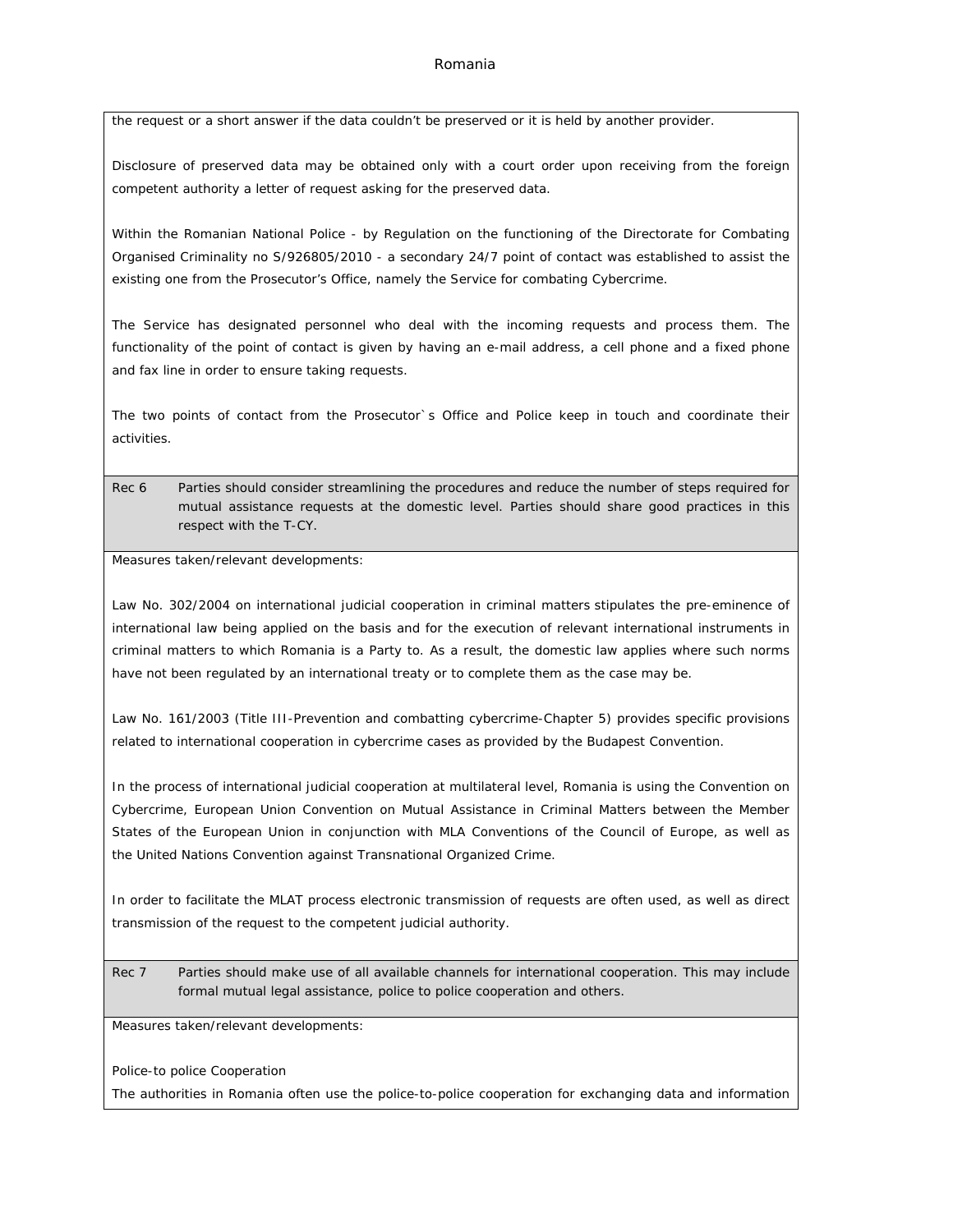### Romania

the request or a short answer if the data couldn't be preserved or it is held by another provider.

Disclosure of preserved data may be obtained only with a court order upon receiving from the foreign competent authority a letter of request asking for the preserved data.

Within the Romanian National Police - by Regulation on the functioning of the Directorate for Combating Organised Criminality no S/926805/2010 - a secondary 24/7 point of contact was established to assist the existing one from the Prosecutor's Office, namely the Service for combating Cybercrime.

The Service has designated personnel who deal with the incoming requests and process them. The functionality of the point of contact is given by having an e-mail address, a cell phone and a fixed phone and fax line in order to ensure taking requests.

The two points of contact from the Prosecutor`s Office and Police keep in touch and coordinate their activities.

Rec 6 Parties should consider streamlining the procedures and reduce the number of steps required for mutual assistance requests at the domestic level. Parties should share good practices in this respect with the T-CY.

Measures taken/relevant developments:

Law No. 302/2004 on international judicial cooperation in criminal matters stipulates the pre-eminence of international law being applied on the basis and for the execution of relevant international instruments in criminal matters to which Romania is a Party to. As a result, the domestic law applies where such norms have not been regulated by an international treaty or to complete them as the case may be.

Law No. 161/2003 (Title III-Prevention and combatting cybercrime-Chapter 5) provides specific provisions related to international cooperation in cybercrime cases as provided by the Budapest Convention.

In the process of international judicial cooperation at multilateral level, Romania is using the Convention on Cybercrime, European Union Convention on Mutual Assistance in Criminal Matters between the Member States of the European Union in conjunction with MLA Conventions of the Council of Europe, as well as the United Nations Convention against Transnational Organized Crime.

In order to facilitate the MLAT process electronic transmission of requests are often used, as well as direct transmission of the request to the competent judicial authority.

Rec 7 Parties should make use of all available channels for international cooperation. This may include formal mutual legal assistance, police to police cooperation and others.

Measures taken/relevant developments:

Police-to police Cooperation

The authorities in Romania often use the police-to-police cooperation for exchanging data and information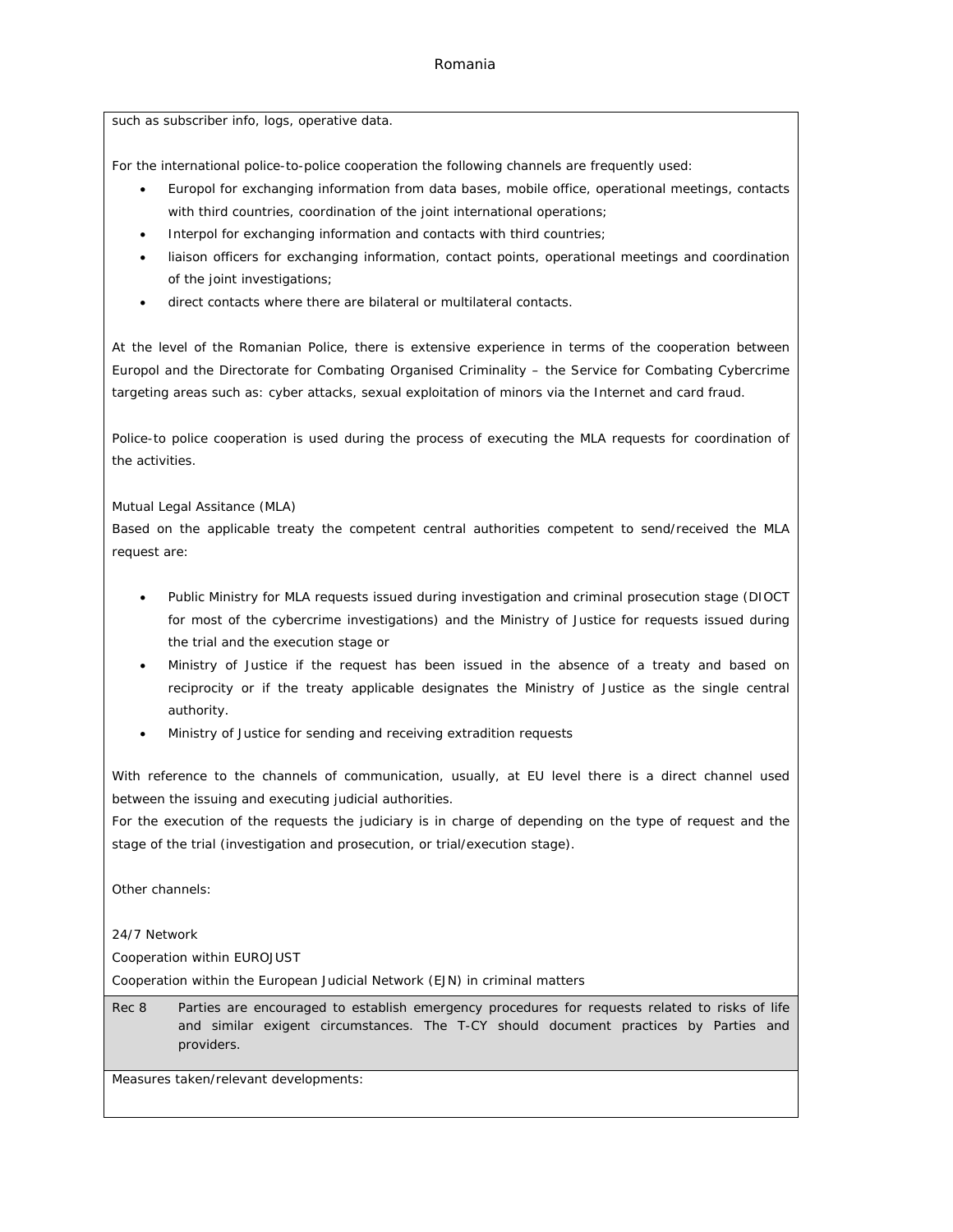### Romania

such as subscriber info, logs, operative data.

For the international police-to-police cooperation the following channels are frequently used:

- Europol for exchanging information from data bases, mobile office, operational meetings, contacts with third countries, coordination of the joint international operations;
- Interpol for exchanging information and contacts with third countries;
- liaison officers for exchanging information, contact points, operational meetings and coordination of the joint investigations;
- direct contacts where there are bilateral or multilateral contacts.

At the level of the Romanian Police, there is extensive experience in terms of the cooperation between Europol and the Directorate for Combating Organised Criminality – the Service for Combating Cybercrime targeting areas such as: cyber attacks, sexual exploitation of minors via the Internet and card fraud.

Police-to police cooperation is used during the process of executing the MLA requests for coordination of the activities.

Mutual Legal Assitance (MLA)

Based on the applicable treaty the competent central authorities competent to send/received the MLA request are:

- Public Ministry for MLA requests issued during investigation and criminal prosecution stage (DIOCT for most of the cybercrime investigations) and the Ministry of Justice for requests issued during the trial and the execution stage or
- Ministry of Justice if the request has been issued in the absence of a treaty and based on reciprocity or if the treaty applicable designates the Ministry of Justice as the single central authority.
- Ministry of Justice for sending and receiving extradition requests

With reference to the channels of communication, usually, at EU level there is a direct channel used between the issuing and executing judicial authorities.

For the execution of the requests the judiciary is in charge of depending on the type of request and the stage of the trial (investigation and prosecution, or trial/execution stage).

Other channels:

24/7 Network

Cooperation within EUROJUST

Cooperation within the European Judicial Network (EJN) in criminal matters

Rec 8 Parties are encouraged to establish emergency procedures for requests related to risks of life and similar exigent circumstances. The T-CY should document practices by Parties and providers.

Measures taken/relevant developments: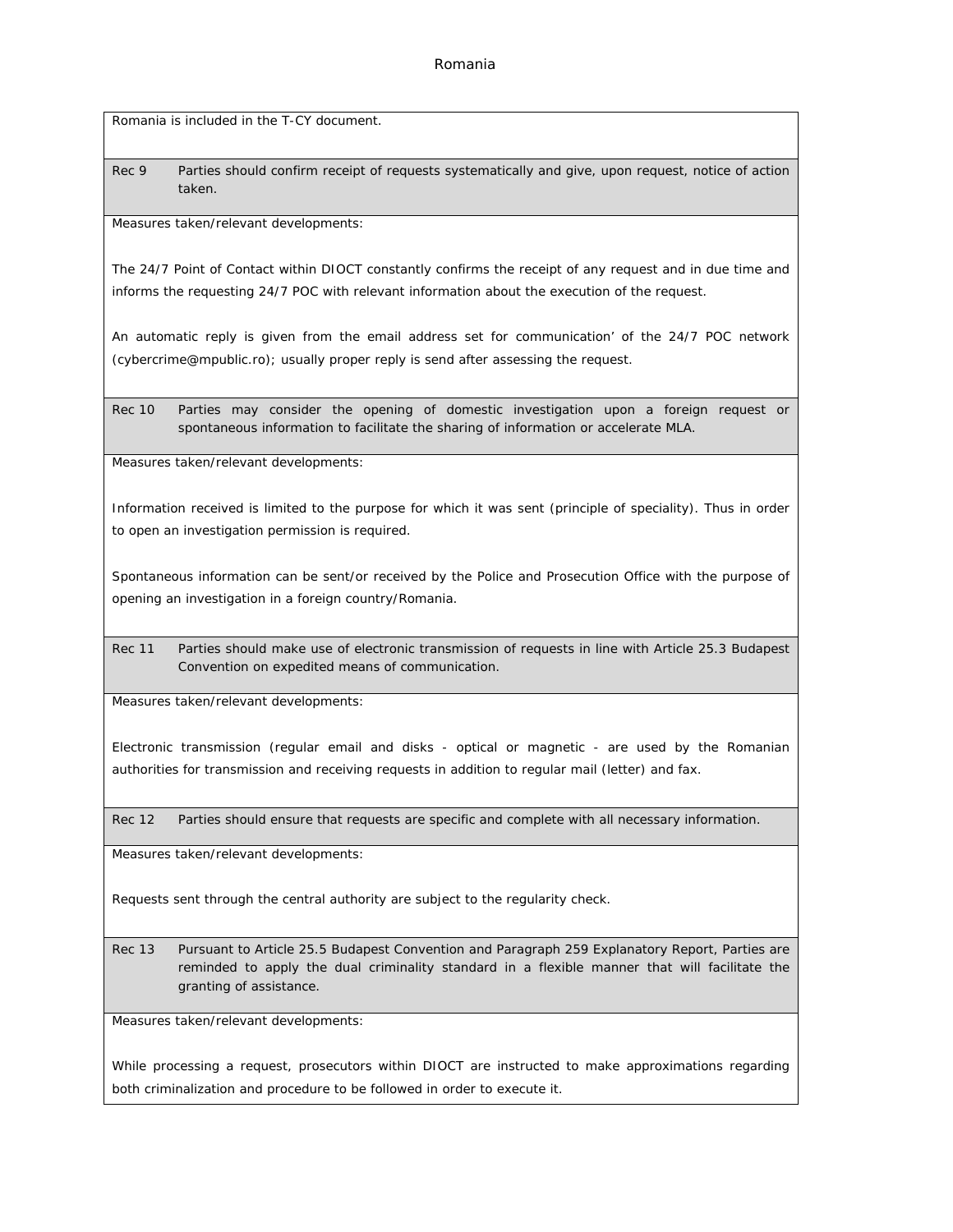Romania is included in the T-CY document.

Rec 9 Parties should confirm receipt of requests systematically and give, upon request, notice of action taken.

Measures taken/relevant developments:

The 24/7 Point of Contact within DIOCT constantly confirms the receipt of any request and in due time and informs the requesting 24/7 POC with relevant information about the execution of the request.

An automatic reply is given from the email address set for communication' of the 24/7 POC network ([cybercrime@mpublic.ro\)](mailto:cybercrime@mpublic.ro); usually proper reply is send after assessing the request.

Rec 10 Parties may consider the opening of domestic investigation upon a foreign request or spontaneous information to facilitate the sharing of information or accelerate MLA.

Measures taken/relevant developments:

Information received is limited to the purpose for which it was sent (principle of speciality). Thus in order to open an investigation permission is required.

Spontaneous information can be sent/or received by the Police and Prosecution Office with the purpose of opening an investigation in a foreign country/Romania.

Rec 11 Parties should make use of electronic transmission of requests in line with Article 25.3 Budapest Convention on expedited means of communication.

Measures taken/relevant developments:

Electronic transmission (regular email and disks - optical or magnetic - are used by the Romanian authorities for transmission and receiving requests in addition to regular mail (letter) and fax.

Rec 12 Parties should ensure that requests are specific and complete with all necessary information.

Measures taken/relevant developments:

Requests sent through the central authority are subject to the regularity check.

Rec 13 Pursuant to Article 25.5 Budapest Convention and Paragraph 259 Explanatory Report, Parties are reminded to apply the dual criminality standard in a flexible manner that will facilitate the granting of assistance.

Measures taken/relevant developments:

While processing a request, prosecutors within DIOCT are instructed to make approximations regarding both criminalization and procedure to be followed in order to execute it.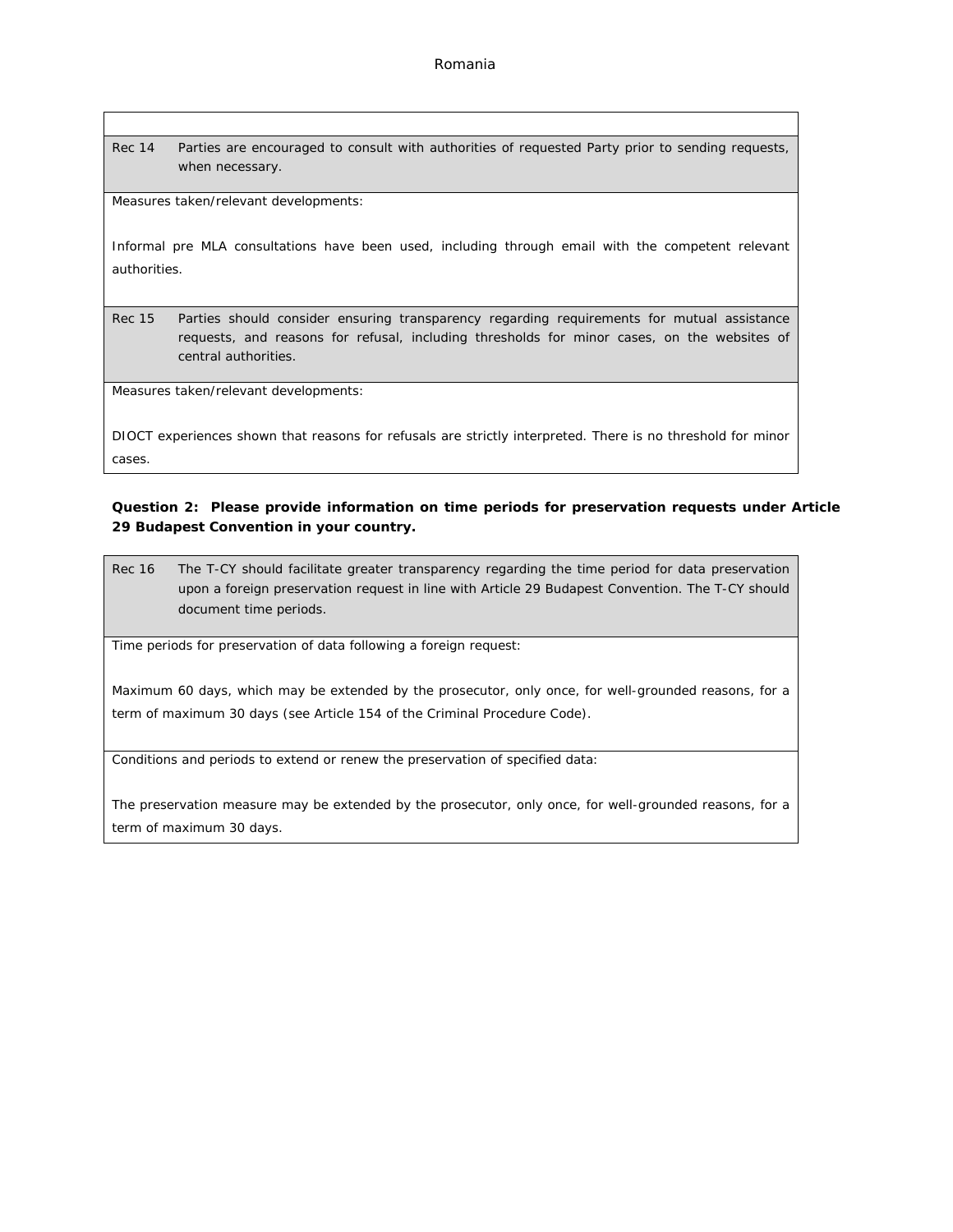Rec 14 Parties are encouraged to consult with authorities of requested Party prior to sending requests, when necessary.

Measures taken/relevant developments:

Informal pre MLA consultations have been used, including through email with the competent relevant authorities.

Rec 15 Parties should consider ensuring transparency regarding requirements for mutual assistance requests, and reasons for refusal, including thresholds for minor cases, on the websites of central authorities.

Measures taken/relevant developments:

DIOCT experiences shown that reasons for refusals are strictly interpreted. There is no threshold for minor cases.

**Question 2: Please provide information on time periods for preservation requests under Article 29 Budapest Convention in your country.**

Rec 16 The T-CY should facilitate greater transparency regarding the time period for data preservation upon a foreign preservation request in line with Article 29 Budapest Convention. The T-CY should document time periods.

Time periods for preservation of data following a foreign request:

Maximum 60 days, which may be extended by the prosecutor, only once, for well-grounded reasons, for a term of maximum 30 days (see Article 154 of the Criminal Procedure Code).

Conditions and periods to extend or renew the preservation of specified data:

The preservation measure may be extended by the prosecutor, only once, for well-grounded reasons, for a term of maximum 30 days.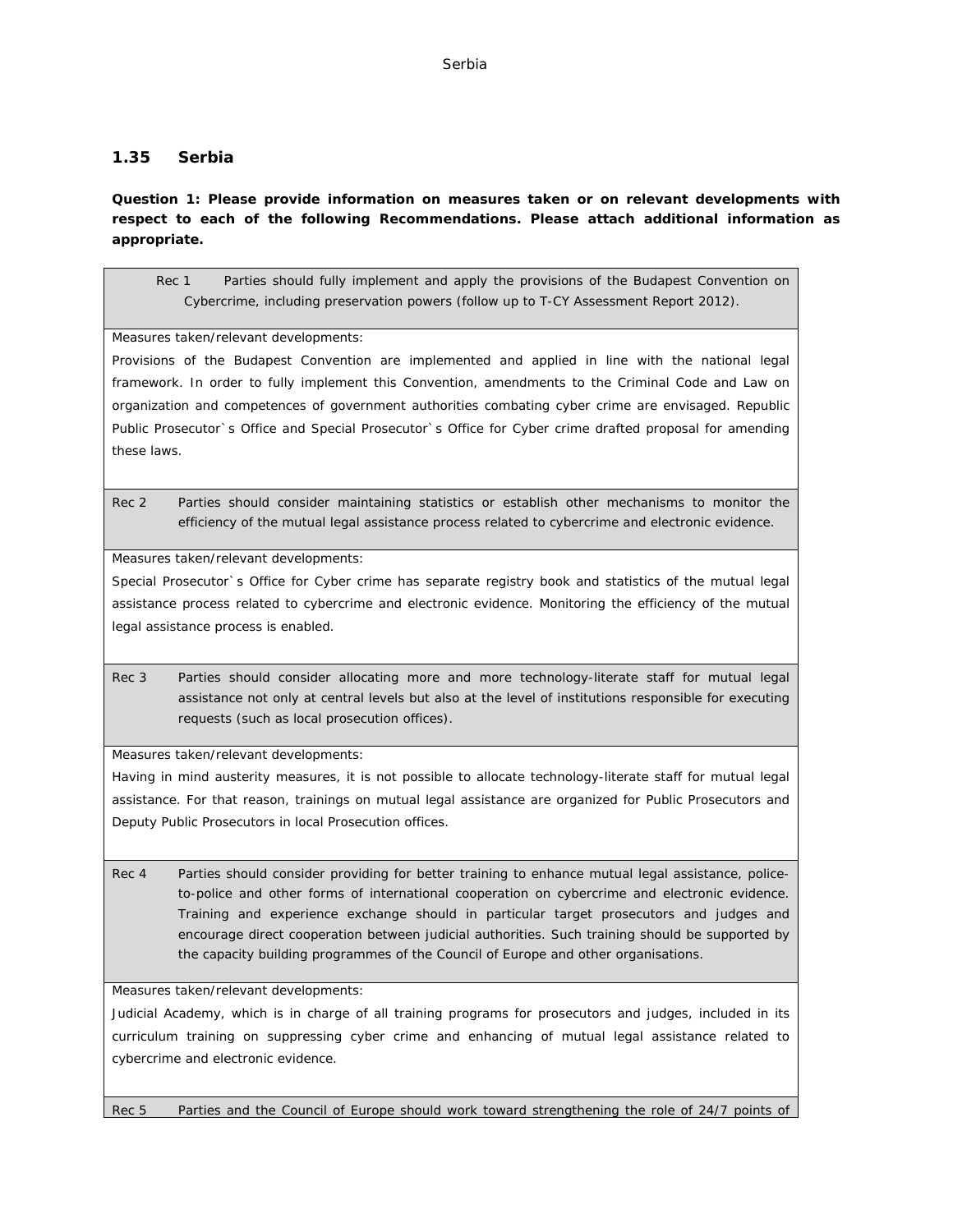# **1.35 Serbia**

**Question 1: Please provide information on measures taken or on relevant developments with respect to each of the following Recommendations. Please attach additional information as appropriate.**

Rec 1 Parties should fully implement and apply the provisions of the Budapest Convention on Cybercrime, including preservation powers (follow up to T-CY Assessment Report 2012).

Measures taken/relevant developments:

Provisions of the Budapest Convention are implemented and applied in line with the national legal framework. In order to fully implement this Convention, amendments to the Criminal Code and Law on organization and competences of government authorities combating cyber crime are envisaged. Republic Public Prosecutor`s Office and Special Prosecutor`s Office for Cyber crime drafted proposal for amending these laws.

Rec 2 Parties should consider maintaining statistics or establish other mechanisms to monitor the efficiency of the mutual legal assistance process related to cybercrime and electronic evidence.

Measures taken/relevant developments:

Special Prosecutor`s Office for Cyber crime has separate registry book and statistics of the mutual legal assistance process related to cybercrime and electronic evidence. Monitoring the efficiency of the mutual legal assistance process is enabled.

Rec 3 Parties should consider allocating more and more technology-literate staff for mutual legal assistance not only at central levels but also at the level of institutions responsible for executing requests (such as local prosecution offices).

Measures taken/relevant developments:

Having in mind austerity measures, it is not possible to allocate technology-literate staff for mutual legal assistance. For that reason, trainings on mutual legal assistance are organized for Public Prosecutors and Deputy Public Prosecutors in local Prosecution offices.

Rec 4 Parties should consider providing for better training to enhance mutual legal assistance, policeto-police and other forms of international cooperation on cybercrime and electronic evidence. Training and experience exchange should in particular target prosecutors and judges and encourage direct cooperation between judicial authorities. Such training should be supported by the capacity building programmes of the Council of Europe and other organisations.

Measures taken/relevant developments:

Judicial Academy, which is in charge of all training programs for prosecutors and judges, included in its curriculum training on suppressing cyber crime and enhancing of mutual legal assistance related to cybercrime and electronic evidence.

Rec 5 Parties and the Council of Europe should work toward strengthening the role of 24/7 points of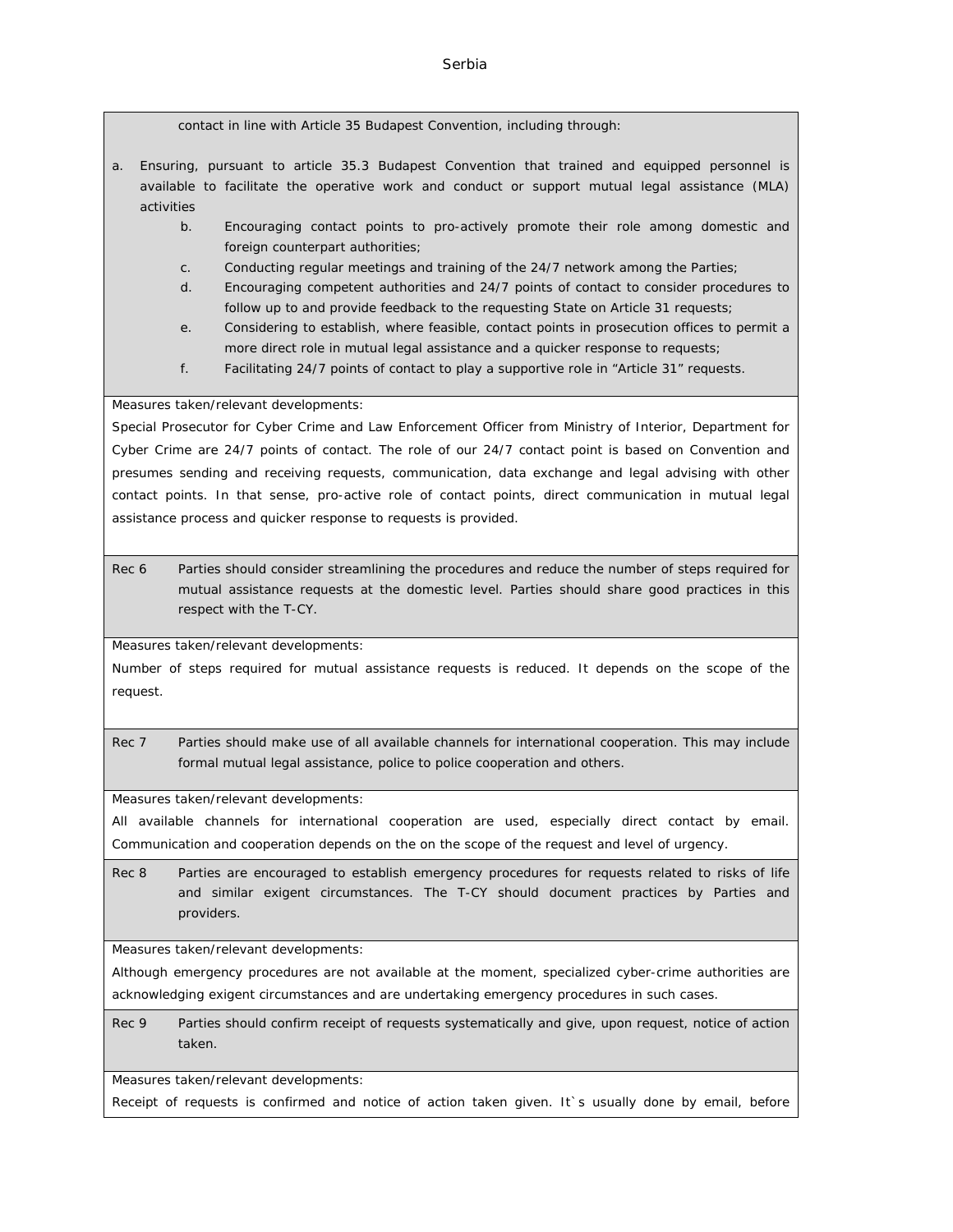contact in line with Article 35 Budapest Convention, including through:

- a. Ensuring, pursuant to article 35.3 Budapest Convention that trained and equipped personnel is available to facilitate the operative work and conduct or support mutual legal assistance (MLA) activities
	- b. Encouraging contact points to pro-actively promote their role among domestic and foreign counterpart authorities;
	- c. Conducting regular meetings and training of the 24/7 network among the Parties;
	- d. Encouraging competent authorities and 24/7 points of contact to consider procedures to follow up to and provide feedback to the requesting State on Article 31 requests;
	- e. Considering to establish, where feasible, contact points in prosecution offices to permit a more direct role in mutual legal assistance and a quicker response to requests;
	- f. Facilitating 24/7 points of contact to play a supportive role in "Article 31" requests.

#### Measures taken/relevant developments:

Special Prosecutor for Cyber Crime and Law Enforcement Officer from Ministry of Interior, Department for Cyber Crime are 24/7 points of contact. The role of our 24/7 contact point is based on Convention and presumes sending and receiving requests, communication, data exchange and legal advising with other contact points. In that sense, pro-active role of contact points, direct communication in mutual legal assistance process and quicker response to requests is provided.

Rec 6 Parties should consider streamlining the procedures and reduce the number of steps required for mutual assistance requests at the domestic level. Parties should share good practices in this respect with the T-CY.

Measures taken/relevant developments:

Number of steps required for mutual assistance requests is reduced. It depends on the scope of the request.

Rec 7 Parties should make use of all available channels for international cooperation. This may include formal mutual legal assistance, police to police cooperation and others.

Measures taken/relevant developments:

All available channels for international cooperation are used, especially direct contact by email. Communication and cooperation depends on the on the scope of the request and level of urgency.

Rec 8 Parties are encouraged to establish emergency procedures for requests related to risks of life and similar exigent circumstances. The T-CY should document practices by Parties and providers.

Measures taken/relevant developments:

Although emergency procedures are not available at the moment, specialized cyber-crime authorities are acknowledging exigent circumstances and are undertaking emergency procedures in such cases.

Rec 9 Parties should confirm receipt of requests systematically and give, upon request, notice of action taken.

Measures taken/relevant developments:

Receipt of requests is confirmed and notice of action taken given. It`s usually done by email, before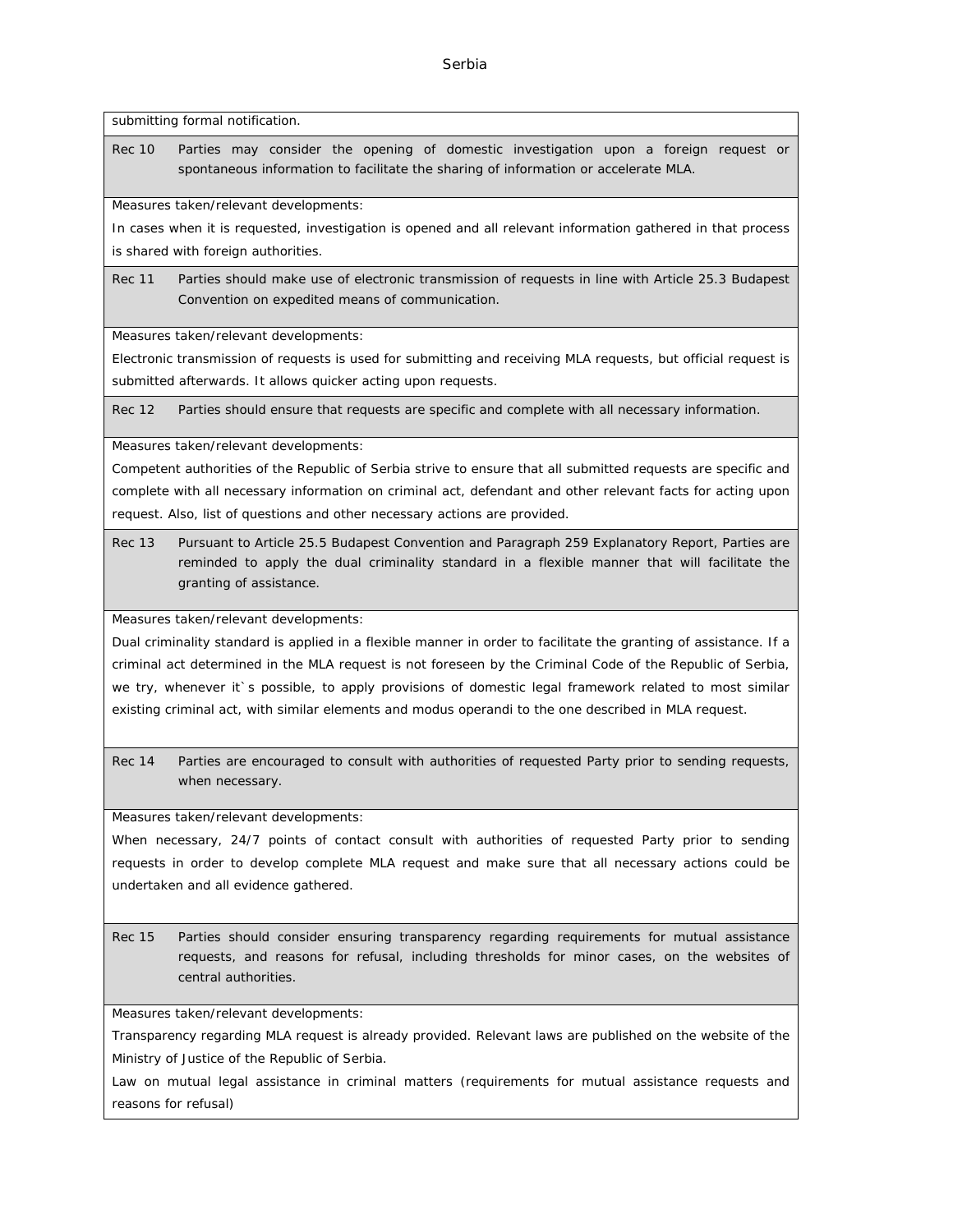submitting formal notification.

Rec 10 Parties may consider the opening of domestic investigation upon a foreign request or spontaneous information to facilitate the sharing of information or accelerate MLA.

Measures taken/relevant developments:

In cases when it is requested, investigation is opened and all relevant information gathered in that process is shared with foreign authorities.

Rec 11 Parties should make use of electronic transmission of requests in line with Article 25.3 Budapest Convention on expedited means of communication.

Measures taken/relevant developments:

Electronic transmission of requests is used for submitting and receiving MLA requests, but official request is submitted afterwards. It allows quicker acting upon requests.

Rec 12 Parties should ensure that requests are specific and complete with all necessary information.

Measures taken/relevant developments:

Competent authorities of the Republic of Serbia strive to ensure that all submitted requests are specific and complete with all necessary information on criminal act, defendant and other relevant facts for acting upon request. Also, list of questions and other necessary actions are provided.

Rec 13 Pursuant to Article 25.5 Budapest Convention and Paragraph 259 Explanatory Report, Parties are reminded to apply the dual criminality standard in a flexible manner that will facilitate the granting of assistance.

Measures taken/relevant developments:

Dual criminality standard is applied in a flexible manner in order to facilitate the granting of assistance. If a criminal act determined in the MLA request is not foreseen by the Criminal Code of the Republic of Serbia, we try, whenever it`s possible, to apply provisions of domestic legal framework related to most similar existing criminal act, with similar elements and modus operandi to the one described in MLA request.

Rec 14 Parties are encouraged to consult with authorities of requested Party prior to sending requests, when necessary.

Measures taken/relevant developments:

When necessary, 24/7 points of contact consult with authorities of requested Party prior to sending requests in order to develop complete MLA request and make sure that all necessary actions could be undertaken and all evidence gathered.

Rec 15 Parties should consider ensuring transparency regarding requirements for mutual assistance requests, and reasons for refusal, including thresholds for minor cases, on the websites of central authorities.

Measures taken/relevant developments:

Transparency regarding MLA request is already provided. Relevant laws are published on the website of the Ministry of Justice of the Republic of Serbia.

Law on mutual legal assistance in criminal matters (requirements for mutual assistance requests and reasons for refusal)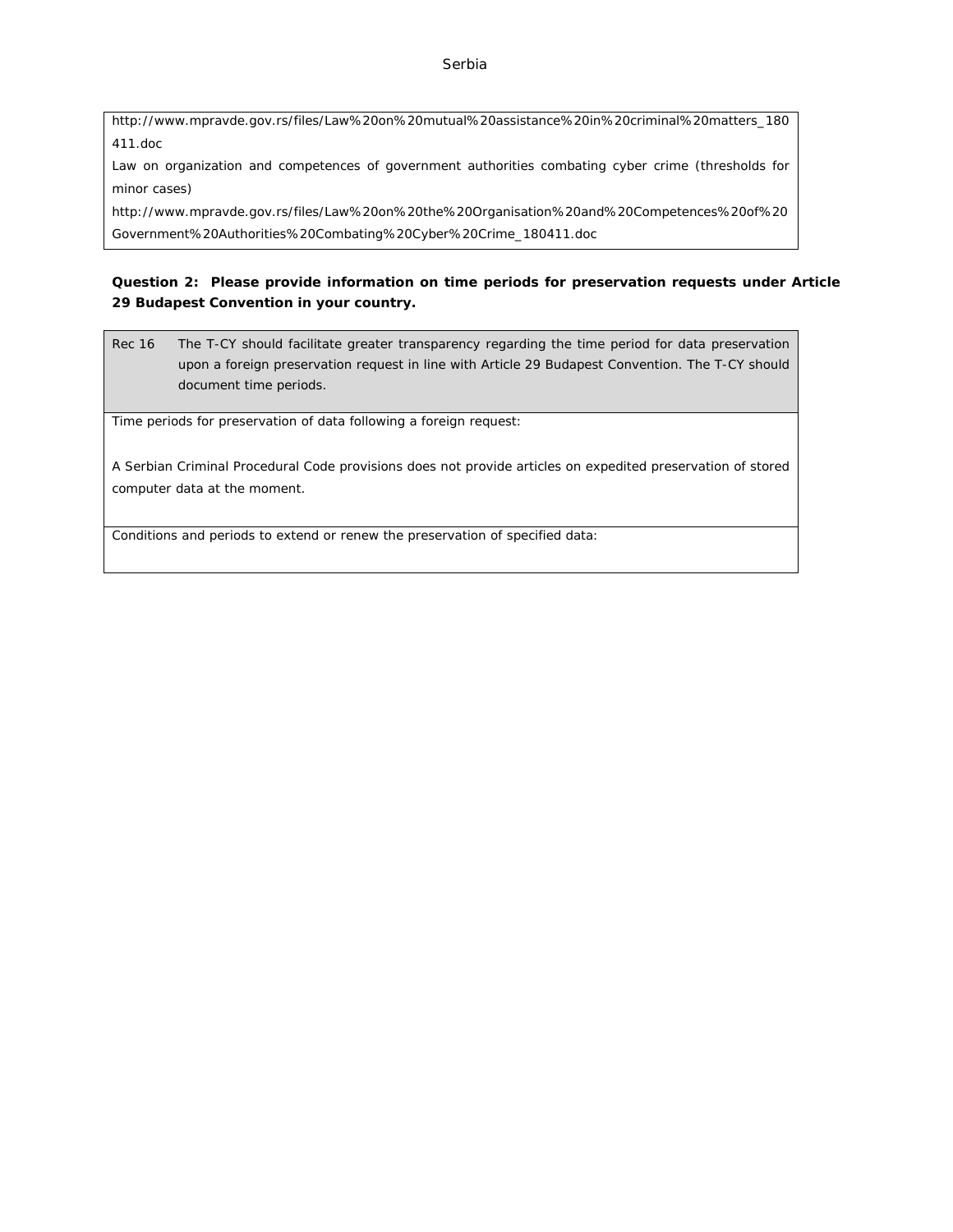### Serbia

[http://www.mpravde.gov.rs/files/Law%20on%20mutual%20assistance%20in%20criminal%20matters\\_180](http://www.mpravde.gov.rs/files/Law%20on%20mutual%20assistance%20in%20criminal%20matters_180411.doc) [411.doc](http://www.mpravde.gov.rs/files/Law%20on%20mutual%20assistance%20in%20criminal%20matters_180411.doc)

Law on organization and competences of government authorities combating cyber crime (thresholds for minor cases)

[http://www.mpravde.gov.rs/files/Law%20on%20the%20Organisation%20and%20Competences%20of%20](http://www.mpravde.gov.rs/files/Law%20on%20the%20Organisation%20and%20Competences%20of%20Government%20Authorities%20Combating%20Cyber%20Crime_180411.doc) [Government%20Authorities%20Combating%20Cyber%20Crime\\_180411.doc](http://www.mpravde.gov.rs/files/Law%20on%20the%20Organisation%20and%20Competences%20of%20Government%20Authorities%20Combating%20Cyber%20Crime_180411.doc)

**Question 2: Please provide information on time periods for preservation requests under Article 29 Budapest Convention in your country.**

Rec 16 The T-CY should facilitate greater transparency regarding the time period for data preservation upon a foreign preservation request in line with Article 29 Budapest Convention. The T-CY should document time periods.

Time periods for preservation of data following a foreign request:

A Serbian Criminal Procedural Code provisions does not provide articles on expedited preservation of stored computer data at the moment.

Conditions and periods to extend or renew the preservation of specified data: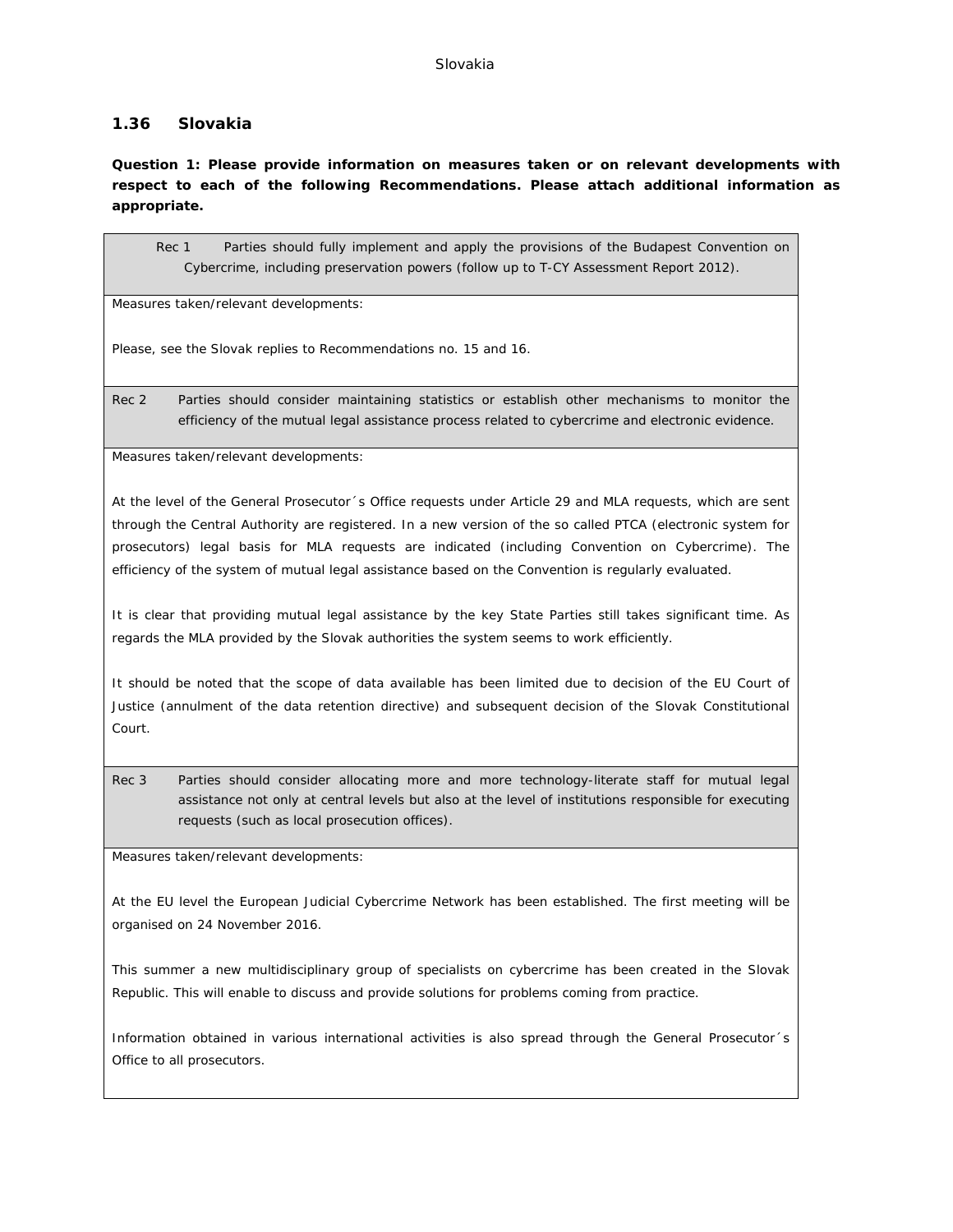## **1.36 Slovakia**

**Question 1: Please provide information on measures taken or on relevant developments with respect to each of the following Recommendations. Please attach additional information as appropriate.**

Rec 1 Parties should fully implement and apply the provisions of the Budapest Convention on Cybercrime, including preservation powers (follow up to T-CY Assessment Report 2012).

Measures taken/relevant developments:

Please, see the Slovak replies to Recommendations no. 15 and 16.

Rec 2 Parties should consider maintaining statistics or establish other mechanisms to monitor the efficiency of the mutual legal assistance process related to cybercrime and electronic evidence.

Measures taken/relevant developments:

At the level of the General Prosecutor´s Office requests under Article 29 and MLA requests, which are sent through the Central Authority are registered. In a new version of the so called PTCA (electronic system for prosecutors) legal basis for MLA requests are indicated (including Convention on Cybercrime). The efficiency of the system of mutual legal assistance based on the Convention is regularly evaluated.

It is clear that providing mutual legal assistance by the key State Parties still takes significant time. As regards the MLA provided by the Slovak authorities the system seems to work efficiently.

It should be noted that the scope of data available has been limited due to decision of the EU Court of Justice (annulment of the data retention directive) and subsequent decision of the Slovak Constitutional Court.

Rec 3 Parties should consider allocating more and more technology-literate staff for mutual legal assistance not only at central levels but also at the level of institutions responsible for executing requests (such as local prosecution offices).

Measures taken/relevant developments:

At the EU level the European Judicial Cybercrime Network has been established. The first meeting will be organised on 24 November 2016.

This summer a new multidisciplinary group of specialists on cybercrime has been created in the Slovak Republic. This will enable to discuss and provide solutions for problems coming from practice.

Information obtained in various international activities is also spread through the General Prosecutor´s Office to all prosecutors.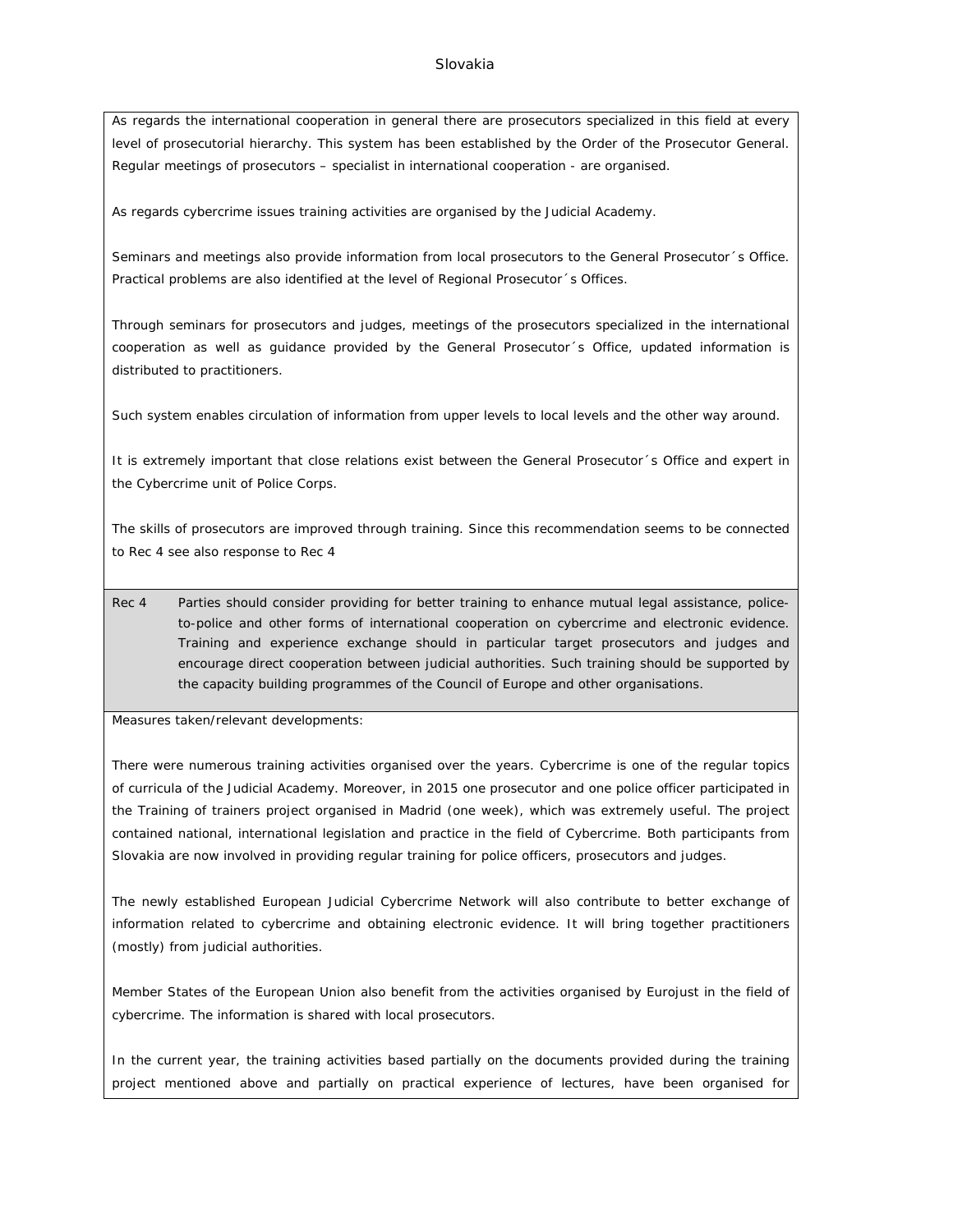#### Slovakia

As regards the international cooperation in general there are prosecutors specialized in this field at every level of prosecutorial hierarchy. This system has been established by the Order of the Prosecutor General. Regular meetings of prosecutors – specialist in international cooperation - are organised.

As regards cybercrime issues training activities are organised by the Judicial Academy.

Seminars and meetings also provide information from local prosecutors to the General Prosecutor´s Office. Practical problems are also identified at the level of Regional Prosecutor´s Offices.

Through seminars for prosecutors and judges, meetings of the prosecutors specialized in the international cooperation as well as guidance provided by the General Prosecutor´s Office, updated information is distributed to practitioners.

Such system enables circulation of information from upper levels to local levels and the other way around.

It is extremely important that close relations exist between the General Prosecutor's Office and expert in the Cybercrime unit of Police Corps.

The skills of prosecutors are improved through training. Since this recommendation seems to be connected to Rec 4 see also response to Rec 4

Rec 4 Parties should consider providing for better training to enhance mutual legal assistance, policeto-police and other forms of international cooperation on cybercrime and electronic evidence. Training and experience exchange should in particular target prosecutors and judges and encourage direct cooperation between judicial authorities. Such training should be supported by the capacity building programmes of the Council of Europe and other organisations.

Measures taken/relevant developments:

There were numerous training activities organised over the years. Cybercrime is one of the regular topics of curricula of the Judicial Academy. Moreover, in 2015 one prosecutor and one police officer participated in the Training of trainers project organised in Madrid (one week), which was extremely useful. The project contained national, international legislation and practice in the field of Cybercrime. Both participants from Slovakia are now involved in providing regular training for police officers, prosecutors and judges.

The newly established European Judicial Cybercrime Network will also contribute to better exchange of information related to cybercrime and obtaining electronic evidence. It will bring together practitioners (mostly) from judicial authorities.

Member States of the European Union also benefit from the activities organised by Eurojust in the field of cybercrime. The information is shared with local prosecutors.

In the current year, the training activities based partially on the documents provided during the training project mentioned above and partially on practical experience of lectures, have been organised for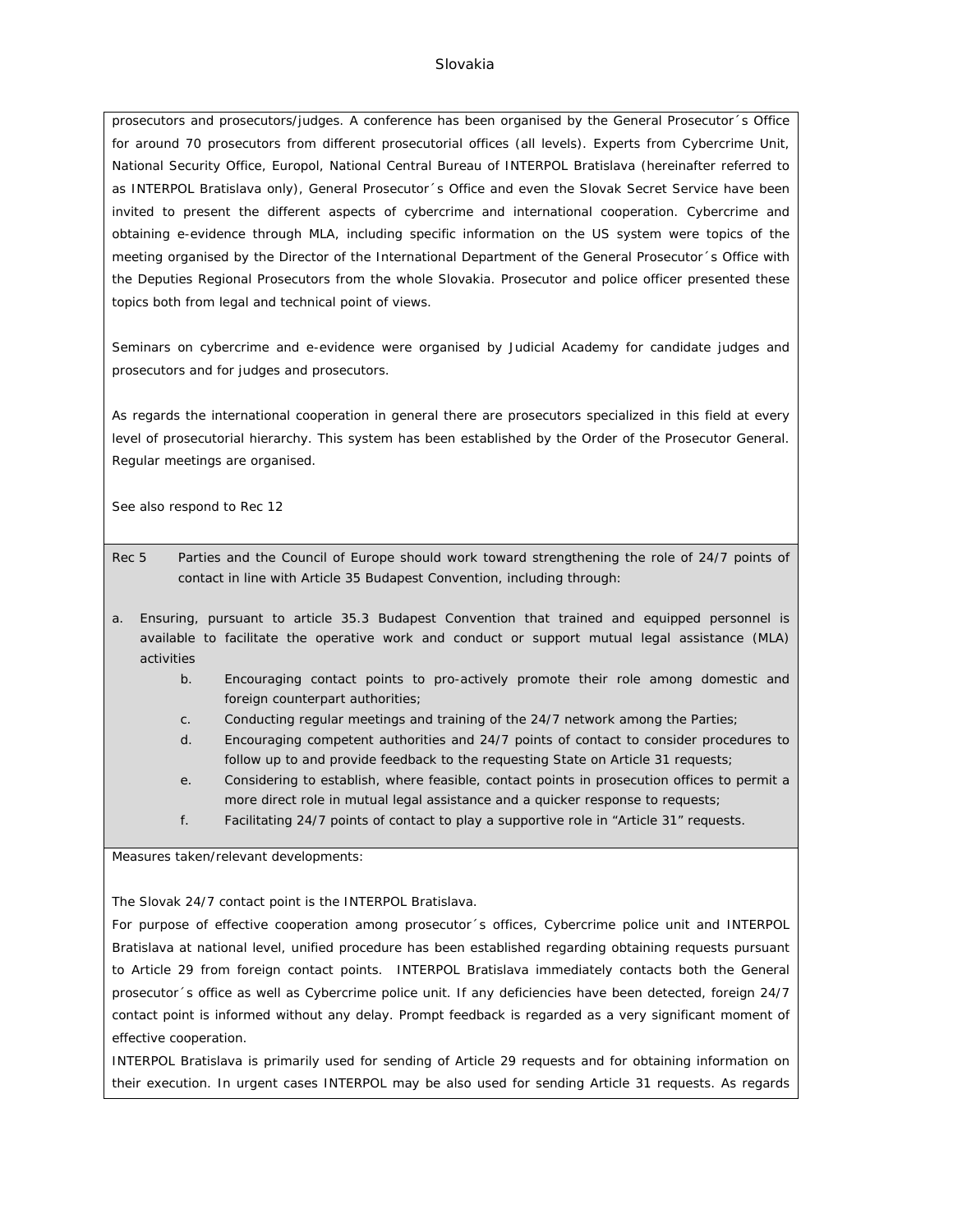#### Slovakia

prosecutors and prosecutors/judges. A conference has been organised by the General Prosecutor´s Office for around 70 prosecutors from different prosecutorial offices (all levels). Experts from Cybercrime Unit, National Security Office, Europol, National Central Bureau of INTERPOL Bratislava (hereinafter referred to as INTERPOL Bratislava only), General Prosecutor´s Office and even the Slovak Secret Service have been invited to present the different aspects of cybercrime and international cooperation. Cybercrime and obtaining e-evidence through MLA, including specific information on the US system were topics of the meeting organised by the Director of the International Department of the General Prosecutor´s Office with the Deputies Regional Prosecutors from the whole Slovakia. Prosecutor and police officer presented these topics both from legal and technical point of views.

Seminars on cybercrime and e-evidence were organised by Judicial Academy for candidate judges and prosecutors and for judges and prosecutors.

As regards the international cooperation in general there are prosecutors specialized in this field at every level of prosecutorial hierarchy. This system has been established by the Order of the Prosecutor General. Regular meetings are organised.

See also respond to Rec 12

- Rec 5 Parties and the Council of Europe should work toward strengthening the role of 24/7 points of contact in line with Article 35 Budapest Convention, including through:
- a. Ensuring, pursuant to article 35.3 Budapest Convention that trained and equipped personnel is available to facilitate the operative work and conduct or support mutual legal assistance (MLA) activities
	- b. Encouraging contact points to pro-actively promote their role among domestic and foreign counterpart authorities;
	- c. Conducting regular meetings and training of the 24/7 network among the Parties;
	- d. Encouraging competent authorities and 24/7 points of contact to consider procedures to follow up to and provide feedback to the requesting State on Article 31 requests;
	- e. Considering to establish, where feasible, contact points in prosecution offices to permit a more direct role in mutual legal assistance and a quicker response to requests;
	- f. Facilitating 24/7 points of contact to play a supportive role in "Article 31" requests.

Measures taken/relevant developments:

The Slovak 24/7 contact point is the INTERPOL Bratislava.

For purpose of effective cooperation among prosecutor´s offices, Cybercrime police unit and INTERPOL Bratislava at national level, unified procedure has been established regarding obtaining requests pursuant to Article 29 from foreign contact points. INTERPOL Bratislava immediately contacts both the General prosecutor´s office as well as Cybercrime police unit. If any deficiencies have been detected, foreign 24/7 contact point is informed without any delay. Prompt feedback is regarded as a very significant moment of effective cooperation.

INTERPOL Bratislava is primarily used for sending of Article 29 requests and for obtaining information on their execution. In urgent cases INTERPOL may be also used for sending Article 31 requests. As regards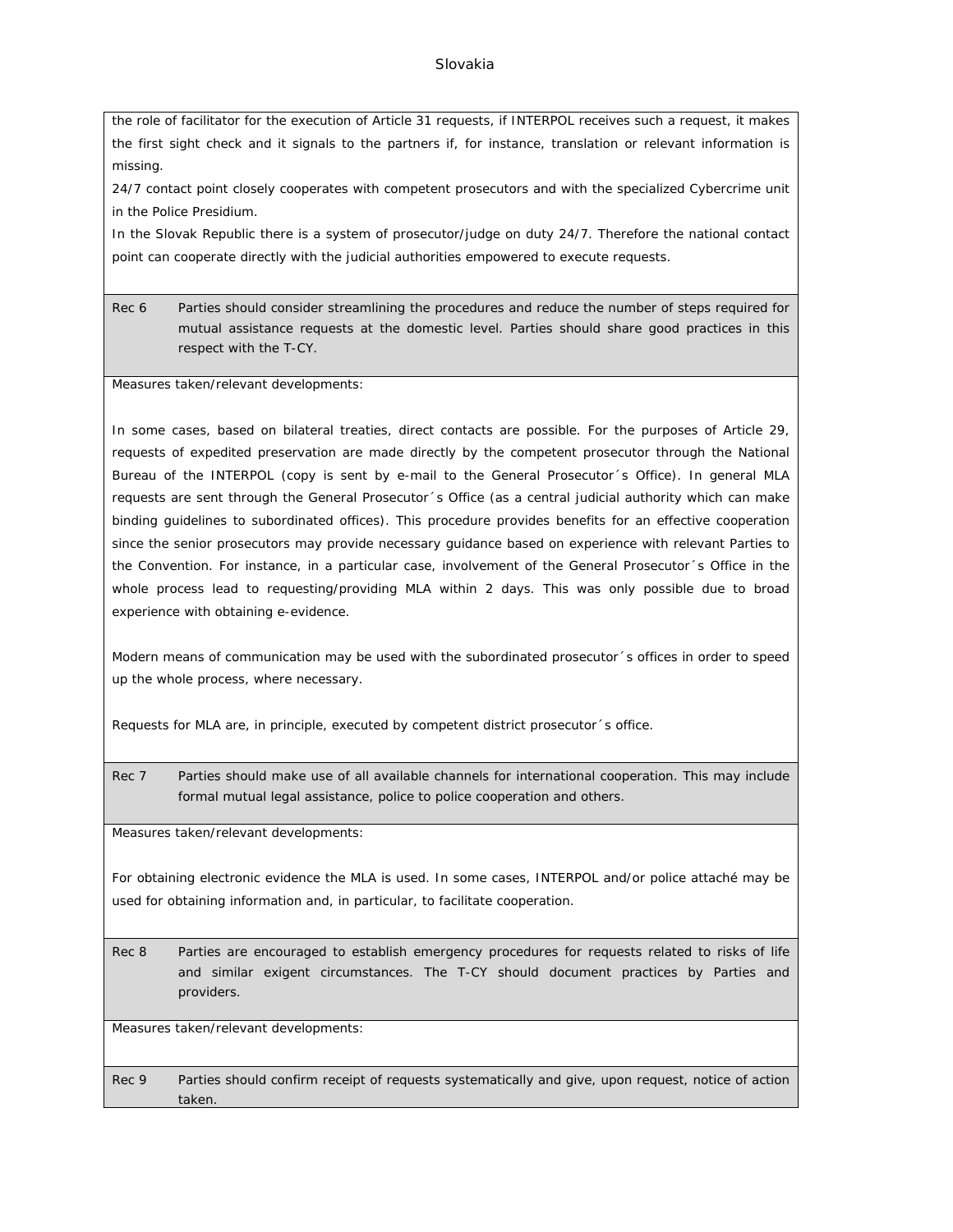#### Slovakia

the role of facilitator for the execution of Article 31 requests, if INTERPOL receives such a request, it makes the first sight check and it signals to the partners if, for instance, translation or relevant information is missing.

24/7 contact point closely cooperates with competent prosecutors and with the specialized Cybercrime unit in the Police Presidium.

In the Slovak Republic there is a system of prosecutor/judge on duty 24/7. Therefore the national contact point can cooperate directly with the judicial authorities empowered to execute requests.

Rec 6 Parties should consider streamlining the procedures and reduce the number of steps required for mutual assistance requests at the domestic level. Parties should share good practices in this respect with the T-CY.

Measures taken/relevant developments:

In some cases, based on bilateral treaties, direct contacts are possible. For the purposes of Article 29, requests of expedited preservation are made directly by the competent prosecutor through the National Bureau of the INTERPOL (copy is sent by e-mail to the General Prosecutor´s Office). In general MLA requests are sent through the General Prosecutor´s Office (as a central judicial authority which can make binding guidelines to subordinated offices). This procedure provides benefits for an effective cooperation since the senior prosecutors may provide necessary guidance based on experience with relevant Parties to the Convention. For instance, in a particular case, involvement of the General Prosecutor´s Office in the whole process lead to requesting/providing MLA within 2 days. This was only possible due to broad experience with obtaining e-evidence.

Modern means of communication may be used with the subordinated prosecutor´s offices in order to speed up the whole process, where necessary.

Requests for MLA are, in principle, executed by competent district prosecutor´s office.

Rec 7 Parties should make use of all available channels for international cooperation. This may include formal mutual legal assistance, police to police cooperation and others.

Measures taken/relevant developments:

For obtaining electronic evidence the MLA is used. In some cases, INTERPOL and/or police attaché may be used for obtaining information and, in particular, to facilitate cooperation.

Rec 8 Parties are encouraged to establish emergency procedures for requests related to risks of life and similar exigent circumstances. The T-CY should document practices by Parties and providers.

Measures taken/relevant developments:

Rec 9 Parties should confirm receipt of requests systematically and give, upon request, notice of action taken.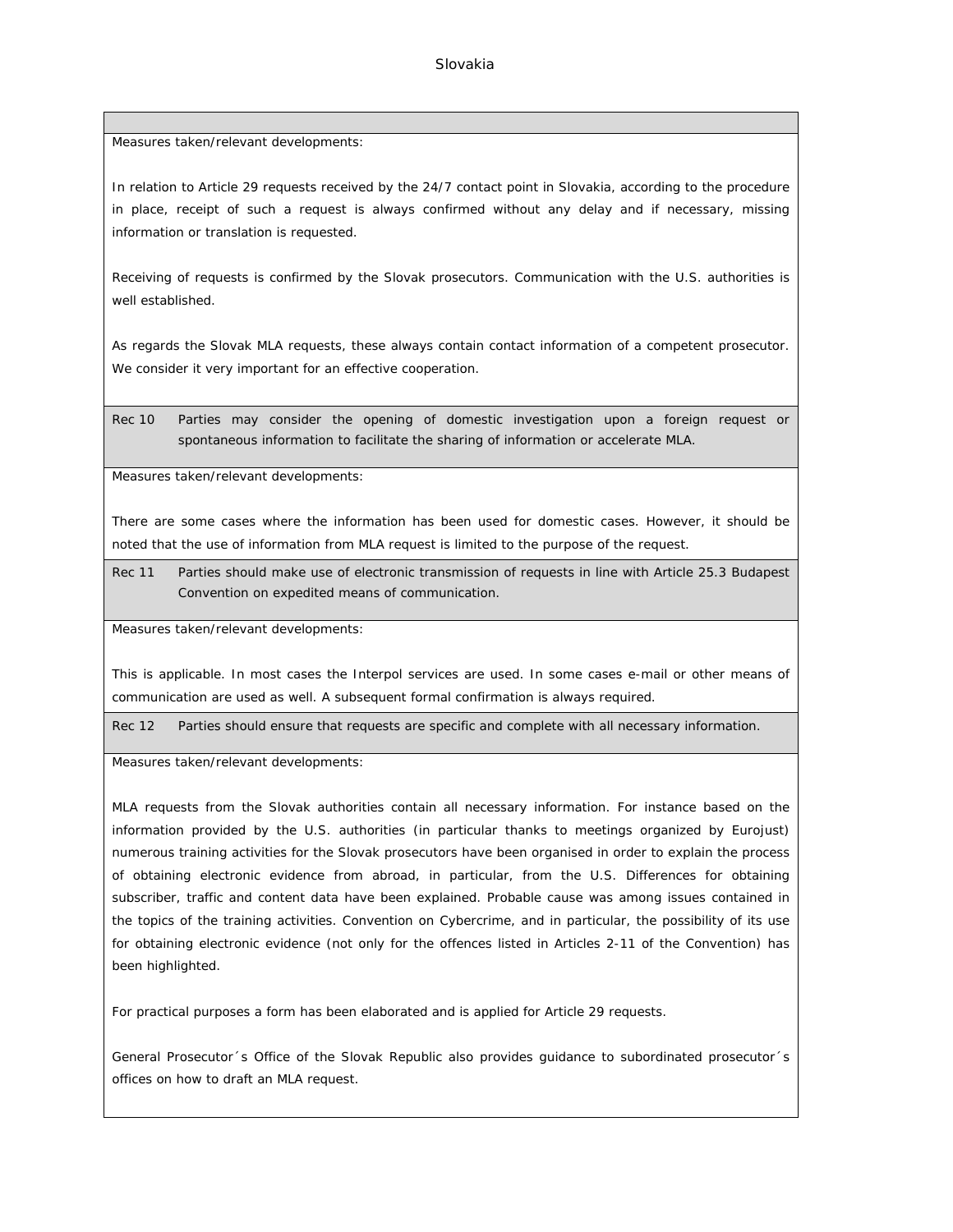Measures taken/relevant developments:

In relation to Article 29 requests received by the 24/7 contact point in Slovakia, according to the procedure in place, receipt of such a request is always confirmed without any delay and if necessary, missing information or translation is requested.

Receiving of requests is confirmed by the Slovak prosecutors. Communication with the U.S. authorities is well established.

As regards the Slovak MLA requests, these always contain contact information of a competent prosecutor. We consider it very important for an effective cooperation.

Rec 10 Parties may consider the opening of domestic investigation upon a foreign request or spontaneous information to facilitate the sharing of information or accelerate MLA.

Measures taken/relevant developments:

There are some cases where the information has been used for domestic cases. However, it should be noted that the use of information from MLA request is limited to the purpose of the request.

Rec 11 Parties should make use of electronic transmission of requests in line with Article 25.3 Budapest Convention on expedited means of communication.

Measures taken/relevant developments:

This is applicable. In most cases the Interpol services are used. In some cases e-mail or other means of communication are used as well. A subsequent formal confirmation is always required.

Rec 12 Parties should ensure that requests are specific and complete with all necessary information.

Measures taken/relevant developments:

MLA requests from the Slovak authorities contain all necessary information. For instance based on the information provided by the U.S. authorities (in particular thanks to meetings organized by Eurojust) numerous training activities for the Slovak prosecutors have been organised in order to explain the process of obtaining electronic evidence from abroad, in particular, from the U.S. Differences for obtaining subscriber, traffic and content data have been explained. Probable cause was among issues contained in the topics of the training activities. Convention on Cybercrime, and in particular, the possibility of its use for obtaining electronic evidence (not only for the offences listed in Articles 2-11 of the Convention) has been highlighted.

For practical purposes a form has been elaborated and is applied for Article 29 requests.

General Prosecutor´s Office of the Slovak Republic also provides guidance to subordinated prosecutor´s offices on how to draft an MLA request.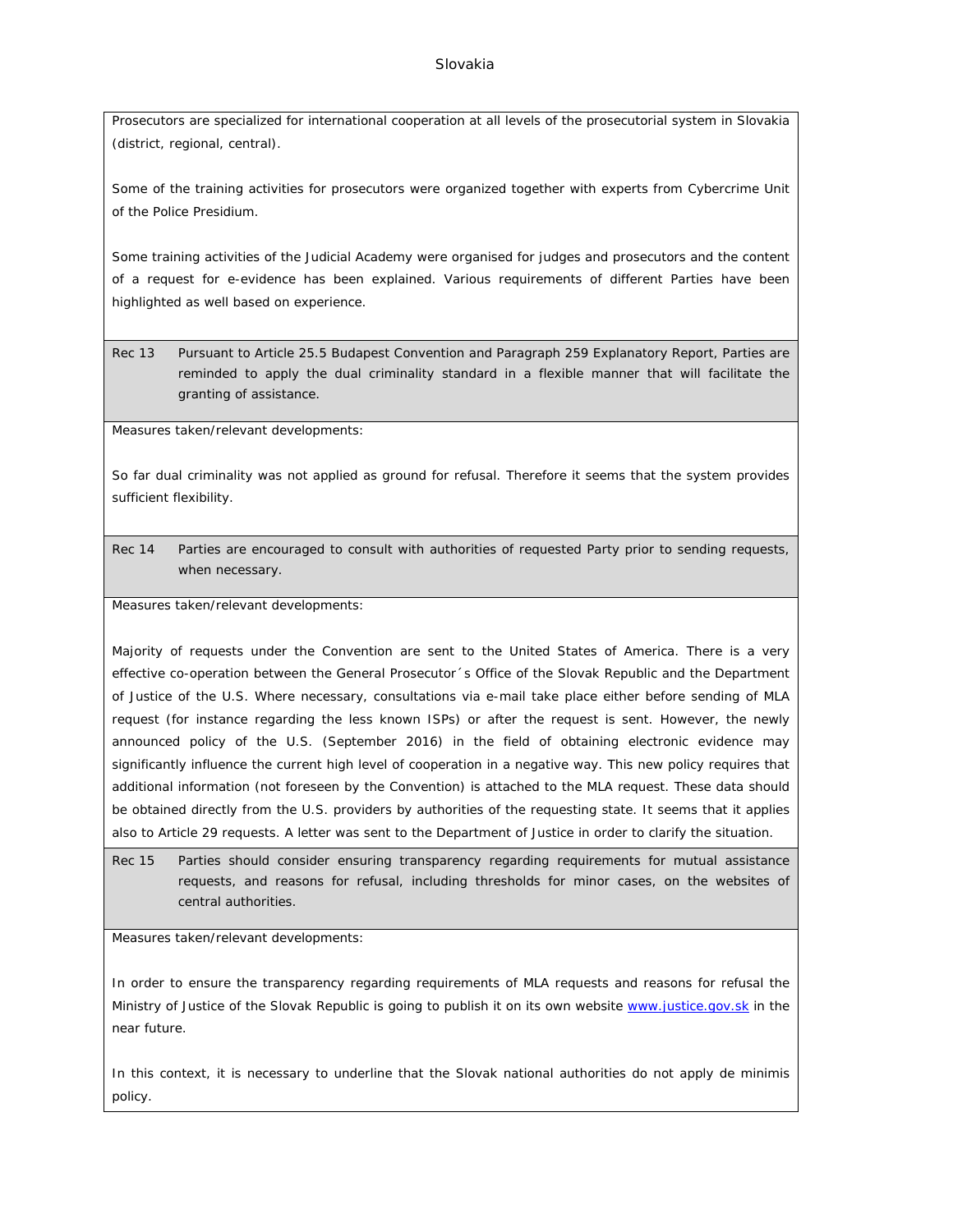Prosecutors are specialized for international cooperation at all levels of the prosecutorial system in Slovakia (district, regional, central).

Some of the training activities for prosecutors were organized together with experts from Cybercrime Unit of the Police Presidium.

Some training activities of the Judicial Academy were organised for judges and prosecutors and the content of a request for e-evidence has been explained. Various requirements of different Parties have been highlighted as well based on experience.

Rec 13 Pursuant to Article 25.5 Budapest Convention and Paragraph 259 Explanatory Report, Parties are reminded to apply the dual criminality standard in a flexible manner that will facilitate the granting of assistance.

Measures taken/relevant developments:

So far dual criminality was not applied as ground for refusal. Therefore it seems that the system provides sufficient flexibility.

Rec 14 Parties are encouraged to consult with authorities of requested Party prior to sending requests, when necessary.

Measures taken/relevant developments:

Majority of requests under the Convention are sent to the United States of America. There is a very effective co-operation between the General Prosecutor´s Office of the Slovak Republic and the Department of Justice of the U.S. Where necessary, consultations via e-mail take place either before sending of MLA request (for instance regarding the less known ISPs) or after the request is sent. However, the newly announced policy of the U.S. (September 2016) in the field of obtaining electronic evidence may significantly influence the current high level of cooperation in a negative way. This new policy requires that additional information (not foreseen by the Convention) is attached to the MLA request. These data should be obtained directly from the U.S. providers by authorities of the requesting state. It seems that it applies also to Article 29 requests. A letter was sent to the Department of Justice in order to clarify the situation.

Rec 15 Parties should consider ensuring transparency regarding requirements for mutual assistance requests, and reasons for refusal, including thresholds for minor cases, on the websites of central authorities.

Measures taken/relevant developments:

In order to ensure the transparency regarding requirements of MLA requests and reasons for refusal the Ministry of Justice of the Slovak Republic is going to publish it on its own website [www.justice.gov.sk](http://www.justice.gov.sk) in the near future.

In this context, it is necessary to underline that the Slovak national authorities do not apply de minimis policy.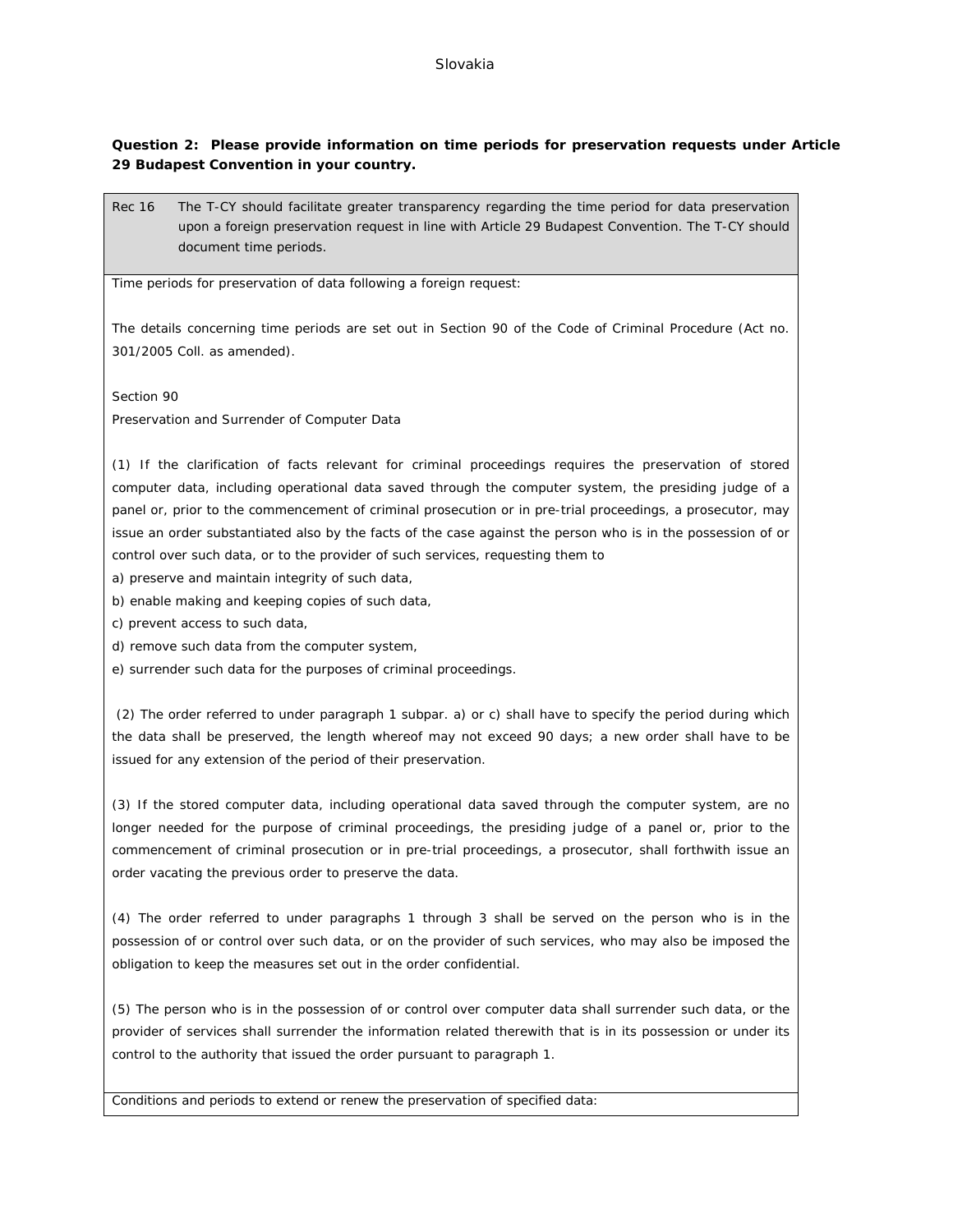#### Slovakia

**Question 2: Please provide information on time periods for preservation requests under Article 29 Budapest Convention in your country.**

Rec 16 The T-CY should facilitate greater transparency regarding the time period for data preservation upon a foreign preservation request in line with Article 29 Budapest Convention. The T-CY should document time periods.

Time periods for preservation of data following a foreign request:

The details concerning time periods are set out in Section 90 of the Code of Criminal Procedure (Act no. 301/2005 Coll. as amended).

Section 90

Preservation and Surrender of Computer Data

(1) If the clarification of facts relevant for criminal proceedings requires the preservation of stored computer data, including operational data saved through the computer system, the presiding judge of a panel or, prior to the commencement of criminal prosecution or in pre-trial proceedings, a prosecutor, may issue an order substantiated also by the facts of the case against the person who is in the possession of or control over such data, or to the provider of such services, requesting them to

a) preserve and maintain integrity of such data,

b) enable making and keeping copies of such data,

c) prevent access to such data,

d) remove such data from the computer system,

e) surrender such data for the purposes of criminal proceedings.

 (2) The order referred to under paragraph 1 subpar. a) or c) shall have to specify the period during which the data shall be preserved, the length whereof may not exceed 90 days; a new order shall have to be issued for any extension of the period of their preservation.

(3) If the stored computer data, including operational data saved through the computer system, are no longer needed for the purpose of criminal proceedings, the presiding judge of a panel or, prior to the commencement of criminal prosecution or in pre-trial proceedings, a prosecutor, shall forthwith issue an order vacating the previous order to preserve the data.

(4) The order referred to under paragraphs 1 through 3 shall be served on the person who is in the possession of or control over such data, or on the provider of such services, who may also be imposed the obligation to keep the measures set out in the order confidential.

(5) The person who is in the possession of or control over computer data shall surrender such data, or the provider of services shall surrender the information related therewith that is in its possession or under its control to the authority that issued the order pursuant to paragraph 1.

Conditions and periods to extend or renew the preservation of specified data: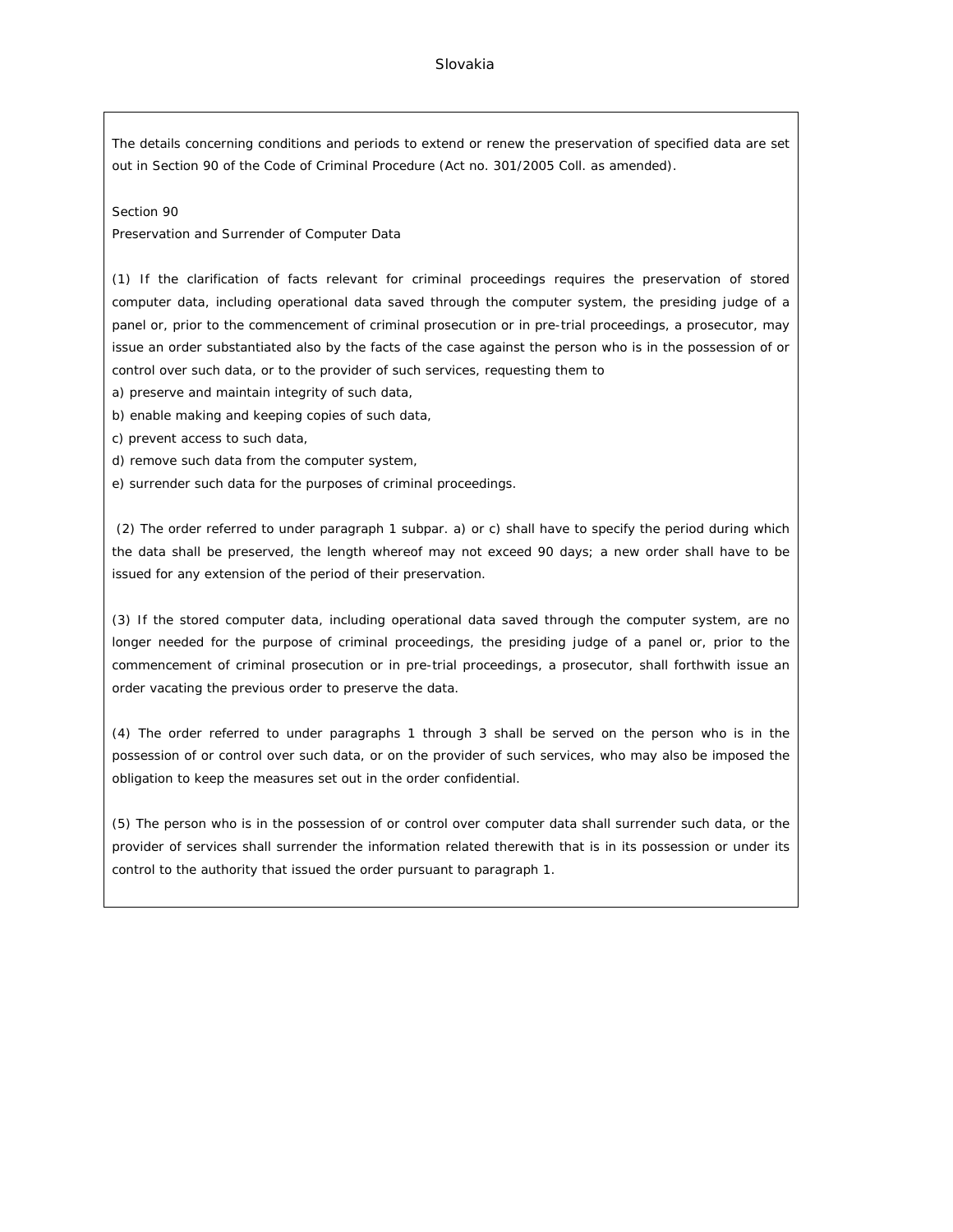#### Slovakia

The details concerning conditions and periods to extend or renew the preservation of specified data are set out in Section 90 of the Code of Criminal Procedure (Act no. 301/2005 Coll. as amended).

Section 90

Preservation and Surrender of Computer Data

(1) If the clarification of facts relevant for criminal proceedings requires the preservation of stored computer data, including operational data saved through the computer system, the presiding judge of a panel or, prior to the commencement of criminal prosecution or in pre-trial proceedings, a prosecutor, may issue an order substantiated also by the facts of the case against the person who is in the possession of or control over such data, or to the provider of such services, requesting them to

a) preserve and maintain integrity of such data,

b) enable making and keeping copies of such data,

- c) prevent access to such data,
- d) remove such data from the computer system,

e) surrender such data for the purposes of criminal proceedings.

 (2) The order referred to under paragraph 1 subpar. a) or c) shall have to specify the period during which the data shall be preserved, the length whereof may not exceed 90 days; a new order shall have to be issued for any extension of the period of their preservation.

(3) If the stored computer data, including operational data saved through the computer system, are no longer needed for the purpose of criminal proceedings, the presiding judge of a panel or, prior to the commencement of criminal prosecution or in pre-trial proceedings, a prosecutor, shall forthwith issue an order vacating the previous order to preserve the data.

(4) The order referred to under paragraphs 1 through 3 shall be served on the person who is in the possession of or control over such data, or on the provider of such services, who may also be imposed the obligation to keep the measures set out in the order confidential.

(5) The person who is in the possession of or control over computer data shall surrender such data, or the provider of services shall surrender the information related therewith that is in its possession or under its control to the authority that issued the order pursuant to paragraph 1.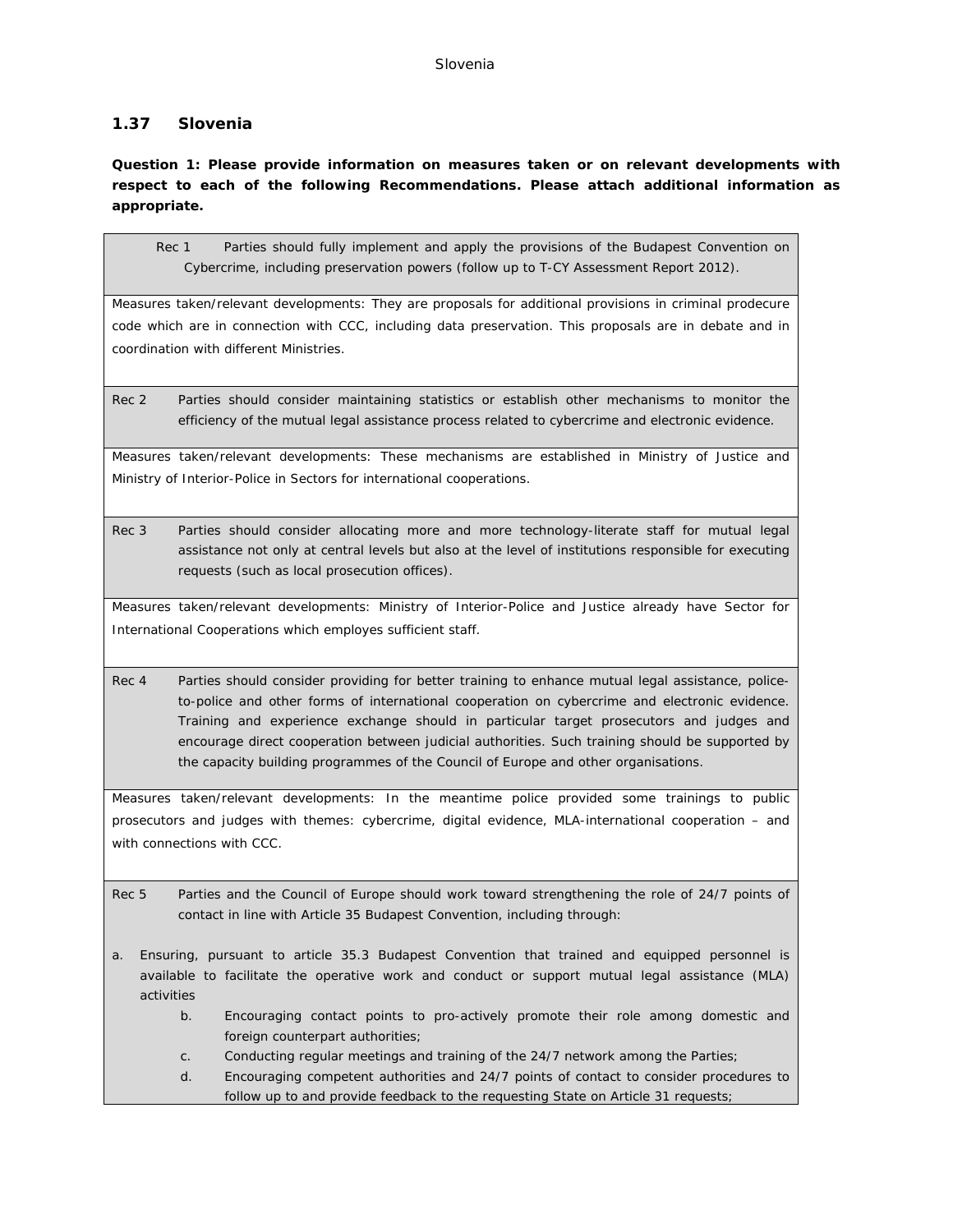#### Slovenia

# **1.37 Slovenia**

**Question 1: Please provide information on measures taken or on relevant developments with respect to each of the following Recommendations. Please attach additional information as appropriate.**

Rec 1 Parties should fully implement and apply the provisions of the Budapest Convention on Cybercrime, including preservation powers (follow up to T-CY Assessment Report 2012).

Measures taken/relevant developments: They are proposals for additional provisions in criminal prodecure code which are in connection with CCC, including data preservation. This proposals are in debate and in coordination with different Ministries.

Rec 2 Parties should consider maintaining statistics or establish other mechanisms to monitor the efficiency of the mutual legal assistance process related to cybercrime and electronic evidence.

Measures taken/relevant developments: These mechanisms are established in Ministry of Justice and Ministry of Interior-Police in Sectors for international cooperations.

Rec 3 Parties should consider allocating more and more technology-literate staff for mutual legal assistance not only at central levels but also at the level of institutions responsible for executing requests (such as local prosecution offices).

Measures taken/relevant developments: Ministry of Interior-Police and Justice already have Sector for International Cooperations which employes sufficient staff.

Rec 4 Parties should consider providing for better training to enhance mutual legal assistance, policeto-police and other forms of international cooperation on cybercrime and electronic evidence. Training and experience exchange should in particular target prosecutors and judges and encourage direct cooperation between judicial authorities. Such training should be supported by the capacity building programmes of the Council of Europe and other organisations.

Measures taken/relevant developments: In the meantime police provided some trainings to public prosecutors and judges with themes: cybercrime, digital evidence, MLA-international cooperation – and with connections with CCC.

- Rec 5 Parties and the Council of Europe should work toward strengthening the role of 24/7 points of contact in line with Article 35 Budapest Convention, including through:
- a. Ensuring, pursuant to article 35.3 Budapest Convention that trained and equipped personnel is available to facilitate the operative work and conduct or support mutual legal assistance (MLA) activities
	- b. Encouraging contact points to pro-actively promote their role among domestic and foreign counterpart authorities;
	- c. Conducting regular meetings and training of the 24/7 network among the Parties;
	- d. Encouraging competent authorities and 24/7 points of contact to consider procedures to follow up to and provide feedback to the requesting State on Article 31 requests;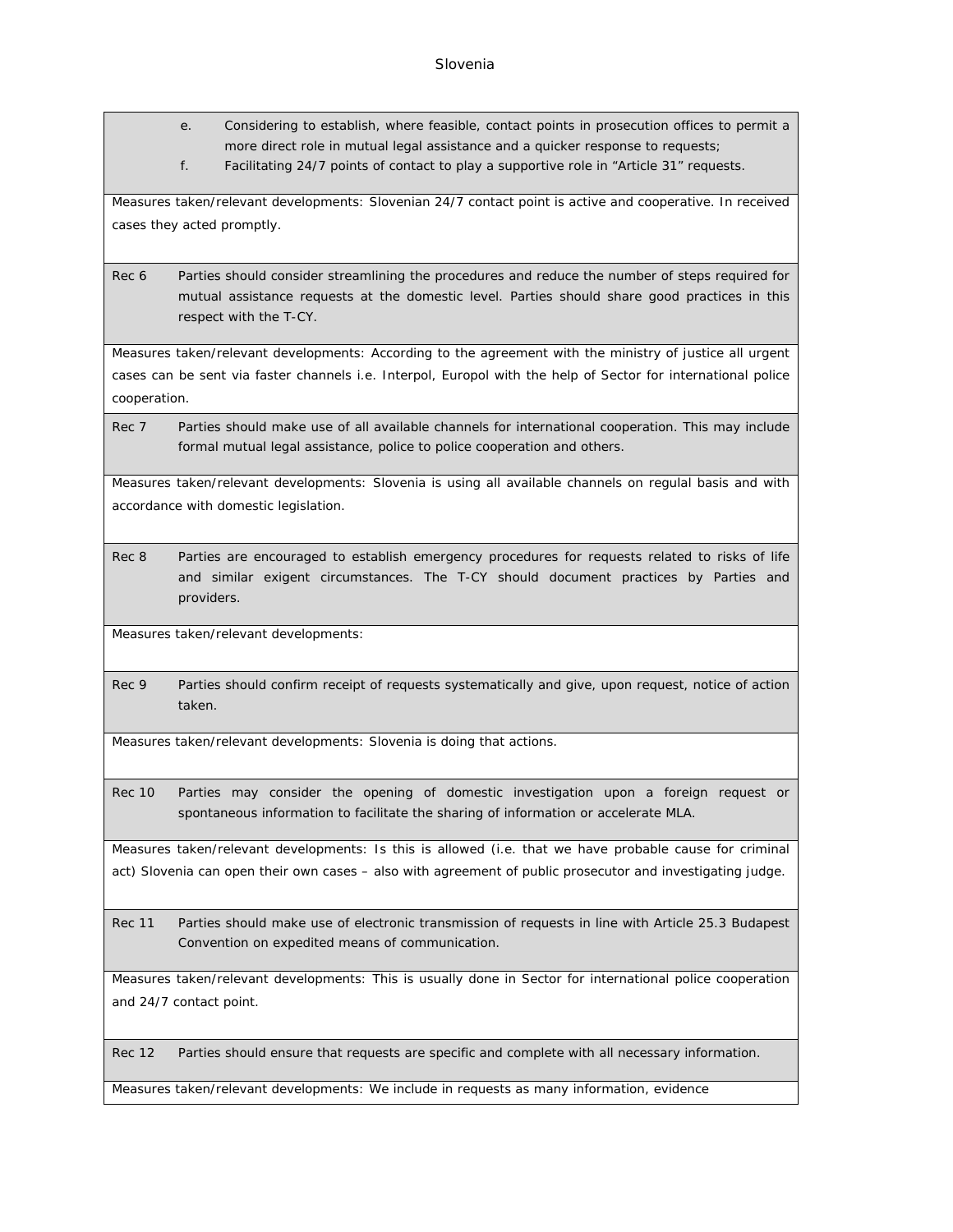- e. Considering to establish, where feasible, contact points in prosecution offices to permit a more direct role in mutual legal assistance and a quicker response to requests;
- f. Facilitating 24/7 points of contact to play a supportive role in "Article 31" requests.

Measures taken/relevant developments: Slovenian 24/7 contact point is active and cooperative. In received cases they acted promptly.

Rec 6 Parties should consider streamlining the procedures and reduce the number of steps required for mutual assistance requests at the domestic level. Parties should share good practices in this respect with the T-CY.

Measures taken/relevant developments: According to the agreement with the ministry of justice all urgent cases can be sent via faster channels i.e. Interpol, Europol with the help of Sector for international police cooperation.

Rec 7 Parties should make use of all available channels for international cooperation. This may include formal mutual legal assistance, police to police cooperation and others.

Measures taken/relevant developments: Slovenia is using all available channels on regulal basis and with accordance with domestic legislation.

Rec 8 Parties are encouraged to establish emergency procedures for requests related to risks of life and similar exigent circumstances. The T-CY should document practices by Parties and providers.

Measures taken/relevant developments:

Rec 9 Parties should confirm receipt of requests systematically and give, upon request, notice of action taken.

Measures taken/relevant developments: Slovenia is doing that actions.

Rec 10 Parties may consider the opening of domestic investigation upon a foreign request or spontaneous information to facilitate the sharing of information or accelerate MLA.

Measures taken/relevant developments: Is this is allowed (i.e. that we have probable cause for criminal act) Slovenia can open their own cases – also with agreement of public prosecutor and investigating judge.

Rec 11 Parties should make use of electronic transmission of requests in line with Article 25.3 Budapest Convention on expedited means of communication.

Measures taken/relevant developments: This is usually done in Sector for international police cooperation and 24/7 contact point.

Rec 12 Parties should ensure that requests are specific and complete with all necessary information.

Measures taken/relevant developments: We include in requests as many information, evidence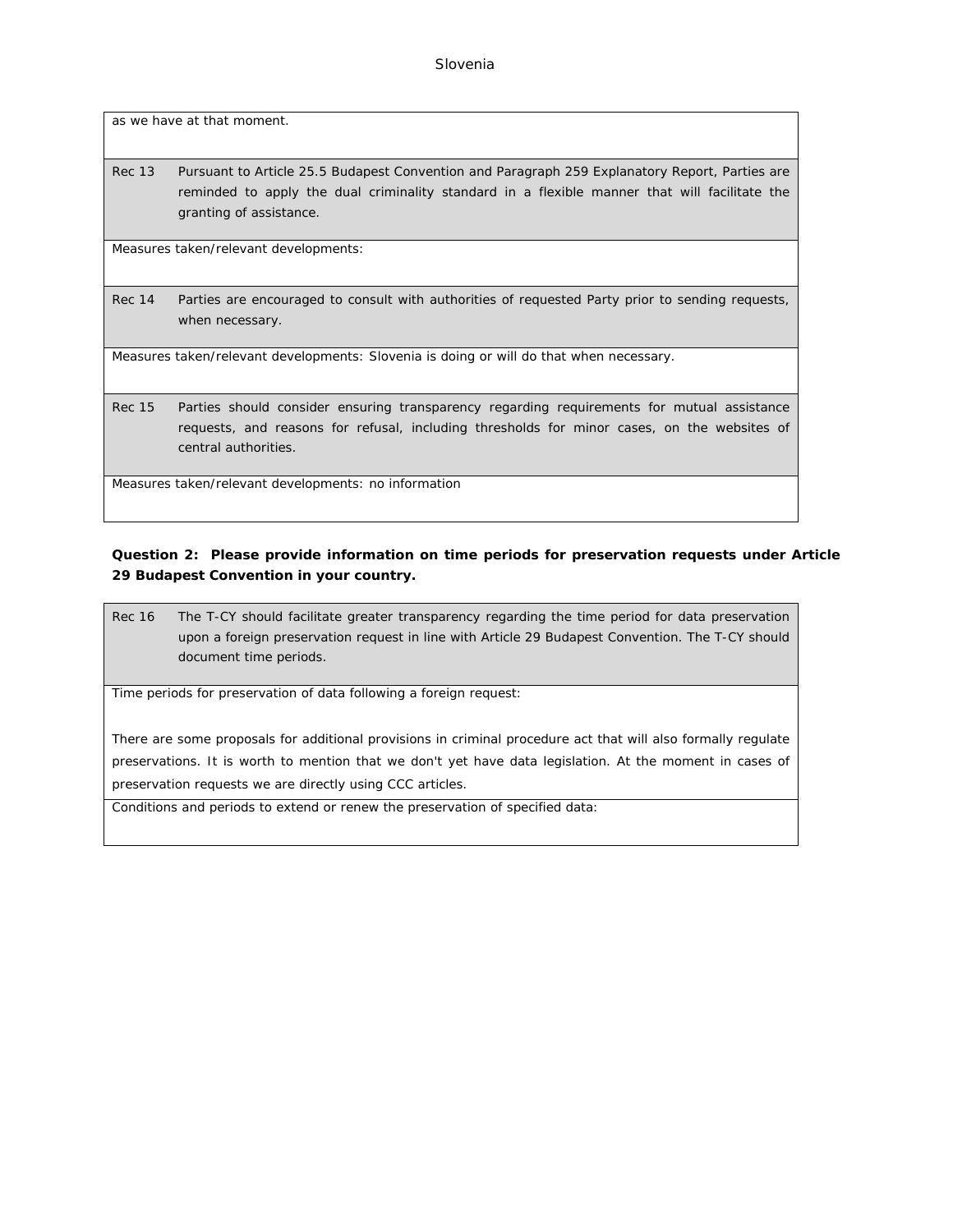as we have at that moment.

Rec 13 Pursuant to Article 25.5 Budapest Convention and Paragraph 259 Explanatory Report, Parties are reminded to apply the dual criminality standard in a flexible manner that will facilitate the granting of assistance.

Measures taken/relevant developments:

Rec 14 Parties are encouraged to consult with authorities of requested Party prior to sending requests, when necessary.

Measures taken/relevant developments: Slovenia is doing or will do that when necessary.

Rec 15 Parties should consider ensuring transparency regarding requirements for mutual assistance requests, and reasons for refusal, including thresholds for minor cases, on the websites of central authorities.

Measures taken/relevant developments: no information

**Question 2: Please provide information on time periods for preservation requests under Article 29 Budapest Convention in your country.**

Rec 16 The T-CY should facilitate greater transparency regarding the time period for data preservation upon a foreign preservation request in line with Article 29 Budapest Convention. The T-CY should document time periods.

Time periods for preservation of data following a foreign request:

There are some proposals for additional provisions in criminal procedure act that will also formally regulate preservations. It is worth to mention that we don't yet have data legislation. At the moment in cases of preservation requests we are directly using CCC articles.

Conditions and periods to extend or renew the preservation of specified data: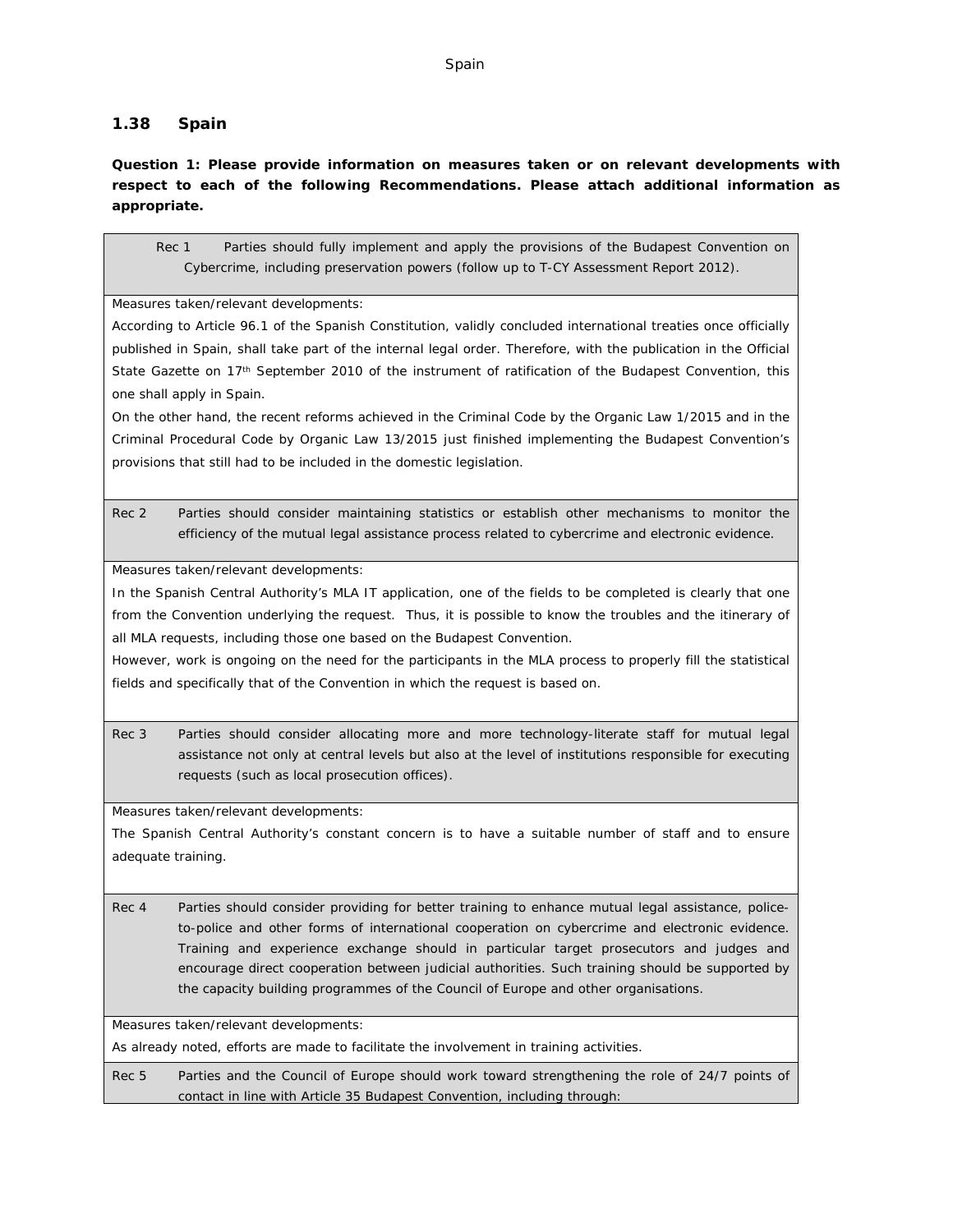# **1.38 Spain**

**Question 1: Please provide information on measures taken or on relevant developments with respect to each of the following Recommendations. Please attach additional information as appropriate.**

Rec 1 Parties should fully implement and apply the provisions of the Budapest Convention on Cybercrime, including preservation powers (follow up to T-CY Assessment Report 2012).

Measures taken/relevant developments:

According to Article 96.1 of the Spanish Constitution, validly concluded international treaties once officially published in Spain, shall take part of the internal legal order. Therefore, with the publication in the Official State Gazette on 17<sup>th</sup> September 2010 of the instrument of ratification of the Budapest Convention, this one shall apply in Spain.

On the other hand, the recent reforms achieved in the Criminal Code by the Organic Law 1/2015 and in the Criminal Procedural Code by Organic Law 13/2015 just finished implementing the Budapest Convention's provisions that still had to be included in the domestic legislation.

Rec 2 Parties should consider maintaining statistics or establish other mechanisms to monitor the efficiency of the mutual legal assistance process related to cybercrime and electronic evidence.

Measures taken/relevant developments:

In the Spanish Central Authority's MLA IT application, one of the fields to be completed is clearly that one from the Convention underlying the request. Thus, it is possible to know the troubles and the itinerary of all MLA requests, including those one based on the Budapest Convention.

However, work is ongoing on the need for the participants in the MLA process to properly fill the statistical fields and specifically that of the Convention in which the request is based on.

Rec 3 Parties should consider allocating more and more technology-literate staff for mutual legal assistance not only at central levels but also at the level of institutions responsible for executing requests (such as local prosecution offices).

Measures taken/relevant developments:

The Spanish Central Authority's constant concern is to have a suitable number of staff and to ensure adequate training.

Rec 4 Parties should consider providing for better training to enhance mutual legal assistance, policeto-police and other forms of international cooperation on cybercrime and electronic evidence. Training and experience exchange should in particular target prosecutors and judges and encourage direct cooperation between judicial authorities. Such training should be supported by the capacity building programmes of the Council of Europe and other organisations.

Measures taken/relevant developments:

As already noted, efforts are made to facilitate the involvement in training activities.

Rec 5 Parties and the Council of Europe should work toward strengthening the role of 24/7 points of contact in line with Article 35 Budapest Convention, including through: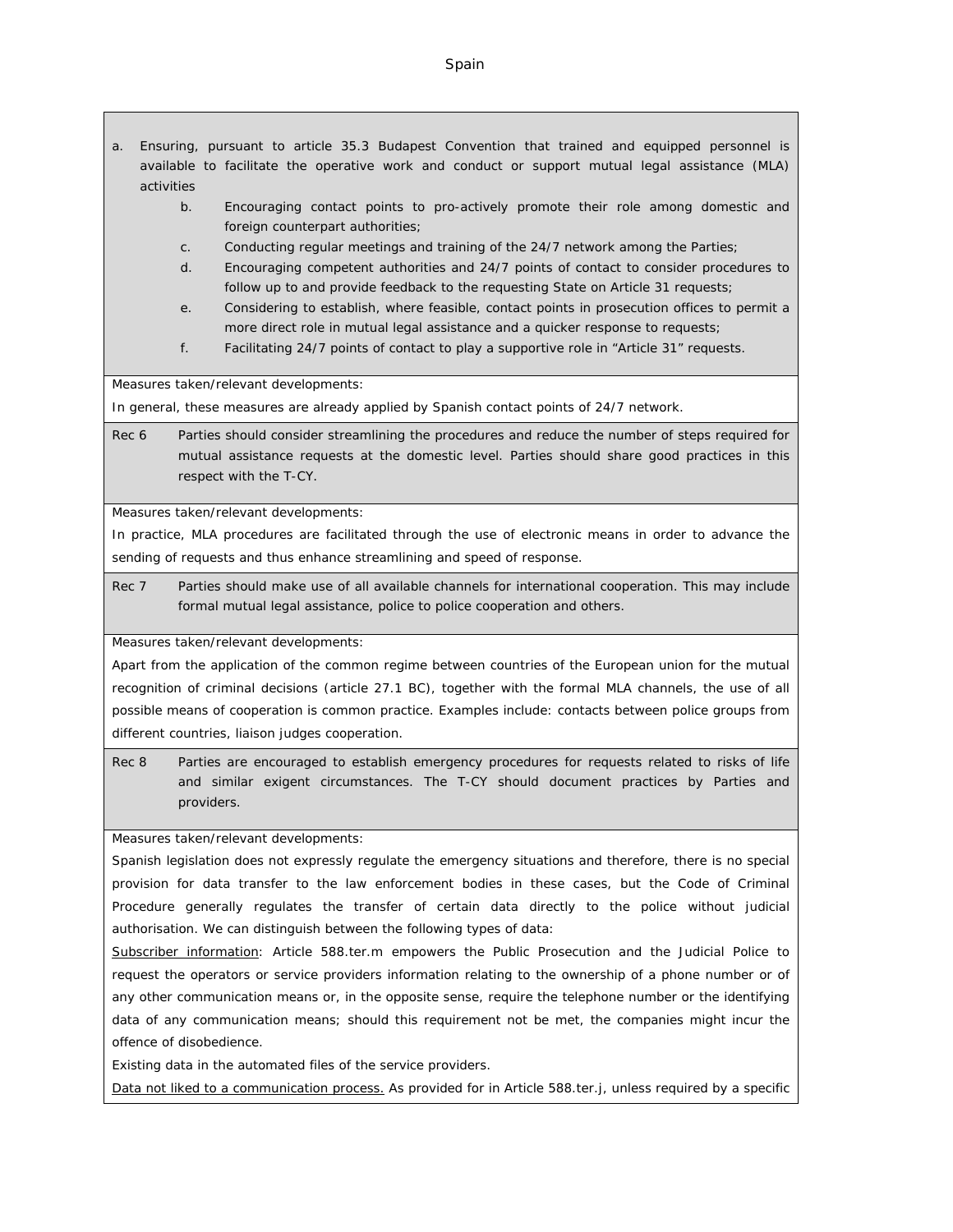#### Spain

- a. Ensuring, pursuant to article 35.3 Budapest Convention that trained and equipped personnel is available to facilitate the operative work and conduct or support mutual legal assistance (MLA) activities
	- b. Encouraging contact points to pro-actively promote their role among domestic and foreign counterpart authorities;
	- c. Conducting regular meetings and training of the 24/7 network among the Parties;
	- d. Encouraging competent authorities and 24/7 points of contact to consider procedures to follow up to and provide feedback to the requesting State on Article 31 requests;
	- e. Considering to establish, where feasible, contact points in prosecution offices to permit a more direct role in mutual legal assistance and a quicker response to requests;
	- f. Facilitating 24/7 points of contact to play a supportive role in "Article 31" requests.

Measures taken/relevant developments:

In general, these measures are already applied by Spanish contact points of 24/7 network.

Rec 6 Parties should consider streamlining the procedures and reduce the number of steps required for mutual assistance requests at the domestic level. Parties should share good practices in this respect with the T-CY.

Measures taken/relevant developments:

In practice, MLA procedures are facilitated through the use of electronic means in order to advance the sending of requests and thus enhance streamlining and speed of response.

Rec 7 Parties should make use of all available channels for international cooperation. This may include formal mutual legal assistance, police to police cooperation and others.

Measures taken/relevant developments:

Apart from the application of the common regime between countries of the European union for the mutual recognition of criminal decisions (article 27.1 BC), together with the formal MLA channels, the use of all possible means of cooperation is common practice. Examples include: contacts between police groups from different countries, liaison judges cooperation.

Rec 8 Parties are encouraged to establish emergency procedures for requests related to risks of life and similar exigent circumstances. The T-CY should document practices by Parties and providers.

Measures taken/relevant developments:

Spanish legislation does not expressly regulate the emergency situations and therefore, there is no special provision for data transfer to the law enforcement bodies in these cases, but the Code of Criminal Procedure generally regulates the transfer of certain data directly to the police without judicial authorisation. We can distinguish between the following types of data:

Subscriber information: Article 588.ter.m empowers the Public Prosecution and the Judicial Police to request the operators or service providers information relating to the ownership of a phone number or of any other communication means or, in the opposite sense, require the telephone number or the identifying data of any communication means; should this requirement not be met, the companies might incur the offence of disobedience.

Existing data in the automated files of the service providers.

Data not liked to a communication process. As provided for in Article 588.ter.j, unless required by a specific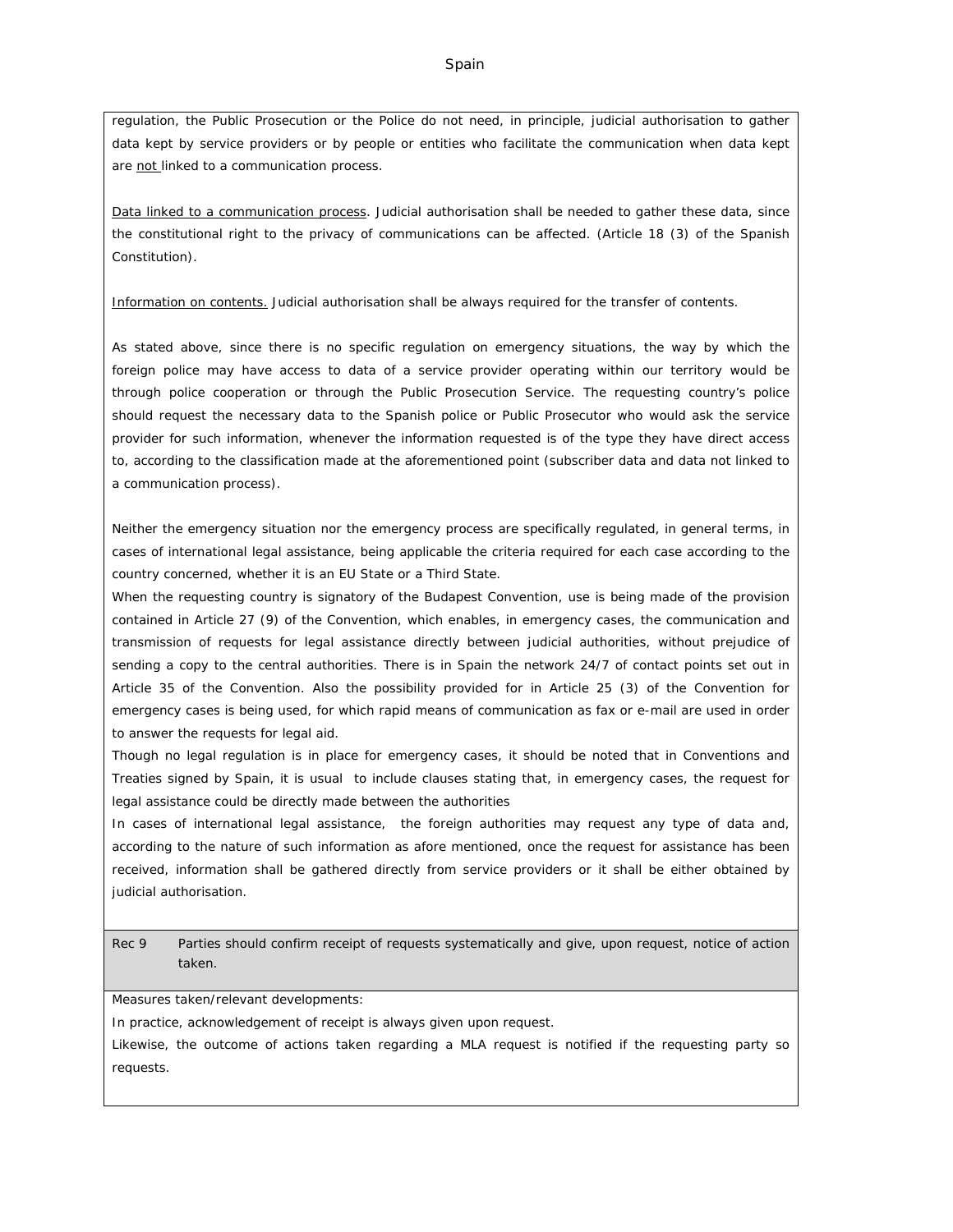regulation, the Public Prosecution or the Police do not need, in principle, judicial authorisation to gather data kept by service providers or by people or entities who facilitate the communication when data kept are not linked to a communication process.

Data linked to a communication process. Judicial authorisation shall be needed to gather these data, since the constitutional right to the privacy of communications can be affected. (Article 18 (3) of the Spanish Constitution).

Information on contents. Judicial authorisation shall be always required for the transfer of contents.

As stated above, since there is no specific regulation on emergency situations, the way by which the foreign police may have access to data of a service provider operating within our territory would be through police cooperation or through the Public Prosecution Service. The requesting country's police should request the necessary data to the Spanish police or Public Prosecutor who would ask the service provider for such information, whenever the information requested is of the type they have direct access to, according to the classification made at the aforementioned point (subscriber data and data not linked to a communication process).

Neither the emergency situation nor the emergency process are specifically regulated, in general terms, in cases of international legal assistance, being applicable the criteria required for each case according to the country concerned, whether it is an EU State or a Third State.

When the requesting country is signatory of the Budapest Convention, use is being made of the provision contained in Article 27 (9) of the Convention, which enables, in emergency cases, the communication and transmission of requests for legal assistance directly between judicial authorities, without prejudice of sending a copy to the central authorities. There is in Spain the network 24/7 of contact points set out in Article 35 of the Convention. Also the possibility provided for in Article 25 (3) of the Convention for emergency cases is being used, for which rapid means of communication as fax or e-mail are used in order to answer the requests for legal aid.

Though no legal regulation is in place for emergency cases, it should be noted that in Conventions and Treaties signed by Spain, it is usual to include clauses stating that, in emergency cases, the request for legal assistance could be directly made between the authorities

In cases of international legal assistance, the foreign authorities may request any type of data and, according to the nature of such information as afore mentioned, once the request for assistance has been received, information shall be gathered directly from service providers or it shall be either obtained by judicial authorisation.

Rec 9 Parties should confirm receipt of requests systematically and give, upon request, notice of action taken.

Measures taken/relevant developments:

In practice, acknowledgement of receipt is always given upon request.

Likewise, the outcome of actions taken regarding a MLA request is notified if the requesting party so requests.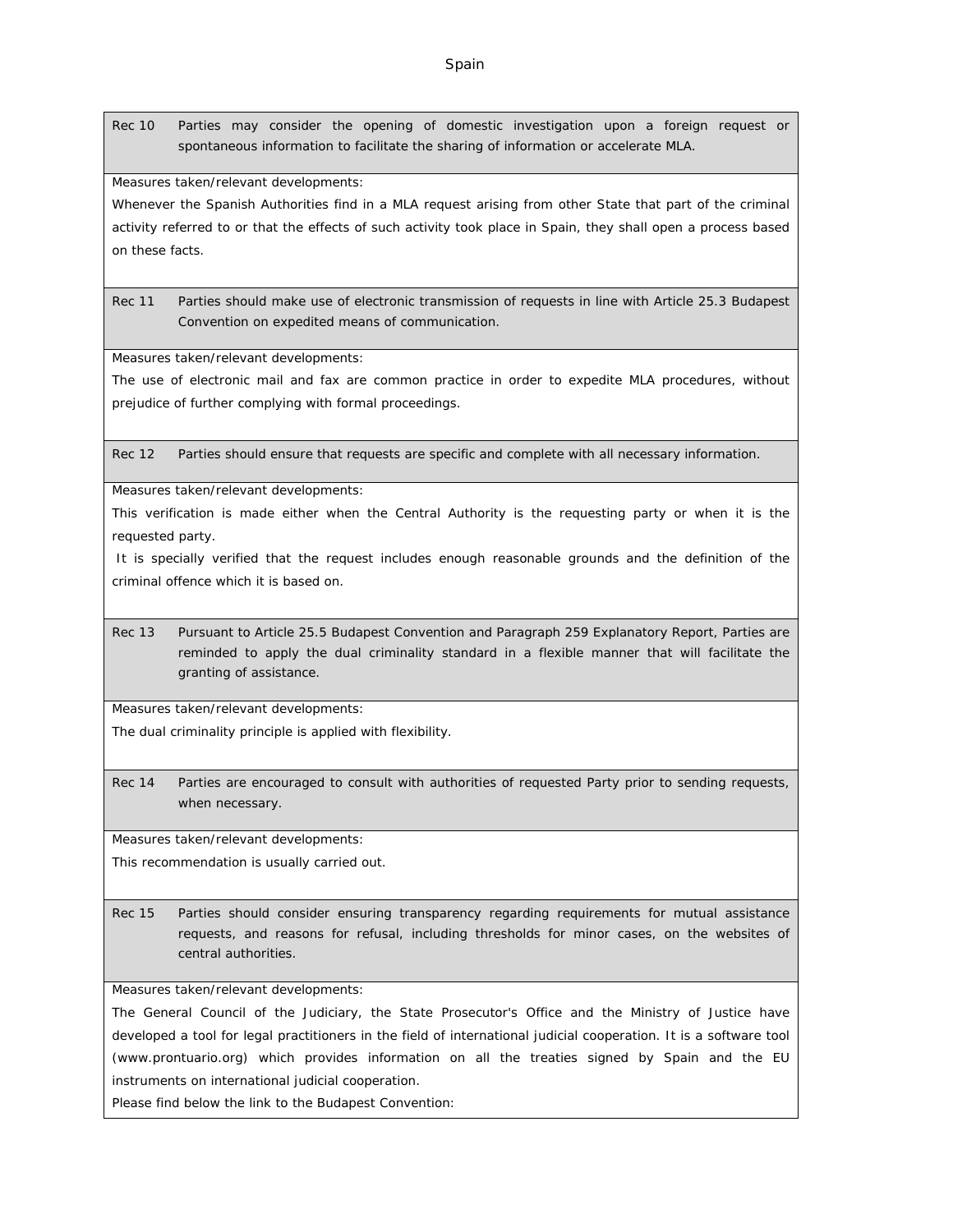Rec 10 Parties may consider the opening of domestic investigation upon a foreign request or spontaneous information to facilitate the sharing of information or accelerate MLA.

Measures taken/relevant developments:

Whenever the Spanish Authorities find in a MLA request arising from other State that part of the criminal activity referred to or that the effects of such activity took place in Spain, they shall open a process based on these facts.

Rec 11 Parties should make use of electronic transmission of requests in line with Article 25.3 Budapest Convention on expedited means of communication.

Measures taken/relevant developments:

The use of electronic mail and fax are common practice in order to expedite MLA procedures, without prejudice of further complying with formal proceedings.

Rec 12 Parties should ensure that requests are specific and complete with all necessary information.

Measures taken/relevant developments:

This verification is made either when the Central Authority is the requesting party or when it is the requested party.

 It is specially verified that the request includes enough reasonable grounds and the definition of the criminal offence which it is based on.

Rec 13 Pursuant to Article 25.5 Budapest Convention and Paragraph 259 Explanatory Report, Parties are reminded to apply the dual criminality standard in a flexible manner that will facilitate the granting of assistance.

Measures taken/relevant developments:

The dual criminality principle is applied with flexibility.

Rec 14 Parties are encouraged to consult with authorities of requested Party prior to sending requests, when necessary.

Measures taken/relevant developments:

This recommendation is usually carried out.

Rec 15 Parties should consider ensuring transparency regarding requirements for mutual assistance requests, and reasons for refusal, including thresholds for minor cases, on the websites of central authorities.

Measures taken/relevant developments:

The General Council of the Judiciary, the State Prosecutor's Office and the Ministry of Justice have developed a tool for legal practitioners in the field of international judicial cooperation. It is a software tool ([www.prontuario.org](http://www.prontuario.org/)) which provides information on all the treaties signed by Spain and the EU instruments on international judicial cooperation.

Please find below the link to the Budapest Convention: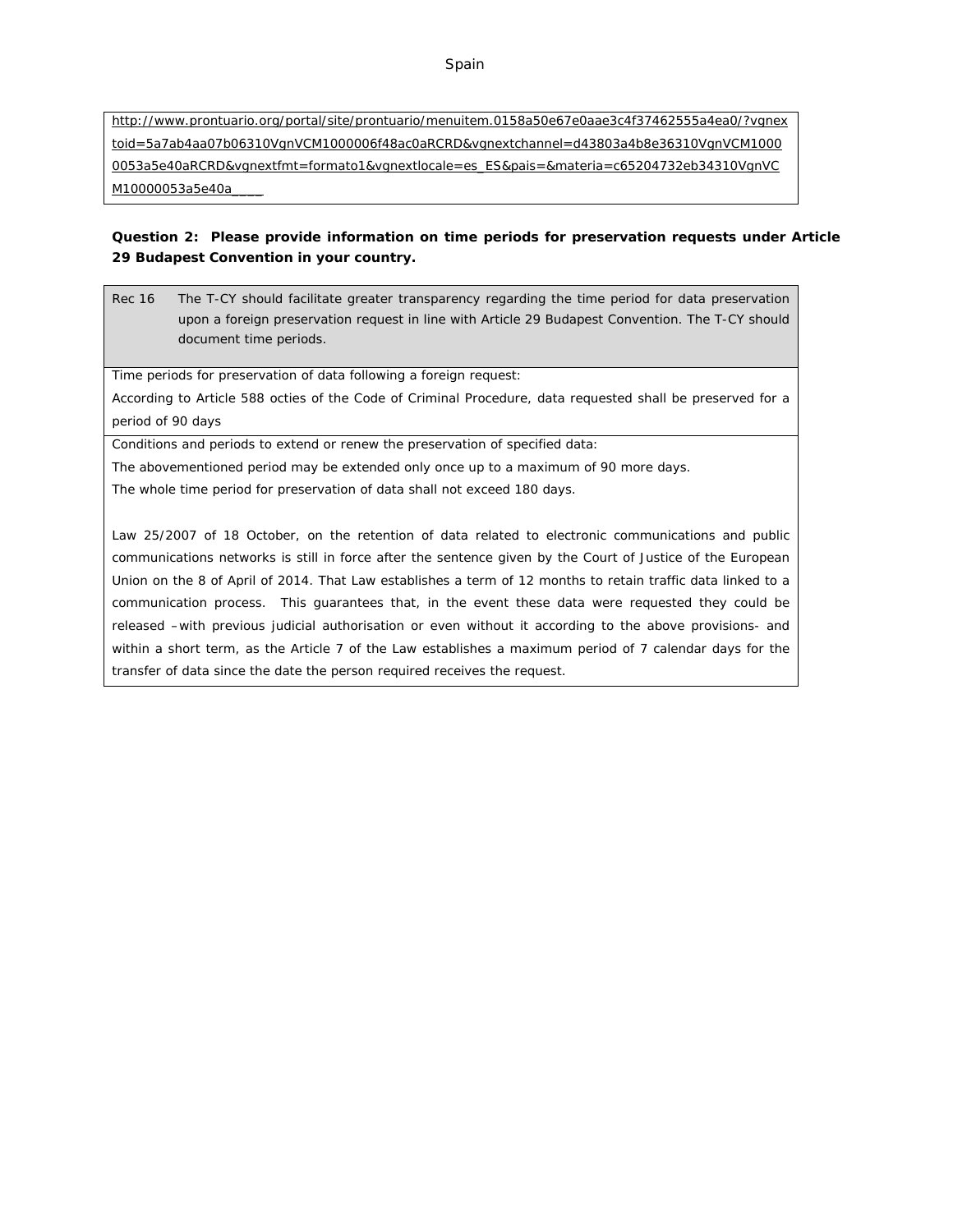[http://www.prontuario.org/portal/site/prontuario/menuitem.0158a50e67e0aae3c4f37462555a4ea0/?vgnex](http://www.prontuario.org/portal/site/prontuario/menuitem.0158a50e67e0aae3c4f37462555a4ea0/?vgnextoid=5a7ab4aa07b06310VgnVCM1000006f48ac0aRCRD&vgnextchannel=d43803a4b8e36310VgnVCM10000053a5e40aRCRD&vgnextfmt=formato1&vgnextlocale=es_ES&pais=&materia=c65204732eb34310VgnVCM10000053a5e40a____) [toid=5a7ab4aa07b06310VgnVCM1000006f48ac0aRCRD&vgnextchannel=d43803a4b8e36310VgnVCM1000](http://www.prontuario.org/portal/site/prontuario/menuitem.0158a50e67e0aae3c4f37462555a4ea0/?vgnextoid=5a7ab4aa07b06310VgnVCM1000006f48ac0aRCRD&vgnextchannel=d43803a4b8e36310VgnVCM10000053a5e40aRCRD&vgnextfmt=formato1&vgnextlocale=es_ES&pais=&materia=c65204732eb34310VgnVCM10000053a5e40a____) [0053a5e40aRCRD&vgnextfmt=formato1&vgnextlocale=es\\_ES&pais=&materia=c65204732eb34310VgnVC](http://www.prontuario.org/portal/site/prontuario/menuitem.0158a50e67e0aae3c4f37462555a4ea0/?vgnextoid=5a7ab4aa07b06310VgnVCM1000006f48ac0aRCRD&vgnextchannel=d43803a4b8e36310VgnVCM10000053a5e40aRCRD&vgnextfmt=formato1&vgnextlocale=es_ES&pais=&materia=c65204732eb34310VgnVCM10000053a5e40a____) M10000053a5e40a

**Question 2: Please provide information on time periods for preservation requests under Article 29 Budapest Convention in your country.**

Rec 16 The T-CY should facilitate greater transparency regarding the time period for data preservation upon a foreign preservation request in line with Article 29 Budapest Convention. The T-CY should document time periods.

Time periods for preservation of data following a foreign request:

According to Article 588 octies of the Code of Criminal Procedure, data requested shall be preserved for a period of 90 days

Conditions and periods to extend or renew the preservation of specified data:

The abovementioned period may be extended only once up to a maximum of 90 more days.

The whole time period for preservation of data shall not exceed 180 days.

Law 25/2007 of 18 October, on the retention of data related to electronic communications and public communications networks is still in force after the sentence given by the Court of Justice of the European Union on the 8 of April of 2014. That Law establishes a term of 12 months to retain traffic data linked to a communication process. This guarantees that, in the event these data were requested they could be released –with previous judicial authorisation or even without it according to the above provisions- and within a short term, as the Article 7 of the Law establishes a maximum period of 7 calendar days for the transfer of data since the date the person required receives the request.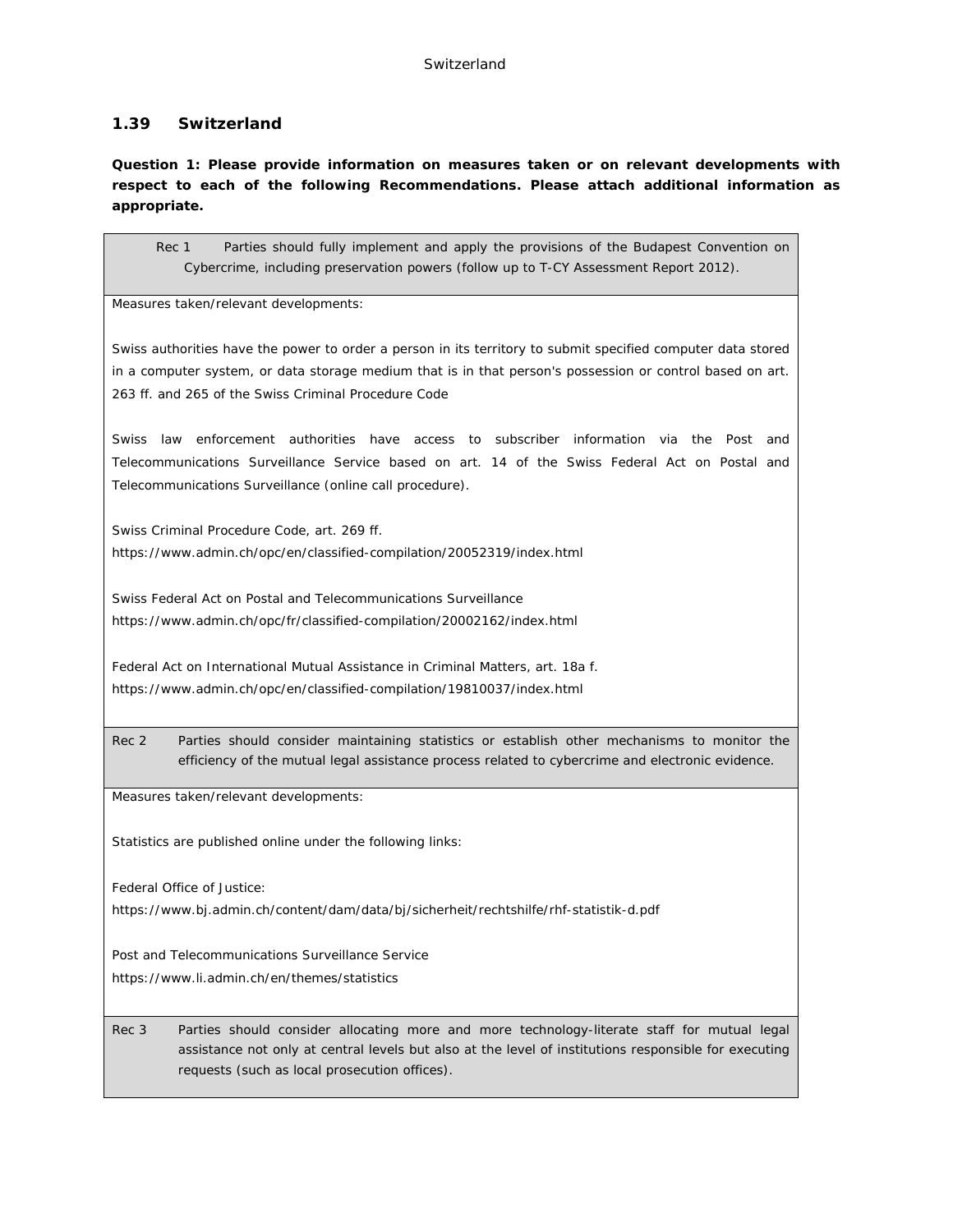# **1.39 Switzerland**

**Question 1: Please provide information on measures taken or on relevant developments with respect to each of the following Recommendations. Please attach additional information as appropriate.**

Rec 1 Parties should fully implement and apply the provisions of the Budapest Convention on Cybercrime, including preservation powers (follow up to T-CY Assessment Report 2012).

Measures taken/relevant developments:

Swiss authorities have the power to order a person in its territory to submit specified computer data stored in a computer system, or data storage medium that is in that person's possession or control based on art. 263 ff. and 265 of the Swiss Criminal Procedure Code

Swiss law enforcement authorities have access to subscriber information via the Post and Telecommunications Surveillance Service based on art. 14 of the Swiss Federal Act on Postal and Telecommunications Surveillance (online call procedure).

Swiss Criminal Procedure Code, art. 269 ff. https://www.admin.ch/opc/en/classified-compilation/20052319/index.html

Swiss Federal Act on Postal and Telecommunications Surveillance https://www.admin.ch/opc/fr/classified-compilation/20002162/index.html

Federal Act on International Mutual Assistance in Criminal Matters, art. 18a f. https://www.admin.ch/opc/en/classified-compilation/19810037/index.html

Rec 2 Parties should consider maintaining statistics or establish other mechanisms to monitor the efficiency of the mutual legal assistance process related to cybercrime and electronic evidence.

Measures taken/relevant developments:

Statistics are published online under the following links:

Federal Office of Justice:

https://www.bj.admin.ch/content/dam/data/bj/sicherheit/rechtshilfe/rhf-statistik-d.pdf

Post and Telecommunications Surveillance Service https://www.li.admin.ch/en/themes/statistics

Rec 3 Parties should consider allocating more and more technology-literate staff for mutual legal assistance not only at central levels but also at the level of institutions responsible for executing requests (such as local prosecution offices).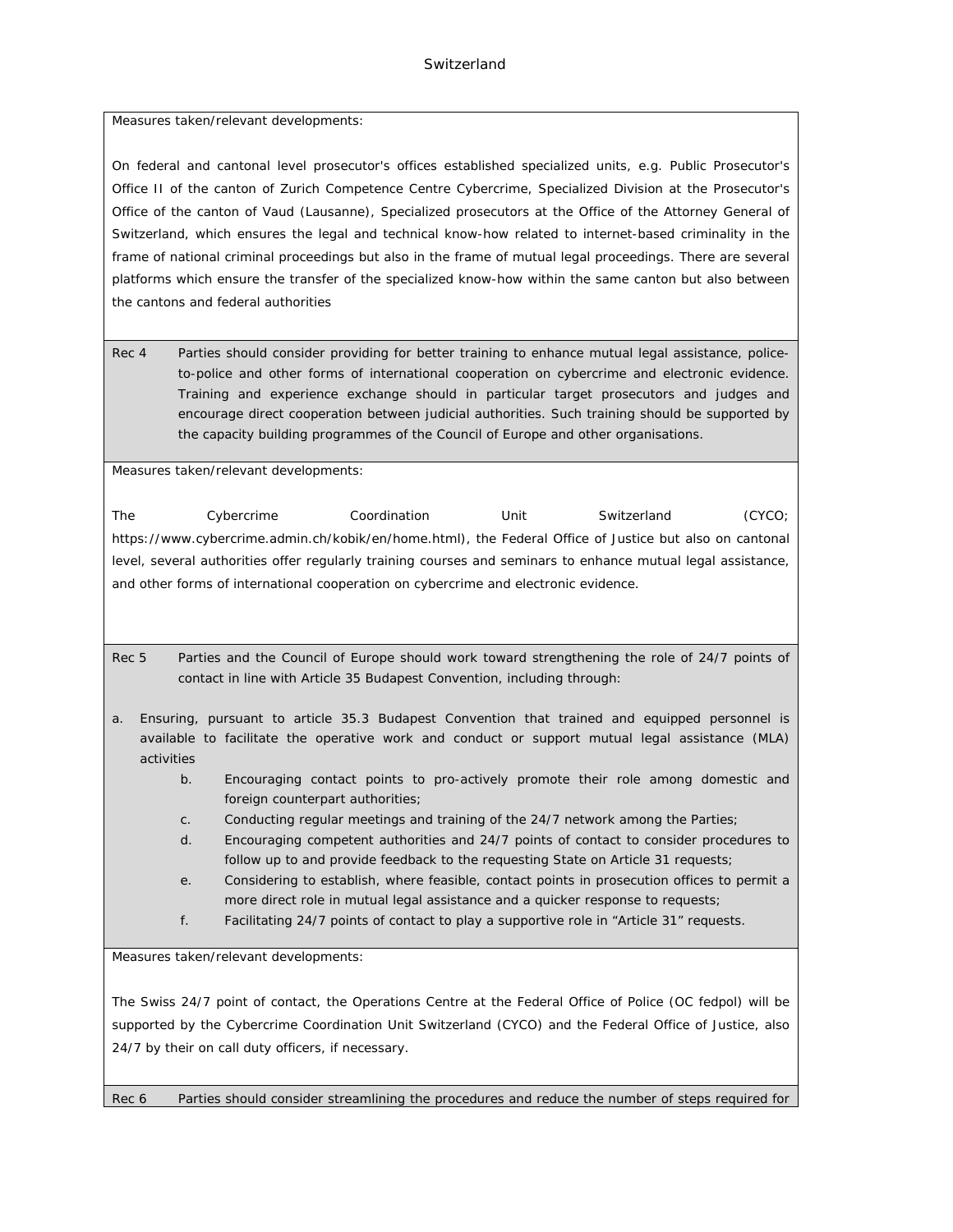## **Switzerland**

Measures taken/relevant developments:

On federal and cantonal level prosecutor's offices established specialized units, e.g. Public Prosecutor's Office II of the canton of Zurich Competence Centre Cybercrime, Specialized Division at the Prosecutor's Office of the canton of Vaud (Lausanne), Specialized prosecutors at the Office of the Attorney General of Switzerland, which ensures the legal and technical know-how related to internet-based criminality in the frame of national criminal proceedings but also in the frame of mutual legal proceedings. There are several platforms which ensure the transfer of the specialized know-how within the same canton but also between the cantons and federal authorities

Rec 4 Parties should consider providing for better training to enhance mutual legal assistance, policeto-police and other forms of international cooperation on cybercrime and electronic evidence. Training and experience exchange should in particular target prosecutors and judges and encourage direct cooperation between judicial authorities. Such training should be supported by the capacity building programmes of the Council of Europe and other organisations.

Measures taken/relevant developments:

The Cybercrime Coordination Unit Switzerland (CYCO; https://www.cybercrime.admin.ch/kobik/en/home.html), the Federal Office of Justice but also on cantonal level, several authorities offer regularly training courses and seminars to enhance mutual legal assistance, and other forms of international cooperation on cybercrime and electronic evidence.

Rec 5 Parties and the Council of Europe should work toward strengthening the role of 24/7 points of contact in line with Article 35 Budapest Convention, including through:

- a. Ensuring, pursuant to article 35.3 Budapest Convention that trained and equipped personnel is available to facilitate the operative work and conduct or support mutual legal assistance (MLA) activities
	- b. Encouraging contact points to pro-actively promote their role among domestic and foreign counterpart authorities;
	- c. Conducting regular meetings and training of the 24/7 network among the Parties;
	- d. Encouraging competent authorities and 24/7 points of contact to consider procedures to follow up to and provide feedback to the requesting State on Article 31 requests;
	- e. Considering to establish, where feasible, contact points in prosecution offices to permit a more direct role in mutual legal assistance and a quicker response to requests;
	- f. Facilitating 24/7 points of contact to play a supportive role in "Article 31" requests.

Measures taken/relevant developments:

The Swiss 24/7 point of contact, the Operations Centre at the Federal Office of Police (OC fedpol) will be supported by the Cybercrime Coordination Unit Switzerland (CYCO) and the Federal Office of Justice, also 24/7 by their on call duty officers, if necessary.

Rec 6 Parties should consider streamlining the procedures and reduce the number of steps required for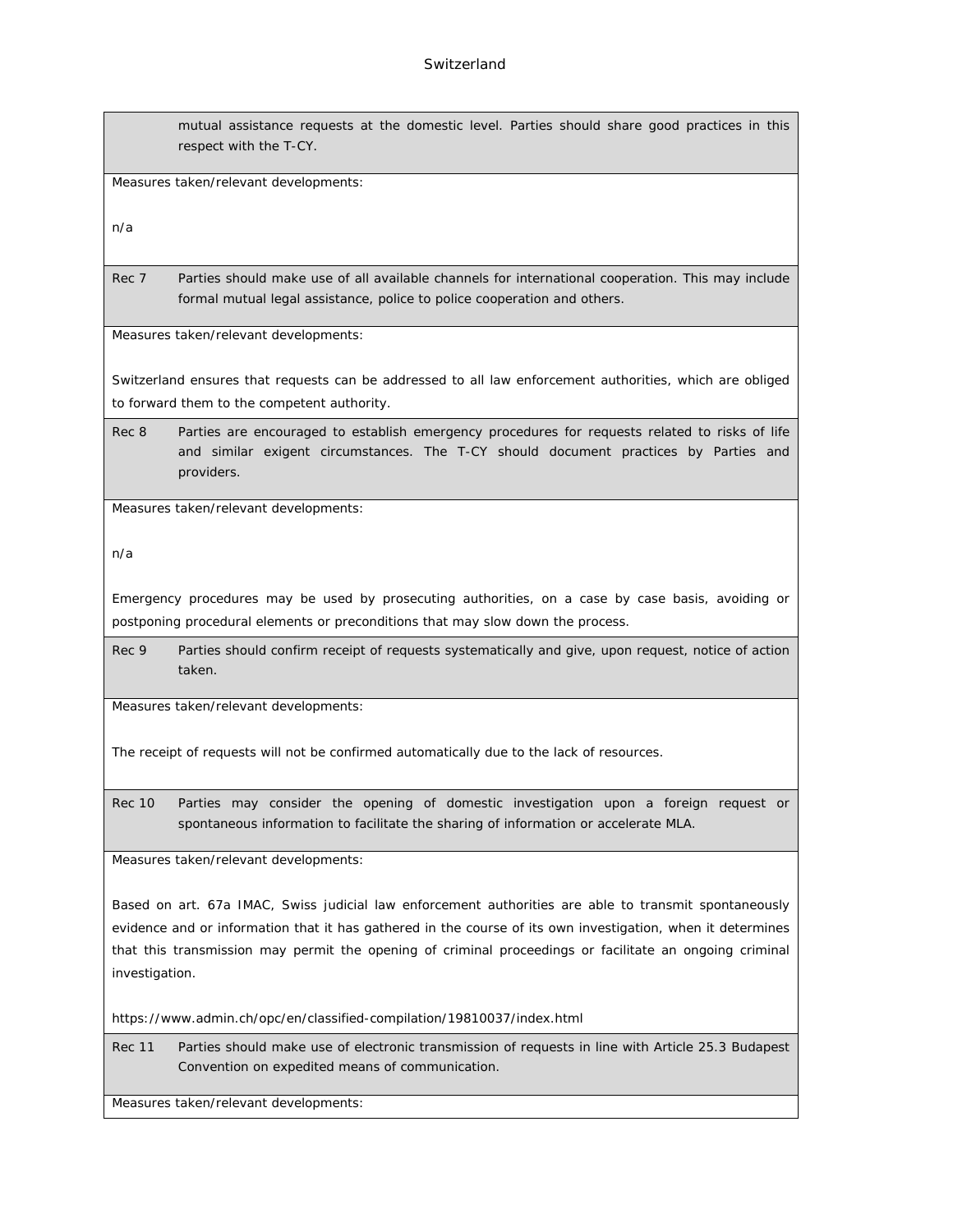mutual assistance requests at the domestic level. Parties should share good practices in this respect with the T-CY.

Measures taken/relevant developments:

n/a

Rec 7 Parties should make use of all available channels for international cooperation. This may include formal mutual legal assistance, police to police cooperation and others.

Measures taken/relevant developments:

Switzerland ensures that requests can be addressed to all law enforcement authorities, which are obliged to forward them to the competent authority.

Rec 8 Parties are encouraged to establish emergency procedures for requests related to risks of life and similar exigent circumstances. The T-CY should document practices by Parties and providers.

Measures taken/relevant developments:

n/a

Emergency procedures may be used by prosecuting authorities, on a case by case basis, avoiding or postponing procedural elements or preconditions that may slow down the process.

Rec 9 Parties should confirm receipt of requests systematically and give, upon request, notice of action taken.

Measures taken/relevant developments:

The receipt of requests will not be confirmed automatically due to the lack of resources.

Rec 10 Parties may consider the opening of domestic investigation upon a foreign request or spontaneous information to facilitate the sharing of information or accelerate MLA.

Measures taken/relevant developments:

Based on art. 67a IMAC, Swiss judicial law enforcement authorities are able to transmit spontaneously evidence and or information that it has gathered in the course of its own investigation, when it determines that this transmission may permit the opening of criminal proceedings or facilitate an ongoing criminal investigation.

https://www.admin.ch/opc/en/classified-compilation/19810037/index.html

Rec 11 Parties should make use of electronic transmission of requests in line with Article 25.3 Budapest Convention on expedited means of communication.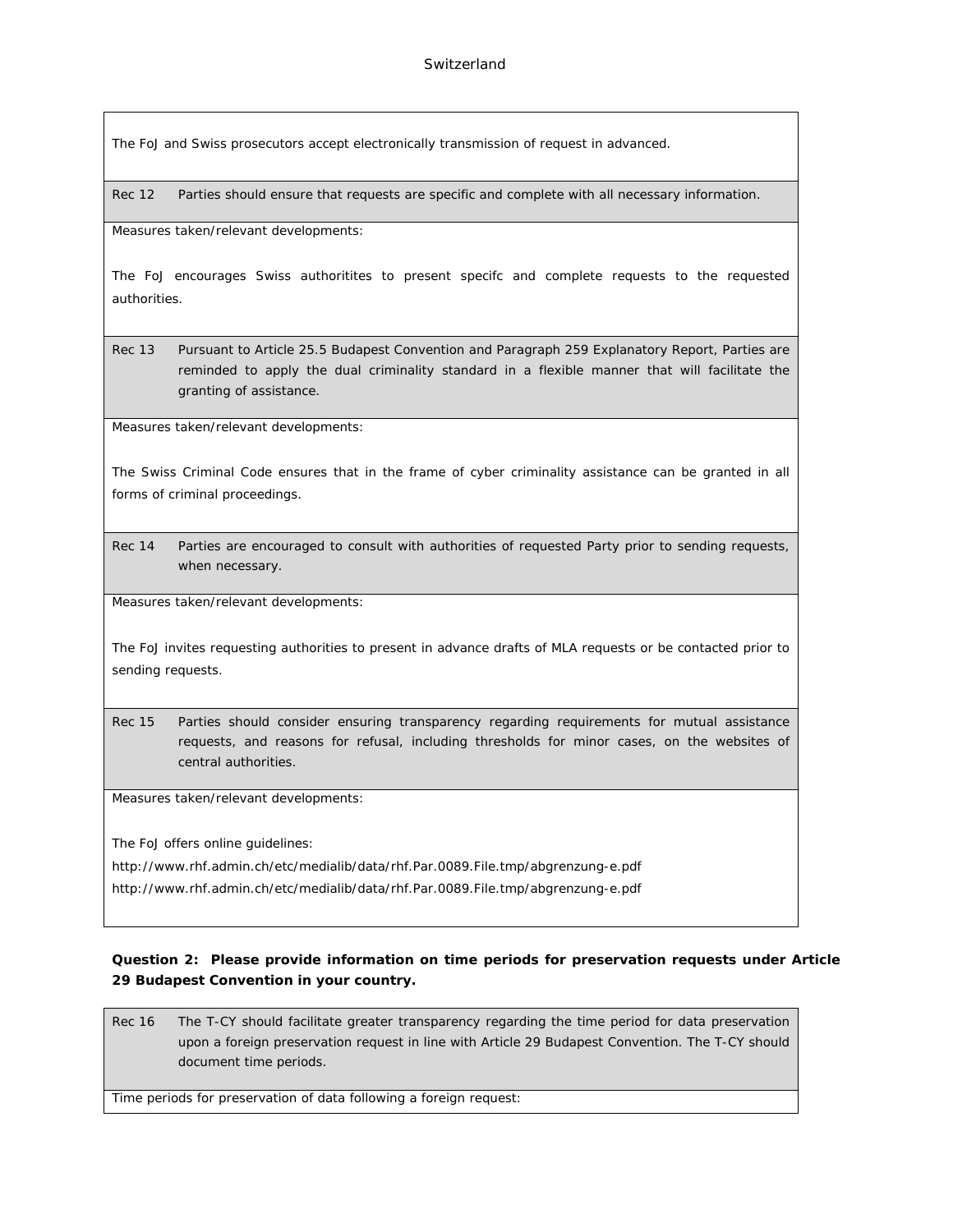The FoJ and Swiss prosecutors accept electronically transmission of request in advanced.

Rec 12 Parties should ensure that requests are specific and complete with all necessary information.

Measures taken/relevant developments:

The FoJ encourages Swiss authoritites to present specifc and complete requests to the requested authorities.

Rec 13 Pursuant to Article 25.5 Budapest Convention and Paragraph 259 Explanatory Report, Parties are reminded to apply the dual criminality standard in a flexible manner that will facilitate the granting of assistance.

Measures taken/relevant developments:

The Swiss Criminal Code ensures that in the frame of cyber criminality assistance can be granted in all forms of criminal proceedings.

Rec 14 Parties are encouraged to consult with authorities of requested Party prior to sending requests, when necessary.

Measures taken/relevant developments:

The FoJ invites requesting authorities to present in advance drafts of MLA requests or be contacted prior to sending requests.

Rec 15 Parties should consider ensuring transparency regarding requirements for mutual assistance requests, and reasons for refusal, including thresholds for minor cases, on the websites of central authorities.

Measures taken/relevant developments:

The FoJ offers online guidelines:

http://www.rhf.admin.ch/etc/medialib/data/rhf.Par.0089.File.tmp/abgrenzung-e.pdf

http://www.rhf.admin.ch/etc/medialib/data/rhf.Par.0089.File.tmp/abgrenzung-e.pdf

**Question 2: Please provide information on time periods for preservation requests under Article 29 Budapest Convention in your country.**

Rec 16 The T-CY should facilitate greater transparency regarding the time period for data preservation upon a foreign preservation request in line with Article 29 Budapest Convention. The T-CY should document time periods.

Time periods for preservation of data following a foreign request: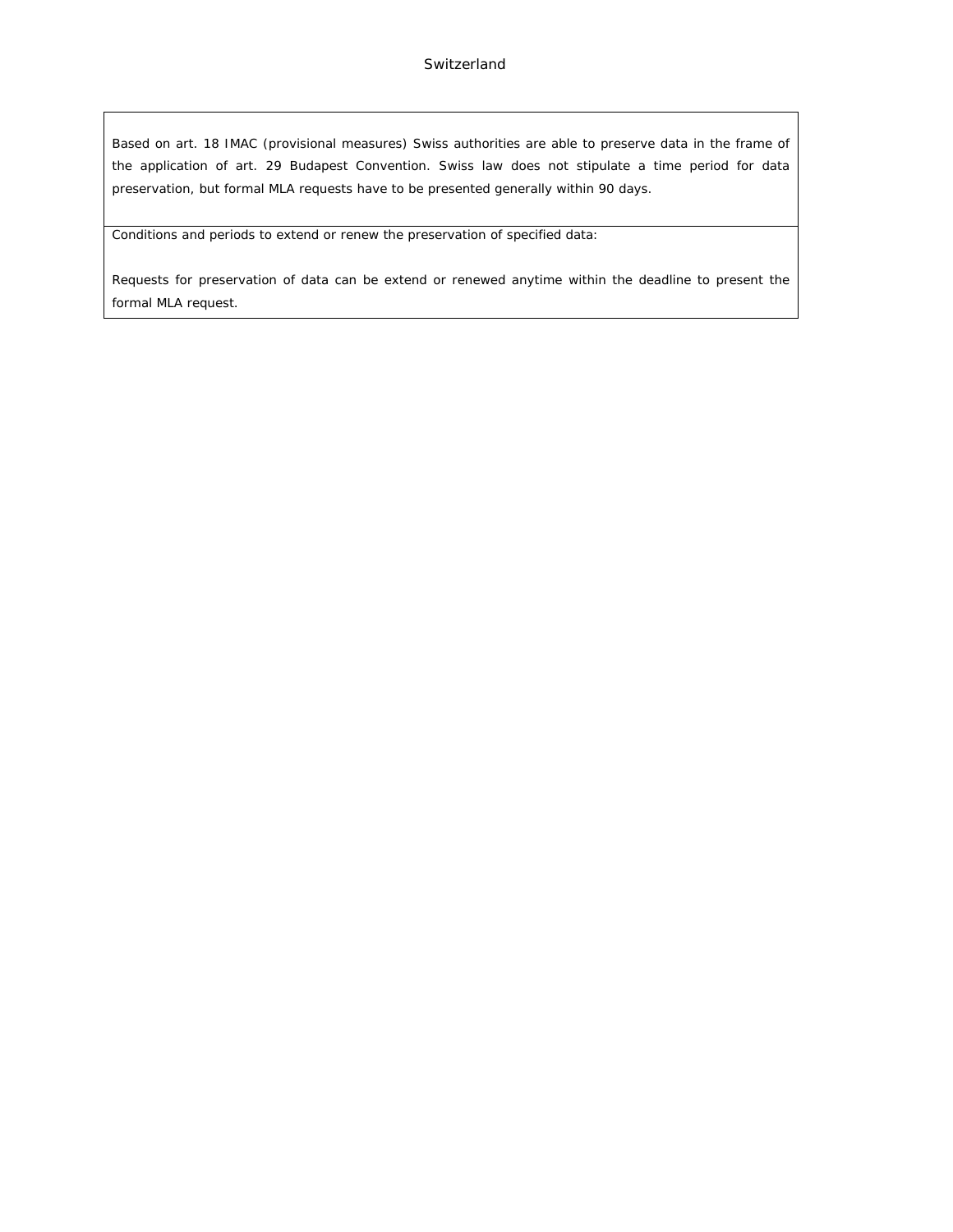Based on art. 18 IMAC (provisional measures) Swiss authorities are able to preserve data in the frame of the application of art. 29 Budapest Convention. Swiss law does not stipulate a time period for data preservation, but formal MLA requests have to be presented generally within 90 days.

Conditions and periods to extend or renew the preservation of specified data:

Requests for preservation of data can be extend or renewed anytime within the deadline to present the formal MLA request.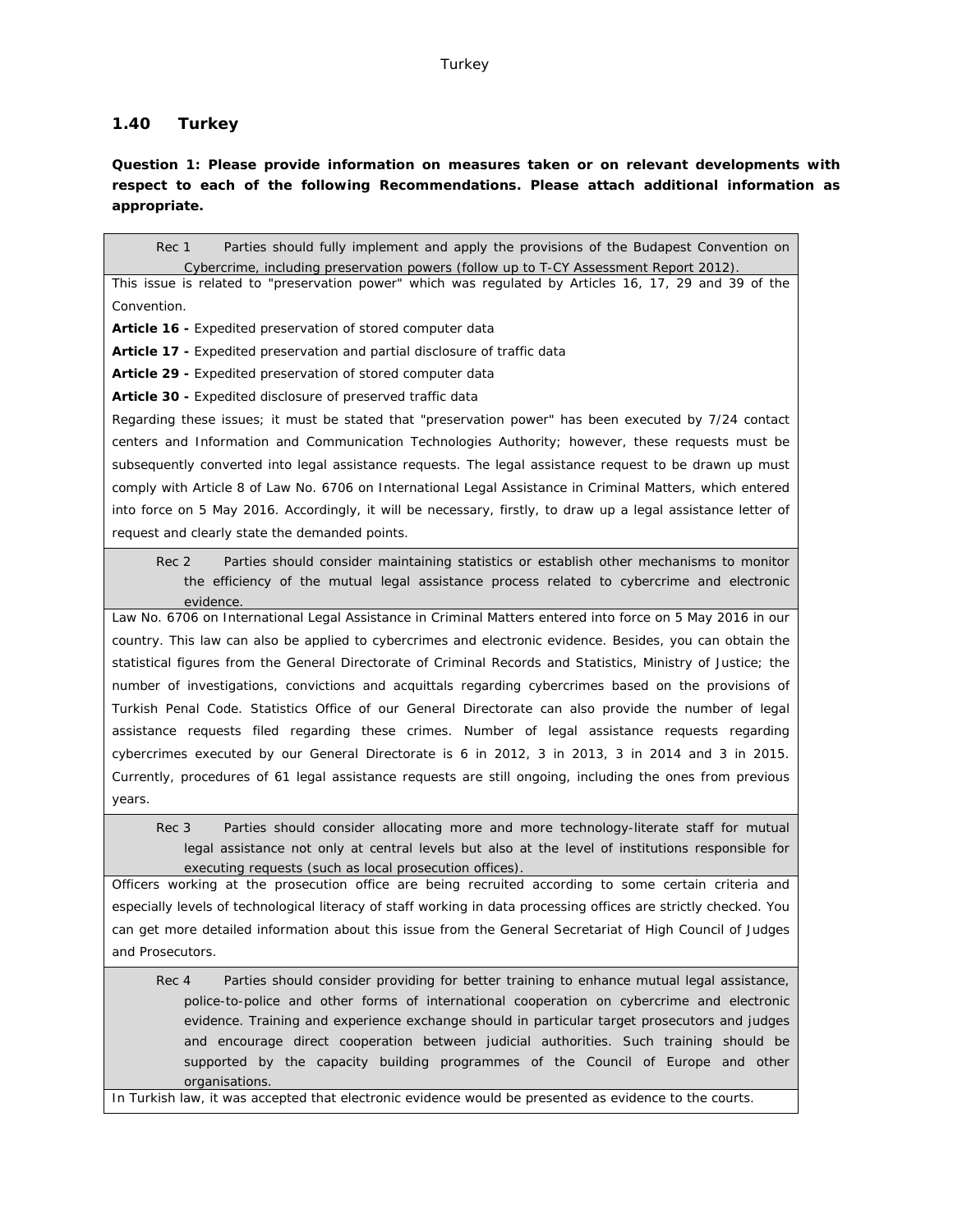# **1.40 Turkey**

**Question 1: Please provide information on measures taken or on relevant developments with respect to each of the following Recommendations. Please attach additional information as appropriate.**

Rec 1 Parties should fully implement and apply the provisions of the Budapest Convention on Cybercrime, including preservation powers (follow up to T-CY Assessment Report 2012). This issue is related to "preservation power" which was regulated by Articles 16, 17, 29 and 39 of the Convention. **Article 16 -** Expedited preservation of stored computer data **Article 17 -** Expedited preservation and partial disclosure of traffic data **Article 29 -** Expedited preservation of stored computer data **Article 30 -** Expedited disclosure of preserved traffic data Regarding these issues; it must be stated that "preservation power" has been executed by 7/24 contact centers and Information and Communication Technologies Authority; however, these requests must be subsequently converted into legal assistance requests. The legal assistance request to be drawn up must comply with Article 8 of Law No. 6706 on International Legal Assistance in Criminal Matters, which entered into force on 5 May 2016. Accordingly, it will be necessary, firstly, to draw up a legal assistance letter of request and clearly state the demanded points. Rec 2 Parties should consider maintaining statistics or establish other mechanisms to monitor the efficiency of the mutual legal assistance process related to cybercrime and electronic evidence. Law No. 6706 on International Legal Assistance in Criminal Matters entered into force on 5 May 2016 in our country. This law can also be applied to cybercrimes and electronic evidence. Besides, you can obtain the statistical figures from the General Directorate of Criminal Records and Statistics, Ministry of Justice; the number of investigations, convictions and acquittals regarding cybercrimes based on the provisions of Turkish Penal Code. Statistics Office of our General Directorate can also provide the number of legal assistance requests filed regarding these crimes. Number of legal assistance requests regarding cybercrimes executed by our General Directorate is 6 in 2012, 3 in 2013, 3 in 2014 and 3 in 2015. Currently, procedures of 61 legal assistance requests are still ongoing, including the ones from previous years. Rec 3 Parties should consider allocating more and more technology-literate staff for mutual legal assistance not only at central levels but also at the level of institutions responsible for executing requests (such as local prosecution offices). Officers working at the prosecution office are being recruited according to some certain criteria and especially levels of technological literacy of staff working in data processing offices are strictly checked. You can get more detailed information about this issue from the General Secretariat of High Council of Judges and Prosecutors. Rec 4 Parties should consider providing for better training to enhance mutual legal assistance, police-to-police and other forms of international cooperation on cybercrime and electronic evidence. Training and experience exchange should in particular target prosecutors and judges

and encourage direct cooperation between judicial authorities. Such training should be supported by the capacity building programmes of the Council of Europe and other organisations.

In Turkish law, it was accepted that electronic evidence would be presented as evidence to the courts.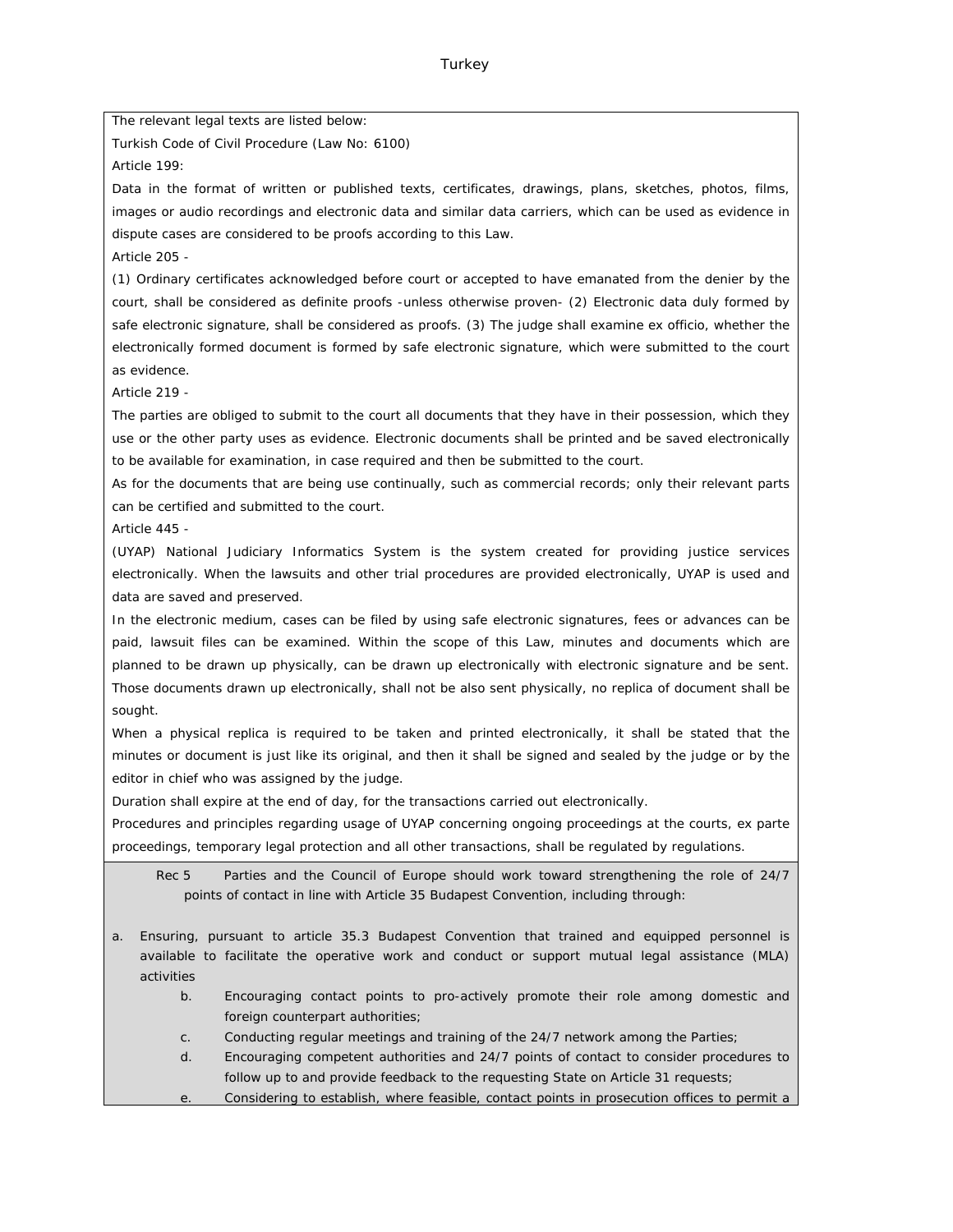The relevant legal texts are listed below:

Turkish Code of Civil Procedure (Law No: 6100)

Article 199:

Data in the format of written or published texts, certificates, drawings, plans, sketches, photos, films, images or audio recordings and electronic data and similar data carriers, which can be used as evidence in dispute cases are considered to be proofs according to this Law.

Article 205 -

(1) Ordinary certificates acknowledged before court or accepted to have emanated from the denier by the court, shall be considered as definite proofs -unless otherwise proven- (2) Electronic data duly formed by safe electronic signature, shall be considered as proofs. (3) The judge shall examine ex officio, whether the electronically formed document is formed by safe electronic signature, which were submitted to the court as evidence.

Article 219 -

The parties are obliged to submit to the court all documents that they have in their possession, which they use or the other party uses as evidence. Electronic documents shall be printed and be saved electronically to be available for examination, in case required and then be submitted to the court.

As for the documents that are being use continually, such as commercial records; only their relevant parts can be certified and submitted to the court.

Article 445 -

(UYAP) National Judiciary Informatics System is the system created for providing justice services electronically. When the lawsuits and other trial procedures are provided electronically, UYAP is used and data are saved and preserved.

In the electronic medium, cases can be filed by using safe electronic signatures, fees or advances can be paid, lawsuit files can be examined. Within the scope of this Law, minutes and documents which are planned to be drawn up physically, can be drawn up electronically with electronic signature and be sent. Those documents drawn up electronically, shall not be also sent physically, no replica of document shall be sought.

When a physical replica is required to be taken and printed electronically, it shall be stated that the minutes or document is just like its original, and then it shall be signed and sealed by the judge or by the editor in chief who was assigned by the judge.

Duration shall expire at the end of day, for the transactions carried out electronically.

Procedures and principles regarding usage of UYAP concerning ongoing proceedings at the courts, ex parte proceedings, temporary legal protection and all other transactions, shall be regulated by regulations.

Rec 5 Parties and the Council of Europe should work toward strengthening the role of 24/7 points of contact in line with Article 35 Budapest Convention, including through:

- a. Ensuring, pursuant to article 35.3 Budapest Convention that trained and equipped personnel is available to facilitate the operative work and conduct or support mutual legal assistance (MLA) activities
	- b. Encouraging contact points to pro-actively promote their role among domestic and foreign counterpart authorities;
	- c. Conducting regular meetings and training of the 24/7 network among the Parties;
	- d. Encouraging competent authorities and 24/7 points of contact to consider procedures to follow up to and provide feedback to the requesting State on Article 31 requests;
	- e. Considering to establish, where feasible, contact points in prosecution offices to permit a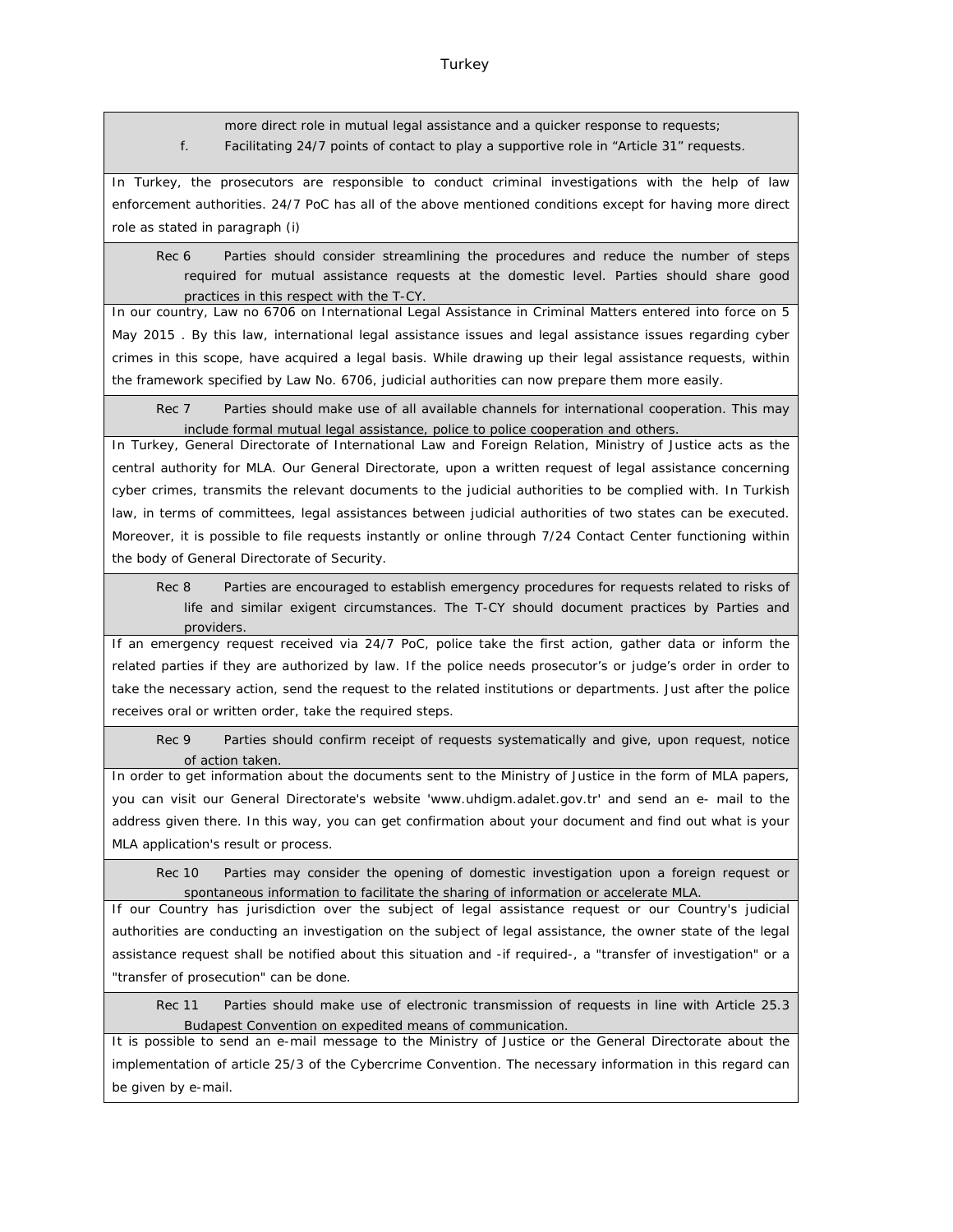more direct role in mutual legal assistance and a quicker response to requests; f. Facilitating 24/7 points of contact to play a supportive role in "Article 31" requests.

In Turkey, the prosecutors are responsible to conduct criminal investigations with the help of law enforcement authorities. 24/7 PoC has all of the above mentioned conditions except for having more direct role as stated in paragraph (i)

Rec 6 Parties should consider streamlining the procedures and reduce the number of steps required for mutual assistance requests at the domestic level. Parties should share good practices in this respect with the T-CY.

In our country, Law no 6706 on International Legal Assistance in Criminal Matters entered into force on 5 May 2015 . By this law, international legal assistance issues and legal assistance issues regarding cyber crimes in this scope, have acquired a legal basis. While drawing up their legal assistance requests, within the framework specified by Law No. 6706, judicial authorities can now prepare them more easily.

Rec 7 Parties should make use of all available channels for international cooperation. This may include formal mutual legal assistance, police to police cooperation and others.

In Turkey, General Directorate of International Law and Foreign Relation, Ministry of Justice acts as the central authority for MLA. Our General Directorate, upon a written request of legal assistance concerning cyber crimes, transmits the relevant documents to the judicial authorities to be complied with. In Turkish law, in terms of committees, legal assistances between judicial authorities of two states can be executed. Moreover, it is possible to file requests instantly or online through 7/24 Contact Center functioning within the body of General Directorate of Security.

Rec 8 Parties are encouraged to establish emergency procedures for requests related to risks of life and similar exigent circumstances. The T-CY should document practices by Parties and providers.

If an emergency request received via 24/7 PoC, police take the first action, gather data or inform the related parties if they are authorized by law. If the police needs prosecutor's or judge's order in order to take the necessary action, send the request to the related institutions or departments. Just after the police receives oral or written order, take the required steps.

Rec 9 Parties should confirm receipt of requests systematically and give, upon request, notice of action taken.

In order to get information about the documents sent to the Ministry of Justice in the form of MLA papers, you can visit our General Directorate's website 'www.uhdigm.adalet.gov.tr' and send an e- mail to the address given there. In this way, you can get confirmation about your document and find out what is your MLA application's result or process.

Rec 10 Parties may consider the opening of domestic investigation upon a foreign request or spontaneous information to facilitate the sharing of information or accelerate MLA.

If our Country has jurisdiction over the subject of legal assistance request or our Country's judicial authorities are conducting an investigation on the subject of legal assistance, the owner state of the legal assistance request shall be notified about this situation and -if required-, a "transfer of investigation" or a "transfer of prosecution" can be done.

Rec 11 Parties should make use of electronic transmission of requests in line with Article 25.3 Budapest Convention on expedited means of communication.

It is possible to send an e-mail message to the Ministry of Justice or the General Directorate about the implementation of article 25/3 of the Cybercrime Convention. The necessary information in this regard can be given by e-mail.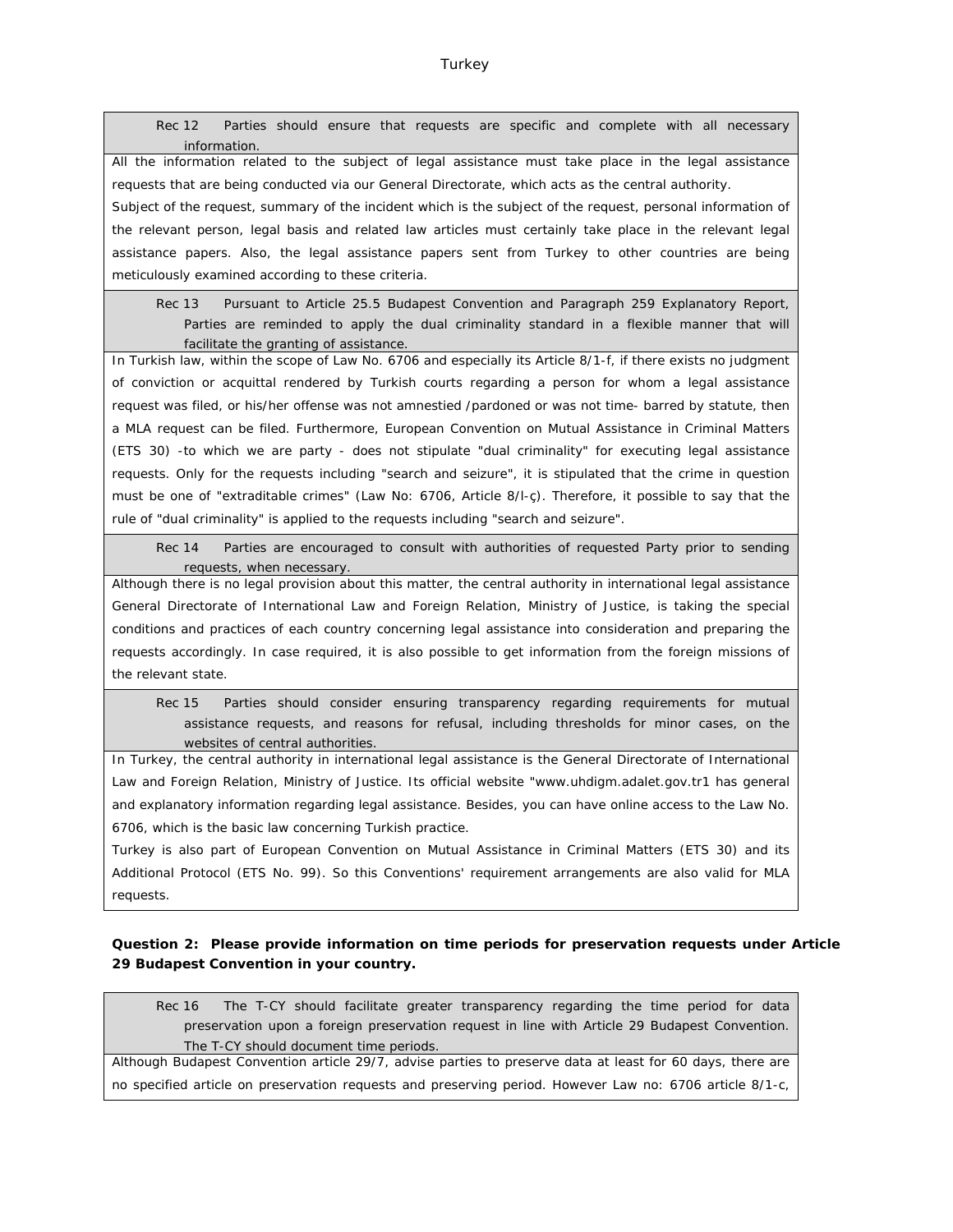Rec 12 Parties should ensure that requests are specific and complete with all necessary information.

All the information related to the subject of legal assistance must take place in the legal assistance requests that are being conducted via our General Directorate, which acts as the central authority.

Subject of the request, summary of the incident which is the subject of the request, personal information of the relevant person, legal basis and related law articles must certainly take place in the relevant legal assistance papers. Also, the legal assistance papers sent from Turkey to other countries are being meticulously examined according to these criteria.

Rec 13 Pursuant to Article 25.5 Budapest Convention and Paragraph 259 Explanatory Report, Parties are reminded to apply the dual criminality standard in a flexible manner that will facilitate the granting of assistance.

In Turkish law, within the scope of Law No. 6706 and especially its Article 8/1-f, if there exists no judgment of conviction or acquittal rendered by Turkish courts regarding a person for whom a legal assistance request was filed, or his/her offense was not amnestied /pardoned or was not time- barred by statute, then a MLA request can be filed. Furthermore, European Convention on Mutual Assistance in Criminal Matters (ETS 30) -to which we are party - does not stipulate "dual criminality" for executing legal assistance requests. Only for the requests including "search and seizure", it is stipulated that the crime in question must be one of "extraditable crimes" (Law No: 6706, Article 8/l-ç). Therefore, it possible to say that the rule of "dual criminality" is applied to the requests including "search and seizure".

Rec 14 Parties are encouraged to consult with authorities of requested Party prior to sending requests, when necessary.

Although there is no legal provision about this matter, the central authority in international legal assistance General Directorate of International Law and Foreign Relation, Ministry of Justice, is taking the special conditions and practices of each country concerning legal assistance into consideration and preparing the requests accordingly. In case required, it is also possible to get information from the foreign missions of the relevant state.

Rec 15 Parties should consider ensuring transparency regarding requirements for mutual assistance requests, and reasons for refusal, including thresholds for minor cases, on the websites of central authorities.

In Turkey, the central authority in international legal assistance is the General Directorate of International Law and Foreign Relation, Ministry of Justice. Its official website ["www.uhdigm.adalet.gov.tr1](http://www.uhdigm.adalet.gov.tr1) has general and explanatory information regarding legal assistance. Besides, you can have online access to the Law No. 6706, which is the basic law concerning Turkish practice.

Turkey is also part of European Convention on Mutual Assistance in Criminal Matters (ETS 30) and its Additional Protocol (ETS No. 99). So this Conventions' requirement arrangements are also valid for MLA requests.

**Question 2: Please provide information on time periods for preservation requests under Article 29 Budapest Convention in your country.**

Rec 16 The T-CY should facilitate greater transparency regarding the time period for data preservation upon a foreign preservation request in line with Article 29 Budapest Convention. The T-CY should document time periods.

Although Budapest Convention article 29/7, advise parties to preserve data at least for 60 days, there are no specified article on preservation requests and preserving period. However Law no: 6706 article 8/1-c,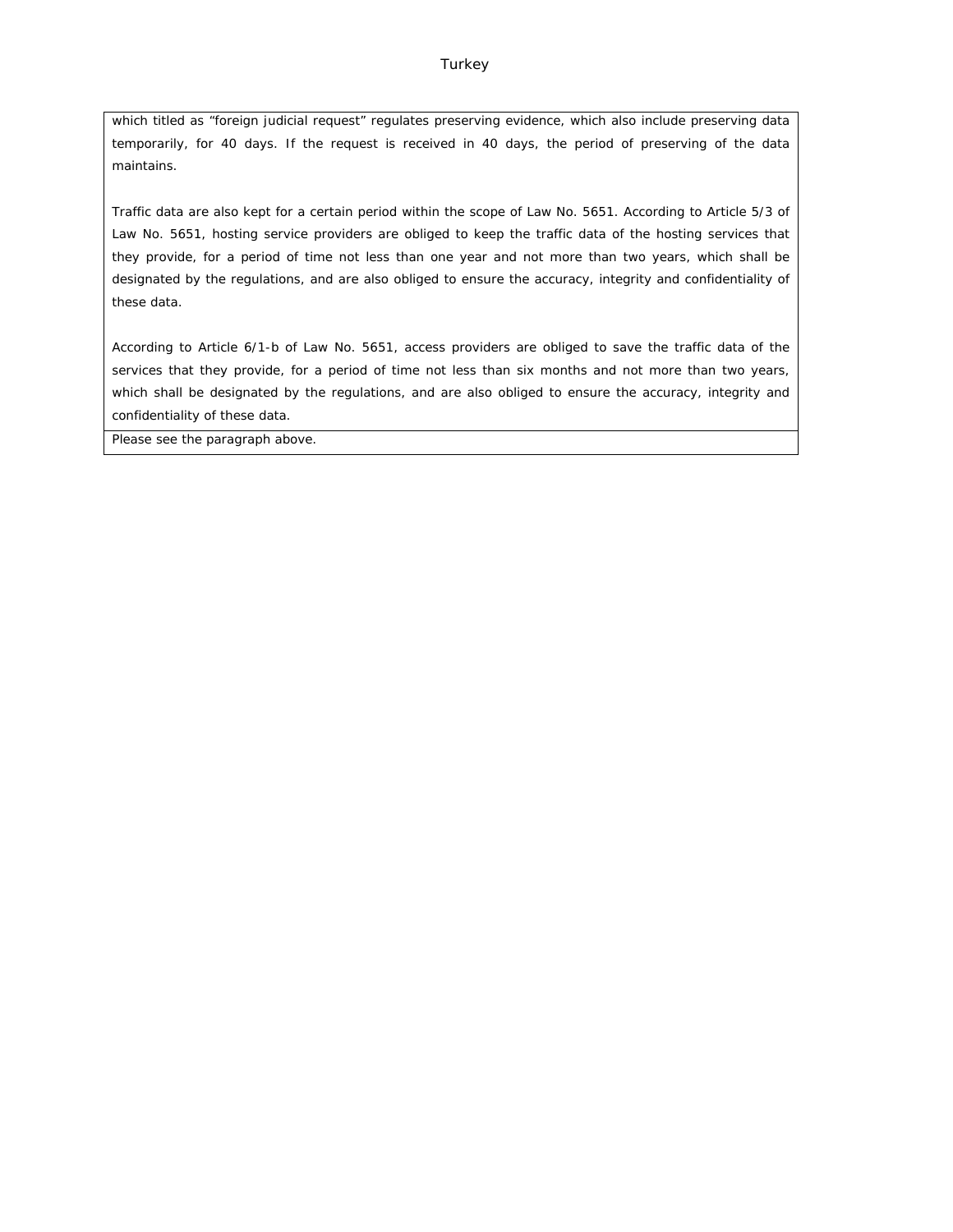which titled as "foreign judicial request" regulates preserving evidence, which also include preserving data temporarily, for 40 days. If the request is received in 40 days, the period of preserving of the data maintains.

Traffic data are also kept for a certain period within the scope of Law No. 5651. According to Article 5/3 of Law No. 5651, hosting service providers are obliged to keep the traffic data of the hosting services that they provide, for a period of time not less than one year and not more than two years, which shall be designated by the regulations, and are also obliged to ensure the accuracy, integrity and confidentiality of these data.

According to Article 6/1-b of Law No. 5651, access providers are obliged to save the traffic data of the services that they provide, for a period of time not less than six months and not more than two years, which shall be designated by the regulations, and are also obliged to ensure the accuracy, integrity and confidentiality of these data.

Please see the paragraph above.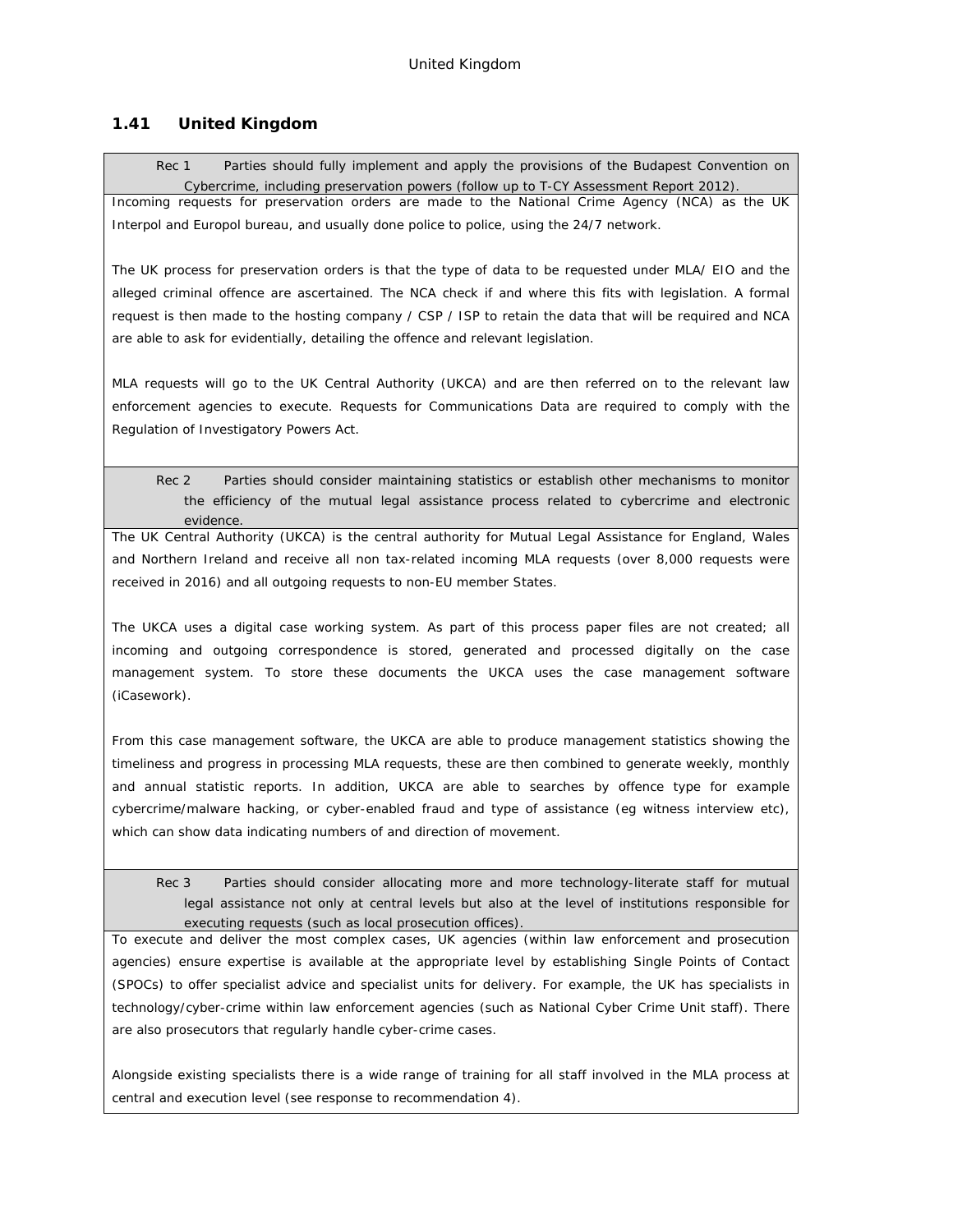# **1.41 United Kingdom**

Rec 1 Parties should fully implement and apply the provisions of the Budapest Convention on Cybercrime, including preservation powers (follow up to T-CY Assessment Report 2012). Incoming requests for preservation orders are made to the National Crime Agency (NCA) as the UK Interpol and Europol bureau, and usually done police to police, using the 24/7 network.

The UK process for preservation orders is that the type of data to be requested under MLA/ EIO and the alleged criminal offence are ascertained. The NCA check if and where this fits with legislation. A formal request is then made to the hosting company / CSP / ISP to retain the data that will be required and NCA are able to ask for evidentially, detailing the offence and relevant legislation.

MLA requests will go to the UK Central Authority (UKCA) and are then referred on to the relevant law enforcement agencies to execute. Requests for Communications Data are required to comply with the Regulation of Investigatory Powers Act.

Rec 2 Parties should consider maintaining statistics or establish other mechanisms to monitor the efficiency of the mutual legal assistance process related to cybercrime and electronic evidence.

The UK Central Authority (UKCA) is the central authority for Mutual Legal Assistance for England, Wales and Northern Ireland and receive all non tax-related incoming MLA requests (over 8,000 requests were received in 2016) and all outgoing requests to non-EU member States.

The UKCA uses a digital case working system. As part of this process paper files are not created; all incoming and outgoing correspondence is stored, generated and processed digitally on the case management system. To store these documents the UKCA uses the case management software (iCasework).

From this case management software, the UKCA are able to produce management statistics showing the timeliness and progress in processing MLA requests, these are then combined to generate weekly, monthly and annual statistic reports. In addition, UKCA are able to searches by offence type for example cybercrime/malware hacking, or cyber-enabled fraud and type of assistance (eg witness interview etc), which can show data indicating numbers of and direction of movement.

Rec 3 Parties should consider allocating more and more technology-literate staff for mutual legal assistance not only at central levels but also at the level of institutions responsible for executing requests (such as local prosecution offices).

To execute and deliver the most complex cases, UK agencies (within law enforcement and prosecution agencies) ensure expertise is available at the appropriate level by establishing Single Points of Contact (SPOCs) to offer specialist advice and specialist units for delivery. For example, the UK has specialists in technology/cyber-crime within law enforcement agencies (such as National Cyber Crime Unit staff). There are also prosecutors that regularly handle cyber-crime cases.

Alongside existing specialists there is a wide range of training for all staff involved in the MLA process at central and execution level (see response to recommendation 4).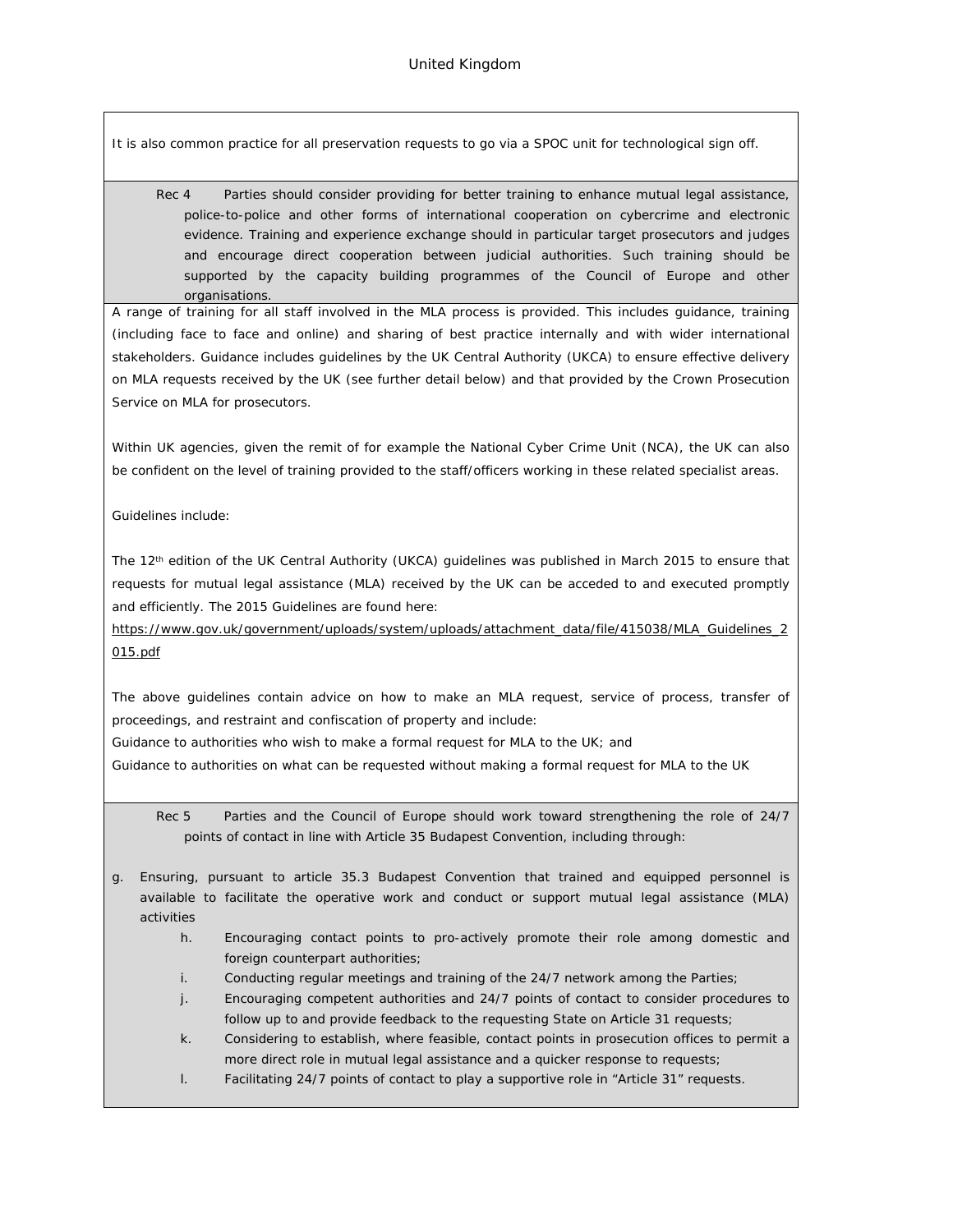It is also common practice for all preservation requests to go via a SPOC unit for technological sign off.

Rec 4 Parties should consider providing for better training to enhance mutual legal assistance, police-to-police and other forms of international cooperation on cybercrime and electronic evidence. Training and experience exchange should in particular target prosecutors and judges and encourage direct cooperation between judicial authorities. Such training should be supported by the capacity building programmes of the Council of Europe and other organisations.

A range of training for all staff involved in the MLA process is provided. This includes guidance, training (including face to face and online) and sharing of best practice internally and with wider international stakeholders. Guidance includes guidelines by the UK Central Authority (UKCA) to ensure effective delivery on MLA requests received by the UK (see further detail below) and that provided by the Crown Prosecution Service on MLA for prosecutors.

Within UK agencies, given the remit of for example the National Cyber Crime Unit (NCA), the UK can also be confident on the level of training provided to the staff/officers working in these related specialist areas.

Guidelines include:

The 12<sup>th</sup> edition of the UK Central Authority (UKCA) guidelines was published in March 2015 to ensure that requests for mutual legal assistance (MLA) received by the UK can be acceded to and executed promptly and efficiently. The 2015 Guidelines are found here:

*[https://www.gov.uk/government/uploads/system/uploads/attachment\\_data/file/415038/MLA\\_Guidelines\\_2](https://www.gov.uk/government/uploads/system/uploads/attachment_data/file/415038/MLA_Guidelines_2015.pdf) [015.pdf](https://www.gov.uk/government/uploads/system/uploads/attachment_data/file/415038/MLA_Guidelines_2015.pdf)*

The above guidelines contain advice on how to make an MLA request, service of process, transfer of proceedings, and restraint and confiscation of property and include:

Guidance to authorities who wish to make a formal request for MLA to the UK; and

Guidance to authorities on what can be requested without making a formal request for MLA to the UK

Rec 5 Parties and the Council of Europe should work toward strengthening the role of 24/7 points of contact in line with Article 35 Budapest Convention, including through:

- g. Ensuring, pursuant to article 35.3 Budapest Convention that trained and equipped personnel is available to facilitate the operative work and conduct or support mutual legal assistance (MLA) activities
	- h. Encouraging contact points to pro-actively promote their role among domestic and foreign counterpart authorities;
	- i. Conducting regular meetings and training of the 24/7 network among the Parties;
	- j. Encouraging competent authorities and 24/7 points of contact to consider procedures to follow up to and provide feedback to the requesting State on Article 31 requests;
	- k. Considering to establish, where feasible, contact points in prosecution offices to permit a more direct role in mutual legal assistance and a quicker response to requests;
	- l. Facilitating 24/7 points of contact to play a supportive role in "Article 31" requests.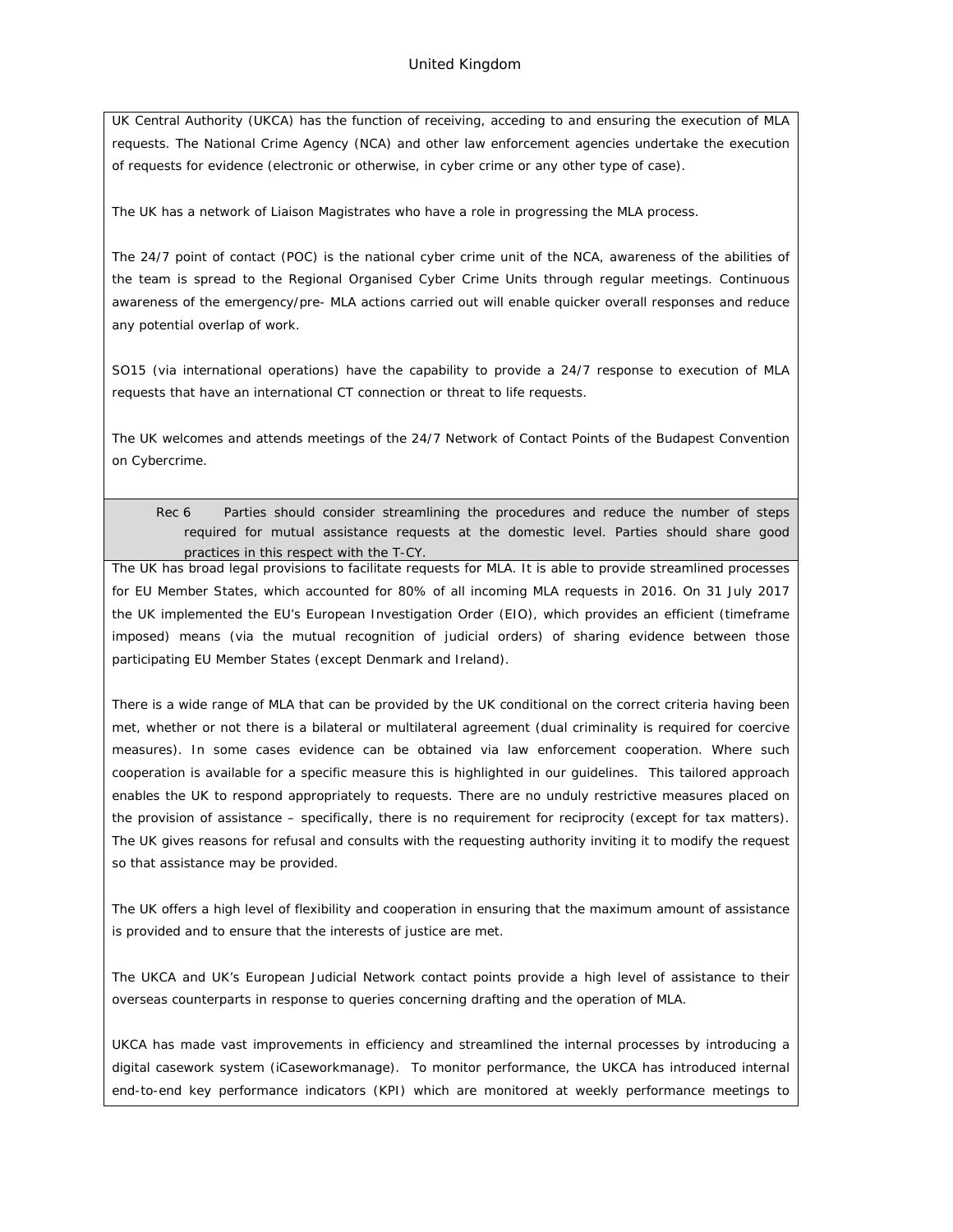UK Central Authority (UKCA) has the function of receiving, acceding to and ensuring the execution of MLA requests. The National Crime Agency (NCA) and other law enforcement agencies undertake the execution of requests for evidence (electronic or otherwise, in cyber crime or any other type of case).

The UK has a network of Liaison Magistrates who have a role in progressing the MLA process.

The 24/7 point of contact (POC) is the national cyber crime unit of the NCA, awareness of the abilities of the team is spread to the Regional Organised Cyber Crime Units through regular meetings. Continuous awareness of the emergency/pre- MLA actions carried out will enable quicker overall responses and reduce any potential overlap of work.

SO15 (via international operations) have the capability to provide a 24/7 response to execution of MLA requests that have an international CT connection or threat to life requests.

The UK welcomes and attends meetings of the 24/7 Network of Contact Points of the Budapest Convention on Cybercrime.

Rec 6 Parties should consider streamlining the procedures and reduce the number of steps required for mutual assistance requests at the domestic level. Parties should share good practices in this respect with the T-CY.

The UK has broad legal provisions to facilitate requests for MLA. It is able to provide streamlined processes for EU Member States, which accounted for 80% of all incoming MLA requests in 2016. On 31 July 2017 the UK implemented the EU's European Investigation Order (EIO), which provides an efficient (timeframe imposed) means (via the mutual recognition of judicial orders) of sharing evidence between those participating EU Member States (except Denmark and Ireland).

There is a wide range of MLA that can be provided by the UK conditional on the correct criteria having been met, whether or not there is a bilateral or multilateral agreement (dual criminality is required for coercive measures). In some cases evidence can be obtained via law enforcement cooperation. Where such cooperation is available for a specific measure this is highlighted in our guidelines. This tailored approach enables the UK to respond appropriately to requests. There are no unduly restrictive measures placed on the provision of assistance – specifically, there is no requirement for reciprocity (except for tax matters). The UK gives reasons for refusal and consults with the requesting authority inviting it to modify the request so that assistance may be provided.

The UK offers a high level of flexibility and cooperation in ensuring that the maximum amount of assistance is provided and to ensure that the interests of justice are met.

The UKCA and UK's European Judicial Network contact points provide a high level of assistance to their overseas counterparts in response to queries concerning drafting and the operation of MLA.

UKCA has made vast improvements in efficiency and streamlined the internal processes by introducing a digital casework system (iCaseworkmanage). To monitor performance, the UKCA has introduced internal end-to-end key performance indicators (KPI) which are monitored at weekly performance meetings to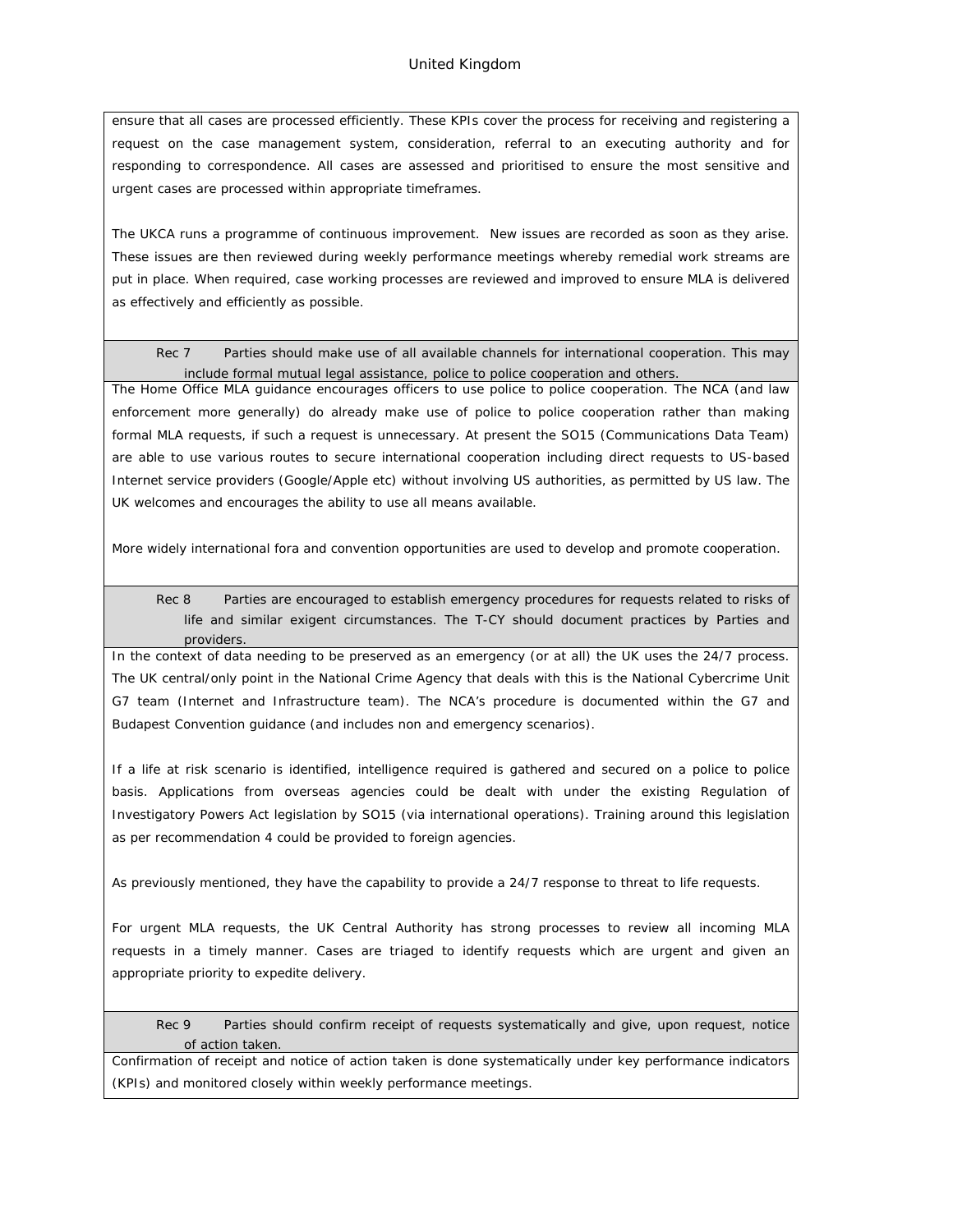ensure that all cases are processed efficiently. These KPIs cover the process for receiving and registering a request on the case management system, consideration, referral to an executing authority and for responding to correspondence. All cases are assessed and prioritised to ensure the most sensitive and urgent cases are processed within appropriate timeframes.

The UKCA runs a programme of continuous improvement. New issues are recorded as soon as they arise. These issues are then reviewed during weekly performance meetings whereby remedial work streams are put in place. When required, case working processes are reviewed and improved to ensure MLA is delivered as effectively and efficiently as possible.

Rec 7 Parties should make use of all available channels for international cooperation. This may include formal mutual legal assistance, police to police cooperation and others.

The Home Office MLA guidance encourages officers to use police to police cooperation. The NCA (and law enforcement more generally) do already make use of police to police cooperation rather than making formal MLA requests, if such a request is unnecessary. At present the SO15 (Communications Data Team) are able to use various routes to secure international cooperation including direct requests to US-based Internet service providers (Google/Apple etc) without involving US authorities, as permitted by US law. The UK welcomes and encourages the ability to use all means available.

More widely international fora and convention opportunities are used to develop and promote cooperation.

Rec 8 Parties are encouraged to establish emergency procedures for requests related to risks of life and similar exigent circumstances. The T-CY should document practices by Parties and providers.

In the context of data needing to be preserved as an emergency (or at all) the UK uses the 24/7 process. The UK central/only point in the National Crime Agency that deals with this is the National Cybercrime Unit G7 team (Internet and Infrastructure team). The NCA's procedure is documented within the G7 and Budapest Convention guidance (and includes non and emergency scenarios).

If a life at risk scenario is identified, intelligence required is gathered and secured on a police to police basis. Applications from overseas agencies could be dealt with under the existing Regulation of Investigatory Powers Act legislation by SO15 (via international operations). Training around this legislation as per recommendation 4 could be provided to foreign agencies.

As previously mentioned, they have the capability to provide a 24/7 response to threat to life requests.

For urgent MLA requests, the UK Central Authority has strong processes to review all incoming MLA requests in a timely manner. Cases are triaged to identify requests which are urgent and given an appropriate priority to expedite delivery.

Rec 9 Parties should confirm receipt of requests systematically and give, upon request, notice of action taken.

Confirmation of receipt and notice of action taken is done systematically under key performance indicators (KPIs) and monitored closely within weekly performance meetings.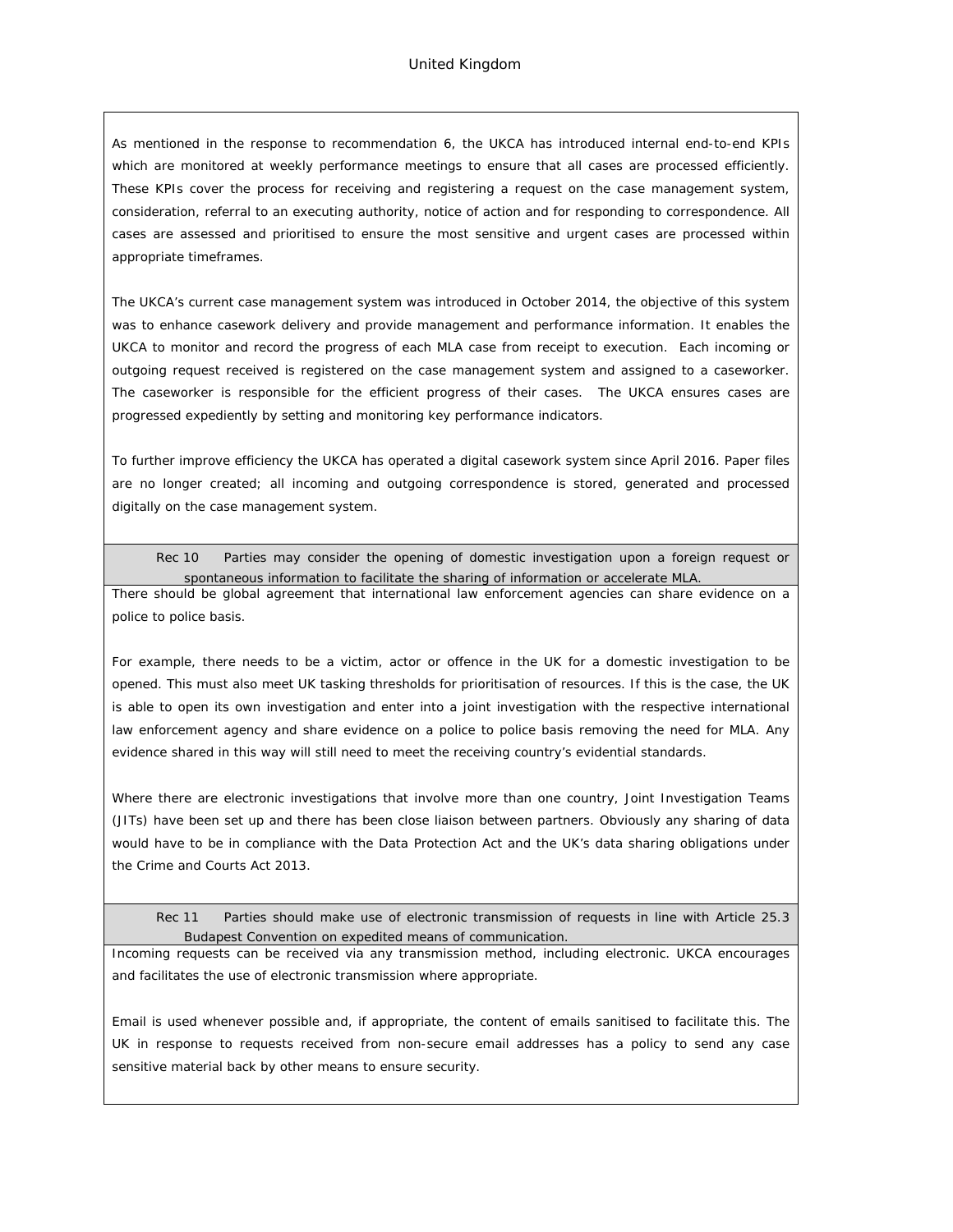As mentioned in the response to recommendation 6, the UKCA has introduced internal end-to-end KPIs which are monitored at weekly performance meetings to ensure that all cases are processed efficiently. These KPIs cover the process for receiving and registering a request on the case management system, consideration, referral to an executing authority, notice of action and for responding to correspondence. All cases are assessed and prioritised to ensure the most sensitive and urgent cases are processed within appropriate timeframes.

The UKCA's current case management system was introduced in October 2014, the objective of this system was to enhance casework delivery and provide management and performance information. It enables the UKCA to monitor and record the progress of each MLA case from receipt to execution. Each incoming or outgoing request received is registered on the case management system and assigned to a caseworker. The caseworker is responsible for the efficient progress of their cases. The UKCA ensures cases are progressed expediently by setting and monitoring key performance indicators.

To further improve efficiency the UKCA has operated a digital casework system since April 2016. Paper files are no longer created; all incoming and outgoing correspondence is stored, generated and processed digitally on the case management system.

Rec 10 Parties may consider the opening of domestic investigation upon a foreign request or spontaneous information to facilitate the sharing of information or accelerate MLA.

There should be global agreement that international law enforcement agencies can share evidence on a police to police basis.

For example, there needs to be a victim, actor or offence in the UK for a domestic investigation to be opened. This must also meet UK tasking thresholds for prioritisation of resources. If this is the case, the UK is able to open its own investigation and enter into a joint investigation with the respective international law enforcement agency and share evidence on a police to police basis removing the need for MLA. Any evidence shared in this way will still need to meet the receiving country's evidential standards.

Where there are electronic investigations that involve more than one country, Joint Investigation Teams (JITs) have been set up and there has been close liaison between partners. Obviously any sharing of data would have to be in compliance with the Data Protection Act and the UK's data sharing obligations under the Crime and Courts Act 2013.

Rec 11 Parties should make use of electronic transmission of requests in line with Article 25.3 Budapest Convention on expedited means of communication.

Incoming requests can be received via any transmission method, including electronic. UKCA encourages and facilitates the use of electronic transmission where appropriate.

Email is used whenever possible and, if appropriate, the content of emails sanitised to facilitate this. The UK in response to requests received from non-secure email addresses has a policy to send any case sensitive material back by other means to ensure security.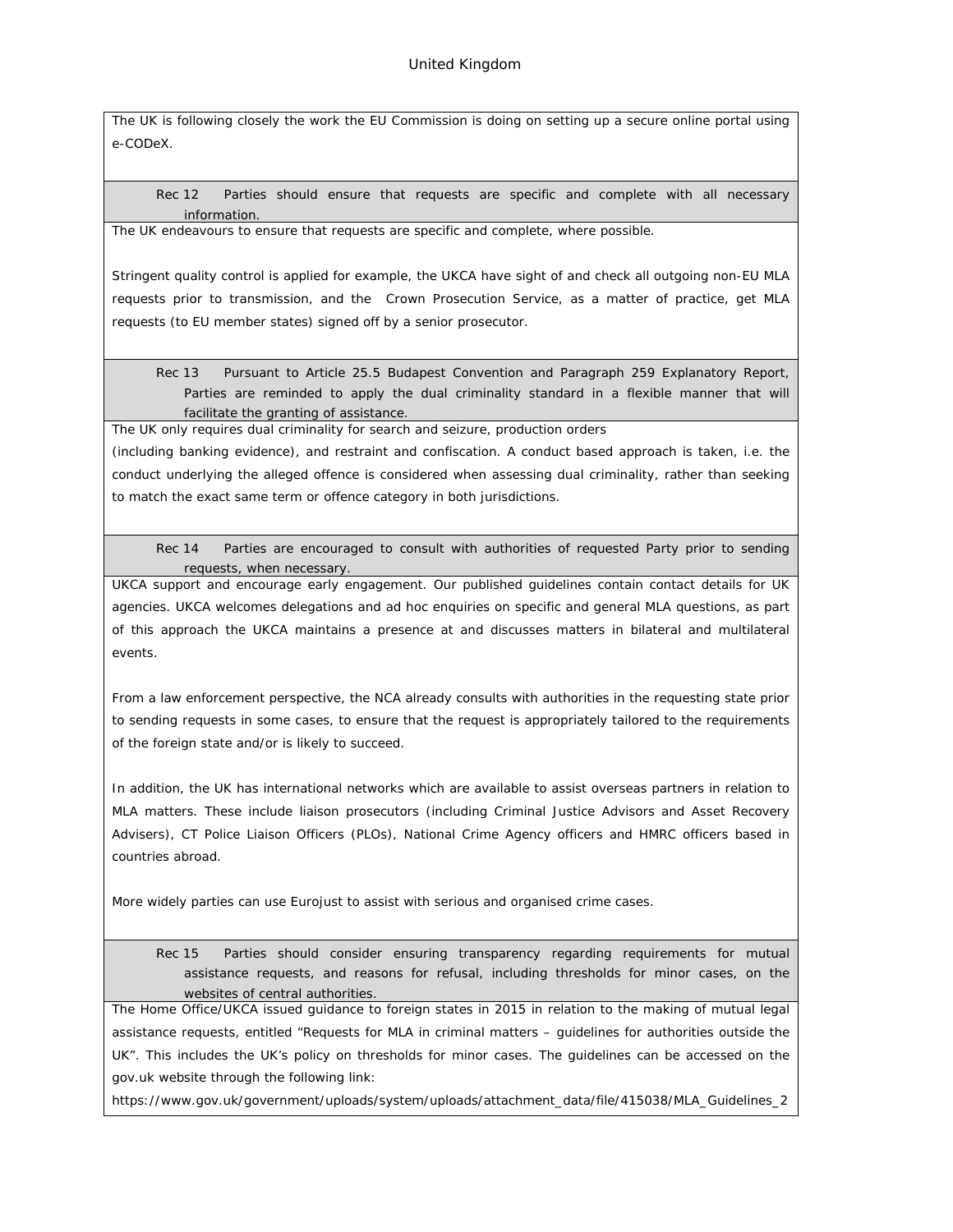The UK is following closely the work the EU Commission is doing on setting up a secure online portal using e-CODeX.

Rec 12 Parties should ensure that requests are specific and complete with all necessary information.

The UK endeavours to ensure that requests are specific and complete, where possible.

Stringent quality control is applied for example, the UKCA have sight of and check all outgoing non-EU MLA requests prior to transmission, and the Crown Prosecution Service, as a matter of practice, get MLA requests (to EU member states) signed off by a senior prosecutor.

Rec 13 Pursuant to Article 25.5 Budapest Convention and Paragraph 259 Explanatory Report, Parties are reminded to apply the dual criminality standard in a flexible manner that will facilitate the granting of assistance.

The UK only requires dual criminality for search and seizure, production orders

(including banking evidence), and restraint and confiscation. A conduct based approach is taken, i.e. the conduct underlying the alleged offence is considered when assessing dual criminality, rather than seeking to match the exact same term or offence category in both jurisdictions.

Rec 14 Parties are encouraged to consult with authorities of requested Party prior to sending requests, when necessary.

UKCA support and encourage early engagement. Our published guidelines contain contact details for UK agencies. UKCA welcomes delegations and ad hoc enquiries on specific and general MLA questions, as part of this approach the UKCA maintains a presence at and discusses matters in bilateral and multilateral events.

From a law enforcement perspective, the NCA already consults with authorities in the requesting state prior to sending requests in some cases, to ensure that the request is appropriately tailored to the requirements of the foreign state and/or is likely to succeed.

In addition, the UK has international networks which are available to assist overseas partners in relation to MLA matters. These include liaison prosecutors (including Criminal Justice Advisors and Asset Recovery Advisers), CT Police Liaison Officers (PLOs), National Crime Agency officers and HMRC officers based in countries abroad.

More widely parties can use Eurojust to assist with serious and organised crime cases.

Rec 15 Parties should consider ensuring transparency regarding requirements for mutual assistance requests, and reasons for refusal, including thresholds for minor cases, on the websites of central authorities.

The Home Office/UKCA issued guidance to foreign states in 2015 in relation to the making of mutual legal assistance requests, entitled "Requests for MLA in criminal matters – guidelines for authorities outside the UK". This includes the UK's policy on thresholds for minor cases. The guidelines can be accessed on the gov.uk website through the following link:

[https://www.gov.uk/government/uploads/system/uploads/attachment\\_data/file/415038/MLA\\_Guidelines\\_2](https://www.gov.uk/government/uploads/system/uploads/attachment_data/file/415038/MLA_Guidelines_2015.pdf)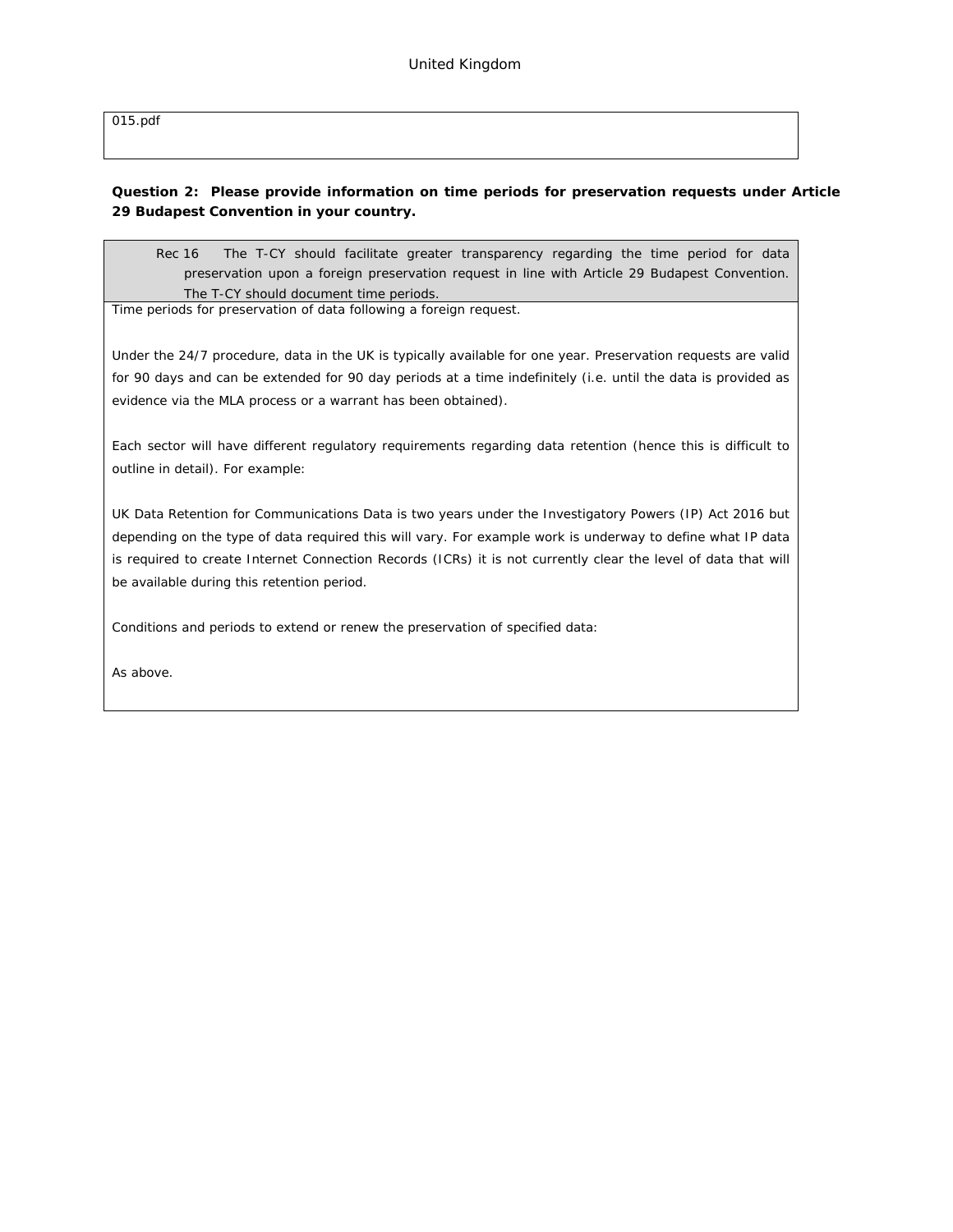[015.pdf](https://www.gov.uk/government/uploads/system/uploads/attachment_data/file/415038/MLA_Guidelines_2015.pdf)

**Question 2: Please provide information on time periods for preservation requests under Article 29 Budapest Convention in your country.**

Rec 16 The T-CY should facilitate greater transparency regarding the time period for data preservation upon a foreign preservation request in line with Article 29 Budapest Convention. The T-CY should document time periods.

Time periods for preservation of data following a foreign request.

Under the 24/7 procedure, data in the UK is typically available for one year. Preservation requests are valid for 90 days and can be extended for 90 day periods at a time indefinitely (i.e. until the data is provided as evidence via the MLA process or a warrant has been obtained).

Each sector will have different regulatory requirements regarding data retention (hence this is difficult to outline in detail). For example:

UK Data Retention for Communications Data is two years under the Investigatory Powers (IP) Act 2016 but depending on the type of data required this will vary. For example work is underway to define what IP data is required to create Internet Connection Records (ICRs) it is not currently clear the level of data that will be available during this retention period.

Conditions and periods to extend or renew the preservation of specified data:

As above.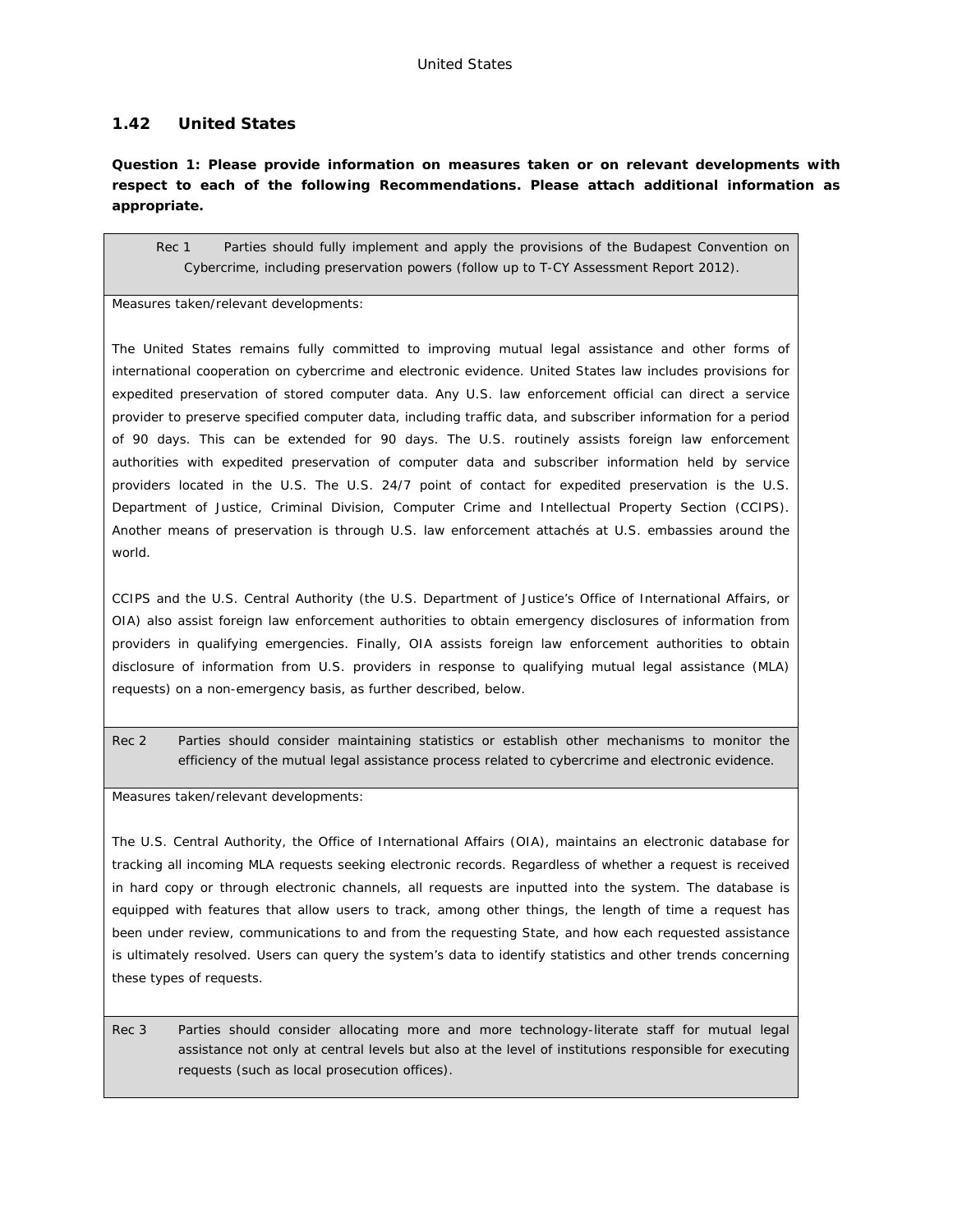## **1.42 United States**

**Question 1: Please provide information on measures taken or on relevant developments with respect to each of the following Recommendations. Please attach additional information as appropriate.**

Rec 1 Parties should fully implement and apply the provisions of the Budapest Convention on Cybercrime, including preservation powers (follow up to T-CY Assessment Report 2012).

Measures taken/relevant developments:

The United States remains fully committed to improving mutual legal assistance and other forms of international cooperation on cybercrime and electronic evidence. United States law includes provisions for expedited preservation of stored computer data. Any U.S. law enforcement official can direct a service provider to preserve specified computer data, including traffic data, and subscriber information for a period of 90 days. This can be extended for 90 days. The U.S. routinely assists foreign law enforcement authorities with expedited preservation of computer data and subscriber information held by service providers located in the U.S. The U.S. 24/7 point of contact for expedited preservation is the U.S. Department of Justice, Criminal Division, Computer Crime and Intellectual Property Section (CCIPS). Another means of preservation is through U.S. law enforcement attachés at U.S. embassies around the world.

CCIPS and the U.S. Central Authority (the U.S. Department of Justice's Office of International Affairs, or OIA) also assist foreign law enforcement authorities to obtain emergency disclosures of information from providers in qualifying emergencies. Finally, OIA assists foreign law enforcement authorities to obtain disclosure of information from U.S. providers in response to qualifying mutual legal assistance (MLA) requests) on a non-emergency basis, as further described, below.

Rec 2 Parties should consider maintaining statistics or establish other mechanisms to monitor the efficiency of the mutual legal assistance process related to cybercrime and electronic evidence.

Measures taken/relevant developments:

The U.S. Central Authority, the Office of International Affairs (OIA), maintains an electronic database for tracking all incoming MLA requests seeking electronic records. Regardless of whether a request is received in hard copy or through electronic channels, all requests are inputted into the system. The database is equipped with features that allow users to track, among other things, the length of time a request has been under review, communications to and from the requesting State, and how each requested assistance is ultimately resolved. Users can query the system's data to identify statistics and other trends concerning these types of requests.

Rec 3 Parties should consider allocating more and more technology-literate staff for mutual legal assistance not only at central levels but also at the level of institutions responsible for executing requests (such as local prosecution offices).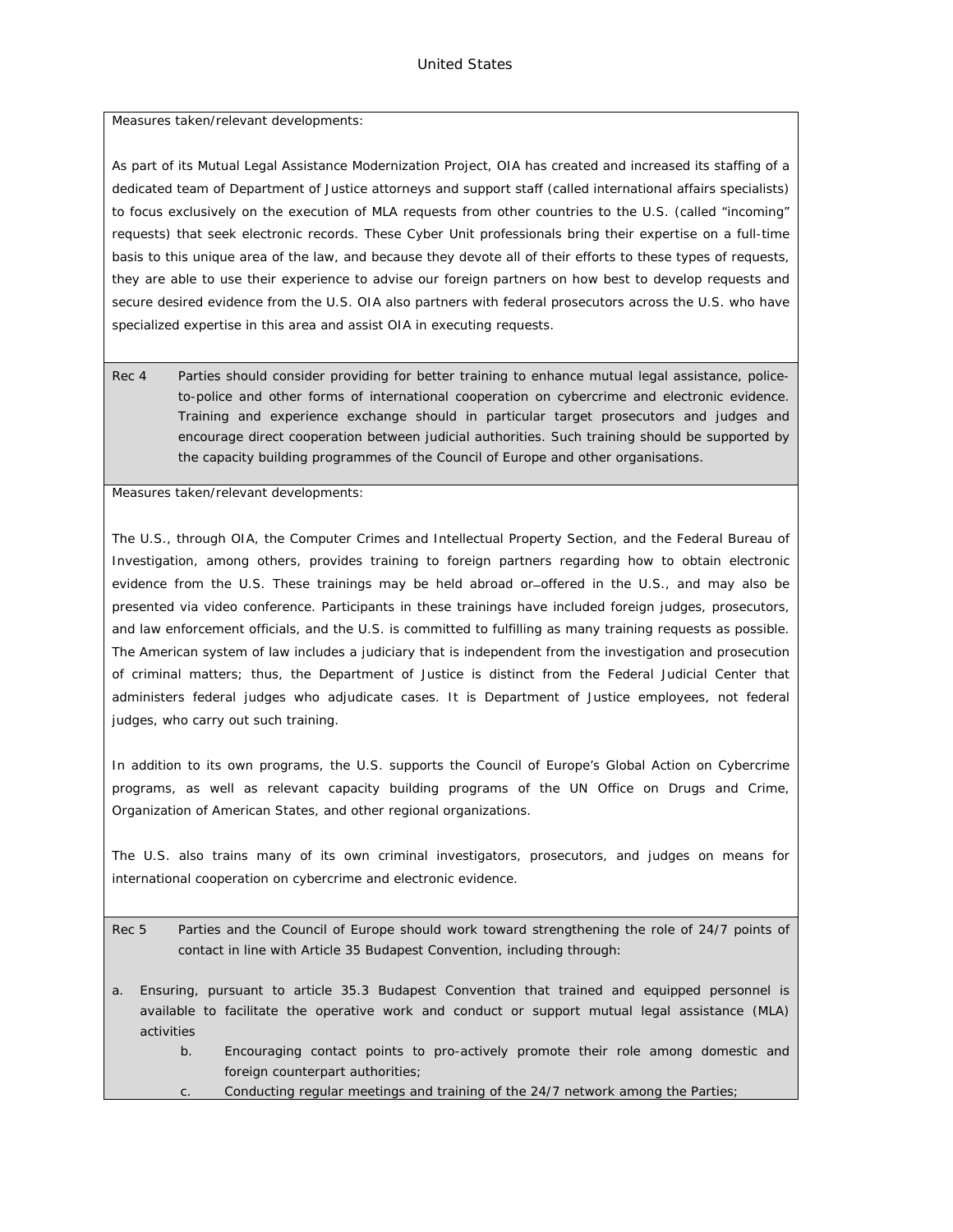Measures taken/relevant developments:

As part of its Mutual Legal Assistance Modernization Project, OIA has created and increased its staffing of a dedicated team of Department of Justice attorneys and support staff (called international affairs specialists) to focus exclusively on the execution of MLA requests from other countries to the U.S. (called "incoming" requests) that seek electronic records. These Cyber Unit professionals bring their expertise on a full-time basis to this unique area of the law, and because they devote all of their efforts to these types of requests, they are able to use their experience to advise our foreign partners on how best to develop requests and secure desired evidence from the U.S. OIA also partners with federal prosecutors across the U.S. who have specialized expertise in this area and assist OIA in executing requests.

Rec 4 Parties should consider providing for better training to enhance mutual legal assistance, policeto-police and other forms of international cooperation on cybercrime and electronic evidence. Training and experience exchange should in particular target prosecutors and judges and encourage direct cooperation between judicial authorities. Such training should be supported by the capacity building programmes of the Council of Europe and other organisations.

Measures taken/relevant developments:

The U.S., through OIA, the Computer Crimes and Intellectual Property Section, and the Federal Bureau of Investigation, among others, provides training to foreign partners regarding how to obtain electronic evidence from the U.S. These trainings may be held abroad or-offered in the U.S., and may also be presented via video conference. Participants in these trainings have included foreign judges, prosecutors, and law enforcement officials, and the U.S. is committed to fulfilling as many training requests as possible. The American system of law includes a judiciary that is independent from the investigation and prosecution of criminal matters; thus, the Department of Justice is distinct from the Federal Judicial Center that administers federal judges who adjudicate cases. It is Department of Justice employees, not federal judges, who carry out such training.

In addition to its own programs, the U.S. supports the Council of Europe's Global Action on Cybercrime programs, as well as relevant capacity building programs of the UN Office on Drugs and Crime, Organization of American States, and other regional organizations.

The U.S. also trains many of its own criminal investigators, prosecutors, and judges on means for international cooperation on cybercrime and electronic evidence.

- Rec 5 Parties and the Council of Europe should work toward strengthening the role of 24/7 points of contact in line with Article 35 Budapest Convention, including through:
- a. Ensuring, pursuant to article 35.3 Budapest Convention that trained and equipped personnel is available to facilitate the operative work and conduct or support mutual legal assistance (MLA) activities
	- b. Encouraging contact points to pro-actively promote their role among domestic and foreign counterpart authorities;
	- Conducting regular meetings and training of the 24/7 network among the Parties;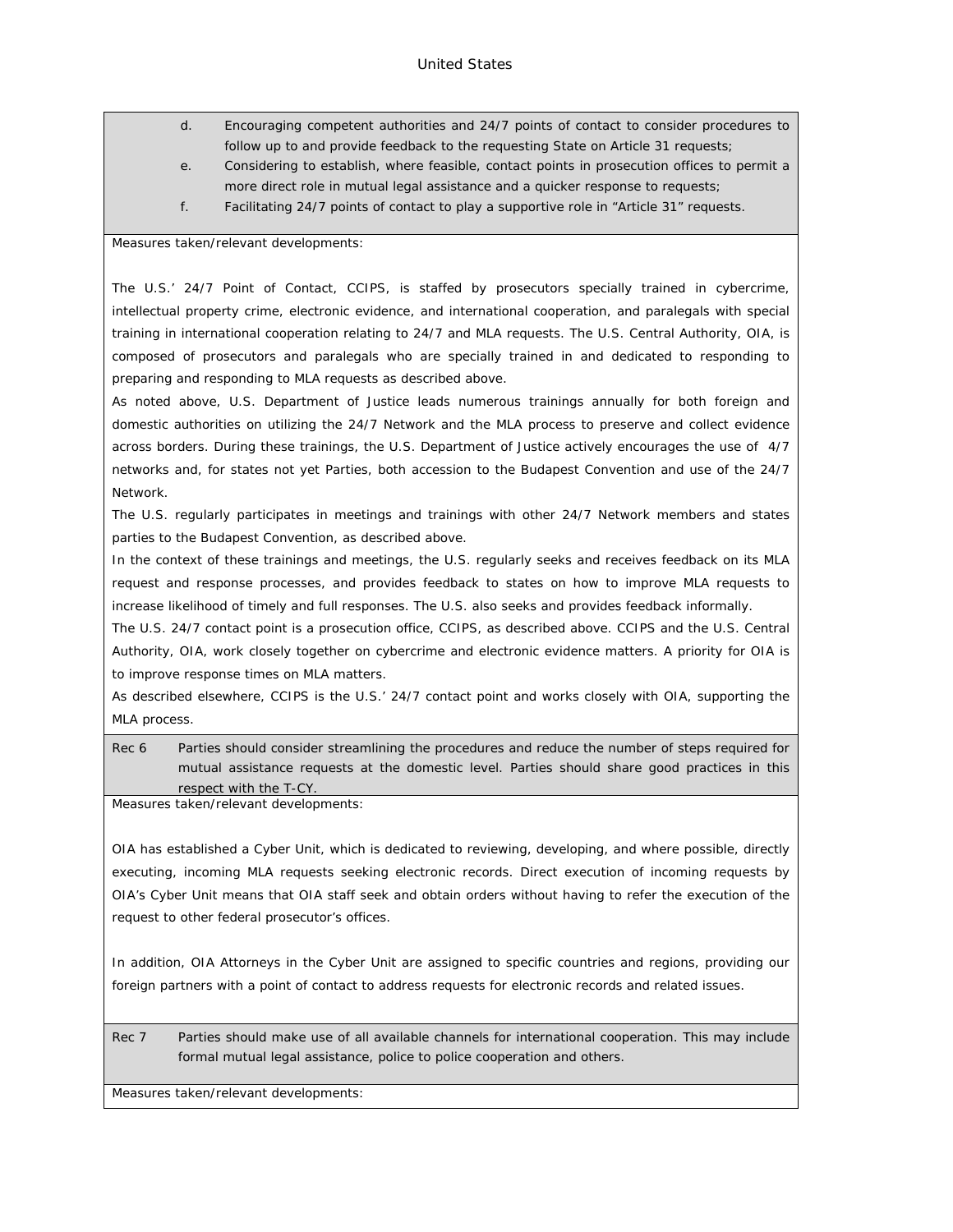- d. Encouraging competent authorities and 24/7 points of contact to consider procedures to follow up to and provide feedback to the requesting State on Article 31 requests;
- e. Considering to establish, where feasible, contact points in prosecution offices to permit a more direct role in mutual legal assistance and a quicker response to requests;
- f. Facilitating 24/7 points of contact to play a supportive role in "Article 31" requests.

#### Measures taken/relevant developments:

The U.S.' 24/7 Point of Contact, CCIPS, is staffed by prosecutors specially trained in cybercrime, intellectual property crime, electronic evidence, and international cooperation, and paralegals with special training in international cooperation relating to 24/7 and MLA requests. The U.S. Central Authority, OIA, is composed of prosecutors and paralegals who are specially trained in and dedicated to responding to preparing and responding to MLA requests as described above.

As noted above, U.S. Department of Justice leads numerous trainings annually for both foreign and domestic authorities on utilizing the 24/7 Network and the MLA process to preserve and collect evidence across borders. During these trainings, the U.S. Department of Justice actively encourages the use of 4/7 networks and, for states not yet Parties, both accession to the Budapest Convention and use of the 24/7 Network.

The U.S. regularly participates in meetings and trainings with other 24/7 Network members and states parties to the Budapest Convention, as described above.

In the context of these trainings and meetings, the U.S. regularly seeks and receives feedback on its MLA request and response processes, and provides feedback to states on how to improve MLA requests to increase likelihood of timely and full responses. The U.S. also seeks and provides feedback informally.

The U.S. 24/7 contact point is a prosecution office, CCIPS, as described above. CCIPS and the U.S. Central Authority, OIA, work closely together on cybercrime and electronic evidence matters. A priority for OIA is to improve response times on MLA matters.

As described elsewhere, CCIPS is the U.S.' 24/7 contact point and works closely with OIA, supporting the MLA process.

Rec 6 Parties should consider streamlining the procedures and reduce the number of steps required for mutual assistance requests at the domestic level. Parties should share good practices in this respect with the T-CY.

Measures taken/relevant developments:

OIA has established a Cyber Unit, which is dedicated to reviewing, developing, and where possible, directly executing, incoming MLA requests seeking electronic records. Direct execution of incoming requests by OIA's Cyber Unit means that OIA staff seek and obtain orders without having to refer the execution of the request to other federal prosecutor's offices.

In addition, OIA Attorneys in the Cyber Unit are assigned to specific countries and regions, providing our foreign partners with a point of contact to address requests for electronic records and related issues.

Rec 7 Parties should make use of all available channels for international cooperation. This may include formal mutual legal assistance, police to police cooperation and others.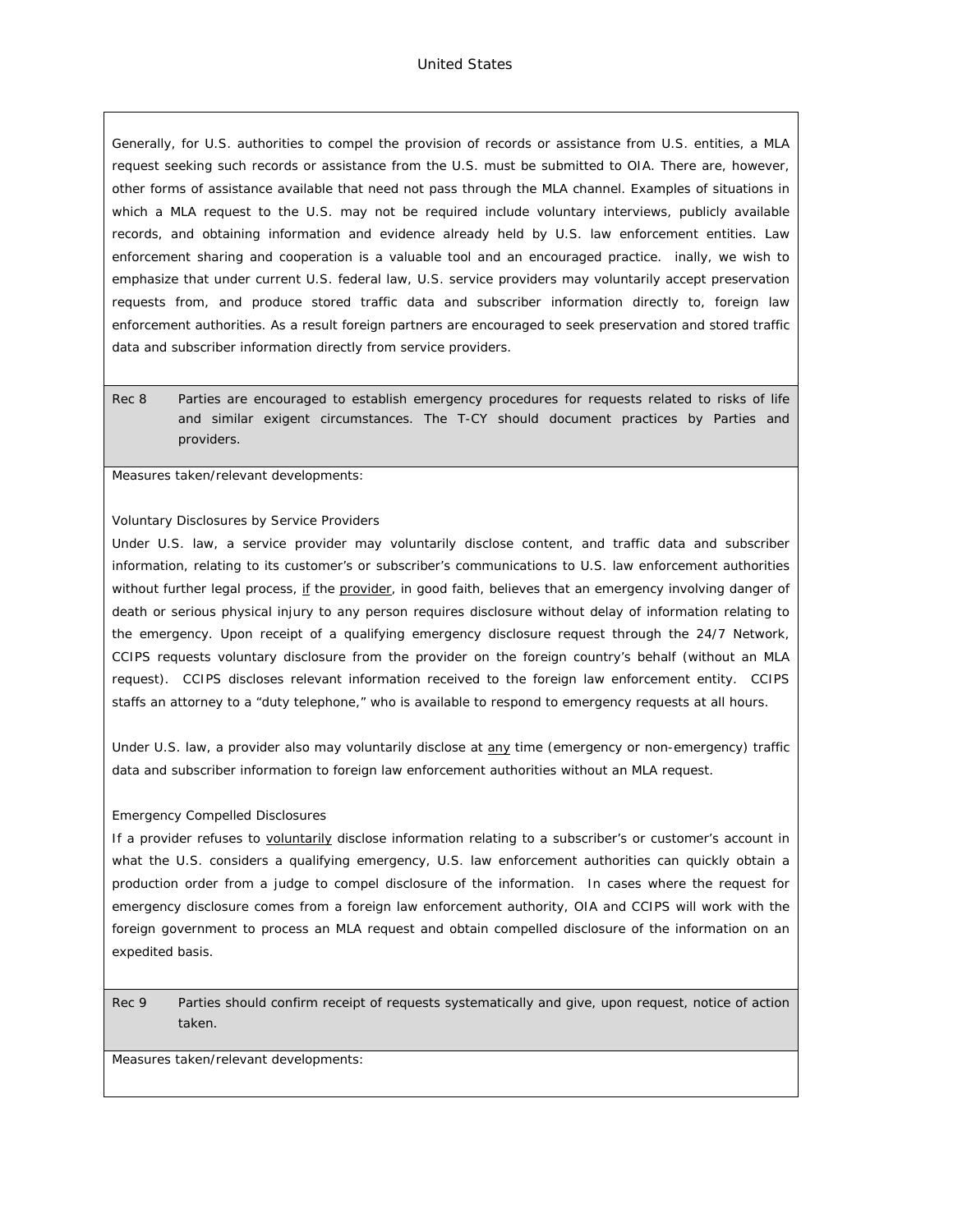#### United States

Generally, for U.S. authorities to compel the provision of records or assistance from U.S. entities, a MLA request seeking such records or assistance from the U.S. must be submitted to OIA. There are, however, other forms of assistance available that need not pass through the MLA channel. Examples of situations in which a MLA request to the U.S. may not be required include voluntary interviews, publicly available records, and obtaining information and evidence already held by U.S. law enforcement entities. Law enforcement sharing and cooperation is a valuable tool and an encouraged practice. inally, we wish to emphasize that under current U.S. federal law, U.S. service providers may voluntarily accept preservation requests from, and produce stored traffic data and subscriber information directly to, foreign law enforcement authorities. As a result foreign partners are encouraged to seek preservation and stored traffic data and subscriber information directly from service providers.

Rec 8 Parties are encouraged to establish emergency procedures for requests related to risks of life and similar exigent circumstances. The T-CY should document practices by Parties and providers.

Measures taken/relevant developments:

#### Voluntary Disclosures by Service Providers

Under U.S. law, a service provider may voluntarily disclose content, and traffic data and subscriber information, relating to its customer's or subscriber's communications to U.S. law enforcement authorities without further legal process, if the provider, in good faith, believes that an emergency involving danger of death or serious physical injury to any person requires disclosure without delay of information relating to the emergency. Upon receipt of a qualifying emergency disclosure request through the 24/7 Network, CCIPS requests voluntary disclosure from the provider on the foreign country's behalf (without an MLA request). CCIPS discloses relevant information received to the foreign law enforcement entity. CCIPS staffs an attorney to a "duty telephone," who is available to respond to emergency requests at all hours.

Under U.S. law, a provider also may voluntarily disclose at any time (emergency or non-emergency) traffic data and subscriber information to foreign law enforcement authorities without an MLA request.

#### Emergency Compelled Disclosures

If a provider refuses to voluntarily disclose information relating to a subscriber's or customer's account in what the U.S. considers a qualifying emergency, U.S. law enforcement authorities can quickly obtain a production order from a judge to compel disclosure of the information. In cases where the request for emergency disclosure comes from a foreign law enforcement authority, OIA and CCIPS will work with the foreign government to process an MLA request and obtain compelled disclosure of the information on an expedited basis.

Rec 9 Parties should confirm receipt of requests systematically and give, upon request, notice of action taken.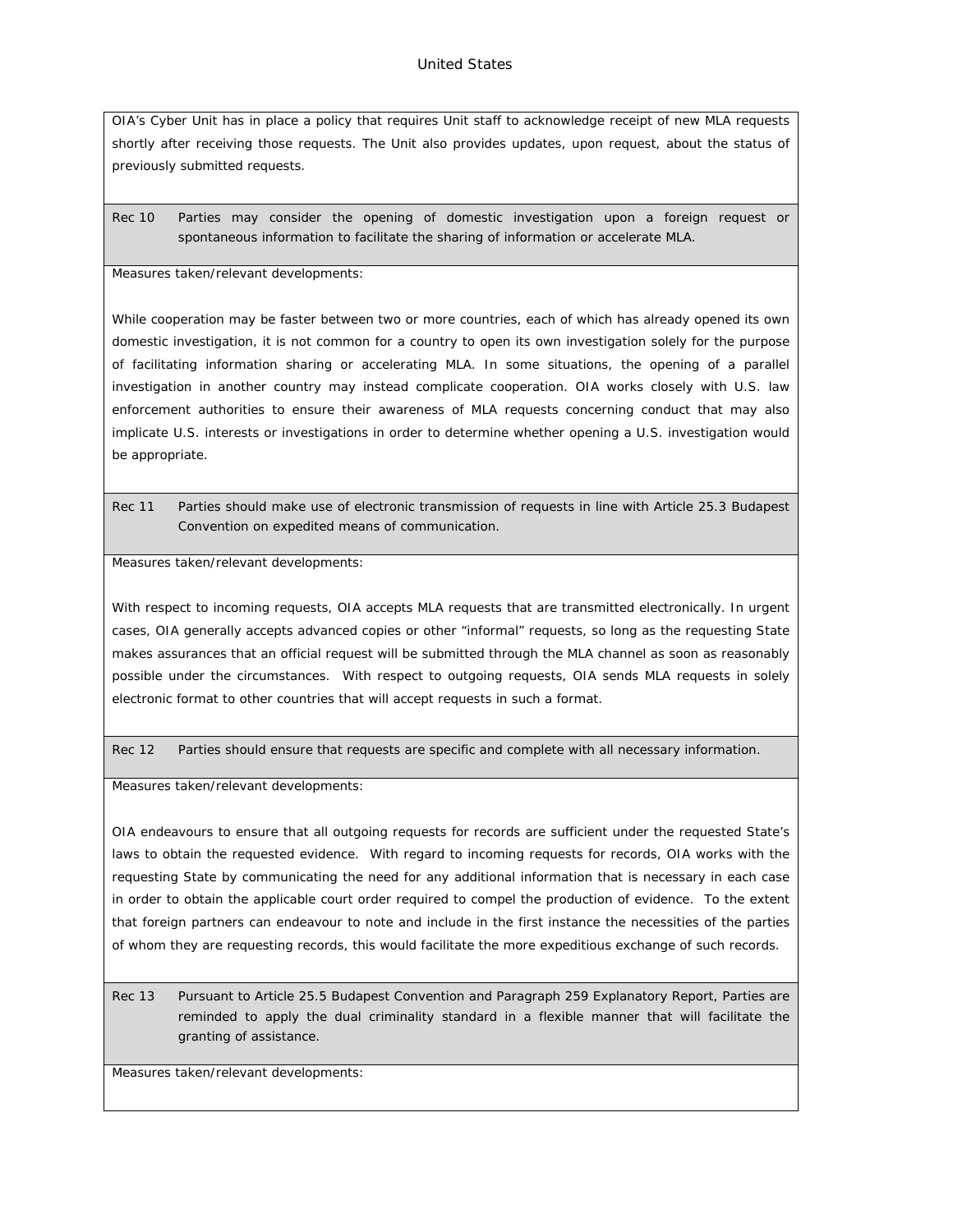OIA's Cyber Unit has in place a policy that requires Unit staff to acknowledge receipt of new MLA requests shortly after receiving those requests. The Unit also provides updates, upon request, about the status of previously submitted requests.

Rec 10 Parties may consider the opening of domestic investigation upon a foreign request or spontaneous information to facilitate the sharing of information or accelerate MLA.

Measures taken/relevant developments:

While cooperation may be faster between two or more countries, each of which has already opened its own domestic investigation, it is not common for a country to open its own investigation solely for the purpose of facilitating information sharing or accelerating MLA. In some situations, the opening of a parallel investigation in another country may instead complicate cooperation. OIA works closely with U.S. law enforcement authorities to ensure their awareness of MLA requests concerning conduct that may also implicate U.S. interests or investigations in order to determine whether opening a U.S. investigation would be appropriate.

Rec 11 Parties should make use of electronic transmission of requests in line with Article 25.3 Budapest Convention on expedited means of communication.

Measures taken/relevant developments:

With respect to incoming requests, OIA accepts MLA requests that are transmitted electronically. In urgent cases, OIA generally accepts advanced copies or other "informal" requests, so long as the requesting State makes assurances that an official request will be submitted through the MLA channel as soon as reasonably possible under the circumstances. With respect to outgoing requests, OIA sends MLA requests in solely electronic format to other countries that will accept requests in such a format.

Rec 12 Parties should ensure that requests are specific and complete with all necessary information.

Measures taken/relevant developments:

OIA endeavours to ensure that all outgoing requests for records are sufficient under the requested State's laws to obtain the requested evidence. With regard to incoming requests for records, OIA works with the requesting State by communicating the need for any additional information that is necessary in each case in order to obtain the applicable court order required to compel the production of evidence. To the extent that foreign partners can endeavour to note and include in the first instance the necessities of the parties of whom they are requesting records, this would facilitate the more expeditious exchange of such records.

Rec 13 Pursuant to Article 25.5 Budapest Convention and Paragraph 259 Explanatory Report, Parties are reminded to apply the dual criminality standard in a flexible manner that will facilitate the granting of assistance.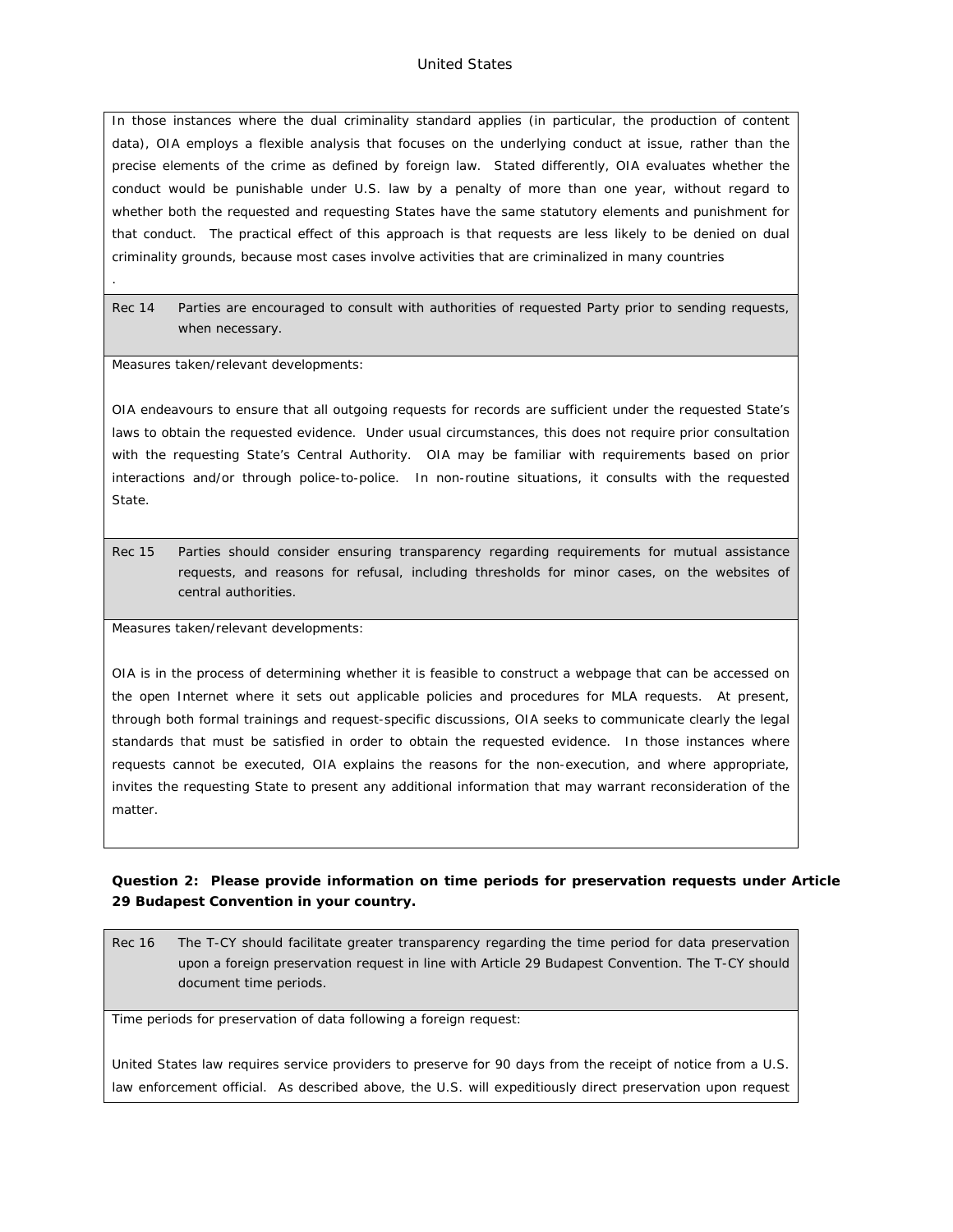#### United States

In those instances where the dual criminality standard applies (in particular, the production of content data), OIA employs a flexible analysis that focuses on the underlying conduct at issue, rather than the precise elements of the crime as defined by foreign law. Stated differently, OIA evaluates whether the conduct would be punishable under U.S. law by a penalty of more than one year, without regard to whether both the requested and requesting States have the same statutory elements and punishment for that conduct. The practical effect of this approach is that requests are less likely to be denied on dual criminality grounds, because most cases involve activities that are criminalized in many countries

Rec 14 Parties are encouraged to consult with authorities of requested Party prior to sending requests, when necessary.

Measures taken/relevant developments:

.

OIA endeavours to ensure that all outgoing requests for records are sufficient under the requested State's laws to obtain the requested evidence. Under usual circumstances, this does not require prior consultation with the requesting State's Central Authority. OIA may be familiar with requirements based on prior interactions and/or through police-to-police. In non-routine situations, it consults with the requested State.

Rec 15 Parties should consider ensuring transparency regarding requirements for mutual assistance requests, and reasons for refusal, including thresholds for minor cases, on the websites of central authorities.

Measures taken/relevant developments:

OIA is in the process of determining whether it is feasible to construct a webpage that can be accessed on the open Internet where it sets out applicable policies and procedures for MLA requests. At present, through both formal trainings and request-specific discussions, OIA seeks to communicate clearly the legal standards that must be satisfied in order to obtain the requested evidence. In those instances where requests cannot be executed, OIA explains the reasons for the non-execution, and where appropriate, invites the requesting State to present any additional information that may warrant reconsideration of the matter.

**Question 2: Please provide information on time periods for preservation requests under Article 29 Budapest Convention in your country.**

Rec 16 The T-CY should facilitate greater transparency regarding the time period for data preservation upon a foreign preservation request in line with Article 29 Budapest Convention. The T-CY should document time periods.

Time periods for preservation of data following a foreign request:

United States law requires service providers to preserve for 90 days from the receipt of notice from a U.S. law enforcement official. As described above, the U.S. will expeditiously direct preservation upon request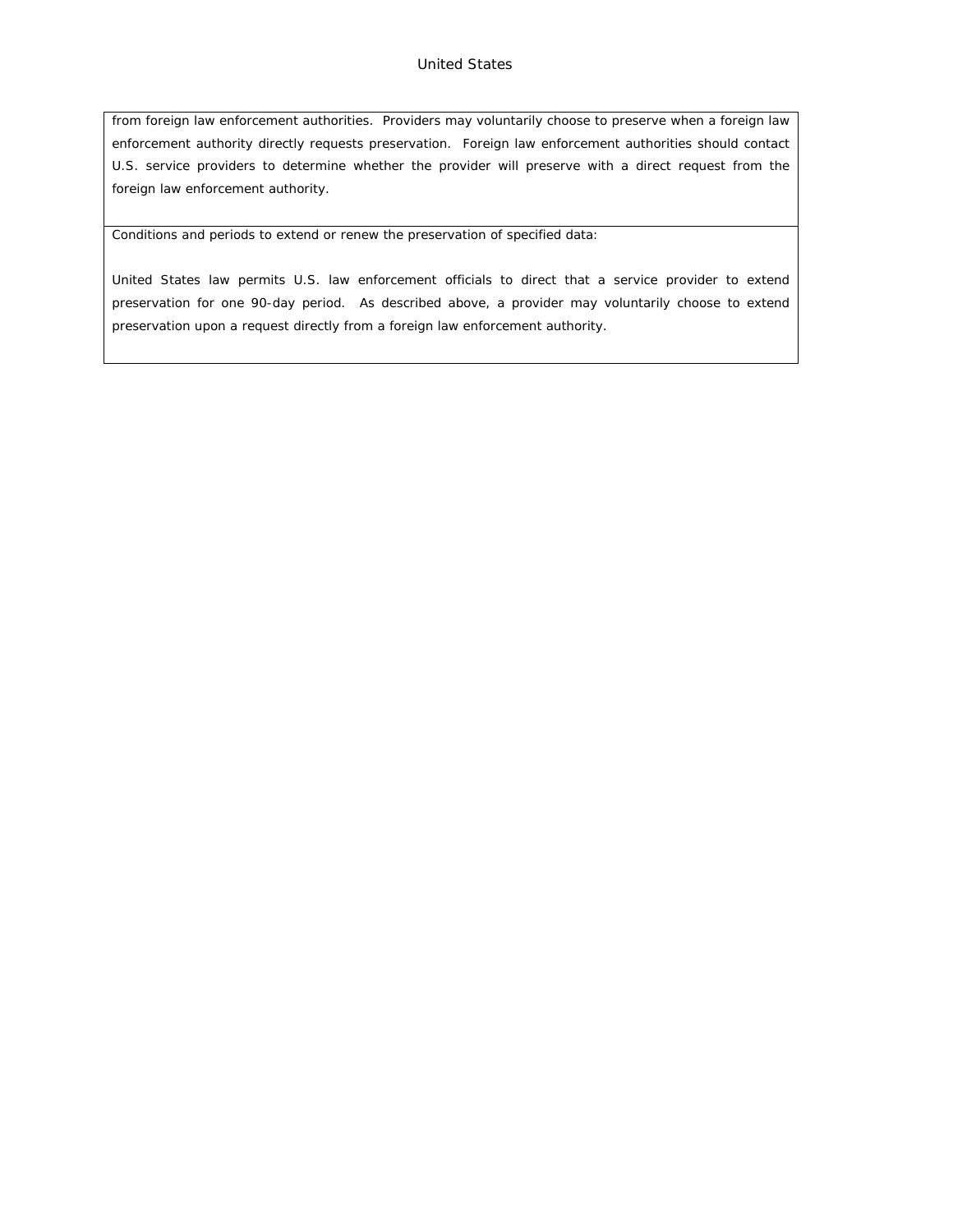from foreign law enforcement authorities. Providers may voluntarily choose to preserve when a foreign law enforcement authority directly requests preservation. Foreign law enforcement authorities should contact U.S. service providers to determine whether the provider will preserve with a direct request from the foreign law enforcement authority.

Conditions and periods to extend or renew the preservation of specified data:

United States law permits U.S. law enforcement officials to direct that a service provider to extend preservation for one 90-day period. As described above, a provider may voluntarily choose to extend preservation upon a request directly from a foreign law enforcement authority.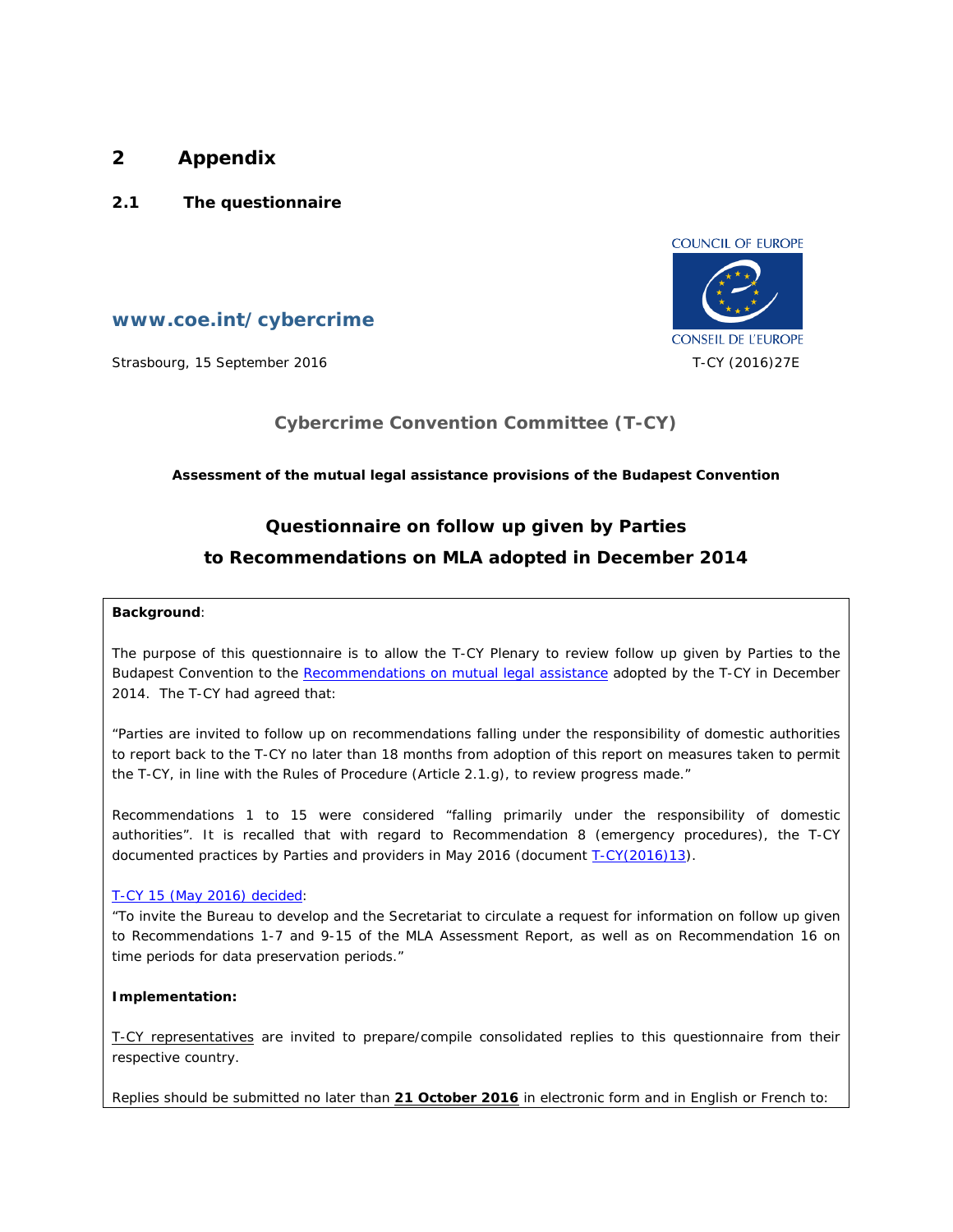# **2 Appendix**

**2.1 The questionnaire**



**www.coe.int/cybercrime**

Strasbourg, 15 September 2016 T-CY (2016)27E

# **Cybercrime Convention Committee (T-CY)**

**Assessment of the mutual legal assistance provisions of the Budapest Convention**

# **Questionnaire on follow up given by Parties to Recommendations on MLA adopted in December 2014**

## **Background**:

The purpose of this questionnaire is to allow the T-CY Plenary to review follow up given by Parties to the Budapest Convention to the [Recommendations on mutual legal assistance](https://rm.coe.int/CoERMPublicCommonSearchServices/DisplayDCTMContent?documentId=09000016802e726c) adopted by the T-CY in December 2014. The T-CY had agreed that:

"Parties are invited to follow up on recommendations falling under the responsibility of domestic authorities to report back to the T-CY no later than 18 months from adoption of this report on measures taken to permit the T-CY, in line with the Rules of Procedure (Article 2.1.g), to review progress made."

Recommendations 1 to 15 were considered "falling primarily under the responsibility of domestic authorities". It is recalled that with regard to Recommendation 8 (emergency procedures), the T-CY documented practices by Parties and providers in May 2016 (document [T-CY\(2016\)13\)](https://rm.coe.int/CoERMPublicCommonSearchServices/DisplayDCTMContent?documentId=0900001680651a6f).

# [T-CY 15 \(May 2016\) decided](https://rm.coe.int/CoERMPublicCommonSearchServices/DisplayDCTMContent?documentId=0900001680654b2b):

"To invite the Bureau to develop and the Secretariat to circulate a request for information on follow up given to Recommendations 1-7 and 9-15 of the MLA Assessment Report, as well as on Recommendation 16 on time periods for data preservation periods."

**Implementation:**

T-CY representatives are invited to prepare/compile consolidated replies to this questionnaire from their respective country.

Replies should be submitted no later than **21 October 2016** in electronic form and in English or French to: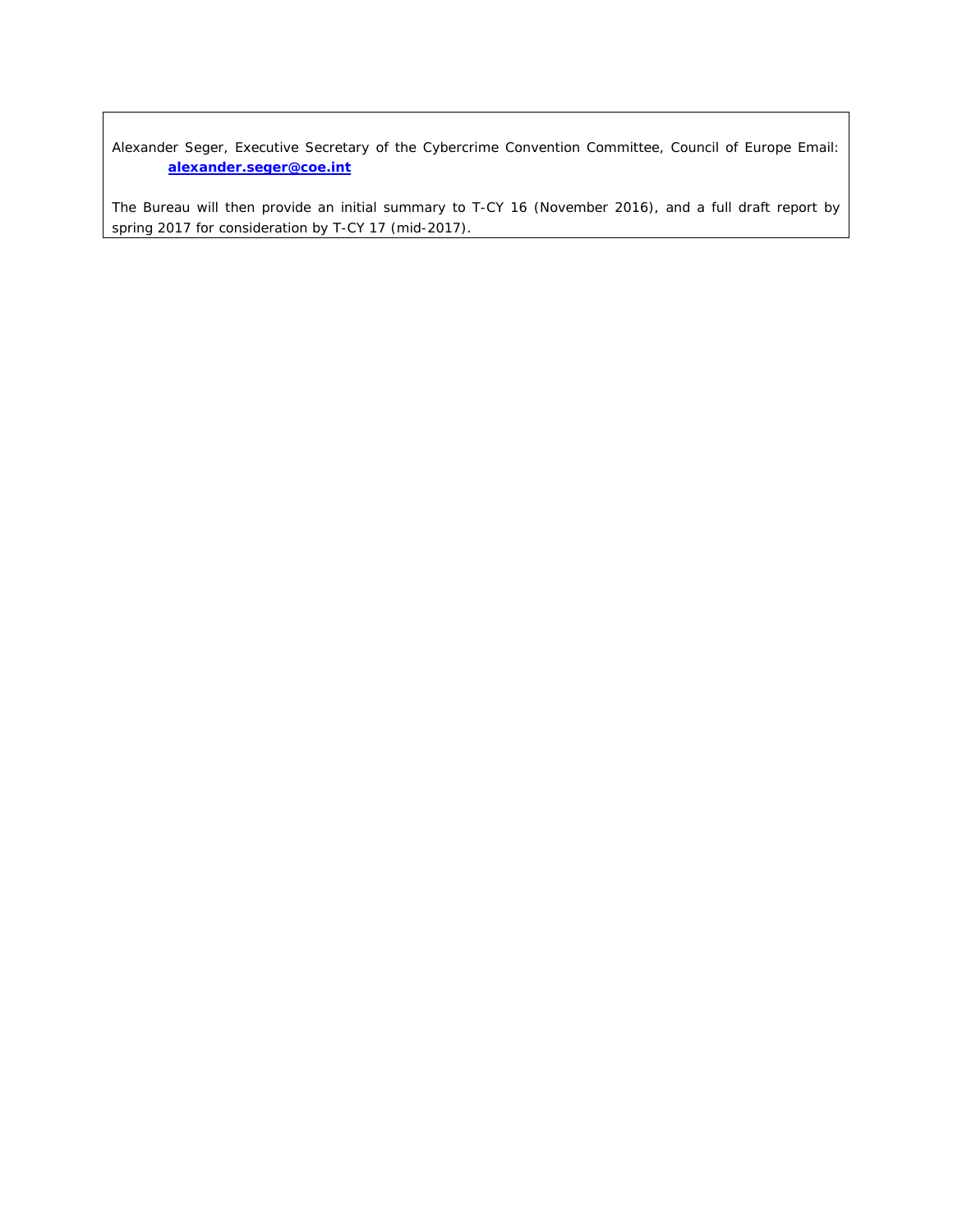Alexander Seger, Executive Secretary of the Cybercrime Convention Committee, Council of Europe Email: **[alexander.seger@coe.int](mailto:alexander.seger@coe.int)**

The Bureau will then provide an initial summary to T-CY 16 (November 2016), and a full draft report by spring 2017 for consideration by T-CY 17 (mid-2017).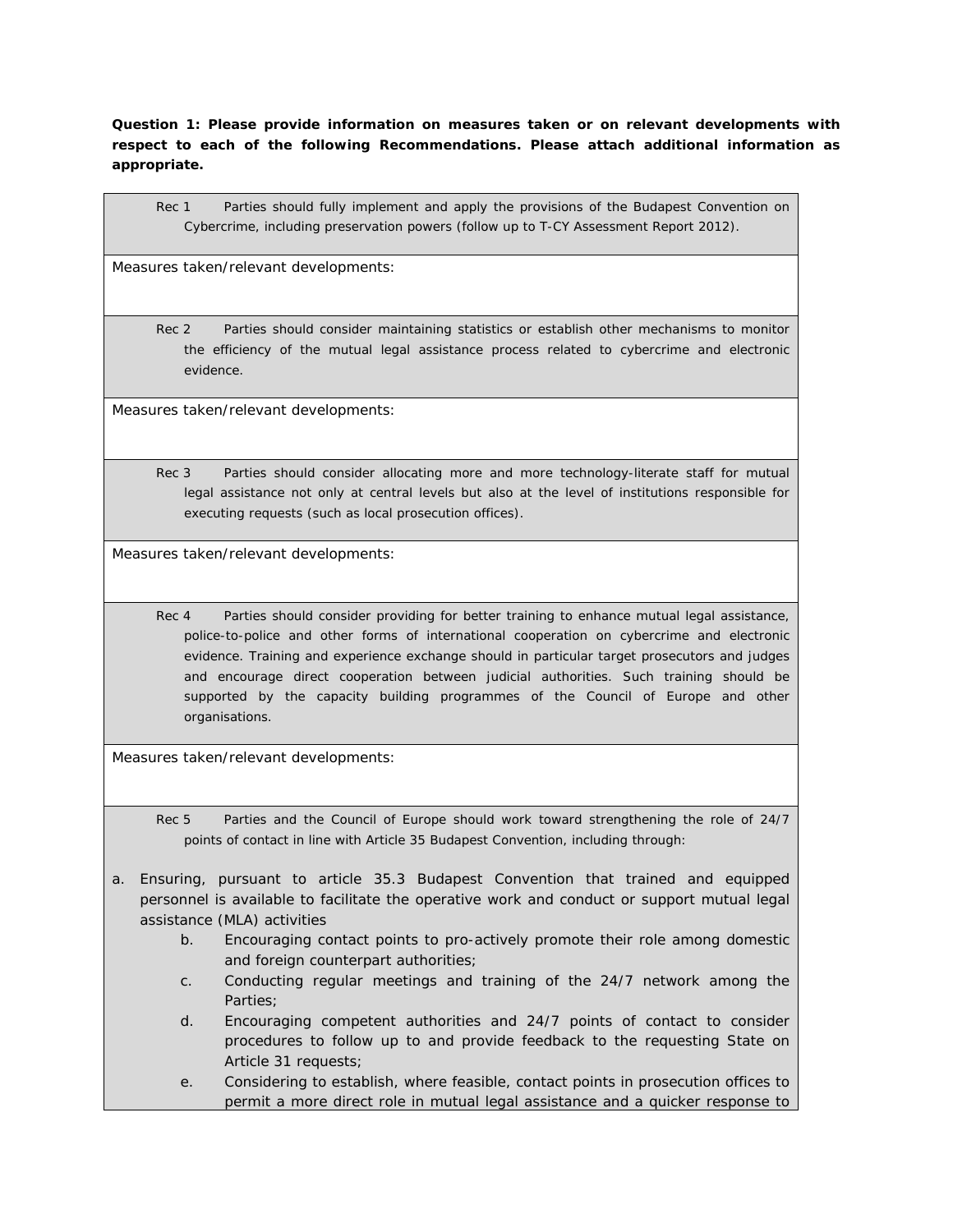**Question 1: Please provide information on measures taken or on relevant developments with respect to each of the following Recommendations. Please attach additional information as appropriate.**

Rec 1 Parties should fully implement and apply the provisions of the Budapest Convention on Cybercrime, including preservation powers (follow up to T-CY Assessment Report 2012).

Measures taken/relevant developments:

Rec 2 Parties should consider maintaining statistics or establish other mechanisms to monitor the efficiency of the mutual legal assistance process related to cybercrime and electronic evidence.

Measures taken/relevant developments:

Rec 3 Parties should consider allocating more and more technology-literate staff for mutual legal assistance not only at central levels but also at the level of institutions responsible for executing requests (such as local prosecution offices).

Measures taken/relevant developments:

Rec 4 Parties should consider providing for better training to enhance mutual legal assistance, police-to-police and other forms of international cooperation on cybercrime and electronic evidence. Training and experience exchange should in particular target prosecutors and judges and encourage direct cooperation between judicial authorities. Such training should be supported by the capacity building programmes of the Council of Europe and other organisations.

Measures taken/relevant developments:

- Rec 5 Parties and the Council of Europe should work toward strengthening the role of 24/7 points of contact in line with Article 35 Budapest Convention, including through:
- a. Ensuring, pursuant to article 35.3 Budapest Convention that trained and equipped personnel is available to facilitate the operative work and conduct or support mutual legal assistance (MLA) activities
	- b. Encouraging contact points to pro-actively promote their role among domestic and foreign counterpart authorities;
	- c. Conducting regular meetings and training of the 24/7 network among the Parties;
	- d. Encouraging competent authorities and 24/7 points of contact to consider procedures to follow up to and provide feedback to the requesting State on Article 31 requests;
	- e. Considering to establish, where feasible, contact points in prosecution offices to permit a more direct role in mutual legal assistance and a quicker response to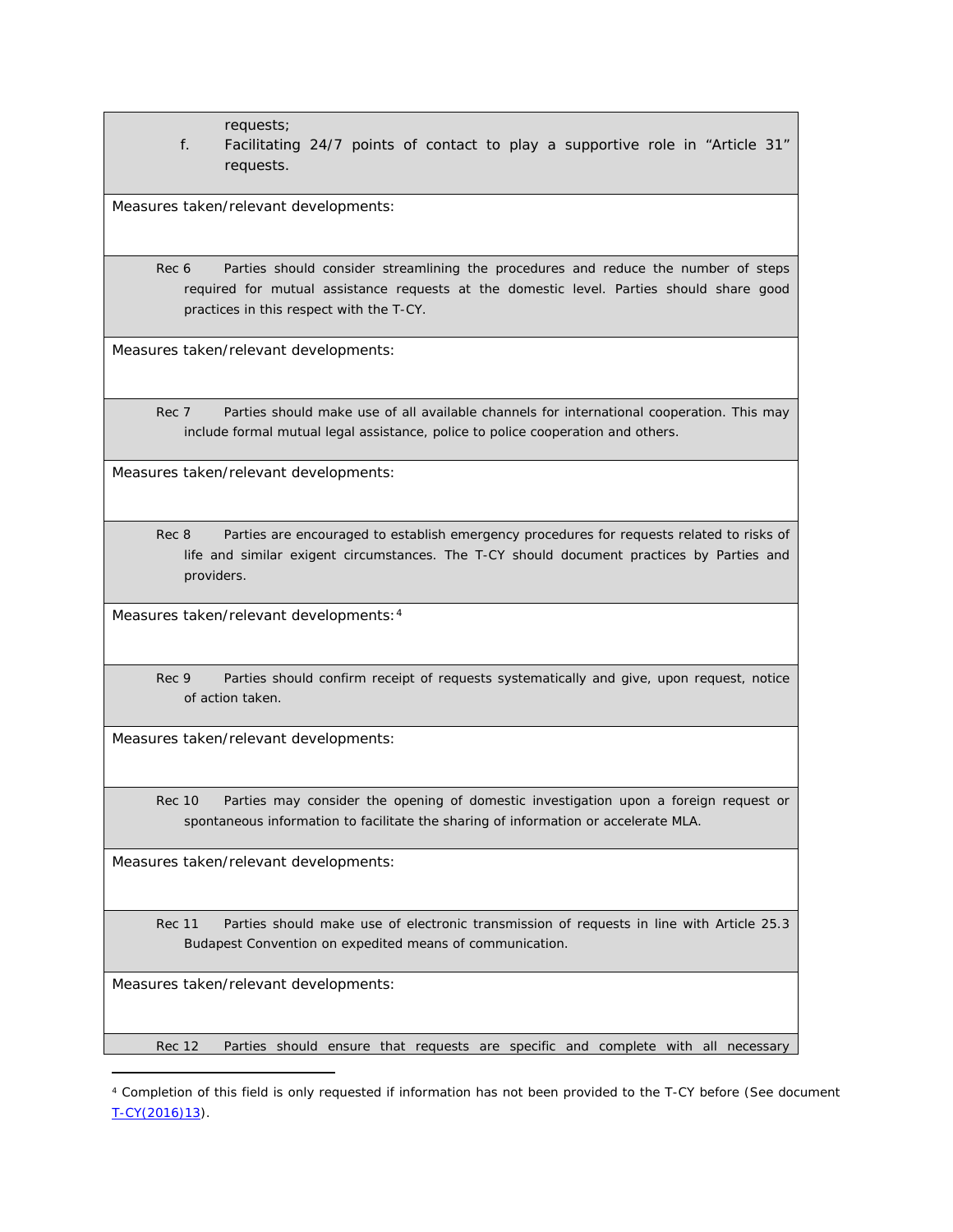requests;

f. Facilitating 24/7 points of contact to play a supportive role in "Article 31" requests.

Measures taken/relevant developments:

Rec 6 Parties should consider streamlining the procedures and reduce the number of steps required for mutual assistance requests at the domestic level. Parties should share good practices in this respect with the T-CY.

Measures taken/relevant developments:

Rec 7 Parties should make use of all available channels for international cooperation. This may include formal mutual legal assistance, police to police cooperation and others.

Measures taken/relevant developments:

Rec 8 Parties are encouraged to establish emergency procedures for requests related to risks of life and similar exigent circumstances. The T-CY should document practices by Parties and providers.

Measures taken/relevant developments:<sup>4</sup>

Rec 9 Parties should confirm receipt of requests systematically and give, upon request, notice of action taken.

Measures taken/relevant developments:

Rec 10 Parties may consider the opening of domestic investigation upon a foreign request or spontaneous information to facilitate the sharing of information or accelerate MLA.

Measures taken/relevant developments:

Rec 11 Parties should make use of electronic transmission of requests in line with Article 25.3 Budapest Convention on expedited means of communication.

Measures taken/relevant developments:

Rec 12 Parties should ensure that requests are specific and complete with all necessary

<sup>4</sup> Completion of this field is only requested if information has not been provided to the T-CY before (See document [T-CY\(2016\)13\)](https://rm.coe.int/CoERMPublicCommonSearchServices/DisplayDCTMContent?documentId=0900001680651a6f).